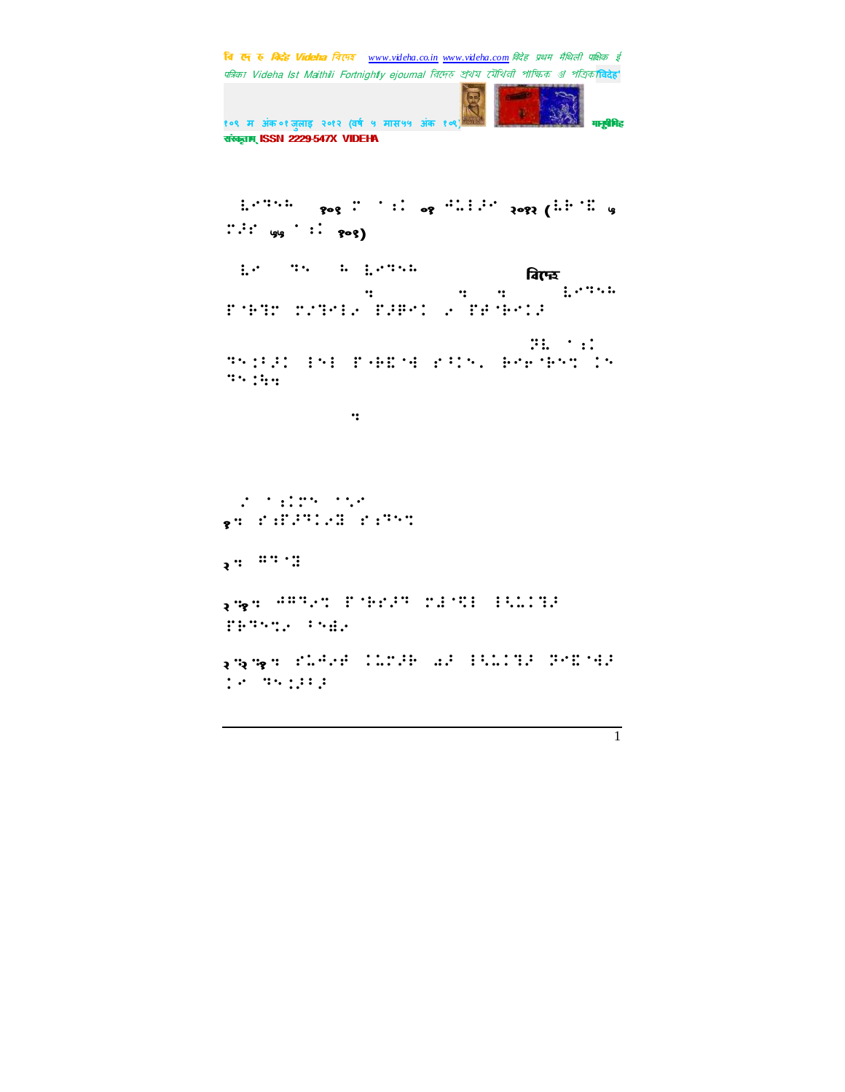१०९ म अंक ०१जुलाइ २०१२ (वर्ष ५ मास५५ अंक १०९) मानुसीरी सामुवीनिह संस्कृतम् ISSN 2229-547X VIDEHA

(⣇⢹⢳(!१०९ !⣐!०१ ⢺⣅⢼!२०१२ (⣇⢷ ⣏!५ ⢼"!५५ ⣐!१०९ )

! हिन्दी है कि साथ के लिए जिसमें का प्रकाश के लिए जिसमें के लिए जिसमें किया था। इस प्रकाश के लिए जिसमें के लिए<br>जनसङ्ख्या iuuq;00xxx⣒wjefib⣒dp⣒jo!!⣇⢹⢳! P 'PRY START PRESS PROPERTY

 $E_1$   $\cdots$ SSON RESEARCH STREET  $T^*$ 

page in the state page of the state page in the state page of the state page of the state page of the state page

!⢹⣈⢼C⢼!

 $\mathcal{A} = \mathcal{A} \cup \mathcal{A} \cup \mathcal{A} \cup \mathcal{A}$ १⣒!"⣐2⢼⢹⢴⣝!"⣐⢹⣉! २¨ ¨¨¨ ∃ २७<sub>१</sub>९ तमान्य साकारम् यस्य स्थानि 2⢷⢹⣉⢴!C⣞⢴! २७२७ पुण्ड थे अप्रैलेल के सामानिक सामानिक सामानिक सामानिक सामानिक सामानिक सामानिक सामानिक सामानिक सामानिक सामा<br>राज्यसम्बद्धाः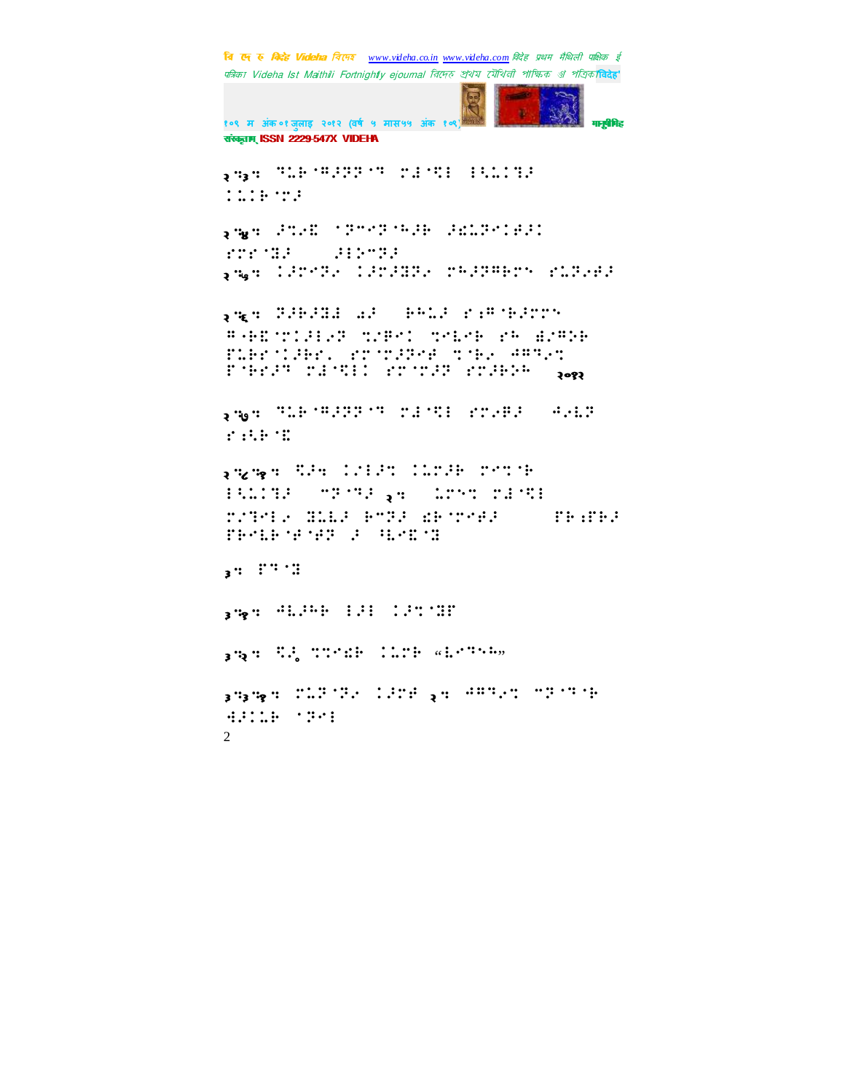पत्रिका Videha Ist Maithili Fortnightly ejournal রিদেত প্রথম মৌথিনী পাক্ষিক ॳ পত্রিকাঁ<mark>বিदेह'</mark> १०९ म अंक ०१जुलाइ २०१२ (वष ५ मास५५ अंक १०९) मानुषीिमह संख्याम् ISSN 2229-547X VIDEHA  $\mathfrak{D}$ २⣒३⣒!⢹⣅⢷ ⢻⢼⢽⢽ ⢹!⣜ ⣋.⣃⣅⣙⢼. ⣅⢷ ⢼! २७७ : २००० लालेख १००० लालेख २००० लालेख २ "" ⣝⢼!)!⢼⢵^⢽⢼!\*! २⣒५⣒!⢼⢽⢴!⢼⢼⣝⢽⢴.⢳⢼⢽⢻⢷!"⣅⢽⢴⢾⢼!  $\frac{1}{2}$ s: 7.8528; 2.8 = 2.8 = 2.8 = 2.8 = 2.8 = 2.8 = 2.8 = 2.8 = 2.8 = 2.8 = 2.8 = 2.8 = 2.8 = 2.8 = 2.8 = 2.8 = 2.8 = 2.8 = 2.8 = 2.8 = 2.8 = 2.8 = 2.8 = 2.8 = 2.8 = 2.8 = 2.8 = 2.8 = 2.8 = 2.8 = 2.8 = 2.8 = 2.8 = 2.8 ⢻D⢷⣏ ⢼⢴⢽!⣉4⢿!⣉⣇⢷!"⢳!⣞4⢻⢵⢷! 2⣅⢷" ⢼⢷"G!" ⢼⢽⢾!⣉ ⢷⢴!⢺⢻⢹⢴⣉! 2 ⢷"⢼⢹!⣜ ⣋!" ⢼⢽!"⢼⢷⢵⢳.!२०१२ २७७९ अ.स. १९४० छन्। २००१ छन्। २००१ छन्। २००१ छन्। २००१ छन्। २००१ छन्। २००१ छन्। २००१ छन्। २००१ छन्। २००१ छन्।<br>सन्दर्भ "⣐⣃⢷ ⣏! २७८७२ मा बिल्ली का प्राप्त करने के लिए प्राप्त करने के लिए प्राप्त करने के लिए प्राप्त करने के लिए प्राप्त करन<br>राजन ⣃⣅⣙⢼.!^⢽ ⢹⢼!२⣒!!⣅⣉!⣜ ⣋.! 4⣙⢴!⣝⣅⣇⢼!⢷^⢽⢼.⣎⢷ ⢾⢼!;;!2⢷⣐2⢷⢼! 2⢷⣇⢷ ⢾ ⢾⢽!⢼!⢸⣇⣏ ⣝!  $\frac{1}{2}$  :  $\frac{1}{2}$   $\frac{1}{2}$   $\frac{1}{2}$   $\frac{1}{2}$   $\frac{1}{2}$   $\frac{1}{2}$   $\frac{1}{2}$   $\frac{1}{2}$ <sub>३'२'</sub> प्लाइमें स्टाइ अपने अपने प्राप्त का ३५३ S. S. The Care Genesis ३७३७ थ. २०२३ थ. २३१३ <sub>। २</sub>० - समयको जातका क ⣚⢼⣅⢷!⢽!

चि एक रु *विदेह Videha चिए*न्छ <u>www.videha.co.in www.videha.com</u> विदेह प्रथम मैथिली पाक्षिक ई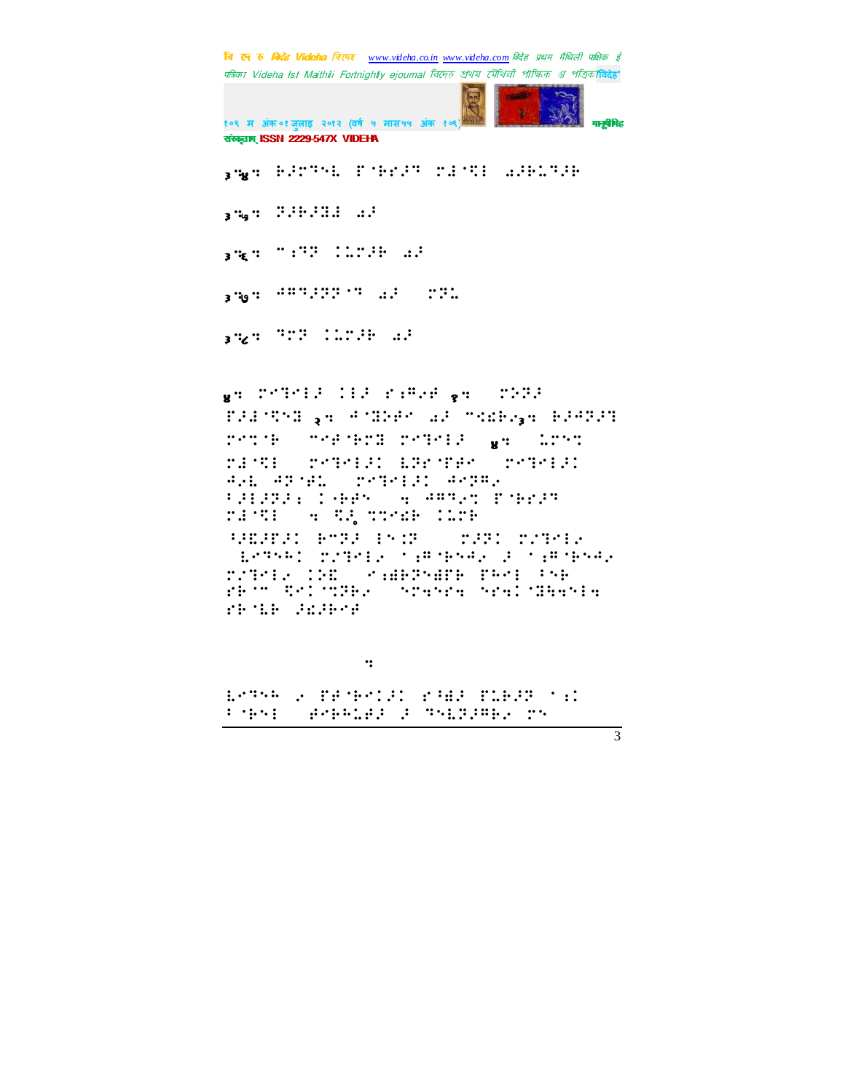१०९ म अंक ०१जुलाइ २०१२ (वष ५ मास५५ अंक १०९) मानुषीिमह संस्कृतम् ISSN 2229-547X VIDEHA

 $_3$ go PRTPE PrPPR TERR WELTER ३⣒५⣒!⢽⢼⢷⢼⣝⣜!⣔⢼! ३५º 1999 - 11298 - 112 ३७७: <sup>200</sup>° <sup>201</sup>223 <sup>-</sup> 23 ३%४ °C - 100 - 100 - 100 - 100 - 100 - 100 - 100 - 100 - 100 - 100 - 100 - 100 - 100 - 100 - 100 - 100 - 100 -

४⣒!⣙⢼!⢼."⣐⢻⢴⢾!१⣒!!⢵⢽⢼! 2⢼⣜ ⣋⣝!२⣒!⢺ ⣝⢵⢾!⣔⢼!^⣊⣎⢷⢴३⣒!⢷⢼⢺⢽⢼⣙! ⣉ ⢷!)^⢾ ⢷⣝!⣙⢼\*!४⣒!!⣅⣉! ⣜ ⣋!)⣙⢼!⣇⢽" 2⢾0!⣙⢼! ⢺⢴⣇.⢺⢽ ⢾⣅0!⣙⢼!⢺⢽⢻⢴\*! C⢼⢼⢽⢼⣐!D⢷⢾.2⣒!⢺⢻⢹⢴⣉!2 ⢷"⢼⢹!  $TAP = 1$   $P = 3$   $P = 3$ ⢸⢼⣏⢼2⢼!⢷^⢽⢼.⣈⢽!.\⢼⢽!4⣙⢴^-! \⣇⢹⢳!4⣙⢴.⣐⢻ ⢷⢺⢴!⢼!⣐⢻ ⢷⢺⢴! 4⣙⢴!⢵⣏!)⣐⣞⢷⢽⣞2⢷!2⢳!C⢷!  $^{\circ}$   $^{\circ}$   $^{\circ}$   $^{\circ}$   $^{\circ}$   $^{\circ}$   $^{\circ}$   $^{\circ}$   $^{\circ}$   $^{\circ}$   $^{\circ}$   $^{\circ}$   $^{\circ}$   $^{\circ}$   $^{\circ}$   $^{\circ}$   $^{\circ}$   $^{\circ}$   $^{\circ}$   $^{\circ}$   $^{\circ}$   $^{\circ}$   $^{\circ}$   $^{\circ}$   $^{\circ}$   $^{\circ}$   $^{\circ}$   $^{\circ}$   $^{\circ}$   $^{\circ}$   $^{\circ}$   $^{\circ}$ "⢷ ⣇⢷!⢼⣎⢼⢷⢾!.Cbtfe!po!nt.trm!

Ejdujpobsz⣒^!!

LATSR & PENRIJI KARA PIRAT 'SI<br>J'ARSE (PARRIJA J'TSLTAR) C ⢷-!⢾⢷⢳⣅⢾⢼!⢼!⢹⣇⢽⢼⢻⢷⢴!!\*!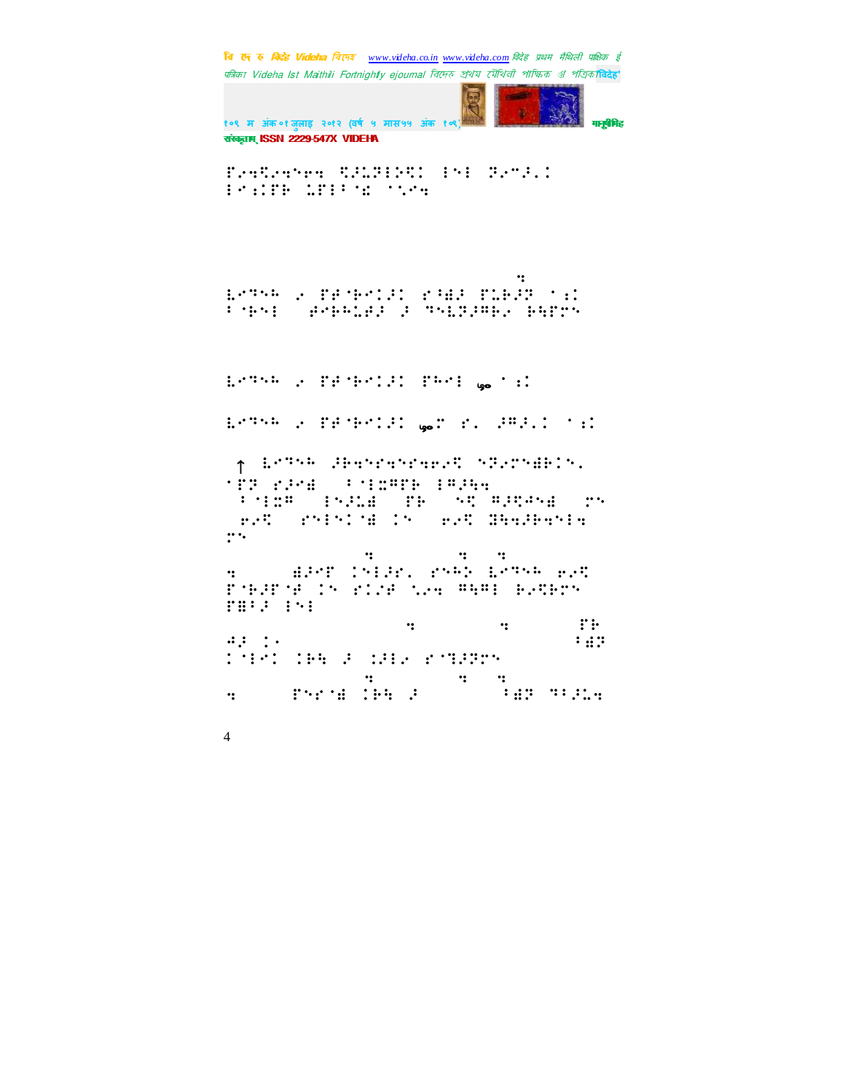१०९ म अंक ०१जुलाइ २०१२ (वष ५ मास५५ अंक १०९) मानुषीिमह

2⢴⣒⣋⢴⣒⢶⣒!⣋⢼⣅⢽⢵⣋!!⢽⢴^⢼G!  $1 + 1$  The Contract of Contract of Contract of Contract of Contract of Contract of Contract of Contract of Contract of Contract of Contract of Contract of Contract of Contract of Contract of Contract of Contract of Contrac

संस्कृतम् ISSN 2229-547X VIDEHA

bu!uif!gpmmpxjoh!mjol⣒!! L'INE DE LE CONSIDERT DE L'EN C ⢷-!⢾⢷⢳⣅⢾⢼!⢼!⢹⣇⢽⢼⢻⢷⢴!⢷⣓2!

LATHA & PATHALL PATH **yo** 12 LATHR & PENFOLI WA 2012 2012 ↑ LSP5 JEstisstrier.C 522058EIS.  $2^{\circ}$  2012  $\frac{1}{2}$  2012  $\frac{1}{2}$  2013  $\frac{1}{2}$  2013  $\frac{1}{2}$  2013  $\frac{1}{2}$ ! THE YEAR ARE THE THE PARTIES. #⢶⢴⣋#!" ⣞!!#⢶⢴⣋!⣝⣓⣒⢼⢷⣒⣒#!  $\cdots$ iuuq;00xxx⣒wjefib⣒dp⣒jo0joefy yn , defni inffr, rnei brine eli 2 ⢷⢼2 ⢾!!"4⢾!⣁⢴⣒!⢻⣓⢻!⢷⢴⣋⢷! PHILE INE

ius;00sfbefsqlipphmfdpn0.20sfbefs  $\mathbf{H}$ ee beeld as a strong population of the contract of the contract of the contract of the contract of the contract of the contract of the contract of the contract of the contract of the contract of the contract of the !⢷⣓!⢼!⣈⢼⢴!" ⣙⢼⢽! iuuq;00xxx⣒wjefib⣒dp⣒jo0joefy  $y$  , the distribution of the state.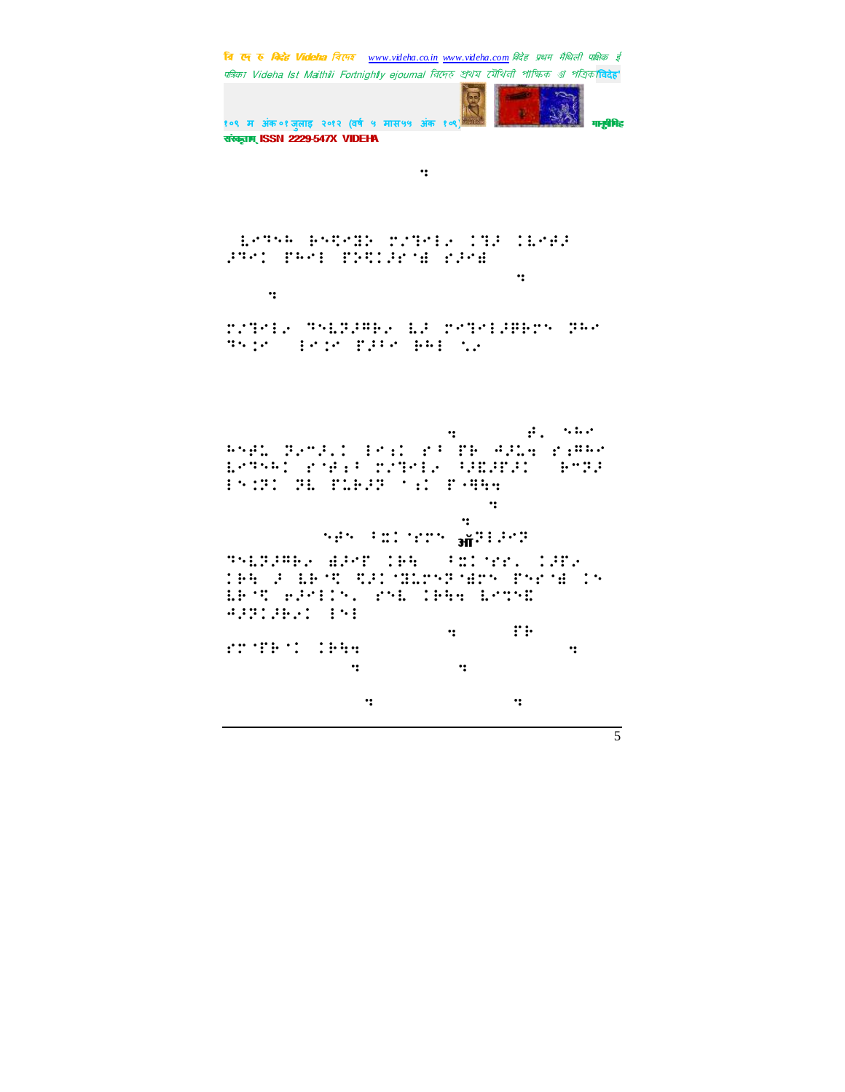१०९ म अंक ०१जुलाइ २०१२ (वष ५ मास५५ अंक १०९) मानुषीिमह

 $\mathbf{g}$  is a set of  $\mathbf{g}$  is a set of  $\mathbf{g}$ 

!⣇⢹⢳!⢷⣋⣝⢵;4⣙⢴!⣙⢼.⣇⢾⢼! ⢼⢹!2⢳!2⢵⣋⢼" ⣞!"⢼⣞! ius (1983) in the control of the control of the control of the control of the control of the control of the co

संस्कृतम् ISSN 2229-547X VIDEHA

 $\cdot$ :

4⣙⢴!⢹⣇⢽⢼⢻⢷⢴!⣇⢼!⣙⢼⢿⢷!⢽⢳! ⢹⣈0!⣈!2⢼C!⢷⢳!⣁⢴-!)dboopu!

hhbkfoesbawjefibles begin der der de staatstelling van de staatstelling van de staatstelling van de staatstell<br>Geboortes ⢳⢾⣅!⢽⢴^⢼G!⣐!"⢸!2⢷!⢺⢼⣅⣒!"⣐⢻⢳! LARE CONSIDER A SERIES CONTROL  $\vdots$ 

ius (1990), provincia est anno 1990.<br>1900 - Carlo Carlo Carlo Carlo Carlo Carlo Carlo Carlo Carlo Carlo Carlo Carlo Carlo Carlo Carlo Carlo Carlo ius (100 lbvmpomio dpn0vojobha vojoba vojoba vojoba vojoba vojoba vojoba vojoba vojoba vojoba vojoba vojoba vo bes (Colores Willes

⢹⣇⢽⢼⢻⢷⢴!⣞⢼2!⢷⣓-!C⣍ ""G!⢼2⢴! ⢷⣓!⢼!⣇⢷ ⣋!⣋⢼ ⣝⣅⢽ ⣞!2" ⣞!!  $E \in \mathbb{R}$  ,  $E \in \mathbb{R}$  ,  $E \in \mathbb{R}$  ,  $E \in \mathbb{R}$  ,  $E \in \mathbb{R}$  ,  $E \in \mathbb{R}$ ⢺⢼⢽⢼⢷⢴!! hekawi hekawi hekawi hekawi hekawi hekawi hekawi hekawi hekawi hekawi hekawi hekawi hekawi hekawi hekawi hekaw<br>2001 - Ali da kawi hekawi hekawi hekawi hekawi hekawi hekawi hekawi hekawi hekawi hekawi hekawi hekawi hekawi

" 2⢷ !⢷⣓⣒\*)Vtf!Gjsfgpy!5⣒1!  $\mathbf{G}$  ) and  $\mathbf{G}$  (  $\mathbf{G}$  ) and  $\mathbf{G}$  (  $\mathbf{G}$  ) and  $\mathbf{G}$  $\mathcal{G}$  =  $\mathcal{G}$  =  $\mathcal{G}$  =  $\mathcal{G}$  =  $\mathcal{G}$  =  $\mathcal{G}$  =  $\mathcal{G}$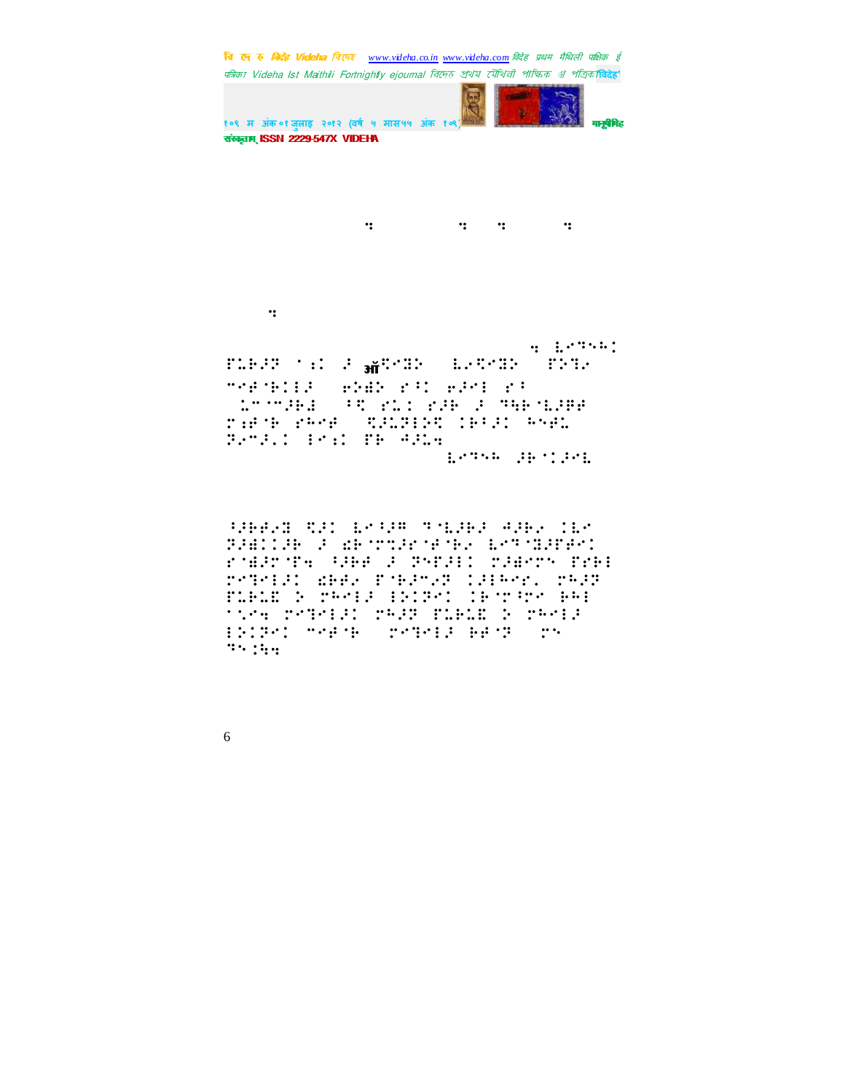१०९ म अंक ०१जुलाइ २०१२ (वर्ष ५ मास५५ अंक १०९) मानुसीरी सामुवीनिह

संस्कृतम् ISSN 2229-547X VIDEHA

 $\ddot{u}$  is the contract of  $\ddot{u}$  is the contract of  $\ddot{u}$ 

 $\mathcal{G}$ 

 $\alpha$ ipup in gjum $\alpha$  and  $\alpha$  is given in given in given in given in given in given in given in given in given in given in given in given in given in given in given in given in given in given in given in given in given in 2⣅⢷⢼⢽!⣐!⢼!ऑ⣋⣝⢵0!⣇⢴⣋⣝⢵0!2⢵⣙⢴0! ^⢾ ⢷⢼0!⢶⢵⣞⢵!"⢸!⢶⢼!"⢸! )⣅^ ^⢼⢷⣜-!C⣋!"⣅⣈!"⢼⢷!⢼!⢹⣓⢷ ⣇⢼⢿⢾! ⣐⢾ ⢷!"⢳⢾\*!⣋⢼⣅⢽⢵⣋!⢷C⢼!⢳⢾⣅! ⢽⢴^⢼G!⣐!2⢷!⢺⢼⣅⣒! ISTE SPIEL

⢸⢼⢷⢾⢴⣝!⣋⢼!⣇⢸⢼⢻!⢹ ⣇⢼⢷⢼!⢺⢼⢷⢴!⣇-!  $^{\circ}$   $^{\circ}$   $^{\circ}$   $^{\circ}$   $^{\circ}$   $^{\circ}$   $^{\circ}$   $^{\circ}$   $^{\circ}$   $^{\circ}$   $^{\circ}$   $^{\circ}$   $^{\circ}$   $^{\circ}$   $^{\circ}$   $^{\circ}$   $^{\circ}$   $^{\circ}$   $^{\circ}$   $^{\circ}$   $^{\circ}$   $^{\circ}$   $^{\circ}$   $^{\circ}$   $^{\circ}$   $^{\circ}$   $^{\circ}$   $^{\circ}$   $^{\circ}$   $^{\circ}$   $^{\circ}$   $^$  $'$  'during the state  $'$  denote  $'$  and  $'$  and  $'$ 

 $\mathbb{C}$   $\mathbb{C}$   $\mathbb{C}$   $\mathbb{C}$   $\mathbb{C}$   $\mathbb{C}$   $\mathbb{C}$   $\mathbb{C}$   $\mathbb{C}$   $\mathbb{C}$   $\mathbb{C}$   $\mathbb{C}$   $\mathbb{C}$   $\mathbb{C}$   $\mathbb{C}$   $\mathbb{C}$   $\mathbb{C}$   $\mathbb{C}$   $\mathbb{C}$   $\mathbb{C}$   $\mathbb{C}$   $\mathbb{C}$   $\mathbb{C}$   $\mathbb{C}$   $\mathbb{C$ 2⣅⢷⣅⣏!⢵!⢳⢼!⢵⢽!⢷ ⢸!⢷⢳!  $^{\prime}$  where  $^{\prime}$   $^{\prime}$  where  $^{\prime}$  and  $^{\prime}$  and  $^{\prime}$  and  $^{\prime}$  and  $^{\prime}$  and  $^{\prime}$  and  $^{\prime}$  and  $^{\prime}$  and  $^{\prime}$  and  $^{\prime}$  and  $^{\prime}$  and  $^{\prime}$  and  $^{\prime}$  and  $^{\prime}$  and  $^{\prime}$  and  $^{\prime}$  and  $^{\prime}$  and  $^$ ⢵⢽!^⢾ ⢷!(⣙⢼!⢷⢾ ⢽(!! **The pair**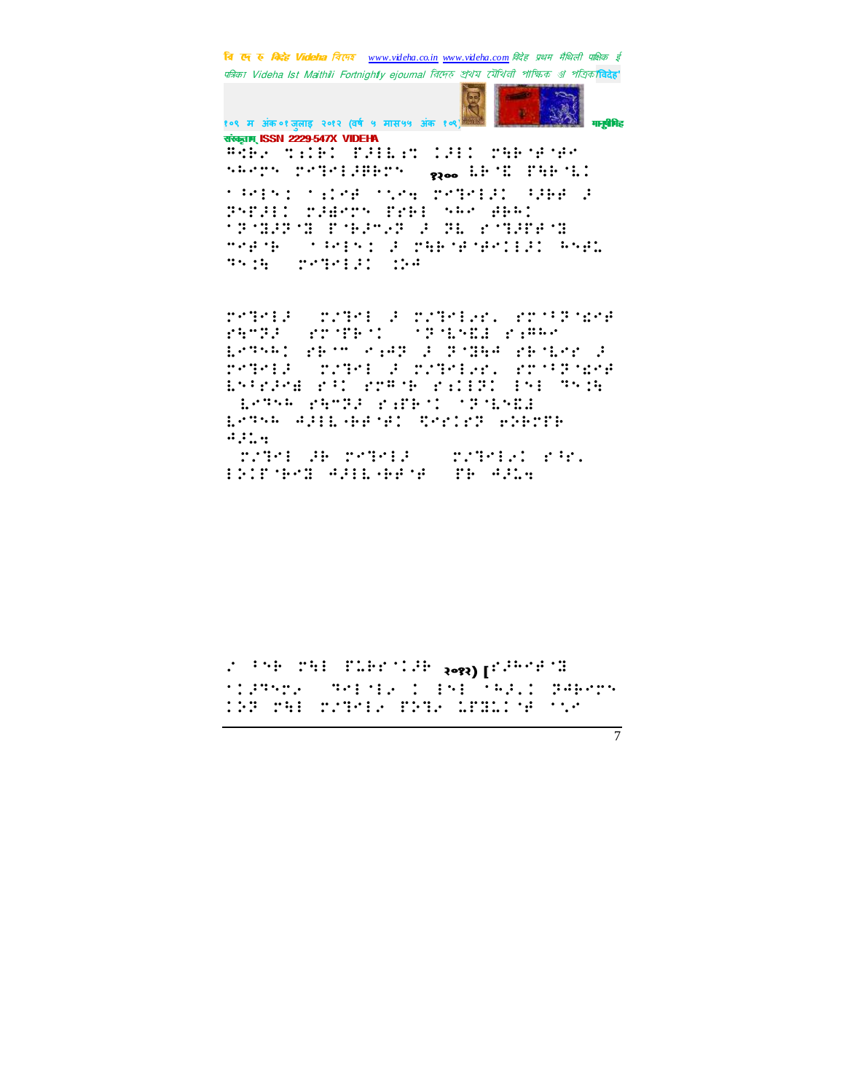

संस्कृतम् ISSN 2229-547X VIDEHA Rep. Side: Pallis 1811 September SARTS TRIPLIBETS <sub>Roo</sub> LESE FERSL tings: tings the propriet index PATH: THETR PPH: SWY ABW: **MORTH PERS FILE STREET** means of Principal debitation of the Second Control of the Second Control of the Second Control of the Second This referritions

PARALE (PORTAL D'ISTRIGE) ET PRINCE PATRA STORE : ORGANISARE Lenebi show elem a mome shower a PARALE (PARAL & PARALEN, PPORTENE ENFIRME PAINT PROPERTY PERSONAL PROPE **LOTER SHORE SHEET CROWNER** ESTAR APIE (BESE) SARIET BIBOTH  $431.4$ 

**TORONTO AR TEMPERATUR CONSTRAINS CONTRACT ASSOCIATE CONTRACT** 

2015年10月1日 FLEETIFF (1981) [FIFTF TH SIPPOS TRESPUS INFORMATION 193 MAI MUNER PRIS GRILLER TO

 $\overline{7}$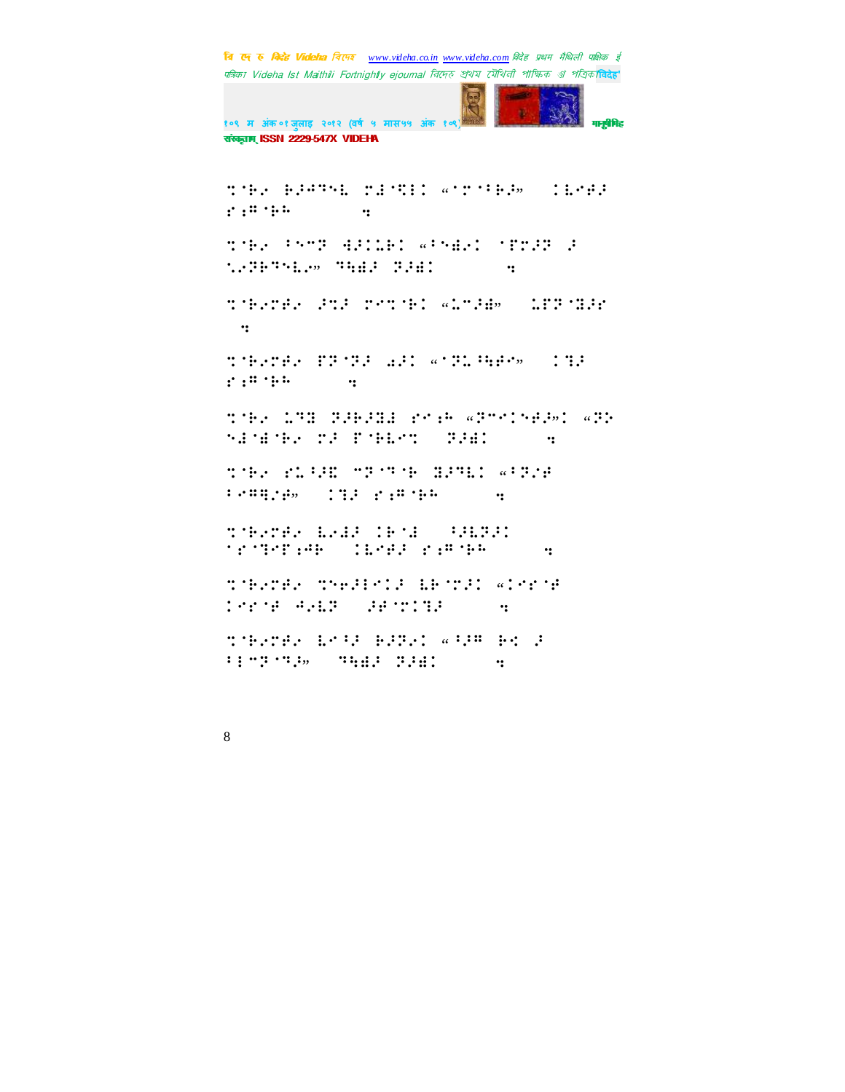मनुबेधिह १०९ म अंक०१ जलाइ २०१२ (वर्ष ५ मास५५ ३ संस्कृतम् ISSN 2229-547X VIDEHA

the BRATHL TEMPET WITTEN (TEMPE  $2.141111$  $\dddot{\mathbf{z}}$ 

the Profession where from P **1.9909-1.00 PHILE PAIR**  $\dddot{\mathbf{r}}$ 

there and reth and while are day  $\dddot{\mathbf{r}}$ 

there fried an eighters (19  $2.142244$  $\dddot{\mathbf{r}}$ 

tike 173 FRP231 rock «Poster»: «PP SEMPRETE PRESS THEY  $\mathcal{L}^{\mathcal{L}}$ 

THE SINE TRIPS BREAKING **COMPLETE STATE SECTION**  $\dddot{\mathbf{z}}$ 

TERRA LAR IBM (1882) tringer.g. (Bred r.E.g.)  $\dddot{\bullet}$ 

TORATES TORREROLE LEOTRO WOOD OF **THE 4213 GENERAL**  $\dddot{\cdot}$ 

there bou bund wim bod **:: "P \*\*: " \*\*: " #1: " #1: "**  $\dddot{\mathbf{r}}$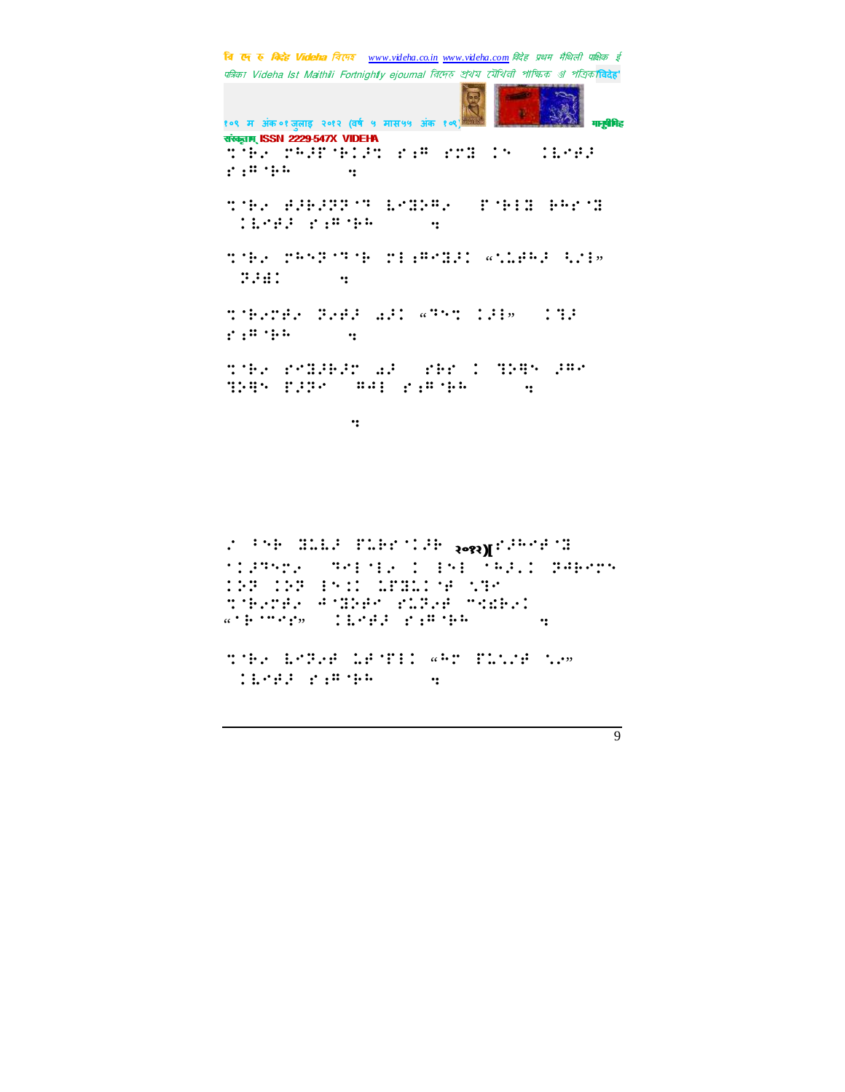मनुबेमिह १०९ म अंक०१ जुलाइ २०१२ (वर्ष ५ मास५५ अंक १०९ संस्कृतम् ISSN 2229-547X VIDEHA the testification and chain cares  $2.143334444$  $\ddot{\cdot}$ THE BROOM SOURCE PAID BROOM tidad range  $\dddot{\mathbf{r}}$ THE PROPORT FIREST WINES AND **WARE**  $\sim 22$ there had all whiches the  $\mathcal{C}^{\mathcal{C}}$  :  $\mathcal{C}^{\mathcal{C}}$  :  $\mathcal{C}^{\mathcal{C}}$  :  $\dddot{\bullet}$ dias relatar also renois den l'any.<br>dens rades mais rammes son n  $\dddot{\cdot}$ 

Control BLLP FLEETIFF <sub>Result</sub>erated Cherena di rer Skald demen **MORTHER CONTROLLER CONTROLLER CONTROL** there ander clied their wild the product of the first product of the second second second second second second second second second second second second second second second second second second second second second second second second second se  $\dddot{\mathbf{r}}$ 

TORY ESPAR LESTIC WAT FLOOR OUR **TERMS PARTNER**  $\dddot{\mathbf{r}}$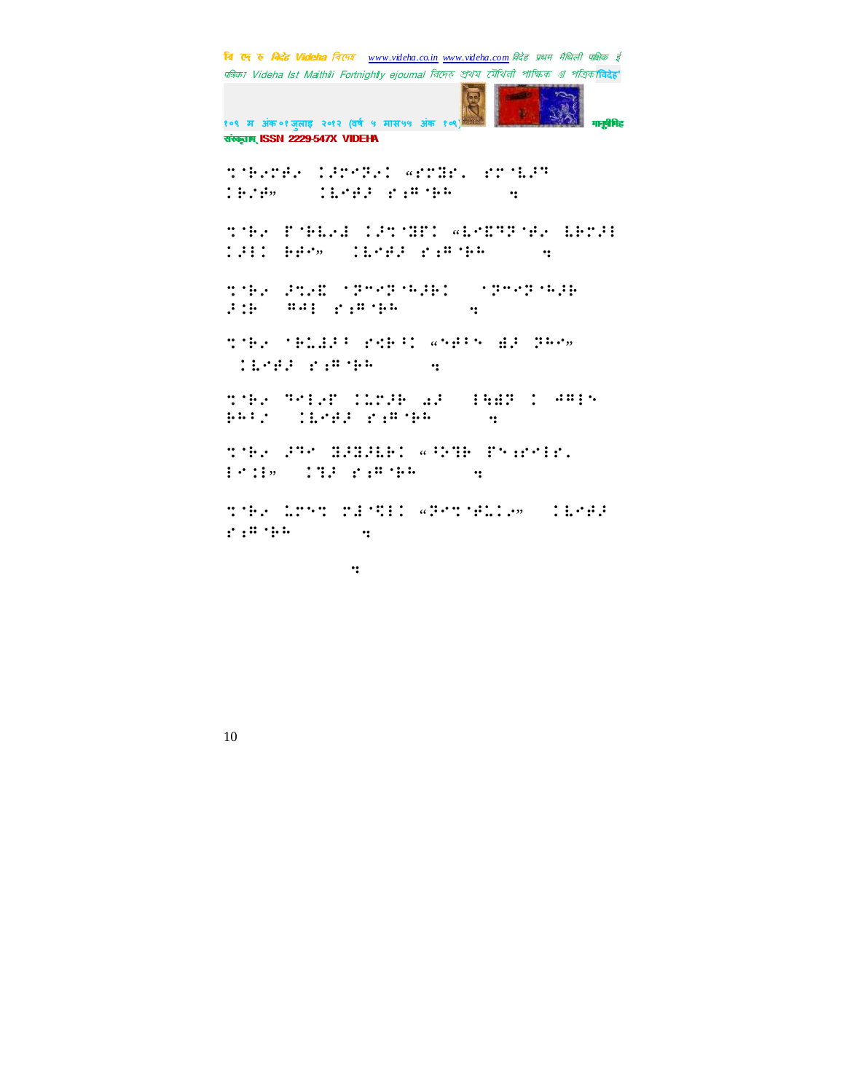संस्कृतम् ISSN 2229-547X VIDEHA

मनुबैमिह १०९ म अंक०१ जुलाइ २०१२ (वर्ष ५ मास५५ अंक १

TORATES LATSTAL WETHER STORAGE  $\frac{1}{2}$   $\frac{1}{2}$   $\frac{1}{2}$   $\frac{1}{2}$   $\frac{1}{2}$   $\frac{1}{2}$   $\frac{1}{2}$   $\frac{1}{2}$   $\frac{1}{2}$   $\frac{1}{2}$   $\frac{1}{2}$   $\frac{1}{2}$   $\frac{1}{2}$   $\frac{1}{2}$   $\frac{1}{2}$   $\frac{1}{2}$   $\frac{1}{2}$   $\frac{1}{2}$   $\frac{1}{2}$   $\frac{1}{2}$   $\frac{1}{2}$   $\frac{1}{2}$  THE PHEED CRIME WENTRIE BESH 1981 BERN (1888) PARTER (196 TORY STAR OSPASSAGE COSPARING die malgemen  $\ddot{\phantom{1}}$ THE TELEPT PERIOD WARTS HE TROS **CONSTRUCTION**  $\mathcal{L}(\mathbf{r})$ the Prish Clode ad (1988): 2015 **BOOK INTERNATIONAL PROPERTY** TORY FRO BEBELL WORTH PRESSENT  $\frac{1}{2}$  of  $\frac{1}{2}$   $\frac{1}{2}$   $\frac{1}{2}$   $\frac{1}{2}$   $\frac{1}{2}$   $\frac{1}{2}$   $\frac{1}{2}$   $\frac{1}{2}$   $\frac{1}{2}$   $\frac{1}{2}$   $\frac{1}{2}$   $\frac{1}{2}$   $\frac{1}{2}$   $\frac{1}{2}$   $\frac{1}{2}$   $\frac{1}{2}$   $\frac{1}{2}$   $\frac{1}{2}$   $\frac{1}{2}$   $\frac{1}{2}$   $\frac{1}{2}$ 

the LTST METHI WPOTHLISH (1898)  $f: P \to P$  $\ddot{\phantom{1}}$ 

 $\dddot{\boldsymbol{\cdot}}$ 

 $10<sup>10</sup>$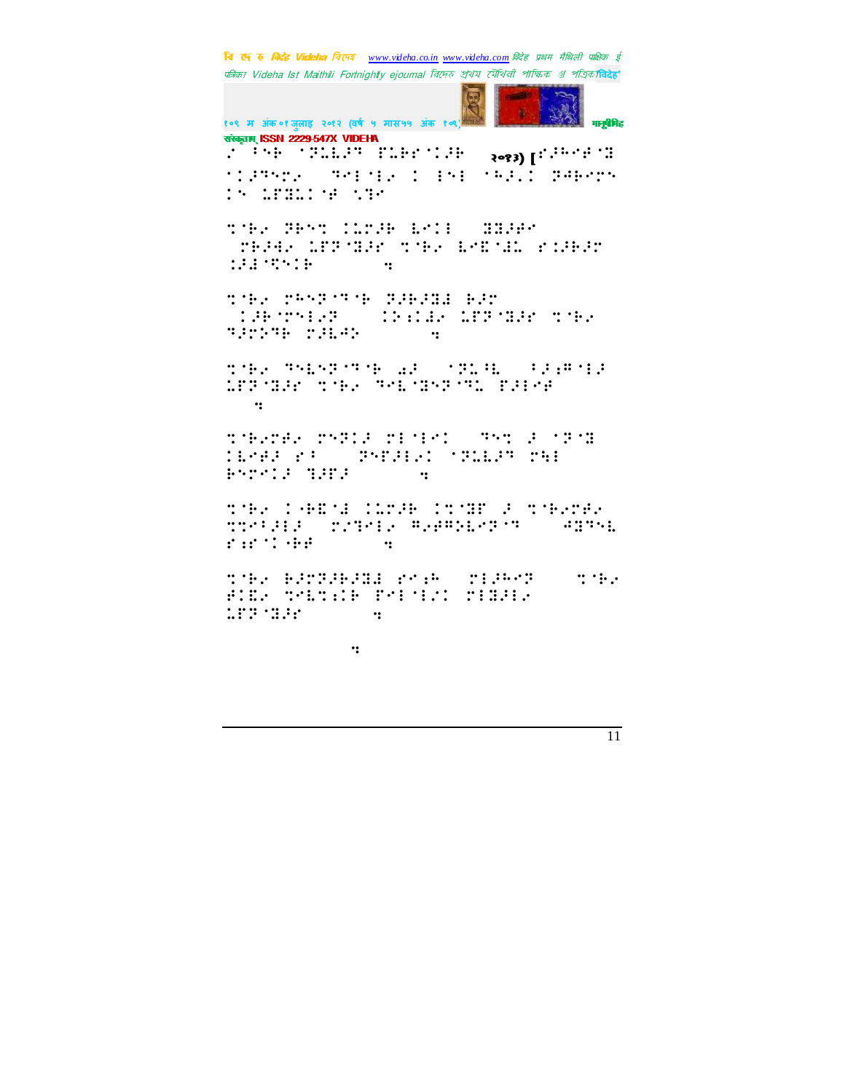१०९ म अंक०१ जुलाइ २०१२ (वर्ष ५ मास५५ अंक १०९ संस्कृतम् ISSN 2229-547X VIDEHA



The Palace files the seed present STREAMS CONFIDENTIAL ENERGY REPORT **IN LEBACH CRE** 

the Het Midh Lill Mide CORPORATION OF THE EMPIRICATION OF THE REAL  $12.2125134144$  $\ddot{\phantom{1}}$ 

THE THRITIE BHANN EAT **CONSTRUCTION** *BICS CONSIGN*  $\dddot{\mathbf{r}}$ 

the President also the College th LEP GER STORY POLITICE TO EFFOR  $\dddot{\mathbf{r}}$ 

there religious control and control TERMS FOR SHOPLING STEER THE BANKIS NSPS  $\dddot{\bullet}$ 

**THE LARGE COORDINATION** TTERNER STORES RAPPERTY  $\frac{1}{2}$   $\frac{1}{2}$   $\frac{1}{2}$   $\frac{1}{2}$   $\frac{1}{2}$   $\frac{1}{2}$   $\frac{1}{2}$   $\frac{1}{2}$  $\mathcal{L}$  and  $\mathcal{L}$  , and  $\mathcal{L}$  $\dddot{\mathbf{r}}$ 

the BRTBBRE references  $\mathbf{r}$  ,  $\mathbf{r}$  ,  $\mathbf{r}$  ,  $\mathbf{r}$ BIDS TERMIN PETING TIBBLE **WEBSTERN**  $\dddot{\mathbf{r}}$ 

 $\cdot:$ 

 $\overline{11}$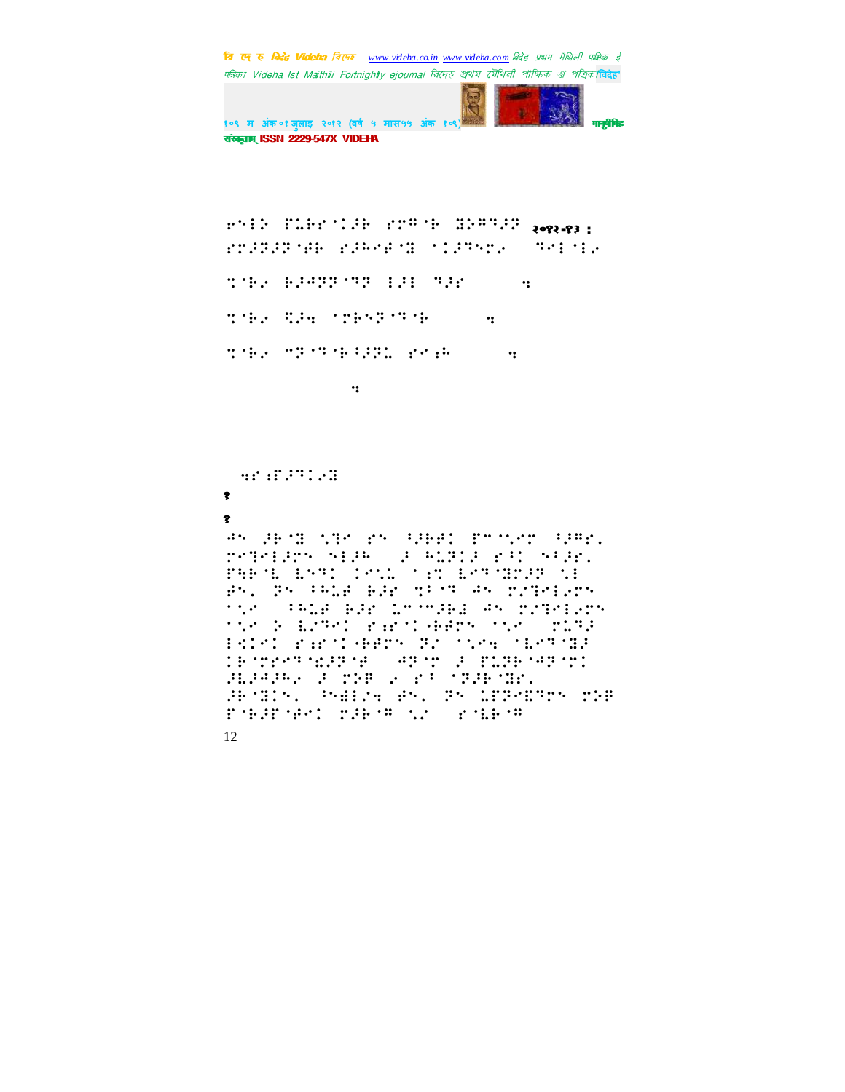

संस्कृतम् ISSN 2229-547X VIDEHA

 $+$  2012  $+$  2014  $+$  2015  $+$  2016  $+$  2017  $+$  2017  $+$  2018  $+$  2018  $+$ "⢼⢽⢼⢽ ⢾⢷!"⢼⢳⢾ ⣝!⢼⢹⢴-!⢹ ⢴! ⣉ ⢷⢴!⢷⢼⢺⢽⢽ ⢹⢽!⢼!⢹⢼"!!64⣒44&!!!!! **THE WE TEENTHE ...** 

 $\frac{1}{2}$   $\frac{1}{2}$   $\frac{1}{2}$   $\frac{1}{2}$   $\frac{1}{2}$   $\frac{1}{2}$   $\frac{1}{2}$   $\frac{1}{2}$   $\frac{1}{2}$   $\frac{1}{2}$   $\frac{1}{2}$   $\frac{1}{2}$   $\frac{1}{2}$   $\frac{1}{2}$   $\frac{1}{2}$   $\frac{1}{2}$   $\frac{1}{2}$   $\frac{1}{2}$   $\frac{1}{2}$   $\frac{1}{2}$   $\frac{1}{2}$   $\frac{1}{2}$   $\$ 

 $\frac{2}{4}$ 

2⣒"⣐2⢼⢹⢴⣝!

## १

## १

HS PEND NEW PSYCHOLOGY PRO  $\mathbb{R}^d$  )  $\mathbb{R}^d$  ,  $\mathbb{R}^d$  ,  $\mathbb{R}^d$  ,  $\mathbb{R}^d$  ,  $\mathbb{R}^d$  ,  $\mathbb{R}^d$  ,  $\mathbb{R}^d$  ,  $\mathbb{R}^d$  ,  $\mathbb{R}^d$  ,  $\mathbb{R}^d$  ,  $\mathbb{R}^d$  ,  $\mathbb{R}^d$  ,  $\mathbb{R}^d$  ,  $\mathbb{R}^d$  ,  $\mathbb{R}^d$  ,  $\mathbb{R}^d$  , PAR 10 1972 CHAI CAR DE RESERVAT ₽N, PN PALE BJE TP'N AN TITHEIT<br>SSA (PRIE BJE INSTITUTE AN TITHEIT  $^{\circ}$  : ( )  $^{\circ}$  ( )  $^{\circ}$  ( )  $^{\circ}$  ( )  $^{\circ}$  ( )  $^{\circ}$  ( )  $^{\circ}$  ( )  $^{\circ}$  ( )  $^{\circ}$  ( )  $^{\circ}$  ( )  $^{\circ}$  ( )  $^{\circ}$  ( )  $^{\circ}$  ( )  $^{\circ}$  ( )  $^{\circ}$  ( )  $^{\circ}$  ( )  $^{\circ}$  ( )  $^{\circ}$  ( )  $^{\circ}$  ( )  $^{\circ}$  ( )  $^{\prime}$  O D  $^{\prime}$  D  $^{\prime}$  D  $^{\prime}$  D  $^{\prime}$  D  $^{\prime}$  D  $^{\prime}$  D  $^{\prime}$  D  $^{\prime}$  D  $^{\prime}$  D  $^{\prime}$  D  $^{\prime}$  D  $^{\prime}$  D  $^{\prime}$  D  $^{\prime}$  D  $^{\prime}$  D  $^{\prime}$  D  $^{\prime}$  D  $^{\prime}$  D  $^{\prime}$  D  $^{\prime}$  D  $^{\prime}$  D  $^{\prime}$  D  $^{\prime}$  D  $^{\prime$ ⣊!"⣐" D⢷⢾!⢽4!⣁⣒!⣇⢹ ⣝⢼-!  $\mathbf{1}$  Both the Taliform  $\mathbf{2}$  ,  $\mathbf{3}$  and  $\mathbf{2}$  . The Taliform  $\mathbf{2}$ ⢼⣇⢼⢺⢼⢳⢴!⢼!⢵⢿!⢴!"⢸!⢽⢼⢷ ⣝"G!  $H$   $\sim$   $H$   $\sim$   $H$   $\sim$   $H$   $\sim$   $H$   $\sim$   $H$   $\sim$   $H$   $\sim$   $H$   $\sim$   $H$   $\sim$   $H$   $\sim$   $H$   $\sim$   $H$   $\sim$   $H$   $\sim$   $H$   $\sim$   $H$   $\sim$   $H$   $\sim$   $H$   $\sim$   $H$   $\sim$   $H$   $\sim$   $H$   $\sim$   $H$   $\sim$   $H$   $\sim$   $H$   $\sim$   $H$   $\sim$   $H$   $\$ PORPORT PRESENT AT PORT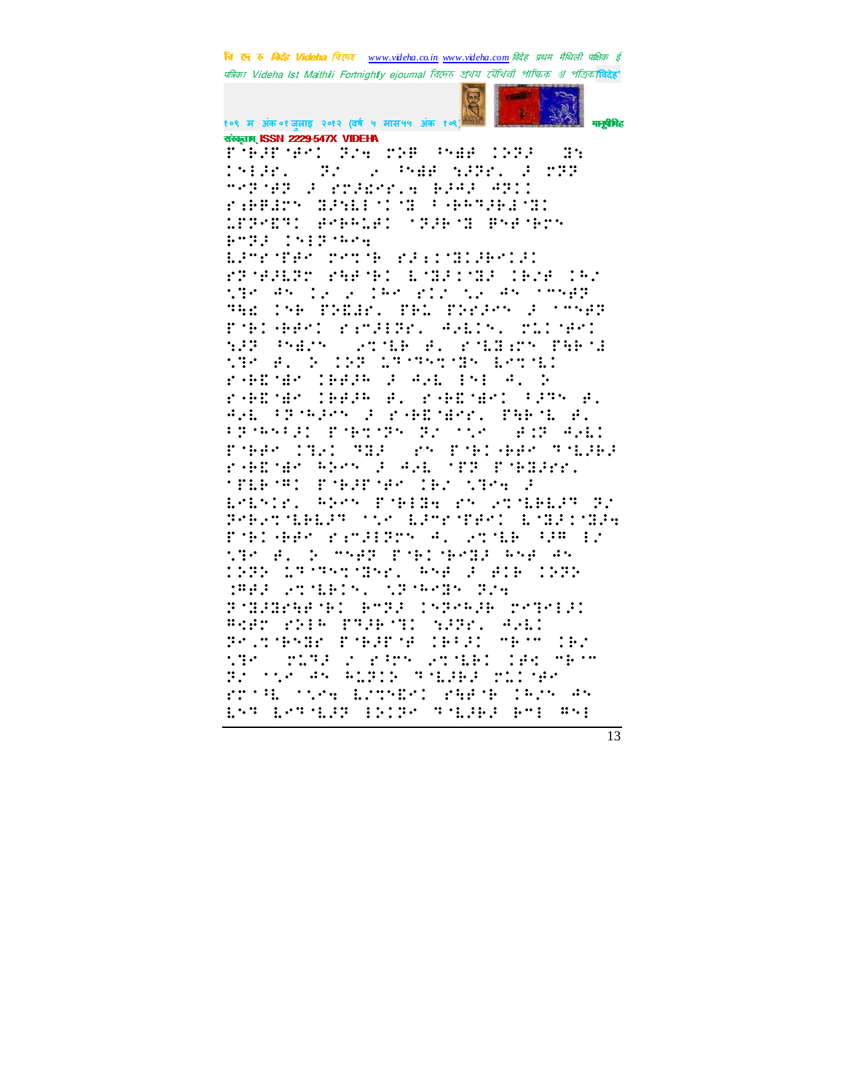

१०९ म अंक०१ जुलाइ २०१२ (वर्ष ५ मास५५ अंक १०९) संस्कृतम् ISSN 2229-547X VIDEHA

rikens the SP bar 1973  $\mathbf{u}$  $154.241$ st a ba handi MARINER POSSERVE BRAK ARI rakeles dans componentat SPRYDHO AYBANAI (1926-10 BSA-1625 **BMP2 (1917-194)** 

EPTTER TRITE PRICHTER FROM HER PARTIES ENERGY HER SPACE vie an is a lime ric na an chner THE INF TYDEY, THE TYPEN & STYPE PORT-BART FIRTHTPEL APETAL PLIOART 533 Personalist E. Pallers Peru NES BL 2 122 LESTANIEN ESTAD raman (Belga d'all 151 al 2 raebar (Premie) raebari (Premie) AND CRAPTOR PORTHAMPY THE NURL PERMIT EMPIRE TO THE FIRE AND PORP INSTANCES IN PORTABLE TOLER rance and factor and the rance. **MELPHO EMBRITHE CELL NEMBLE** EMERICAL ADMINISTRATION STATES AND THE President of new prediction of PobleHe randlans A. Scole (H# 12 the B. S where the next beginne STR LEATHENTIFY, PHP 3 HIP INTR SARE STORES STORES TO FORESHED FOR CAPABLE 201013 Rest still property **SACHING STATE** Protesmo pobleció (billo de co (bo MP TORE A PROVINCE CHOCHET di sellak kodo salama polak rright the house' rape (see as EST ESTMUR INIR TAURP PT THE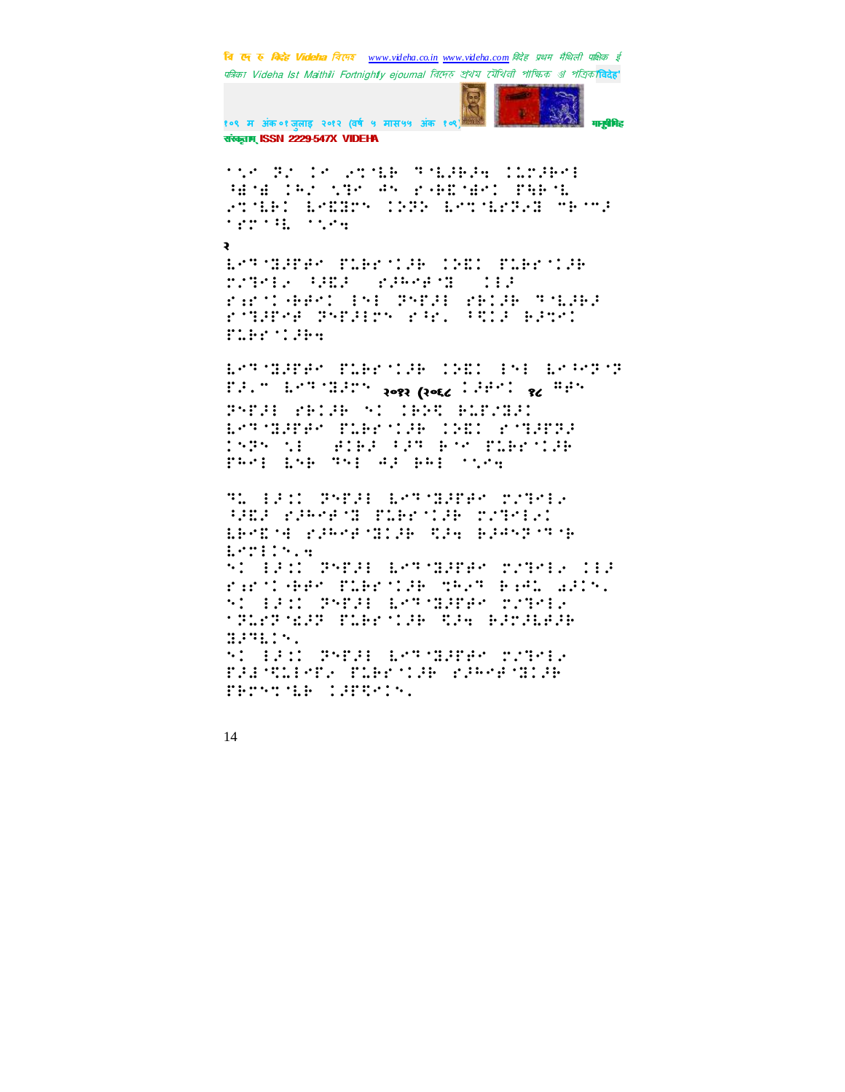

१०९ म अंक०१जूलाइ २०१२ (वर्ष ५ मास५५ अंक १ संस्कृतम् ISSN 2229-547X VIDEHA

the Professorial Polakan (1828-1 HEME IN THE AN EMPIRED PHEM POMINI LATTON INTO LATTLETET MESMU **SEPTE STAR** 

 $\mathbf{R}$ 1799198 T.S. C. S. C. C. C. C. C. C. TIME WE SHOPS IN randament (PH) Pargo relge Salgeg FORFER PARTIES FALL PRIP BRACK **TLESSIFIES** 

107712200 PLEATIE (1911-1911-10707-2  $1.317 \cdot 10^{-12}$   $1.3177 \cdot 1000$  (lock  $1.31771 \cdot 100$   $10^{12}$ PARI SHIR AT THAT BLEVIST ESTMERES PLECIEN INEL CMERPE 1525 ME SEDER FROM BOR TIBENTIB PROF END THE WE BREAKING

TE BEN TRIB LETTERE TITEL AND SUPPLY TIME TO TETLE LEADAL PREARAINING SPACEDORAGE ESTECT. AL BAG, PYEAR BRYTHAERS CONSERVATA ranteer mirite mes eau aft. SI BAYD PSEAR ESTMARES COTSES **TRACK OF PARTIES REGISTERS HAPELY:** SI BEN PARE ESTMERES PUBLE FRONTH CHOON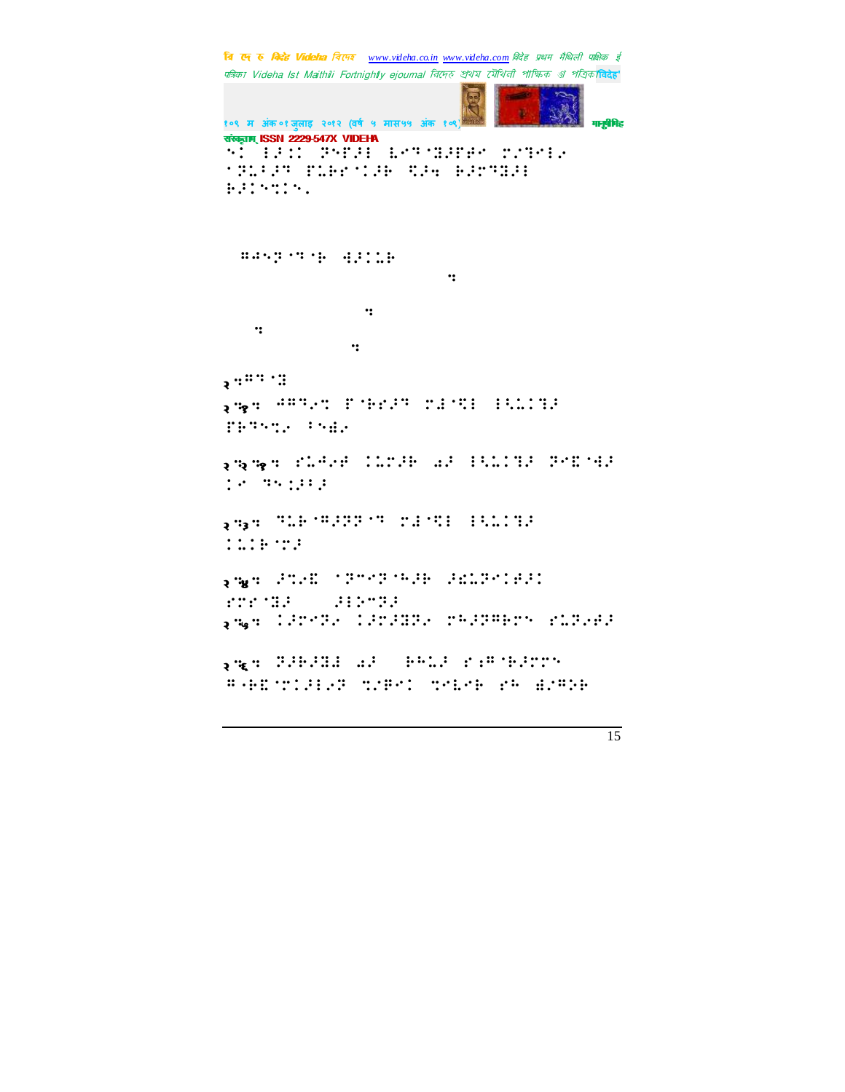```
चि एक रु विदेह Videha चिएन्छ <u>www.videha.co.in www.videha.com</u> विदेह प्रथम मैथिली पाक्षिक ई
पत्रिका Videha Ist Maithili Fortnightly ejournal রিদেত প্রথম মৌথিনী পাক্ষিক ॳ পত্রিকাঁ<mark>বিदेह'</mark>
१०९ म अंक ०१जुलाइ २०१२ (वष ५ मास५५ अंक १०९) मानुषीिमह 
संस्कृतम् ISSN 2229-547X VIDEHA
\mathcal{A} ) (2) 2023 Let differ the state
⢽⣅C⢼⢹!2⣅⢷" ⢼⢷!⣋⢼⣒!⢷⢼⢹⣝⢼!
⢷⢼⣉G!!
   !⢻⢺⢽ ⢹ ⢷!⣚⢼⣅⢷!
hekawiefiburie bakhawiefiburie bakhawiefiburie bakhawiefiburie bakhawiefiburie bakhawiefiburie bakhawiefiburie<br>Amerikaanse bakhawiefiburie bakhawiefiburie bakhawiefiburie bakhawiefiburie bakhawiefiburie bakhawiefiburie ba
iuuq;00xxx⣒nbjuijmjmflibltbo
high control of the control of the control of the control of the control of the control of the control of the control of the control of the control of the control of the control of the control of the control of the control
q_1 and q_2 if q_3 if q_42^{\frac{1}{2}+\frac{1}{2}+\frac{1}{2}}२⣒१⣒!⢺⢻⢹⢴⣉!2 ⢷"⢼⢹!⣜ ⣋.⣃⣅⣙⢼.
2⢷⢹⣉⢴!C⣞⢴!
२७२७ पुण्ड थे अप्रैलेल के सामानिक सामानिक सामानिक सामानिक सामानिक सामानिक सामानिक सामानिक सामानिक सामानिक सामा<br>राज्यसम्बद्धाः
!⢹⣈⢼C⢼!
२⣒३⣒!⢹⣅⢷ ⢻⢼⢽⢽ ⢹!⣜ ⣋.⣃⣅⣙⢼.
⣅⢷ ⢼!
२७७ : २००० लाले १९७१ ते १९७९ ते १९७४ ते १९७४ ते १९७४ ते १९७४ ते १९७४ ते १९७४ ते १९७४ ते १९७४ ते १९७४ ते १९७४ त
"" ⣝⢼!)!⢼⢵^⢽⢼!*!
२⣒५⣒!⢼⢽⢴!⢼⢼⣝⢽⢴.⢳⢼⢽⢻⢷!"⣅⢽⢴⢾⢼!
२७६० शतकातील वर्षे अस्ति । अस्ति अस्ति ।
⢻D⢷⣏ ⢼⢴⢽!⣉4⢿!⣉⣇⢷!"⢳!⣞4⢻⢵⢷!
```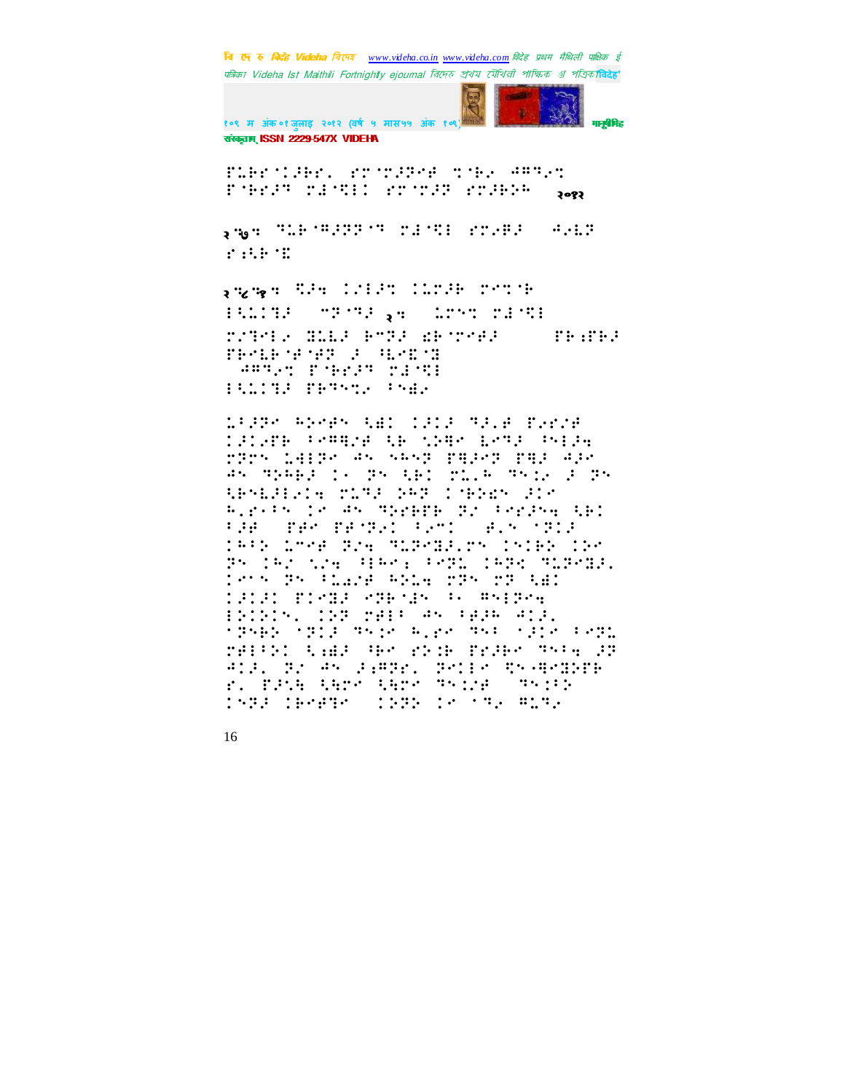

१०९ म अंक०१ जलाइ २०१२ (वर्ष ५ मास५५ अंक १० संस्कृतम् ISSN 2229-547X VIDEHA

FIRE THREE ROOTHS TORES ARTES PORTAGE PEOPLE FROM PRIMARY  $302$ 

**SAMPLE MARRIE CAPE SCARD CARD**  $\mathbf{r}$  :  $\mathbf{r}$  :  $\mathbf{r}$ 

gagaga SPA (2195-11298 rende PALINE STRITE 25 CLIPS PETRI rends mid brug derred ( Thurs FRAME NAME OF BUILDING WARREN EMBERT CIME **INSTER PERSON PARK** 

LESPA PRAPA RED 1313 TS.P PRINT TRIVER PRAGUE AR STAR BRAZ PRIPE stre lapre as spor paper par ape.<br>As trare is to the bille to be a th GRAESERIA MITS RAT IMPRES SIM Rights in An Sheere Bi Prefna ABI the server will be cont IREN 1884 BIG BLEKERING INIEN ING Proder the Here Fred 1998 Suprema Into Brotham Ania 235 23 Adi **TRIPL FIRER REPORT OF BAFFRA** ididin. 102 seit an team aid.<br>12560 1212 3516 musco ant 1216 teac THIS LAP AR THR PEAR THE AT ald, de an dampel delle shampader<br>el pong sger sger mnaeg (mnas) 1593 183893 (1595-13-592-8192)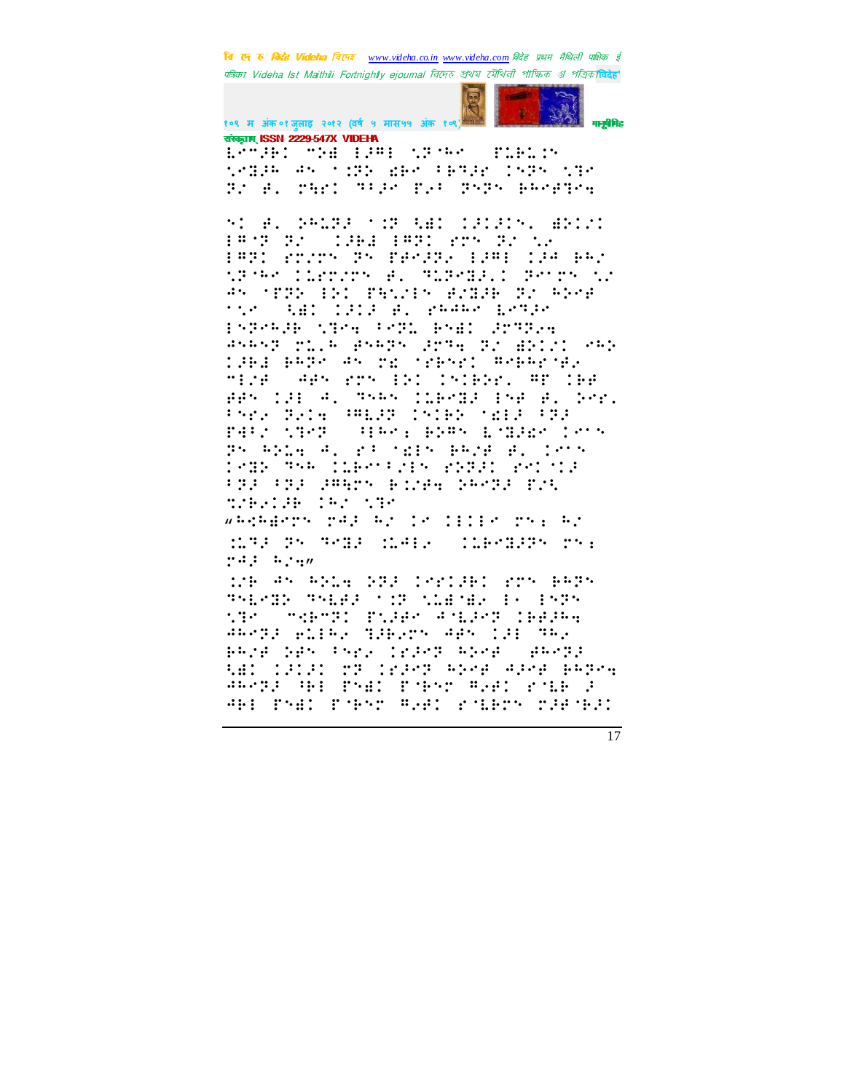

१०९ म अंक०१ जुलाइ २०१२ (वर्ष ५ मास५५ अंक १०९ संस्कृतम् ISSN 2229-547X VIDEHA

ESTED THE EPHONESHOT **TERMIN** NABER AN SIDE BRA FERED INFN NDA BY B. THE STIP BAL BYPY BRYBING

SI B. NATH SIM ABI CHIPS, BRIDI ERME RAC CARACTERI ETN RACNA 1831 rozon 3n fenigi 1381 (34 ber SPORTIERING B. SLPHERI PHONOSI AN MERR INI PANJIN BIZBA RI ANNA the Add Colo B. PAARK Exter PSPSAR STOR POR PSHI ATTER Weeklade Perry Star In Bill and IPED BROWN TE SPEND ROBRIEL MICA (APS POS INT ISTNIAN AP THA HPS IPE AL TSAS INFORM ESP B. Nor. Personal Hard (Sier Mari Pr FARY STREET HERRY BORD ESTREET CONS Promote Al PROMERCHANE B. 1855 lem We like Ab Shill beliz FRA FRA APACH Binde GRYRA BIR **WEETH THE NEW** wadagers raf ar ie difference ar

MORE ON SHORE MARK (MARKED ON:  $14.3 \div 14.4$ 

WE AN ADDA DRA CHRIAED RON BARN THEFTS THEFT TOP CLEMEN IN 1979 the sterm field ander ceepe ARRIE FILLES TILESTY ARY 111 TRS BRIE DES TSIL CIDAT ROSE (BRST) tal (1919) MP (2097-5588 APRA BARRA WARREN GER PROT PORT WARE POINT F AB: Pred Prencheed Presny capracy

 $\overline{17}$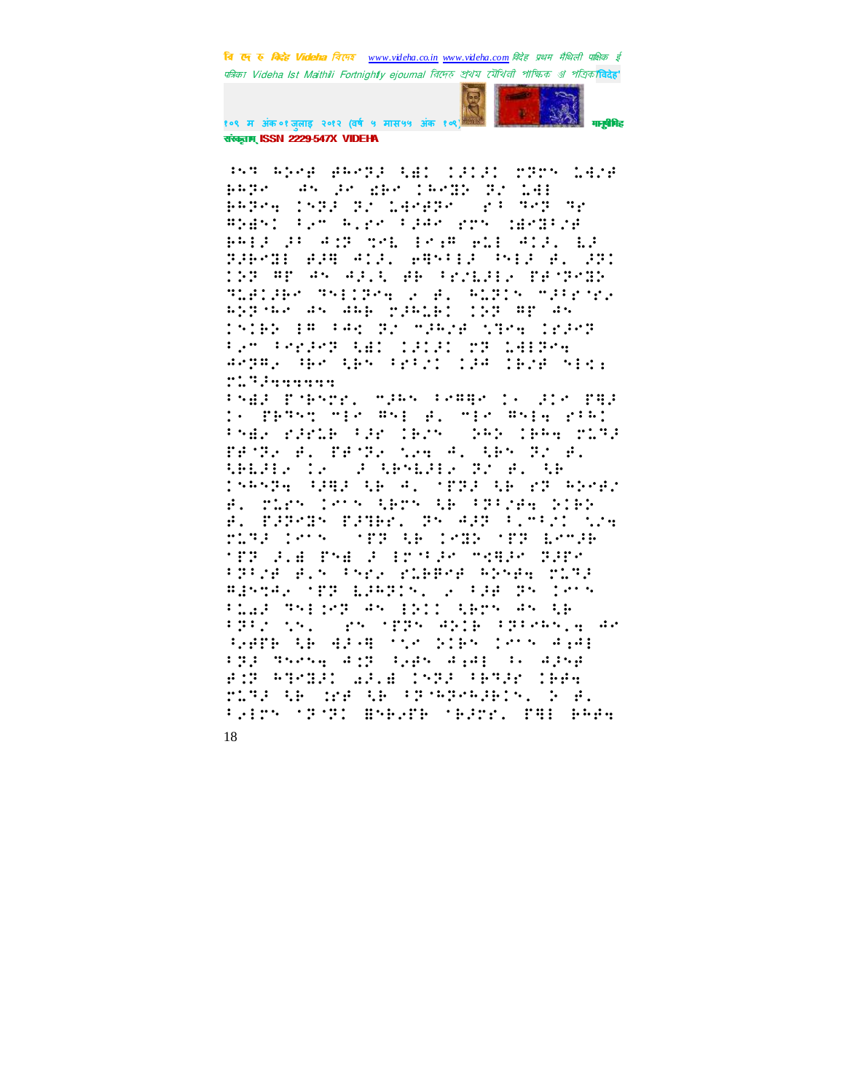

१०९ म अंक०१ जलाइ २०१२ (वर्ष ५ मास५५ अंक १० संस्कृतम् ISSN 2229-547X VIDEHA

and byeg goes: this lill size size lake anger (de lan gans began get 1988)<br>angere 1983 get 1989gget (de begange #NAST FRY R.PH FJAR PTS MACHINA PRES SPORTS TRE EREPTIE RIE WIE ER 236511 839 913. A95113 9513 8. 321 193 Ar An Agus Ab Frigir Packag SLEDGER SHIDRE 2002 ALSON MARINE AND THE WAY WHEN MINIMAL CONDUCT WAS INIER IM PAR SZ MJRZE NSMA IZJMS Par Predro Reported of Leibra 48982 HP RES PRINT TEACHERS **MINESHAMMA** 

PSAR PSPSTE, MPRS PRAGUAL DIR PAR is Trend Mik Avr a. MacAndis and Pres rarie far iern den iene rich PROPERTY PROPERTY AND RESORTED ABLAIN IN CASTABALLEY BY BY AB 1989.<br>B. Miro (2008 Abro Ab (2002) B. 2162. B. PJP-Br PJBBY, Pr AJP P.TP.C. NY MARK CHOSE OFFICER CHAR OFFICERS TER 2.4 Pres 2 from Poster S2Pr FRIDE B.S. FSD. SLEEPE ROSEN SLTP #droke off bakerry, a the prod  $\cdots$ **SLAP THEORY AND ENCY Signal and the** FREE NAIL SEA STRACHAIR FREEANING AS SAPP AR BEAR TON SIRN INTO REAR rgi meng aya nge aya ng no apop FOR POSSES ANDERSON PROF IRRA ring the heath (Pomphylle ) and Petry (First ByBerB (Berr, FAI ByBe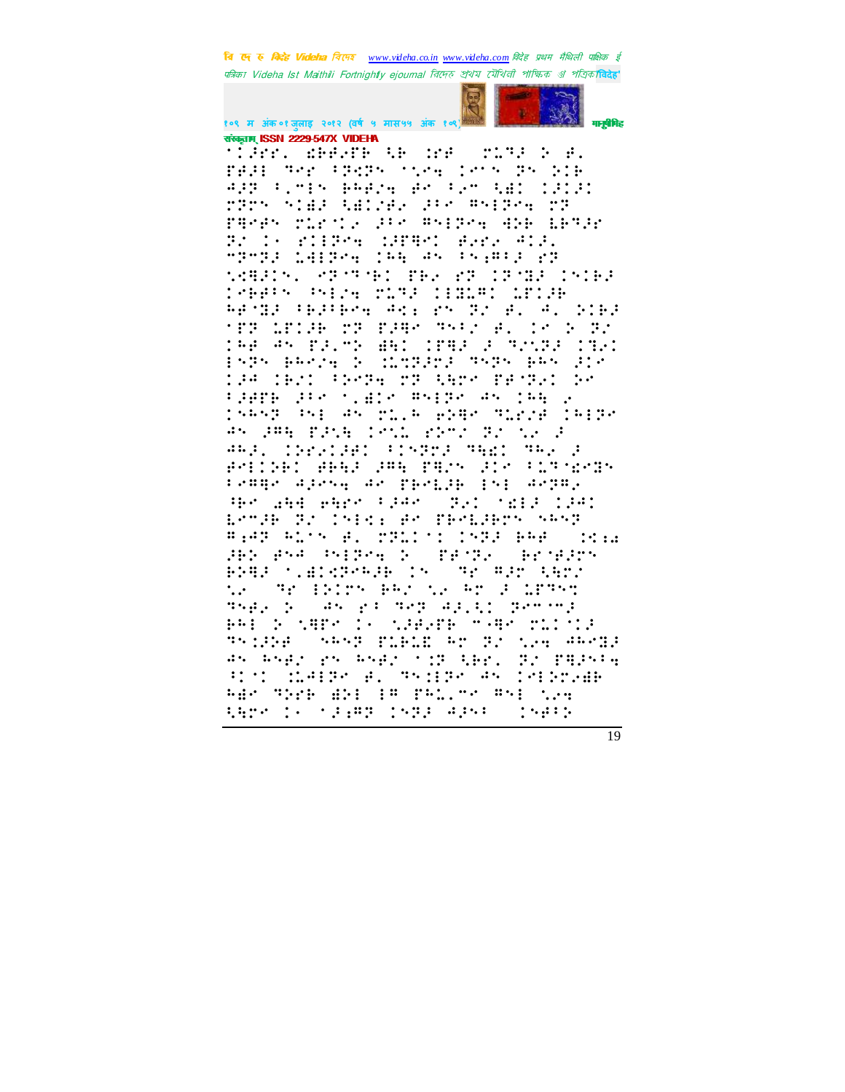१०९ म अंक०१ जुलाइ २०१२ (वर्ष ५ मास५५ अंक १०९ संस्कृतम् ISSN 2229-547X VIDEHA



tide, defere te de colais d'e. FARE THE FREED STREET CHIN TO DIR APP FININ BREZH BROFIN RED IPIPI TTTS SIED RECYNA 200 ASITON TT PROPS TERMS SPOTTEREDOG AND LETTE Rock Rilfea (APAR) Ayry Al 73733 141374 166 45 15.8813 23 SMBRING MESTED THAN PENIPER INCH SPARES REDA MINE SENIRI INISE 59.52 (1931) 24 (25.05.00) 21.21.000 tra uriak da rago syezog. 10 % 20 CAP AN BILMS ARE CERP I MINIRE CRI Port Benja i Timalni mortjek ili 194 (Bri (Dêsa os taoe pacs):  $\mathbf{r}$  . PROPERTY SERVICES AND THE ST plick by all place when strip infor AN JAR TINR IST, MATI TI NA J and, (project (There's hard Hoo's PHILPEI PRAF JPA PRIN JIP PLT SPIES Programance an Ebrilio (si argo) 965 GBB 2925 F245 (221-1282 124) ESTER TO CHECK AS TRALERTY NAMP #145 Winn B. MRICH CHRF BHF (1011 ABS AND INITED S TACTO BECAUSE BYBJ MIGORALD IN THE BUY WAY NA TRE EPICS BROOK AC A LEGS THEY IS CAN EXCITED AFILED DATITE PRESS NATURAL NEWSFILM THAT WILL NEW TRIPP (SPST PLELE BT 32 NPH ARCH) an angulan angulo di tari du siguna.<br>Alor diagon al danggan an inggrise Add The diff (# PAL) of #5: 104 1578 IS 12:83 INSP 43NP  $1.5413$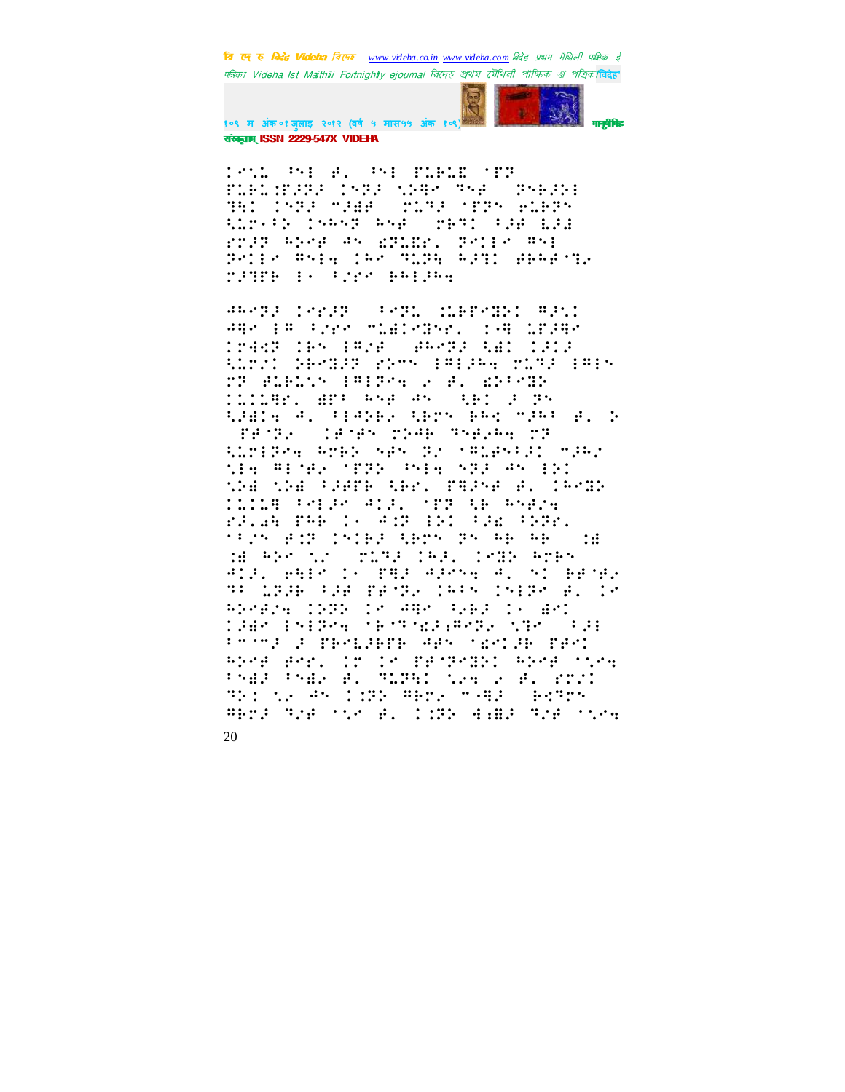

१०९ म अंक०१ जुलाइ २०१२ (वर्ष ५ मास५५ अंक १०९ संस्कृतम् ISSN 2229-547X VIDEHA

**Constant Avenue Constant Avenue Constant Avenue Constant Avenue Constant Avenue Constant Avenue Constant Avenue** FLELTIFF (573 SPR 758 (758.5) THI INFI MINE ( MITI STIM WINDY three cases say ores the mid rrag wike an egund. Gelen whe Science-Beautiful State Additional Capacity radhe is the began.

ARRES (RESEARCHES) MARTINE ASSI ABS ER POSS MINISTRY, 198 IFABS 19443 195 1828 | PRP32 581  $: : : : :$ KLOVI GRYBJE KOMA IPIJAH OLTJ IPIA ro Bandr (Albre , B. Antron TEILARI APP AND AN TED 2 TH tain 4. Hanny through for all b THORA CHORA TEAR TEACH TT KLMIPHA RMPS NAN PROTRIANTED MARY the Arrey root beek sold as rol the the Flare Ger. PRINA A. (AMOR TEICH FREDR AID, MIR AB ANGEN PRIAB PRESS AND 101 122 1000. MICH BIB INIEP ABON BN AB AB (  $\ddots$ HE PARTICE TEST IPACTICER PERS Ala. Anik : Popa Alkya A. yi mayda se doge ege respublikes islam él le Aberda (DPD 18 ARE 1883 18 AM) 1985 ESERGE SECRETARISE STATULIS From P PERSPER ARS option from and for the management and the This we are life while many changes BENE RIE MIN B. CIRE BARE RIE MING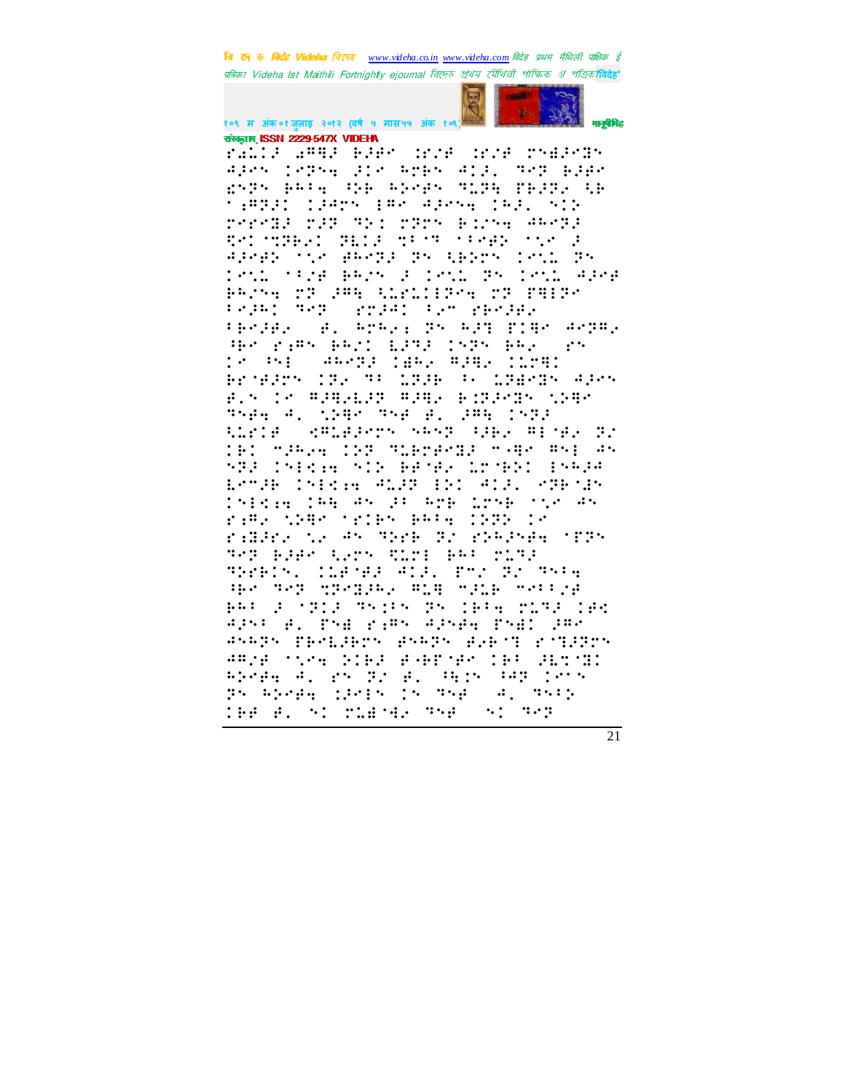१०९ म अंक०१ जुलाइ २०१२ (वर्ष ५ मास५५ अंक १०९ संस्कृतम् ISSN 2229-547X VIDEHA



rall? aABA BAAK drof drof rydakdy Ales (2004 list bras Alli, 700 alles 8575 BRIA OSE ROMAN SLTA PEJTA LE 19822 1985 188 A984 163. 512 rered: r3P 95: r3r5 Bir5e #6033 SALISBERI BELEVINING MARE SIN B APARK TO PRATE TO LEGIO CAND TO Tend office each of tend on tend ages PROSA 27 286 SLPL11706 27 FH170 Pelaj depo prial femorale. PERSEN AL PORAL PROPERTY ARTES He rich bent brief increased by the **MODEL ARASS INN ASSAULT** Brields (22) WE 122B (6) 128P28 W2Ps A.S. DK APALLED APAL BIDDEN SOAK 3584 4. SPR 358 B. PRE 1522 tiria (smiglere skyp gay misg) dr IBI MJAZA IDI MIRTAMIJ MARK ANI AN 533 Inform SID BENDY WONDERS (15634 ESTAR INFORMADAR ERI AIR, STRAIN Inform 198 An 20 Ack Long tir An rama (1988) nation information and rales to 45 The Brandshee (PPS THE BEEN LATH TIME BRE TITE SPEED COPER ALL PTACE STAG HP TPE TROBAG FLE TALE TO PART par jorgen skerk på 1944 riss 194 Albi A. Prd K.Ar Albay Prd. 288 asags perigers esags elect rigggrs ARZA (1204) DIBJ AGHRIMA IBJ JESTI ander di stille eller provincient.<br>Broander (1913 - 1924) del dicarte THE B. MI TERMINE THE  $\mathcal{H}^{\bullet}_{\mathcal{C}}$  , where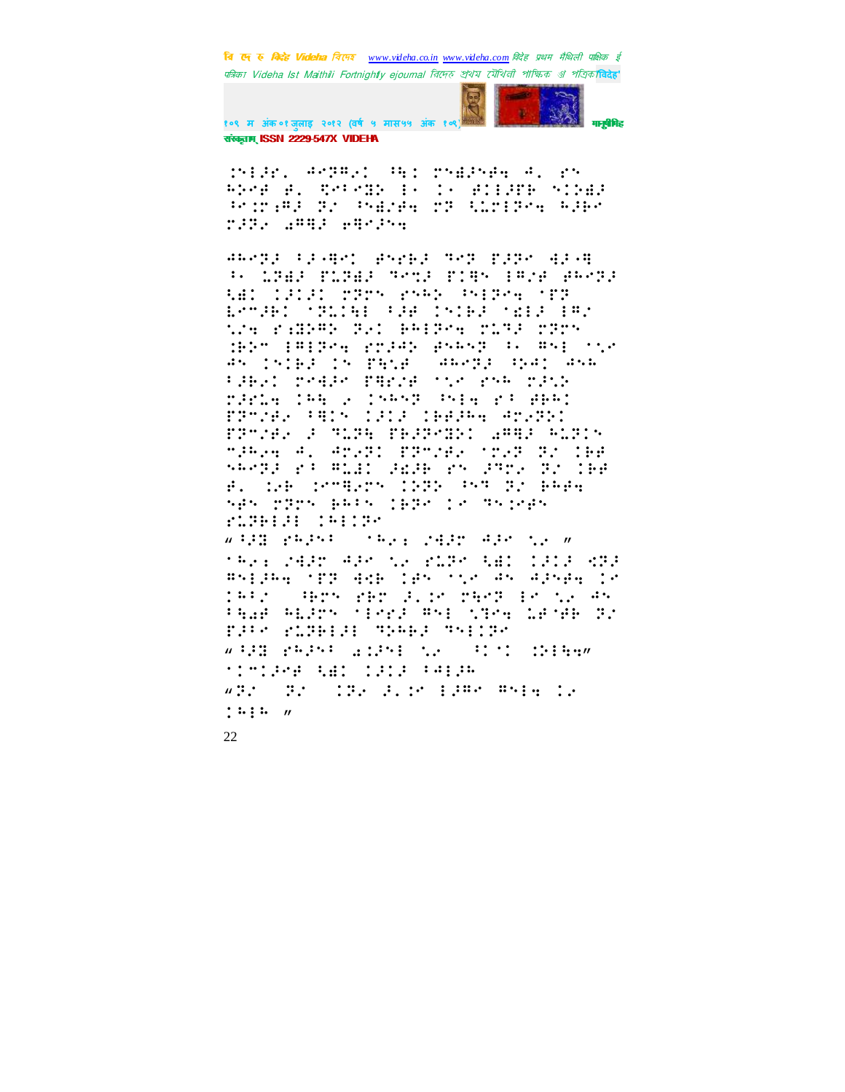

१०९ म अंक०१ जलाइ २०१२ (वर्ष ५ मास५५ अंक १० संस्कृतम् ISSN 2229-547X VIDEHA

piko Anggul Gilmakan Al'ny REMARK CHARGE BY IN AIBREATED skinder på skaned op tinføke blev **TITL AND PROPER** 

and part and the second company and control and control and control and control and control and control and control and control and control and control and control and control and control and control and control and contro 3) LPAP PLPAP Prof PlPh 1929 ARroy WE DAILY THE PART PHIRE THE ESTARI TRIJED FAR INIRA TEDA DRI the fuller of Below file for 1827 (81304 22342 85853 (8 85) 150 45 15182 15 PR.A. anepp spaj ash FJEAT TREP TEMP TO THE TRO rang ing 2 isasp nga 29 Apr PROGRAMMENT CALL CHARAGE ANGER: FRYING A RUPH FRARMINI WHEN WURIN Hampy of Appel parter true as 188 SASTA PI PLAC JEJE PS JTD2 T2 CEF B. OR SMARTH IND AND BY BABW New Trans Beach (Bac 12 Storage **FLIBERE CRECK** 

 $\mathbf{w}$  :  $\mathbf{H} = \mathbf{H} \mathbf{H}$  :  $\mathbf{H} = \mathbf{H} \mathbf{H}$  $\mathcal{L}^{\mathcal{L}}$  is the set of  $\mathcal{L}^{\mathcal{L}}$  is the set of  $\mathcal{L}^{\mathcal{L}}$  is the set of  $\mathcal{L}^{\mathcal{L}}$ tera dels electronices elle dilla del Belgham (PP 400 145 (P) (R) 45 41544 15  $\sim$  Hens each Flore park for the AS  $\mathbb{R}^{n+1}$ PAGE REPORTERED RNE STRACEFIED PD THE PUBLE THE TELT wifi regard added to cidad delega **MONEYA RADIOSAL PRESEN** WP: PM (1PA Plin 1986 Rnie 19  $\therefore$  : : :  $\therefore$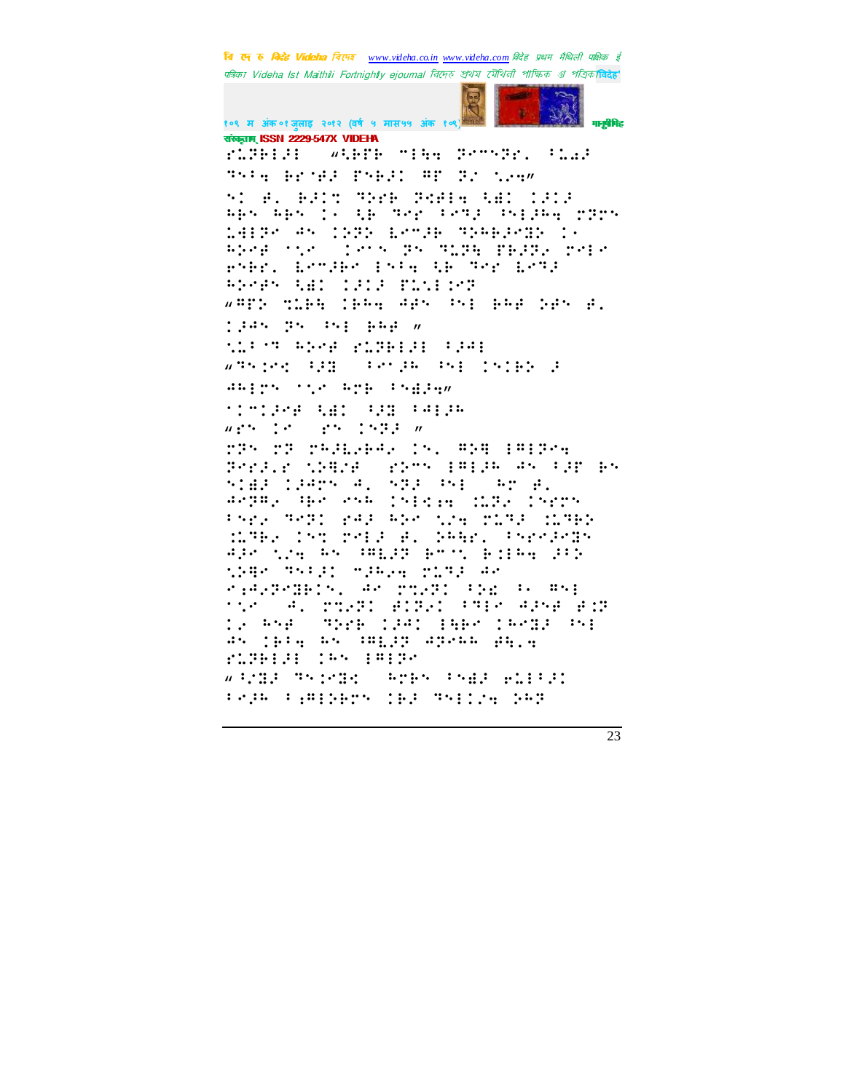

संस्कृतम् ISSN 2229-547X VIDEHA finili wife the Tepth: Club This brief Phbli AT Tr trew SI B. BRIT TEEN PARTA ART IRIP aps aps jo ip negotient infume gree 1413-145 (1935 Erman Schendale 1) REAR TO CONTROL TO TEST PRETTY TALK Pres. Escale from the Sec. Escal REPRODUCED STATES PLATE SPR w#PP MIPR CPRA APR PRE PRP 295 B. jjan pr (nj pap " **MARY BRAN MINERE FRAM** where HB (Fried by Teles F duppe service upp fraging **11:12:00 10:00 10:00 10:00** with  $\mathbb{C}^2\mathbb{C}^2\subset\mathbb{C}^2\mathbb{C}^2\subset\mathbb{C}^2\mathbb{C}^2\subset\mathbb{C}^2\mathbb{C}^2\subset\mathbb{R}^2$ ran ra regisees in, whe imides Product where a chost faffe as a graphs STAR TRAPS AL STROPSE (AP B. arps, springs international  $\cdots$ Pres Pred ead abr the clear diffe MARY INT THE R. P. PRES. PHENRICH die wêreld wie die skriuwers waarde de Serbe ther weigh willes with ar rakerski sovetični provinci<br>1920 - Al Morri Aleri (1912 Arske Ale tie Angel Sher (24) Park (602) 951 45 (pre 65 (812) 49366 45.e **FLUBISH (BR 1810**winds produce and chas and co Pepa Pinipines (B) Thile Day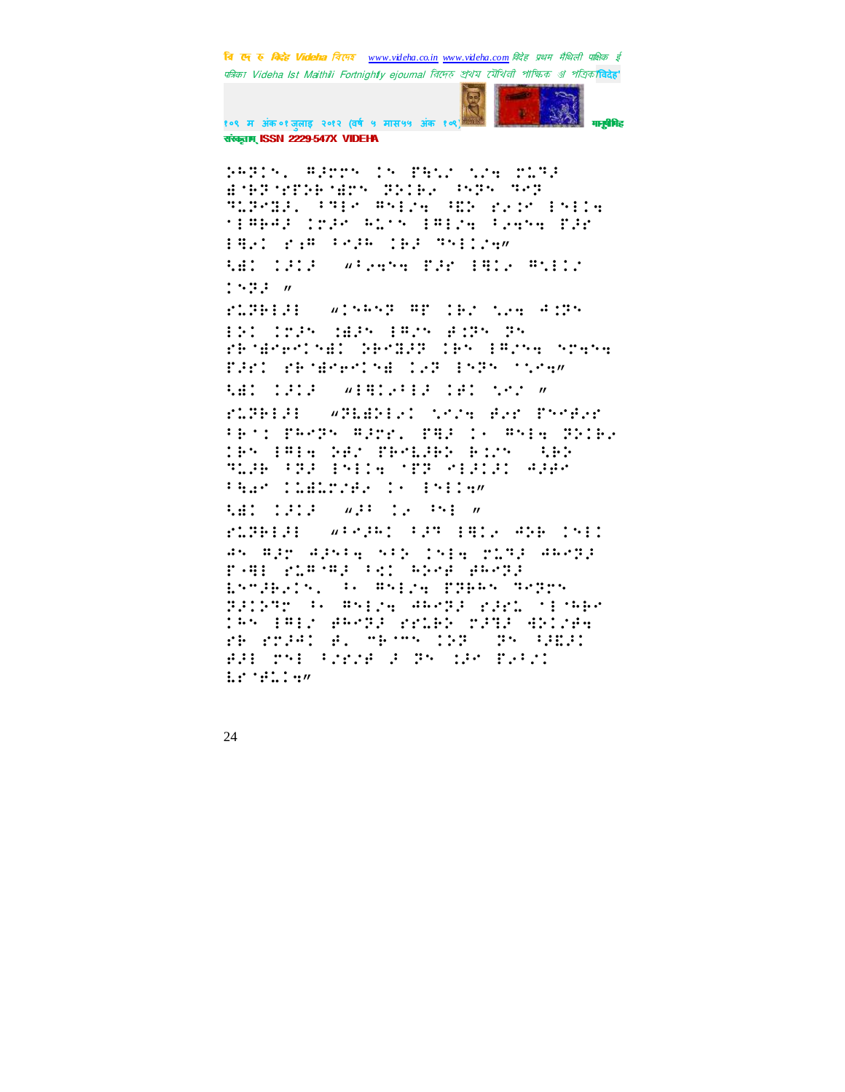

१०९ म अंक०१ जलाइ २०१२ (वर्ष ५ मास५५ अंक १ संस्कृतम् ISSN 2229-547X VIDEHA

SARIN, WESTN IN PROF ONE SORE BORT SEPHONES (PRINCIPAL PART) SLEVER, PRES BAENE HER RAIN ENEDE timpag (rgr Alis imira frasa fgr PRAD FAR PARK TER NAFTING ta: 1313 (Minera Par 1912 Price  $\mathbb{R}^n$  :  $\mathbb{R}^n$  :  $\mathbb{R}^n$  $21.344341$ **WINDOWS HE THIS LAW HITS** ISC COPY MEN PROVIECH PH rBodownod: SB0337 (Bo 1820a orana FARI PHONE-TON 127 1575 Clear thi islam withouts is the term rtPHIM wHANIST trim for Prefer PERTY PROPERTYPES PHOTOGRAPHE PRINT IPS IMIG DES PROLAGO BISS (ARD TEAR FRAGING TO MERCH AREA **Char Clalories In Briles** th: 1919 w3: 12 351 m rthese were set end we cyst as may apsig sit jugg ring anena pagp runsny ber miss paspr Ennabyln, skognick papen gegen<br>daltge in grick geedal babloirner (An 1812 AA233 Pries 2393 ASC2A) rB rode: Al mB mn 198 (85 GHLA) BB THE FREE F TH OP TRICE Le vellies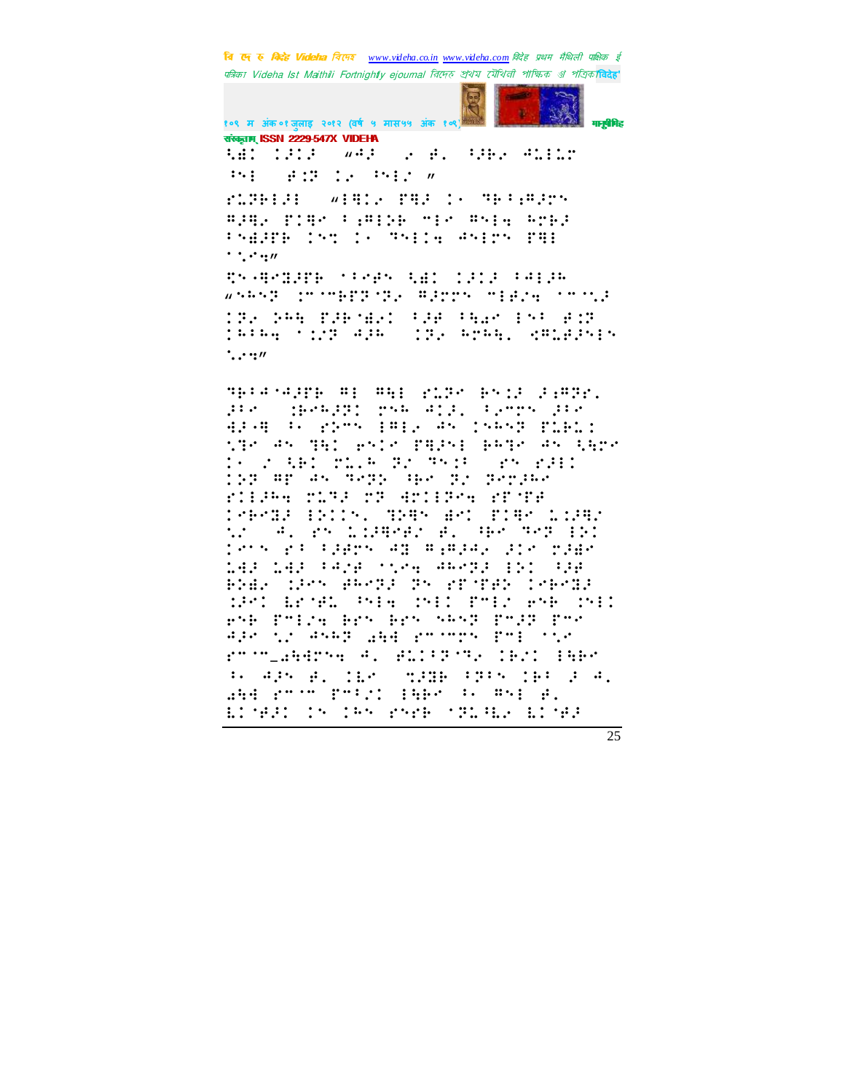१०९ म अंक०१ जुलाइ २०१२ (वर्ष ५ मास५५ अंक १०९ संस्कृतम् ISSN 2229-547X VIDEHA



**County** 

this college which we have the higher  $\cdots$  $\#$   $\#$   $\#$   $\#$   $\#$   $\#$   $\#$   $\#$ 

#282 PIBM FAMISH MIM #514 PMB2 PARTE TAT IS TAILE WATER THE  $\cdot \cdot \cdot \cdot \cdot$ 

Theoric Sean Million College wspay (minerally partny nieve inity CRA DAG BIGHAGI FIG FGAR 19F BIB  $1.444 \pm 1.12$   $-4.44$ **THE APART RAIGHER**  $\ddots$  : :  $\theta$ 

MPERSHIPS ME MAIL SIDS BSID DIMMS. are deeman provincia represente HAND IN PACK THIS AN INAND PIEC: vić svoje: 6510 riječ i 6610 stoljeć **Control Band Band Band Control Band** pp op as wept upe propried rtidhe rond ng Antiges rondi **DEPOIR ENCYL THRY ART FIRE LIPES** troom, and influences are men in: ters profesor am AqAdad die plac 142 142 3428 5554 48592 151  $\mathbf{1}$  :  $\mathbf{1}$  : BREAK CANN ARMOR ON YOUR TEACHER MAT Ernel Pris Mat Priz ene Mai FSB PTECH BES BES SASP PTEP PTP age of askplued rooms bol the rningaberne d. Biltzin, CBC 1960 96 APR #1 118 (2008) FRENCHE POAL ake room policy fabo in Ang B. EDGED IN 188 PAPE TRIBLE EDGE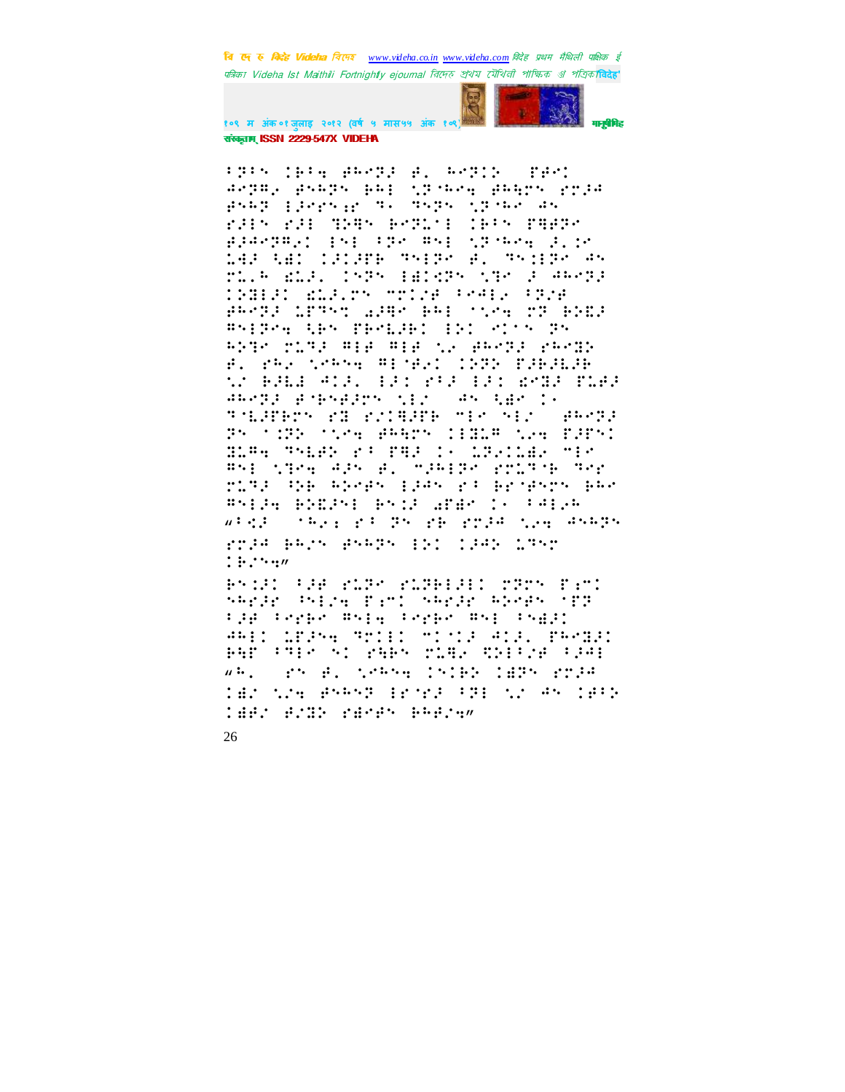

१०९ म अंक०१ जुलाइ २०१२ (वर्ष ५ मास५५ अंक १) संस्कृतम् ISSN 2229-547X VIDEHA

FRENCIBEN BRYDE B. RYDIN (PBY) akan, pengelah termenang anggelah.<br>Penganangkan antaran pangkalan FAIR FAIL TERR BROWNE CHAR FRAGH #2489#21 151 FP8 #51 537884 2118 1313PB TS1PP #1 TS11PP #5 waa wad rick and, 1939 Halese the Scanese 198801 MARIYY MMINE PROBABING PROTE LETTER WARE PRESSURE OF PREP #51764 ABS PECEDED 101 SIMS PS SPORT MIRE WERE TO BRANK PRAIR B. PRESERVATORING INTE PRESER tr Baba Ala, 191 293 191 2019 TLBA amend acheaddre viz Car Nar IX<br>Scilabers em evisabe mie siz Camend Profile the Pearl Side the Park: mes Gener Polen (Pluring) AP Bri (1964 APR B. MPRIPE POLTOR TEP ring openators pas rolerners par #SPA BREPH BSD WHAT IS PAPPA widd (theilfith an end thing dings rras anys asnes del tase insr  $: 1: 2: 2: 3$ 

BRID PAR RUBY RUBBIAI COOR FINI SREED PSEEN FAMILYREED RECENTIFF tig teppe wale teppe wal tagio WAIL SEPAR MOSIL MINIFACTS PARSE PAP PRES STORBES MINE RIFLER PROF we. an el chemicale component and TAY NYE PRART EPIPE FRE NY AR IPER THEY BYNG PHOPS BREEN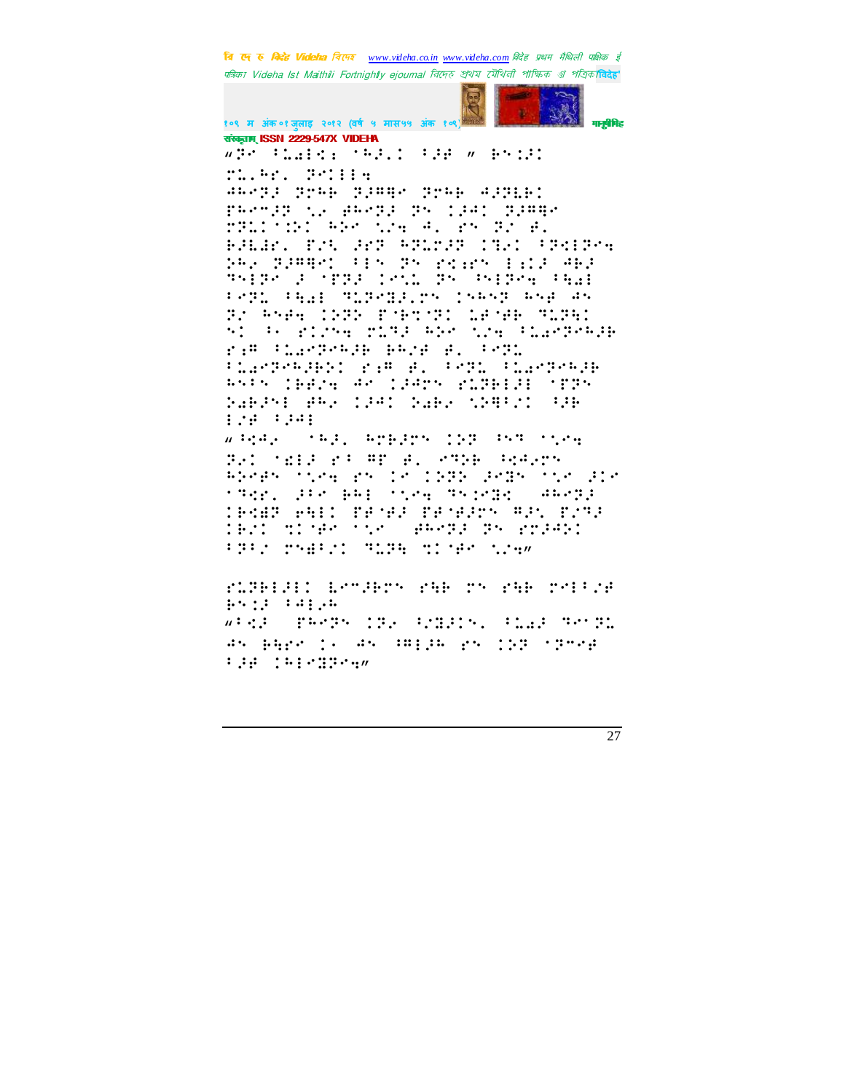

१०९ म अंक०१ जुलाइ २०१२ (वर्ष ५ मास५५ अंक १०९ संस्कृतम् ISSN 2229-547X VIDEHA

who fight: their field  $\pi$  by:21 **MARKET STILLER** aneys yeng yange yeng asympt PROSE SE BROSS SA 1941 SJARA Provincial and the activity of al BALAK, T.S. AND BRIDGE (TEL (PRIPM) 562 BJPB-1 (115 B5 PC:PS:P:113 AB) THERE I SERI LENG THE PHIRE FALL Pepi Paul Sipediges (Sasp asp as P. PSES INFORMATE LEARN TURE SI PROFILMA TERP RESOURCE PEASPSREE ram (Carprode Born al Gruc Plantnerer: Pam B. Phtl Plantnere RNIN (BB)4 AP (SATN PLOBESE TOOK Sabini Ako (191 Sabo (2892) 916  $179 - 1741$ 

 $\sqrt{3}$  ,  $\frac{1}{2}$  ,  $\frac{1}{2}$  ,  $\frac{1}{2}$  ,  $\frac{1}{2}$  ,  $\frac{1}{2}$  ,  $\frac{1}{2}$  ,  $\frac{1}{2}$  ,  $\frac{1}{2}$  ,  $\frac{1}{2}$  ,  $\frac{1}{2}$  ,  $\frac{1}{2}$  ,  $\frac{1}{2}$  ,  $\frac{1}{2}$  ,  $\frac{1}{2}$  ,  $\frac{1}{2}$  ,  $\frac{1}{2}$  ,  $\frac{1}{2}$  ,  $\frac{1}{2$ Bel (1812) på AP (81) engage angelom.<br>Anede (11em pro 1e 11em 1em 1em 11e) **TREE PROPERTY ON TRIMES ARMSE** TRANS PAIL PROFIL PROPERTY RES PORT IBSI MIYAR YOK (ARREA BR) KMAANI FREE PARTIES MIRE MISSED NOW

rugaldi kriari rak ni rak nilir  $10.11 - 101.01$ WEEL PROPERTY CONTROL FILL TO TH an pape plans and angles yn 1930 (300).  $\mathbf{1}_{\mathcal{A}}\mathbf{1}_{\mathcal{B}}\mathbf{1}_{\mathcal{B}}\mathbf{1}_{\mathcal{B}}\mathbf{1}_{\mathcal{B}}\mathbf{1}_{\mathcal{B}}\mathbf{1}_{\mathcal{B}}\mathbf{1}_{\mathcal{B}}\mathbf{1}_{\mathcal{B}}\mathbf{1}_{\mathcal{B}}\mathbf{1}_{\mathcal{B}}$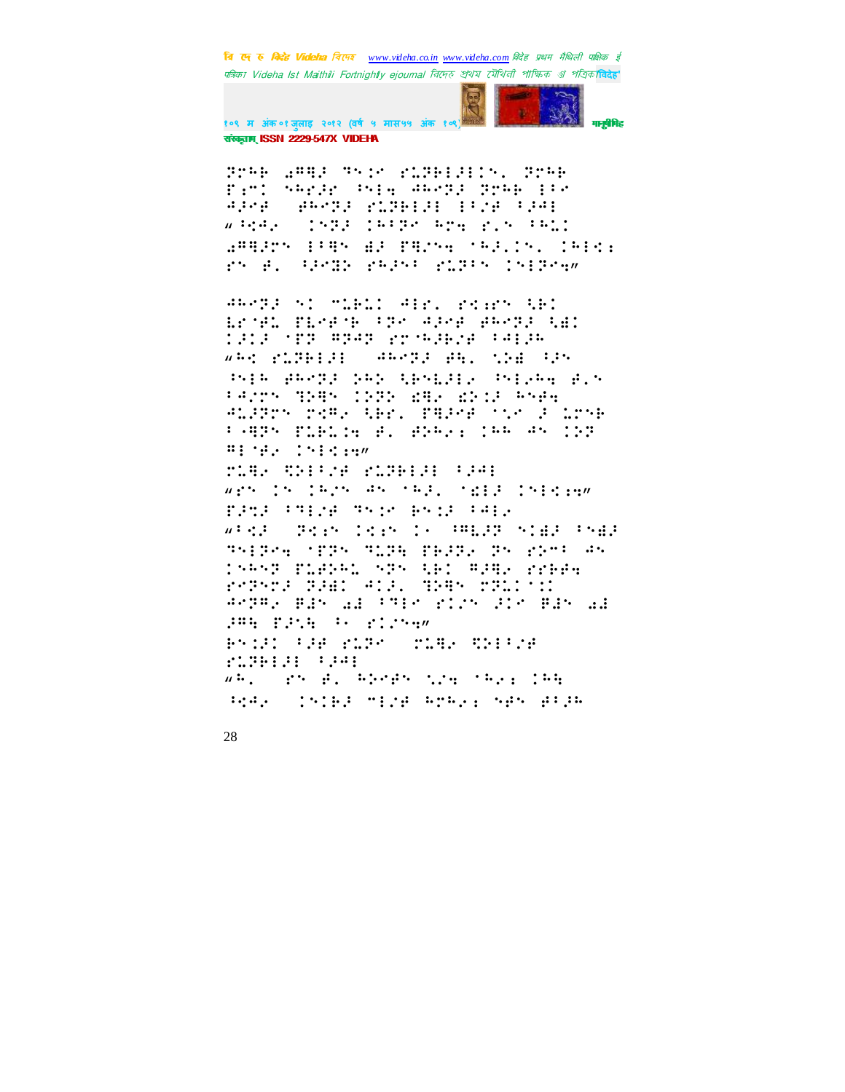

१०९ म अंक०१ जुलाइ २०१२ (वर्ष ५ मास५५ अंक १ संस्कृतम् ISSN 2229-547X VIDEHA

3766 2893 9536 21361311151 3766 Subject Dig Subject Spapers  $f:``$ aper amend ringing por comp  $\begin{minipage}{.4\linewidth} \begin{tabular}{l} \hline \multicolumn{3}{c}{\textbf{1.4.4.5.7}} \end{tabular} \end{minipage} \begin{minipage}{.4\linewidth} \begin{tabular}{l} \hline \multicolumn{3}{c}{\textbf{2.4.5.7}} \end{tabular} \end{minipage} \begin{minipage}{.4\linewidth} \begin{tabular}{l} \hline \multicolumn{3}{c}{\textbf{2.4.5.7}} \end{tabular} \end{minipage} \begin{minipage}{.4\linewidth} \begin{tabular}{l} \hline \multicolumn{3}{c}{\textbf{3.4.5.7}} \end{$  $\mathbf{v}$  :  $\mathbf{u}$  :  $\mathbf{v}$ WARRY' FORY WE PRING SAFLIN, IAER: rn B. Gardh radha rugan 1919rew

ARATE SI MIRIL ABY, PORTS ARI broad freedom (from alego gaers (bm) 1919 (TP APAP Problem CALPH who finally about Au, the UP SMIR BRATE DRD REMERED SMIDHE BUN PAYDN NEWS IEEN WHAT WELF RNAR ALSTON OVER REPLACEMENT ON SACTOR F-825 PLELIA F. BRAZI (AR AS 182 Birds Information **TIME WILLE SIMPLE LIME** wrb (b (Reb Roche) (Red ) (Sie (biding FRS PRES TYP PYS PASS PAPE wide The Chef (Southern Side Inde THING MITH TWOR TESTS IN STAR AN THAND PLANAL NON ABI WORK Praka F-P-13 PART 413, THR 2701111 Arder Bar ad Palr rich dir Bar ad **284 PRINT 10 SIZNAW** Brill (18 Miles Miles Childe **PLIBER: PROF**  $\mathbf{w}^{\mathbf{L}}$  , and the set of  $\mathbf{w}^{\mathbf{L}}$  , where  $\mathbf{w}^{\mathbf{L}}$  ,  $\mathbf{w}^{\mathbf{L}}$  ,  $\mathbf{w}^{\mathbf{L}}$  ,  $\mathbf{w}^{\mathbf{L}}$  ,  $\mathbf{w}^{\mathbf{L}}$  ,  $\mathbf{w}^{\mathbf{L}}$  ,  $\mathbf{w}^{\mathbf{L}}$  ,  $\mathbf{w}^{\mathbf{L}}$  ,  $\mathbf{w}^{\mathbf{L}}$  ,  $\$ Real Coler mide analy nen Bria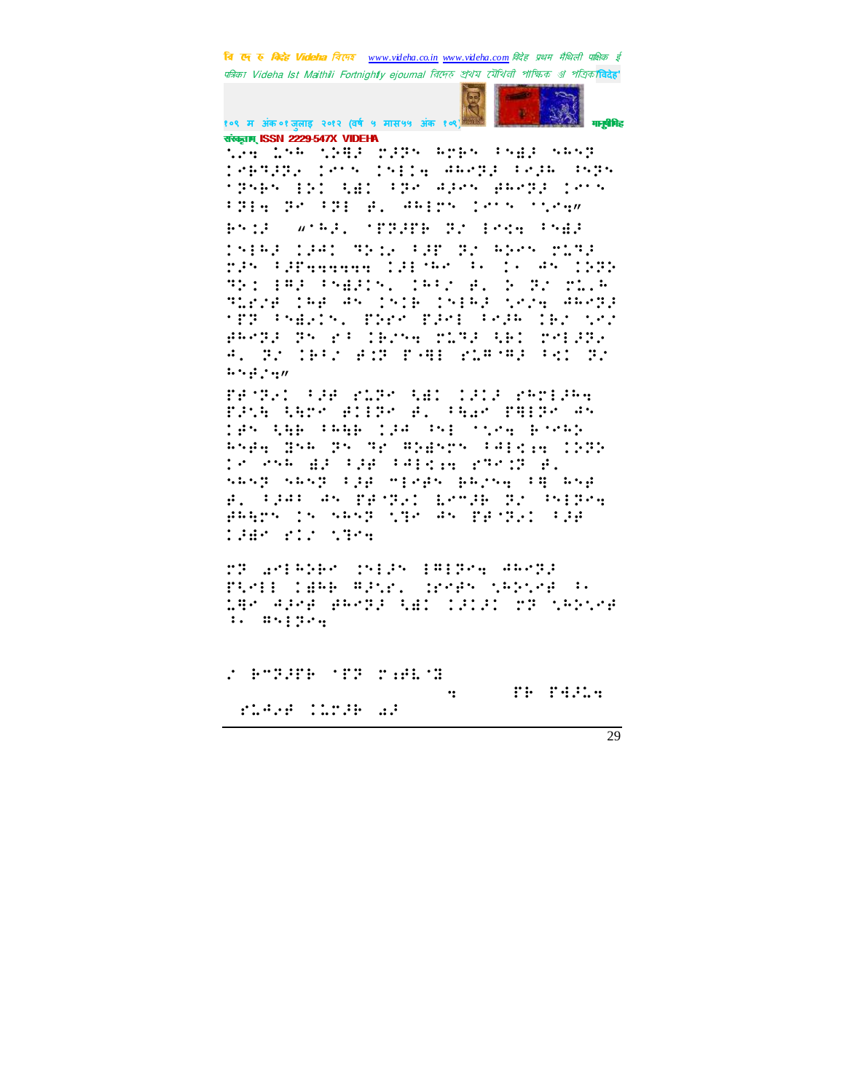

१०९ म अंक०१ जुलाइ २०१२ (वर्ष ५ मास५५ अंक १०९) संस्कृतम् ISSN 2229-547X VIDEHA

the 1986 their plant apply individuals 1895332 1855 15114 AR832 PROF PS35 19585 BED RED FROM PROPERTIONS FPEA PO FPE B. ARETY INTS TIME

Bril with STRATH To Promother THERE IS A COMPANY REPORT OF THE STATE OF THE STATE OF THE STATE OF THE STATE OF THE STATE OF THE STATE OF THE ran fargggggg (alime follo dn (1931 The BREAKERS, INC. B. N. Br. Milk SLEEP CREAK CHIE CHIRE NAZA ARAGE TER PARING THE TRACTAR IN NOT BRANK NA PA CHONG CLAR ART CALLER A. BY THIS HIM PARE PLAYAR FRI BY  $\ldots \ldots \ldots$ 

TENTAL FIR SUPPLAIN CICE SAMEING FROM ANDER WILLIAM PRISE AN THE SAR PARK THE PERSONAL ROOMS. Pres Bre Br Sp Sherry (Selver 1995) te esk dr fre falkee emerge. sasp sasp right specially and recent B. P.H. AN PROPER BROWN PE PHIRM Bange to sample the second that the THE FIR NIEW

TP and Report induction deduction and put FUSI TEAP RINK, NESPA NADNAR PA 198 APAR BRAGE SED CRIPD OF SPOAR  $1.1331224$ 

r Berger (Fr radio **THE PASSA**  $\dddot{\cdot}$ ating their ar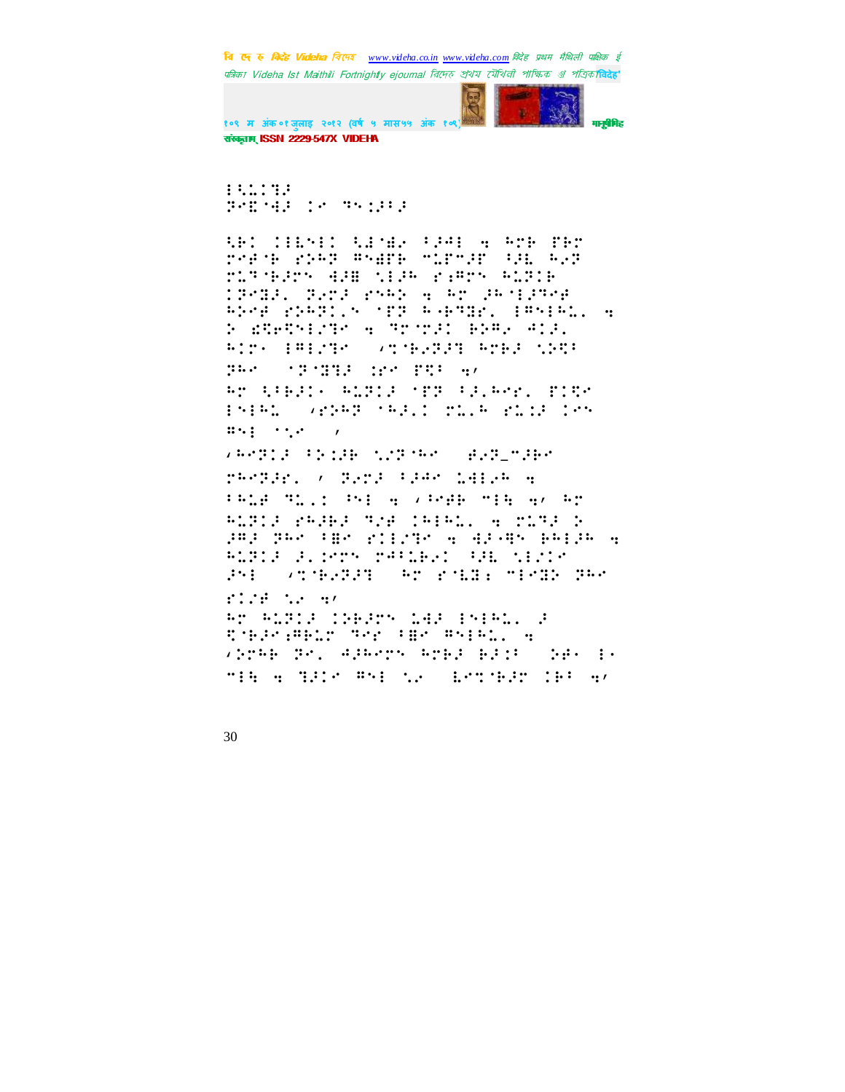

१०९ म अंक०१जलाइ २०१२ (वर्ष ५ मास५५ अंक १ संस्कृतम् ISSN 2229-547X VIDEHA

 $13.1137$ person te mendi

ABI TELSII ABYAR PAHE A PMB TBM reformates segment correct the els MITTERN ARE NERWICHTS ALTIP IPABI, BYDI KAAN 4 AM JAJIPAA REMA PERRIL'S TER REPORT IPSIRL S S dielmisch a cronic bie, all. RITH ERECTM (STIP-PATE RTEE 1973 348 - 131332 121 331 47 Ar Clear, ALBIE (PR Clear) PIRe ENERGY SPARE TRACK PLIR PLIR ISN  $\mathfrak{m}(\mathfrak{p}_1) \to \mathfrak{p}_1$ *VAPPER PERSONS TRANSPORT* respect a performe inference PALE TL.: PNE A VPHP MIR A/ AM ALTER PARA THE INFALL A MITE S 282 PRY FBY PIEZRY A HIGHY PREPR A

PHOTOGRAPHY AM POLE: MEMBO PAM first the me RE ROBOR CORREN DAR ENERGY F thereined the incontract a *The Boy Admons and Bill* . **. . .** . . . mis a different the demonstrations

RIBIS S. PON CREIBAI SEL MENIC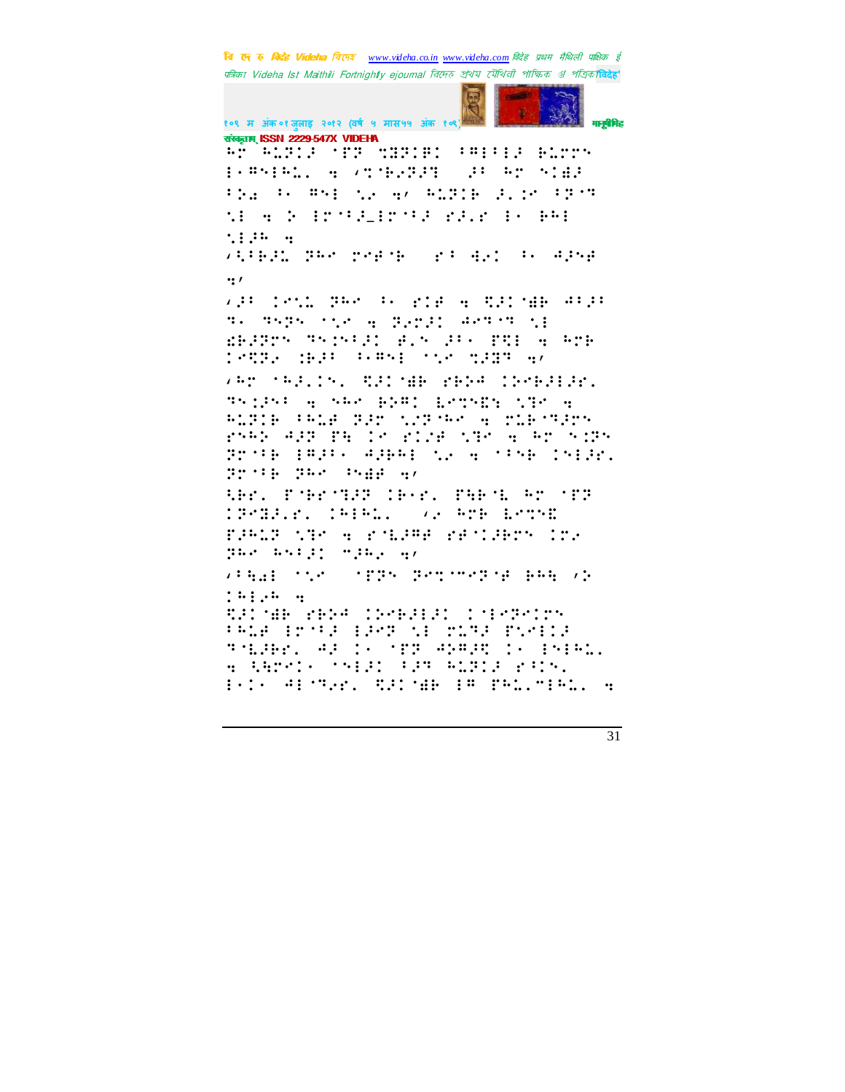१०९ म अंक०१ जुलाइ २०१२ (वर्ष ५ मास५५ अंक १०९ मानुबेगिह संस्कृतम् ISSN 2229-547X VIDEHA AP ALBIA YEB MERINI (AHIFIA BLMM) **E-ANIAL A VINGER (B AM NIAP** Provide And to all ALTIB didn't Thit ME A D EDMOLENNO PAIR ES BRE  $\mathbf{1}$ :  $\mathbf{1}$ :  $\mathbf{1}$ :  $\mathbf{1}$ :  $\mathbf{1}$ vings par representation appear  $\dddot{\bullet}$ . vict cand part of right grapher word To The company for the second of ERSPORTS TRINISING BLACKER (PRICH) AUR 1853. SEP PRES 125 STATES var naguns, gennes sepa norsegens. Thinking har BEEL ESTREE NEW 4 RITIE FRIE TET SYTTEM A TIESTETS real APP PA In rice the a ar eige Professional Address to a control industry Spring She Shap 47 the, powerthrougher, parts are thr **COMMONS CHEADY AND BROOK** FARIE STROW POLARA PROJECT ICA par antit mikrosy **VERAL TIME TERM RETURNED BREAK**  $144.44 m$ SACTOR PRESS CEMERAL CORMSMITH PALE BOSE BRATISE OLER PLAKE THERE AN IS MED ANNEL IS INDEE. A SAMADA MADED FER ALBIE KATAL Experience. Savide in Peliciel. 4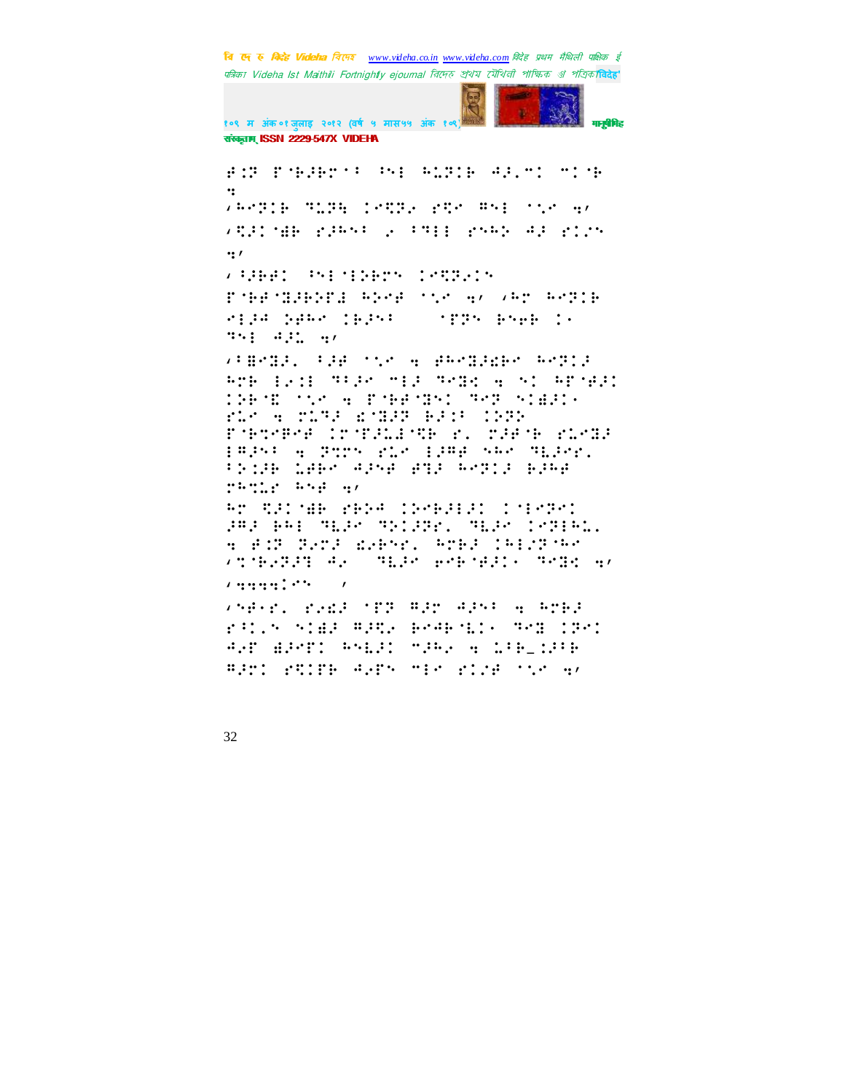

१०९ म अंक०१ जुलाइ २०१२ (वर्ष ५ मास५५ अंक संस्कृतम् ISSN 2229-547X VIDEHA

FOR PORTHOLS IN ALTERNATION OF  $\dddot{\cdot}$ **VARIE RIPE LRIPE PIR RNE TIR 47 VESTMENT PERMIT AT PRESS PRAY WE TELEVIS**  $\dddot{\mathbf{z}}$ *<u><i><u><b>Aiper Persiters (PERSIS</u>*</u> represent when you are welf **PERM DERRY CERNE STORY Breek In**  $3.41 - 4.31 - 4.7$ vience the throughourder book: RTE ERIE TEGA MEG TADE A SI RESERI IPEND TO A FNENDAL PRESIDENT FOR THE STREET BEEN CODE PORTER CONFIDENTIAL CHANNICATE EARNEY TOOK PLACERARY MERCHI PRIN LARK AINA ANI ARTIS RIAR randr and 47 RT RAINER PROF ISPRAIAI INFRAS **PRESERVED TO SERVE TERM STORES.** a FCP Terf cebbe, Anbi (AlcTobe **VINDER AS TEST PRENERS TREE 47** venne: ch **CHARL REAL TER RIN AINT A ANDI** rance share wraps areas and sweathern ANT BRED ANDED MARK A LIB\_1PIB RATI PRIPE AVEN MER PICA TIP AV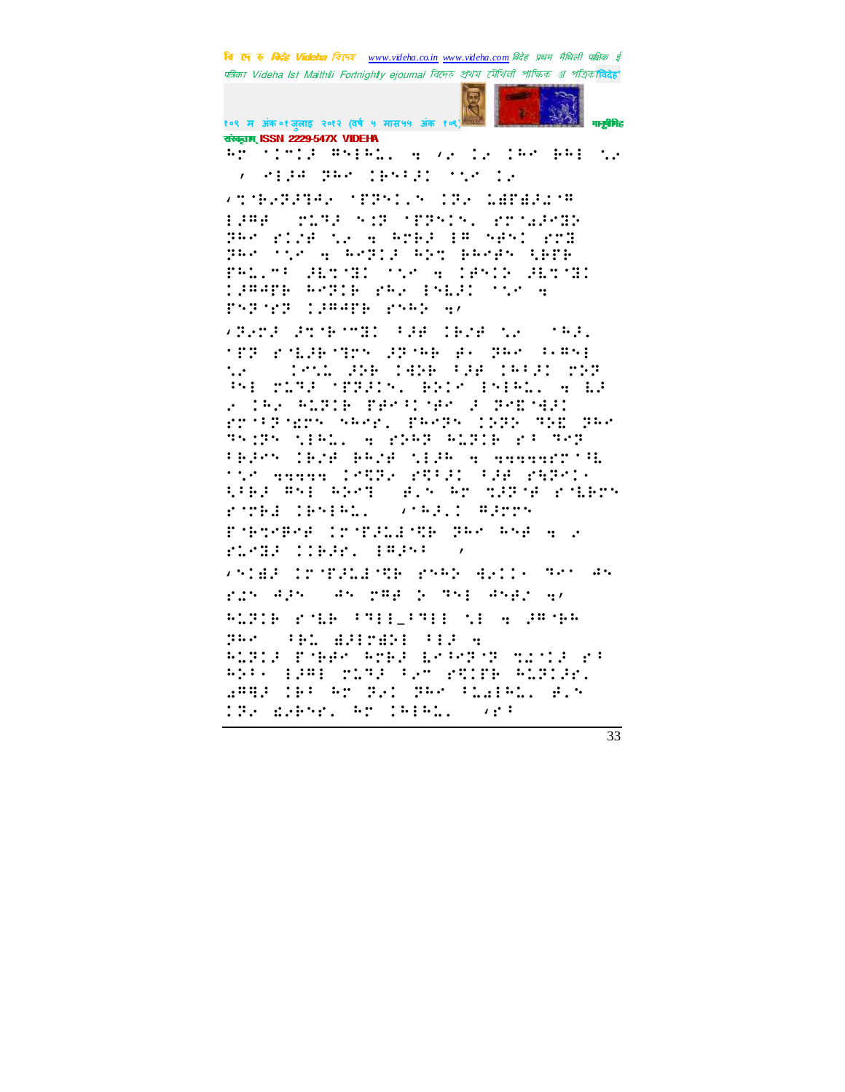

## १०९ म अंक०१ जुलाइ २०१२ (वर्ष ५ मास५५ अंक १०९ संस्कृतम् ISSN 2229-547X VIDEHA

RESTRICT RNIPLE ROOM IS IROURDED NA  $\mathcal{A}=\mathcal{A}+\mathcal{B}+\mathcal{B}+\mathcal{B}+\mathcal{B}+\mathcal{B}+\mathcal{B}+\mathcal{B}+\mathcal{B}+\mathcal{B}+\mathcal{B}+\mathcal{B}+\mathcal{B}+\mathcal{B}+\mathcal{B}+\mathcal{B}+\mathcal{B}+\mathcal{B}+\mathcal{B}+\mathcal{B}+\mathcal{B}+\mathcal{B}+\mathcal{B}+\mathcal{B}+\mathcal{B}+\mathcal{B}+\mathcal{B}+\mathcal{B}+\mathcal{B}+\mathcal{B}+\mathcal{B}+\mathcal{B}+\mathcal{B}+\mathcal{B}+\mathcal{B}+\mathcal{$ 

**WEBSTAR MERCH CH. MERCH** FRAME TO THE TERM OF THE SERIES PRO PICE NO A ROBO IP SASI POD PAR TOR A ARTIF AND BARBY WHIP PALTE HETHE TO A CHAIR HETHE TRAPE ROTIE PRE ENEIT STO 4 PSP YP CHAPE PSAY 47

*VERTE ETGETTEL FIN IBME NA STARK* tra raharan gang pegan beng the control with 1926 (1936) 1937 (1928)<br>(354) 2023 (1929) 55, 65, 70, 15, 15, 70, 16, 2 IR2 RITIE TAKELMAN 2 TAINA21 FOSTFORM SEARL PEAPS 1999 MPE PEA THIRD NEEDS A PREP ENTIR PO THE PROS IRZE PRZE SEJR a anagarzje tic aaaaa 1953. SSPEL FEE SARKIK tipl was about the artistic reports  $\sqrt{4.321}$  Weight roche (Primit) Portere industry packer 4 . right (1998, 1895) **Vide critering read della del 46** give direct decipal posses dept 4, RING FOR PREIPRE NEW SPOR part of allegations of the ALTER PORT AND LONGIN MINISTER AND HUBERTARD CAN PRINK ALBIEN. WHERE THE AP PAI PART FEWERED RIS **THE REPORT PROTHING**  $\ddotsc$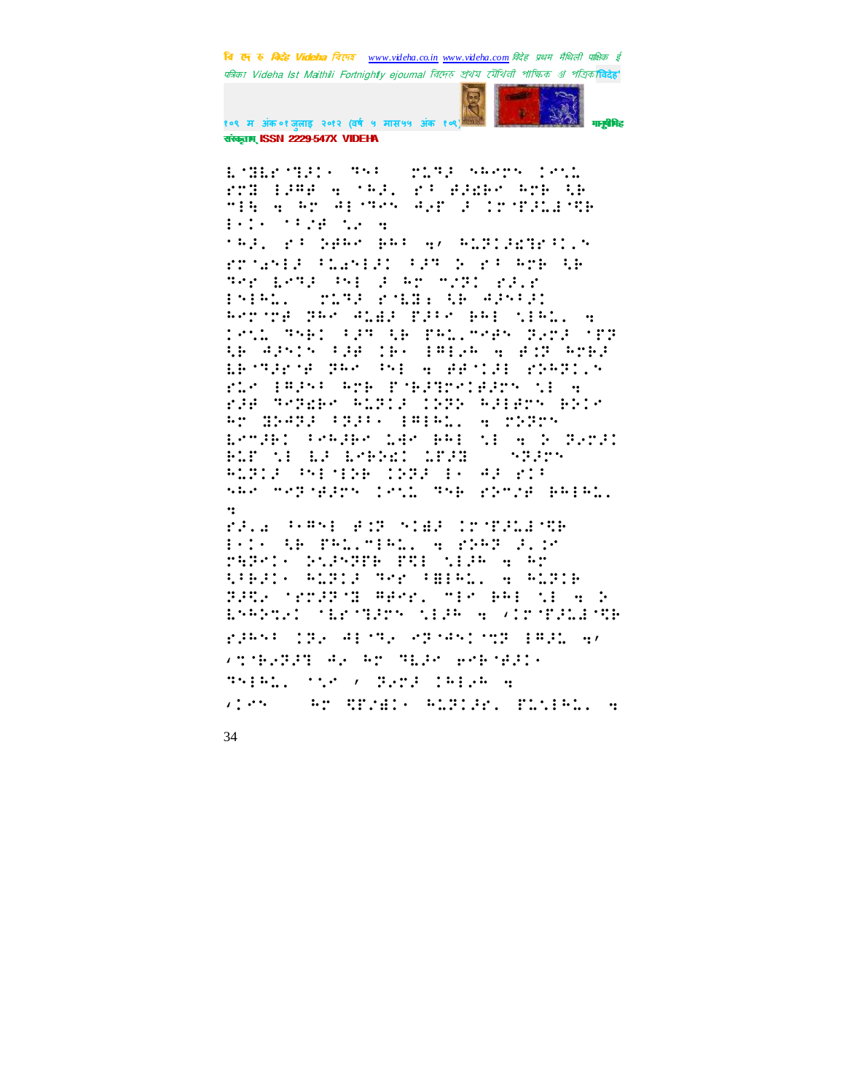

१०९ म अंक०१ जलाइ २०१२ (वर्ष ५ मास५५ अंक १) संस्कृतम् ISSN 2229-547X VIDEHA

L'HATTEL THE **STORY SEATH ISL** rna 1986 a 192, ri fambo en Se<br>Mikola en Alder Ayn a l'honalme  $1 + 1 + 1 + 1 + 1 + 1 + ... + 1 + 1 + ...$ tel richer er er gamlendet. romanis (Canisi (SP) 2 r(F) Are CB The Enternal and Card Model added PHALL TEMP PARE AR APACH Report TRE ALBE FIRE RAILING 1951 TSB1 F2T LB PRIIMSPS P202 (PP<br>LB 92515 F2B 1B 1951FS 4 P12 5062 ERSTERSE THAN THE AUGUST PERTITY ric (Basi Are Poblicatedra ti 4 rde medidee ALDIS (1905 Addidos BSIe 82 HR422 F223, 18181, 4 22227 ESTARI PSAGES LAS EAL NI A D'AGGAI SAS NE AR ARTICA ATAR **NBSTN** RITIS PHOTOB ISTS IN AS WIR SAR MRTHERS IRIL THE PICTE BAIAL  $\ddot{\cdot}$ . rala besi Ada siaa irgaalige BADA AR PROVINCE A PORT SUCH razed busers full disk a Ar tibly will be farm. A will

BREATED REPORT THAT AND THE SALE ENROYS TERMINOR CIPROSITY CONTROLLING PARK (2008) #17700 PARK 192 1821 97 **VINESES AS AT MESS PORTERS** Thing, the gunder laight a **Vist Programs Portion Constant**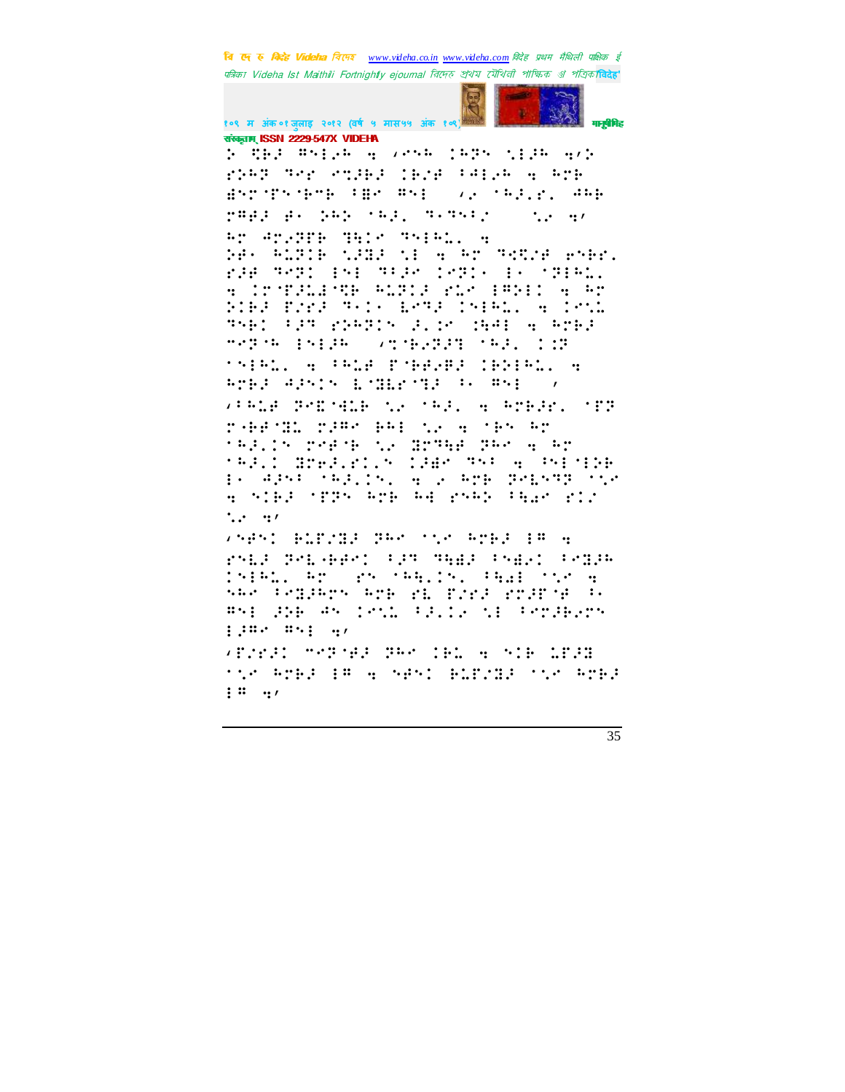

१०९ म अंक०१ जुलाइ २०१२ (वर्ष ५ मास५५ अंक १०९ संस्कृतम् ISSN 2229-547X VIDEHA P SPA RSIGH A VOSE (PRS SIGH A/P right for chief (eventage a are Brookstand (Brown) (Voltagin, And ragg go pap rag, sosorri Ar Aragge dela delel e DES ALTIBULIER NI AUSTROLOGISCHEN P.H. 7871 (54) 78.88 (871) (8. 1918). a Cropharde Audia (18) 18211 a Ar

BIES PARS THIN EMTS INFALL A CHIL THE FUT PORTIN JUST DEL A ROBA medical proposes (strategize capped) : :: **THE ROOM STATES IN START OF A START OF A START OF A START OF A START OF A START OF A START OF A START OF A ST** Apal Albert Endirectly (A) Hospi

VERDE PARTADE NA TRAVIA ROBANI TOS reach name and the same mr tellin reformula drome den a er **CHORACOON CARS THANGE AND MORE**  $\cdot$  :  $\cdot$  : Product the Constant Port of the Second State a sied offs are ad road degr rin 

**VARME BIDDER THAN MICHAEL IT A** rnif Pright: OP MAR (Seri Price Indeed around the Seattle, take the a SAR PRIPERS AND YE FOOD YNFOR PH #5: PRE #5 TRIL FRIE SE FROBROS 1,000 051 07

**VERSEY MARINE BAK ING A SIN LEAR** the Apel (# 4 Ses) elford the Apel  $\mathbf{H}^{\text{H}}$  :  $\mathbf{H}$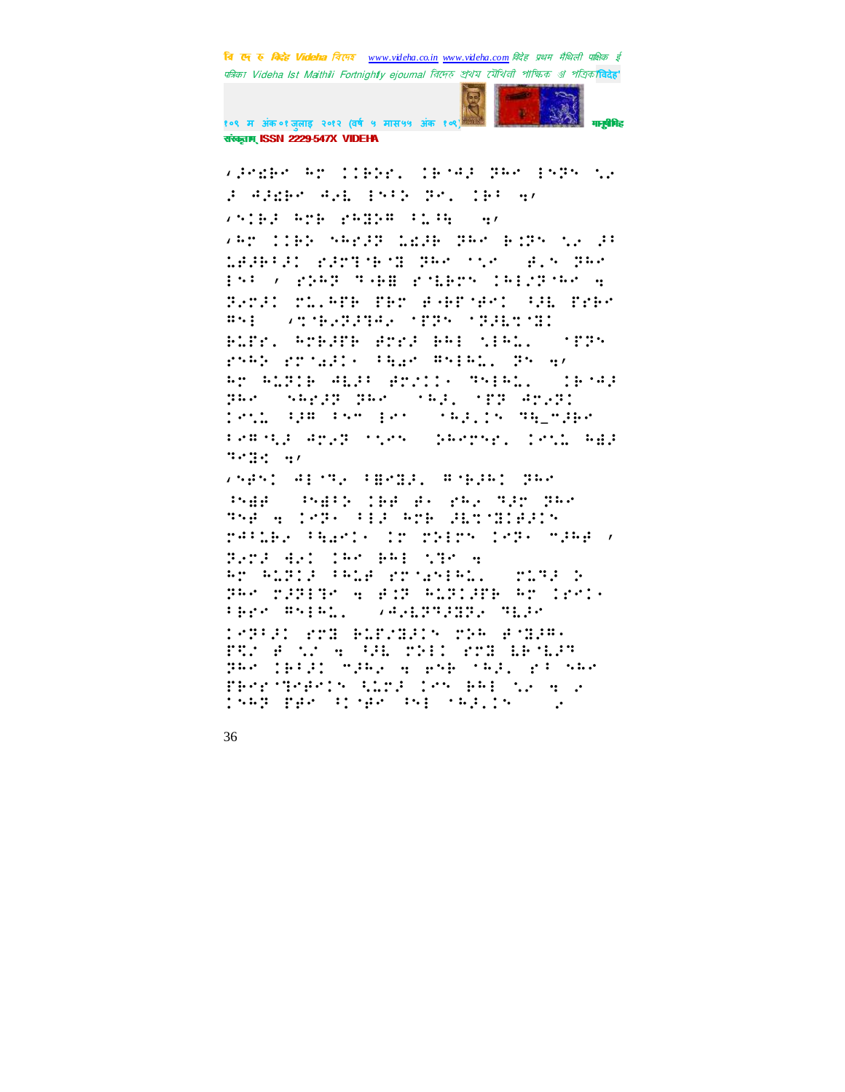

१०९ म अंक०१ जुलाइ २०१२ (वर्ष ५ मास५५ अंक १) संस्कृतम् ISSN 2229-547X VIDEHA

*REAGER AT LIEFS. IEARD TAR ENTH NA* F APER AND 1932 PM, IBS 47 *<u>VIDEORTH PRIDROGING</u>*  $\cdot$ :  $\cdot$ ver lieb serge mage ges eigs siche LARRAD VANTIESE TRACTIC **Sales Start** ESP / PORT THE POLENS INFORMATION Sergi righth fhr Aghrafi (SE Tehr  $\mathbf{a} \cdot \mathbf{b}$ **WINDOWS TO MANUFACTURE** BID: POBJED BOOK BREAKING  $\rightarrow$  gages real rotally than #siah. Be av Rr RITIR ALAM Britis Thinl. Thear par sarpp par sal, spr engl permit against the general  $\mathcal{L}^{\mathcal{L}}\left(\mathcal{L}^{\mathcal{L}}\right) = \mathcal{L}^{\mathcal{L}}\left(\mathcal{L}^{\mathcal{L}}\right) = \mathcal{L}^{\mathcal{L}}\left(\mathcal{L}^{\mathcal{L}}\right) = \mathcal{L}^{\mathcal{L}}\left(\mathcal{L}^{\mathcal{L}}\right) = \mathcal{L}^{\mathcal{L}}\left(\mathcal{L}^{\mathcal{L}}\right) = \mathcal{L}^{\mathcal{L}}\left(\mathcal{L}^{\mathcal{L}}\right) = \mathcal{L}^{\mathcal{L}}\left(\mathcal{L}^{\mathcal{L}}$ Persia any source prend conduction  $3434 - 47$ **CHAINE REPRODUCTIONS AND SERVICE** PARK (PARTS 198 B) PRY TOP TRY THE A CAPE FEE RUB SETTECHER rating thanks in refractions wind a Bend Ap: CAP BA: 598 A Re RICE CRIB CONSTRUCTION CON

PRO PAREDO A FEST RUPLATE RO LEOLA they might. *<u>visinial max</u>* 

**IMPERI POS BLEVSKIM PDA BYSPA-**PRO 8 NO 4 PRE PRES PPE ERMEPR 960 16921 ngez a and teg, pri ner<br>Perprenets tipg frn 661 tin a in  $\begin{aligned} \mathbf{1}^{T} \mathbf{A}^{T} \mathbf{B}^{T} \mathbf{B}^{T} \mathbf{B}^{T} \mathbf{A}^{T} \mathbf{A}^{T} \mathbf{B}^{T} \mathbf{A}^{T} \mathbf{A}^{T} \mathbf{B}^{T} \mathbf{B}^{T} \mathbf{A}^{T} \mathbf{A}^{T} \mathbf{A}^{T} \mathbf{A}^{T} \mathbf{A}^{T} \mathbf{A}^{T} \mathbf{A}^{T} \mathbf{A}^{T} \mathbf{A}^{T} \mathbf{A}^{T} \mathbf{A}^{T} \mathbf{A}^{T$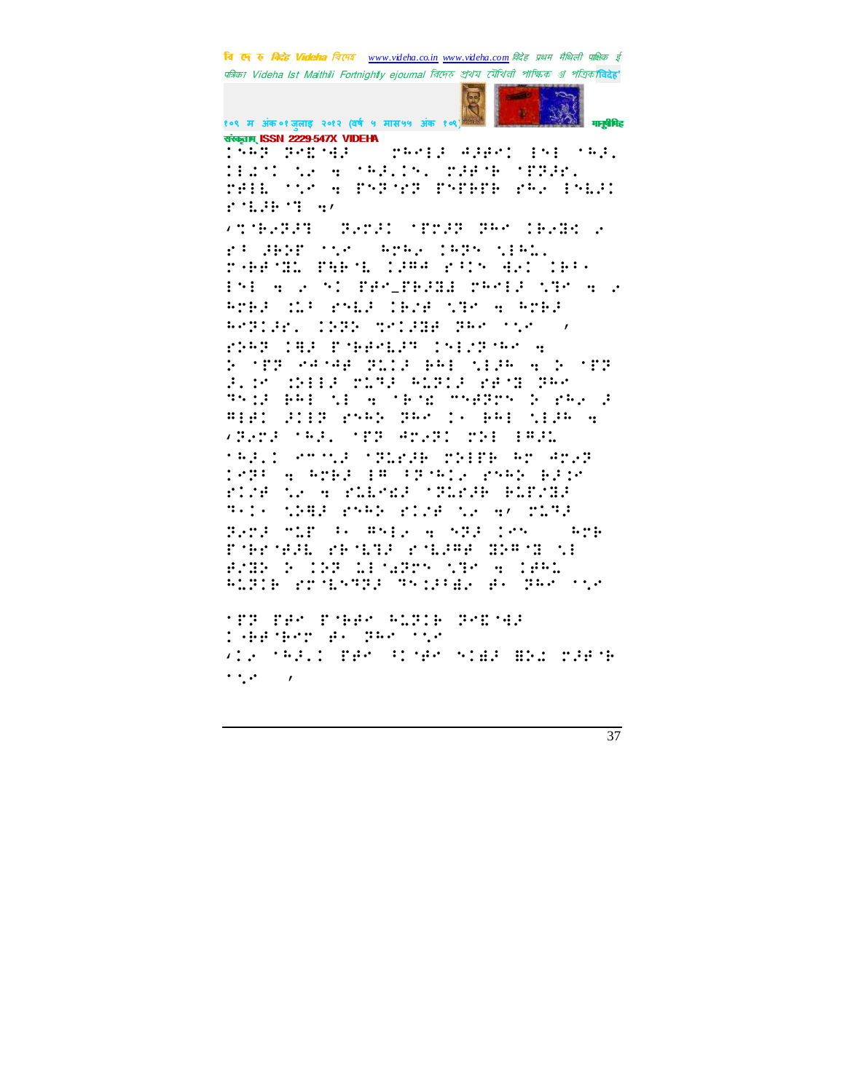

१०९ म अंक०१ जुलाइ २०१२ (वर्ष ५ मास५५ अंक १०९ संस्कृतम् ISSN 2229-547X VIDEHA

ting gebied  $-151 - 611$ Hand to a theiry, where there. THIS YOU A PRESSE PREACH TRACENSO r (1.31-11-4)

vielski krij frih ko ka ra Heer the Sarah 1985 tien. reach fact (200 rus and 1916 Price a ni BengBadi profasion e a Aral MI SMID Card NTP 4 Aral Refiger (1970 Settle TRe Steel) FIAR CHE POBBOLEN COLTEOR 4 S YPP PATHE BLIS BAE NESH A S YPP B. St. SHIP TITE RITIE FETE TRA This BRI of a chor maggin boghy f #PEC 2013 PSAS 3AM 16 BAF 512A H **VERTE TREL TER ANGEL NOE EREL TRACK POSSES TRUNKE TRIPE RT ATAB** jeji a bred je izdolje robi edir ring to a right: Thrub Birnin THIS NEWS PARE PICE NO BOOTLER Beng min () which a space of the ward PORTHER PRODUCT POLITIC HISTORYS BAND OF TOP LETAPPY NTM A CHAL RUBIE POSESSER SSIPHE PO PRO TOO

'TT TAK TYDAK RUTIN THINGS Depres po par tre **Williams. The Street Star Brookleth**  $\cdot$  .  $\cdot$  $\mathcal{L}$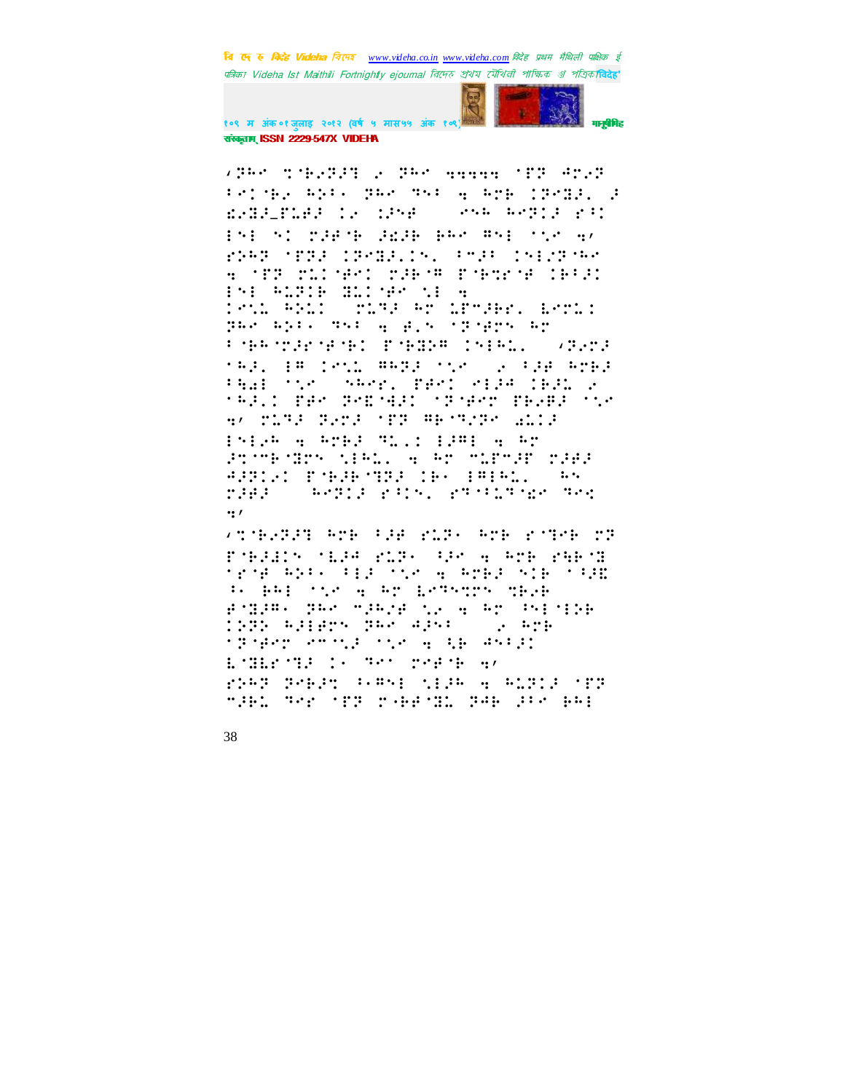

१०९ म अंक०१ जुलाइ २०१२ (वर्ष ५ मास५५ अंक १० संस्कृतम् ISSN 2229-547X VIDEHA

**VIA: TOBSTET & TRO ANNA CIT AT&T** Principle Addr. BAR SAME A AME (BREEL 2 RANGENARD CA (PART) **Sena argument** PAP AT THE ROBERT BAR WAR THE WA FRAG (TEGS (SPEERING) FMSF (NETERNAM A MER PLIMARI PARMA EMBREMA (BRA) PH PLED BLIMP ME 4 Inti Abii (Mill Ar iPheal Brri: par aprovementa glave chemical Popendrom Port (Siel (Siel Sch tel, im tell medicine of the ered FAWE STROOM SAREL FART SEEAR IBEL L telli fer project trans peles tir a, mina hara thu metung dili {\*{;}} 4 ATES 71.1 {38} 4 AT Prome dry (191. a Ar mirmer rees ANTISI PALENTE IE IAIAL. AN **SAMPLE FRING FRONTIER ROOM TABA**  $\cdot$ .

**VINEATAT PMP FAR PLTK PMP PITMP MT** rears the curve are a are rared neng Abik ili nde 4 Ameriki bil nil Be BRI Stor A Ar Estation TB2B FORDER THAN MIRZE NO A REM PRESENT SIN ASPEN BAR AGAIL  $\ddot{ }$  . : : **SPORT PROJECT AND REARING** ESHESHA IS TO TOTAL HO PRAS SPERT FORMS NICH A RUSSE MES make the first pageone and and and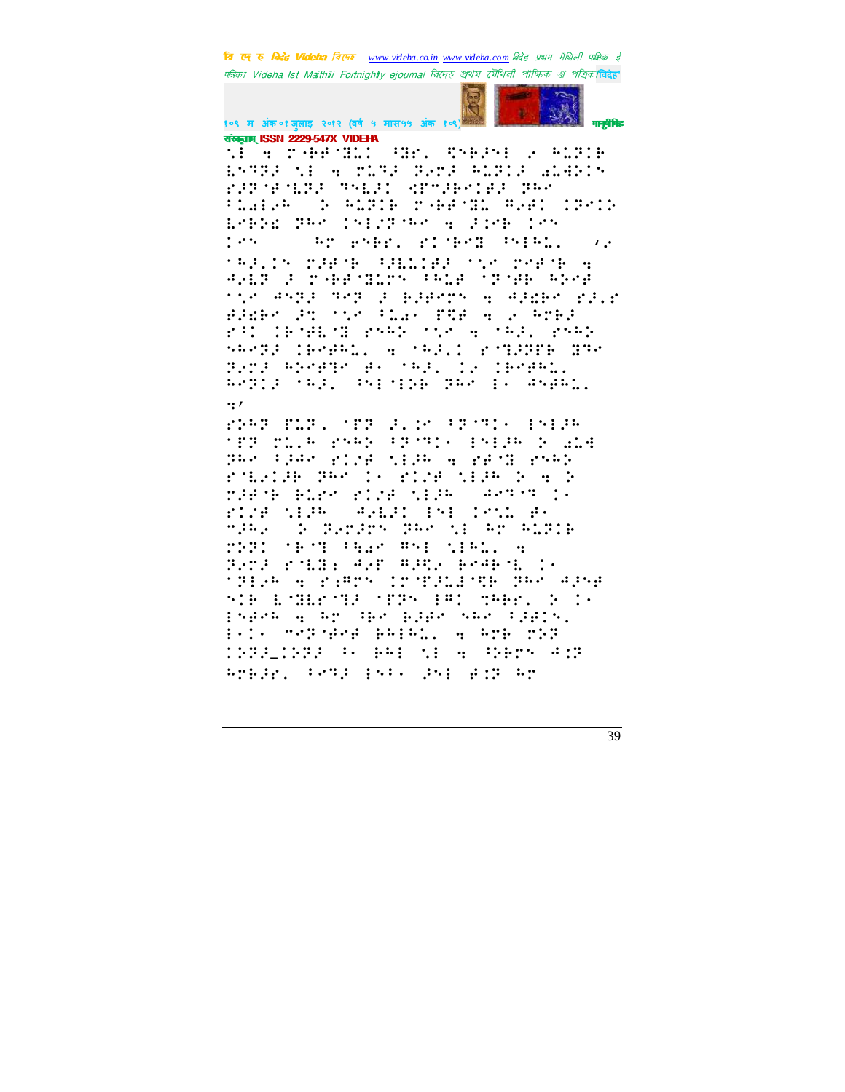

१०९ म अंक०१ जलाइ २०१२ (वर्ष ५ मास५५ अंक १०९) संस्कृतम् ISSN 2229-547X VIDEHA

the readership and there is anyth ESTE ME A MITE TULE RITER ALARIS KATYEMARA TYLE STRAKOGA TAK **BLACK STATE PREMIUSE INC.** ESPACE PRO CONFIDENCIAL PICE CON  $\mathbf{1}$  and  $\mathbf{1}$ Ar energy rided by the se **TRAIN DARTH ARLIGANTIC DOPTH 4** AND FIRENCY PAGE TRIB ANN tic Angl Reg i Blach a Alder plu BREET POINT FOR THE ROOM PTE ral legald reel to a tell reel SAPOR IPPRAL A SARIO POLORE OPP Beng Aberge as the field industry septrosal, bereiche partie defatt,

 $\cdot$ :  $\cdot$ 

FRANCISCO (FRONT PROPERTY) TER PLIN PANY FRONT PAIRN & WLA PRO PARO VIZE SEARCH VEND VSRX rakie se po rie de a po raene elko kire niae (godine).<br>Kire niae (godini ini ioni go  $1951\pm0.1$ **SECTION PROVISIONS REPORT** THE SECRETARY WAS SEARLY A Server Stadium Auf Aufle Begkeit. 1912- A PARTY CONFIGENT SPACEFOR SIE ESHERSHE STRS ERI SPERI DOIS Press a sponke been skelleded. EXIX MATHEMS BRIGG, A ROB 200 agade, temp para pap digitag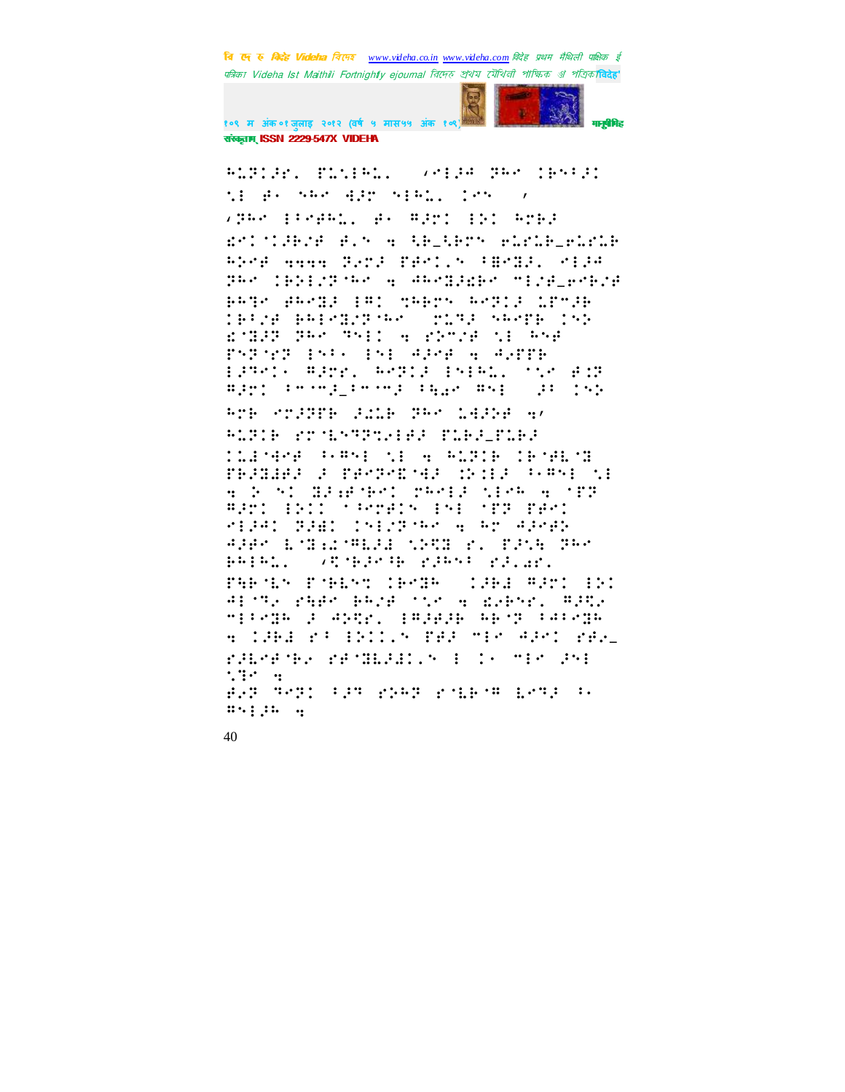

१०९ म अंक०१ जलाइ २०१२ (वर्ष ५ मास५५ अंक १ संस्कृतम् ISSN 2229-547X VIDEHA

**Support Start Service** ME BY SAM HET SEAL TRY OF **CONFIDENTIAL ACCOUNTS: AND** shijihra A.S A Welkos eldib\_eldib ROCE ANNA PARA PECIS FECER COLPA The Children 4 Anglebe Slip Persi page gaens in: gappy aeris brosp **THE SEATH ISS COMPASSED IN THE SECTION OF** d'ESP PRO THE A SENSE NE RHE PSP YS ESPA ESP APSP A AVERA ishel, Aspr. Aests Expans the Bis BEND PHONE PHONE PAGE BAB COPAN

Ara erazza adda zae 1820 g. <u>SOME PROGRAMMENT PORTUGE</u> Ming-Part News December 1978 PROBAGE PROPORTAGE IN 112 (1981) NI 4 2 51 BEAR GROUPERED SERN 4 STP RATI ENCI SPORIN ENE STR TRAI riag alumni (Sirasa A'ar aarab ANA ESTERSHIN SATI K. TAG TAK PRINCE STORY RESERVE STORY. PHP NEW THEFT (PFIRE COPER ART) (IN) Alis, Philiphone (the Alisand, Alis miteda a Andr. Imagay Anod tateda A CARA PROTECTIVE PARTNERS ARRESTED rabered remains to be made an  $1.32\%$  .  $\alpha$ BAN MANI PAR SIAN SALEAM LANG PA  $\mathbf{a} \cdot \mathbf{b}$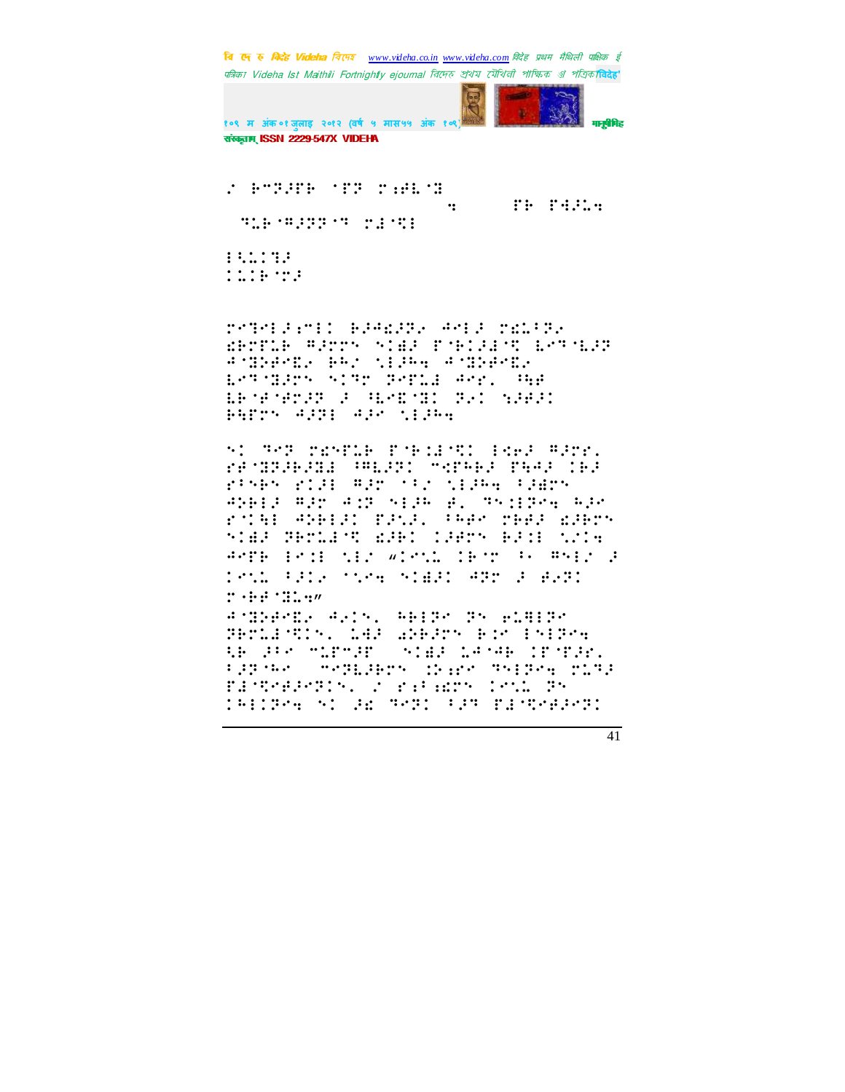मनुबैमिह १०९ म अंक०१जूलाइ २०१२ (वर्ष ५ मास५५ अंक १ संस्कृतम् ISSN 2229-547X VIDEHA

*SAMPAIN STRAINS* **THE PAPER**  $\dddot{\mathbf{z}}$ **SEARCH SEARCH** 

 $13.1337$ 

reteractive and service and a control EPTLE ARTY SIER POBIRIO ESTARE **ANDREW BRY NICH ANDREW** ESTANDA SITE PAPLE ASE, AND BRANCH PRESIDENT SALE **BAPTS WARE WAR SEAM:** 

SI TET MESTLE FOR 18051 BEEF WEND. ricopledi Audo Arkel Marc Cel rinen rid: Adr (12 midee 1982) ANNIFACTOR MICHAEL TRIPPE APP rolar Aderdi Baya, teak beag paépa STAR SPRIEST KREI IRRS BRIE SMIN **Arge Erde wer wird. Denn av Arge a** Tend Fall the Staat Adm a Budd 

ANDREW ARIS, ARIBE DS RINGE PROLESSING LAP WORRDN RIM ENERGY GROUPS MITMER CONNECT CENTER. Project Worlders Thank were close FINDERSTON, SCRIBBING COLL PR **IRECRA NO RE RATI CIR PENNADATI**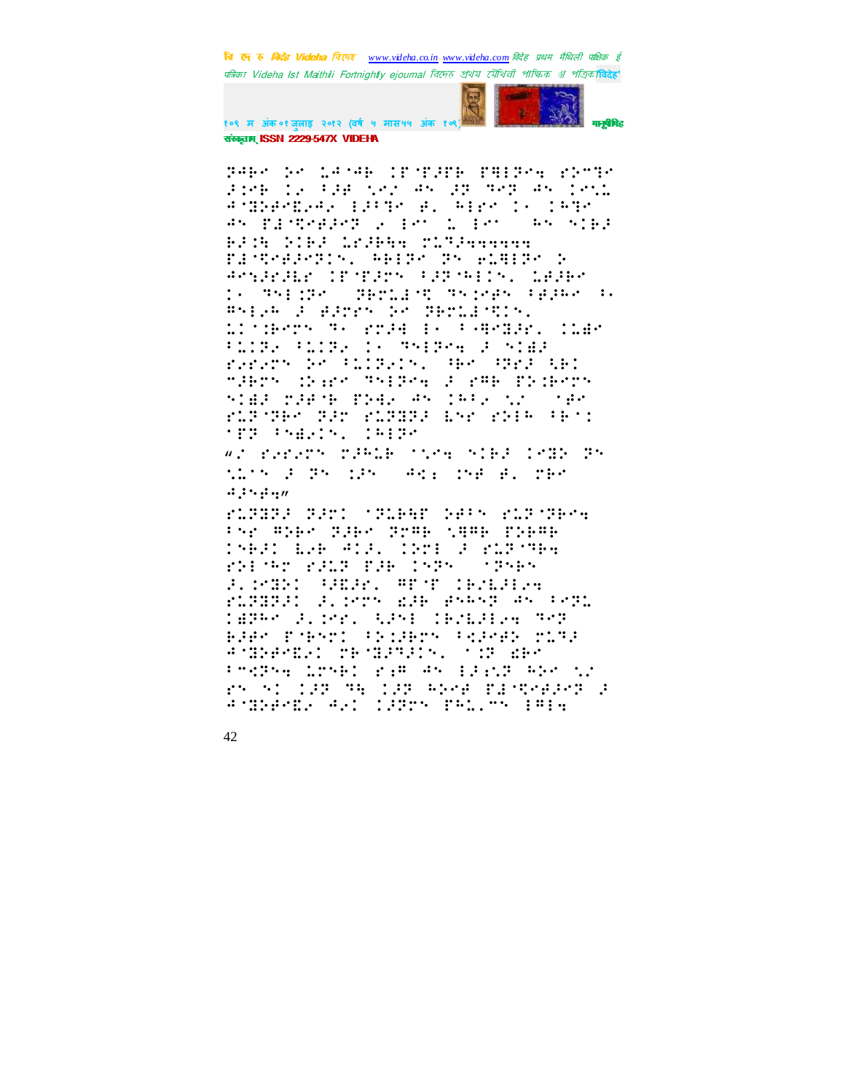

१०९ म अंक०१ जुलाइ २०१२ (वर्ष ५ मास५५ अंक १०९ संस्कृतम् ISSN 2229-547X VIDEHA

PARK OR LAYAR IPSPIRE PHIPMA POSTM Free to the server grower as test A SEVENSAL ESPERADO ALEMANIA CARA AN PENDRAPO A PROCESSO ANCHOR 8315 SIR MIRRE TUTPenner FACTORING WHERE THE WHEEP IN Anianale (Popart Farowith, 1886) 18 MAE198 (BETLEY MAINER PEPA) P Bright F BRYER DR BETLETTING Moneyn a yng Bollgeman (Me FILES FILES IS THERE FOR MILE renew be things of the three us: "Bro dark Third Park Price STEP THE BOYER AS INFO TO STAY FIRTHE RAT FIRRA EST FRIB PETE **SPP PSHATS, TRIPS** 

wr renew wake the blad ledg db this a product way the elocies  $\ldots$  :  $\ldots$  :  $\ldots$ 

roche con come mon constant **The Webs Bibs BrWb (MWb Bibwb** IMBRI LAR ATR. IPSE 2 PLS/SPA FREME FROM THE 1979 COTPES **BOOK APT SEARCH**  $3.19331$ finite literature and paper as ten 18858 F. Wr. APH (BJERDA 383 BJES PORTO FRIEDS FRAGE DIRE **ANDREW MENDED STATES** Profes Lreb: rif As EPAC APP to rn ni 193 dh'ibr ann daoineamh. A MINEREN AND COOPY PALITY BADA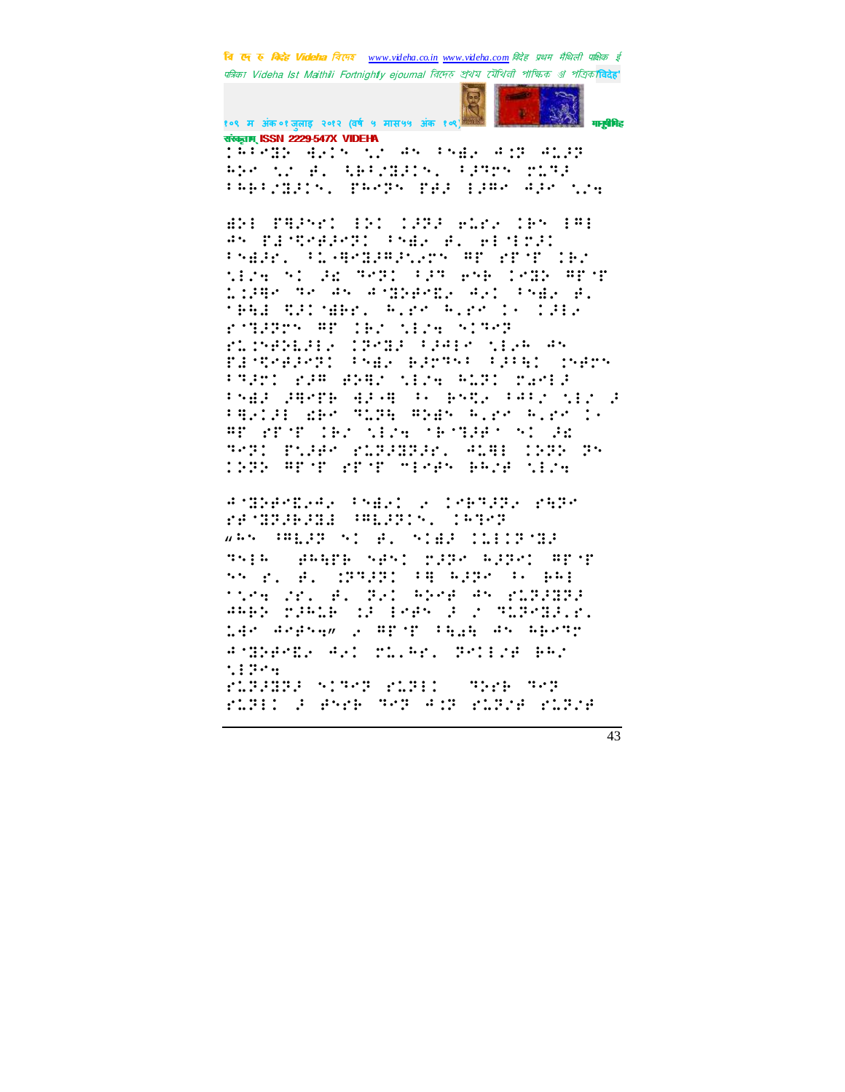

१०९ म अंक०१ जुलाइ २०१२ (वर्ष ५ मास५५ अंक १०९) संस्कृतम् ISSN 2229-547X VIDEHA

IRPADY HAIN NO AN PHEASACH ALPR RES NO B. REPORTS, PROS MIRE PRESSENT PROPRIET BERGED STORE

AD: PROVED 101 1090 FLEW 185 181 AN PERMANANT SHARTAL WESTER PARK COMPORED WAS BESTED  $:math$ Mine SI PE PORT FROM BSB 1000 PEST 1:385 Re An Andrewik All Phelos. thad thirdler, alre alre is thin rigges or the time stock richemage (Sesa (Sege (See Ar FACEMENT PARK BREAK PROBL INBEN FRAME RIB BREAK NEWS MARKET PABE SHAPE ASSAM TO BARY TARY NEV PARTIE WAR ALON ANDRE ALVE ALVE IN BE PENE CENTRAL MENTARY SITAR TATI PULAN PERJINJAN AEHI 1979 PR 1939 APAP PEAP MEAPA BASE SESA

ANDREWS PART STREET HOUR who HEAR SI E. SIER ILEIPSER skie ambre nano raze mazno mror 55 P. B. MARTIN FRONT POINT tice of al for abor an firence WARD PUBLE OF BRACK SCREAMERIES 148 Angrew y Apry Calle Ar Abene ANDAPER ART TELAM TRIDA ART  $5.1399$ FIRED STRE FIRE THE THE FLATT A BREE ARE BIR FLATT FLATT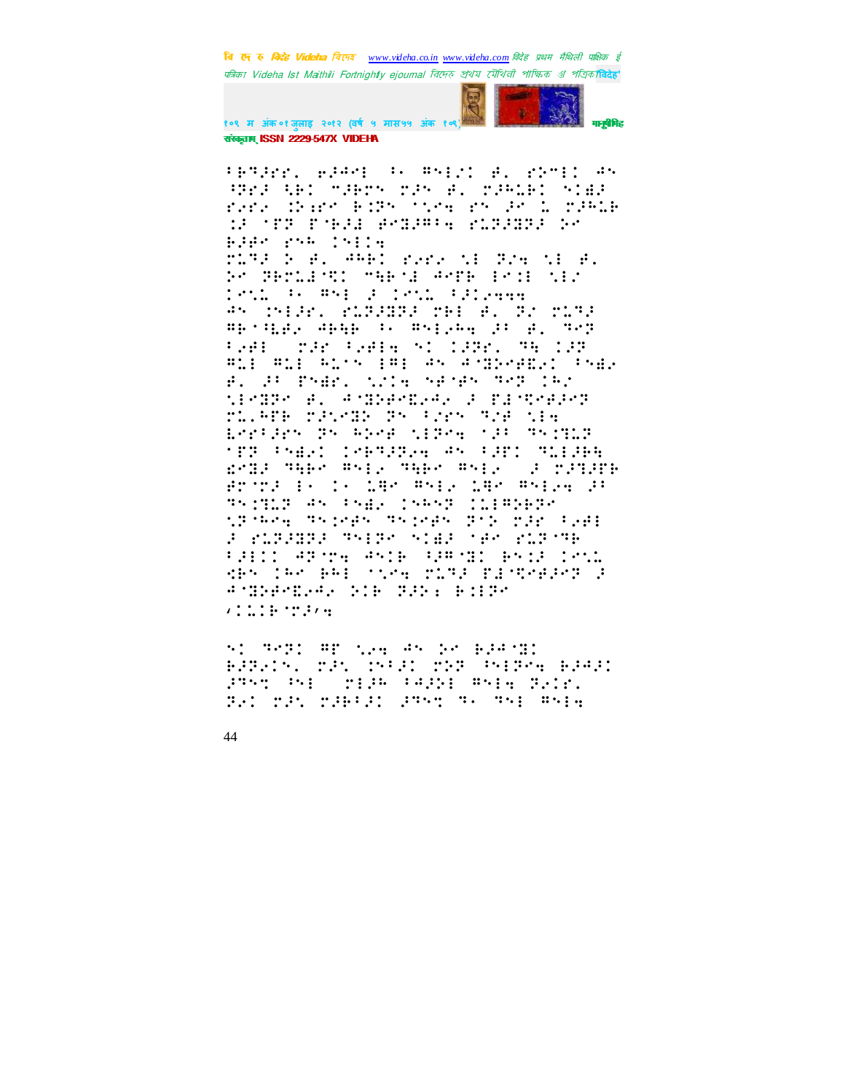

१०९ म अंक०१ जलाइ २०१२ (वर्ष ५ मास५५ अंक १० संस्कृतम् ISSN 2229-547X VIDEHA

PERSON ESPAC'H PREZO B. PRMED PR arek del maers ras el rasiel siga.<br>Evez (Daes Birs tism es as i rasie M TR PANE PORCH ROOM N BEEN PAR CAILS MIRA D'AL ARBI RORO NE ROBONE AL SK PROLECT CHROB ARTR PROP SEN Primar Roman (Police Palemen AN INFANCTIONARE THE BUTCH TOTAL mprogram map of magying policy map F201 220 F2014 51 10001 75 100 <u>ali ali bishlimi de astronolish</u> B. B. Ther, wile namen from the SPORT RUSSTRADEN DOCKTRANT <u>TLAMB TAVER BY LIVE THE LIG</u> Earlier Trucker (1944) (File Tring fra Gebi (eksigel et Carl sillet<br>Bega ster stil ster stil (a ragare anina () () 19 decembra deciembra af<br>Trindia er frag (1999) (1999-20 then we have seen the seen of the state of seed F PLEADER THERE NIER THE PLETTE FRIDE ABSTALLANDE FRAGE BNDE DAN KRA TAK RAD STRAG MITA PISPAKAN A **ANDREWS NIE DIE: BIDE**  $\sqrt{2}$   $\frac{1}{2}$   $\frac{1}{2}$   $\frac{1}{2}$   $\frac{1}{2}$   $\frac{1}{2}$   $\frac{1}{2}$   $\frac{1}{2}$   $\frac{1}{2}$ 

sponser or the second proposit BJB215, 235 15931 258 958764 BJ431 FRANCISE STEPH FARME ANEW BAIN. Bal Man Makiai amen'ny meny meny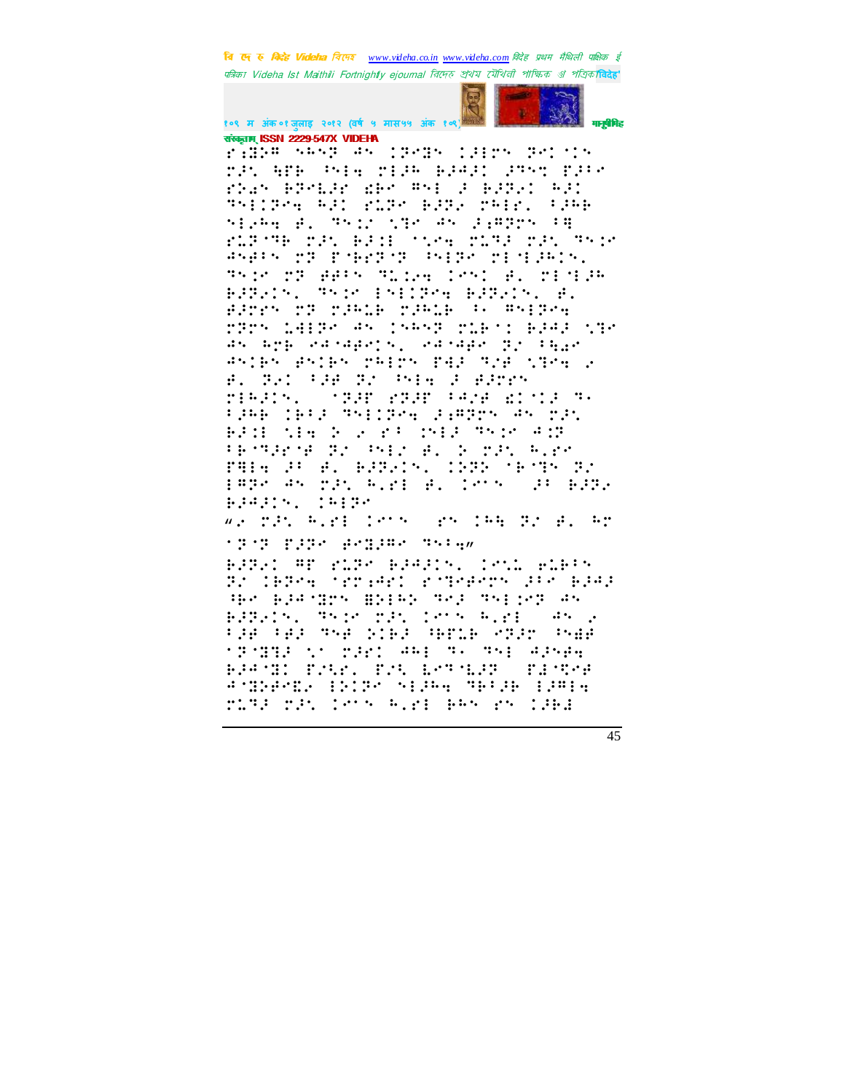१०९ म अंक०१ जुलाइ २०१२ (वर्ष ५ मास५५ अंक १०९) संस्कृतम् ISSN 2229-547X VIDEHA



rìdha sasp as cheds clics becsco MAN APE SHEEL MEAN BAARD ANNU PAPP reas BRSLEY des Asi 2 B2R21 A21 7511954 API PLP5 BPB2 MAIR. FRA **NEWMAL RYON NEW AN FREEN FR** FLETE TRI BRID TIME TITR TRI THIM #5#F5 #F F ##FF F F5FF #F H #F15. Thir TT BEEN TIGHT ISNI B. TEMPER BJP215, Thir EnflPre BJP215, B. BRYEN TO TABLE TABLE OF BNIDER rars ideas as tease riable agaa sas as ago edidacis, edidad produce ANIEN BNIEN MAEMA PAR JOE NICA V B. T.C. CHE T. THE J. BITER  $1:1:1:5$ . **SAN STAR PROPERTY CONFIDENTI** Plag (pro 9411942) napřívaz bo BRIDGE SCREENER THIRD AND PESSAGE SV PHY B. S MPL Right PHIN AR A. BARAIN, INSN SBOTH RA 1928 AN DIN RIVE B. ISMA (2) BIZA 839315. 18326

we have been compatible to be seen by **THIS ESS STEED TO BE** 

BOOK AT COMPARED STORES 22 lezna nemage: engraren 200 egga He blander model will be provided BERRING THIN TEN INTH ROBERT REVOL 1967-62 mga Siki Gerup Vikr (mak **13.992 M PRO #6: 8- 85: #25#** BARTHI PINEL PIN BRTTEAR (PETRYB A SERVER (ERITH SEINA SERVER) EINEA TIME TEN CROSS RIVE BRS YS CERE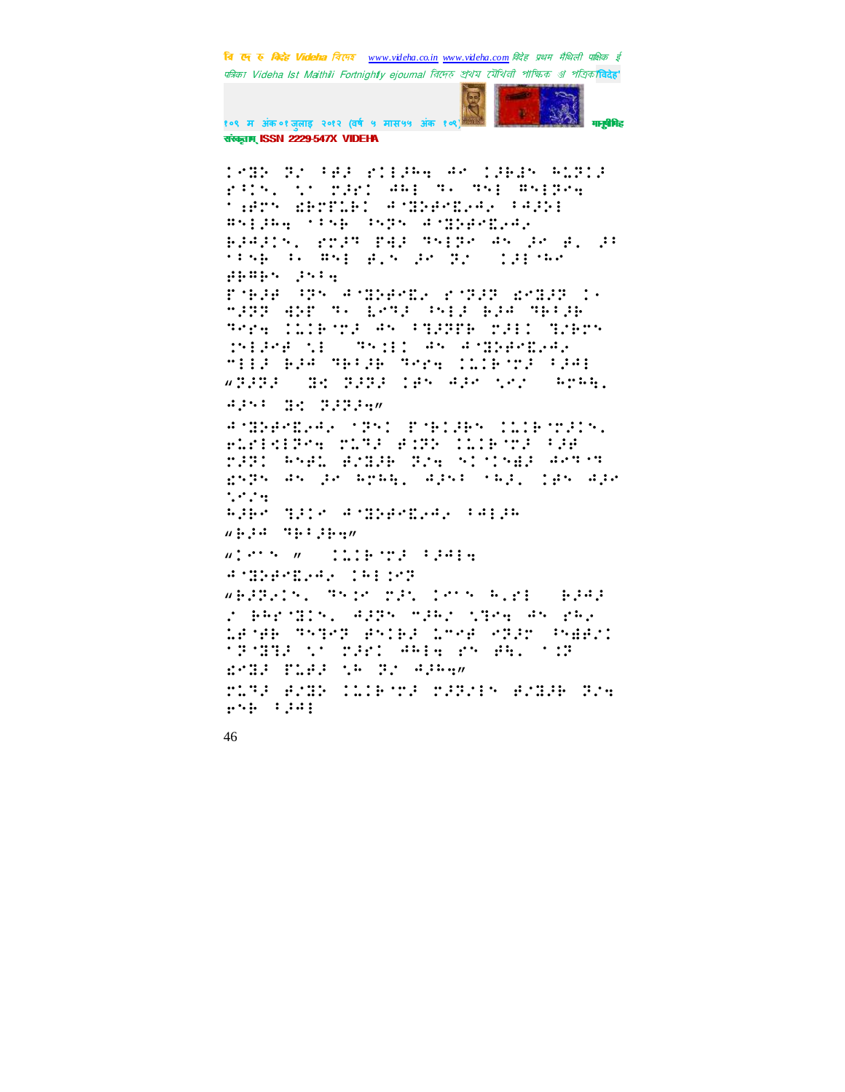

१०९ म अंक०१ जुलाइ २०१२ (वर्ष ५ मास५५ अंक १ संस्कृतम् ISSN 2229-547X VIDEHA

100 Trage Pling Article Addr. ring of part was more weight. tidos decribi andidade (addi skijne (186 1878 stjelenje) BJAJIN, POJS PAJ SNIPK AN JR B. JI ring in which will be provided the ghaps purg res un auxent cuu compon MARR AND THE BRIDE INSERIES THINK sery (1116-112 an (112866) 2211 1262n DEPEND THREE AN ANDREWS MID BOW MACH MARK COOP WORKER where he here yes also yet agaay  $\mathcal{A}$  (b)  $\mathcal{B}$  (b)  $\mathcal{B}$  (b)  $\mathcal{B}$  (b)  $\mathcal{B}$  (b)  $\mathcal{B}$ ANDREDAR MONT PORTOES INTENDIS. FLORING TURE FOR TURNING FEE rand byen erman nog stotser genom gapa da pe nghiy dian ship gia dia  $\mathcal{L}_{\mathcal{F}}\left( \mathcal{L}_{\mathcal{F}}\right) =\mathcal{L}_{\mathcal{F}}\left( \mathcal{L}_{\mathcal{F}}\right)$ Adda This AsTheodyna (Adda  $n = 10$  $\mathbf{w}$ ,  $\mathbf{w}$ ,  $\mathbf{w}$  ,  $\mathbf{w}$  ,  $\mathbf{w}$  ,  $\mathbf{w}$  ,  $\mathbf{w}$  ,  $\mathbf{w}$  ,  $\mathbf{w}$  ,  $\mathbf{w}$  ,  $\mathbf{w}$  ,  $\mathbf{w}$  ,  $\mathbf{w}$  ,  $\mathbf{w}$  ,  $\mathbf{w}$  ,  $\mathbf{w}$  ,  $\mathbf{w}$  ,  $\mathbf{w}$  ,  $\mathbf{w}$  ,  $\mathbf{w}$  ,  $\math$ **ANGELIAN INFRE** WESTERDAY TAGE TEN DEN ALTE GESAS r Barnith, apps now you as ray LEARN THREAD ENCER LOAR ATROL PHERM **MEMBER 17 MARI AREA YN ARL MID** Redd Place the Broadbay MIS RAD CLIPTA MARIN RADE TA  $1.541$   $1.141$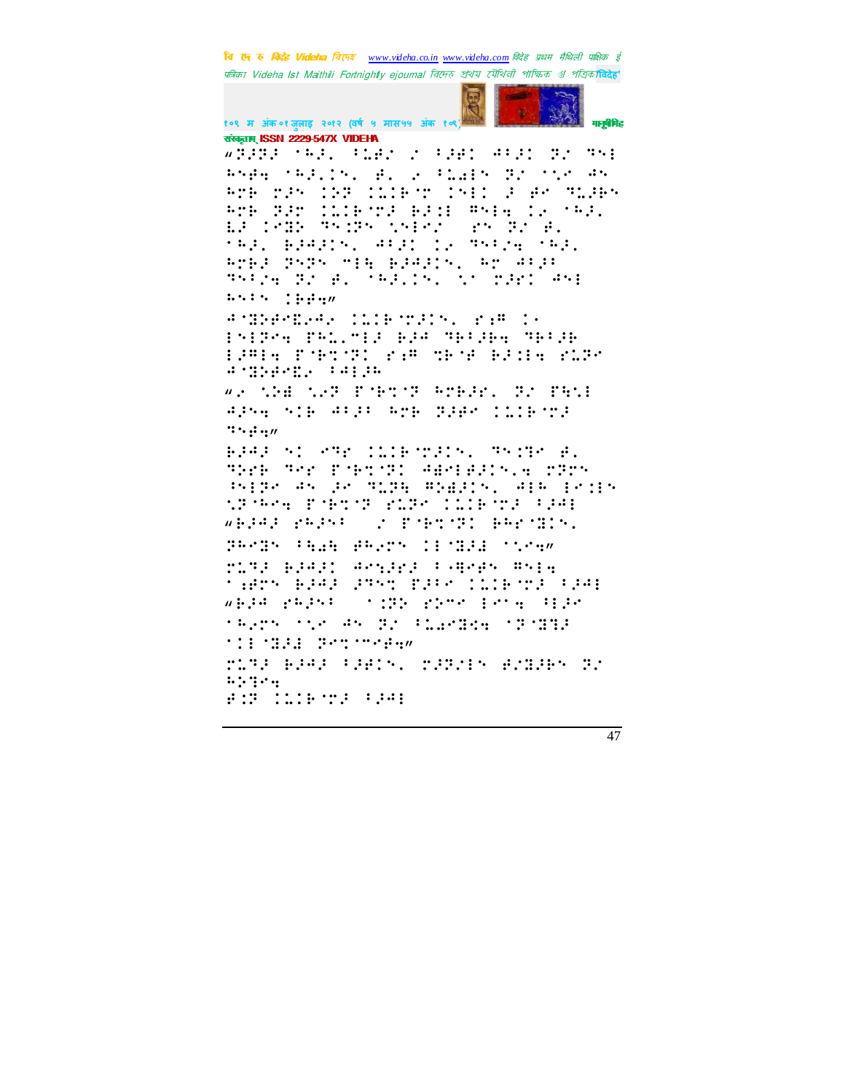

worder that they you are atlact on the Rode (Relios, d. 2001), British Constant are now the fife r TAIL F ex<sup>t</sup>aines ana den fliande aeff anfal (2004).<br>Eestem anton valer (2008) e. PAS BRANC AND IS MANAGERS. ROBE PAPA MIR BEREIN, RO REEL Third Er B. (BELIN, AT THI AND  $1.434 \div 1.044$ 

**ANDREWS CONTROL PROCE** Prince Philosis Ras Marine Marin EPREA PORTON PAR MESE RAILA PLAS 4 (214-21) 14118

**W. THE N.P PORTS ATER: TE PRIE** APRA SIE AFIR AUB JUDE COIECU  $\mathbf{u} \cdot \mathbf{u} \cdot \mathbf{u}$ 

BAGE SI STROIGLE MAIN, TRITE B. The Ter Port (2) Additional CTD superan promps magging aparters **NPORTH PORTS FIRE INTEGRATION CONTRACTS PRESSING**  $\mathbf{w}$  is given by  $\mathbf{w}$  is given by PROBA PARA PRODUCTIONAL COOR

ring page anyay tamapa mala tart bag ann fact codena (ag wedd ynghi (195 yrth ferg Glor TRAPP TOP AN BY PLAYBOW TRIBB **TIP MILL PATTMAN,** 

MIRE BEAR FEATH, MERCIN BOIERN RO #12 1118 TH (1941)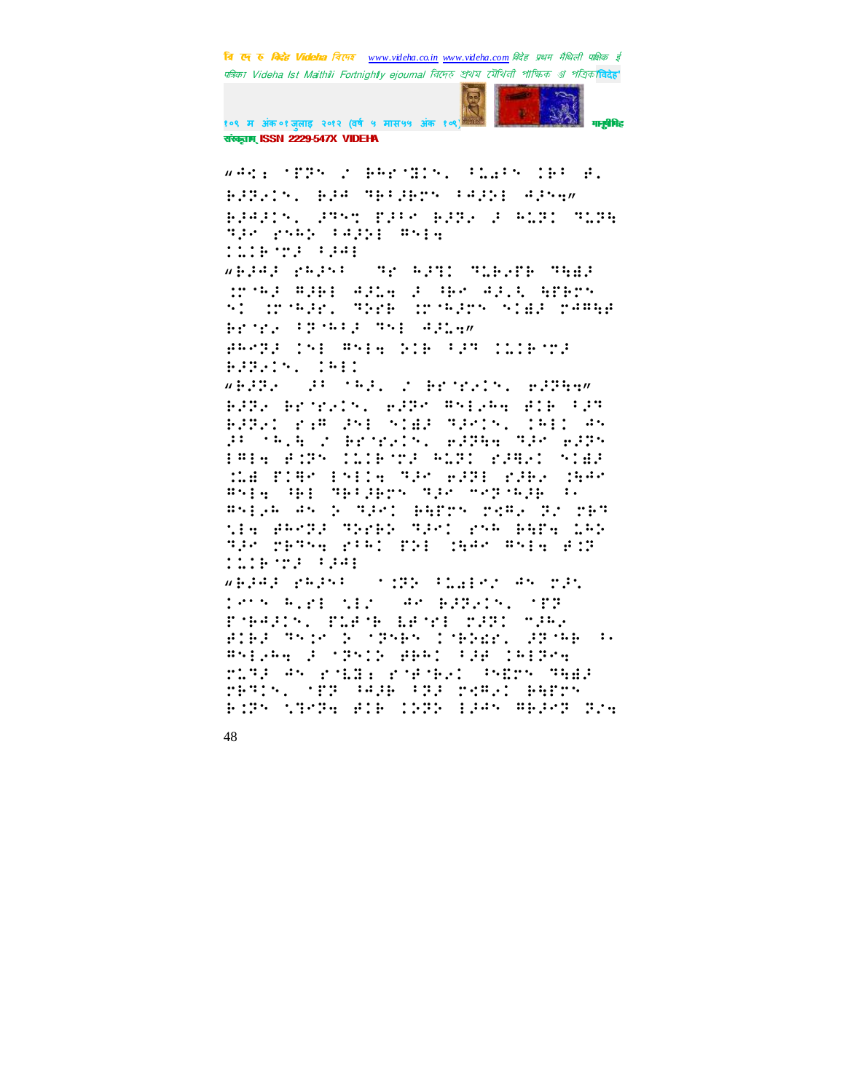

१०९ म अंक०१ जलाइ २०१२ (वर्ष ५ मास५५ अंक १ संस्कृतम् ISSN 2229-547X VIDEHA

week offs of Perchical Plats (PP B. BJP215. BJB 3B1JB55 (84JD1 8154% BRAIN STAT BRA BRA F BLE TLE SP PSE PRODUCER 1118-113 (1941) weight paper one approximate name WHE WHI ANN I HA ALL ATEN SI OMSRED SPAR OMSRED SINE MARGA Bridge (1986) 2001 (421-47 BRATE INE RNEW DIE FER INIENSE BARAIN, IBEI WEBBA (BROOKE, 2006) MACHINE (BBBBB) BJDA BENEVIN, BJDA ANIJAH BIB FJO BARAN ESP AND SOBA MARIN, IRBI AN an thin a branch, bann mar bann PRES BIRS CLOBODE RLP: BIRBI STAR ma fine inity new wind rime dyer #514 HH MBCHPS MPC MSP (BJB (B) salle as plane: Pers real Brown the BRANK Nordo Navi run bane 180 THE PETER PIED PDI CHAP REER ROT **COOP TEAM** WEBBERHAM STEED PLAINS AN TEN Terry Alef Side (Archanology 198 PORTIN, TEROR EROTE MARI MARK BIES TRIM & MINER COBBER, STORE OF #51244 2 19512 #B41 F28 191954 MIRA AN EMISE EMPRESS PREMOTHER TERING MER PAPE PRE TRANS EARTH

BIRN NORTH BIB (1978 1985 ABJER 204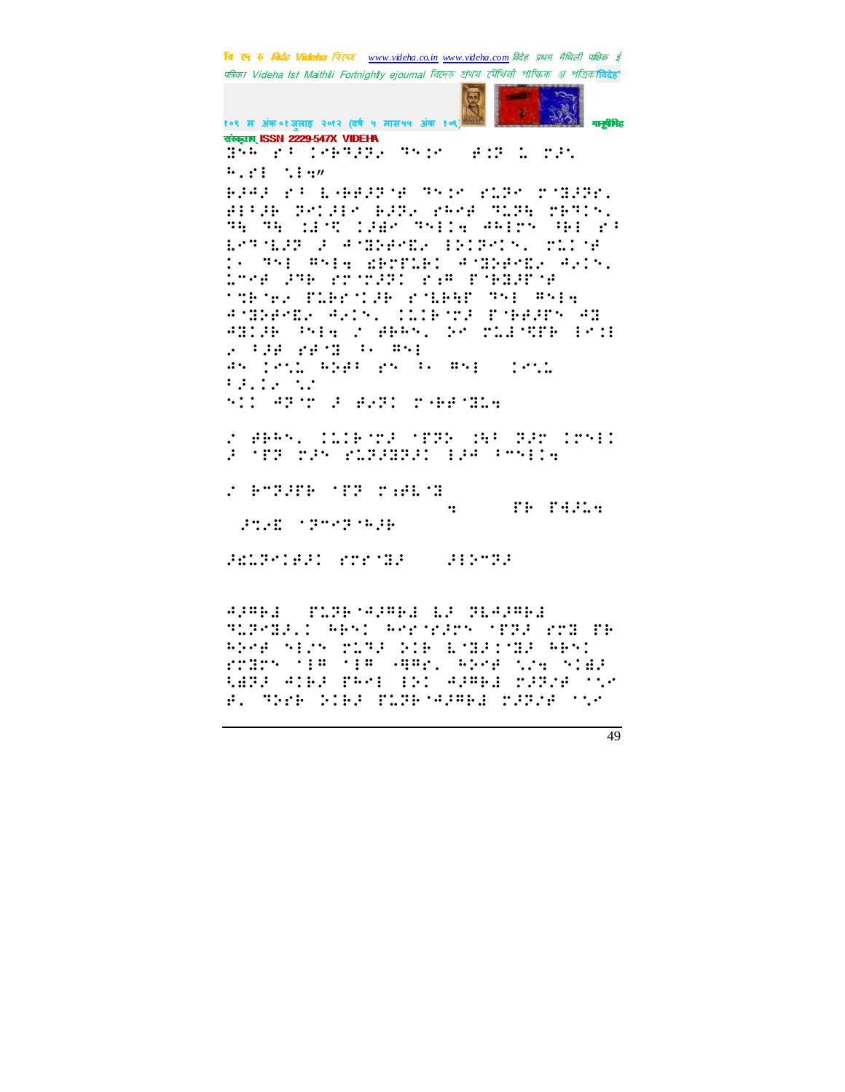१०९ म अंक०१ जुलाइ २०१२ (वर्ष ५ मास५५ अंक १० संस्कृतम् ISSN 2229-547X VIDEHA gên ya jepang, asje **ARCHITECT** 

BEAT PROGRESS TO THE POST POSSES. BIRGH GROGIA BOGA KARA SUGA KASTIS.<br>SA SA JUGOS LOGA SAILIA AAIKS GAI KO

BRIDGE FRANCH BOOKS TO THE .<br>Do 951 A514 Abrilbi Ajdiaenia A215.

1798 396 STORED SAM BOBBBOB **THEORY PLAY LIA POSSAGE MAIL MAIN ANDREW ARTS, CLIPNED PRESENTS** ABLAR PHERO BRANC DR PLENTE ENTE

85 1811 8285 85 56 858 10181

F TER TRY PLEADER (1940) PERSON

**SIL ARMY F BORD MARKEDS** 

मानुबेगिह

**THE PAPER** 

49

and the control of the second second second second second second second second second second second second sec **APPE THE WARD IN THEIR** SLEMBELI PRAL PMP MEDA (FEE PDB FR REAR SEAS MITH EIR EMIRIMER RESI Profess (18 (18) Add, 1950 The Stock 5823 A163 PRPE ESI A3PRA 23228 TSP

B. THE DIES TIME MANHE MANNE TO

2 ARRA: COCRAND AND SAN DON COMPO

 $\dddot{\cdot}$ 

**STAR SPORTSER** 

**A POSSE MEDICATION** 

2 MH 2812 M #41

 $44.71 - 11.44$ 

 $\begin{aligned} \mathbf{1}_{\mathcal{A}} & \mathbf{1}_{\mathcal{A}} & \mathbf{1}_{\mathcal{A}} & \mathbf{1}_{\mathcal{A}} & \mathbf{1}_{\mathcal{A}} \end{aligned}$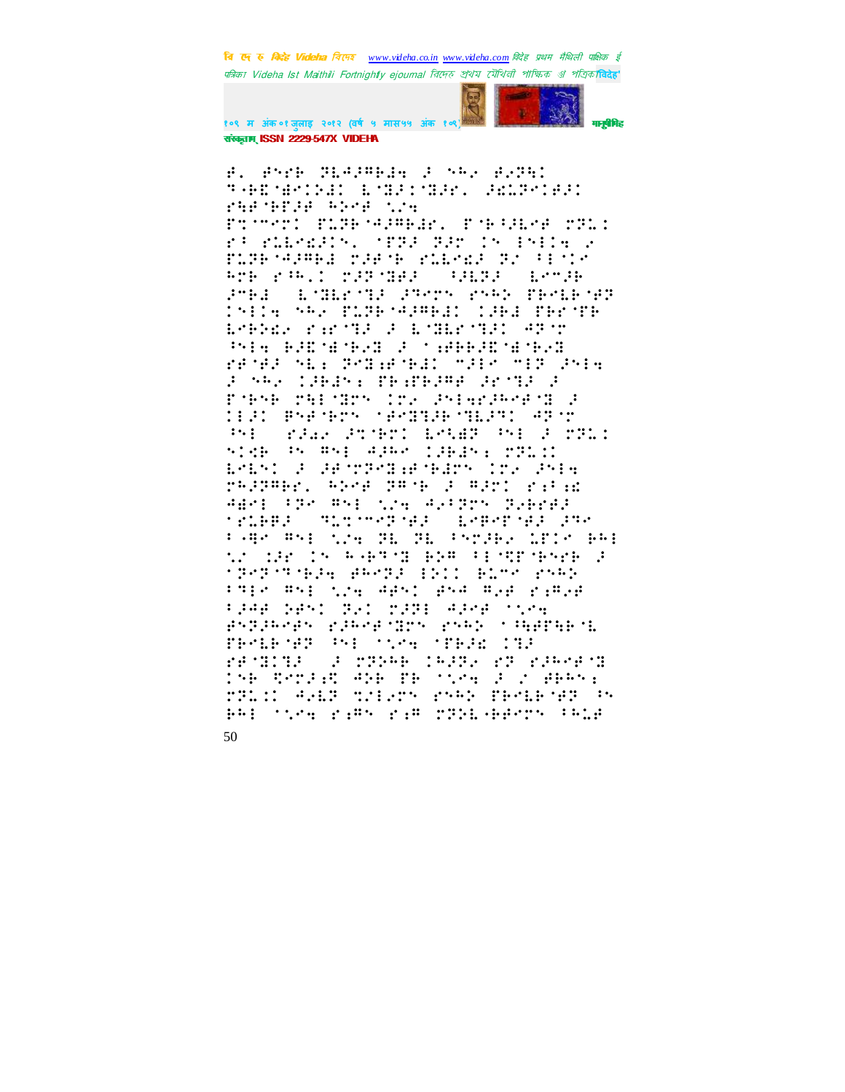

१०९ म अंक०१ जलाइ २०१२ (वर्ष ५ मास५५ अंक १) संस्कृतम् ISSN 2229-547X VIDEHA

S. Prob SLOGHER 3 She S.Ch. **THEMPIRE EMPIREE, PELPOPE** radoric and com Promer: PLPE SPPREAR, PortPREAR 271: ra rubreath, 'PPA PAT In Bhile a FLTE SPIRED THROBOTLETIC TION RTE PARTICIPATES (ANDRE LETAE Pred Council Province Percent 15114 SA2 PLOR SAPART 1.061 PRESPR Breek ranged formation and **PHA BOOKSER POINTED** PROFINED POINTED OFFICIAL PRO a she labase membawa aryon a POPSE THEORY ITS PSEARPHONE P <u> 1121 pyrysydd yr arlun ymlaethau y g</u> and Probel Lough (Si Farin  $3.4\pm 1.0$ STAR IN WAI APAK TERRY MELD ERENT 3 38 MARKEN BENN ING 359. refiers, evening a gard rate Ager the #51 the Althes hibrar **TRIBBS STITUTES AS INTERFERING STA** FOR WHICH HE HE PATHS LEDGER the control with the second complete the second of **SPORTSHER PROPERTY END PLACE PARK** FREE #58 524 4851 854 #28 83#28 FRAME SHAD TAC TRIE ARMA TOMA PSTORARS PORCE MESS PSAN IS HEERE M TEMEPHY PHOTOGRAPHER ITE rending of rober cappy roomsearch SPE RATEER AND TO STAR E 2 STORDAY. rzi: 4.02 triery ryk fenikaz (\* PRI 1574 P.P. P.R. 2008 2001 PRICE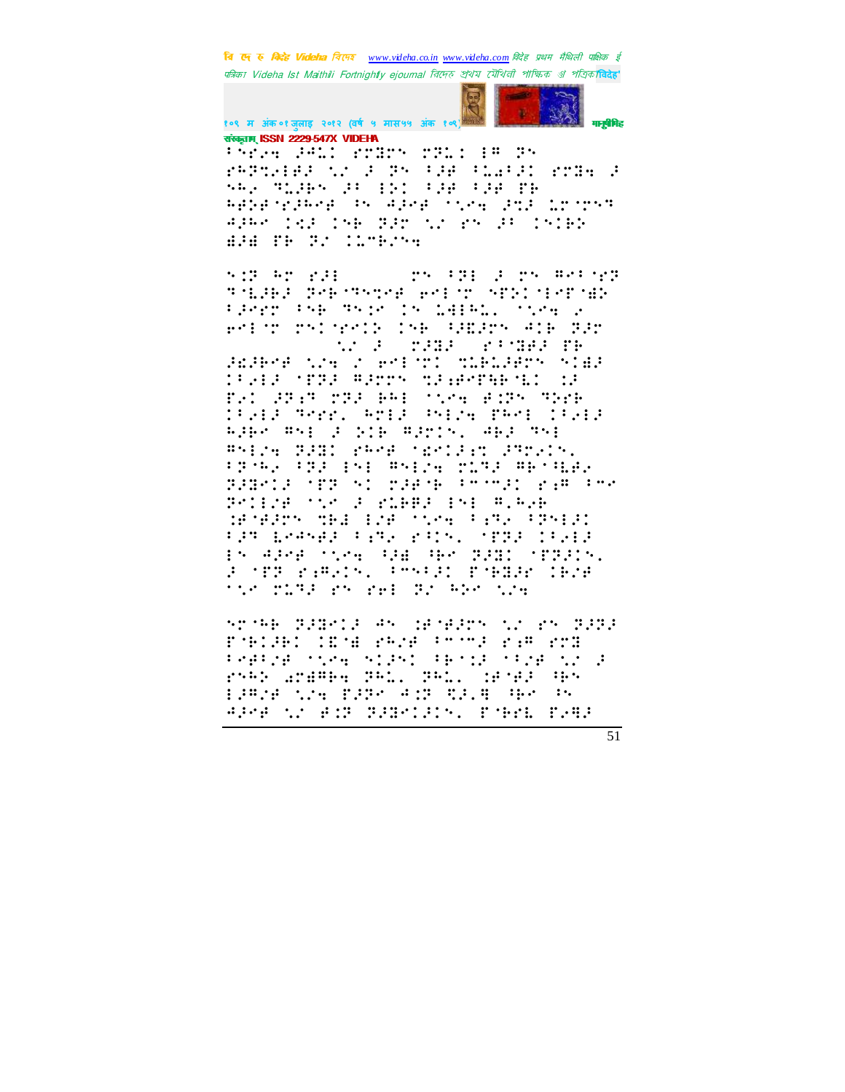

## १०९ म अंक०१ जलाइ २०१२ (वर्ष ५ मास५५ अंक १०९) संस्कृतम् ISSN 2229-547X VIDEHA

Pêrse PALI rrary rali (8 ay PROGRESS OF PUBLICATIONS PORT P SRA MINES AF 101 FAR FAR TR agha glaba las lalba livegladi monos APAR TER THE BREAK ENDIR THIER BREATH RESIGNATION

TWO FILE SUPPORTER 5:20 AP 231 TALABA PABATANYA WALAM APRIALAPAN Please the Shirt in Leith. These a entim rathenik (af Agmara Air 22r WE SANDARE SECTION TO

REPARTNER FARMIT MEDDEN SIE <u> 1943 - Pal Aurry diagraphic (F</u> DAI ARAH MRA BAD 'SAN BARK HANB CEVER Pron. Aner Pres. BARE (ÉVER 8368 #51 3 216 #3515, #63 #51 Brize BJB: PRPE CEPIFER JPDVIS. roma ing isi magaleba mbina. BREATH MED AT BREAK PACHET PARTICU Price through rights in: Alber WHERE THE ENFOYME FIRE FRAIN PAR EMPARA PARA BRIS, SPRA IPALA 15 APM STRA PRESERVIBED SERRIS. a tra ramadh. Annado român îbûn the mass an age Br Whe new

STORE BREATE AN IRONEEN ON PN BRBB PORTABL TEOR PROFITS TO TAIL POT Preside three night series tare nr d robe arange poll poll (speak ups EPRIM WHO FREE AND RRIB (BROOK) APA NO POR PARTIEN, PORTL PARA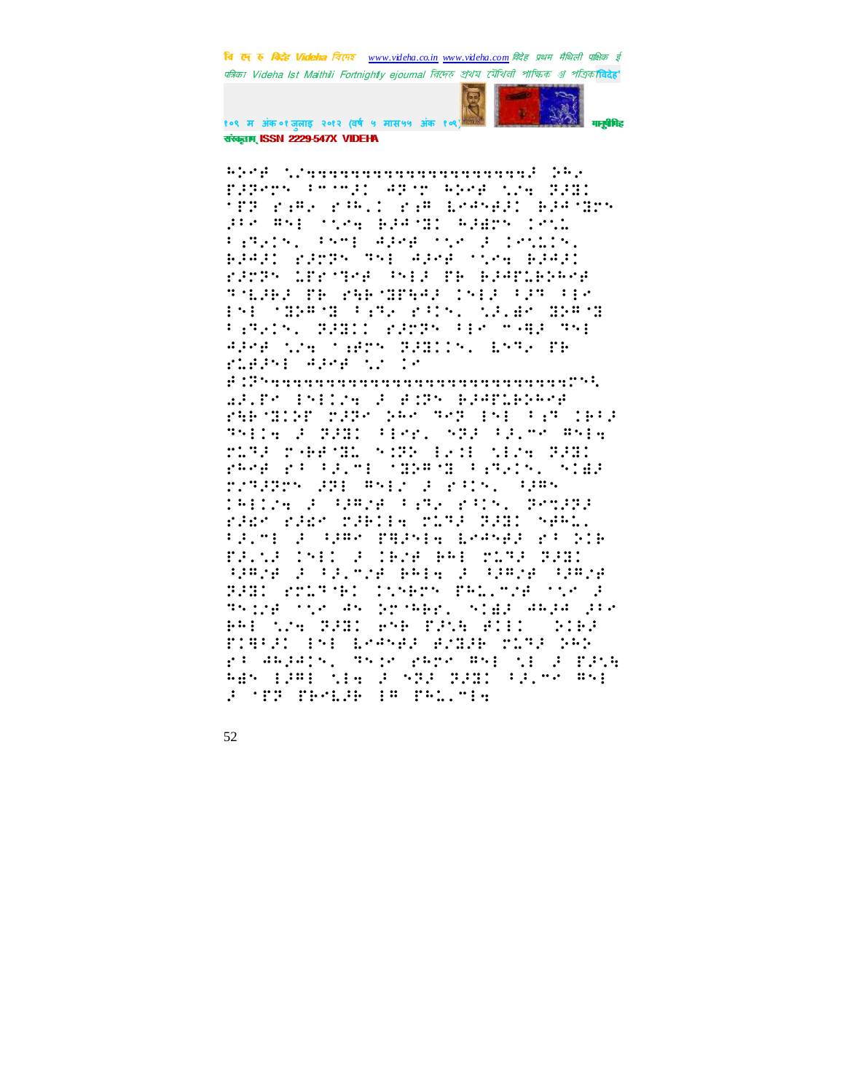

१०९ म अंक०१जलाइ २०१२ (वर्ष ५ मास५५ अंक १० संस्कृतम् ISSN 2229-547X VIDEHA

blet trendenden de trenden FARED POUND ARD REEL WAS REEL tra rask rasji ra breseri pest patr are msi siek bardi Radrs Iett PATRING PATE APPENDING POPULING BRAND PROTH THE ANNA SCHOOLBAND FRONT LEFTING (PHISTER BRANCHDANG) THE THING THE SERIES IN FIRE REPORT ENE MERPORTAGER VAN SCRIPTER EN Pasin, Sami Yarsh Pechana <sup>S</sup>hi APAR NYA TAROM BROIN, AMBA PR riski akce tro

#12544444444444444444444444444 alify 1911/6 2 fun blandboke<br>PARTHING MIRK OKY 992 191 FIP 1852 35114 2 3231 FERE, 532 FELTY #514 risk ræken som bed dire 220 rene ra alum mobemo arele, sida CREDZA JE PJAZA PATV KRINU TRMIRA rar rar rakie niga gag seki FRITE PORPHORBEMENT POST FAILS INED A TEMP PRE TERR FARD SPRIA D'ADISTICA APPEL D'ADRIE SPRIA BABI KOLAMEI INNEON BALLOVÉ SVÝS<sup>1</sup>A Shine the An Spiker, nige Akea jir PH SM SHIP PH TRA BILL SIR FINIS IN LOOKER BIZE TILL THE ri Angals, Tsir rhrr Asi (1882–1825)<br>Ads 1981 (1882–1982–1981–1992–1991) 3 THE HERLIE IN PROJECT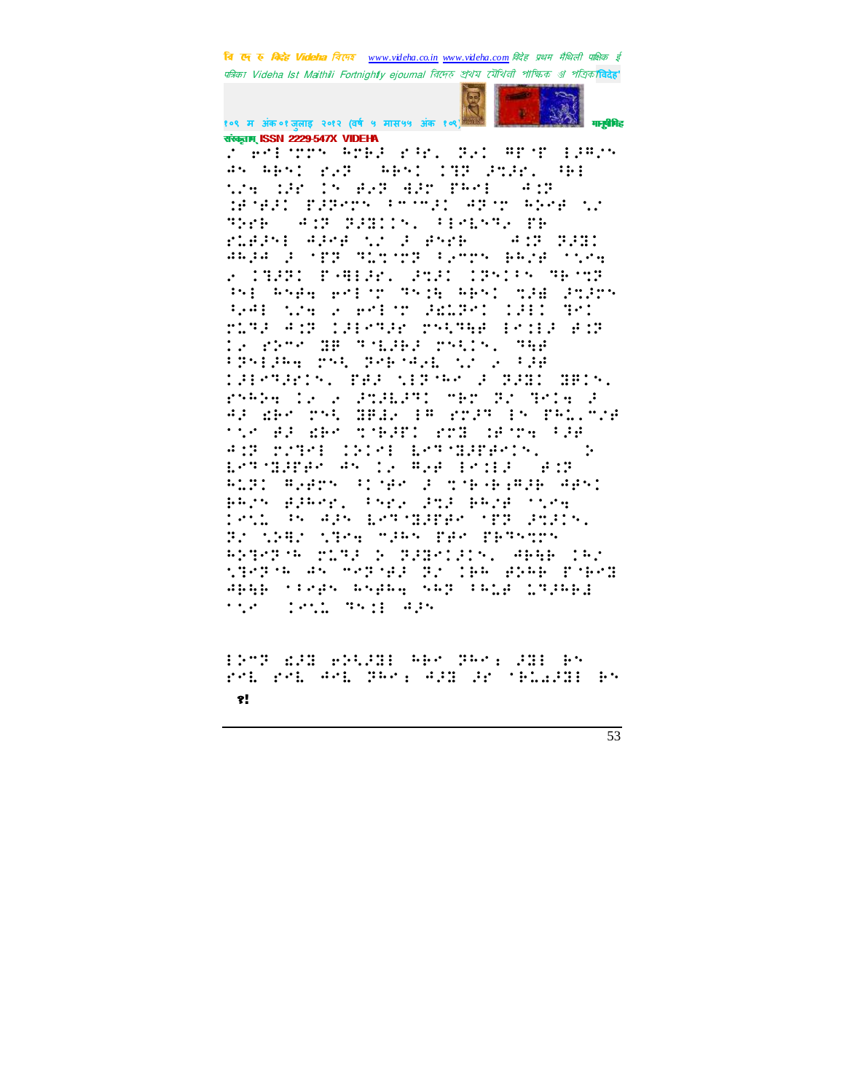१०९ म अंक०१ जुलाइ २०१२ (वर्ष ५ मास५५ अंक १०९)



संस्कृतम् ISSN 2229-547X VIDEHA r éslund anka ran den Arun (ager AN ABNI RAT (ABNI 197 2528. AB) the CBS IN BAR APS PRAIS ANY GENERAL BARADA AMAMAD ARAM ARAB NO The AU SECK HART TH riegni Agne no a gnre (1432-220) ARIA I YES SLOVE FROM BROE MYR a baga famfellged betiklapen ind Ghaa and to this way that didn't APRIL NOW OF BRIDGE SHARPS (1911) NRT MIRA ANT CALMAR MANTHA LANEA ANT Control HE SMEDDE 20015, SAD PERMITE THE PRESENT AT 2012 **THEORY OF STREET AND ARREST SEEM** PARA CROP PERPETTED TRONGER AF ABY THE BELL IF YOUR IN PALLOUR tic AP decorded: 223 detect. APP ade ponad (1919) bonomerecto.<br>Bonomerec ao 19 Agad (2012) ade ALT: AVENUELMEN EUNIPERENTANI BRIN BIRGEL THEY PUL BRIE TICH **Compass Rougher (PP Pulle**) BY NEW NEWS TARK BAY BETHEM RETORNE MITE E PERMIELE ARAB IRV Sisila al Serial Britan prancrava Abab steps begon engineers of the states  $\mathcal{L}(\mathcal{D}) = \{ \mathcal{L}(\mathcal{D}) \mid \mathcal{D}(\mathcal{D}) \}$  , and

**1273 AND ANGUNA MAY THY: AND BY** ren ren 401 dag avd dr (Bigdd) by

 $\overline{\mathbf{S}}$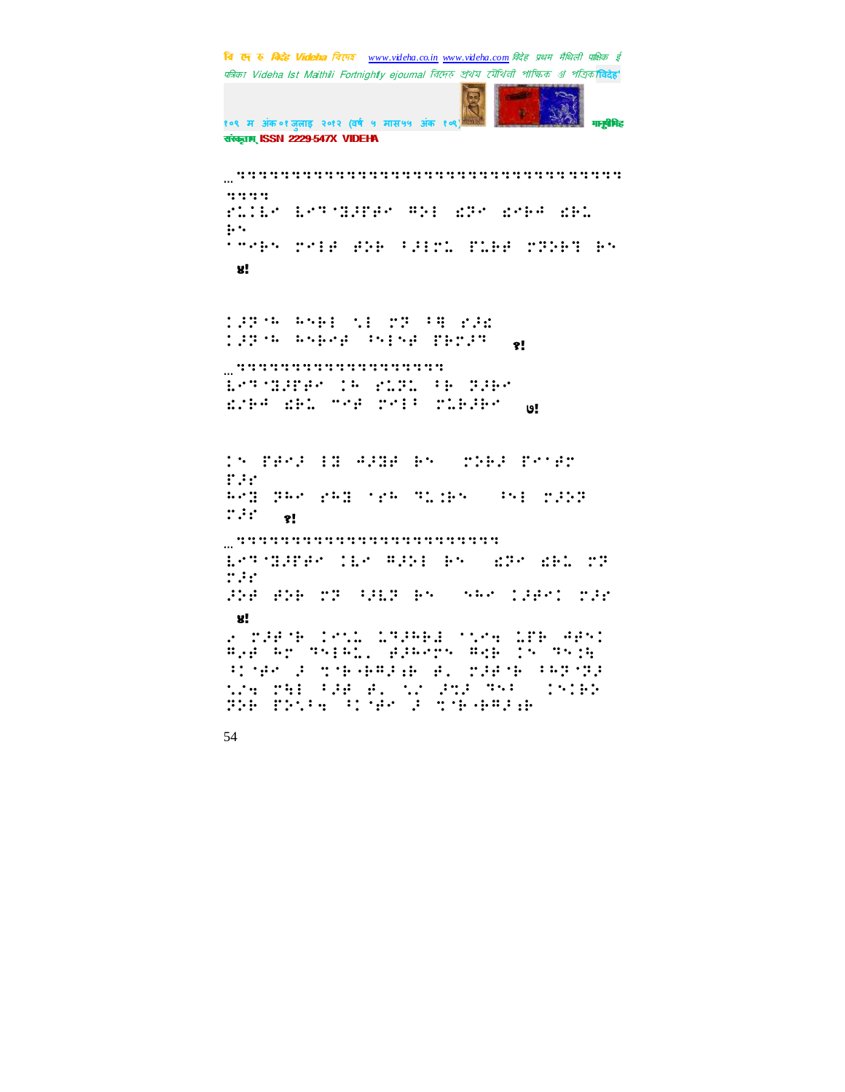KORA KRISTOP DO POSTAJE !وا IN BASE BE ASSA PN ( THAT BY AT r.e Ard dar rad tra Sides (Art rubs  $::::$ -81 ............................... ESTARFES CES WEDE BY WERE WHEN TH  $::::$ and did we use by the taget was 8. 2 THER ING LAPPER MARK LEE ARMI Byd Ar ShiAL, djarren Beb 15 Shib; RIGHT A THREE E PARTE PRITR NG THE FAR BLONG AND THE<br>THE TINES SUGHAL AUTOMOBILITY  $\cdots$ 

........................ ESTMERED IR BLEW IR BER

**THE WARD OF THE PROPERTY** like sake sere morn a

**x!** 

54

 $1:1:1:1$ flie by dure wilde sy ene se  $\mathbf{L}$  . **TORR TORR RIE FRITZ PLEA TIGHT BY** 

१०९ म अंक०१ जुलाइ २०१२ (वर्ष ५ मास५५ अंक संस्कृतम् ISSN 2229-547X VIDEHA



वि एक रु मिन्हे Videha विएक www.videha.co.in www.videha.com विदेह प्रथम मैथिली पाक्षिक ई पत्रिका Videha Ist Maithili Fortnightly ejournal রিদেহ প্রথম মৌথিনী পাক্ষিক প্র পত্রিকা<mark>বিदेह'</mark>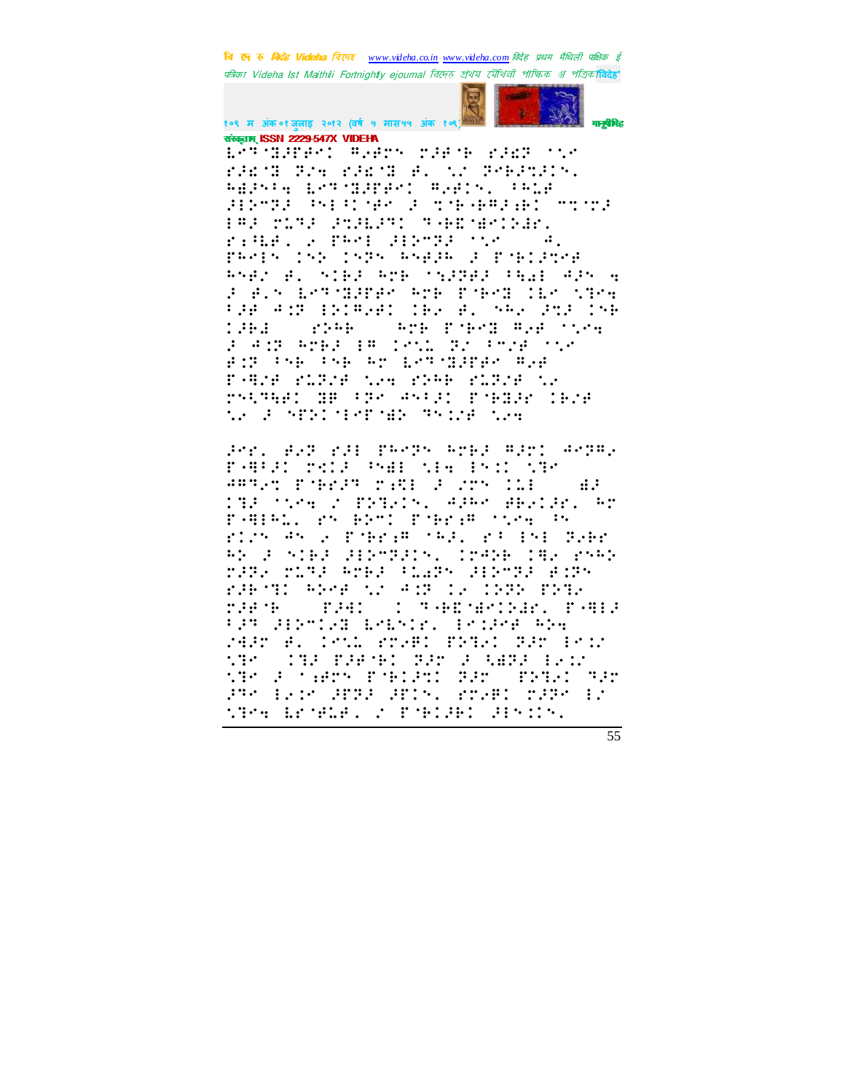

## १०९ म अंक०१ जलाइ २०१२ (वर्ष ५ मास५५ अंक १०९) संस्कृतम् ISSN 2229-547X VIDEHA

LATTERAL BYETH TIETE FIET TIM rara zh rara e trondezhi. MANN ROTHARD BACK PRA **JENSIE PHONOGRAPH-BRIEL STOP** PRESENTE PORTER TARGETER. right, 2 feel diverged by 2.<br>Peers 152 (595 e5926 d forldwe RNAS AL NIBA ROB (NAJUA) PRAI RAN R F B.S LETTERER ATE PORCH (LE 1954 PAR ANT INTRANS THAT AS THAT INE THE **CONSTRUCTION** right - Arb Pobod Ave over a wip webs in jein province the FOR THE THE RM EPTORPER RAP F-AME PLACE NOW PRAF PLACE NO rythe: HP (Pr Ay(): Prediction ta a sheerer may mother the

ang, ayo gai penghungia mago knoony PARAD MADAGAH SERGENI SER ARTES PORCH PARE & CONSILE  $\mathbf{ii}$ . 192 (1954) 2 BDB215, APHS AB2126, AT<br>BABBAL, 25 BDS1 BOB228 (1954) 35 rich de l'Esprimatique de Parr AN SUNIER SENTIFIN, ITANA IRA PAAN MARY MIRA RMBA SIARN ALEMAA BARN KARTEL POPP NO AIR IS INFO TOTAL MACH (FAC C PARTAMINAL PALE FPROBENING EMERICA PRIPE REA 2425 A. (251 ST2A) TRI2I PAT FRI NTR (178 PARTE) PAN A NORA EXIZ<br>NTR A TGORES POBLAND PAN (PNTRD) PAN PROTECT PRESIDENT PREPARENTS MPH EMPLE, Z PORTED HANDA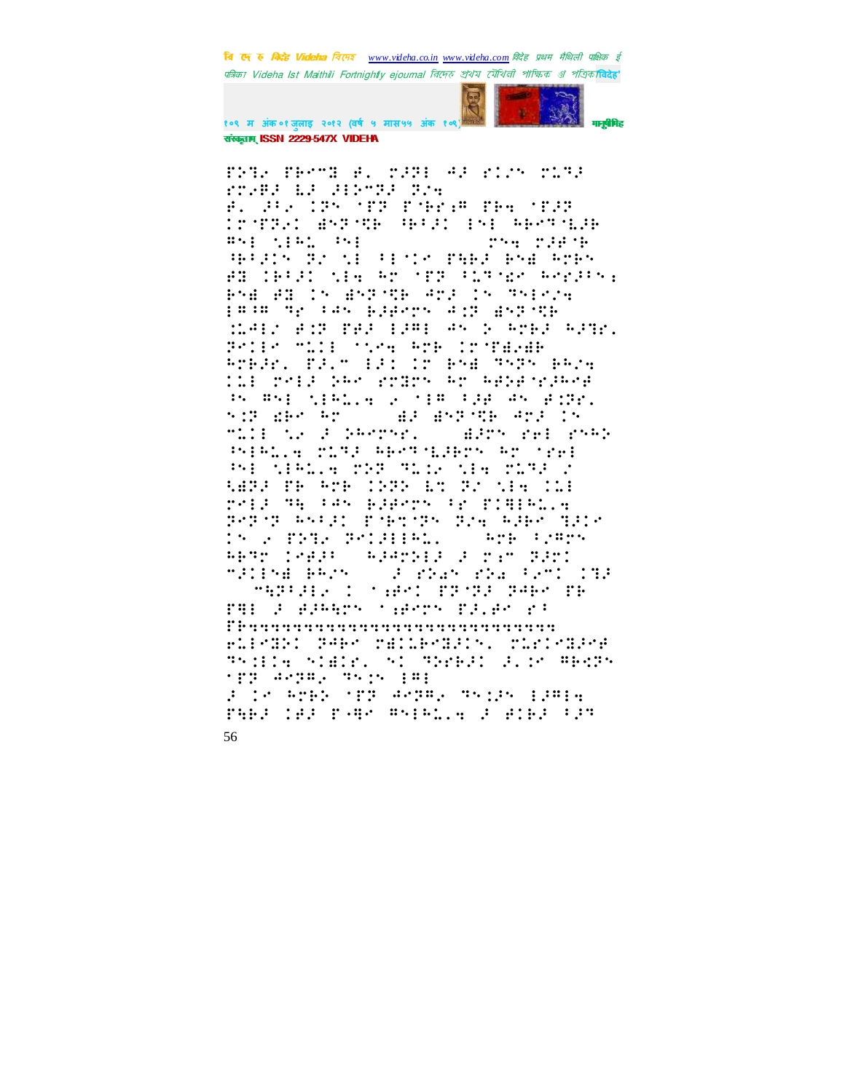

१०९ म अंक०१ जुलाइ २०१२ (वर्ष ५ मास५५ अंक १० संस्कृतम् ISSN 2229-547X VIDEHA

COM TRYS A STORE AR SIN SIN **PT-PP LP PINTER RIM** B. P. TRACK STROEPER THE STAR **ITTEL BYTTE BEEL DE BESTALE** The TPP 18 HERIN BY NE FENIX PARE BNA ANDS FISCHER MER PROTEE ELTAR PREPAR Products and the service of the serve pain ng tao pipero ain aongn MARY BOT TEA RATE AND SOMER WATER Polic mill the AME INTERNA Arbar, Balm 13: 12 bha 7535 basa TIE PALE SAA FRINK AP AASANFIAAA dirk rel rykk mill is a parrer. Principal State (Rectablest As State) PH SIRLS NOT TOO SIR MOTE ? tang on any 1989 an ar the Cli report the complete of films. Province and province the second province IN 2 PRB2 PRIMING, COMPETING ABST 1983: ASATSIS S Tim R2T1 mating each () a phan phá féil tha MARIJEV I MARIJ PROR RANK PR FAIL 2 B2PACK TEPCH FALEN PP

Alistant Mike Miller Marshall and Miller Thill hidden at Thebal (also There \*rp acpm, ms;s (m)

a tr'hret 193 Arge, Skiak Bage, PARE CAR PARK WHEN, A 2 ACRE FRY 56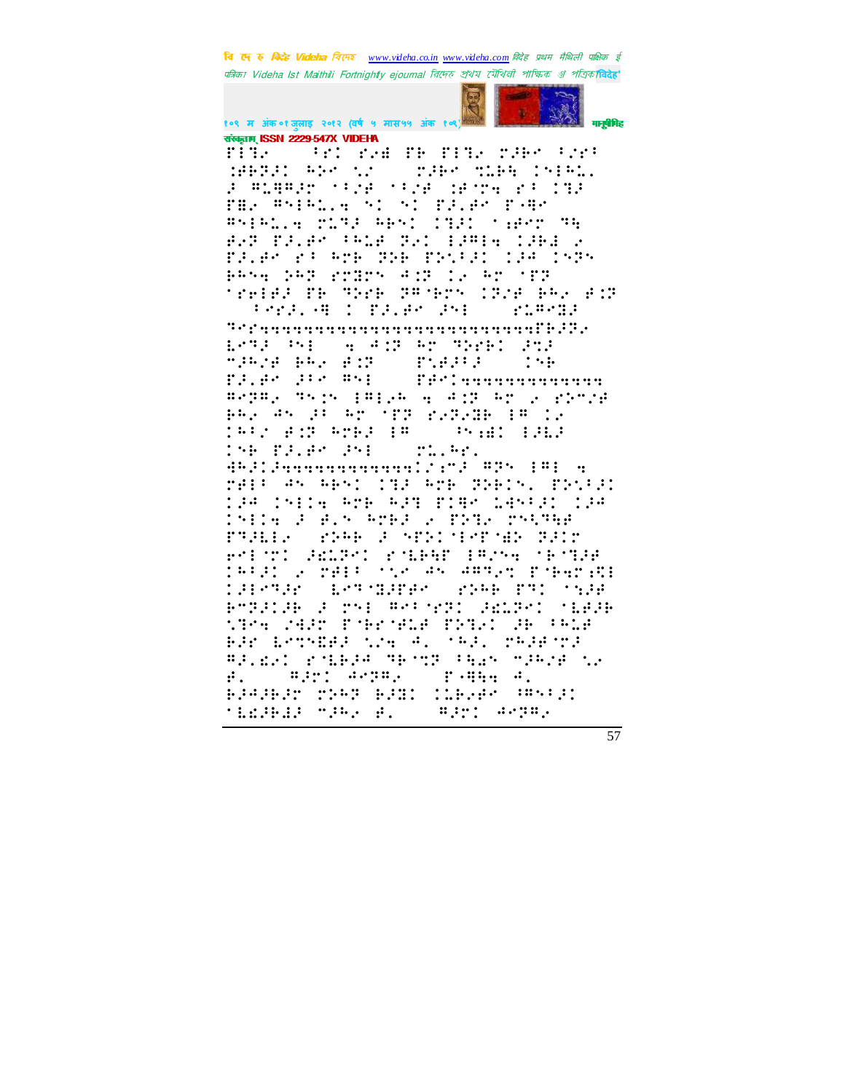

१०९ म अंक०१ जलाइ २०१२ (वर्ष ५ मास५५ अंक १०९) संस्कृतम् ISSN 2229-547X VIDEHA

MIL (FM) MAR TH MIL MARK PAR MARRI ANY MAY SERVING INDUSTRIES a Algear Streetze (Brownetter PASSAGE SI SI PASSAGES #SIRL.6 2173 RESI (1831 T.Acr 78 BS DIE MARTIN DIMENSION PALAM RA AMA TWA PWARI (184 1575 8854 382 22325 432 12 82 533 treded the Three TRING CTICE ARD ACT

PREDGE I BELAR INE - PLANER EPSE PHI A AND AP SPEED PUP TAGA BAYANA ( PARAMA ( 198 Plier Bir While Begay dere (Biya a Ang ar 2 mbreg pal las di ab cre blezhe im th tern and energy in the search and Seb Bl.Ar (89) **Controllering** 4621244444444444412172 #25 1#1 4 rela as Absi (192 Arb 2001s. 2013) SA INTE AME AST TIME LENGT  $\cdot$ : Min Park And Post nother PRAIL SPAR 2 MPD SPP MB RAIP PALAMI SECRET PALEET IPANG MEMBIR (AFIL) 2 MAIR SN2 AN AASAS PSBAMARI **ALTERNATIVE STAR PRI** e distribution.  $\cdots$ PORTIA LE PARTAGE GRIEGE SIGN STOR 2435 FORCHLA PRT21 3B PALA Bar Enghaad was A. (Ad. gadanga BRIEN PALERA SEMITARE SPRIES LE  $\mathbf{a}_1 = \mathbf{a}_2 \mathbf{a}_1 + \mathbf{a}_2 \mathbf{a}_2$  $\mathbf{r}$  .  $\mathbf{r}$  .  $\mathbf{r}$  .  $\mathbf{r}$  . BJAJBJM MYAT BJH: CLB280 (WHO)3 MEDDED MORE B.  $\left(0,1,1,1\right)$  , and  $\left(0,1,1,1\right)$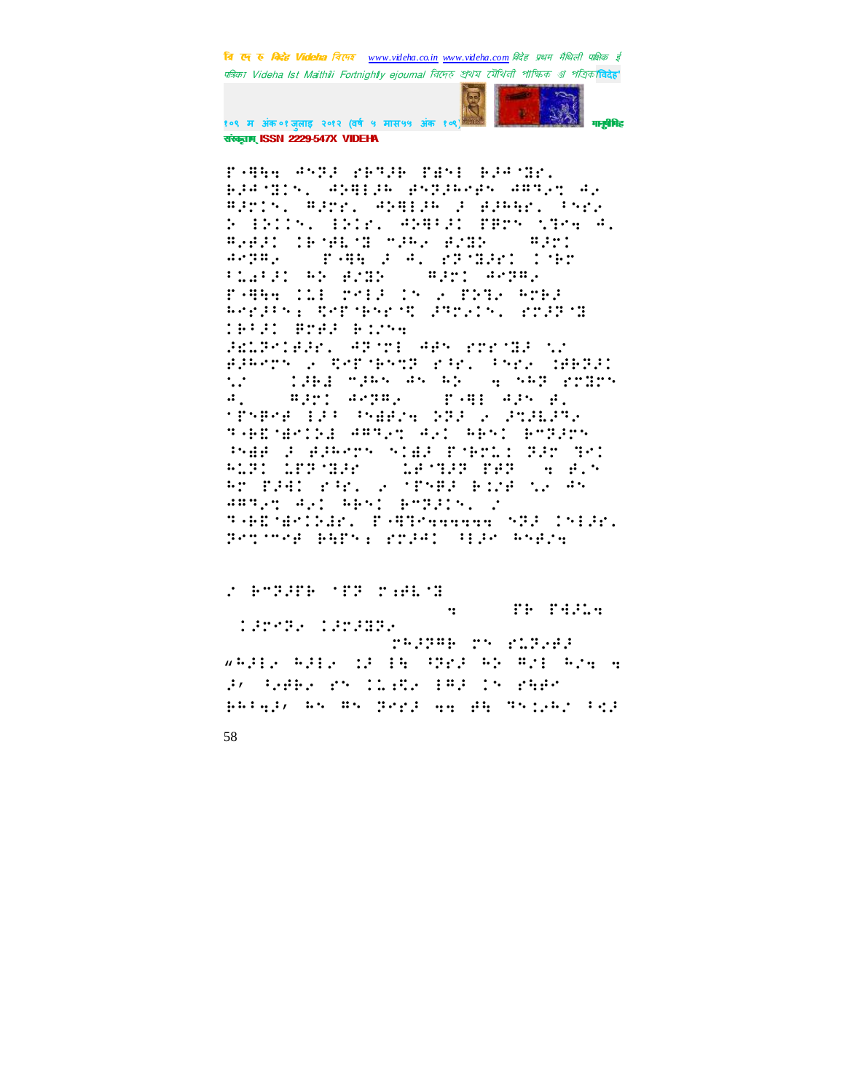

१०९ म अंक०१ जलाइ २०१२ (वर्ष ५ मास५५ अंक १० संस्कृतम् ISSN 2229-547X VIDEHA

rame ands sense rand esamas. BJANIN, ANGULA PSIPANGS APSAN AL #3515, #352, #54134 3 #3442, P52. S BICS, BRIE, ARAGEI BARR NAMA A. **BARI IBMEMS THANKING SHIP!** , pame a 4. epimae: Cièc  $\mathbf{a} \cdot \mathbf{y}$  $\mathbb{R}^2$  :  $\mathbb{R}^2$  :  $\mathbb{R}^2$  :  $\mathbb{R}^2$  :  $\mathbb{R}^2$  :  $\mathbb{R}^2$  :  $\mathbb{R}^2$  :  $\mathbb{R}^2$  :  $\mathbb{R}^2$  :  $\mathbb{R}^2$  :  $\mathbb{R}^2$  :  $\mathbb{R}^2$  :  $\mathbb{R}^2$  :  $\mathbb{R}^2$  :  $\mathbb{R}^2$  :  $\mathbb{R}^2$  :  $\mathbb{R}^2$  : **PLANSIONS RESIDENT** PARA CLE MAIR IN & PRIS AMBR Replace: September Streets, Prestop **THIS BYAR BING** BELTYING ATTE ARY PRETH 12 PRODUCT START ROOM AND A SEARCHER the space and and a napossing  $\dddot{\phantom{0}}$ age: Arport (1941-425-4)  $\ddot{a}$ . 'PSPSE (2) PSHERW 222 2 2526292 THE GRIEF WHIPS WAS ARRESTED. PAR J RUPATA ATES PAPILI PSP BAT ROS OSPARA (ORASSER SE AGRA RO PART PART 2 SPARA RIDE NA AN assign all specifications in THEMSTON, PHYPHHHH STE INDE Prochre Bars: 20241 H.P. RSB24

**THE PAPER**  $\dddot{\bullet}$ 135-72 135383 TRUPPE TR SLP.02 wedia edia id in 9910 ed edi edu u 3) Gebe ry Clebe 193 (n raby parally as my performances welless rep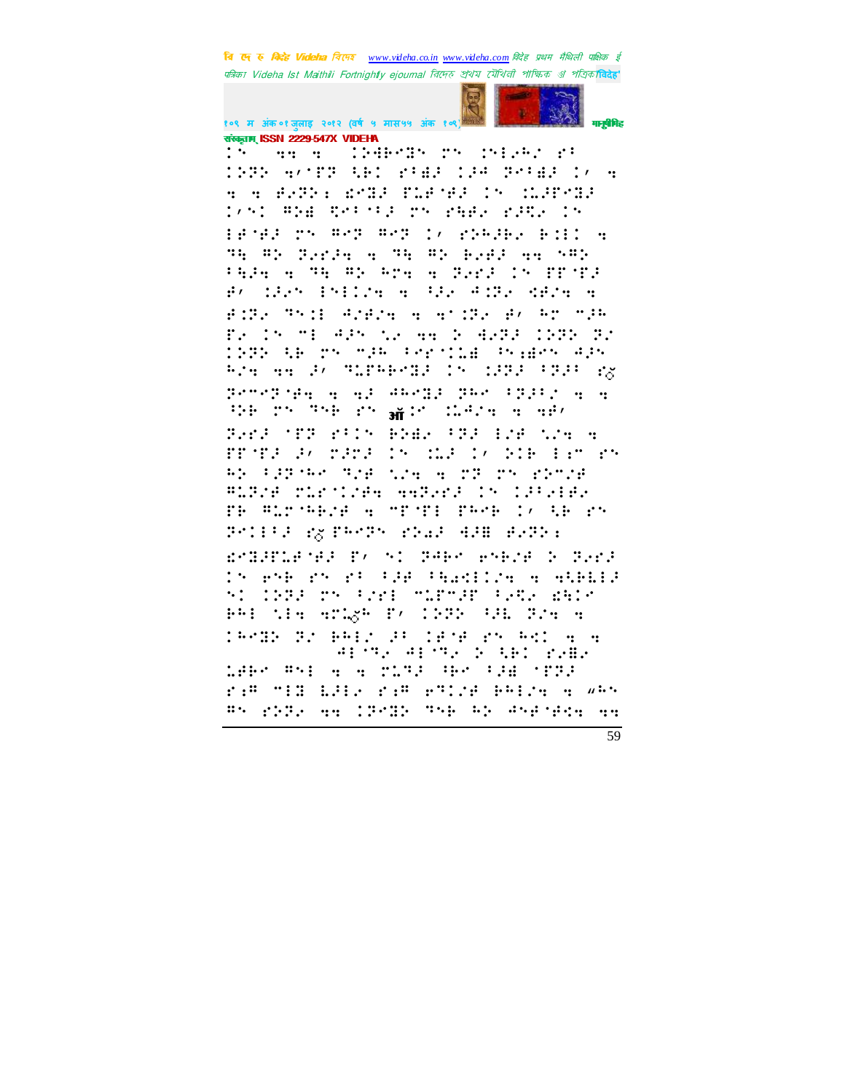

१०९ म अंक०१ जलाइ २०१२ (वर्ष ५ मास५५ अंक १०९ संस्कृतम् ISSN 2229-547X VIDEHA

an a liberary ny pirez pr  $\mathbf{L}$  . 1995 g/f9 GB1 2002-120 90002 1/ g 4 4 FRIDE SMID PLANED IN MURMID DAY ANE RESERVE PROPER BARS IN EPSER TS RST RST IV PRAIRS RIEL 4 TH AN BRIEF A TH AN BREAK AN NAN this a me my brain flere in Frynt Facility Ending a Girl Addisonation a BOY THI ANDAL A ANCOR BY ME MOR For the million of an absolute that The 1985 AB 25 MAR PRESIDE Product APR Roman By Tiperdik (n. 1922–1921) Ry Prospera a al Amedi Phr (Plf) a a The constant of mich different and FARA TER RAIN BREAK ARA BIG NIGHT FROM BOOTH IN MACDO PIRCHER AP PERMAN ROB NOW WORTH TO SPOOF WIRTH TIME INTO ANTARI IN INVENSI TE RICOREIS A MTOTE TRAF IV AR 25 BOILE REPORT PROFILE BOIL RABATLENEA TV NI PARA RNRIE D'BARA The philosophic Page (Page) Independent MI TRE THERME MITMED FREE WHICH PRESSER ANAGR TV CORP. PRESPICE A TRANS NO BRID OF TEMP PROPERTY AND Althoughts & March 2000 LARK AND A A MISS ARM FOR MESS

ram mil baia ram entre Beire e wer Br 2002 as 1928 Step by Anglesa as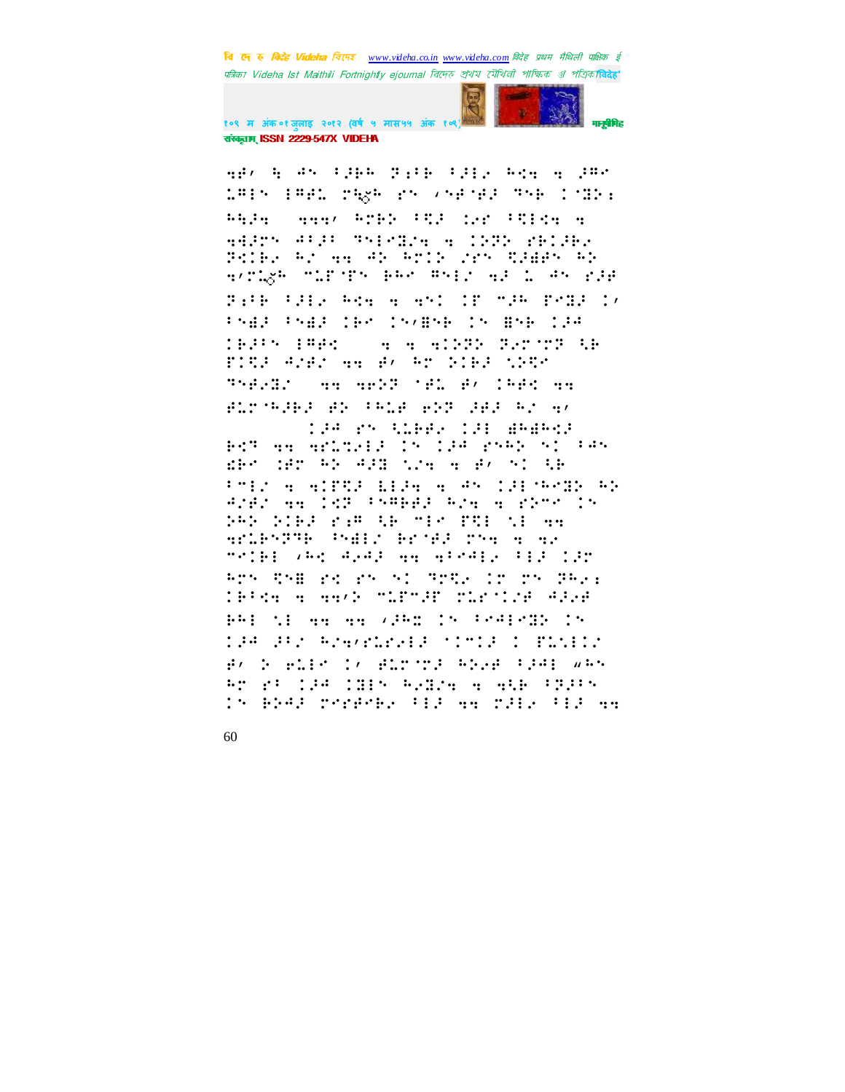

१०९ म अंक०१जलाइ २०१२ (वर्ष ५ मास५५ अंक १ संस्कृतम् ISSN 2229-547X VIDEHA

ga, a shi ngan pina ngosi nga gigan LAIN PAC MEN PROVENE AND LONG. Ahin and Arbb Oli the Olive a ARRES ARRESTMENDEN ASSERDERER Belby Ar ag Ab Arth Yes SPARK Ab AUTOMOTIVE PRODUCTS AND LOAN PIP Path this how would not memorially PAGE PAGE THAN TAVEAR TA BAR TIA 1935 1986 - A A A1232 32272 58 FIRE ANAN AA A, PM DIBE NORM Theody an applicated by their an RITORIES RY TRIB RIT DRI RY W/ tid ry time, the damage Bet as animals in the root of two der der Ab Add the A B, MI te Pris a alformation a stock medical ANEN AA LAT PSABEE RNA A KNSS IS 949 9183 8.8 MB 718 FTI 11 AM arlengge gnatz erneg zha a ar media (Ag AlAl aa afeAll fil Clr age than an an eighting in geopal. IPERA A AAVE MIEMPE PIRTIJE APVE PRESSENT THE VARD IN PRAERING IN 194 av Argynnels (1918 1 Blill) B, P elle ly Blrond Whee Code who Ro et 194 1885 Remove alabe (2005 15 BD42 predrik (113 An oliv (113 An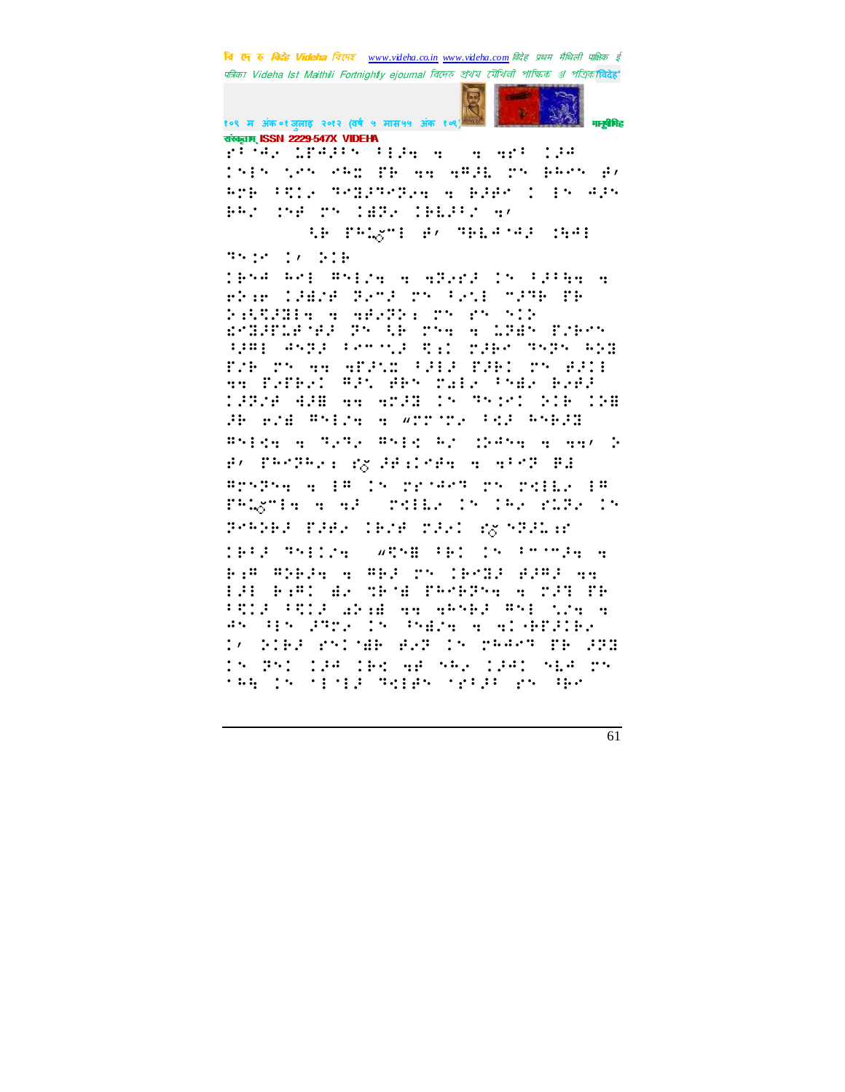

## १०९ म अंक०१ जुलाइ २०१२ (वर्ष ५ मास५५ अंक १०९ संस्कृतम् ISSN 2229-547X VIDEHA

alèg drepo piggog constant pe Infr von cho de ee eAd. on BAch B. age (egg) seggsegge e egge jogs ags PRO INFORM THREATHER (9)

AP PROMISE ANDREAMENT INFI 75.16 IV 2116

1954 And Andrew Albra (n Falba A FRIE CHANN SPORTS PROPERTY PARAGON NASARA DY 25 SIP BRIEDS YES THE THE WEIGHT DIREN BREAKTRACHEMING TELL MIRE THIN AND FMB TH AR AFFICA FFILE FIRE TH BILE es Calbal Agy Aby Mala (Sda Bad) 19828 498 44 4298 15 75151 516 158 We est Antist to whomself at Anexa Bridge a Sama Bridge by Cabra a and h B, PROPRIE EX SBILOPA A APORT BE Bragan A 18 18 research an release im PARTE A AP STREET IN THE PLEASE POPPER THE CENE THAT M& MPHLEM TREP SAILER (WIND FRI IN FOUND A B: # #SB: A #B: r> 1B-32 #2#3 A. **131 Bim: Ar thid Philiphe & 239 PR** POIP POIP WHEN HE HAMPS PAINTER H allas Garl In Hara a acampian D. MER PRIME BAT IN TRACK TE 273 in Philips (Pacific Additional Company)

raş te rinist melle reflexiyetin en ale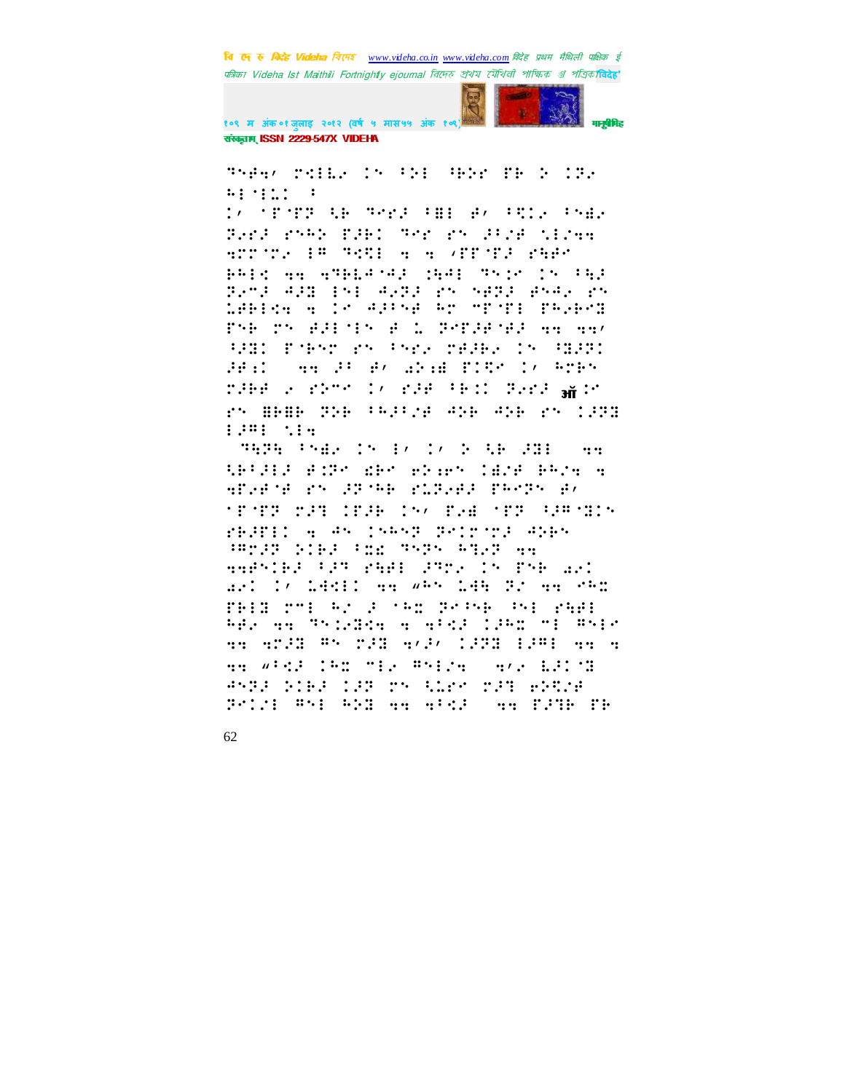

१०९ म अंक०१ जलाइ २०१२ (वर्ष ५ मास५५ संस्कृतम् ISSN 2229-547X VIDEHA

These relax in the Her Te 2 172  $1.1 \cdot 1.1$ 

DO TETER AR TEXA PHI AN PRIS PARA Band and S. Band The an adapt tires APPORACIE PARI A A VIDORA PARA PRES AN APPEARMENT MAN (1971) PRES Bend Add this Aedd an nadd anae an LARING G IS APPAR AT TEST PROPOR Pressure addition and concellated and any BED PORT PROPERTY THEY IN SHEET **AN PUBLICATION IS AND**  $\frac{1}{2}$   $\frac{1}{2}$   $\frac{1}{2}$   $\frac{1}{2}$   $\frac{1}{2}$ THE 2 STAR IN SHE FEST TREE WIR rs Abab 200 (bliring and and rs 1923  $1.391 - 1.14$ 

**TAPA Pray in By I, I RE SHE**  $\cdot$  :  $\cdot$  : thill edge dre propried idea brown APSAMA PROSPER PLPSAS PREPROA **MEMERICAL SERVICE CONTRACTOR CONTROL** respect a second province spec ingga ying ing asas naggalan HAPSIES FST PARE STREAMS PHE WAS arl 17 Ledin as why 188 Br as rho PRIN THE AT J SAT TRIAL INE PARE Age as Things a about 1962 milesio 44 4238 AS 238 4737 1388 1381 44 4 HH WERE THE MED WHERE THE EARTHE ANDE DIES IED TN ALTE TED FORTE 30121 #51 #53 AA AF32 | AA B236 B6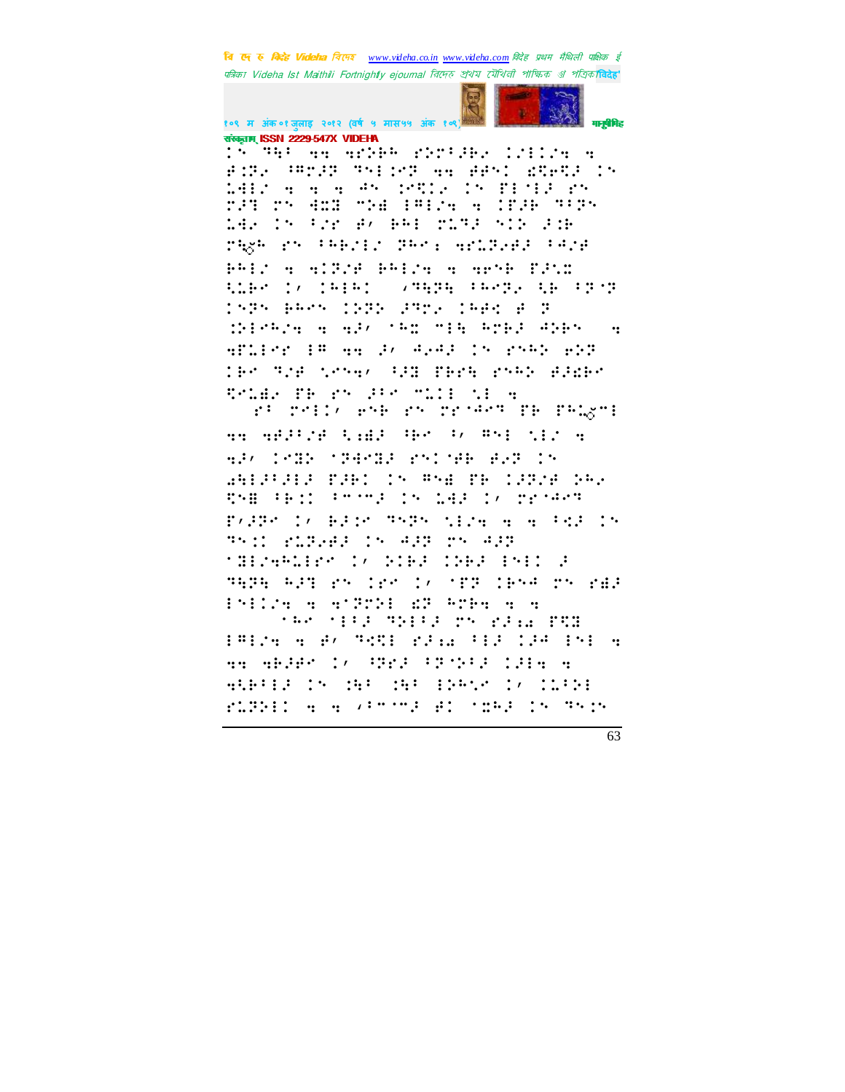

१०९ म अंक०१ जलाइ २०१२ (वर्ष ५ मास५५ अंक १०९ संस्कृतम् ISSN 2229-547X VIDEHA

15<sup>1</sup>946 aa arbee rockles 12112a a FOR PRIP THERE AN PRICE STATE IN LARY A A A AN SHRIP IN FRONT PN 735 75 423 756 19174 A 1038 9335 142 IS FOR 87 BRE MIRE SID 21B rage and teacher dens arbuiced term BRIS A ACTIVE BRISA A APPE FRID the Loter (Server) then the server 1535 BRAS 1232 3352 1886 B 3 DISPACE ROBERT CROSSER ROBERT REPORT APLICE IR AN JULANI IN PARK AND TER THE NAME, SHE PERE ROOM BREAK Solar BB and Alondia the FROM THE STORY TO THE PROPERTY

44 483128 LAGE ART (2018) 112 4 APA TROS SPAROS PRISED ARR IN ANIFATA PART IN AND PROTABLE SAY ENB FRID FOOTA IN LEASE ASSOCIATE FARRY 18 BRIDGETSPACHING ACHIEVES This runger in App rn App torneler is pier iner 1911 2 THER RET PROJECTS TER IRRAINS PAR 191124 4 412231 AZ POPA 4 4 **TAR MILL THILE TH' FILL TTD** 18124 4 87 9451 2214 912 128 151 4 es ekler 17 Ship (Price 1864 a AND PERSONAL CONTROL PROPERTY AND CONTROL PLENIS A A COMMUNICATOR SERVICE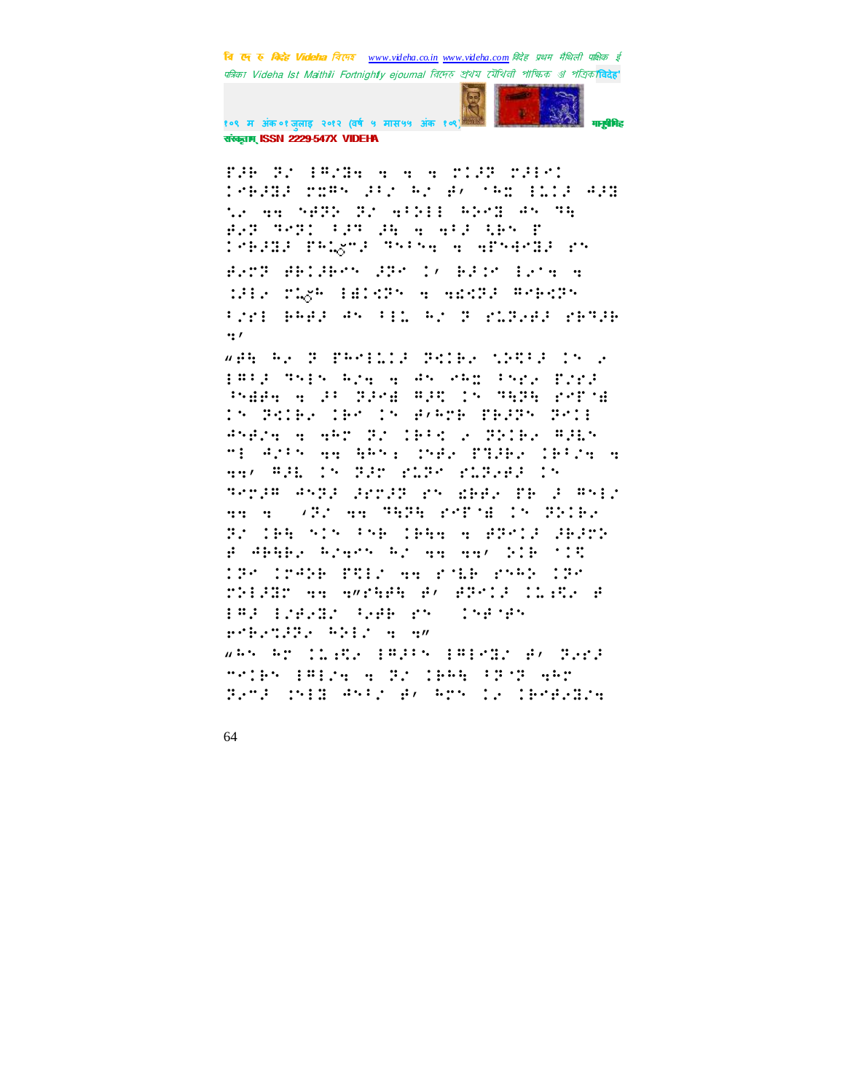

१०९ म अंक०१ जलाइ २०१२ (वर्ष ५ मास५५ संस्कृतम् ISSN 2229-547X VIDEHA

CONTROL COMMANDER CONTROL TREADED WWW. ARM AN ART PAW BILE AND trong 58% Storibil Abdicas Ma BST TET IST SE A ALS NEW T 186382 Physic Serve a aPraggi pr BATE BELERY SEMILY ESTMILITY 1912 Might Balady A Adddl Arbedy Frei BABB AN FIL Ar 3 righed regge  $\cdot$ .

web by B Photocal Bochy (SRIP Chile para dependencia de campo rensidenta Problem and Partial Rand to Sapa Problem 15 PRIES IES IN BARB PEARS POIL Andra a akr 22 lb:4 2 20162 A.H.N mi Azir aa Akri chez Plikz (kiza a HAZ WAR IN TAT PLTP PLTPAR IN SeriA Angl lerig en dels fe l'Annis aa a (17) aa 7626 eenta in 2016. Brithe Sis Complete a BROID BROOK a Abbby Azyrs Az ag ag, SIB 115 **CPP CORDE PRESS AN ESSEN CRAW CPP** rdidh aa awdeb e, dholi lich e IPS EMPRIN PREP PRO INFORM who ar chank impose impone as nord MAIRS INENS A SU IRAN (STIP ART Band (SIB AND) By Ron Ia (BrBaBin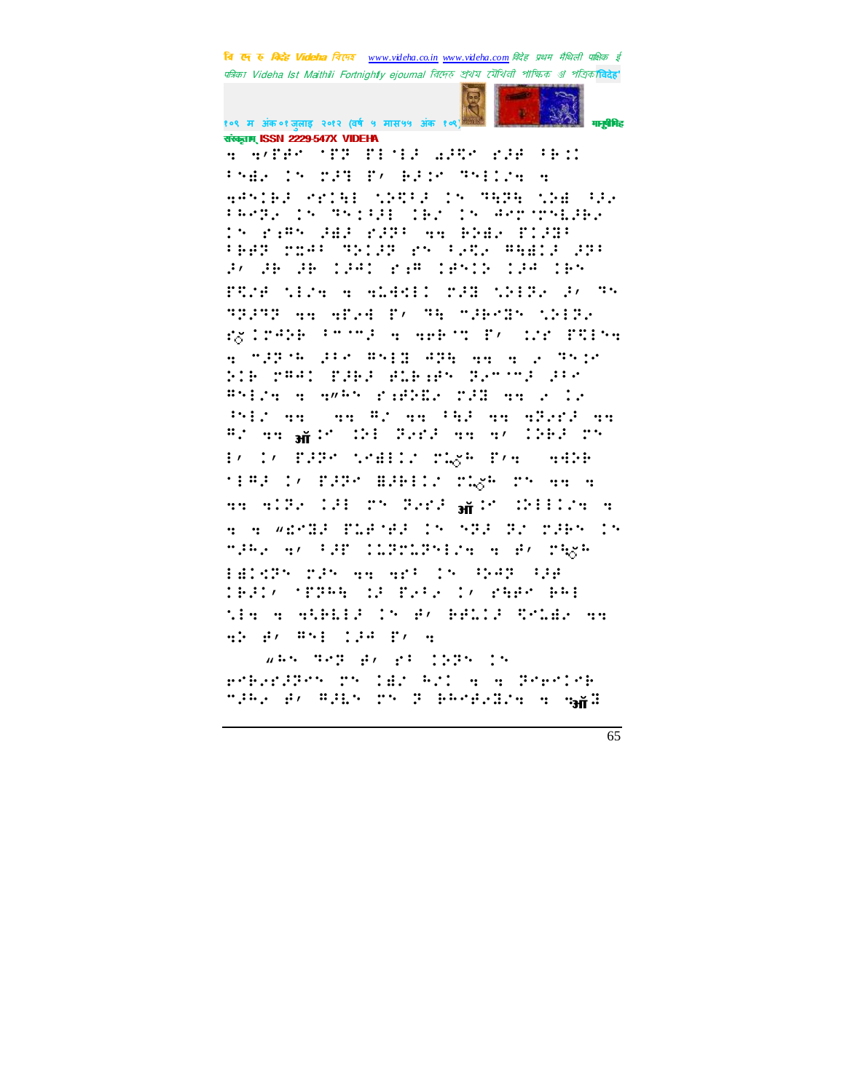

१०९ म अंक०१ जलाइ २०१२ (वर्ष ५ मास५५ अंक १०९ संस्कृतम् ISSN 2229-547X VIDEHA

a avres srr resea ann ann nell Press in the 1970 By Bank Shelling a 445183 SPIRE SPEED IN THIR SPECTIV PRODUCTS TO PRESENT THE SOUTH TENDERS 15 FARS 282 F223 AN E282 F1233 **FRAN 2008 STIRE 25 FRAN BRAIN AND** F. FR FR 1941 PAR 19515 194 195 FRIE NICH A ALANIC MIR NICH (3) TH WESTER AR ARAGEY THE MIRRIN SERIE EXISTEN FOUND A APRIL TO LIST FRENA a nggal pro mang aga aa a piloton BIB 2841 BIBS BLB-BR B25753 BBK Price a ambro radidly 200 and cole Pris and an As an Philar Alvil an Bright Windows British and av 1963 die EVILV FRPM SMEETINGS FOR SHERB 1982 I/ P225 B2B112 M28 MM HH H HE WIRE IS TO REPAIR TO INTERFACE HOR WESTER PLACES IN NEW PROPERTY make all the conditions and complete Editory with an art in ther the TERV STREET OF TARK IV PERS ERE the e elbaid in B, boild Crime es  $n_1$ ,  $n_2$ ,  $n_3$ ,  $n_4$ ,  $n_5$ ,  $n_6$ ,  $n_7$ 

 $\sqrt{4}$  and  $\sqrt{2}$  and  $\frac{1}{2}$  and  $\frac{1}{2}$  and  $\frac{1}{2}$  and  $\frac{1}{2}$  and  $\frac{1}{2}$  and  $\frac{1}{2}$  and  $\frac{1}{2}$  and  $\frac{1}{2}$  and  $\frac{1}{2}$  and  $\frac{1}{2}$  and  $\frac{1}{2}$  and  $\frac{1}{2}$  and  $\frac{1}{2}$  and  $\frac{1}{2}$  and enbeddynn on led act a groening many as wait my postaged and wall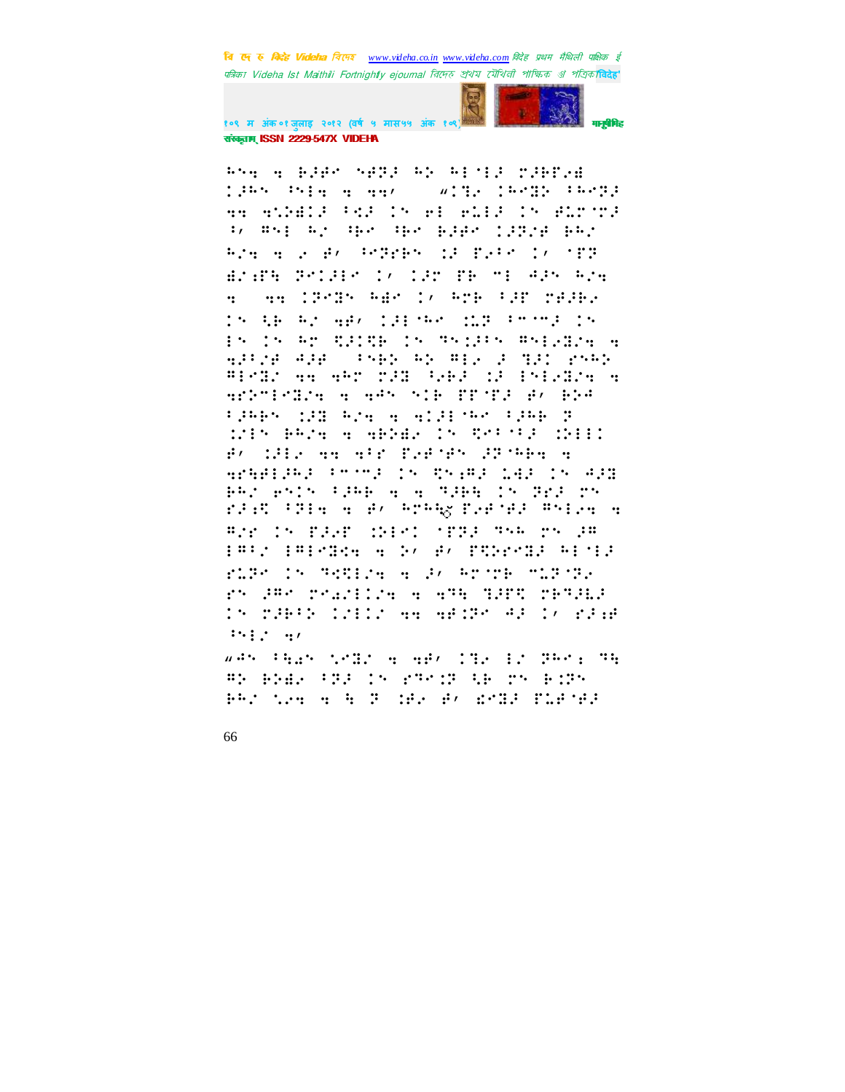

१०९ म अंक०१जलाइ २०१२ (वर्ष ५ मास५५ अंक संस्कृतम् ISSN 2229-547X VIDEHA

Region Baar ears An Alvia rabba 1965 Piece Amy ( WIDE IGNIN FRONT es enhald this in el ella in Alpora a, msi ny ano ano njeo jihin nny Resource By Policies of Personal Str BOSTA PRISER IV IST TE ME ASS ADA An ISRN WHAT, WHATER SERVICE  $\cdot$ . IN AB AS ABY ISBNA 103 FOOT IN EN IN AT REIGH IN THIERN FHEATING APPEAR AND COMPANY AND AND COMPANY WERE AN ART THE BARB IN ENERGY A APPERING A APP SIE TESTA BY BDA PARENT SAN ALLES AND START START START OF the Bright School of the Constanting School By SHIP an ald Define SPIRE a APRELIAN FOOTE IN THIRD LEADER AND PRO PAIN FORE A A SOPRA IN PEO DN rach (Fale e d) Arang fields andies e Bre in Face died offal BnA proje FACK TATAGAN SA BA POSSAGE ATAL FLEATIN RACEIN A J. ATTER TLETER rn der rrachten Ausgestätt resold In MARPS INITY AA AANAMA IS IS BAAR  $35.32 \div 27.7$ 

wer farr will a aby close change the #2 B2d2 FP2 IN 278.27 RB 2N B.27N PROGRAM A POSPER PORT PLACER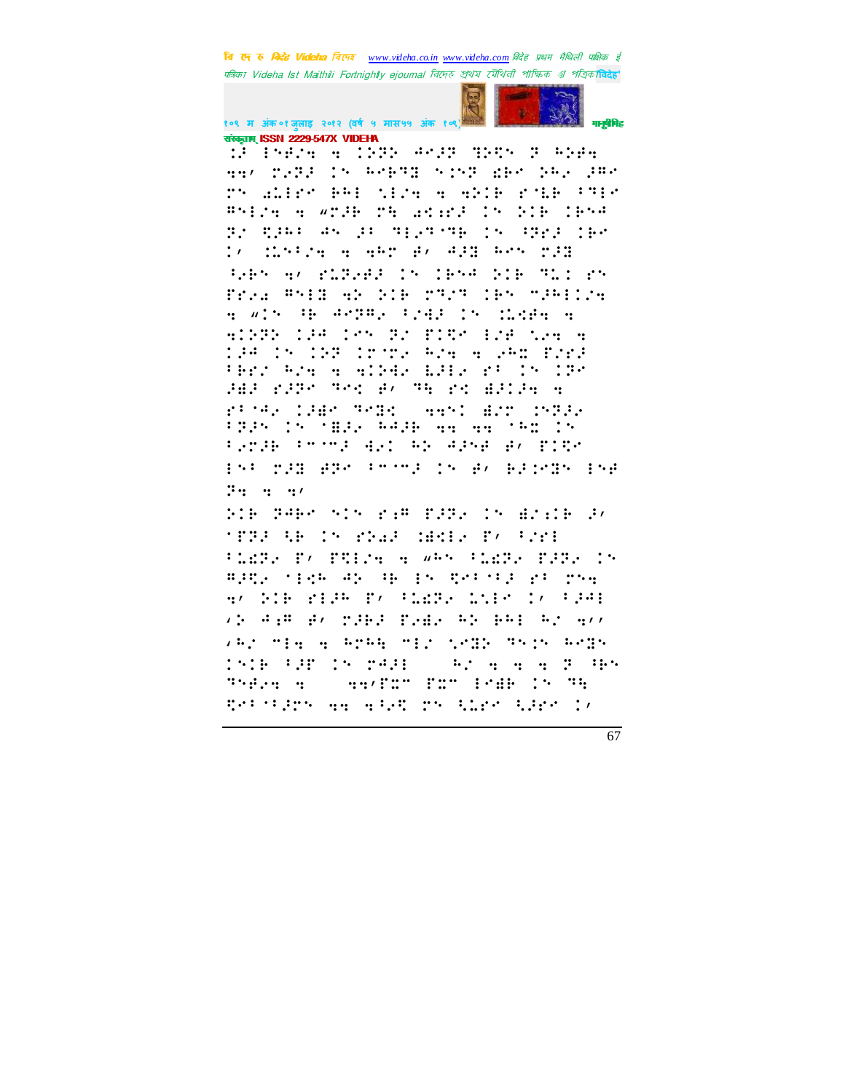१०९ म अंक०१ जलाइ २०१२ (वर्ष ५ मास५५ अंक १०९ संस्कृतम् ISSN 2229-547X VIDEHA

मानुबेगिह

13 15824 4 1585 4638 8585 8 5584 aa, pillich bekend som der bei der ry alleg BRI MEDA A ANIB ROLE FOIR Price a whik thoughtfully ble leng Br EBA: 45 B: MELTIN TE LS PREF IBR 1, distry gogles a, 433 Art s23 SPER AN RIPPER IN IENA DIE TILL KN Princ #5:0 di SiB r#2# (B5 m2#1124 e wir de angue traf in dinhe e HINTS ISA ISA TI KINA ENA NGA 4 la th'in 1975 anns Ang a SAN Bhea TERS ROW WORLDWARE ERROR STORE and rate terms, the remaining a rtide (Ser Prox. AAS) ern 1593e FRIN IN MELL RAIR AN NATIONAL  $\cdot$  :  $\cdot$ Parak Prona Aal Ab Aang gu ring ESP MAR ARE PRIMA IS AV AVANTS ESP  $39.99.97$ 916 PAGA SIS PAR PUBL IS ANGLO D

**TERPOR CHOICES MEDIA EXPECT** PLATE TA PRICE A WAS PLATE TODAY IN BERG SERN BY HE EN RESSER PL PAR my ble righ fy (1221-1218 1) (2001 **AN AGRAHA THE THE RN RREAD AD VALUED A PORT MILLIONED PRINT ROOM** 1518 FJP 15 2431 - AZ 4 4 4 7 8 85 There a and control of the second second second second second second second second second second second second second ternings an angle shortlike the fa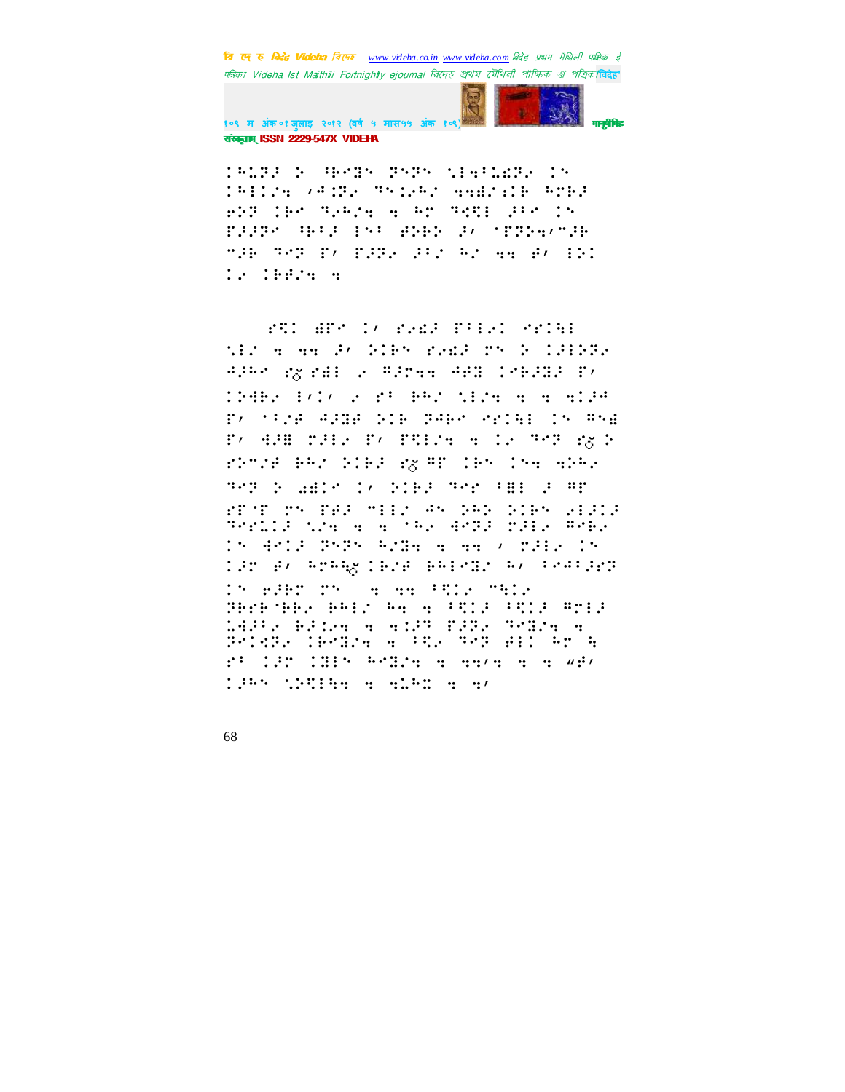

१०९ म अंक०१ जलाइ २०१२ (वर्ष ५ मास५५ अंक संस्कृतम् ISSN 2229-547X VIDEHA

TROBE & PROBA BABA MENELORE IN TREDGE VANRA ASIANI AABISIR ROBB BR IES TARA A RO TAIL IES IN raare detailed and a signification MAR TER PACERS AND AN HE BACKER Te Chéca a

FUL APPLIX SYNC PHENICSTER the algabeth preschool is follow. APROVISING A REPARTABLE TO BEEN TO INHER EVICE AND BEN NEMBLA ALADE F. TRE APRE NIE PART PEINE IN AND PACHAE TABLE PACERBAN A CLEARED BY B rence and eias rg #F lan ing abha THE SCARDE DURING THE FREE FOR FEAR THAT HER AND THE TIEN TERRI Replie the energy estimates which IN ACIP PAPA ROBE A ABLIC DREW IN 195 B. Anagoiene earedro al Fearger

In electry a amount mail PROPORT RAIS AN NORTH PRIP ROLL 14252 BJ124 A 4127 F2B2 73124 A POSTA IPODA A PTA TOT BIL PT R r: 195 1885 Andre e eskele e vik **COMMANDER REAGAN REAGAN**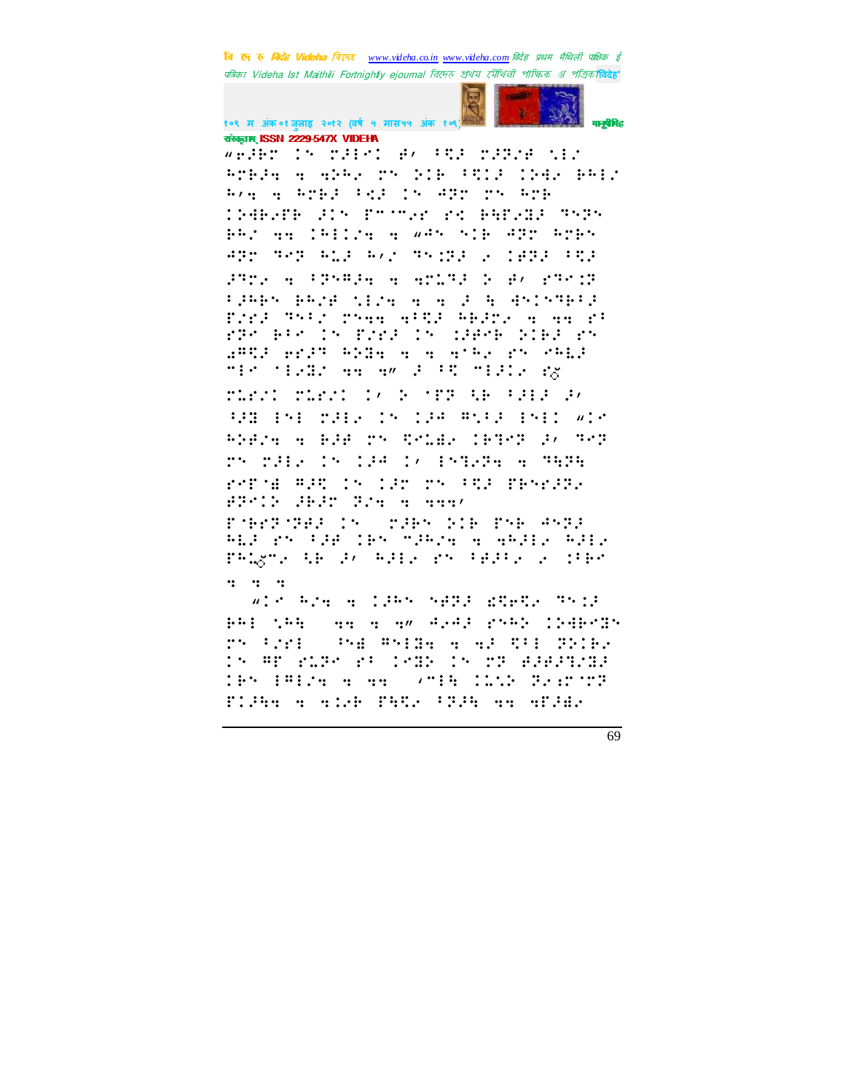

१०९ म अंक०१ जलाइ २०१२ (वर्ष ५ मास५५ अंक १० संस्कृतम् ISSN 2229-547X VIDEHA

weler in refer an againste ner Anbig a abby ny bib (SI) ibey bely **A.4 4 ATES FES IN ATT TN ATE** thangen ats product an inpute more BRZ AA IREIZA A WAS SIB APP RPBS 895 889 813 872 88193 2 1993 832

FTS A PRARIA A ASITE D'EV PRAST PJAPA PAJE SEJA A A J R ANIMARIJ Fred Thir rhad alto Abdre a aa ri PROjety in Fred in 1989 bied en affil erift tide a anants rental "Po firms an aw F PR "PERT MS

rand rand 1/2 (FT 58 FBF 3) **APROXIMATION IN THE BARB INET WIT</u>** RNEIN A BIR TY SYLER IBSPE IN SYT re rate te tam to temper a mana report with the time most construction STORY SERVICE STATE STATE

EMPERING THE CAPE SIDE END AND REF 25 FPR IPS MPRIN NORDER RPIS PRINTS ARTISTS AND PRINTS OF PRO

## $\cdot \cdot \cdot$   $\cdot \cdot$

wir Ara a libs self diele Tsie 841 SAR (99 9 90 A.A. 2042 SSAR (20828 **The Write a al Cit City**  $\mathbf{r}^{(1)}$  and  $\mathbf{r}^{(2)}$  and  $\mathbf{r}^{(3)}$ IN WE FIRE FOUR THE TH THE WORLD TEN EARLY A AA SCAR TEILT CONNECT **TIME + SID THIS TIME + STAGE**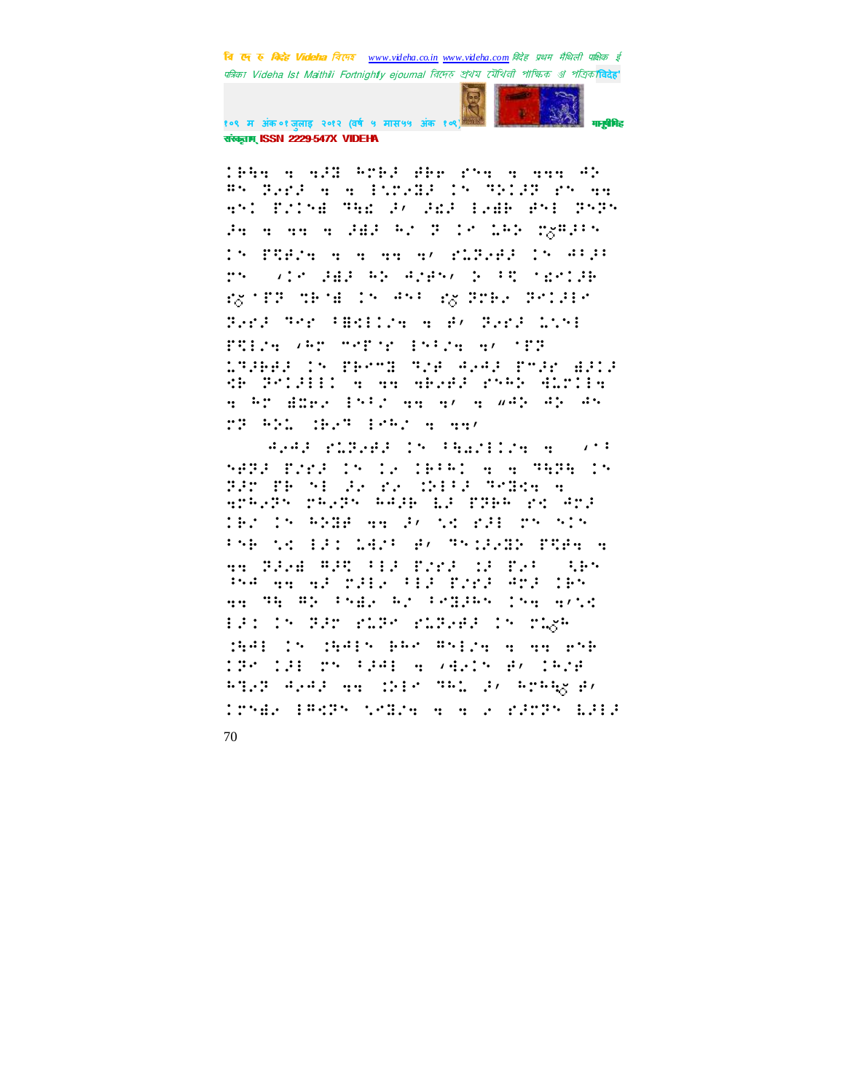

१०९ म अंक०१ जलाइ २०१२ (वर्ष ५ मास५५ संस्कृतम् ISSN 2229-547X VIDEHA

THAT A APO PORT HER SYN A ANN AD an avec 4 4 funcio la aploa en 44 and Bring Mar () and lagb and Show Personal and Add Art Bollet LAG Spages In PRESENT A AN AV PLEARS IN ARSP rs (air del mo ares) o ch'heridh EX 1978 ME 18 (18) AND EX 2005 CPM1318 Fard Wer (British A. B. Fard Live) PRISE VAR SPECE INFORMATION 17368 IS BEST 728 4243 PTB 8313 de Brigili a aa abyeg roop enrie a br dhek lith aa ay a wol ol on TT AND MACH PART A ANY

ApAR RITGER IN PRACEION NO ST SARA BIRA IS IS IBANI A A MARA IS BE BE SE AR ER INER MARKE A APRAPH PRAPH RAJE LJ PJER PA APJ TEZ IN PROBLEM IN NO BIL DN NIN Presidente de la provincia de la contra de AA SIAB AFR FER PINE 1F PAP  $\mathbf{1}$  :  $\mathbf{1}$  : Person at 2312 TIP Pref Art 185 AN THE TEST SANDO TELESTICAL CONTRACT HAI IN TAT FLIP FLIGHT IN TLAN THAT IN THAT'S BAY ANTITY A AN BNB TRANSPORT PROPERTY (ANDRO B) IRVE **ATAP ASAD AN INDEX TAL D. ATABED.** Trak (POP SOR) a a 2 from EAR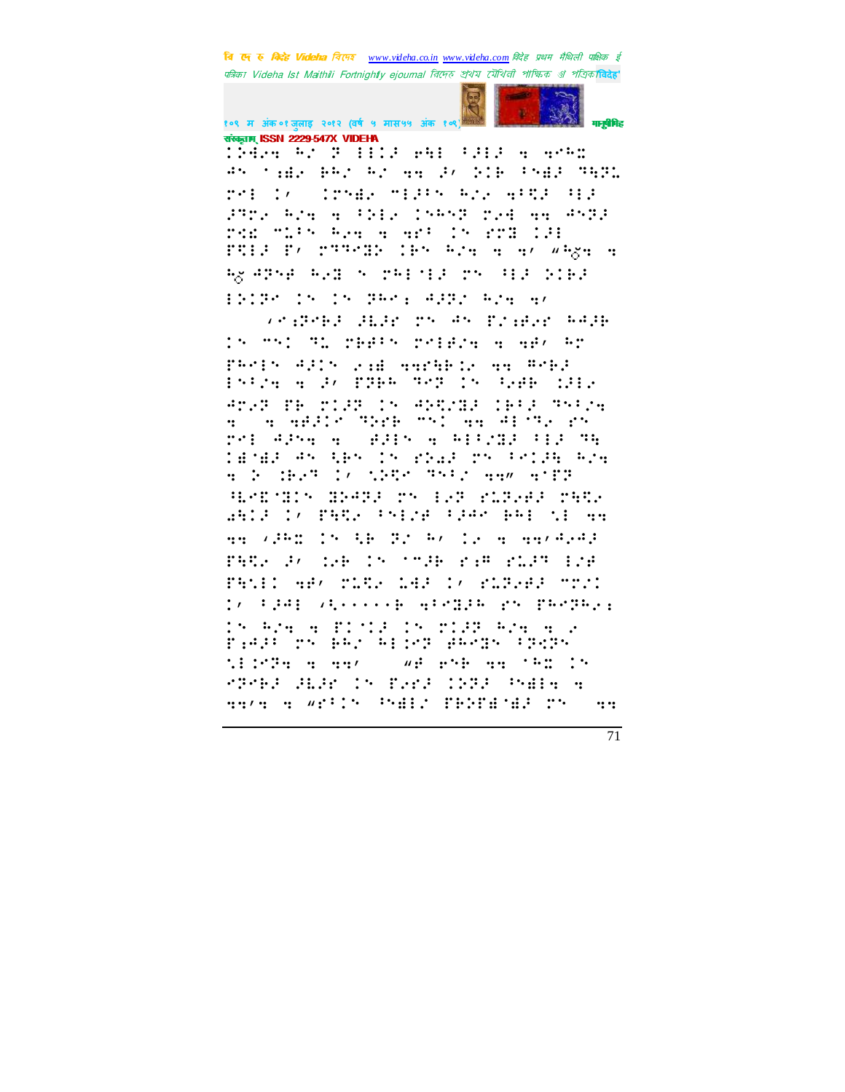



<u> 1940a he 2 1112 phililip a acho</u> An table bas as an in him that much ref () (reg. midia and git of grey, aya a this yaran yan aanna red milk Readed and Industrial (2) FEED FACINEES IN STACK and whysom ag adre aud rochened crooted bied EDIPA IN IN PROF 8222 R24 H2

**VOIPORT ALAM TO AN TIGHT AGAR** in mni di reach relace e eas ar PROPOSITO VIE SAMARIZO SA PORT ESPACE AND PRESS REPORTS THE STEP ATAR TE TIJE IN AGENEE IEFE TNFNA a affirm the mail as Alcte en  $\dddot{\bullet}$ 731 4254 4 3215 4 513282 312 35 TEMER AN ABN IN SPEED TH PRIPE RIN a 2 dect 1, 1958 7912 and a'FP BRIDGE BROWN TO BROWN BROWN WHIP IS THEY PRIZE FORM BRI ME HA HE VIRG IN AB JE RO AV 12 HOHEVARA PARK AV 126 15 MM B 218 2127 128 PASED ARY MINE 1881 1/ MIDDER MMID 1, PlAE (Brooker-Aldia an Pedago 15 Aze e BISIA IS MIGGAZE e 2 Padd th BRY RENT BRAIN CREEK tiche e est and prior and the life SPORT TEACHER TANK INTERNATION anza a wrtis tsali MADERSAD ps an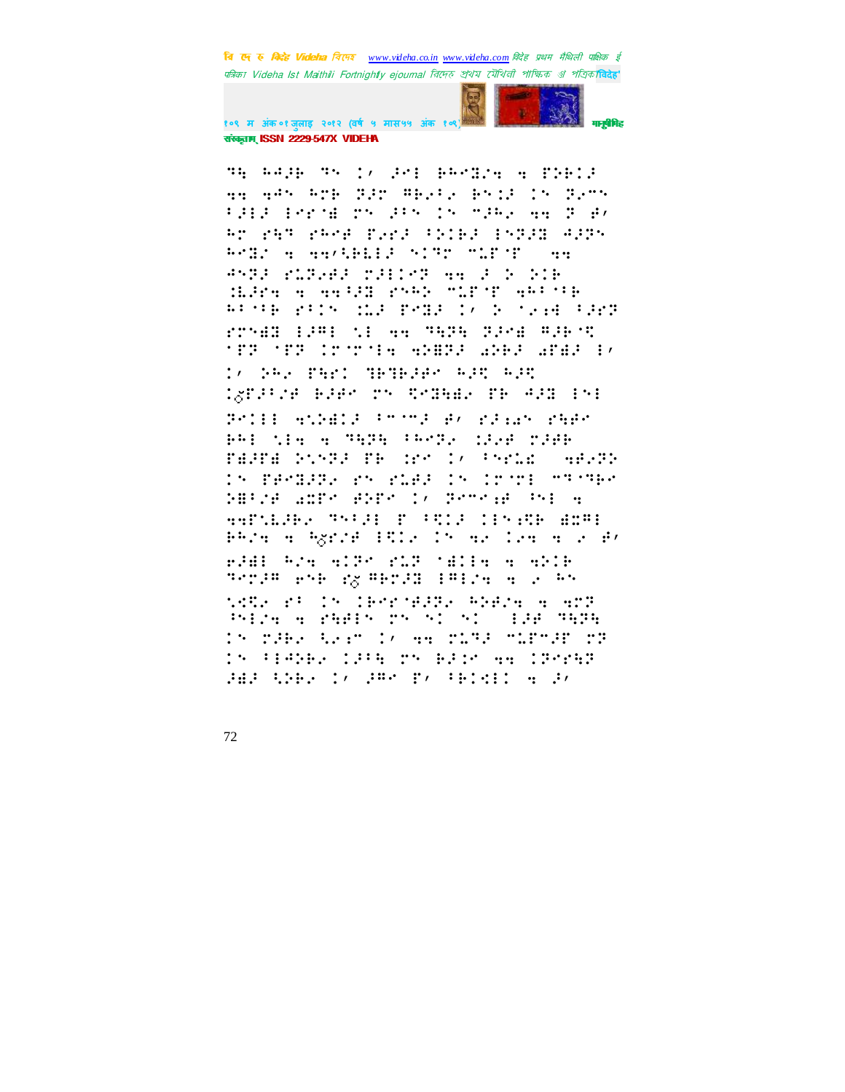

१०९ म अंक०१ जलाइ २०१२ (वर्ष ५ मास५५ अंक संस्कृतम् ISSN 2229-547X VIDEHA

sa waga seji den aweze a riatr aa as bri 21 meers aan as as a FREE ESTE TO RES IN TRACKER BOBY Ar 247 2428 PACE (SIB) 15728 4275 RAGE A ANGELER SINA MINISTRA AN ANDERSTADE MEISTE AARDE STER difference and the state still the about RESERVING MACHINE IN SCHOOLS TER TER CONONE APERA WHAT WERE EX 180018 BAR TY SMIRE TR 4AN 151 Soli evella trona e, pallo pede PRI SIN N THER PROFINSION TIME PAPPA SUSPECTE OF 17 PSCAL SARARY TH PARTIES AN ALAS IN TERR STUDEN SHETA GOTY ASTA 1, TAMPAA (541 A HAPSAURA THUR F PRID IN CENTRAL BRIA A REIG BRID IN AD IDA A D'AD eld: Are ally fill tolls a able Sergs end by Sergs 18124 a 2 An tele at the Hearders teachers was Prize e Philip no bi bi (118 MAPA In the best 17 am till titulter ti In Clark (IPE Th Blir as IPers HAR ANDA 17 HAR BY FOIRING AV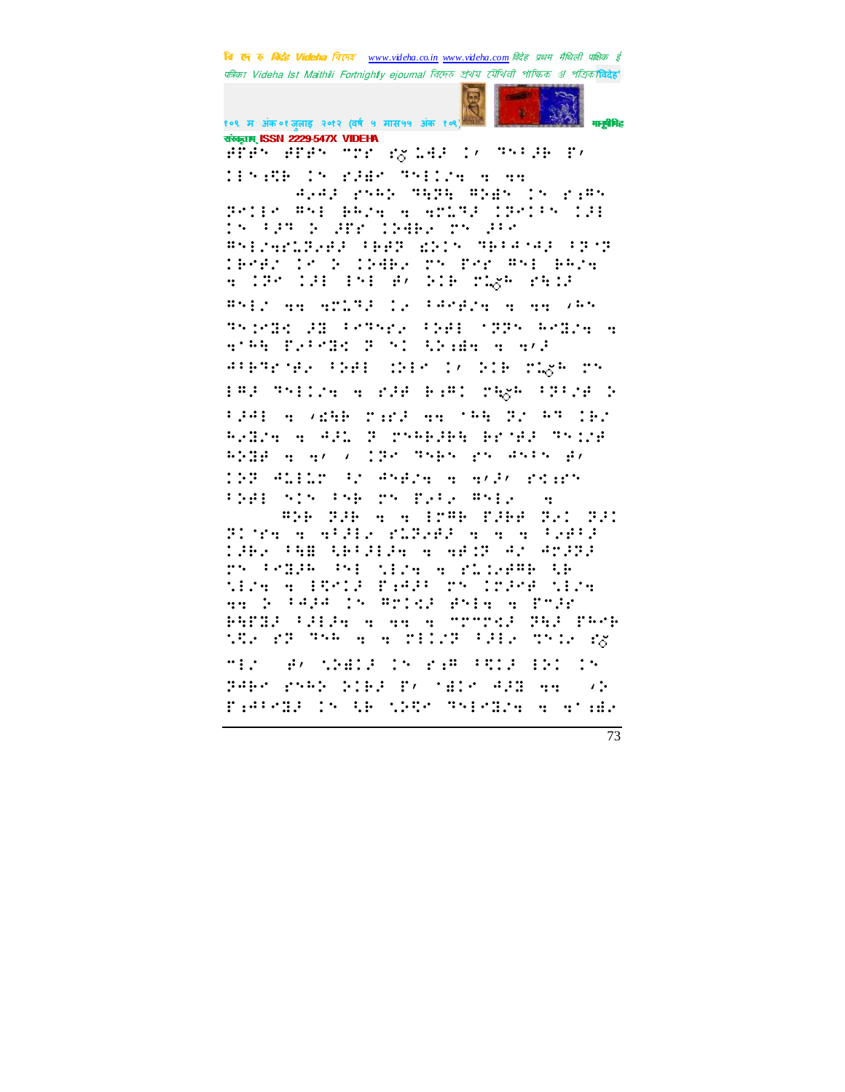

## १०९ म अंक०१ जुलाइ २०१२ (वर्ष ५ मास५५ अंक १०९ संस्कृतम् ISSN 2229-547X VIDEHA

añás ares mor oglada co mside ro **IFAGE IN PARK TAILER A AN** 

ayag psop mana midis (s p.ms Pollo Rel BRIG G Grund (Pollo 191 15 FP 2 Hr 12482 75 PP #SEZAPLRZAR (PRAR 2215 MR) 47 SAZ (PRAR TRARY IN S ISBN 25 FAR #51 BRIG HOIPS INFORMED AND MINE TEST

Bright and animal contraction of an electron Things 20 Frontie (2001) 1995 Region & anna feichd 3 millionad a and APPROFILE PREP INTERNATIONAL CONTRACTOR 183 Shilin n rdf BiBl ragh (2016 b FRAD A SEARCHER AND THE BY AT IGN RAINE A ASL 2 THRAPH RENGA THING BENE A ALL CHA THEN AN ANIN AL 198 Allie An Andre e evik roenn PERPOSISE PROTECTIVES  $\dddot{\cdot}$ 

#20 230 g g 12#0 230 231 231 Bline estil collet e e stell 1962 FAB 1819194 A APIP 42 42393 rs from the serve a rusheme th three front feat to infer the 44 S PARA TS RETAR RSIA A PORT PAPOR FRERA a aa a nonosk par pene the sponsor and silenger and service MES (#) NEWER IN REAR FRIE EEL IN Sabe read dibl B, this all mm - $\ddot{\cdot}$ PARKER IN AB MARK THENEIN A ATTER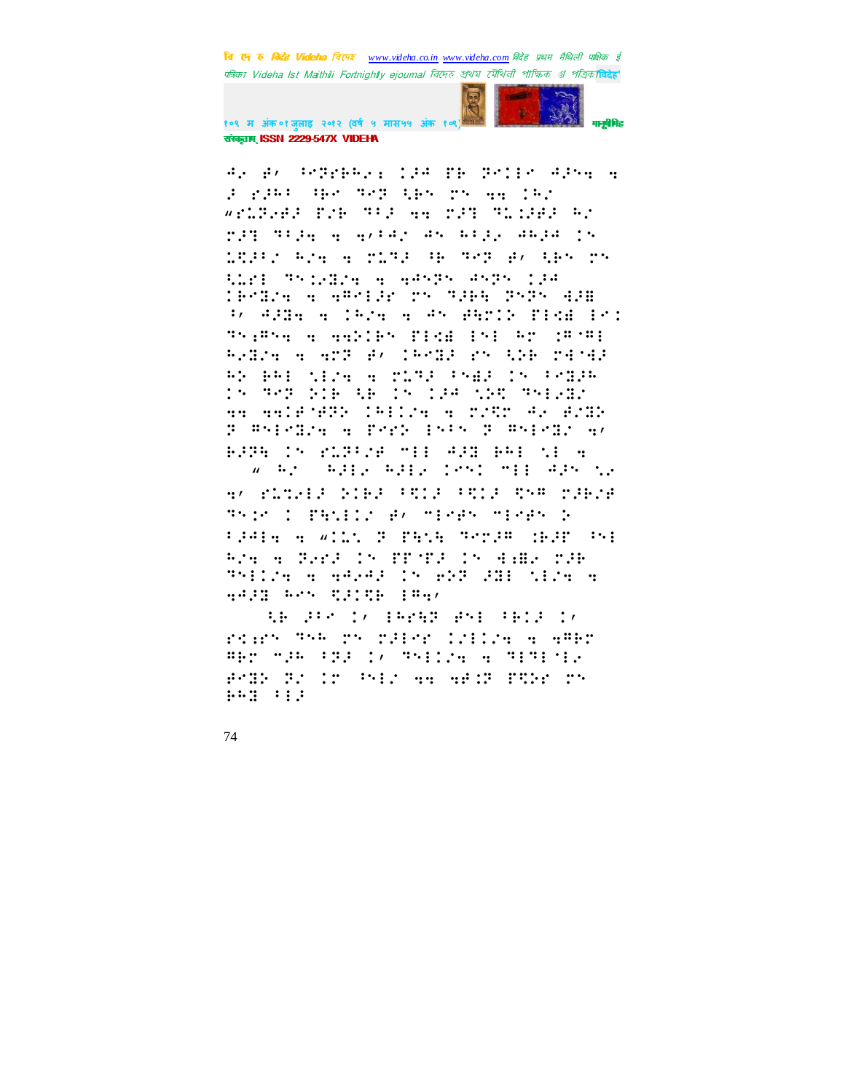

१०९ म अंक०१ जलाइ २०१२ (वर्ष ५ मास५५ अंक संस्कृतम् ISSN 2229-547X VIDEHA

As A. Property (SA BE Orilr Adra A g gund dhe wep dhe ge aa jie willed the "G A4 221 TLIDE A7 737 7834 4 47842 45 6832 4634 15 MORE ASSAMENTS OF THE BOOK HER TH thei Things a agnes gap is **TRYBY: : 480132 25 SUBB B5B5 43B** *A, Alla a lara a An Barin Bing Bri* ShiPhy y yollar fied in: Ap (P.M. Redevision AMP By CRED BY ADR MATHEM AS BAI NICH A MITA PABA IN PRIA IN THI NIE AE IN 124 NOT THEAT es esténdoligation e roor de door P Prinklin a Pred into P Prinklin av BOS IN MORTH MIL AND BAILIN A  $\mathbf{w}$  are additionally described in the state  $\mathbf{w}$ A, PLANER SING FRIE FRIE RYP MARYB Third I Panill A. Miner Miner D FRAME A WILL F PACK SPORT MART PRE Are a Bard in BP-PD in AdBa rdb

Thilm a ageg in AGE 201 ning a 4428 APS 52158 1847

AR SPACIA IRABE BRICERIA IA rear The restrict Crice a aftr BEN MAR PARTIC PRESSE A PERPENE PORT ROOTS PHILOGRAPHS PERSON  $1.41$   $1.11$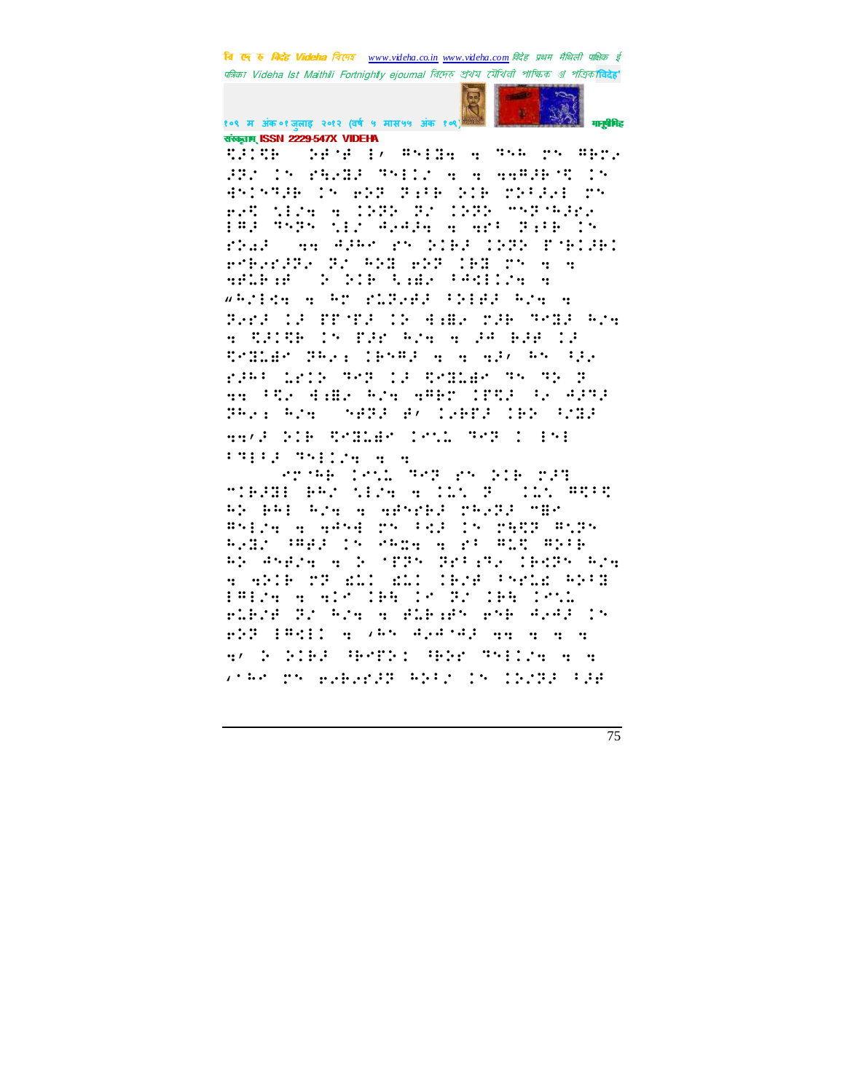१०९ म अंक०१ जलाइ २०१२ (वर्ष ५ मास५५ अंक १०९ संस्कृतम् ISSN 2229-547X VIDEHA



**RADAME Sidney Bridge Assembly Service** 332 In PAPER THILE A AGEAR TO DA GRINGER IN BOOT BEER OUR TOPICAL TO BAR NEZH HOIDED EZ IDED MARGAREK 182 3525 MED 42424 A APP 2316 DS rbal ag Albert ble 1990 for 1991 *POINT IN THE PAINT TO BY* with discussion in the first control white a br rungd (bigg big a BARA DE PENTE DE AGHA MER PARE PAR a SPOSE IN THE RIA A PROPERTY SABLEM SHARE IRANG A ARA ANG SGA rawa drie mem ta memur me me m 44 FC 4.8. 574 4867 ITC 12 4252 TRANSPORT PROTECT AND THE STATE HAVE SIE SMILHE IMAL SAP I 151 **FRIED RELINE 8 8** 

STORE CRID TER STORES TRI MIRABE BRY NEZW W (11) B (11) BRFR AS BAI AZA A APATEZ TAVIZ MBK Billia a advance the the part Bill Agdy (Med to cape e promin More RE REPORTS ENTER PERSONAL DESPESSATS 4 ANIE ME ALI ALI IENE PANLA PRPE PRINCH AND THE IP BY IHE IPSI FIRST TO ROW W FIRST PHE ROCK IN and fedily (an aparal ag a g a a, S SIEP HATS: HOP THILM a a **View on Subscripterial Controls and**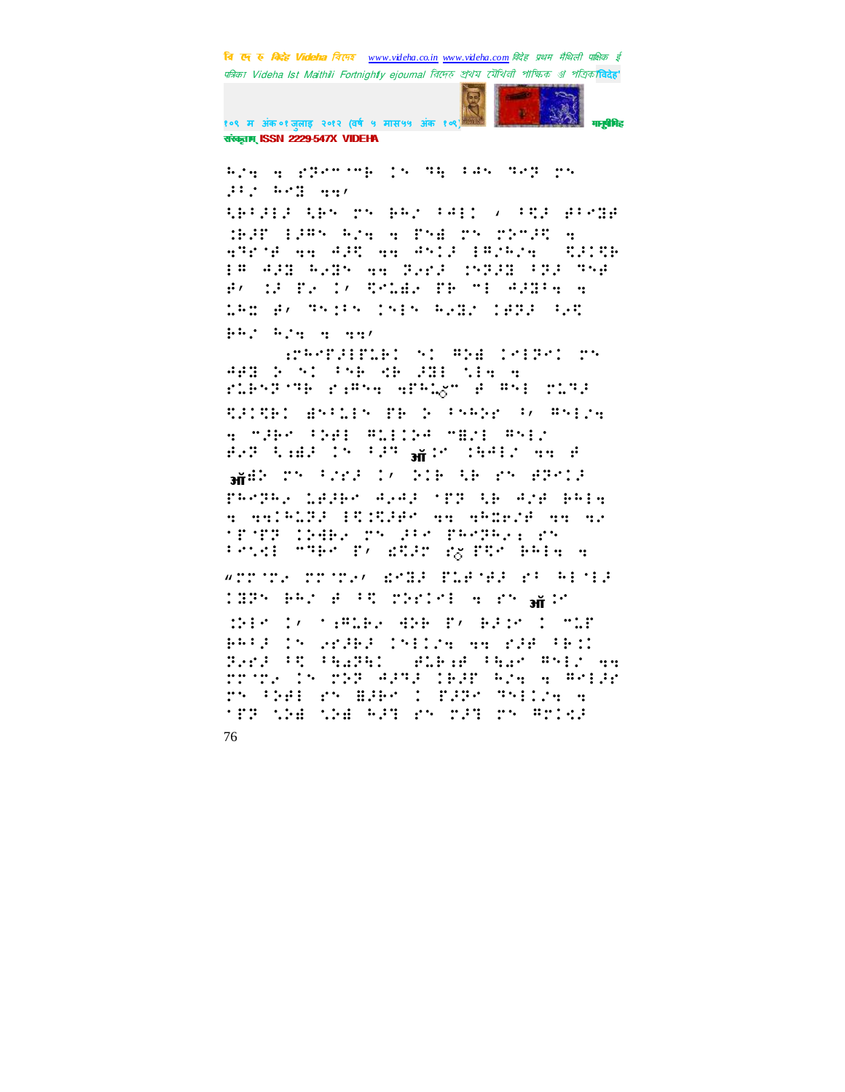

१०९ म अंक०१ जुलाइ २०१२ (वर्ष ५ मास५५ अंक संस्कृतम् ISSN 2229-547X VIDEHA

524 4 235775 (5 34 345 323 25  $\begin{bmatrix} 1 & 1 & 1 & 1 & 1 \\ 1 & 1 & 1 & 1 & 1 \\ 1 & 1 & 1 & 1 & 1 \\ 1 & 1 & 1 & 1 & 1 \\ 1 & 1 & 1 & 1 & 1 \\ 1 & 1 & 1 & 1 & 1 \\ 1 & 1 & 1 & 1 & 1 \\ 1 & 1 & 1 & 1 & 1 \\ 1 & 1 & 1 & 1 & 1 \\ 1 & 1 & 1 & 1 & 1 \\ 1 & 1 & 1 & 1 & 1 \\ 1 & 1 & 1 & 1 & 1 \\ 1 & 1 & 1 & 1 & 1 \\ 1 & 1 & 1 & 1 & 1 \\ 1 &$ thill the result in the stream ded cas and a family nature anrang ang ang ang pangangan nang 18 431 6215 A. 2223 15231 123 756 #/ 12 T. 1/ Trim. TE 71 AMMA 4

1920 B. Third India Self (1932) 193

BR2 R29 9 997

enteratricial de constantino 481 2 51 556 38 311 119 4 ruespone ranse analys e mse runa RATERI BRAIN PRODUCER (A) RRICH a many that milled mmar mytr BAR ANDES IN FRAGGE WERDER AND B WHEN THE POINT IN SIRE RECONCIDENTS preproduced and the change and a anitili Hillie an aborch an ar SPORT CENED TO APP PROPERTIES Print when E. ETAT by FTP BRIA A **Western Street Arthur Planets at Aliga** 1925 BRZ B FR SPEINE A PD WAY DEPAIL TEMPS ARE EVERING THE BREAKING WIRE INFIDE HE WAR FRID

Sard (C. Chaph) - Alban (Gaar Anij Aa rrora (nord agga char aga a geige ry Chel ay Blee I flow Syllia 4 **TER NDA NDA RUS 29 200 223 25 REDGE**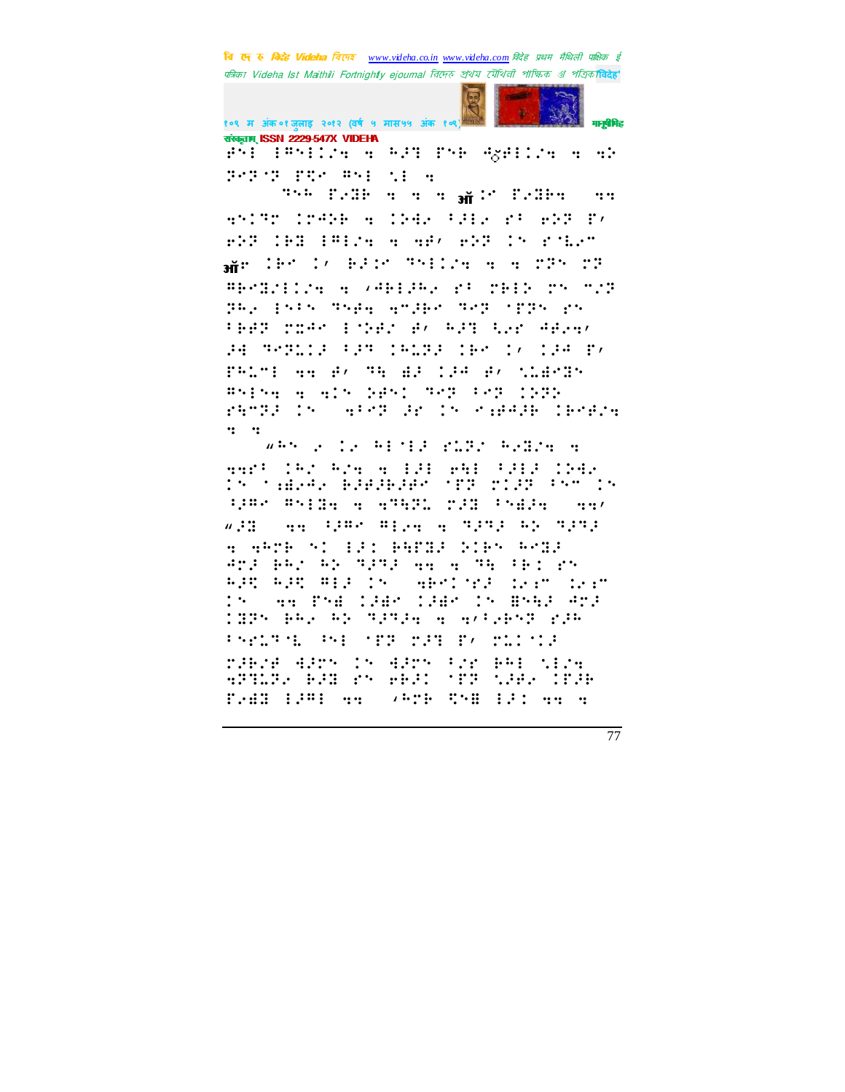

१०९ म अंक०१ जलाइ २०१२ (वर्ष ५ मास५५ अंक १०९ संस्कृतम् ISSN 2229-547X VIDEHA

Pri (Prich a 621 Pre getch a ar P-P-P PR- #51 51 4

She fill a some model with  $\cdots$ 45135 15426 4 1242 FJB2 3F 623 B2 BOS IBS EALLY A ABY BOS IN BYERT We less to each shifte a a ran ra #BPRILLING & V#BEJRY PF PRED PROTIER PRA ENTS THEY WILL THE SPEN PN THE TIGHT ESTED BY AFT LAT ABLEY ad medical family couple coefficial and pu PRIME AN BY THE BESTER BY MIBRORY #5:54 4 4:5 2#5: #6F +6F 12FF PROFINS ARRESTS CONSTRUCTIONS  $\ddot{\phantom{a}}$  :

who is the Afrika films Avise a 442: 152 524 4 131 651 7313 1202 DS MAAGHA BABABAHA MER 2008 PSM DS gar synch gann nu bwe ga will an time might of Time my Time a abre ni din BAPBE Niën broe 923 BR2 R2 7373 AA A 76 FB2 25 **APP APP #12 15** Septimary and  $\cdots$ 15 (AH PSE 1985 1985 15 BSA2 AM2 1985 BRA RD MAMAR A AVIABSE KAR PARTE PAINTS THE PAINT CONTROL rakie aarn in aarn fir kei nich *P.AN 1391 99* **AND SHE EFING T** 

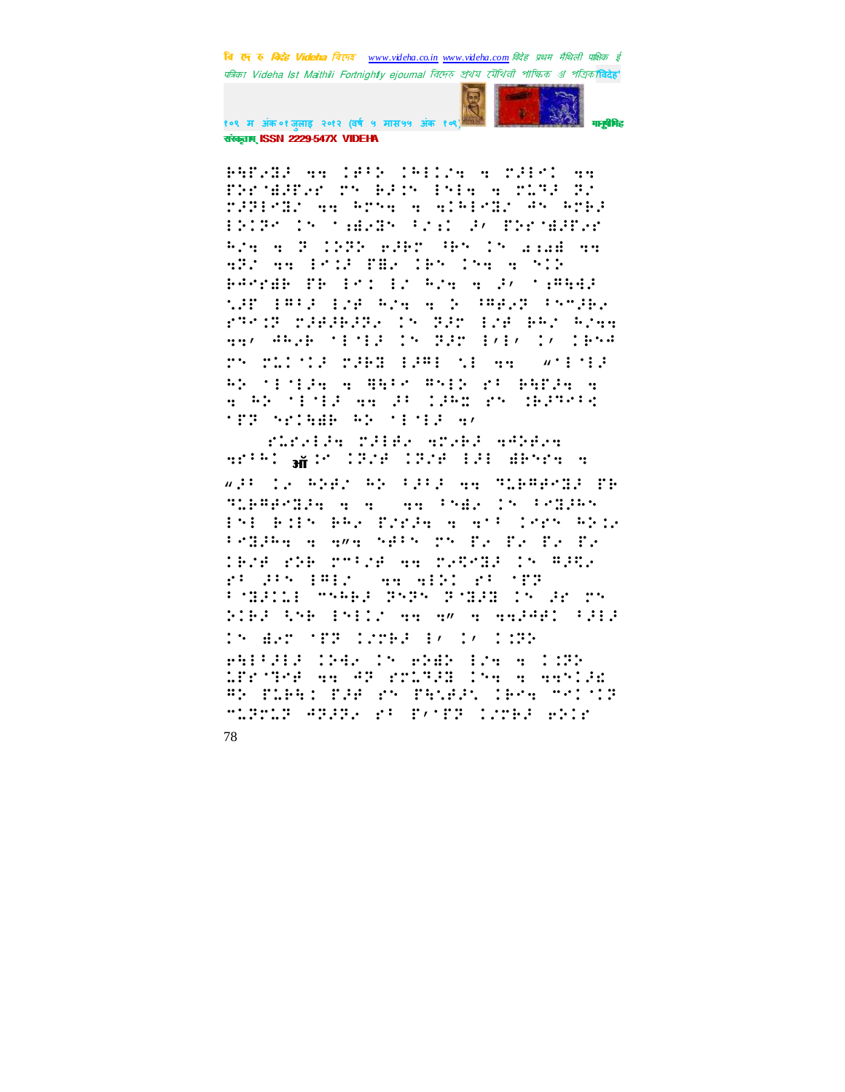

१०९ म अंक०१ जलाइ २०१२ (वर्ष ५ मास५५ अंक संस्कृतम् ISSN 2229-547X VIDEHA

BOISO AN INS INIIN A THRIST AN The MATAS TR BAIN 1914 4 TERR TE radical es arre e elaicar as arba ibiae in taban frai ao manampr Res a F 1970 effect Hr In and an APS AN EXISTENCIES ISN AND AIR BARYAR TR ERI EZ RZA A J. M. MARAJ the BACK End And a S (Agent Crippe FRAME MODULED IN THE END AND ANN 447 AR2B TEMER IN BRM E2E2 IV 12 IBNA TY TILL TO TORE EARL NE HH (WORTER AN SESERA A BALK BREN PL BAPAN A a er tidiram en 1958 produksia **MIR SELBOR RESIGNED** 

flijlig ridi mreki gabien APPEL WIN CROB CROB ESE ABSON A with the Adapt Adam fift and Milkaereig fi Sibsolar a a ga the in this condu Priority Physical Action Cran Rich Production and special production by the TESE POR THISE AN TARMED IN WORK PURPOSED AN HIND PURPOSE POBRILE MARRA BARA BOBRE IN RESTA 2003 550 15102 AN AW A ANJARO FOLD IN BET MET LETER BACK LETE PHILIP CHAIN THANK CHANNEL LEP TRE AN AP PRIMER INA A ANNIER #5 PLB4: PJB ry PANBJN 1884 MAINIF MIRTIN ANING ST DAIR COMMA WEST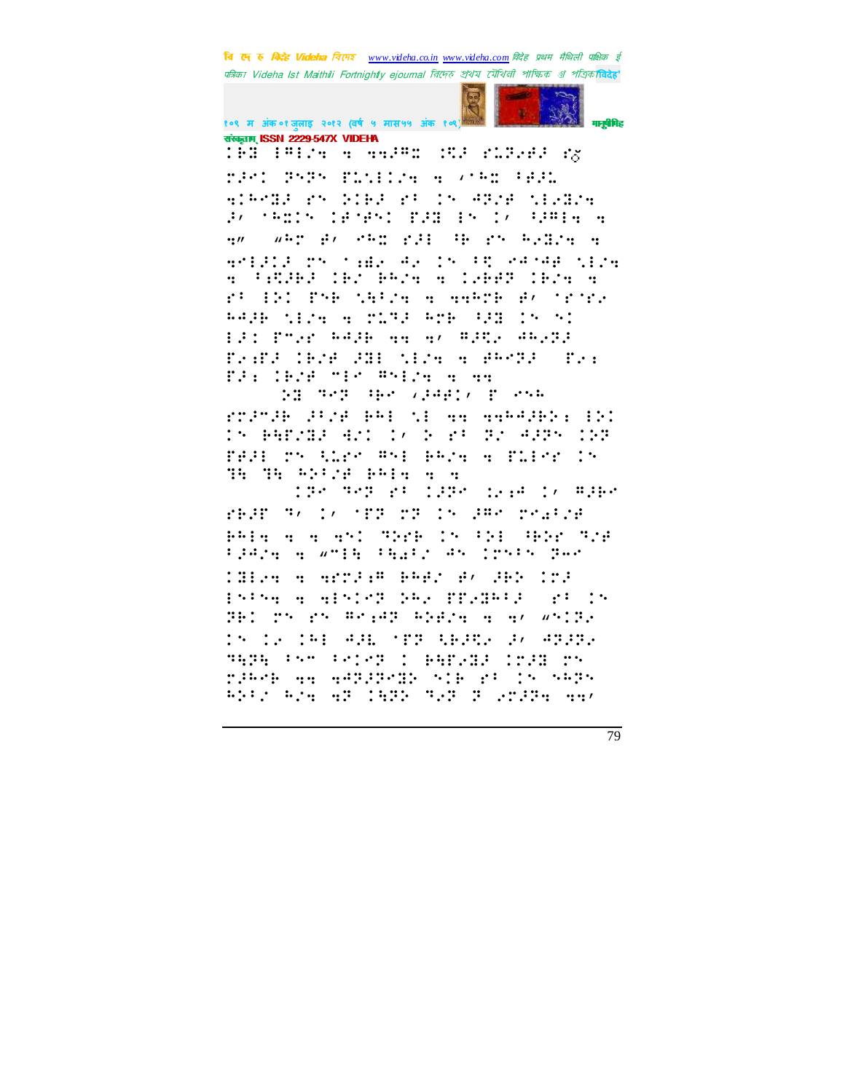

१०९ म अंक०१ जलाइ २०१२ (वर्ष ५ मास५५ अंक १०९ संस्कृतम् ISSN 2229-547X VIDEHA

IBB BALY: 4 442AR IRE MIRSHI W rand repe finition a composition ACRAIN PRODUCE PROCHO ANCHORIZA FA TROOP CENTERS EFR IN CA PRAIR A  $\mathcal{H}_{H}=\mathcal{H}_{H}^{\text{L}}\mathcal{H}_{H}^{\text{L}}=\mathcal{H}_{H}=\mathcal{H}_{H}^{\text{L}}\mathcal{H}_{H}^{\text{L}}=\mathcal{H}_{H}^{\text{L}}\mathcal{H}_{H}^{\text{L}}=\mathcal{H}_{H}^{\text{L}}\mathcal{H}_{H}^{\text{L}}=\mathcal{H}_{H}^{\text{L}}\mathcal{H}_{H}^{\text{L}}=\mathcal{H}_{H}^{\text{L}}\mathcal{H}_{H}^{\text{L}}=\mathcal{H}_{H}^{\text{L}}\mathcal{H}_{H}^{\text{L}}=\mathcal{H}_{H}$ AMERIA TROVIALE ALCOR PROMAGA SELA a FRARA DES BASA à LVERR DESA à rt (191 PSB 1991), a agent fo crop. 8428 Nick & MITA 8MB 32B IN NI Bar Pres Adapt an no Aang Abena T.HI WA SH SIN A PROB TA: F.P. CENT MER WALNETH AN

20 989 968 (1981) F 856 rrange gree emploie aa aamggebe (DI IN BATZER AZI IV 2 25 JR ARTN IDZ FARE TO SLEET AND BACK A FLEET IN W. TH BOOK HAIR A M

198 989 89 1998 1234 17 8998 read to be the restrict and reader BRIGHT GOOD TREE IN FRIUBRE TRE FJAZA A WTIB FBAFZ AN CONFN BAR

THEAR ROBERT BABY BY JBS ITE Pring a abside the Predmit and Ch BB: The Photograph Alabam and white **15 12 16: 431 188 18302 37 49392** HAPA PST PRIRE I BATALL ITAL TS ranch as agrapose will be in which 82:2 824 42 1922 732 7 27274 447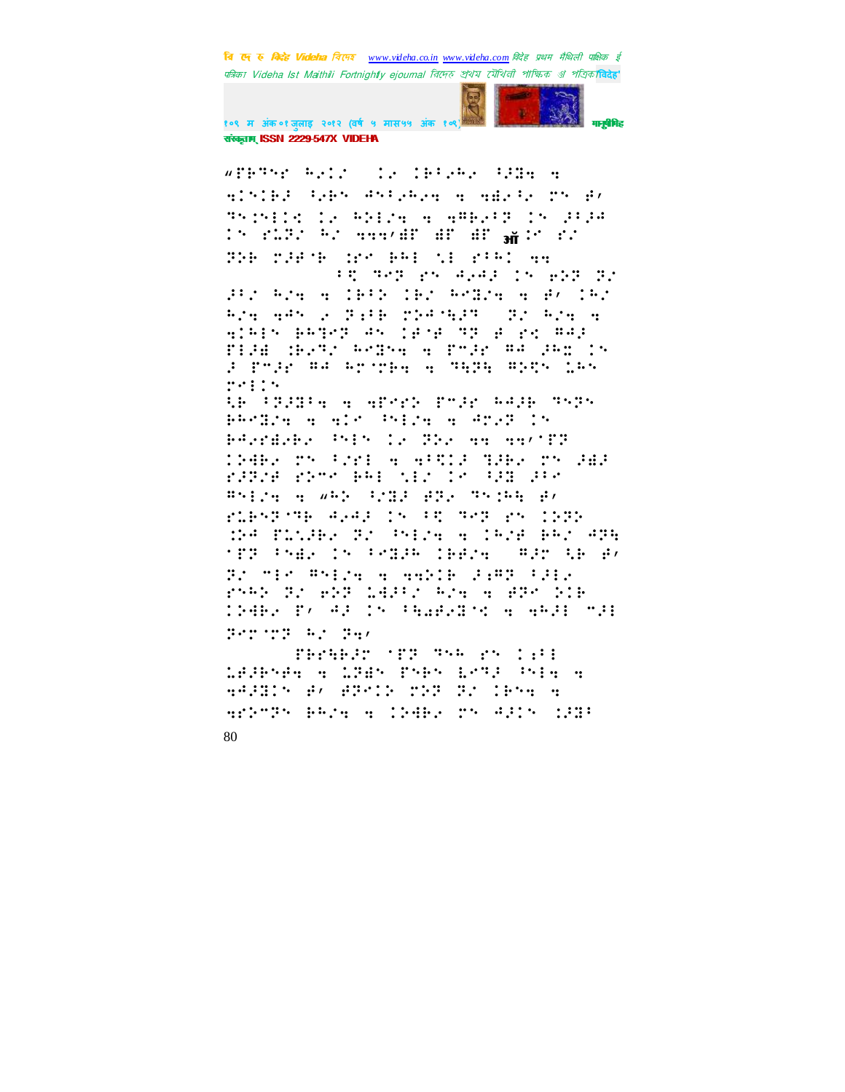

१०९ म अंक०१ जलाइ २०१२ (वर्ष ५ मास५५ अंक संस्कृतम् ISSN 2229-547X VIDEHA

wPPPer Religion (Please RHA) + alniki teknologiya a adete show Thinlife is bright a affect? In 2024 In their arcognized decad more to

PHP MIRTH (Mr. BRI NI MIRT) AN 33 303 35 4243 15 823 32 and how wilend led heady wie, ind And any of Bill profiles (Broadway alers eengy as leng no e as wal

FIJE (B272 Redry a Prin WA (Ro ) a rear we wrech a sach wire iwe  $29125$ 

th (228), a great read man syre BRANCH AND STATE A ROOM IN BARBARA PHINTIP SER AN ANZIS 19462 MY FREE A AFRIE NORD PY 283 FARIE FROM BREAKER IN SAM ARM #5:24 4 WHO CONFIDENCES TO DAY #7 FLEATER WIND IN BE THE FACINE. the Pliche St (mich a lett bet gra **TER PARK IN PREPROTEEING CORPORE BY** Browledgery, August State Cally ryan di end lefti ave e edi ble Chibe B, AP (n Fhairding a abji mji

THEAT TER THAN IN LIN 1836-84 A 1785 PSPS 1873 PSPA A 442015 #/ #Pell TIP P. IP54 & arroth Berg a Crdbr on Adin (20) 80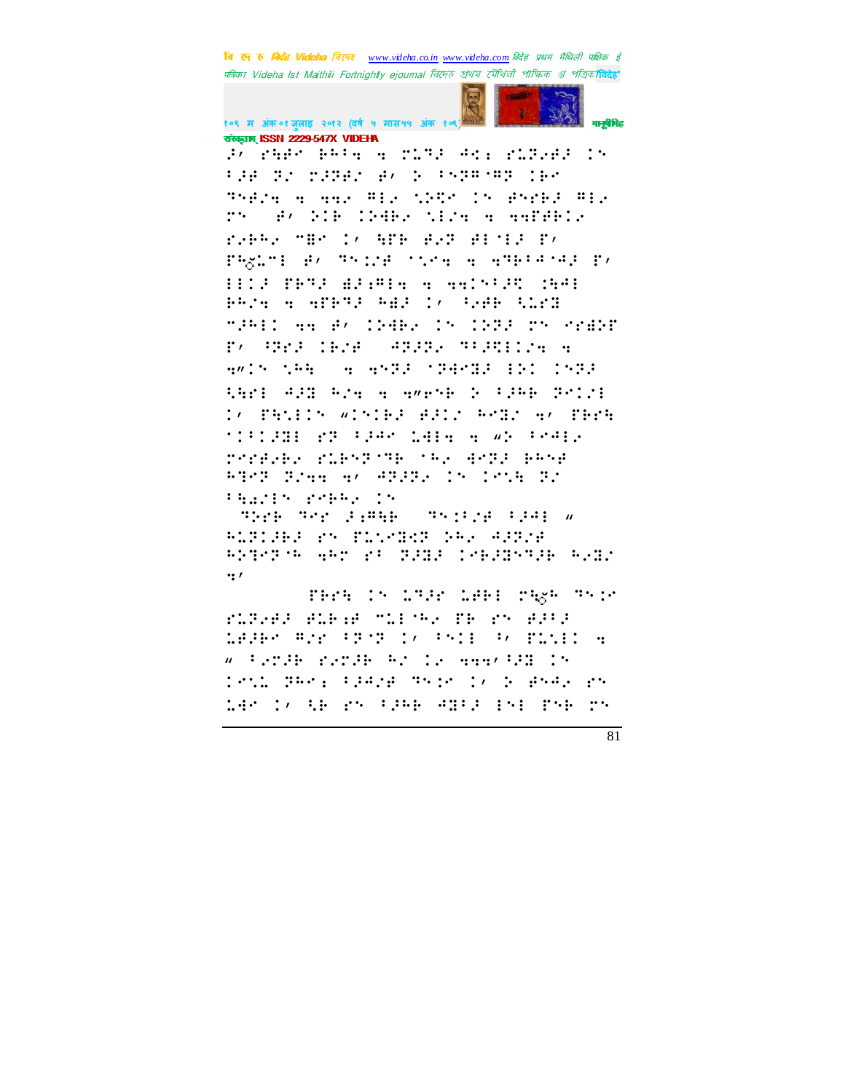संस्कृतम् ISSN 2229-547X VIDEHA



3, reproduce a ring and ringed to F28 B2 22862 B2 2 F588783 1B3 There a and The SPRE in Phone The ry (#) ble loger three e-enced rubby mms () and dup disider. PROMISES TRIPE TO BE STREETED BY :::: :::: <u>::::::: + ++::::: :::</u> 8524 4 40893 543 1/ 1.46 5120 maki es B, Chiba In 1931 pronoibi F/ SHE CHE STORE TERRITOR A the: APR Ara a awayn to the Belr: IV PROBIN WINDER BRID ANGL AV PRER \*I\*IPH 27 590 1414 4 %2 50412 reraca, criasrera say aeri assa 8903 Side e/ 43332 IN 1016 Si *TRACIN PORT, IN* 

There for Finance to Directions w SIDNEY PRODUCE NO APPEA RETURNA ART VA FILL CURISTIA AVEZ  $\cdot$ .

THE IN LART LEFT TEST AND MINED BURGE MILLER TRONG BROA LARRY WORKSHOPS IN WAISHINGTON  $\dddot{\phantom{1}}$ w Perfe rende by 12 mms/000 15 Tenn daes (Frank deur T) i Beau en 148 IV AB 25 FRAB ABER 151 FSB 25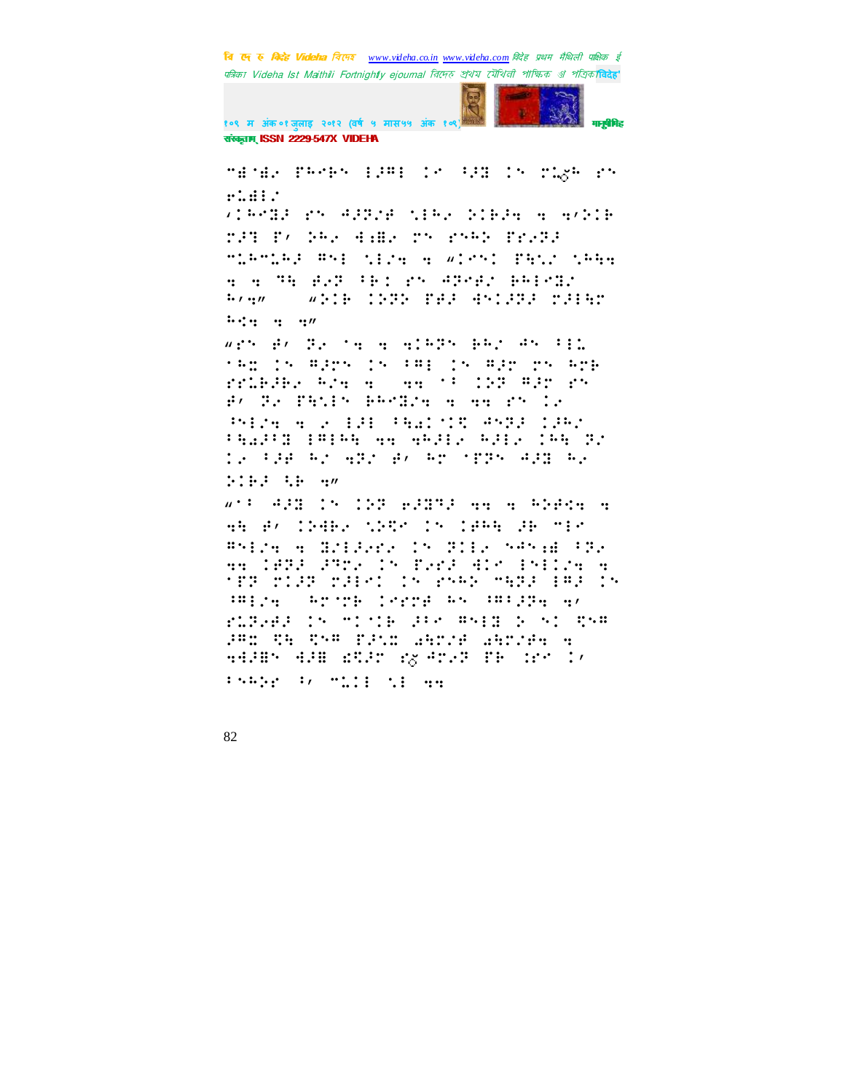

१०९ म अंक०१ जलाइ २०१२ (वर्ष ५ मास५५ संस्कृतम् ISSN 2229-547X VIDEHA

METER PROPR 1981 18 SPR 15 TA MINA 25 ridir **VIAMES PROGRESSED NEWS DIEDS A GUIDE** ran na bay gama na raab nryng MIRMINE AND MICH A WICKI PROC NARA a a me est ter en adeer emiste Home which life fall anished welky

 $\mathbf{h} \cdot \mathbf{q} \cdot \mathbf{q} = \mathbf{q} \cdot \mathbf{q}$ 

wre for the second electronic conditions of the second second second second second second second second second 1960 IN RADN IN FRE IN RAD DN 9006 rrubles big a can it USB Alborat B. T. TANIS PROBIN A AN IS I.

Prize e 2 121 Paulico Anos 1262 TAGILE IPING AN ANILY NJIZ (NG 22 To the Arcady B. Arcady and A.

2010 WH ST

wit 438 IS ISB 63893 AA A RGAGA A AR BY INBER NORM IN 1884 SB MIM #Size & Bridge, 18 Bile 84838 (Br es 1893 3952 15 Dani Ale 151126 e tra plas parel le Peer medalied is angsa serek berri salah pada al FIRED IN MINID DOWNERS IN NORWAY PE SA SYR FRIE WATCH WATCH A HARRY AND READ READY TRONG TO PARTNER CONTROLL AND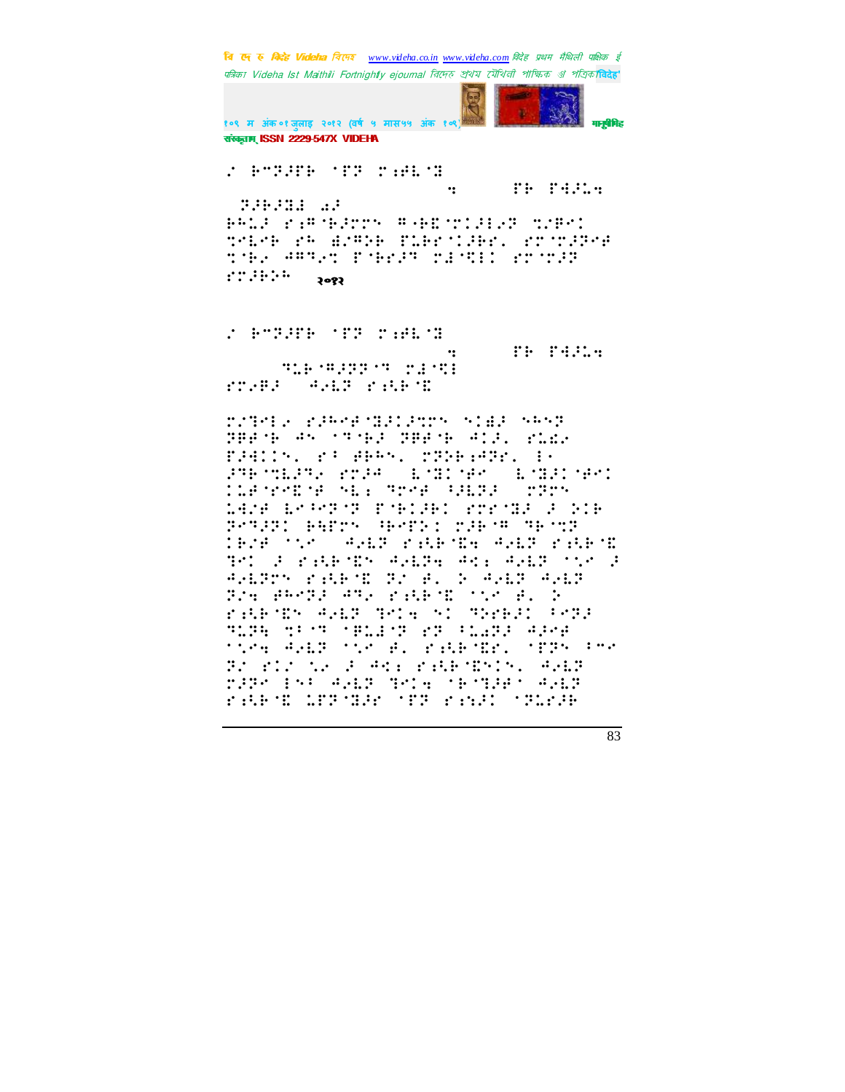

१०९ म अंक०१ जलाइ २०१२ (वर्ष ५ मास५५ ३ संस्कृतम् ISSN 2229-547X VIDEHA

**THE PAPER**  $\dddot{\mathbf{z}}$ 

**WEBSTAR** PRIS PARTHERY RANDYLIGH THRY SALAR PROGRESS PLEPTIFES POTORPAR the APPET Press parts from:P  $\mathbb{R}^{\mathsf{c}}$  and  $\mathbb{R}^{\mathsf{c}}$  . Then

*CAPRID STRAINS* **TH PARTS**  $\dddot{\mathbf{r}}$ **TERMINE TO THE TERMINE POSSES AND PROPER** 

right, rawershippy wide way PRESENTATION PRESENTED BLACK FRANCH PROBABLY TREATED IN Greenland erde (avanjer) avgusjevn MARKEN SL: Tree BASE (1725) LAMA LAPARTE POBLIBI VIVATE LA DIB Bengal Barry Gerry: rubem npers IP/F 'S' "PALP PALE'RE PALP PALE'R THIS POINT REPORT AND AN AN AND STATES ANDREW PALEND BY B. D. ANDR ANDR Breakfacht and Babylon (no B. S. FARMEN APER TRIA NI TREBAI PRIP TORE THAT ARGUMENT COURS ARAS the AMER the B. PARTER, TERS Are From the Company of History Company and Company of History MARK ENT AVER THIN SECTION AVER rabio difinar tif radio tida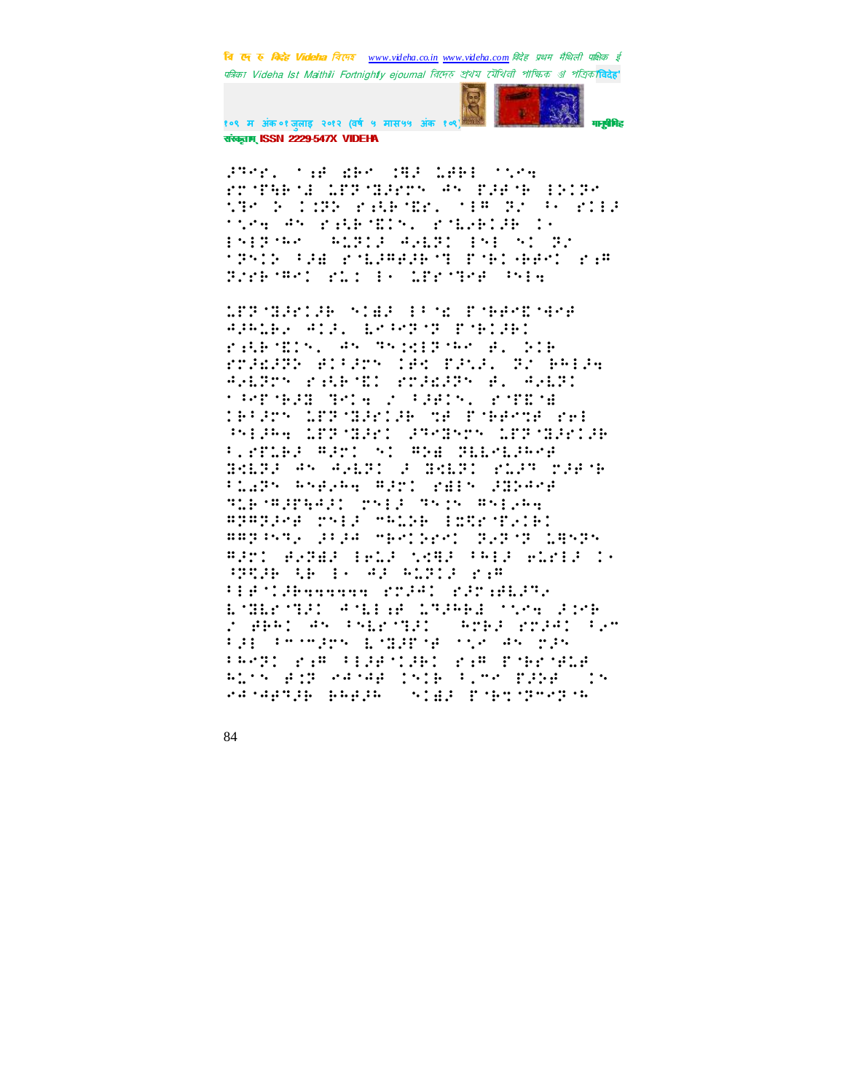

१०९ म अंक०१ जुलाइ २०१२ (वर्ष ५ मास५५ अंक १ संस्कृतम् ISSN 2229-547X VIDEHA

PROVINCE BROOKER LEED TOOK FOURBANE LES MERCHANN FER 18 1913the Solid Kanadan (18 d. F. 2113) the system will started in **MPRIN FOR ROBOTHER TO PORT REPORT REP** Brekimst ein Besterungsestell

STRATED MARKET REPORTED APSER AND BRACK TO TANK rakemin, an movified al bib rolelos ellars les pasa. Os BALLA APERTY PALE MI PTREPR B. APERI **TRESH BOWS PROVIDED TRAPP OFFICERIE SE FINANSE PAI** PHORA LES MORT OPPHARA LES MORTOS F.PTLES WART ST WEE TEEMESHIP BANCA ARASI F BANC ROS MARTE (1225 Angles Wart Pdf) (Speed TARYBURGUL TYLU TYLY BYLGA #P#PIM# rmll mALLD ISTR TRID ##PRSTA PEPF TEMPERAL PARTY LENTS #Jr: A.9AF Tell temp (64) entrance **TOOL IN I. AF ALTIFIER** HANDROOM POST PROBLEM EMERGED ANEW CREAT SYSTEMS <u>2 APRILAR (PARTIE) APRILADAD (</u>Pr FREE FOOTEST ENERGY TO THE RESTRICT PROTO PAR PERPOSED PAR PORCHER ALTERNATUR CALL FUNCTION CO ranagsge ekgypt (sig) pnemismerne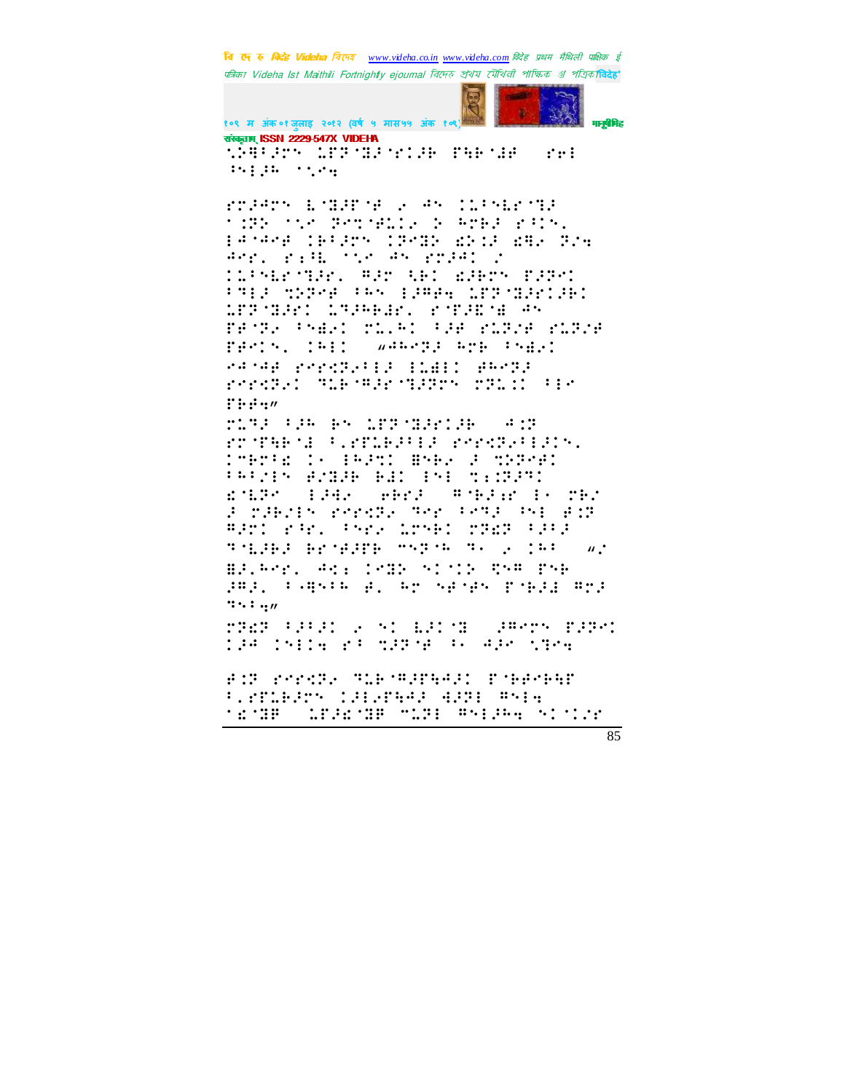

संस्कृतम् ISSN 2229-547X VIDEHA thildry official fields  $\cdots$  $\{x_i\}_{i=1}^n,\quad x_i\}_{i=1}^n$ 

PERATH EMBRINA AND CLANED MR tiff the Permits & Area rate. EASASE CERROS CROBE WELF WHE RIS Anglo gali nyeoda gridi ( <u>tinerale, mar ust easy pape</u> PREP SPREAMENT EPHAL STRINGERS STRANDED STARBARD SANDERS AN PROPERTYMENT CONFIDENTIAL POPINE FRENCH (BELL WARRIE BYB PRES) ranak reregisil ildil BRegi rered the market made with the same  $\mathbf{r}$  is  $\mathbf{r}$  and  $\mathbf{r}$ 

ring (gm an infrastial (4) FT THE ME POPTLEFIER PRPETTIERTS. IMPORT IS BRANCHERS & NORMAI **TALLER AND BALL SERVICE SERVICE** EMERG PRESS HERR SPORTED IN THE F MARTIN PRESTY TRE PRTP PND AND #201 rin, thr. 18961 0727 t2t2 THERE REMEDIE THEM TO STATE  $\mathbf{u}$ . BRIGGE WAS CONSINUED TO THE joj, rapid aj sposanje popjanje  $\cdots \cdots$ 

PREP FREAD & SO ERDER (PREPS PRRED tia telta el migre lo ale spea

FOR PRESS TOP MUSHED I NEPER **T.MINERY COLORADO AND ANIX CONSERVANCE PREPRODUCT**  $\cdot$  :  $\cdot$  : : :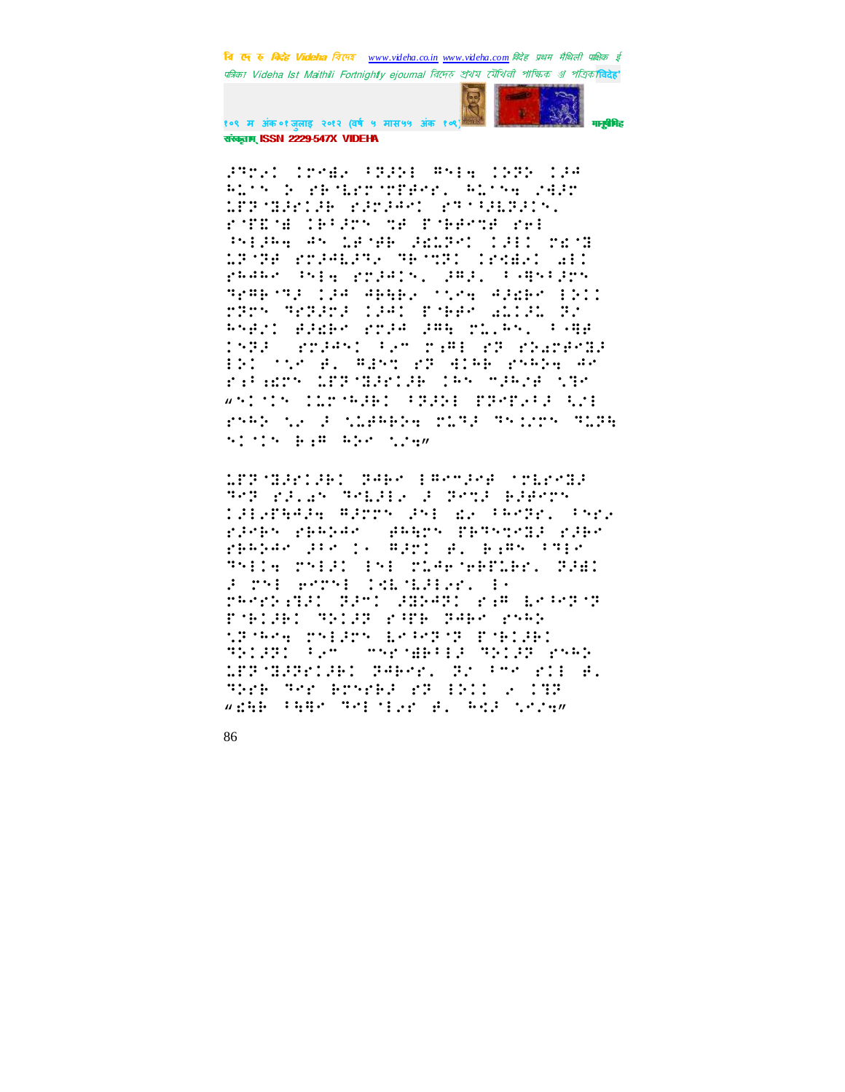

१०९ म अंक०१ जुलाइ २०१२ (वर्ष ५ मास५५ अंक १० संस्कृतम् ISSN 2229-547X VIDEHA

anna cheala (1935) Anis Canal (18 Rich & Section where, Richardten MPP MERCED REPEARD REPORTED. rother Children and Pohnesting PHONE AN LEMER SELFMI COST TEMP 13 TH REPAIRS, TRITE  $14942$  $\ddot{a}$  . . . . . PAGE GREETING DAY, CARL SARA Spanish (24 Angel ting Albert) (2 2225 A22323 1341 Pober William 22 RNAST ATALK ATTA JAR TILAN, PAAR 1593 (pragol for rage of planeda 101 tie e. Ast ek eine enne av rildry DPP dariab (RS Sakie STR WANTA COMANDO PRESE PRAPARE ANE rak tri Stanker rige gara gun gin  $\mathcal{H}^1_{\mathcal{L}}(\mathcal{L}^1_{\mathcal{L}}(\mathcal{L}^1_{\mathcal{L}}),\mathcal{L}^1_{\mathcal{L}};\mathcal{H}^1_{\mathcal{L}}(\mathcal{L}^1_{\mathcal{L}}),\mathcal{L}^1_{\mathcal{L}};\mathcal{L}^1_{\mathcal{L}};\mathcal{H}^1_{\mathcal{L}})$ 

LEP MIRIJE: PARK (Promine colred) Ter Plis Tellia I reni plier 1912Ph494 A9225 951 B2 (Angel Chez ranen regian (degri reginala rae)<br>regian alz 1. gart e. eagl log THIS THEI IN TIME WHILE STAI F THE POTH CHEMINES IN TRAPPATRI PROVVEDARI PAR LAPARAR PALIE: TELP PATE PART PARE SPORTH PRESPRIENCE PORCHO WEIGHT FEW STRENGHALL WEIGHT ERAP LEP MARKIANI PANYA, PA PTY KIL B. Ther Ter Robert et Inii 2 197 wind the state of the first and there.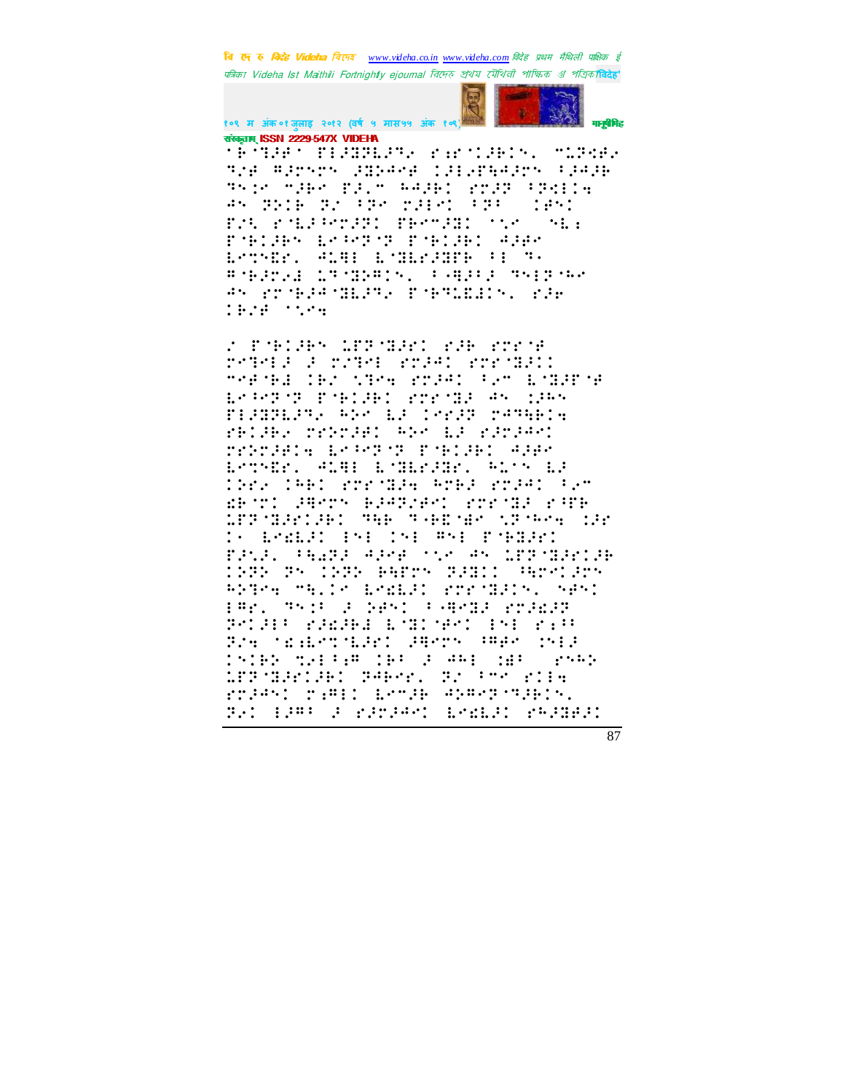

#### १०९ म अंक०१ जलाइ २०१२ (वर्ष ५ मास५५ अंक १०९) संस्कृतम् ISSN 2229-547X VIDEHA

téfort places rations tourn The Ranner address (allegaard face Thir make pair A4aki road (Priim #5 TELE TE FTP THEM FTP  $\mathcal{L}(\mathcal{D})$ F.S. POLESMORE FROM HIS COMPANY PORTABLE LOOP OF PORTABLE APPO ESTRE: 4191 ESHERING (1 7. Roberta CRombert (Romer Robert AS POSEDAS MEDIA PORTEEIS, PAR  $\begin{array}{ccc}\n\vdots & \vdots & \vdots & \vdots & \vdots \\
\vdots & \vdots & \vdots & \vdots & \vdots \\
\vdots & \vdots & \vdots & \vdots & \vdots \\
\vdots & \vdots & \vdots & \vdots & \vdots \\
\vdots & \vdots & \vdots & \vdots & \vdots \\
\vdots & \vdots & \vdots & \vdots & \vdots \\
\vdots & \vdots & \vdots & \vdots & \vdots \\
\vdots & \vdots & \vdots & \vdots & \vdots \\
\vdots & \vdots & \vdots & \vdots & \vdots \\
\vdots & \vdots & \vdots & \vdots & \vdots \\
\vdots & \vdots & \vdots &$ 

S PALEN MERGHED SER STEAR regend der van der er van de voorbeeld meachd (Br) (1984 rolle) from Ecology a ESPERT PORTED PRESENT AN INAN FICHER, WAS LESSER SANDIN retake repract wee is rarawe reprieta brograficatiet ager ESTARY, ALBE ESHERING, ALSA ER INE TABI PRESENTAL SPACE PROFIS **SPREED BOARDARY PERMIA PARK**  $\mathbb{R}^n$ STRATISTIE: MAE MAARAMA ARAHA SE In English (ME INE AND POBBER PROFINERE ARMA TO AN OPPORTUR <u> 1995 go livas Agres agust Ghefiler</u> BOYS TELL BOOKS **STATES SECTIONS** PRES TREE POSSESS PROPER PERSON POSE PARABA L'ALTES EN PRIM Bra cadarromant agent Gear his Stip sales de a grand de crypp WPSBRIAN PAPEL BY PS FIR rrant ram: Eena Aymernaale SAL 1986 S REMARK BREEK PRESEN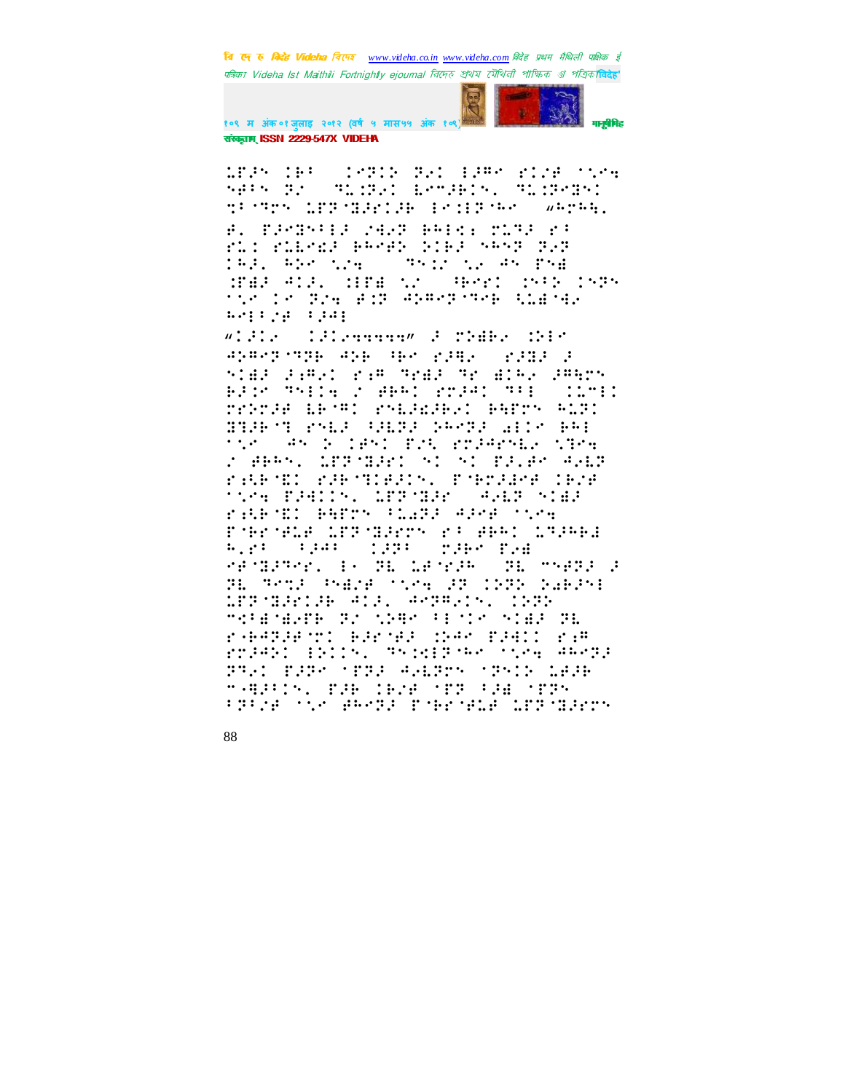

१०९ म अंक०१ जलाइ २०१२ (वर्ष ५ मास५५ अंक १०९ संस्कृतम् ISSN 2229-547X VIDEHA

1835 (BF) (2001) SAC 1386 2128 1526 SARS BY TEMPLE ESTABLE TEMPES the the South Sanctification of the Company of the Company of the Company of the Company of the Company of the B. TROBAGE PART BAGGE TITE PA fil films Prep ble sper pr pag, aproxima State to An Pad HER SIA, HTE NO SESSI ISLE ISTS tic is grandig speeding that the **SPEEDS** (1991)

widis (Discusses Jonabe Car ayakring ayn ge yagk yaga d STAR PARKI PAR MPAR MP ATAP PANPS Base Media 2 ABAS 20241 MAD (1601) retrak bejar eskadakt barrs ALB: BISH T PALE SHER SHARP WILL HAD 500 An Dientjes ergenen van 2 ARRA: 1877-1881 NI NI BALAR ARLE ratego raegoaren poezage oege tive padity, informational sign rakte bergs time ager syn Foreigne information and exploration Ager (1941) 1931, Muse Bed PETERNAL EN PETERNAHAN PETERBENAH BL Rend Pedra steam BR (1989 Guade) LEP MARIAE ALA, APPRAIN, IND MAREMENTE SA MARK PENDAMANEN SE réagard bajas de part ra PTPRY 19115, Thirl<sup>9</sup> Service 1944 AR228 3321 BBB 1933 A21375 13512 MBD **MARKING PARTIES TER PARTIES** FRENCH STATEMENT PORTHER SERVICES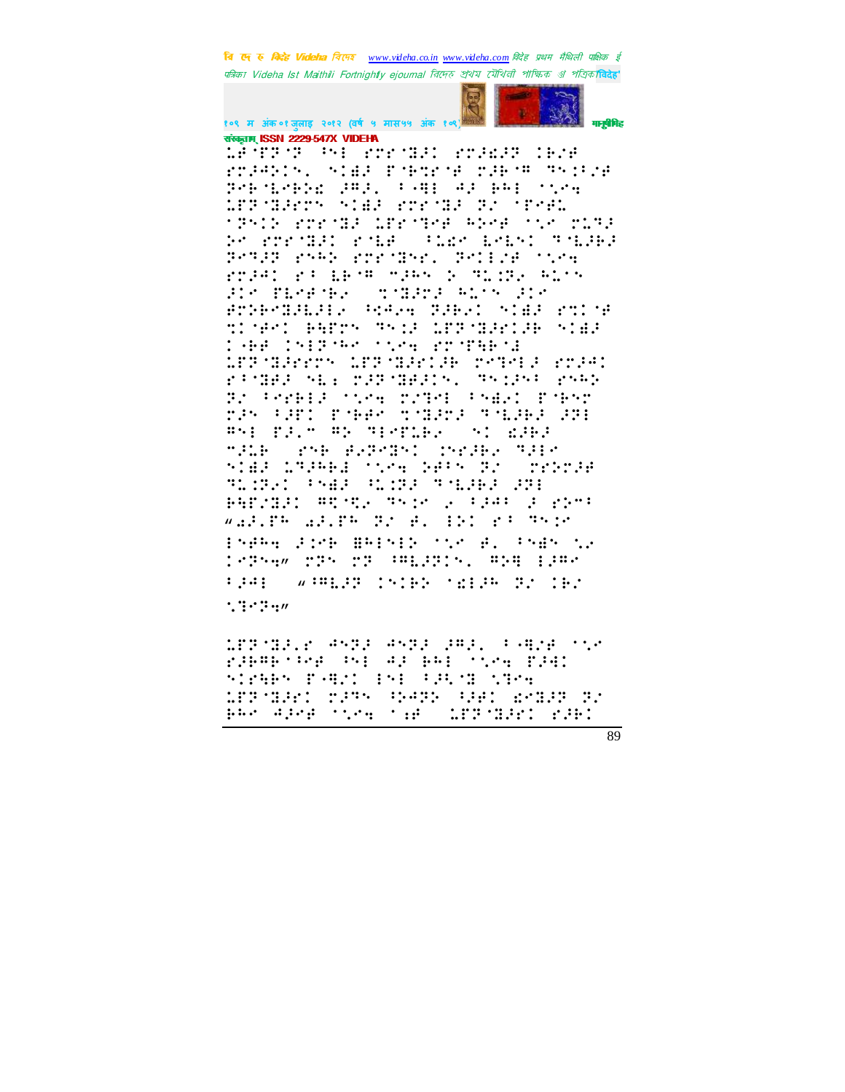१०९ म अंक०१ जुलाइ २०१२ (वर्ष ५ मास५५ अंक १०९) संस्कृतम् ISSN 2229-547X VIDEHA



LENTIN ME STRIBU STREET IENE POSSED SOME PRETENT OSPITANCIA 206110651 282. FHB 42 651 1104 MTP (BACK SIA) COC (B) BY (TECH **MORE PORTO LESTRE RESE MAS DLOS**  $1.3142$ Shi prendadi shipto alikno bhindi Betal reed roomser. Belijke stee roll, right when the second state and FOR PERPOSE CONTROL RESS FOR Brahmannie Gebertaben Ministerie times earny myse information yiel SARA TSIRSAS STAR PROPRESI STRAINERS STRAINER PAREN PRIMI ringer meerlanderime van de remp Br Perkil tiew wright Pearl Boker ras fari romas comara quiama ági #5: FR." #5 #PPTLE. 51 EREP mann and supervisionship pass SIAR 1986BA (1956-1985-1920) MEDMAR TERM MARKETING TERM PRESERT WENDER TRIP & FRAME & PROF will be in the Bird Bird of Server Premy directments through then the 18754, 275-27 (812715, 858-1288

89

 $\ldots$ 

1885-1881 - André André (American Angel Stre rupapers and all all part ever flat **NIVER PHOTOENE FROM NTOW** MTP MART STRAGGARY SAN WANAR TO **LEP (B.Fr)** part directions of he

**WORLD INDE YERR BY IRY** 

# $\mathbf{1}$   $\mathbf{1}$   $\mathbf{1}$   $\mathbf{1}$   $\mathbf{1}$  $1.311117...$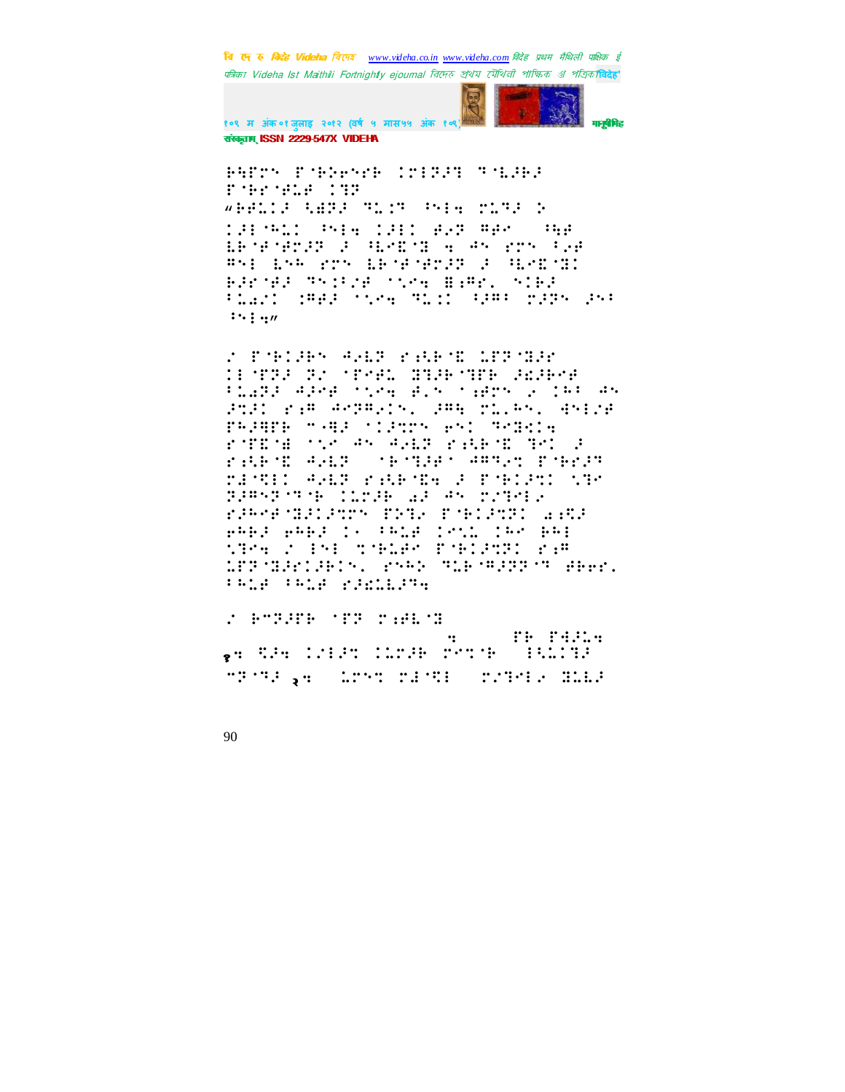

१०९ म अंक०१ जलाइ २०१२ (वर्ष ५ मास५५ अंक संस्कृतम् ISSN 2229-547X VIDEHA

BATTS FORDERLY CTIFFS TOLED rment : what is the start the rise t CALMAD (MIA 1311 AST AAR) AAA BRYPYPER PRESENT A PROSPECTIVE #5: E5% PTS ERGPHTP P HPEST BEFORE TRIEDE STORE BERE, SIBE Plast Smed Strainbor Comp 2025 25:  $\cdots$ ; ...

r Palak Add roba dosadr **TEMPER TO MEMBER 1888 TEMPER SERVE** Plate Apre straight safet point Ar anal par Average. Jeru bl.64. Avera PAPER SAR STRYS AND ROBOTA PARTNE STATES AND PARTNE TO  $\ddot{\cdot}$ raden aar (tenar assan phers MARKET AGENT FALERNE OF PRESENT AND BRANCH STORE AR AN BRANCH rawensianny sis filensi Gus PARA PARA IN TALE INSURA END the risk through the control and 183782211817. PAG SIP-92337 BRE. **TRIP FRIE SINNER:** 

*CAPTER STR CHICA* **TH PARLS** . THE INER INTH TETT BUILDE MESTER AT AUSTRALIE SCHOOL BALE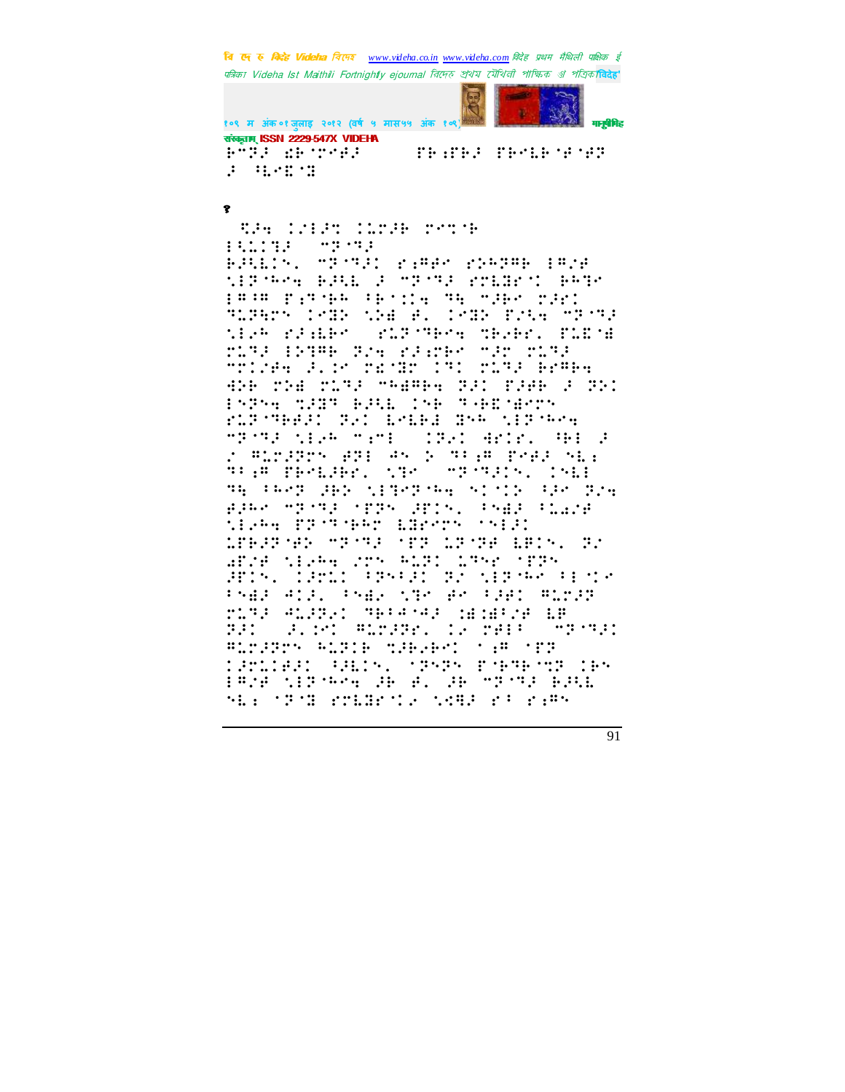१०९ म अंक०१ जुलाइ २०१२ (वर्ष ५ मास५५ अंक १०९ मानुबेमिह

संस्कृतम् ISSN 2229-547X VIDEHA PORT AR TOMP THING THAN YANG  $\mathcal{G} = \{ \mathbf{1}, \mathbf{2}, \mathbf{3}, \mathbf{4}, \mathbf{5}, \mathbf{6}, \mathbf{7}, \mathbf{8}, \mathbf{9}, \mathbf{10}, \mathbf{10}, \mathbf{10}, \mathbf{10}, \mathbf{10}, \mathbf{10}, \mathbf{10}, \mathbf{10}, \mathbf{10}, \mathbf{10}, \mathbf{10}, \mathbf{10}, \mathbf{10}, \mathbf{10}, \mathbf{10}, \mathbf{10}, \mathbf{10}, \mathbf{10}, \mathbf{10}, \mathbf{10}, \mathbf{10}, \mathbf{10}, \mathbf$ 

S.

SPA INST MATH TETH **BELLER STRAINE** BREAK MEMBER FARRY PRAPAR IANA MIRSPACE BOOK OF TRINING STERF OF BRID PROPERTYPE SETILE THE TIME TIME SLEED CORPORE EN CORPORATORS MPR PREDRY STORYHOW MEPHOL FILENE MIRA ENTRA RIGUEIRA MARCELLAR TTICH F.C TEMP IN THE PLAY BEAR 426 224 2173 554864 231 FJAR 3 221 Press where Build over reading the FIRTHER WILLER BY NETHAN MESTA SEARCHER (1921-Brie, 961-2 r Alradry Add ay 2 Maga peal yil mam permaer. Sar Scherers, Ism THE PACK CHE SITE AND STOLEN FOR THE BRAK MENTE STEP GEIP, PREF PLAZB tives promoter makers osfin LEBAR MES TRACTER LESSE LEIN, RA arze slamm zom mig: 1962–7896 ()<br>grim, 1961: Freegi di slovene flore PAGE ATE, PAGE THE BROOKED RIMER ring Algo, necessar dedeze ip BAD (Albert Albagan, 12 page) (present BLEADER BLEIB SABWERI SAB SED TRENTRIC GRIS. SPARE PARRAGE IRS PER MERSHAN PE B. PE SESTE EPAL ME: MP NE STERFOLK NAME SA STAR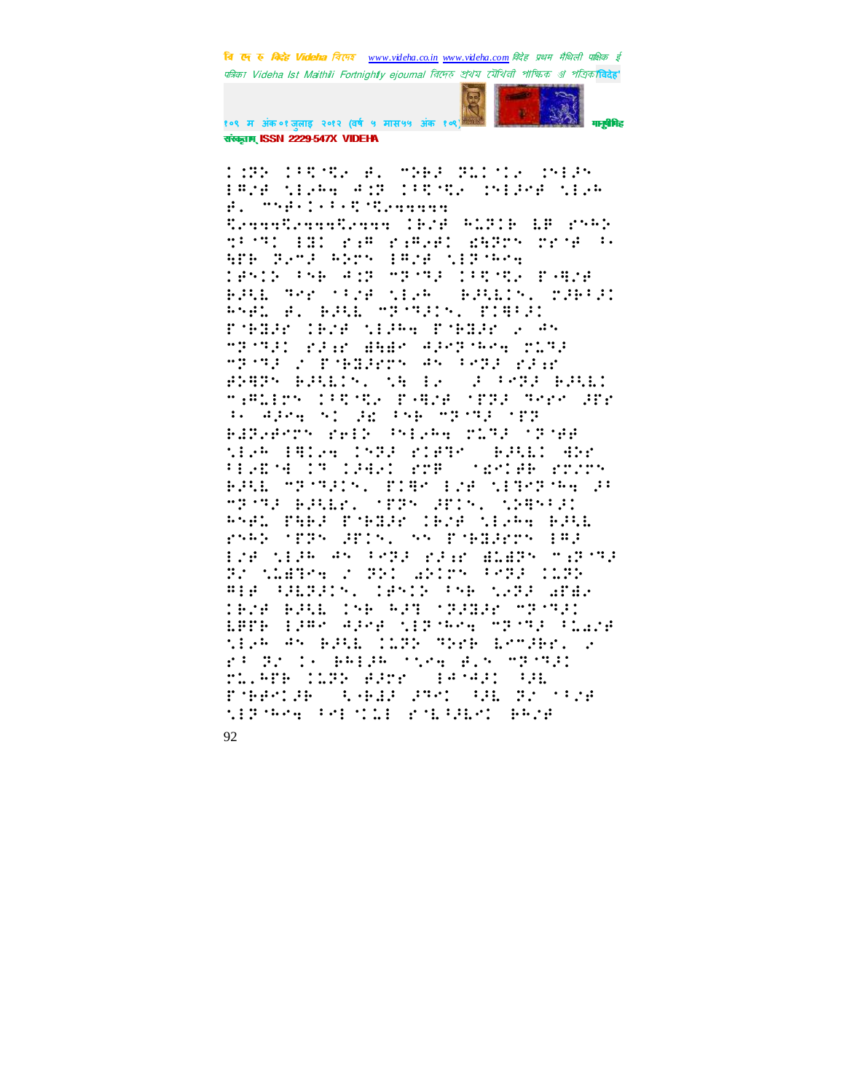

१०९ म अंक०१ जलाइ २०१२ (वर्ष ५ मास५५ अंक १० संस्कृतम् ISSN 2229-547X VIDEHA

<u> 1950-1951 - Alexandri Salvador (</u> ing traged by construction tra B. Stephenson Stephenson Connionnionn IBM ALDIB UP 2542 trit, HI ra raman sarry rrie o HTP Temp been large tilmene TENIN PNE AIR MEMBETERING ESEME BREAKTH THE SEPA (BREEK, TREER) RAN A. BAN MEMBIA BINA remark the stamp remarks an "PORT PER BAR APPORT TITE **MESSE A PORTFOL AN ARTE PER** ENDRO BREIN, NE E2 OF PRES BREI mander (From Para 1993 Reported <u>a Ales Side (Selergel Sr</u> BIBAPTY PAID PYLAN TITE TENP SIGN INCOME CHRA VIETY ( BIRLI ADV HADMETR CHAINER STATEMENT BJUL MESTICS, FIRM EVE SETMESH JP MP MA BARLEY (PPS APIS, SPESSA) RNAL PARJ PORTA CRIA NIVAN RJUL PARK TERS SELS, AN EMBREY 182 President and Production Abadhy widers ar sweedyn asi welch fêan loak #1# RHSPIN, IPNIN PNP NASP WEW TEMP BREATH RRT (PREP) MESSEN EACH TOWN WINE STRAGGERY MESS PLAYE MIRA AN BIAL INSE SPRE ESTIBRI 2 ra British Ballan Strandish MB (RP) St.APR (1195 Ages ) Pajdg:  $\mathbb{R}^2$ ruech tempron um proud MERSHAN PRESIDE ESERGENT BRAF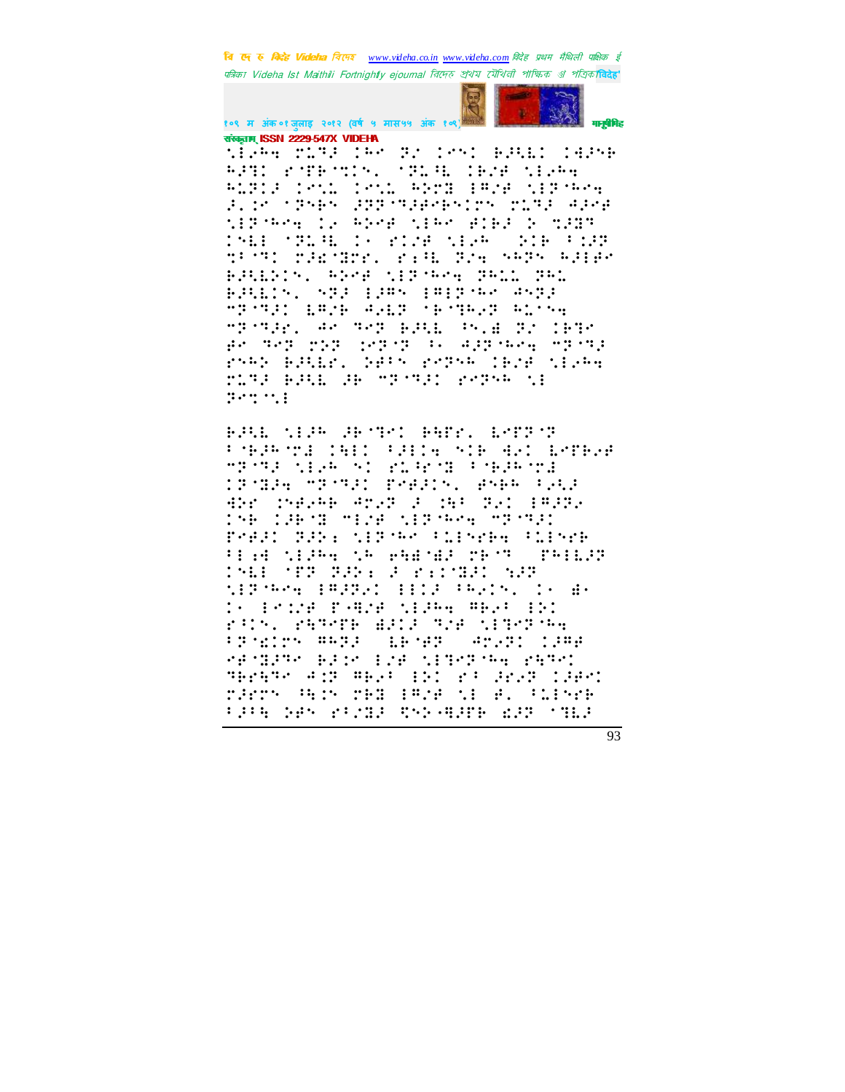

१०९ म अंक०१जूलाइ २०१२ (वर्ष ५ मास५५ अंक १०९) संस्कृतम् ISSN 2229-547X VIDEHA

thèng pina the na test baggat teasp PART STRETCH, TRUB, IPAP NEWS While is it is not when the the whole alis (ask appropriation pick and throws to abom the mind downth MAD (PLAN I) FIZE MEAN (PIB FILE MESTO PARSBER, PARL BOW SARS AREA BREEKS, WHEN SEPTIME BRIDGE BREIN, NEE EPPN EREPND ANDE **MESTA: LESE ASLE SESTASE ALSA** monday, ar neo Bota (bia di TBGP Britan Marchardt (B. B. B. Barney, Mr. 193 rneb Batbr, beth regne leve tipes TIME BEEN ER MESMEI PRESS ME  $3 - 1 - 1$ 

BREAKING RETER BEEL AFTER **POSTERVIAL INST SPECIE SID AND LOTERS** erên Giza Vi girêda Panader IPSBA SPSTI PSBIN ASA (20 458 MARAH AMRI 2 MAY 1821 FARIR INF CARTE MEDE NERTHAN METHAL PART PRY: MIPART PLINER PLINER He side to parally star points 1968 (PR ROG 2 PEDIRI 522 MIRSHAN IPARAD IILE PRAIN. IS BR TV EKIME PARME NEJAW ARAS ENI rath, report and pre-dimonse. **BERRICH WARE SERVICE Arabi 1986** PETERRA BASE EVENIMENTAR PATED MERSPRIANS MERS IN 2008 SPRESS rarry White rad 1928 time, Wilson **FRAME SENSITY OF STRAINING STRAINS**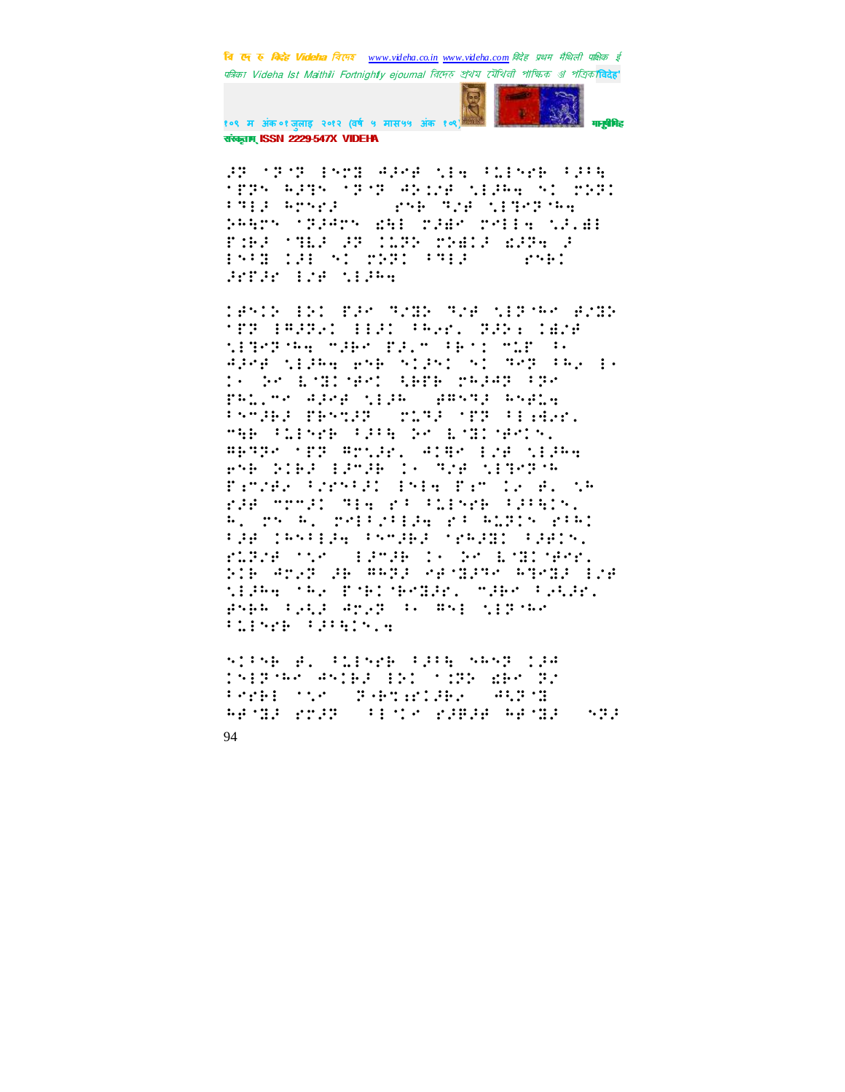

१०९ म अंक०१ जुलाइ २०१२ (वर्ष ५ मास५५ अंक १० संस्कृतम् ISSN 2229-547X VIDEHA

ST 1717 EST APH SEN BLESH PRP 1835 APRO 1818 ANIMA SEPARANI 2001 **SEARCH SEARCH PAIR ASSER** PRAMA MEPROVABI MPER MATIA NPLAI FOR THE PROGRESS WHILE RPH P PRESIDENT MARIE PRES-— : ∵ : : **:** SPEED 128 SIGNS

TANIN BIL BAG SZBN SZAGONBOWN AZBN **TEP ERSPOT EEST PROT. PAPE TEMP** MERCHANDER EACH FROUDER FR Alexandra and client of Algoritan and 19 Se Endinant Cappa pageg (ge PRIJEK APAR NIJA (PASTI ASPIN Proges person (stag ope pigge. **MAR PERSON PROPERTY ARTISTS.** #FTP/ (FT #rtHr. 418/ E28 tEPH) FRE PIER EPSE IK SPA NISPASA Parcel PortPac Enew Parcio Alcoh rae monal die rootsinge (acels. R. TROR. THERMEDWORK REPORT FRA 1959184 PSTREP (PRPRI PRPIS) PLEAS TO STEPHEN DO NO ENERGY bik arat ak'espi kangank shkod ina SEPHONES PORTGESER, MPRO PAGES PHP FRU PTR (F) #51 SITER **CONSTRUCTION** 

strak e, rikek rjeg saspojja Sitte and in the state when Premium state and management of the state of the state of the state of the state of the state of the state of REMOVEMENT CONTROL CONTROL  $\cdot$  : :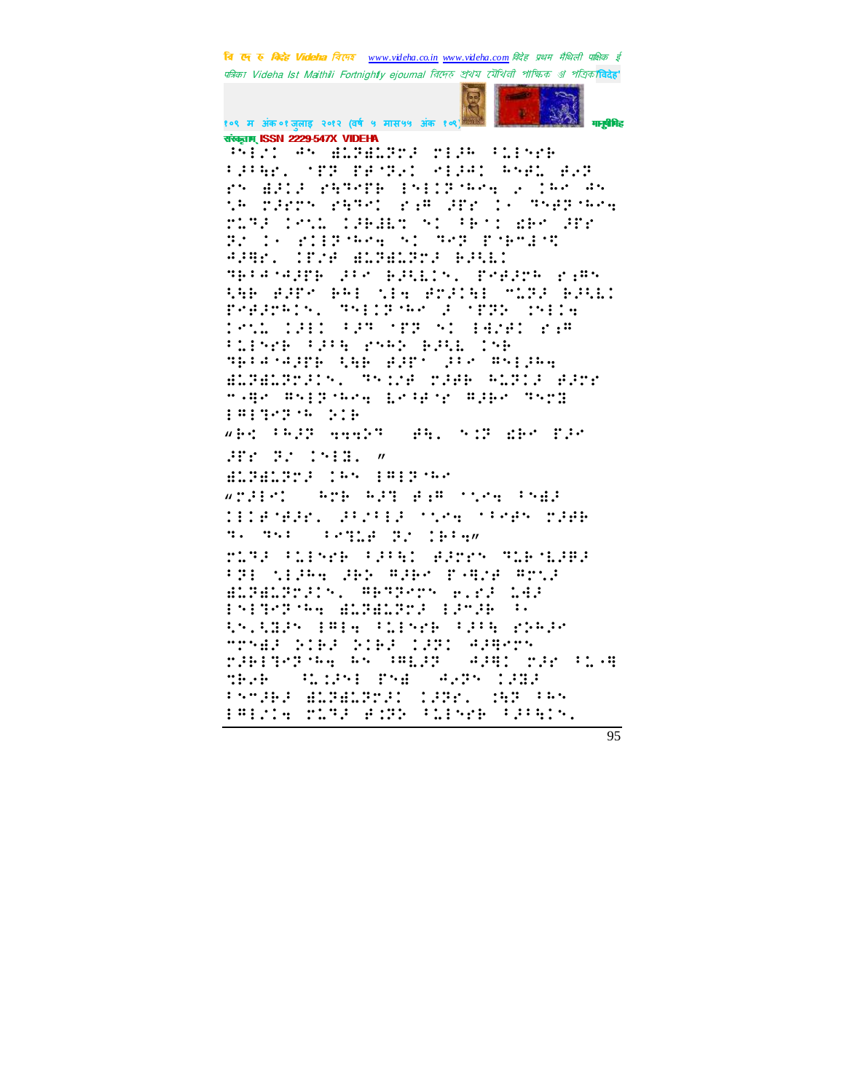१०९ म अंक०१ जुलाइ २०१२ (वर्ष ५ मास५५ अंक १०९)

संस्कृतम् ISSN 2229-547X VIDEHA ahiy ay mummung riak aliye FRANK THE BRIDGE PORT AND SAF rn Bala ramere (nilanese 2016) an SH PARTS PATEL PAT APP IS TSAPING. ring fril tables at that ghr and Britis riprese si Republement AND THE BUSINESS BUSINESS MELAYAZIR SLY BJG118, IVAZYR YAMR the sure empoints sputter with equal Presents, Shifthar Porth, Inity Tend (SHI) FSP (FP 51 FEMP) FAR FLINGE FROM PNAD BRAK INF measure the sure presence BLTBLTTING TYDE THE BLTIP BITY mage which have lie before with the most : #: 107 14 1018 wed this gads (second denist **SEP RE INTE. #** write: And Alm Bim Stew Pres HIPMAN, PINER SYMMOGRAPH  $\mathbf{u}_t = \mathbf{u}_t \mathbf{u}_t = \mathbf{u}_t \mathbf{u}_t + \mathbf{u}_t \mathbf{u}_t + \mathbf{u}_t \mathbf{u}_t + \mathbf{u}_t \mathbf{u}_t$ MITA PIRAME PAPEL BAMMA TIPALARA FR: SEPAN PRY WPRK PARTE WOULD BOSCHILL BRYST R.C. 191 PRINT WAS BIZBIZED BOARD OF 55.5325 (PHA FLISPE F2PR P2P20 **MORE SIEP SIEP (PPI APROVA** rangers, by what ago the range ther thing from A.Th 1222

1331. 152. 165

*BAMINI RESIDENCE* 

PRINCE TITE ROTE PIPER PERMIT

95

मानुबेमिह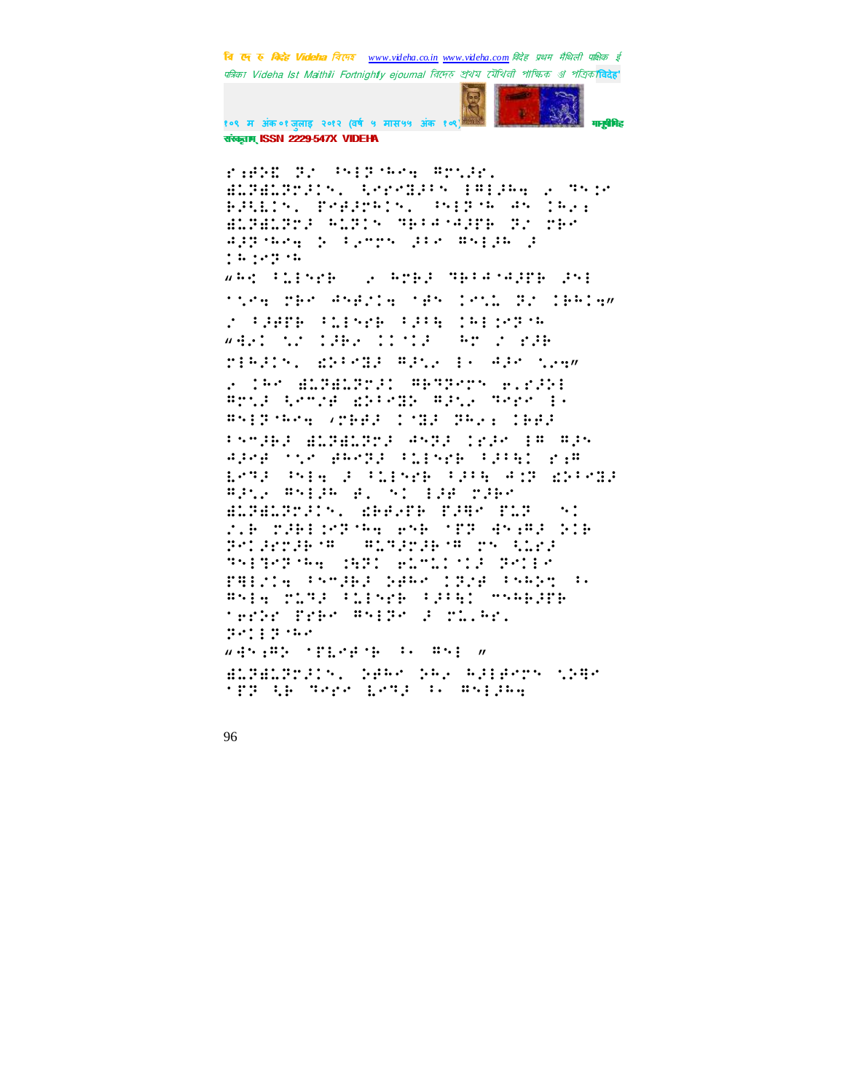

१०९ म अंक०१ जुलाइ २०१२ (वर्ष ५ मास५५ अंक १ संस्कृतम् ISSN 2229-547X VIDEHA

rack Samstyne Study BLTBLTTICK, CREMINA IMIGAN 207510 BREEDS, PARRENTS, PSIRON AS INFE BOSBOR: 50315 SPIRESH 21 MB approach to tymps presently past  $14.143344$ wed flinge (a energy metainere 2ne they che Andria the lett Sr (DAI), r (Para (Break (Para report) weather the finite are renew riacis, chiedrale actor is actor toge , the angunger grapers right Bris tenia ditemporante però l' Brighter, Chair (Mil Beri Chai Proges Alganges Arge (200 18 Apr apeg sie gaego (nieep () dian rim ESTA PHALA POINTE PAPE ANT ENPRIA BRY, BNIRE B. NI 188 TRES  $\dddot{\phantom{1}}$ rik raktivansk kyk (prosesta dik Selarrak'n nisaarak'n ry tira THERE HAS BEEN BLOCKER IN ROLL FAILS A PAMPARP CARE CROAT PARCH PA BALA PLAS PLINER PSPAL MARRIER terbr Pres Weige d'richri  $301133340$ with  $\{0.95, 0.95, 0.95, 0.95, 0.95, 0.95, 0.95, 0.95, 0.95, 0.95, 0.95, 0.95, 0.95, 0.95, 0.95, 0.95, 0.95, 0.95, 0.95, 0.95, 0.95, 0.95, 0.95, 0.95, 0.95, 0.95, 0.95, 0.95, 0.95, 0.95, 0.95, 0.95, 0.95, 0.95, 0.95, 0.9$ HIPHLPTIC DERM DR. RAIBATH (1988 trr in whether the school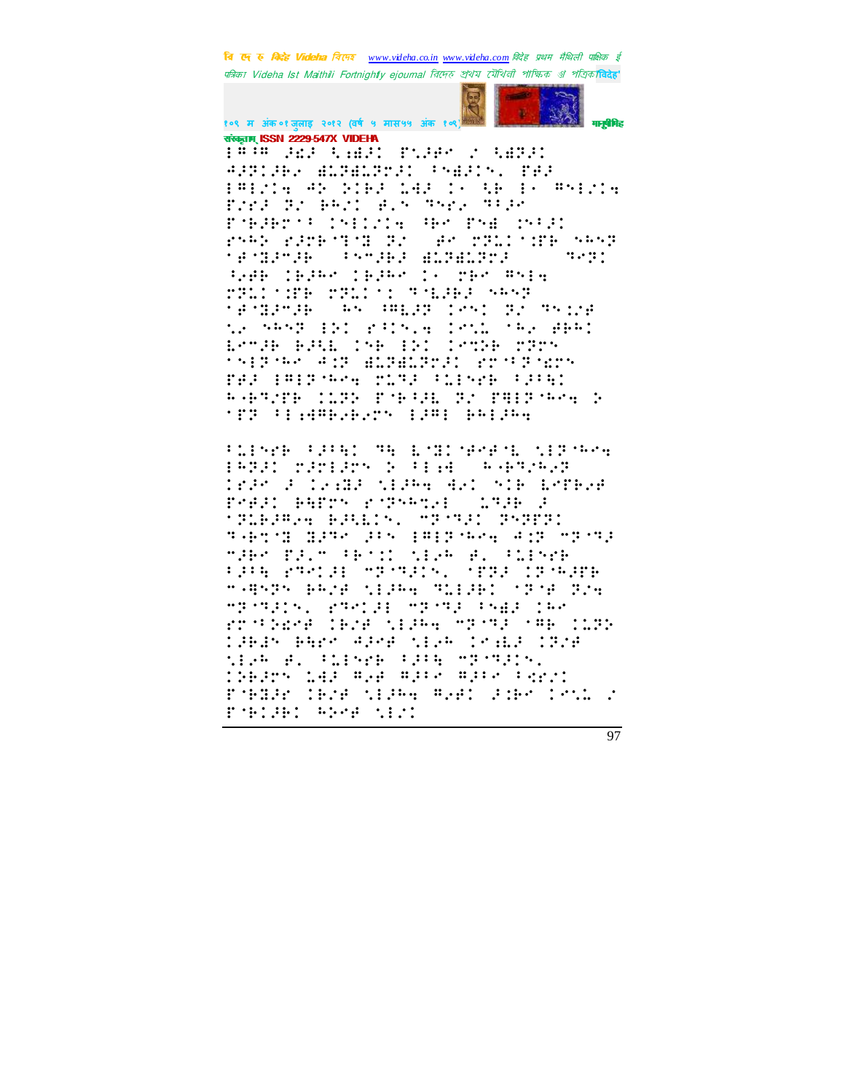

१०९ म अंक०१ जुलाइ २०१२ (वर्ष ५ मास५५ अंक १०९) संस्कृतम् ISSN 2229-547X VIDEHA

TAGA ANG KANG PINAS 2 KARA: spring andalysis charter par EPERIN AN NIER LAR IS AB ES PREZIN Fred Br BArt Bis Terr Tipe Poblero (Silvia Gbo PSA (Sil) **BOOTHING SERVICE** rn42 r3rB 78-3 32 *'B'*BPB ('S"BP BOBBY'  $\mathbb{R}^n$ SHE IEPHO IEPHO IS TEO Phile **MILLION MALLION TOLARS SPACE** rangena (Ar Belag (25) grupping tromes in rune (eth service) ESTAR RALE INFORMATION TELEVISION <u>Syrphasian angangsar asagias</u> FAR 1913/6/6 MISR PLINER PROB RASTE COOLIGE ENGINEERS PRIS SPACE \*T7 \*1:486.625 1381 651354

FILENCE FREED THE ENDINGER OF SERVICE Trin F Ledif Stike Ast Ste Lother PART PAPPY POPYRING INFORMA **TRIERWAY BRIDGE TRYNED RYPERI** THE THREE SEATERS IN THE TABLE OF THE TABLE MARK PACM FRONT NEWS B. FLEWE FRA 25518 STYTELS, 1878 ITS-RAPE magnon este nices diice: (doc no **MESTAL PROVISIONS CONSISTS CAR** rodare lare siem soda de la cup 19635 Beng Alge Siye (silk 1928 MEAN BLOADERBOARD MEMPERS. There has made more more rapp PARRE CROB SERGE WARD ROBE DANN O POSSED BROWNERS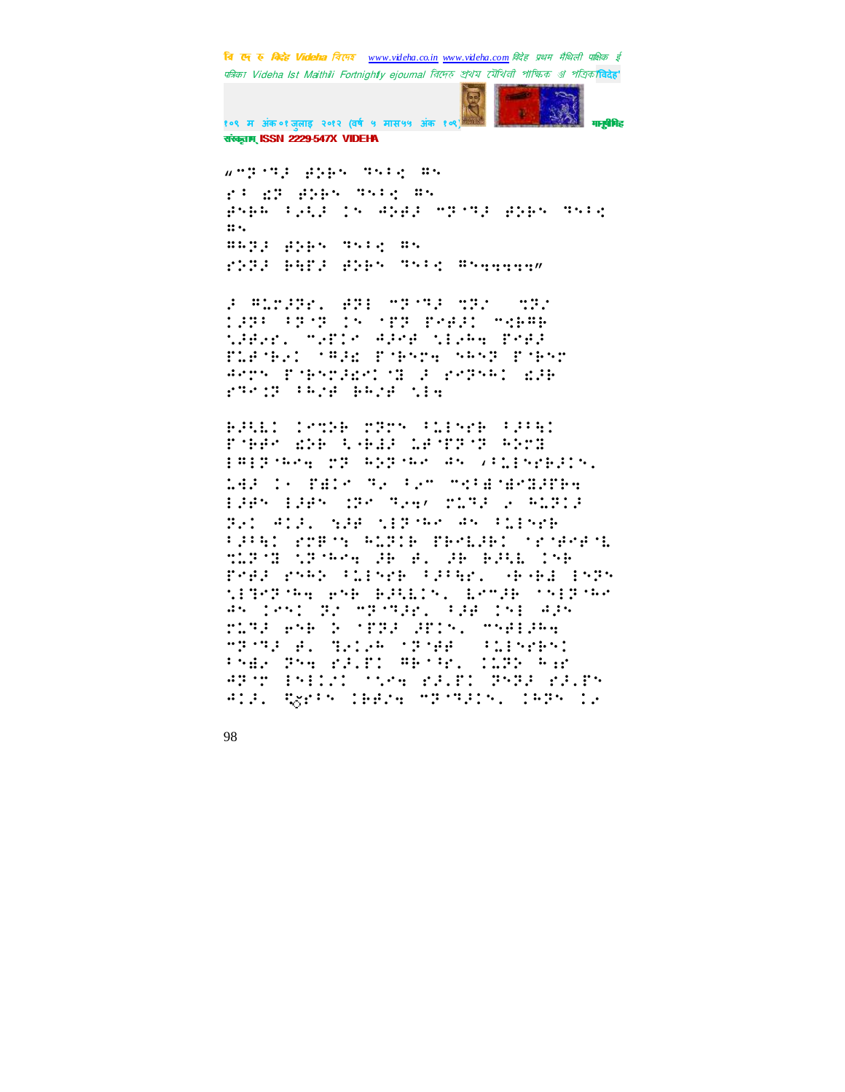

#### १०९ म अंक०१ जुलाइ २०१२ (वर्ष ५ मास५५ अंक १) संस्कृतम् ISSN 2229-547X VIDEHA

were gift they my ri di Siba mate ma PARK FRIE IN ANDER MEMORIANEN MARK  $\mathbf{a}$ . say; gips said sa fill but: Side This Brunning

3 WINDS 801 MP 73 WIN 190 1985 FRONTS OF PERSONS MARRE tager, media gagg tiege paga PLACES: CREAD PORCH SAST PORCH Arry Poberarche a refeat dab FRAME PROF BROE SIR

BOSC CONFIDENTIAL CONTROL PORP ROF LORD LETTET SOME psproked prospects as videophyts. 143 TV PAIR NO FOR MOTALMATING EARN EARN (SP) Real MIRA & RIBIA Bel Ald, nde nibeme an Olingk PROBLEM TO BITING TEMERED SEMPRODU TIP TO THE HOLD HOUSE IN PART PART PLEASE PROBE, SESERI EARA SPROPORE ENE BARLING LONAR SNEROWS as portas operaço agrega de ring and to the dring whereas MESTA AL TRIPA SEMAN PIDEMENI ther 254 22.81 AB(Ar) (235 A.2)<br>Azor (54121 (524 22.81 2522 22.85 ATEL REPAIRED STATES (1935-19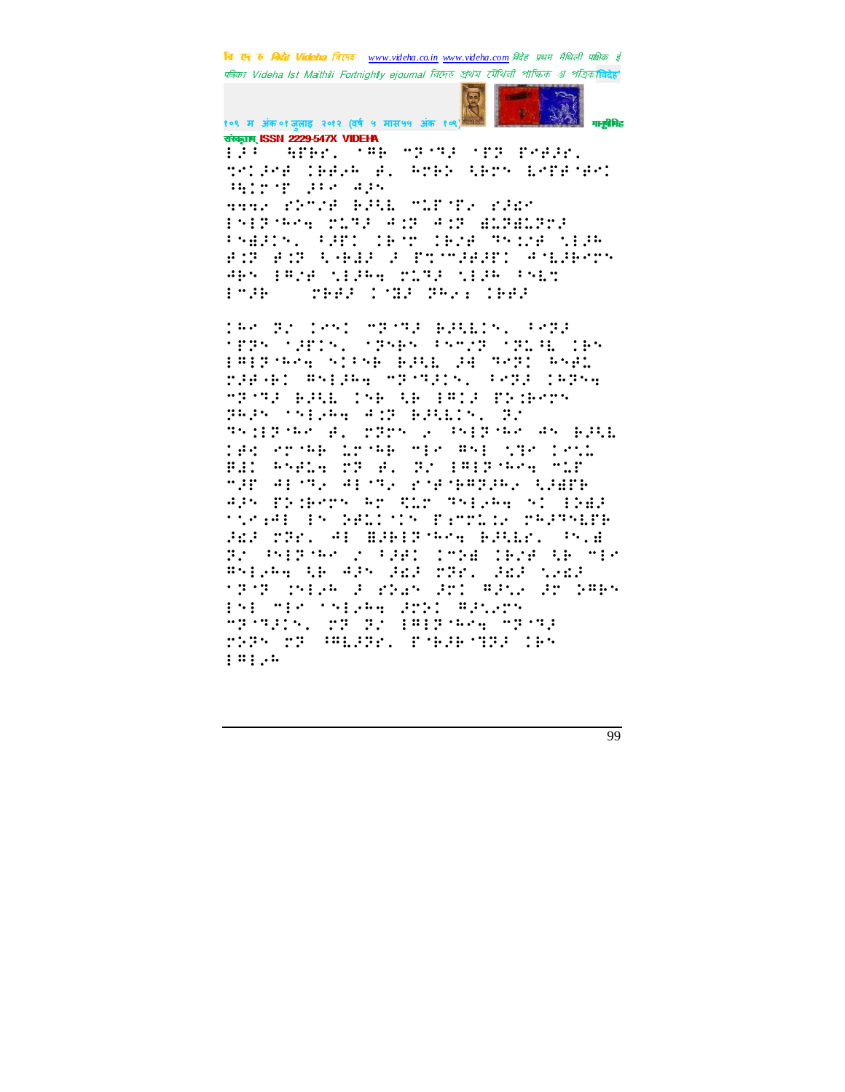

१०९ म अंक०१ जुलाइ २०१२ (वर्ष ५ मास५५ अंक १०९ संस्कृतम् ISSN 2229-547X VIDEHA

13: APPEL THE MPTHS TER PHERS tolane leeve el area tern borenen BUTTE PROBES aaan Shida Badi mindin Saar PREPARA TERP ATP ATP BERBERTA PABING FRIDGE TO DESENY DE SIRE FOR FOR SHEET FOR CHEET FOR PRO ABS EASE SEPAR SINE SEPARATES **THE TAB BALL INE**  $1.935$ 

TRA BY TANT MESSE BERLIN, FABE **TEPS TREDS, TESPS FAMOR TELRE DES** 1812/6/4 SINE BRI 24 9/21 6/21 MARANI ASLAH SESERIS, PARA 1685. **MESSAGE IS AN ARTIFICATE IN 1977** PAPA TALAH AND BRUIT, PA Thill the B. Three Political Andrew ter ersk brok mik man tre fedt BAC WYALA 23 A. S. 1913-WA MLP mar along along romonangang taurp APS PRINCES AN ALM ASIGNAL SI INEP tirak (K. 2011) The Partie (PRPSLER AND THE AT BARDY-AG RAINE, POS BY PHIRTHE 2 FIRE ITSE IRVE RE TEA #512#4 AB #25 2d2 MPr. 2d2 N2d2 1313 Informational Art Advocar SARS ENE MER SNEDAR GUND AGNORM **MENTED YOUR BEATING THE MENTED WERE SERVED 7275 77 HEART FYRAMIR (B)**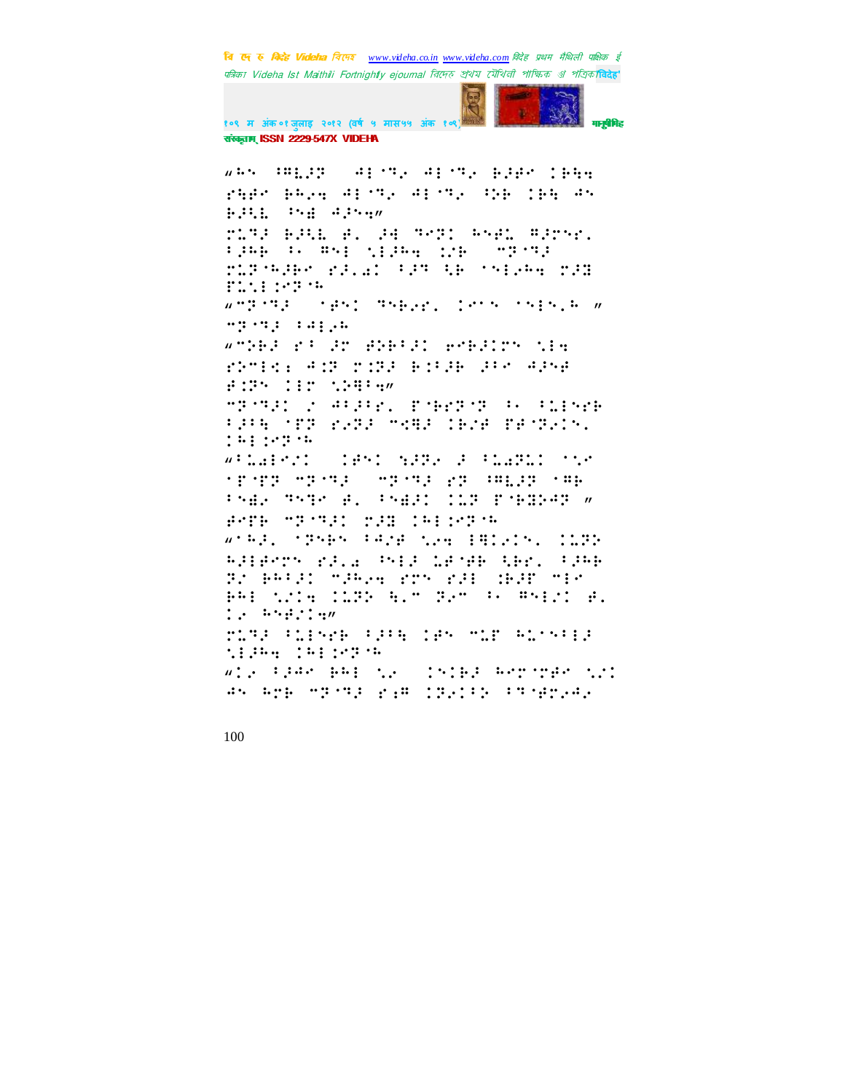

१०९ म अंक०१ जुलाइ २०१२ (वर्ष ५ मास५५ अंक संस्कृतम् ISSN 2229-547X VIDEHA

was dependently and the place in which rade base dist, dist, dist, and the **BOOK PORT #2547** MIRA BAGI BI AN REDO REEL RAMEI FIND IN WAY SEPART SERVICE PLEMARK PALAI FAR RE INFARM PAR **PLACE OF THE**  $\mathbf{w}^{\mathbf{M}}\mathbf{P}^{\mathbf{M}}\mathbf{P}^{\mathbf{M}}\mathbf{P}^{\mathbf{M}}\mathbf{P}^{\mathbf{M}}\mathbf{P}^{\mathbf{M}}\mathbf{P}^{\mathbf{M}}\mathbf{P}^{\mathbf{M}}\mathbf{P}^{\mathbf{M}}\mathbf{P}^{\mathbf{M}}\mathbf{P}^{\mathbf{M}}\mathbf{P}^{\mathbf{M}}\mathbf{P}^{\mathbf{M}}\mathbf{P}^{\mathbf{M}}\mathbf{P}^{\mathbf{M}}\mathbf{P}^{\mathbf{M}}\mathbf{P}^{\mathbf{M$  $m_{2}$   $m_{3}$   $m_{4}$   $m_{5}$   $m_{6}$ which are an alace and analyze the rrick Ad roll Four Star Car FIRM TIP ANDREW **MESTED 2 APPREL EMBREME PO PLENKE** FRAME SARP MARE CROB PROPERTY  $1417744$ wildfrom the SHR Pathelic St **SEMPLARME ARMENE PROBLEM** Pres Mrgr A. Pres: COM Bibosh W Beng, Spendi Sidney (Spends WORLEY TRENCHAINE SING INCLUDE CORP. Allenth rick (hil 128 MH Ser. Fine BY BRIST MARKE KONSTANT (BAP MEM PRI NATH INSPERIMENT PATTER PRINT B.  $\mathbb{R}^n$  :  $\mathbb{R}^n$  :  $\mathbb{R}^n$  :  $\mathbb{R}^n$ TING SINGLE SEEM TEN TIP RITES!  $11244$   $141224$ wis fier be: th (1516) esponds thi AN AME MOSTER PAR IDAINS FORMADA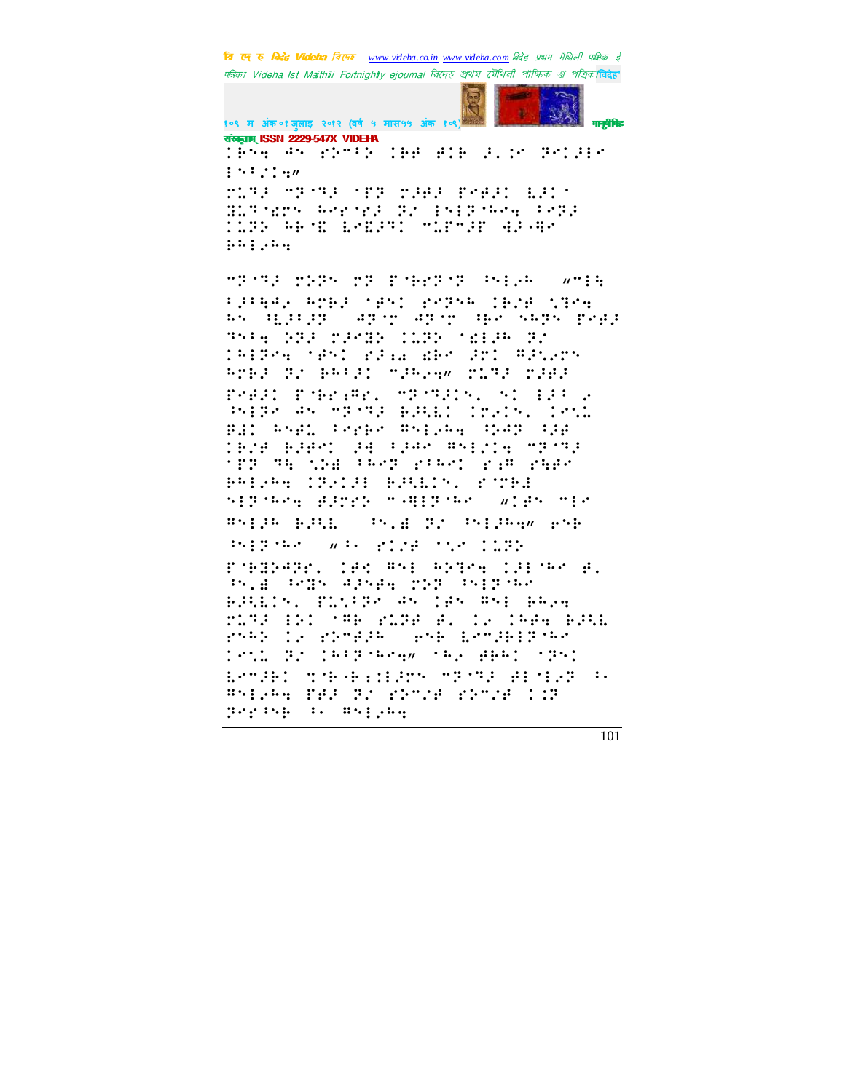

१०९ म अंक०१जूलाइ २०१२ (वर्ष ५ मास५५ अंक १०९ संस्कृतम् ISSN 2229-547X VIDEHA TENG AN STREET TEE BIE JULY BRIJER  $\frac{1}{2}$   $\frac{1}{2}$   $\frac{1}{2}$   $\frac{1}{2}$   $\frac{1}{2}$   $\frac{1}{2}$   $\frac{1}{2}$   $\frac{1}{2}$   $\frac{1}{2}$ MINE MESSE STRONGER PRESS ESTS Hitler Wereld Broekland (201 **TOO RESOURCES SOME SERV**  $1.1.1.1.1.1.1$ 

**MESTA MARK ME ESPERIE PALLA (WMIR** PROBA ROBE SEND PATHR IBOE STAR 85 H.F.H.T. 4757 4757 H.C. 487 5475 1547 THE STATES CONTRACTOR IREPAN YENI KEWA WEN JUI APIGUN RTES BY BRIST MSRPAW TITE TIME President reports the manufacturer of the second service of the second service of the second service of the se PRIPE AN MESTA BARBI INVIN. IM. Bill Angl Crype Angyag (1943-194 IBJE BJEMI JE FJAM ANEJIA MJYTJ TER THOSPHOTOGRAPH PROPERTY PHEO **BRIGHT ISSUED BRIGHT AND STORE** SIP Send BRYER MARIPART (WIPS MIR  $\mathbb{R}^n$  , if  $\mathbb{R}^n$  ,  $\mathbb{R}^n$  ,  $\mathbb{R}^n$  ,  $\mathbb{R}^n$  ,  $\mathbb{R}^n$  ,  $\mathbb{R}^n$ Principal with right that ILPP ESPORAGE. 1951 AND ANGEL 1917AN 9.<br>Shidi Shop Aghaa 2003 Shigima BREED, PESTRA AN 198 AND BADA MIRA EDI YAN WIRA AL'IG IAAN NASE rner is rrmgge (ene bomgething ISMA BY IREPORTAN TRACHERIC TRAI ESTARI TERRITATE TRUSTA BIRISTA #Siyag Pal Prochocal chocal LiP presso in majore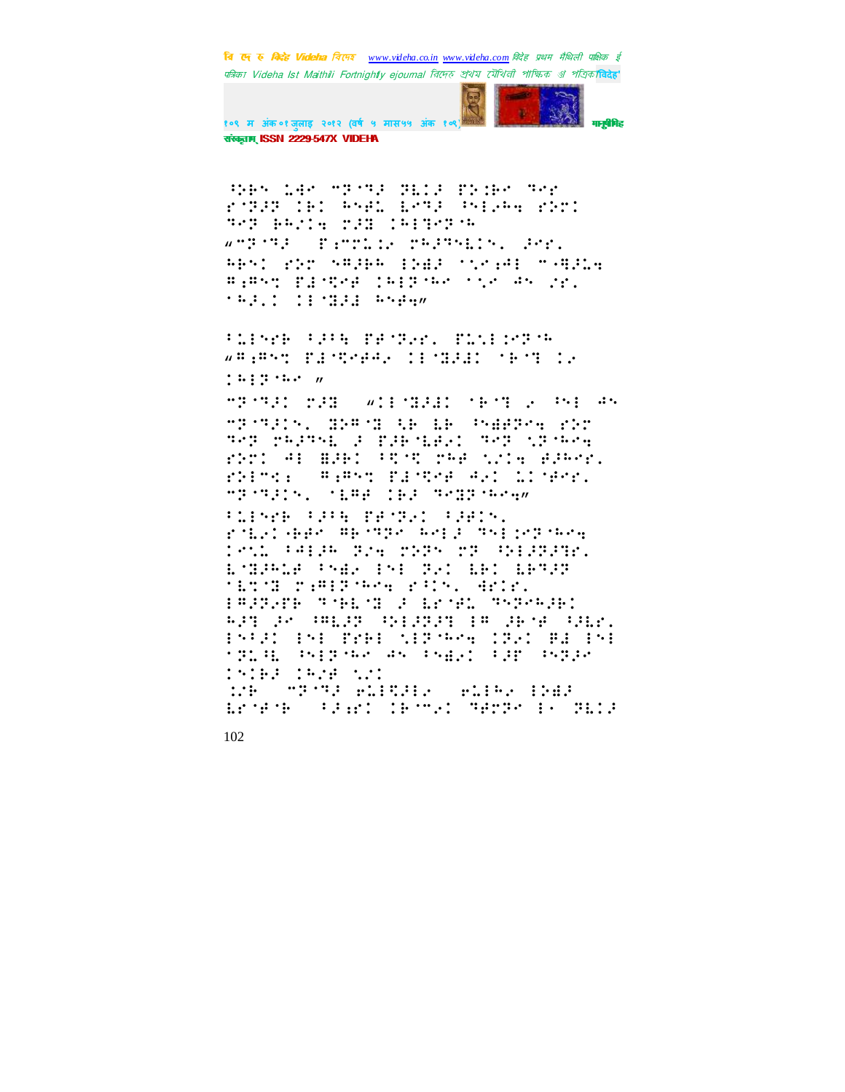

१०९ म अंक०१जलाइ २०१२ (वर्ष ५ मास५५ अंक १ संस्कृतम् ISSN 2229-547X VIDEHA

SPEN 140 MP MP PEIP PRIP PACTED rogge in: Angl 1893 (nileg rin: **SAN PROGRESS CRITES OF** WHERE PETCHE THREES, REL ABSI PRO SAGAA INEG SASAI SAGAIN BiBST PENDENTHERNA STACK BY MA **TREAD OF THE REPAIR** 

SINGE SHARE TESTARI TINENTIS w#:#55 PESPARA CESBEE SPSP CA  $14121...$ 

**MESTED MADE WIESDED SESTIVE PRESENT** "PORT EN SERVIS EN LE SPARPER COO THE PRETRICE FIRENCESS THE SEARCH rent Al Babi (Ron red tria Baerr) rding: Wewn Plote Art 100000.  $\mathcal{P}(\mathcal{P}^{\mathcal{A}}(\mathcal{P}^{\mathcal{A}}(\mathcal{P}^{\mathcal{A}}))\cap \mathcal{P}^{\mathcal{A}}(\mathcal{P}^{\mathcal{A}}(\mathcal{P}^{\mathcal{A}}(\mathcal{P}^{\mathcal{A}}(\mathcal{P}^{\mathcal{A}}(\mathcal{P}^{\mathcal{A}}(\mathcal{P}^{\mathcal{A}}(\mathcal{P}^{\mathcal{A}}(\mathcal{P}^{\mathcal{A}}(\mathcal{P}^{\mathcal{A}}(\mathcal{P}^{\mathcal{A}}(\mathcal{P}^{\mathcal{A}}(\mathcal{P}^{\mathcal{A}}(\mathcal$ 

**FLINGE FROM TROTHS FREEN.** ring and an experience of the street 1951 FALER TER 2005 27 SEEPER. L'OPALE PARK PAR PAI LEI LESPR **MASS SECTIONS AND SERVICE** PRODUCE TORLOW OF LEADER THOMPHOL ANY AR MALAR SALENDY IM ARTH SALE. ENGEL ENE PREE NERMANN IRAI BE ENE thru burned as ingled the black **INTER TRIB NIT MA TRUE ENERGY BILES IND** Briefe (Faut Ceimal Samph ex SBC)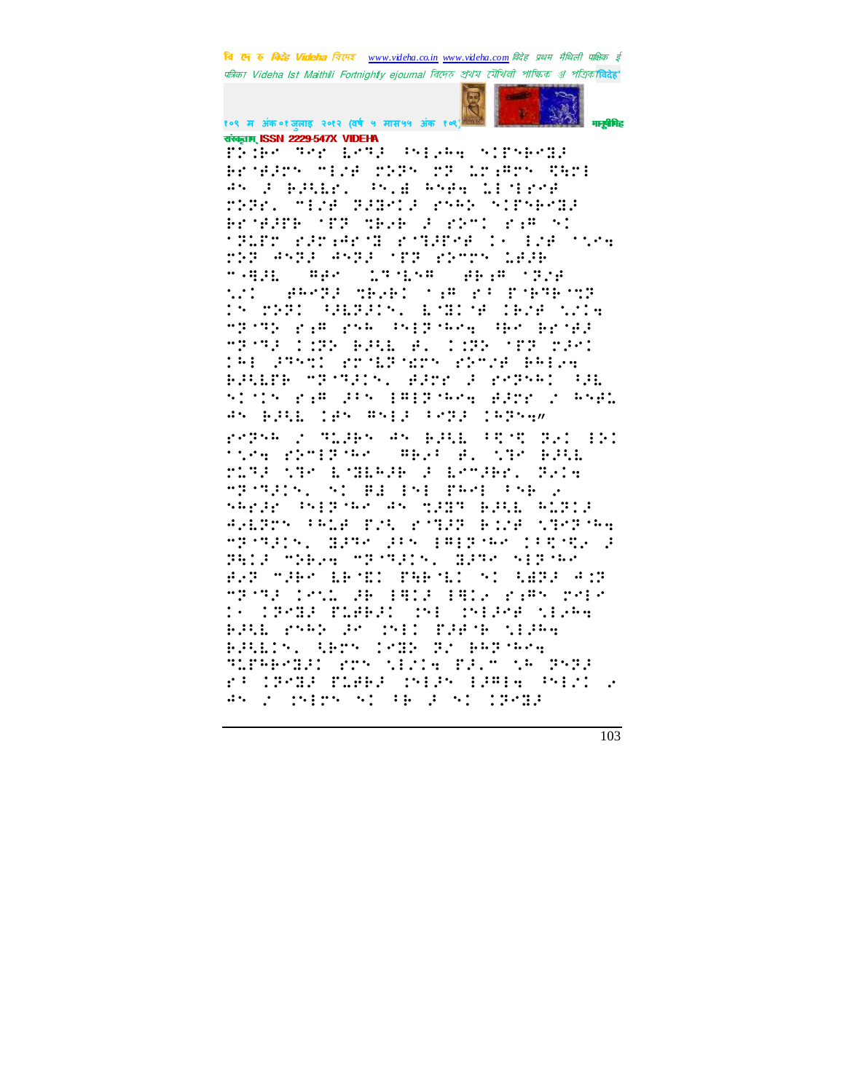१०९ म अंक०१ जुलाइ २०१२ (वर्ष ५ मास५५ अंक १०९) संस्कृतम् ISSN 2229-547X VIDEHA



PRINCIPAL ESTA PALAMA SITARAIA Brields Mile 2005 20 Lriens Chri AN F. BREEL (P.E. PNA) LESPE TRIE, MIZE RAINIA PART NITARMIA Brighth (FF TRAR & PDT) ran 51 talen rangerta ritaren 19 for tied MAR ANDE ANDE SID WATCH 1828 **MARAZING REPORTS AND RESPONSE** WI ARMAA MAGAD 'AR YA BYARA'MA IS THE BARAIS, EMELY IRE SAIN "For the stage state of the proton of the state of MESTA INFORMADA IN THE METAL IPE 23551 PD'ERMEDY PROVE PRE24 BREED STORING BRYE F PSTART CHE SINIS PAR JES EREDYRYA BIDE Z RSBL 45 FRE 195 #512 FFRE 16254w POPOR 2 TEACH AN BAGE FROM TELL END

tion program which be the boun what who bombele a bonaer. Said MESTERS AT BE ENE PROP PAR 2 SARIE PSIESAS AS MINE BILL ALTIP AVERNO PALE POL 20182 BINE NICROBA manary, draw resorter theory a PRIA TERRA TESTAIN, BATA NEPSAR BSP MIRM WRATER TWO NO NATE AND MESTA IMAL AR ERIA ERIA KAPS MMEM 16 1961-TLAAT THE BIAN SIAN FRANCYSK POINT PRESENTATION BARLIN, RBCH 1886 BJ BRBYRA.<br>JEDREKSKI KON NEJLA BALT NR BNBA FA CREEK PLANE CHIPH ISAN ANICO AN 2 INEDN NI PE 2 NI IPPER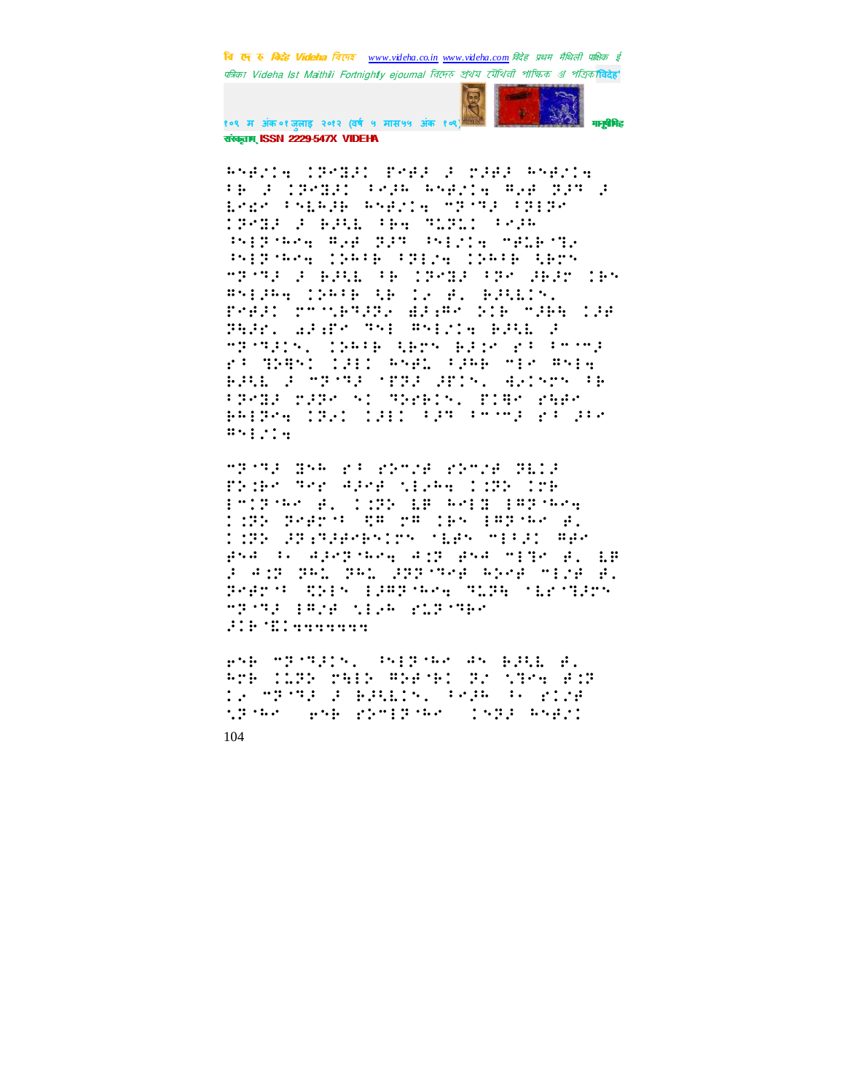

१०९ म अंक०१ जुलाइ २०१२ (वर्ष ५ मास५५ अंक १०९ संस्कृतम् ISSN 2229-547X VIDEHA

RSANCH CRYBAL PYAR & MAAR RSANCH PE 2 CRYBAL PRAW RNACCH ROA RAT 2 Engr (Steele Snepth Sprag (Speak 1989-2 BJL PH SLAD PAP<sup>2</sup><br>PHIPPA RVE 225 PHV14 MELEME September 1983 Forthcompass Characters MESTA A BARL PE CEMEA PEM ABAM CBS #SEPRE CORPORATE CO #1 BREEDS. PART TO MESTARY BRIEF SIE OREE CRE PHP: WHERE THE TRENTH BREE F MESTAIN, IPHTP APPN PAIR YOU ON MO ri dan lafan da Arang BREAK FOR THE SEEK RELACE RELACEMENTS tanga padnying Aleksandro ping selenggan<br>Akiang taut tait taut terhadap atau  $3343224$ 

<u> "B'RA BRA PA PR'NH PR'NH BELA</u> Fried Thr Albe (1944 1972 198 Endrown #. 1:28 EB ReiB (823-864 MIR Person de re las 18976e d. 1:B2 BR:PPPPPSIDS TERS METRI RAM gsa il apertae, agr psa eige g lib F AND DAI DAI SOPYTAR AGAR MENE R. Presis Reporters and Superior President **MPANE PROFINE PLAN PLANTER** 

PAR STRING PAPPER BOAR P. Ark clastedly myker as they kis <u> 19 MBARA 2 BARIN, PAAR PO BIDA</u> the second property of the control of the second property of the second property of the second property of the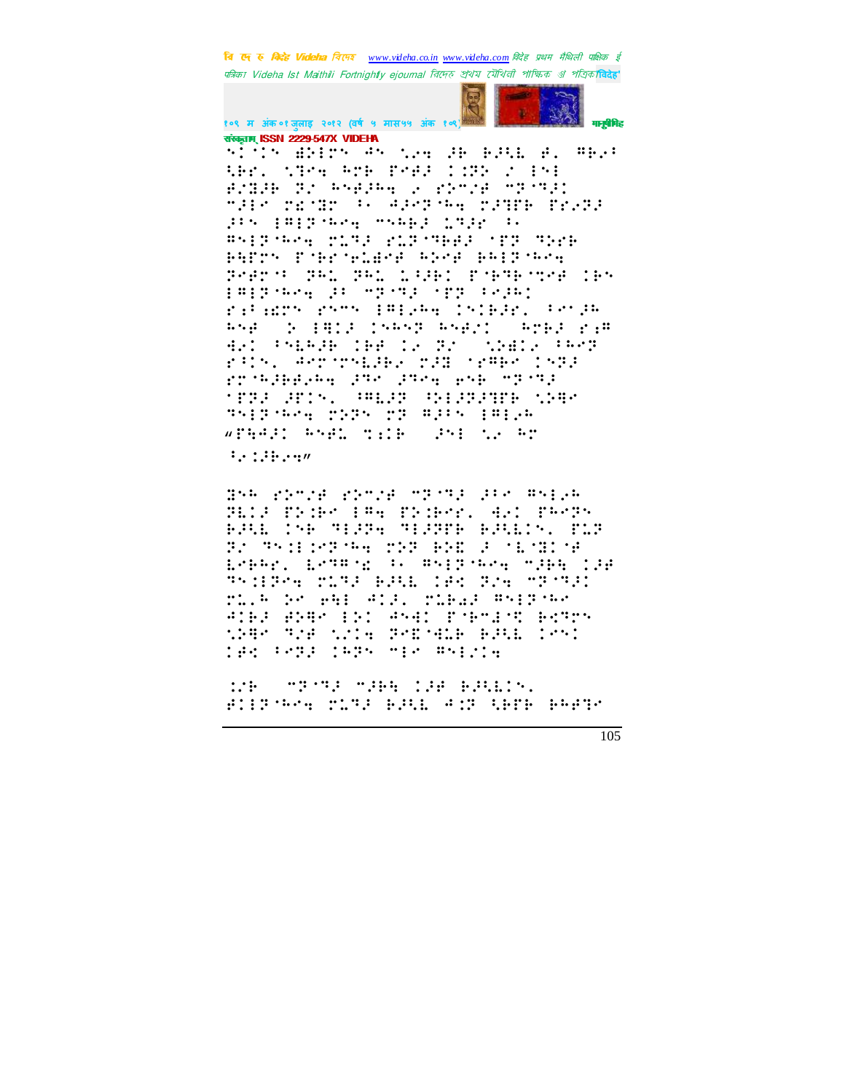१०९ म अंक०१ जुलाइ २०१२ (वर्ष ५ मास५५ अंक १०९) संस्कृतम् ISSN 2229-547X VIDEHA



nîsîn Ablon An Guy de Batb e. Abu: ARE, MTPH AME PREP INTE 20151 BAIRE IN PARREL & PATAR TITTED "He redroom Alepsa, redroomsees gram pepertuan mathemorphy  $\cdot$  : . PRIPARA MITA MIPATERA MUP TREE PRICE PORCHLAGE PEGAL PRICESSA President PAL PAL LOGED Edent model (Pr papproach of spread reported rildry rysk (Alaka Inler, Pric 858 | 2 | 1913 | 15852 | 85821 | | 8783 | 218 421 PALEJE TER 12 BY STREET PERP rans, Asporales placeres 1893 rromandom and and some machina fri ans and an entire 3512.504 2235 23 8215 18126 wrager and will give the ar

 $4.422222222$ 

Bre prove prove of the security. BLIS ENGER (Be ENGER) AND BRASH <u> 1911 - 1912 - 1913 - 1913 - 1914 - 1915 - 1916 - 1916 - 1916 - 1916 - 1916 - 1916 - 1916 - 1916 - 1916 - 19</u> BY THIRTHE THE BREAK STRIPS Lebar, Lemmor () maintains with 199 Thiller with Bath 198 Bir wayna ri.h bi eki dil. ribal #sifine Aleg ager ig: and poemic equip.<br>Spectage sold grounde eggs inni THE PREP TRES MIR REFITE

 $\mathbb{R}^n$ **SEPTEMBER 18 BREAD** BICK-Res MITE BOOK AND CHIP BRAGE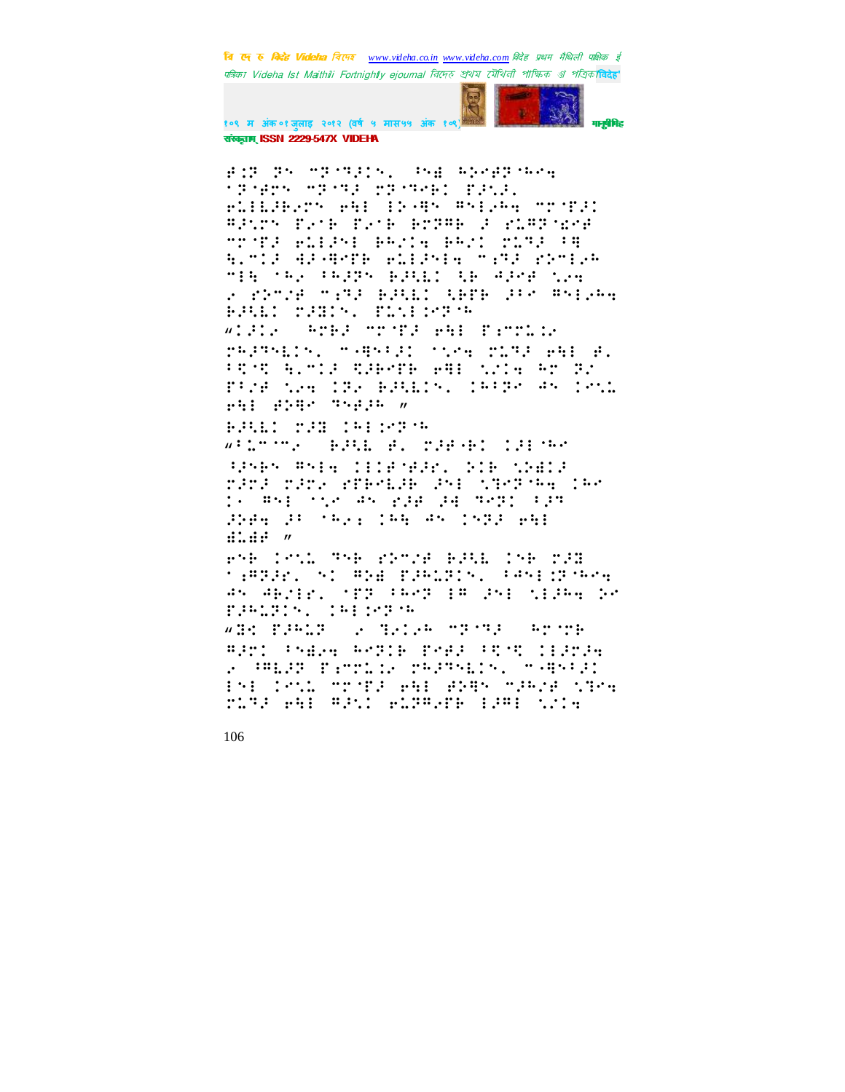

१०९ म अंक०१ जलाइ २०१२ (वर्ष ५ मास५५ अंक १) संस्कृतम् ISSN 2229-547X VIDEHA

BIR THOMPSON, PHE REMPIREME ister originale para para.<br>Alleaker All liver malage origi BROOK ESTE ESTE POPPE F SLBPTOSE TTER WIRM BROW BROW TOO FR B.M.P.R.R.R.P.B. BLEPSER (M.M.P. 2001)4 MIN TAY PAPPY BRUIS OF APMP NAM a projective presentation of the state of the second and concentration of the second second and concentration o BRIDGE BRIDGE BLACK widio angle mr ma egi rimotio ragakin, maskin now riag which FRONTAINED REPORT WHO SALE AN RA FULL NEW TEACHERS, INTERNATIONAL phi dide Theim " **BOOK STATES IN STATES** wilmond BBL B. MBAC 181040 SPARK ANDAL COCA MAGE. COGA SCADO rana rang embekan ang taong ng tao 19 #51 (150 #5 238 34 #631 F3\*

2004 21 Sharp 195 An 1972 651  $\text{ii.} \text{iii.}$ 

PRESIDENT TRESPONDED FILL CAR CIE **TARGET SI REFERENT PRSECHASE** as aprir, organism in 251 (1364 20 **PERMITS, 29120200** 

**WESTERN ATENDA TEST PROPER** #Pri Pheng Rotif Poel Ptot (1959) a HEAR Parrier represent reposed PRESENTED THE PHE PRESENTATION STOR MINE WHO HOST WIRRIE 1981 NOTE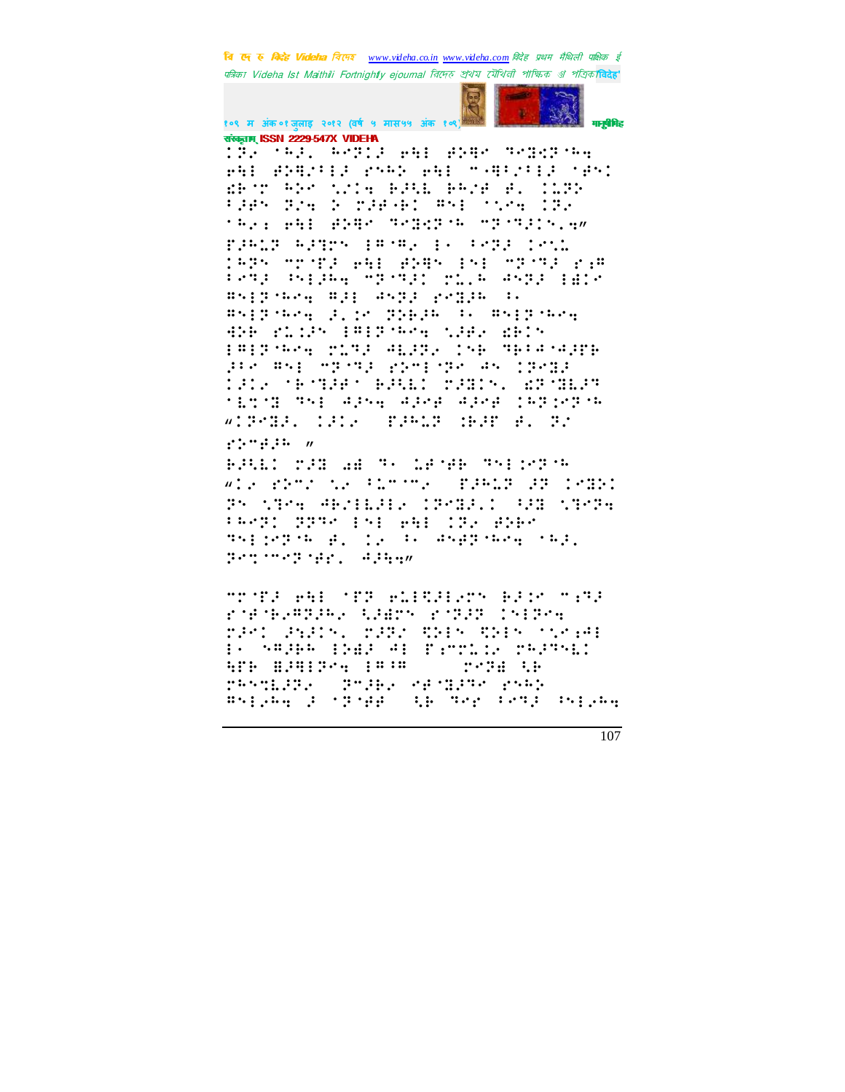

### १०९ म अंक०१ जुलाइ २०१२ (वर्ष ५ मास५५ अंक १०९) संस्कृतम् ISSN 2229-547X VIDEHA

<u> 1920 - Alexandria Alexandria (Alexandria Alexandria Alexandria Alexandria Alexandria Alexandria (Alexandria </u> PHI PREMIS PARK PHI MARINIS (PA) dry by the bus breezh cid. FRANCIS SCHOOL AND TIME CON ther ear addy departs spongerer FRAME ARTHY BRYAN BY PRESS INTO 1925 - 2018 - 2018 - 2019 - 2019 - 2020 - 2020 Project presented that the second state skipeneg sij skip penja i.  $\mathbb{R}^{n}\left(\mathbb{R}^{n}\right)\mathbb{R}^{n}\left(\mathbb{R}^{n}\right)\left(\mathbb{R}^{n}\right)\mathbb{R}^{n}\left(\mathbb{R}^{n}\right)\mathbb{R}^{n}\left(\mathbb{R}^{n}\right)\mathbb{R}^{n}\left(\mathbb{R}^{n}\right)\mathbb{R}^{n}\left(\mathbb{R}^{n}\right)\mathbb{R}^{n}\left(\mathbb{R}^{n}\right)\mathbb{R}^{n}\left(\mathbb{R}^{n}\right)\mathbb{R}^{n}\left(\mathbb{R}^{n}\right)\mathbb{R}^{n}\left(\mathbb{R}^{n}\right)\mathbb{R}^{n$ ER PLOP IMIPARA NARA ERA PREPARA MIRE REPRODUCE REPRAIRER greater epend greaters as prepr **MARK PERSONAL PROPERTY AND SERVISHED** ticil ski spog spog spog pozicili WINGER COOK TOWN SEE BY TH

## $\mathbf{r}$  :  $\mathbf{r}$  ,  $\mathbf{r}$  ,  $\mathbf{r}$  ,  $\mathbf{r}$

BOOK THE WEST LETTE SHEETS wis stor to giorne (spair sporate) Prothe Abdibit (Proti ) Adduter (603) 2230 End employee 2260 THE SPECIAL BOOTLE AND PAPERTURE CAPE  $\mathcal{G} \times \mathcal{G} \times \mathcal{G} \times \mathcal{G} \times \mathcal{G} \times \mathcal{G} \times \mathcal{G} \times \mathcal{G} \times \mathcal{G} \times \mathcal{G} \times \mathcal{G} \times \mathcal{G} \times \mathcal{G} \times \mathcal{G} \times \mathcal{G} \times \mathcal{G} \times \mathcal{G} \times \mathcal{G} \times \mathcal{G} \times \mathcal{G} \times \mathcal{G} \times \mathcal{G} \times \mathcal{G} \times \mathcal{G} \times \mathcal{G} \times \mathcal{G} \times \mathcal{G} \times \mathcal{$ 

MOTEL FAIL MER FLIEDELEN BEIM METE representative and resources in the production of the second service of the second service of the second service raci anath. rabi brin brin 'negar P. SAGA BREAD AND PETTIC CAPARI 888 88888888888888 **STATE AR** restrutu (redes destura pse)<br>Astuellu (redes des adrium)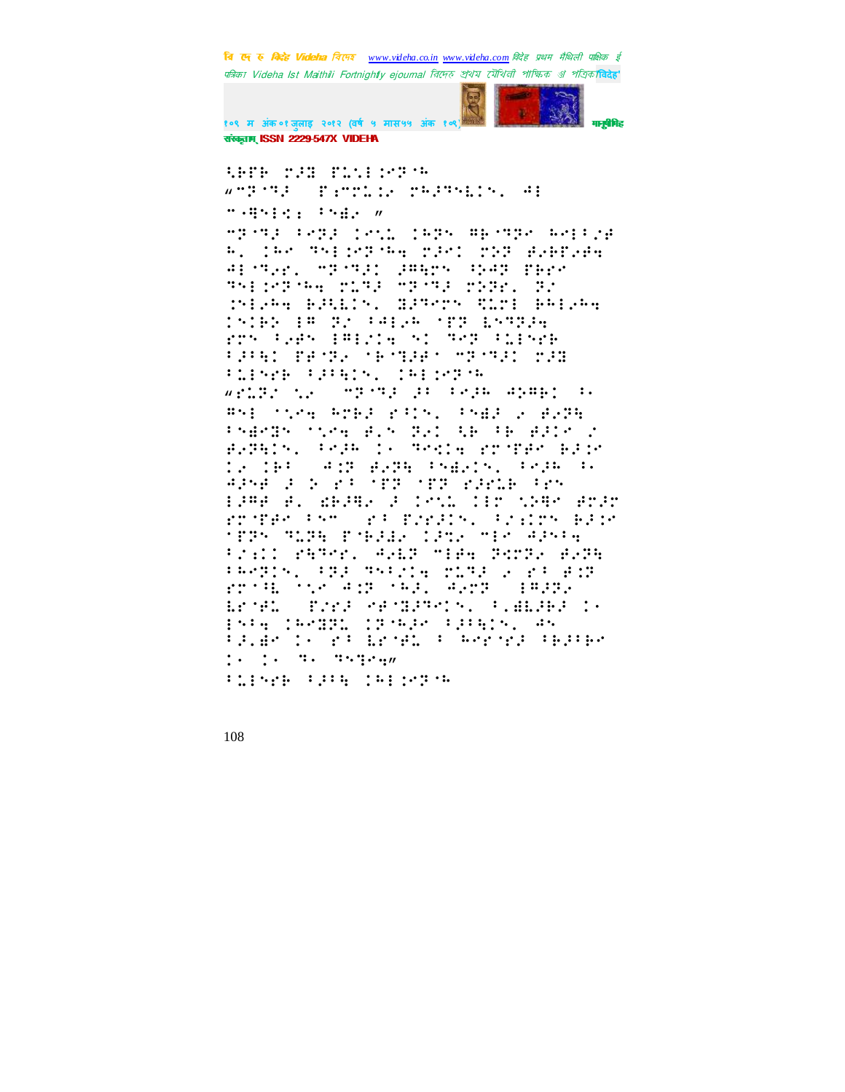

१०९ म अंक०१ जलाइ २०१२ (वर्ष ५ मास५५ अंक संस्कृतम् ISSN 2229-547X VIDEHA

WHIP THE PLAINTING which from history and the state of the state of the state of the state of the state of the state of the state of the state of the state of the state of the state of the state of the state of the state of the state of the magnic: Philipson MESTE PARE CANL CRES RESTRACHABLES R. 188 MAE189784 MIRT MIR BIBDIE ALSTAR, MESTAL JAHRY (PAP PERS THE SPECTRAL MITH CONTROL STATE OF THE STATE OF THE STATE OF THE STATE OF THE STATE OF THE STATE OF THE STATE O THEAR BALLIN, HARRY MITE BREERS 15182 |# 22 |#124 |F2 159224 rns fees imidia si men filmer FRANCISCHE SEMINAR MEMBI MAI FLINGE FRIEDS, CRIDSTON write the special propagation of BSE TOTH ROBE PRINT PSEE 2 BARB Present three events: AB (BE) estimate BARGIN, PARK IS READY STORES BASE IS IR (AUR BSPECTABLIS) PSP P. APSE FOR POSTER TER PREDE FES EPPE AL WEPBA 2 1851 118 5298 AM28 PETER ANNU PA EVERING AVENUM BRIM **TEPS RIPE EMBILE LETA MEMBERS** Princesser, Ages Migh Sers, 2024 PROTECT PER THEN HIS STATE AND RIFLE PEARL MARCHINE, PAPE CHREE Ernel (Fred Pendaments, Flababa in 1934 (POIPL (PORP) (PSE) 49 Palakir Tel Brah ( Websi (Bagbe  $\mathbb{R}^2$  ,  $\mathbb{R}^2$  ,  $\mathbb{R}^2$  ,  $\mathbb{R}^2$  ,  $\mathbb{R}^2$  ,  $\mathbb{R}^2$  ,  $\mathbb{R}^2$ **Alisan Part (Particle)**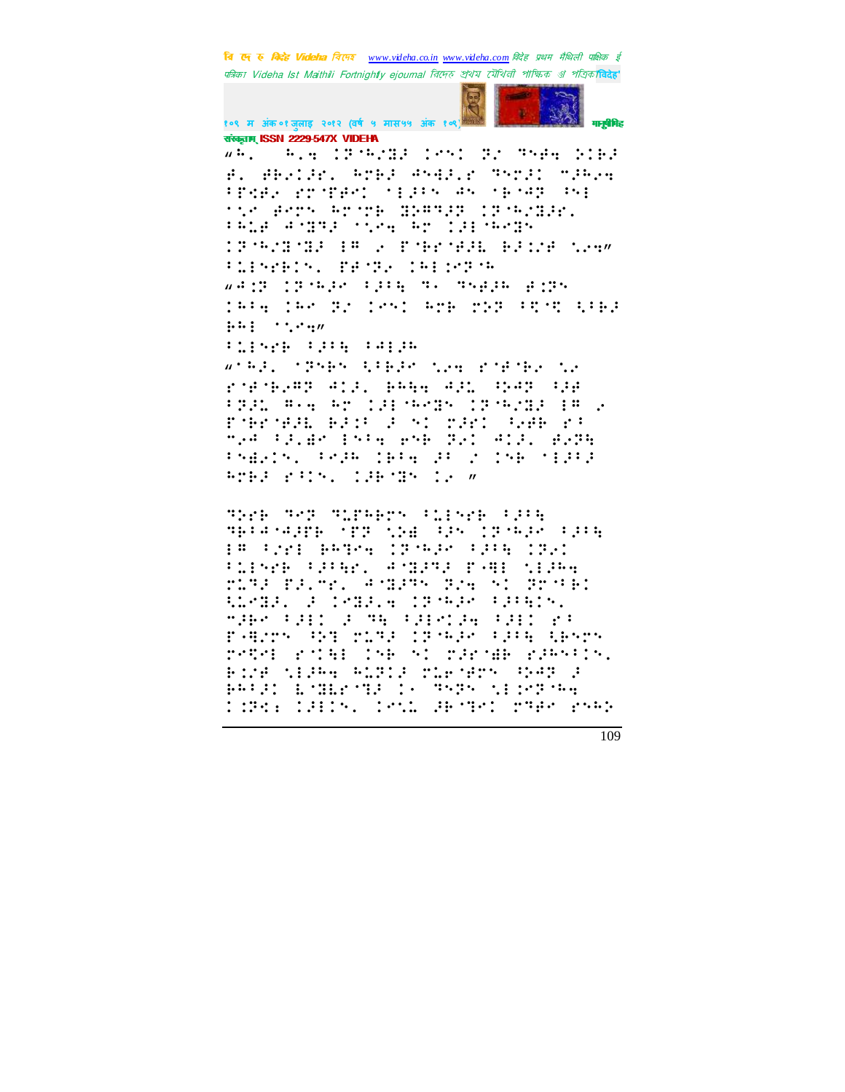

## १०९ म अंक०१ जुलाइ २०१२ (वर्ष ५ मास५५ अंक १०९ संस्कृतम् ISSN 2229-547X VIDEHA

 $\mathbf{w}^{\mathbf{L}}$  , and is the set of  $\mathbf{W}^{\mathbf{L}}$  . The set of  $\mathbf{W}^{\mathbf{L}}$ B. BRAINE, ROBA ANGALE TYORI MARAG Free, property thats as oping the tic Port aroue Beauer (Poacher PALE ANDRE STRAG AM 1980 MANDA **13:421:13 IP & Piernell BECCH SPA FLINGETN, PROPR INFORMA**  $\sqrt{4}$  (F-1984)  $\alpha$  (F)  $\alpha$  (F)  $\alpha$  (F-1984)  $\alpha$  (F)  $\alpha$ TREAS TRANSPORTS TROP WORK FROM AFRA  $\mathbf{H}^{\mathbf{L}}$  :  $\mathbf{H}^{\mathbf{L}}$  :  $\mathbf{H}^{\mathbf{L}}$  :  $\mathbf{H}^{\mathbf{L}}$  :  $\mathbf{H}^{\mathbf{L}}$ **TIME CHAINS** 

within infinite their way righter wa rupan 411, php 411 1541 154 FRED ANN AM CELMANN CRONOME LA 2 PORTGER RACE A STUDAY, SHE PR man filme this and fall sill safe Presing Prak (BPA aP 2 1nB midea ROBE PRINT ISBNEY IS W

Ther Tep Threes (Miner Critic **SEPROGREMOTE NEW RECORDS FREE** ps trep pages productions pretinge taner admanderen viam.<br>Bina palmel admandere d'Orden STREET FOR THE CENTRAL PROPERTY. PAP PAIL FOR PAPILA PAIL 27 PHRTH BR TINE CROWN FREE BROTH PORCE ROLLEY INFORMATION PROPERTY. Bind them ald: Themath Shap A PRINT EMBENDE IS TATA MENTION TERRITHIN, TRI SEMENT PAR PAR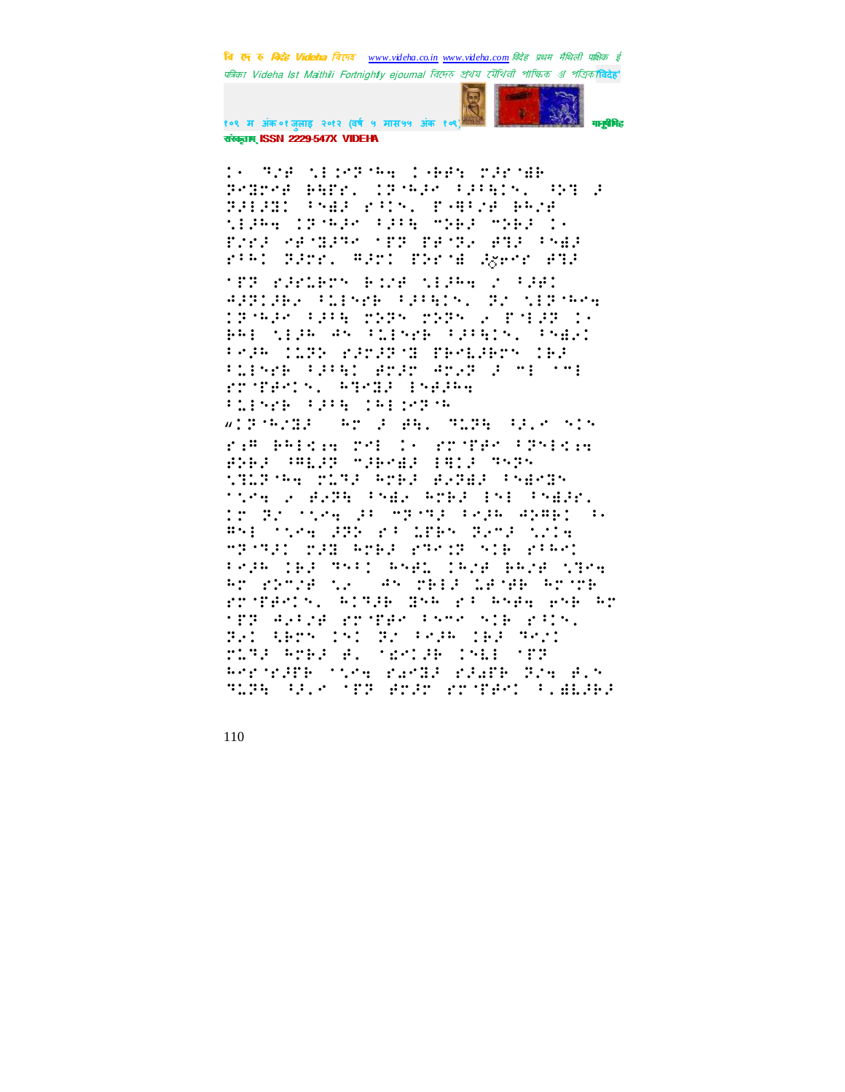

१०९ म अंक०१ जलाइ २०१२ (वर्ष ५ मास५५ अंक १० संस्कृतम् ISSN 2229-547X VIDEHA

16 Mine of Montes (1984) Marchie PORTON BARY, 123620 FREED, PDT 2 BALANT PANG PATA, PANGPANGANA NEZRA (BYRJK PJPA MORJ MORJ I) Pred Permane (199 Permanental Pred rie: Barr. Aart Chrim Quer Ada

'FF riclery Bird (1964 2019) ANTIAL PLINE PRODUCT TITHER 139638 FREE 2035 2036 & BM 33 IF PRI SIPROPROFILISME FREEDRICH FREED **FRID CORE STORYS TERMINERY CO.** FLINGE FJERD ANAM ANGELICA MELINE FT TEMPL ATMENT PAPPA **Plings Calls (Alderson** 

WIPERIA AM FAR. TURE SER SIN ri<sup>m</sup> Phisim rel lo rrothe (Phisim BYDS WEST TEDNED INSTANCE thirty for the state and state in the state tich a Balb (seb Arba 151 (sedan tr Britan di Sporta Peda Ayapr P. #5: The SPR PF LEES BRMS NOTE MESTAL MAR ROBA PTRIP SIR PIRMI Prim TES THIS RHE IRIN BRIE NICH RE PROVE NA 1985 PREF LENER ROOPE rrjern, angelsk radioen på 19 TER APPEAR ENTRA PATA SIR ERIS. Bal thry in: Br Feda ind Wel MITE PORT B. MENCH CHILMER Reporting the range right fre dit minésia (propriérim propriérim).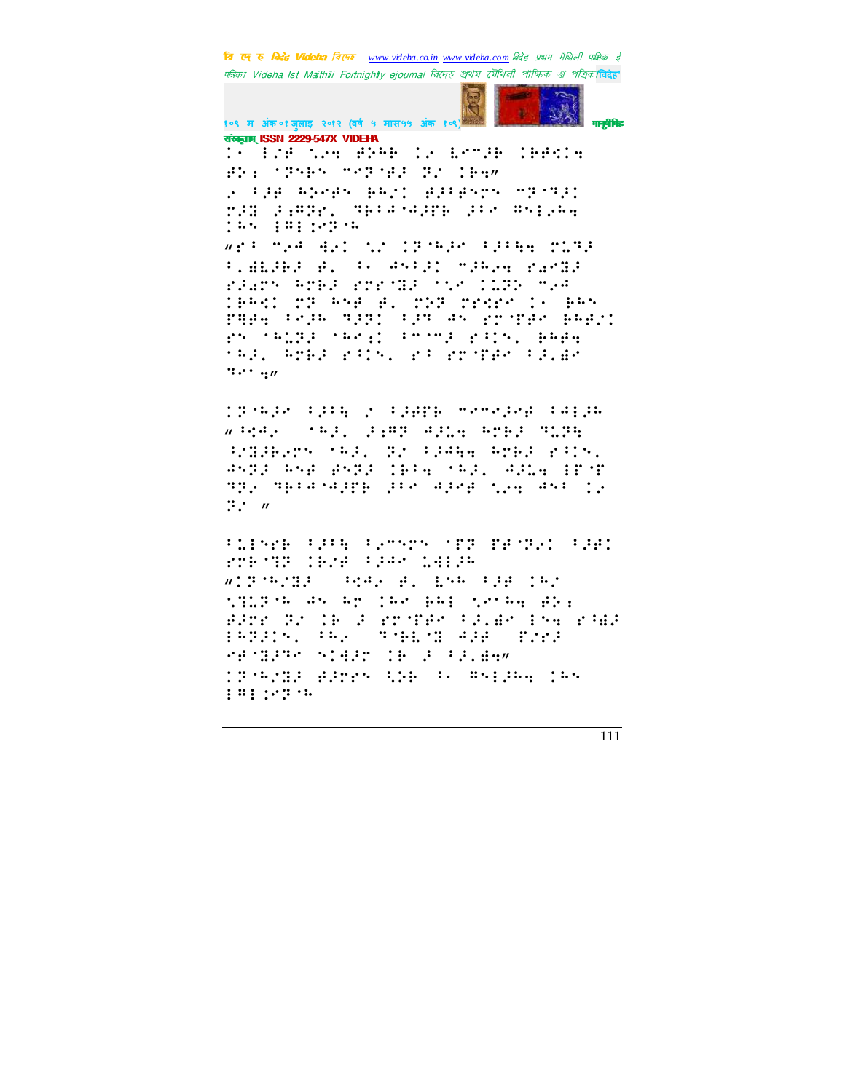

१०९ म अंक०१ जुलाइ २०१२ (वर्ष ५ मास५५ अंक १०९ संस्कृतम् ISSN 2229-547X VIDEHA

In Eid was Alma I. Ernga (ageig His SPARK MARINE BY CHAW a tig spegs part gitgsps eperg ran ayang mpikanagna pik mengan  $145 - 18112714$ 

wra nee ael ne croman aasme roma F.ALSES A. (6 ANIS) MSP24 PAMBS rarry Area rorned through the IPAC 23 ANE E. 223 2232 (1) PAN PAPA PRIN MINI PIN AS PROPER BARNI rs (Sanga Sang) (Shina rits, Bagg tag, and rin, rinninger is.de  $\cdots$   $\cdots$ 

truma apam na mpera sesaran angam  $\sqrt{4\pi^2\sigma^2}$  , this is part along and the first ROBBAYS SAR, BY PRAGA AMBRO KRIS ANTE ANA ANTE CEPA (ALL AGLA EDST mplompha saggi gras agag sila asr ji  $\dddot{H}$  .  $\dddot{H}$ 

FLINGE FROM COMMON MER BEMBAL CRED **PORTHER CRIPS (2008) 198226 SERIE E. ENG PER INS**  $\mathbf{w}$  :  $\mathbf{F}$  and  $\mathbf{F}$  and  $\mathbf{F}$ sunderstanding the participating and Barr ar ib a rroter falge fog roga PARADA, PAS CROBECH APROVEMENT SPORTS START IN FOREST program areas upp in morphy pas  $1.011221111$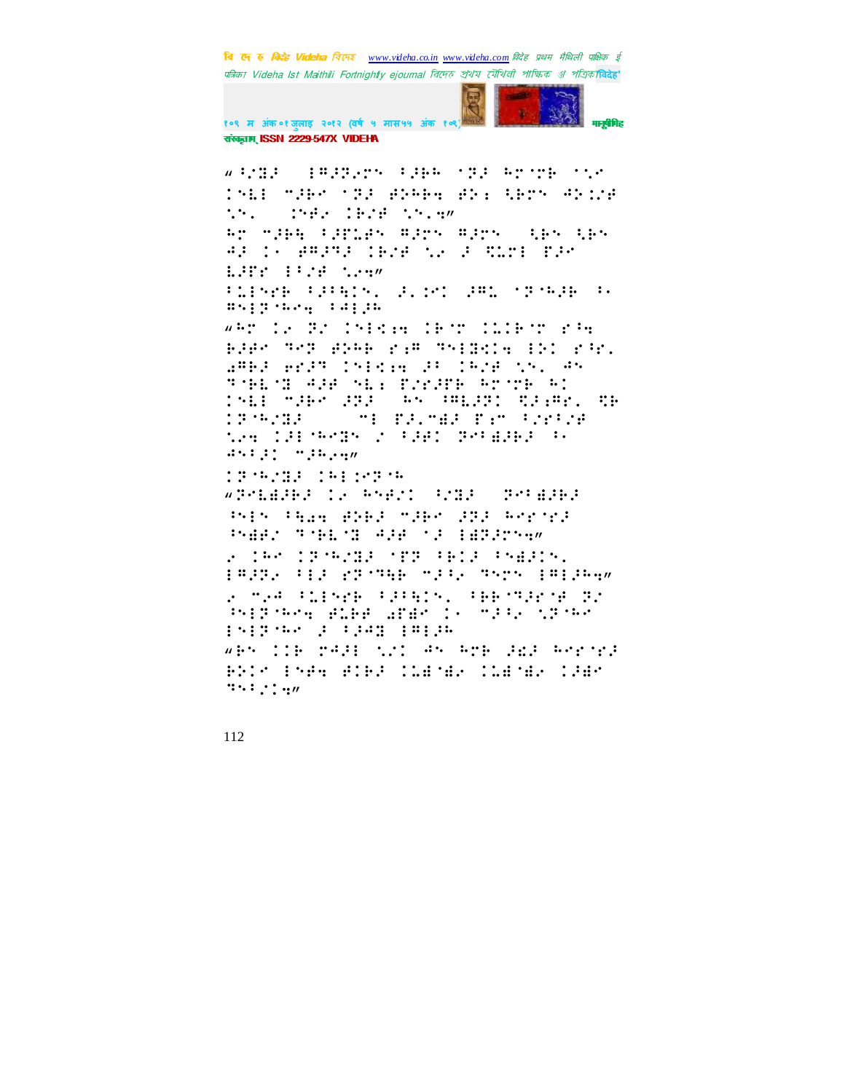

१०९ म अंक०१ जुलाइ २०१२ (वर्ष ५ मास५५ अंक १ संस्कृतम् ISSN 2229-547X VIDEHA

winds (Bestern Cabb 193 bring 150 INDE THE THE BIGGE BY: GETS ANIMA the Cheel Dece theory RE MJER FJELEN RJEN RJEN (REN REN AF 18 BAPAR (BrB NA F RITE TRY LSP: HISP News FLENGE FREEDS, RUDGE RAL STORES P Buggeting taggi whr is Br Indeem Ibur Illbur rhe BJPK 783 BDRE FIR 7513614 IDI FRE 2862 8328 151338 25 1628 55. 45 THE TRACK SEA TITLE FOR THE RI <u>INAT MARK AND AN TALANT MATAK. MR</u>  $13.24232 -$ **Some Paymea** Part Forton New 198 (Reds. 2009) 281 281 B962 (Fr  $\mathbf{a} \cdot \mathbf{a} \cdot \mathbf{a} \cdot \mathbf{a}$ 13:5233 15:553:55 wreddie is been the reddie This thin Sibl wile 191 bergin PART TERM ARE TO HERPTA F THE TREATED FRY PETE PERPET. papel bed greenholder were papelded 2 m24 FLINER FJFRIN, FRRTFENR J2 Shipman Blee and In Mask (Prac **PAPERS A PART PRESS** wer lie rage wil ar are gag ageneg BOOK ENRY RIBA CLEMEN CLEMEN CABY  $\mathbf{u} \cdot \mathbf{u} \cdot \mathbf{u} \cdot \mathbf{u}$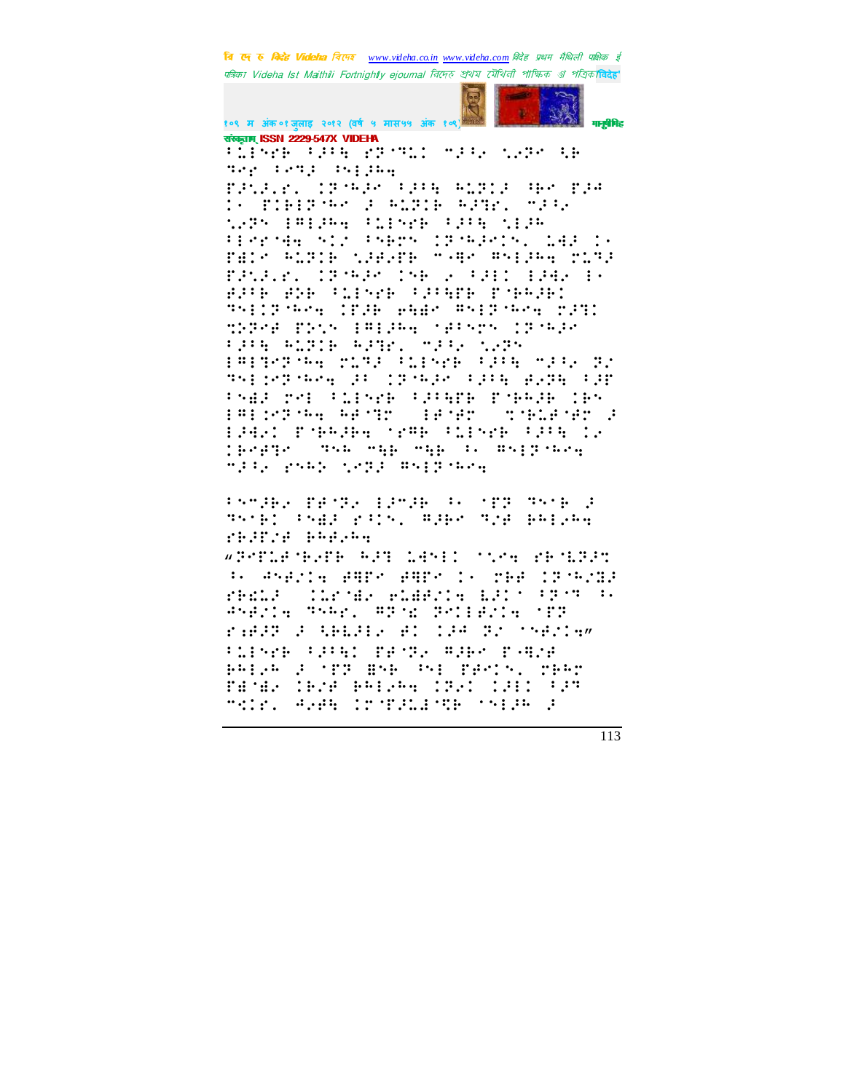

१०९ म अंक०१ जलाइ २०१२ (वर्ष ५ मास५५ अंक १०९) संस्कृतम् ISSN 2229-547X VIDEHA

PLENGE FREE STORES MARK NATH RE ner fengt beginn.

FRONT CEMPS PRPE ROBOT HE FRA 10 TIBITAR DAGILARI SHE MAR ters imidae (bisek (dich tida Hernay Sir Poems (Poems) (243) ٠. TAIR ROBIN CHEFTE THR PHIPH TOTH EPULAL IPSER ISE 200811-1842 P BOOK BANCONSAN COMMENT PARTNE SSECRIPAG CRIB ABEN ASIRINGA MIRI SPPER PRINT PRIPA TERNIN IPSAP **BOOK ANDER APRIL MODE NATH** PRINCIPAL MISS PIPER PRPP MARK TO THE SPEAKER OF CONSIDERING BACK COOP PSAP THE PIESER PROBED FORGH IRS EPERSPHY RESTOR (EPSP) STORESPD P BAGO PARARA SERROGENER CARDO IPAPIA (TSA MAR MAR I) PSIPANA mang probleman ang menggunakan

PAMPER PROTECTIONER PROTECT Stript Chaptering Space State And Cha rblill Bherbe <u> Martin Barth All Martin School Photoir</u>

A ANGLIA ANDR ANDR IS THE INSTALL reduk (larda) eldezta batz karzu k ANEXIA TRAZI APAR PRIERICA MEP rado o Galdie di 194 or Sediam SLENGE SPEED BENDALMARK BYGGA pages of the mean terminated past Fands (Brd BRishe 1921-1911)  $\cdots$ MAIN APPE IMMERIANE SAIPE P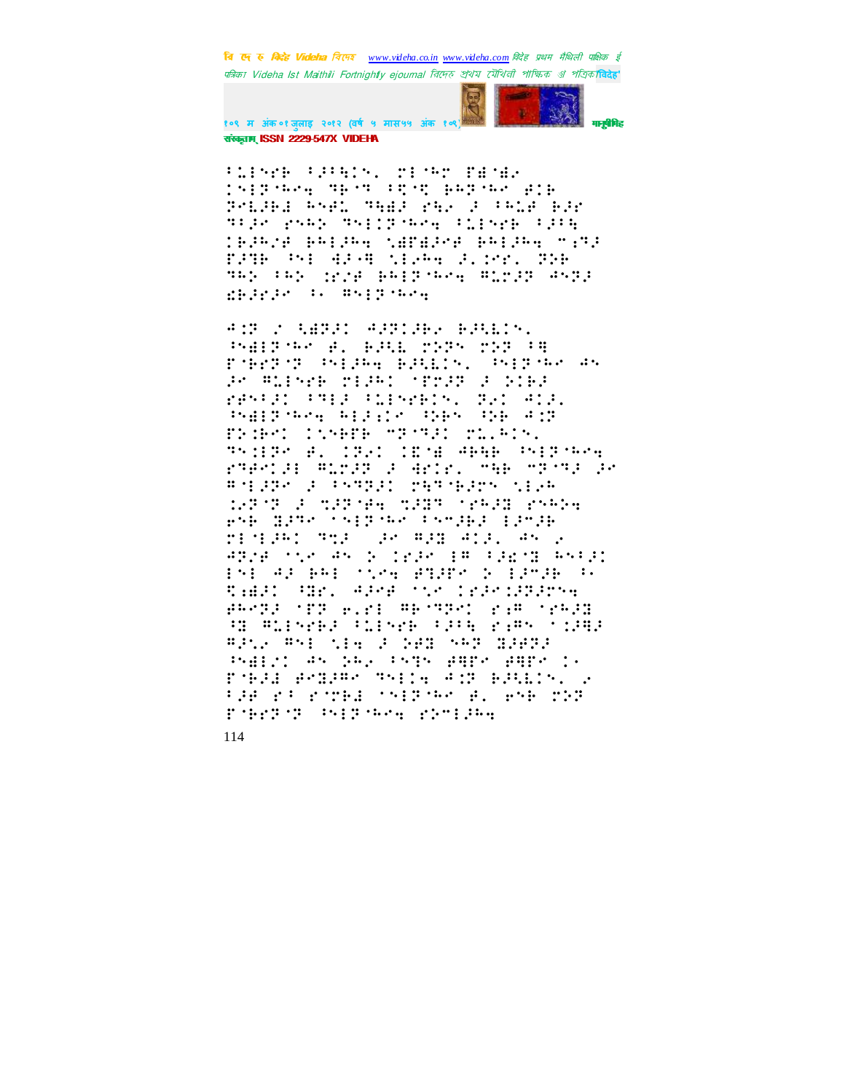

१०९ म अंक०१ जुलाइ २०१२ (वर्ष ५ मास५५ अंक १० संस्कृतम् ISSN 2229-547X VIDEHA

**TIPE PRAIRS TEMP TEMP** 1912-beg desk from een en ele<br>2012-beg boek deel res 2016-ben BIAN PRES BREIBRAG (CLERAR (CLERA **TECHNERHAM NOTEDAR PRESHAMMENT** FRID THE BRAN SEARCH RICHEL FRD THE PAS SEEM BRIDGER TERRITORY EBSPACE BRIDGER

ANT SANDO ANTIAR BOOKS PARTMENT ROLL 1978 1977 18 PORTS PHING RALIN, PHING AN ar Albrew Magaz (Brag a Sima ersial imia illiseris, avi 412.<br>Johannes Analie (bro 156 418) FRIEND COMEFE MESSED MILETY. SARA PARTICIPAL DE MARINA PAPALEL ALMAR A GRIP. MAR MAYAA AM BARANG PANGAL MANAHIN SEPA 12373 2 023784 0233 72523 25524 PSP BERK SSEPSE FSTEED EPTER TEMPH THE PACTRE REF. RN 2 **APIA TER AN DOCERT ER FREDE ANTES** 151 42 BRE 1554 BIBPS & EPSB (B) tak: Mr. 424 'tr'isring PROTECTIVE P.M. RECRECI P.R. CRAZE am andered andere adapt fakt find BRS BY: ME 2 NB YET BREE PARTICLE AND PARK PARK BARK IN rdin edek sala ko ekits . PAR 27 27261 1512165 B. 256 222 PORTS WIRTH, SPIRE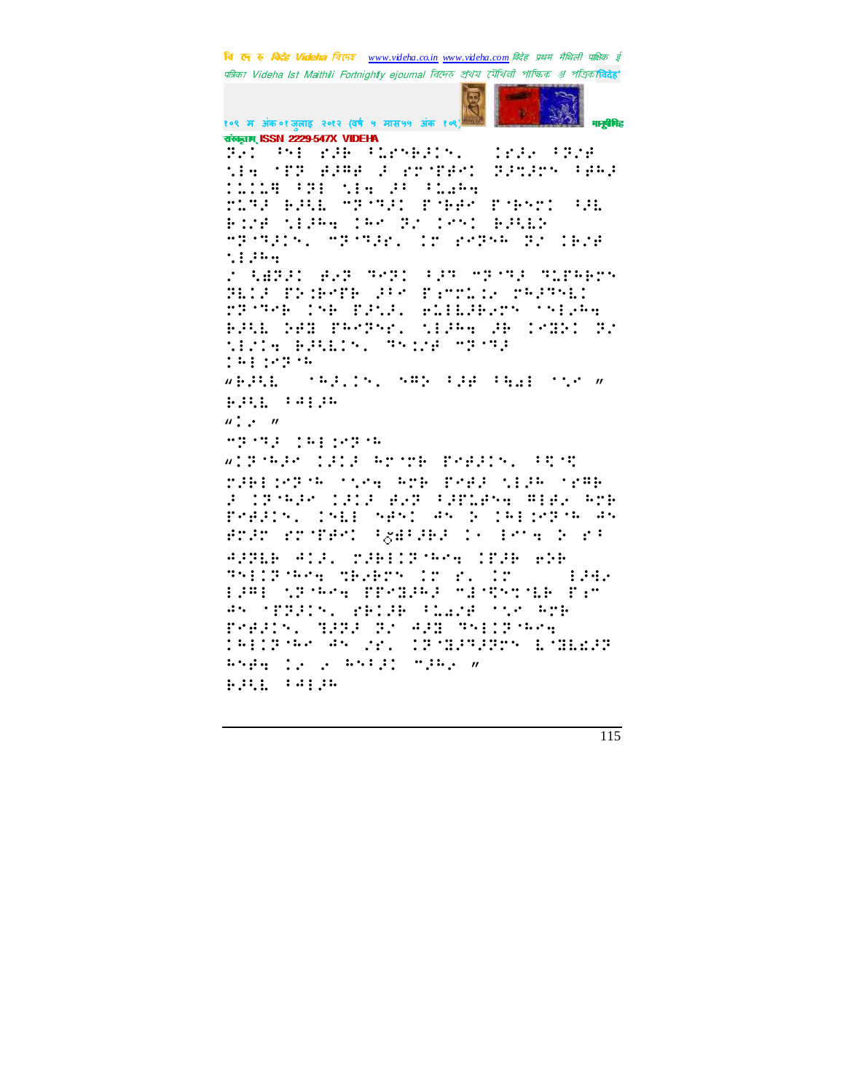**Service** 

× १०९ म अंक०१ जुलाइ २०१२ (वर्ष ५ मास५५ अंक १०९) मानुबेगिह संस्कृतम् ISSN 2229-547X VIDEHA SWORTH RAB PLRNBACH. Trie (1978) MA TER BARB & PROPERT -SISIM PRO **MANUEL CONSULTANCE** TILE BALL TITLE FORM FORME  $\mathbf{1}$ Fire Sides (en 32 1951 BJEEP MESTRIN, MESTRIN, IN REPARTENTIBUR  $1:3...$ r Gebal eyn hyn fan Hoffe Minery BUS CHOOR ARE CAPTUS TRANS MESTER CHR PROF. RIBBRENT STREEP BAG GAD PROPER SIARA AR CODECOO MENTH BRAECH, THINE MESTR  $144.143344$  $\text{where} \quad \mathcal{L} = \{ \mathcal{L} \in \mathcal{L} \} \text{ and } \quad \mathcal{L} = \{ \mathcal{L} \in \mathcal{L} \} \text{ and } \quad \mathcal{L} = \{ \mathcal{L} \in \mathcal{L} \} \text{ and } \quad \mathcal{L} = \{ \mathcal{L} \in \mathcal{L} \} \text{ and } \quad \mathcal{L} = \{ \mathcal{L} \in \mathcal{L} \} \text{ and } \quad \mathcal{L} = \{ \mathcal{L} \in \mathcal{L} \} \text{ and } \quad \mathcal{L} = \{ \mathcal{L} \in \mathcal{$ **BOWER 14100**  $\mathbf{w}$  :  $\mathbf{w}$ epend judgepen WINNER CALL AT TH PRESS, FRR THE STATE STORE ATE PREPAIRING STATE 3 CRYPAR COOL BOR FAMING REAR PUB Personal childhoods and possessed and Bran Broben, Sgelawa in Brow in Bo ANDER ANDER MANINGER HER AND THISPARA MEREDY IN P. IN 1998 1948 EPRE SPORT PROBRE MESPOSE PEM AN MERRIN, PRIPE PLAYE TOM ATE PORTS, THE PACHE TO CHOOR **TAILPARK AN CYL IPARFERY EARLER**  $\mathbf{h} \cdot \mathbf{q} \cdot \mathbf{q} = \mathbf{f} \cdot \mathbf{g} + \mathbf{g} \cdot \mathbf{h} \cdot \mathbf{q} + \mathbf{g} \cdot \mathbf{g} + \mathbf{g} \cdot \mathbf{g} + \mathbf{g} \cdot \mathbf{g} + \mathbf{g} \cdot \mathbf{g} + \mathbf{g} \cdot \mathbf{g} + \mathbf{g} \cdot \mathbf{g} + \mathbf{g} \cdot \mathbf{g} + \mathbf{g} \cdot \mathbf{g} + \mathbf{g} \cdot \mathbf{g} + \mathbf{g} \cdot \mathbf{g} + \mathbf{g} \cdot \$ 8311 14138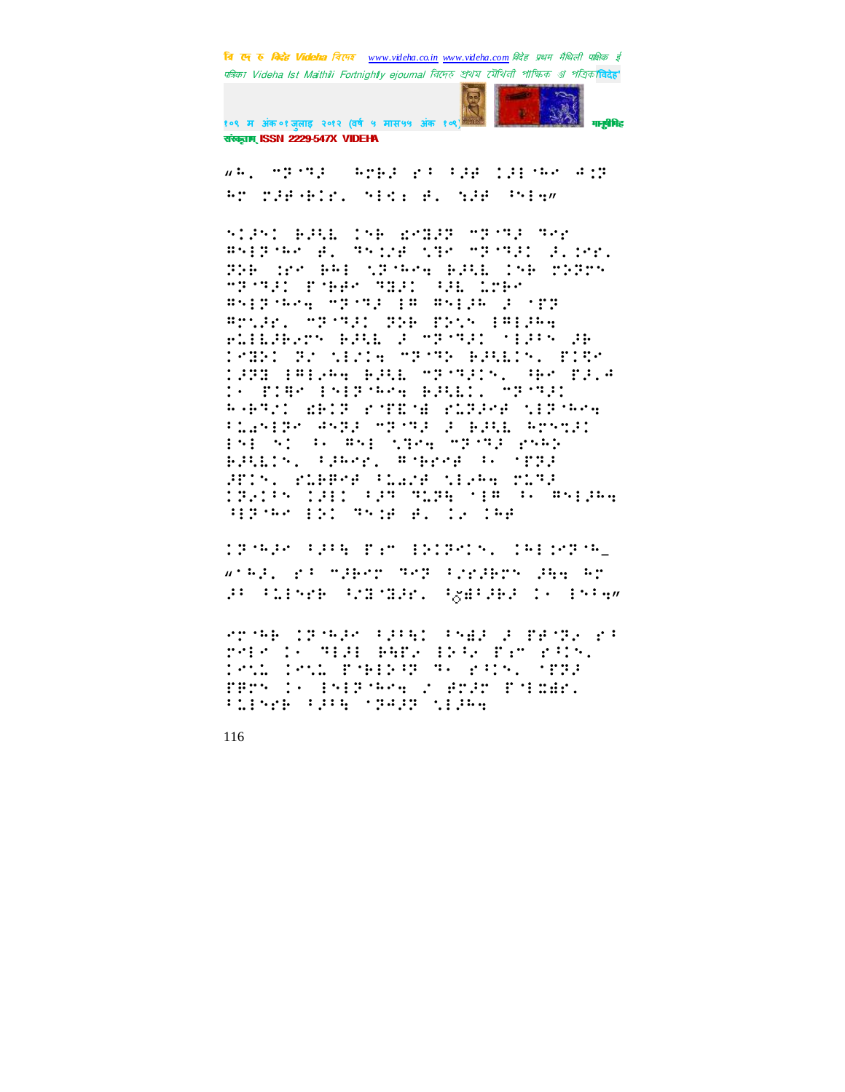

१०९ म अंक०१ जुलाइ २०१२ (वर्ष ५ मास५५ अंक १० संस्कृतम् ISSN 2229-547X VIDEHA

we, mr ma coepar por saa caaseer wor RT THERIS, MEST B. NHE PHAW

**START BAGE THE BROAD MORTAL RAP** BAINANA BU TAINE NTA MESTIC PLINE. PRE GM ERI NP 1814 EPRI IME DRPDY<br>"PANEL PAER ABEL PRI IME Brighter, Sport is Brigad and Th Bright STREET Bib Hits (Bighe) summary shift strike that he PERI ES MESA MEMBRAHAIN, PIER 1998 (Alumn Bagg Machailte George) RAPTI ERIT ENTENE ELTANE NITURA Planeth Ante Minis a Bagg Arnold 151 51 16 851 5164 51592 PSG BREIN, PRAY, ROBERT B. MIRR anis, kubese tuaze viaba puna<br>1921ts 1911 tan nung sim to msiaba HPSP IN THE R. L. TEIR

**TRONG PRESS PARTICIPATOL CRESSPAL** with a resolution of the second control to the second second second second second second second second second second second second second second second second second second second second second second second second second PRODUCED RESERVED PRODUCED IN 1989

spoke (Bokes Fern) (Sae a Bendy ef resolution and announcement and state. POL POL POHER TO PRINT TER FRONT CONTRIGUES AND POINT PLENGE PROBLEMENT SERNA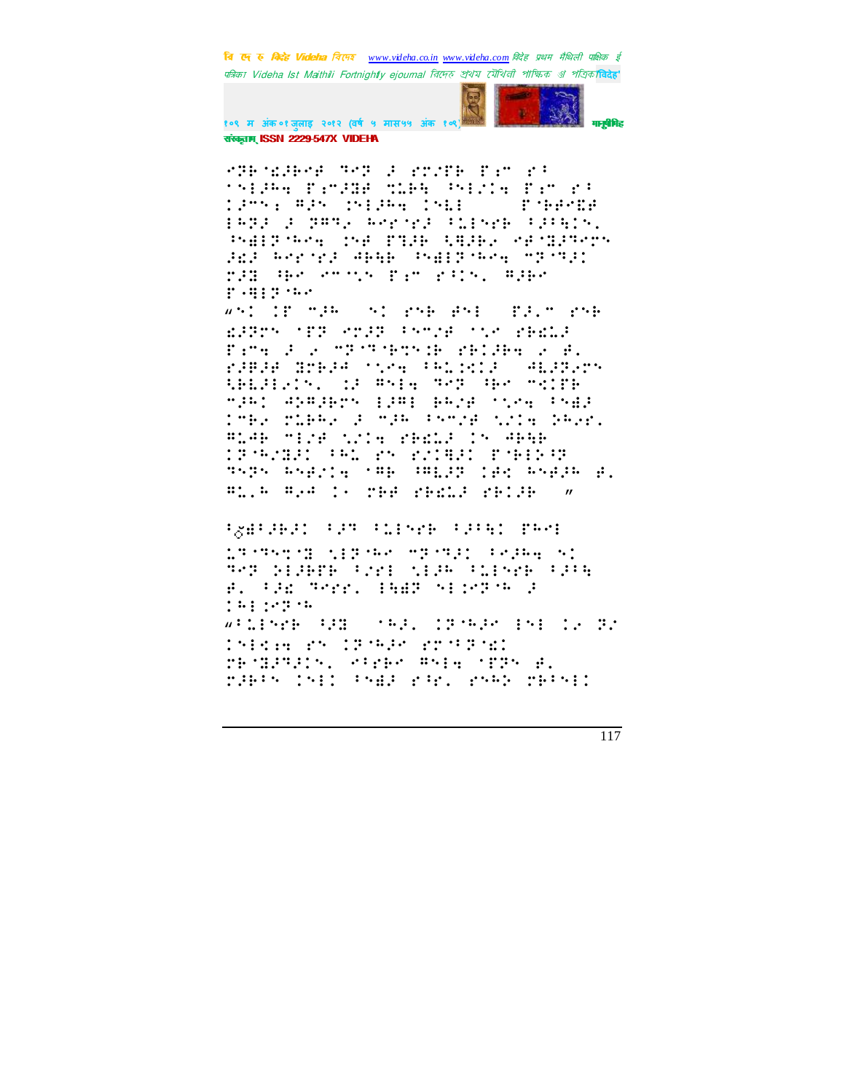

१०९ म अंक०१ जुलाइ २०१२ (वर्ष ५ मास५५ अंक १) संस्कृतम् ISSN 2229-547X VIDEHA

KPETERBAR PKP 2 STOPE P.M. KR there payme was being pay as 1955: BPS INEPHOTOLE CO PORPER fand d'han, avenes thines triben PARTNER OR PIPE ARPEA SPORTS and beried deep chargebox 221931 THE HEATTNING FIRE PICK, WHEAT  $P = 41.7 \cdot 1.7$ 

which who also showed the same RATTS TER STAR PSTAR TERMA Fire 2 2 mFM 95518 PB1388 2 8. rabak draga sisa (alinia (alabars GREATAIN, 12 MAIN MAR (RA MAIRE) mak: Ab#abrs 19#1 BkzA (see Psda Information of not concellate that. PLAR MICH WILE PRELE IN ARRE IPSPIEL PROVECIEE PSPIEL 3535 RSENIE MAR (ALIE 185 RSEIR B. #1.8 #2# : rPP rBR12 rBC3B /

18813831 (27.011588 (2001) PRO

LTORY E SEPARA MESTER PREMISE 909 SLAPE FRYE SEAR FILMEN FAFA B. WE TARE BER SERTH F  $1411774$ WELENGE FRI THE CIPARA ENE IS BY Things an ISASA arrival TEMBURG STEP BYE MURY B. rable influence red reading resear

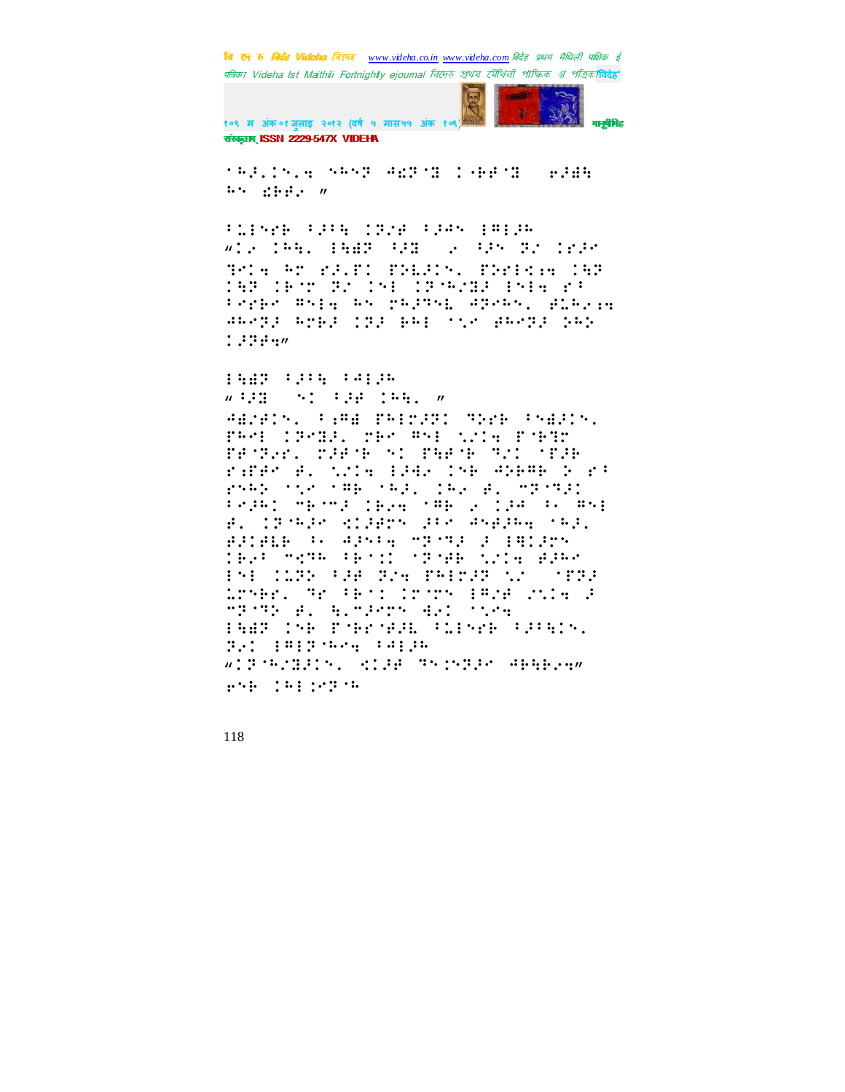

१०९ म अंक०१ जलाइ २०१२ (वर्ष ५ मास५५ अंक १ संस्कृतम् ISSN 2229-547X VIDEHA

telling nent aptom captor (plag  $4.4$   $1.44$   $1.44$   $1.44$ 

FIRTH FROM 1828 FRAM 18126 wir 1941 fam (28 - 29 - 22 - 122 TOG AT PAIR PALACY, PATRIC CAP **IAR IBYM RY INE IRMANE ENER PR** Perke Wilk Wilreson, Spekin, Slkrin aneys near the and the sheets the  $1.33447$ 

:527 :315 :313.16  $\begin{array}{ccccccccccccc} & \text{w} & \text{w} & \text{w} & \text{w} & \text{w} & \text{w} & \text{w} & \text{w} & \text{w} & \text{w} & \text{w} & \text{w} & \text{w} & \text{w} & \text{w} & \text{w} & \text{w} & \text{w} & \text{w} & \text{w} & \text{w} & \text{w} & \text{w} & \text{w} & \text{w} & \text{w} & \text{w} & \text{w} & \text{w} & \text{w} & \text{w} & \text{w} & \text{w} & \text{w} & \text{w}$ 

ABSENT THAN PRIMARY SPEED PROBLEM. PROF IPORAL MESS ROLL NAME PORT TANTAR, TAANE SI PEANE TAI STAR ranes el sula 1942 (SP AGPAR G'E)<br>rogo (SP (AP) (G9) (G2) el sono (G9) Prako menna delhe swe yodak (Power B. 197628 STREET PROGRESS CRE. BRIGGE IN APAIA MEMBER BEERING 1625 MARA (Eksi SPAA) NAIA AJAA INE CORN FOR ROW PRINCE NO STER Lombr. Mr FB'i Co'or 1828 2514 2 MESTER B. B.MARTH BEL STREET PASS INF PORTHER SINGE SPRING Set (Missima, Pappe WIPERING RIEF TRINIP APPROX prop. (1941) prop. en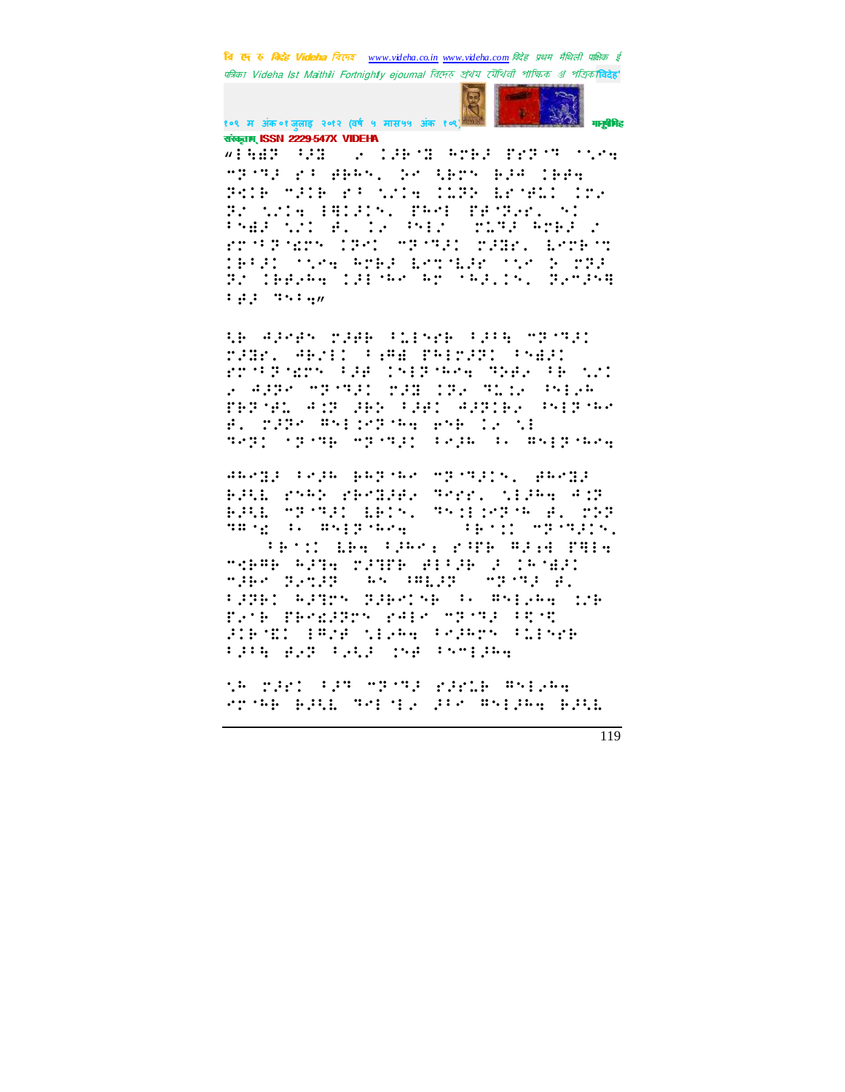

१०९ म अंक०१ जुलाइ २०१२ (वर्ष ५ मास५५ अंक १०९) संस्कृतम् ISSN 2229-547X VIDEHA

wiedz (22 . . .26'2 6763 222'3 '124 MESTA KA ABAN, NY ABIN' BAR CBAN PAIR MAIR RA NAIR INPRAEAMHAIL Rochia (Algin, Ped Pecreo ni)<br>(negotivi el lo chio criggoriere o rodare (act of dall rake, broke CRAFI TORA AMBE ERMOBER TOR DOMER Br Cherma Claime ar Sallin, Brn2n4  $\mathbf{H}(\mathbf{a}, \mathbf{t}) = \mathbf{H}(\mathbf{a}, \mathbf{t})$ 

th Alers wide things title machin rank. Absil (1966-1911-1911-1963) and hans lee will go a downlike wi 2 APPROMENTED MARKING MILLS PRE2A TERMED AND JEN FJED AJRIER INERMAN B. MIRA RALIARANA ANE LA MI ment energy energy regards memories.

anega tejn popule epinacy goega BRIL PARK PROBRE TOPP, SERRE AST BREE MESTRI EBIN, TNIEIMENH B. MNE na (g. 11) anggonog s **SERVICE SERVICES** 

TEST DES TRAS PRIE WEST PHIS "des sus pure dide a lead "He Tend as WEB "THE B. FRONT RADYS ORDER TO RSEART WE Frie Tendluch rain music (Chi PIRTUI IRMA SIVAN PARAS PIINGR **FOR BUT PULL INE PAMILAR** 

the play: Class exercise players well-had sprag guid mengunu ata anggan guid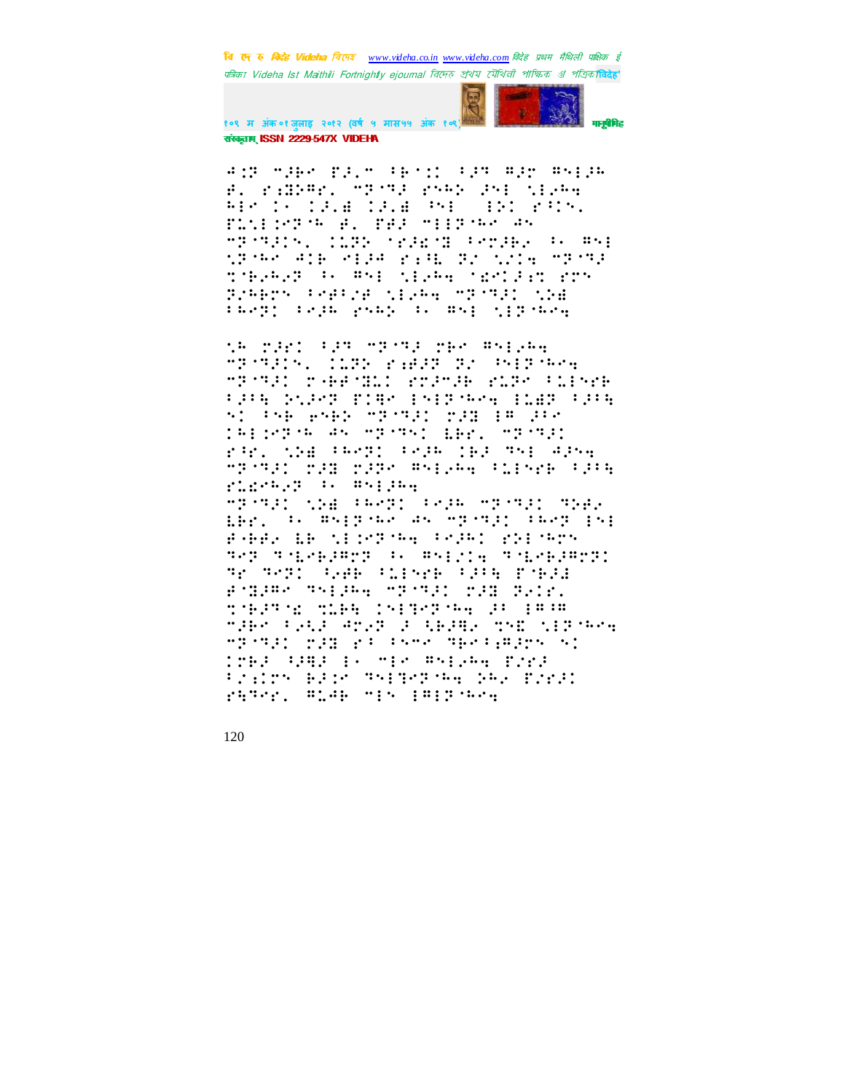

१०९ म अंक०१ जुलाइ २०१२ (वर्ष ५ मास५५ अंक १० संस्कृतम् ISSN 2229-547X VIDEHA

AN MAR PAY BEND BAR BAGGA B. PARPEL MEMP PARK PAI SIPA REPORT CREATING PRESS END YEAR. PLAIDER H. PER MILROW AN **MISSING INTERNATIONAL PROPERTY IN THE** SPORT ALE PIER PER PROSPECTE there we are the manufactured Braken Prefie Sleag MB MAI SDE (622) 1236 PAR (6 851 1337624

th part for mond phr mailen. **MESTAL LORE PARR RESPONSE** MESTAR COMPARED CONTABULATION FILENCE PROFINER PUR ESPERAN BLAD PRO SI PSE PSER MESTRI MAR IP JPK pappers as exercised species en ran, she ameny ardmodel med albu MESTAI MAI MATA PRISPA PIIRME PAPA rished : #41344 MESTED NEW FRAME FREE MESTED TERR her, is mapped as epergy race par Babba ib shirpang tepat shirpa sep segendar i skirje segendar Tr T-T: GHB (LINE CHA T-BA) POIPRO THERE OF THE THE FAIR. there the completed and complete MARK PRAINERS DOGRAPH MARCHINER **MESTER MEETING PARK TERRITY (S)** THE GREET COMPANY REPORT Prize Bre serves when the pres rance, Alab mis iniciana.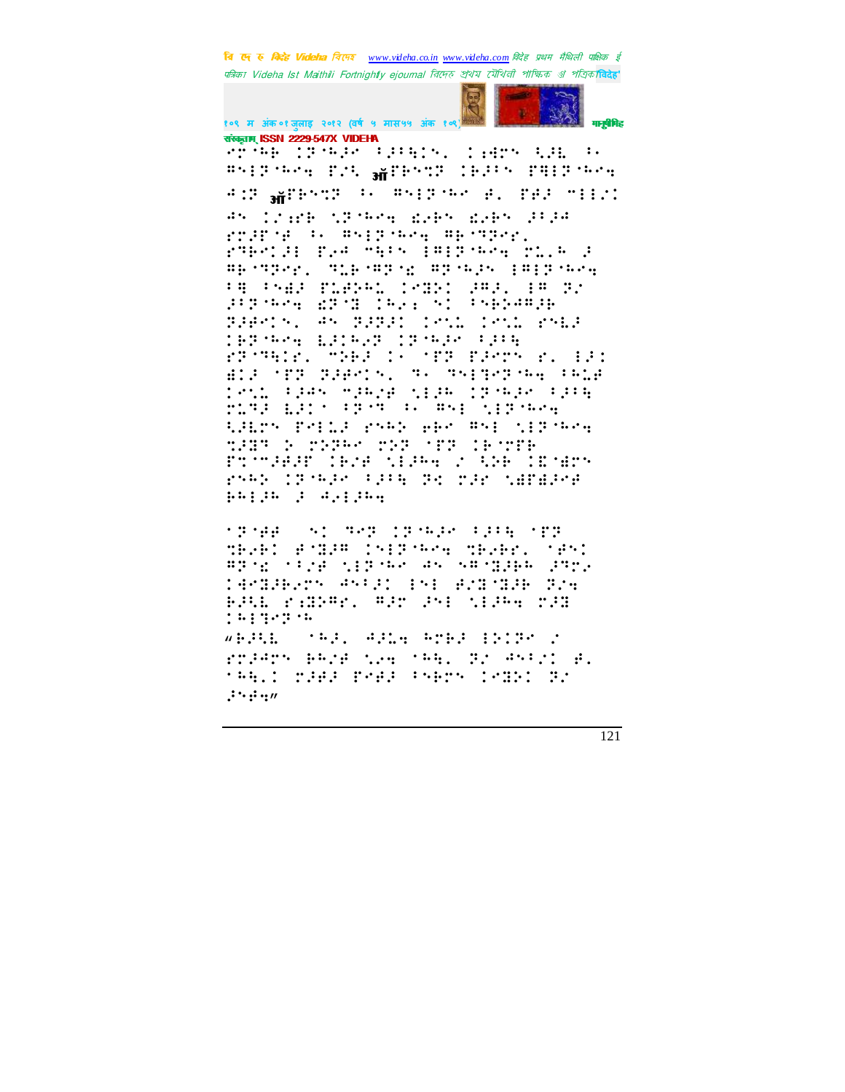

संस्कृतम् ISSN 2229-547X VIDEHA añók (Popa Preso (Alba) (Al BNICHAM EZL WEBNIC IBJEN EBECHAM AND WEEKSTON AND SERVICE. EARLY TELMS

st light truck between the second rrang a magnas, menger, rabera: plu sara :#:pswee ri.W. BETREAM TOETERS BRIGGS IBIRIGA FA PSAR PLAYAL CRONI 282. IR RZ PERSONAL BRIDGE DELL'AL PARPAMER BRACK, AN BRBRI ISLE ISLE PNER 1927-yilda bilining (2752) 1219.<br>2277-1221 - Mari 1927-yilda bilinmasi 121 BIS MED DIRMIN, TH THETHEMAN FALE Tend (Plan Spanje nije (Plane) Plan hil di shekara ha hi three folls read who well thrown THE S THEY THE TE LETTE Promaear leve tiame 2 ADE linery ruby truck this research marging ph: 30 (3 d) (30)

**SPARE SE TRE CRANE PRINT SER** MESED ANNUAL CHIPNAGH MESED (1851 #Portion of the state and n#online completed TAPBARYN ANGEL 191 AVBYBAR BYA BJGB PARPHY, APP JSE SEJAH PJR  $14134744$ **THE ANNA ANDRESS OF**  $w$ ::::::

roleon Beze new 1981 Br Antoi B. **TRAVE THAN PRAK PRATH CROCK TO**  $\mathbf{P}^{\mathbf{r}}$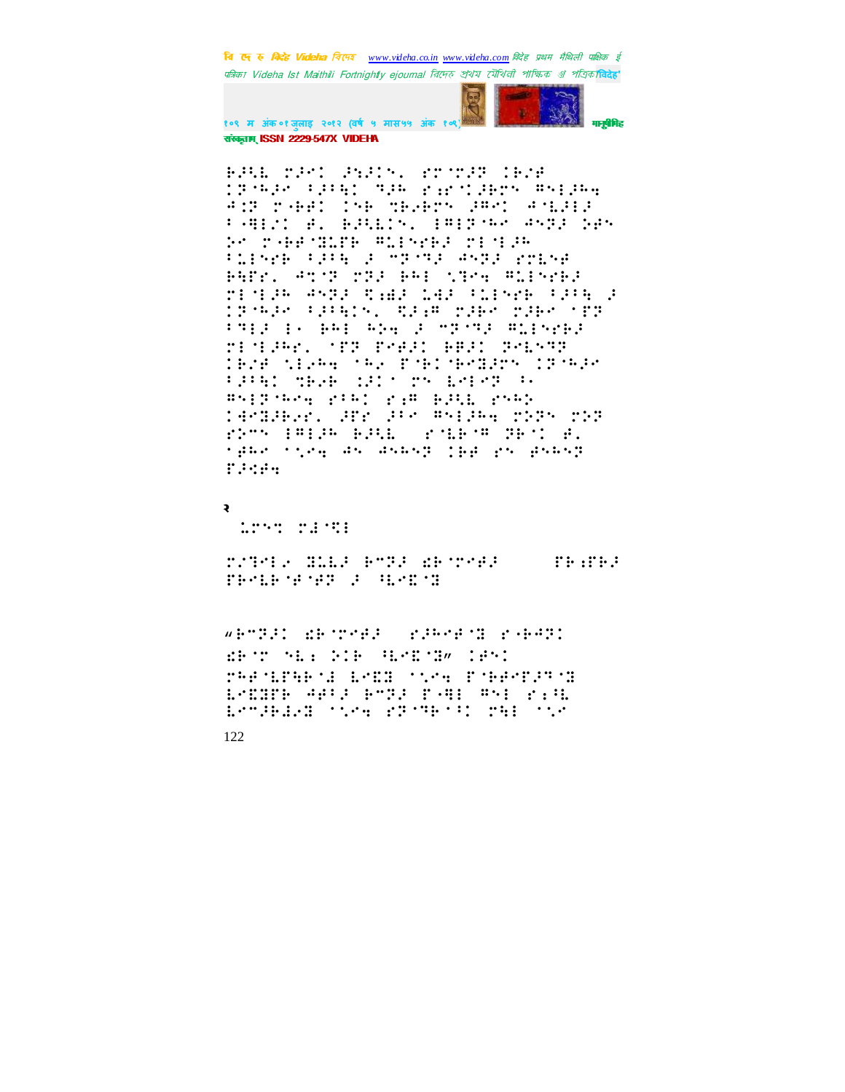

१०९ म अंक०१ जुलाइ २०१२ (वर्ष ५ मास५५ अंक १ संस्कृतम् ISSN 2229-547X VIDEHA

BOOK TO SALES TO THE TOOL SPORT PRINT THE PAPTIERS PSEAR ANY MARK INFORMATION ARMITANIES FAMILY B. BJG105, IMIDAG ASTE 285 Sconded The Steel Server Scotland PLINER FROM SUMPARE ANDER ETENE BATE, ANNE MER BAI (TRA ALINEBR MINER ANNE RABE 148 FILMAR FRAN R 197626 FRAIN, SRAM DRES DRES STR FREE EXTENS AND JUMPARE ROBARE TEMPHY, MTP PREPT BRID PRESTP <u> 1979 (1984) nas frachanges ophav</u> FREED MEAR (SECTION EMERGENE) BYER SPACE PIPE CREP BIRE PAPE 14033622 SPP 390 ANISA 2235 223 rem (Figh Edia) role work a. teachers and announced the second **Paragon** 

 $\mathbf{R}$ 12552 21251

reth Hill Pres derred ( Tedes TERLENGING SCHEENE

windil dronel (pleerd person EFT ME SIE WATCH IPS reported a red over powerpoor LADORE ARIS RADA PARE WALLERING ESTRADA TOS PRITEIR THE TOS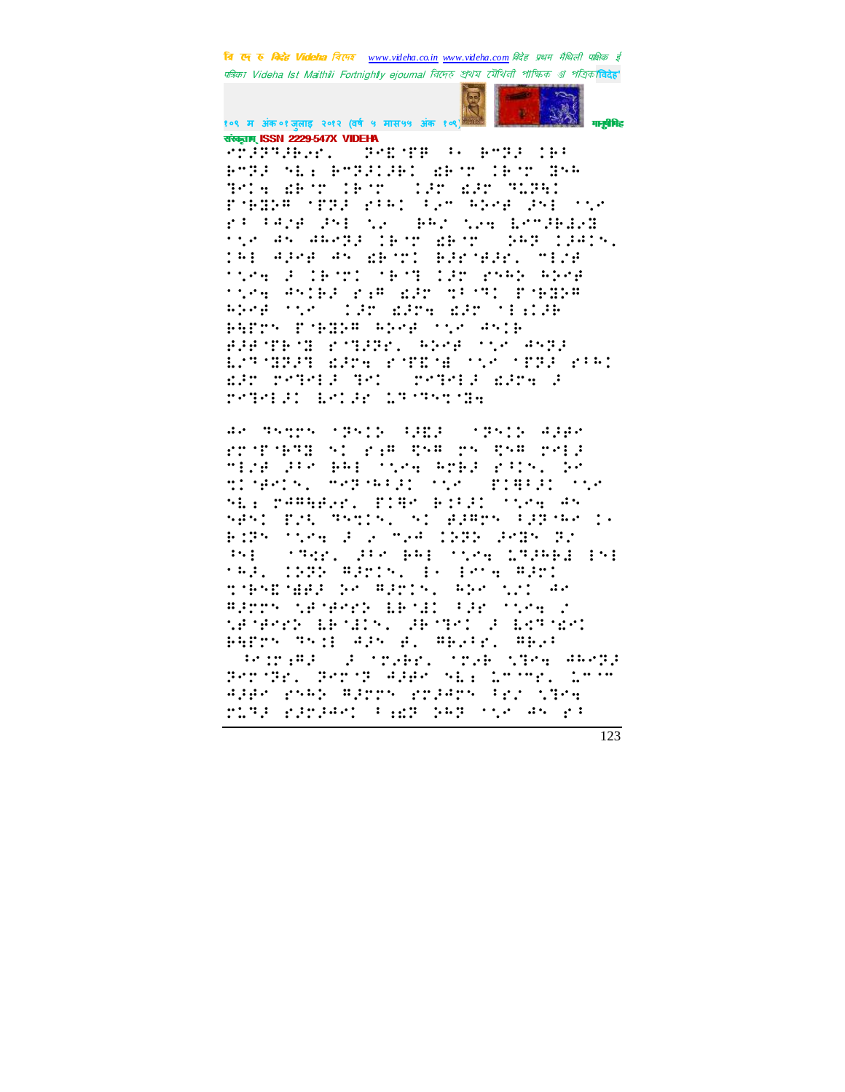

## १०९ म अंक०१ जुलाइ २०१२ (वर्ष ५ मास५५ अंक १०९) संस्कृतम् ISSN 2229-547X VIDEHA

spurnuell report ( Portio PTE SEE PTECHED BROT CROT ISA inia ekorakor (20. egoko hugu)<br>Kokara (1930-2001) (20. egoko gel (190 ra age syf ne (BAS new Lemshiel the An American provident (1982-1991). IRE APAR AN WEND BRENER, MEDE tice 2 IBMI that IPM reed abor tice Andel rif wir micht Poema REAR TO STORY WITH WIT TERRIF BATTS TOBARD RESEARCH STATE BREATHAIN SAINTS, ANNE ANN ANTI EZPOSPAT EAPH POTECH COMPOTER PRA ERT TETER TEL TETER ERTE F reterat Estar Canademin

48 MATTA (BAIN PRES ) (BAIN 4288 rrothes of resource to the resource mide afr eel nike enearching ar MINERING MRTHREED TO STEPHED TOP Macromagne, Pime Birgi (Snelsk SASI PARTNER SCAARS LASS 1. BIRN TONE ROW MAR CORP. ROBN RD **TREE PROPHETICE INFARE PAR**  $\cdots$  : tel (1935-83815) in Enteraction TOPHOBE DO PRINTS.  $\begin{array}{ccc} \mathbf{1}_{1} & \mathbf{1}_{2} & \mathbf{1}_{3} & \mathbf{1}_{4} & \mathbf{1}_{5} \\ \mathbf{1}_{2} & \mathbf{1}_{3} & \mathbf{1}_{4} & \mathbf{1}_{5} & \mathbf{1}_{6} \\ \mathbf{1}_{3} & \mathbf{1}_{4} & \mathbf{1}_{5} & \mathbf{1}_{6} & \mathbf{1}_{7} \end{array}$ RUSS SPRESS EPSI PUBLICARY MATARATA ERITAL (ARTARI 2 ERATMAI BATTS TSIL APS A. ME2PE, ME2P Shipara a novel novel 1964 Annoya Projec Projecte Ader Swalloning, 1878 APPA PART RIDEA PEIRTA PEL CIPA MITE REMEMBER HE PAR TO AN RA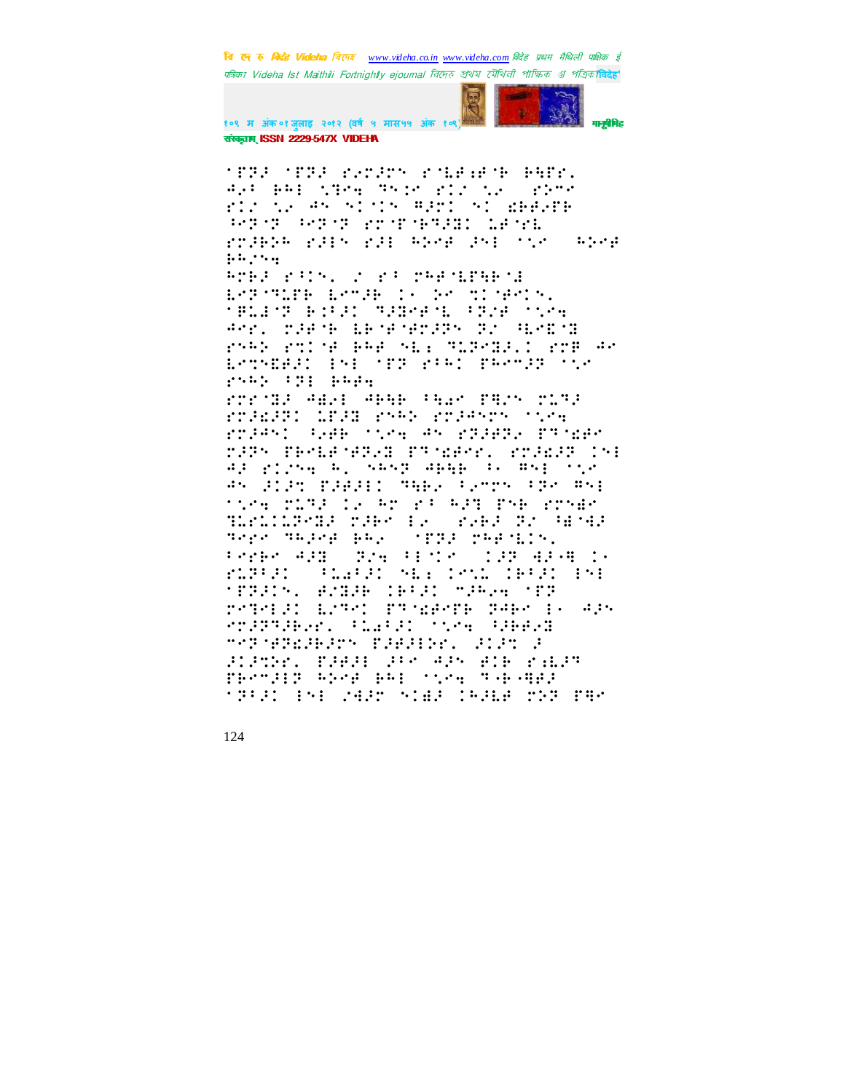

१०९ म अंक०१ जुलाइ २०१२ (वर्ष ५ मास५५ अंक १० संस्कृतम् ISSN 2229-547X VIDEHA

'THE 'THE PATENT PARATH BATE. APP BAILINGER SERVICE PLATFORM ric to an nicin were no deerer PORTS PORTS EDITORSED LEARN rolled risk ris added by the adde 

ROBE PRINT OF PARTNERSHIP ESPIRED ESTAD IN 28 MINACON. MPLEMP BOOKS MARKETE FRAM MIKK Anni Marth Abdelfamar Si Alebox rned roles een nix minnoiller an Lengrafi ini tra"doof rëdhar tid rub (21 bee

rrrug Adal Abab (Ada Park rugg cracar crame why pranon will roles: Geb Stra es roleo prode MARY PROBEOGRAF PROBLEM (MOVALLE )  $: \cdot :$ Al riche A. SASP ABBE DO RSE TV An alam pagail measurement and mni ting plast in aptes against prair TEMELOPMEN DERM EVOLGVER DV HEMER Service-Perry PRESS (PRESSING) terre Administration (du Ademi)<br>Podudi (format Serviceo (publicat) HTRIN, AMERICANIS MARGARIT rendict broad posmarch cape is also Pristikal (Later Pork Thead MARYBRANA PARAIDE, ALAN A atante, pagag ago ago gip eguan PROVIDE ANORTHAL SCORE THROUGH KREAD ENE ZAAR NOWA CAAWA ROB PRY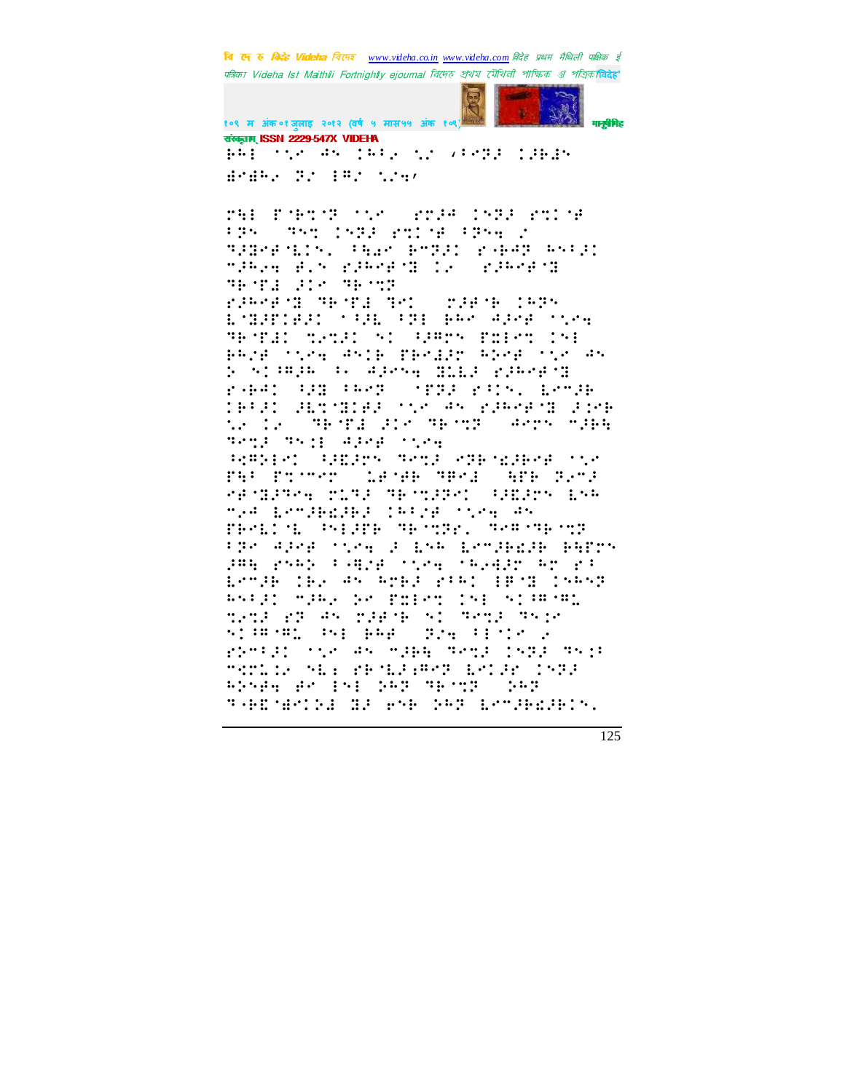

संस्कृतम् ISSN 2229-547X VIDEHA PRESSURE RESIDENCE VERBEIGER Brews Br (Wr tra)

THE PORTS ON STAR INFR PTION FRA 1985-1888 ESIME FR84 2 SPECKALLS, PAGE ESTRI PART RSPEI manuel als cannonists concert **TEMPA 218 TEMP** rakers skyld by conference EMBRIERI MARE ARE BRA ARAB MUAR TEMPED MANUFUL AD APPROXIMATION BRIE TOTH ANIB PROBET ROOF TOT AN 5 Vienim () aprog mins rabber rakan dan desa (sata ransi besak IPPEL BETWIEF TO AN EPPETH FOR trong of the first side of the state of the deng deng apertenen adhesi Jamaré assa sakarakan se FAR ESTMENT LETER PROF. AFRICANT SPORTS TILE THOUGHT HERD ESP mas Erminalini (Star moneys an FRANCH PHIRE SPORTS, SARASPORT ipelages siew a bee besawarde ranse and real control time thence he re ESTAR IRA AN AMRA PARI IR'S INANG RNESS MERGO DR PHERM INE NORROWL TRIP PROFILE THE STORE IN THIS STREED PHOPPE STACKERS. FROM FLOOR AND OFFICE THIS CATE THAT mentics which should be he completed the stream Absence and the back weight of back THE WOULD BE ENFITTED BOOKBELLY.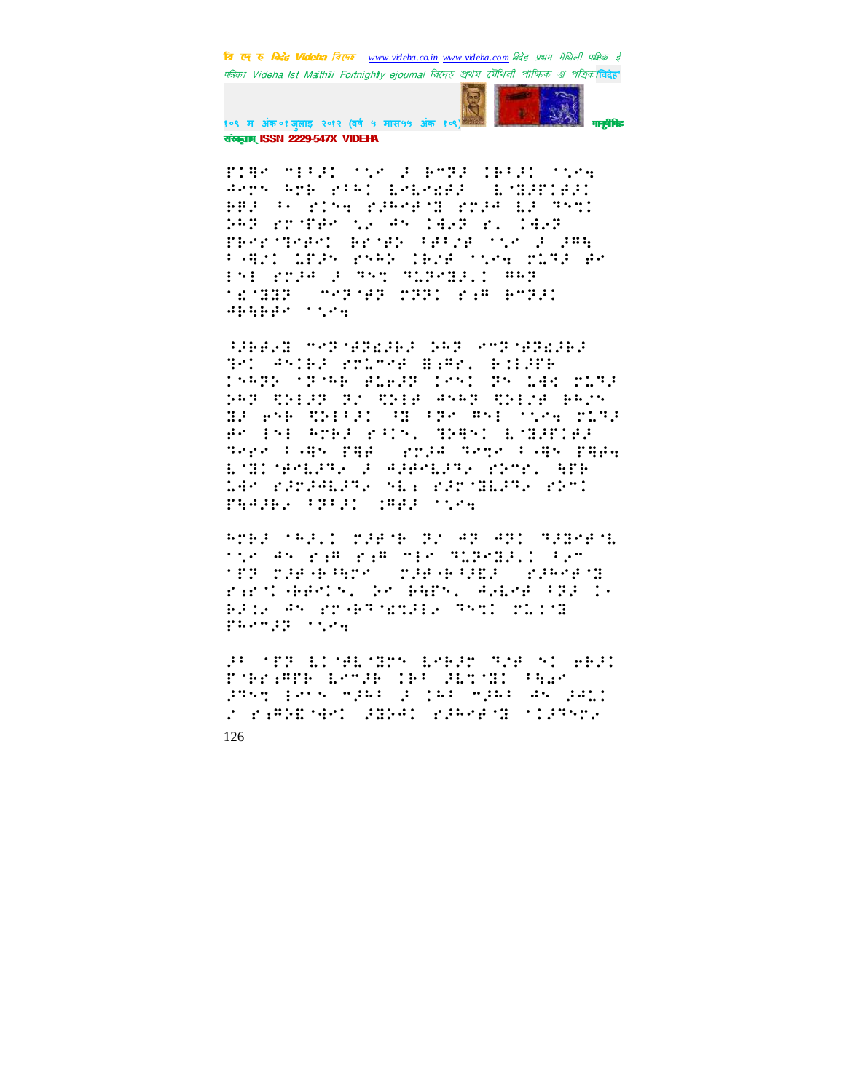

१०९ म अंक०१ जुलाइ २०१२ (वर्ष ५ मास५५ अंक १०९ संस्कृतम् ISSN 2229-547X VIDEHA

FIRM MERRI TOM & BMPA (BRAIN TOMB Arry Are ria: Lrichel (19181181) BBS IN STAR STRAPHE STIP ED TATI **243 POSTAR NA 45 1423 P. LEAR** PROSTRANT RENAW PAPER SON 2020 PART LEP PART IRIE TOAR TIEF RO 151 2224 2 352 312-12.1 862 **MARKET WARTER WIRE FAR BMRED** diabet tire

SPEED TO SPEED PAR OTFORERS THI ANIEF POLONE BEAM, FILATE 15682 (35566 ALAXA 1351 35 LAX 2132 PAR SPIER RY SPIE ANAP SPIYE BAYN **MARK MARKET ST SHERE WAS STORED TO BE SERVED** PO PHOROGETY, THRI EMBIRI Teres Four Pure (relationers Four Pure ESIMPRESS PARALEL COMMUNIS 145 PROPERTY SEE PROMIES PROT PARTNER FRONT CRAIN SCRA

ROBE TREST ORE OF TO AT ATT TEDAP OF the decay and same spectrum of the **TER MARKAGE MARKETING STARTS** randaments, bramments, Albertade () BED AN STARTSCHE THT TICH prompt into

at the bingbones began the siggest Pobrimph Lengb (B) glindly (Rie anse fors wake a che wake mo and 2 PARTNER SERVICENT PROFIL MISTOR 126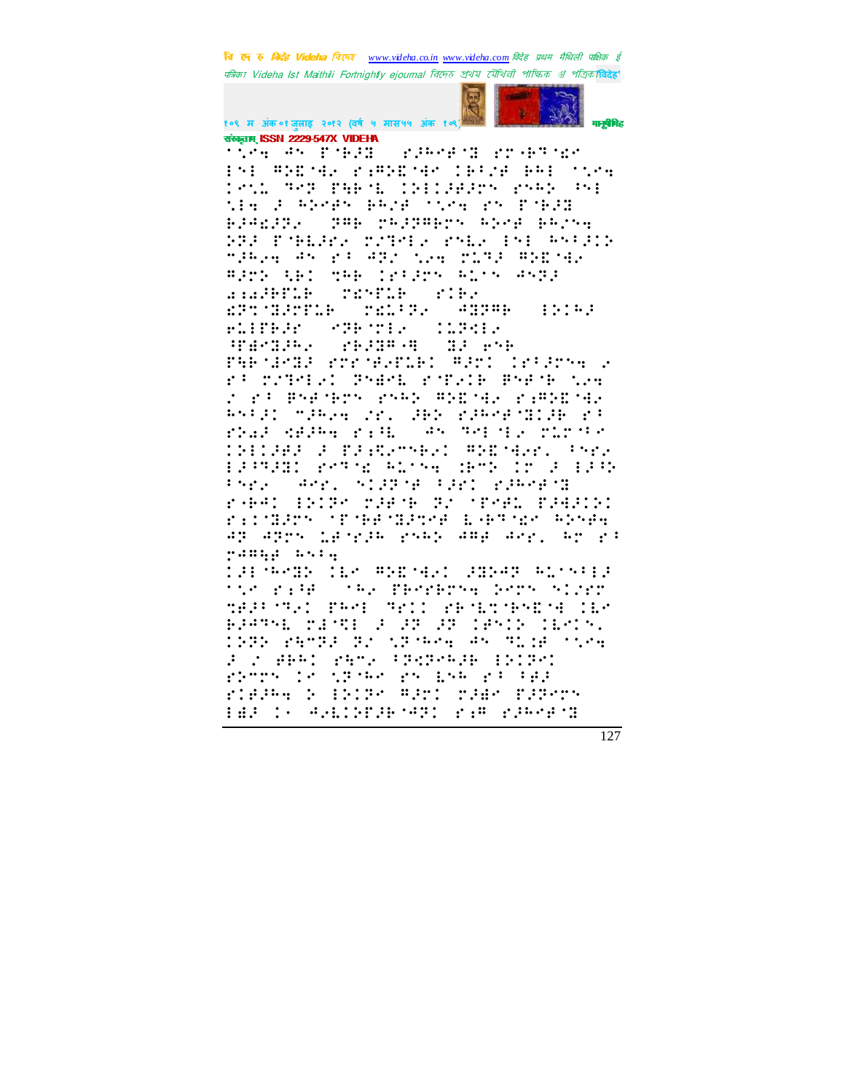

१०९ म अंक०१ जुलाइ २०१२ (वर्ष ५ मास५५ अंक १०९) संस्कृतम् ISSN 2229-547X VIDEHA

tijn, as popul (planeti proprob ESE AND ME RIARNEMAN CHAZA ARE STRA **Compass Person Childers Pres Pri** the Poster Band time and ToBER plagues en rangerenne beginne DIS POBLARY COTABLE PART AND DESCRIPTION manue de si das tue mina praier BREAK ABL STAR CERREN ALSO ANDR  $\mathcal{L}^{\text{L}}$  $\ldots$  :  $\ldots$  :  $\ldots$  : response 899989918 98199  $\ldots$  $-133343$ difficile. **Address PLIPPER** PARTIPOS VIVTASINAS ASI TVISTINA V ra regele: Prent radio Pread the r et Brener erke Abbig, eenbog PSPAL MARGH 281 ARD BARMBONIAR BO **Same Manager of the State of A** fial dilm fill **CONSIDER A PARTNERS AND MARY AND** EPPER POTE ROOM SPECIE PIPE SAME, SIPPE FRI PRAMA S  $\mathcal{L} \sim \mathcal{L} \sim \mathcal{L}$ rama (1919) Marak Brutham Pagaisi richmen (Frederick Laftin Absey ap apek ng elik esip amp akel se el gangg sulg MIRABA ILA ANDALI SONO ALAMIJ the rife (the Perserna bern block MARK MOST PARE (MESS) PROBOTENEOR (ER BARNE MEND A AR AR CANCE CENTS. 1939 ranga di Spokey As Mide Stey 3 2 ABRI 2552 (PROPER INIDE

Providency and the property of the rigame i Bila Agri rago Padoro

**FALL TO ALL CONSULTANT** 

127

**Seat Planet C**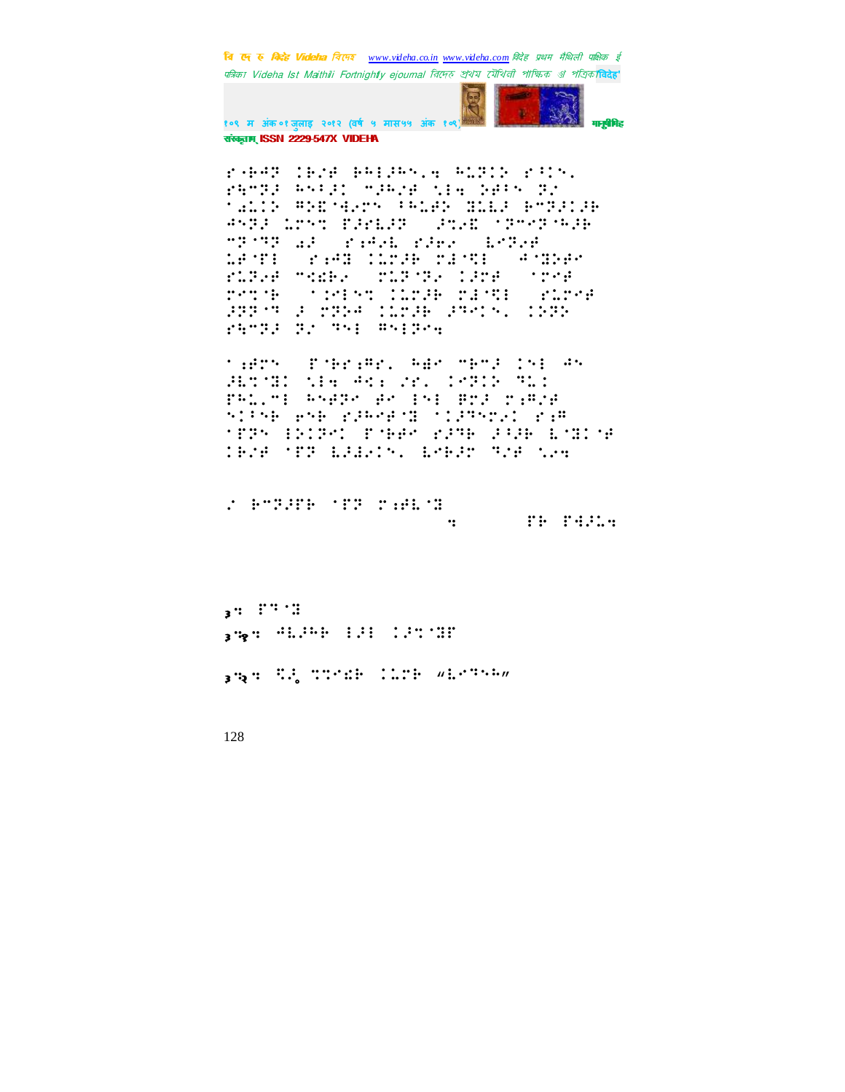

१०९ म अंक ०१जुलाइ २०१२ (वष ५ मास५५ अंक १०९) मानुषीिमह संस्कृतम् ISSN 2229-547X VIDEHA

"D⢷⢺⢽!⢷4⢾!⢷⢳⢼⢳G⣒!⢳⣅⢽⢵!"⢸G! "⣓^⢽⢼!⢳C⢼!^⢼⢳4⢾!⣁⣒!⢵⢾C!⢽4-! ⣔⣅⢵!⢻⢵⣏ ⣚⢴!C⢳⣅⢾⢵!⣝⣅⣇⢼!⢷^⢽⢼⢼⢷! ⢺⢽⢼!⣅⣉!2⢼"⣇⢼⢽-!⢼⣉⢴⣏!⢽^⢽ ⢳⢼⢷-! ^⢽ ⢹⢽!⣔⢼-!"⣐⢺⢴⣇!"⢼⢶⢴-!⣇⢽⢴⢾! ⣅⢾ 2-!"⣐⢺⣝!⣅⢼⢷!⣜ ⣋-!⢺ ⣝⢵⢾! "⣅⢽⢴⢾!^⣊⣎⢷⢴-!⣅⢽ ⢽⢴!⢼⢾-!⢾!  $\mathbb{P}^{\mathcal{L}}$   $\mathbb{P}^{\mathcal{L}}$   $\mathbb{P}^{\mathcal{L}}$   $\mathbb{P}^{\mathcal{L}}$   $\mathbb{P}^{\mathcal{L}}$   $\mathbb{P}^{\mathcal{L}}$   $\mathbb{P}^{\mathcal{L}}$   $\mathbb{P}^{\mathcal{L}}$   $\mathbb{P}^{\mathcal{L}}$   $\mathbb{P}^{\mathcal{L}}$   $\mathbb{P}^{\mathcal{L}}$   $\mathbb{P}^{\mathcal{L}}$   $\mathbb{P}^{\mathcal{L}}$   $\mathbb{P}^{\mathcal{L}}$ ⢼⢽⢽ ⢹!⢼!⢽⢵⢺!⣅⢼⢷!⢼⢹G!⢵⢽⢵! "⣓^⢽⢼!⢽4!⢹!⢻⢽⣒!!!

 $^{\prime}$  of 25  $^{\prime}$  GP of the other when  $^{\prime}$  (see ) and ⢼⣇⣉ ⣝!⣁⣒!⢺⣊⣐!4"G!⢽⢵!⢹⣅⣈! 2⢳⣅G^!⢳⢾⢽!⢾!!⢿⢼!⣐⢻4⢾! SIPAN WARD SIPAN WARD 2⢽!⢵⢽!2 ⢷⢾!"⢼⢹⢷!⢼⢸⢼⢷!⣇ ⣝ ⢾! ⢷4⢾!2⢽!⣇⢼⣜⢴G!⣇⢷⢼!⢹4⢾!⣁⢴⣒!

 $4$  : F-250 (  $10$  )  $100$   $200$ hhbkfoesbAwjefib⣒dpn!!2⢷!2⣚⢼⣅⣒!!

 $3$   $:$   $"$   $"$   $"$ ३⣒१⣒!⢺⣇⢼⢳⢷!⢼!⢼⣉ ⣝2! ३छन् प्रेस्ट प्रार्थको अधिकारिक*ल*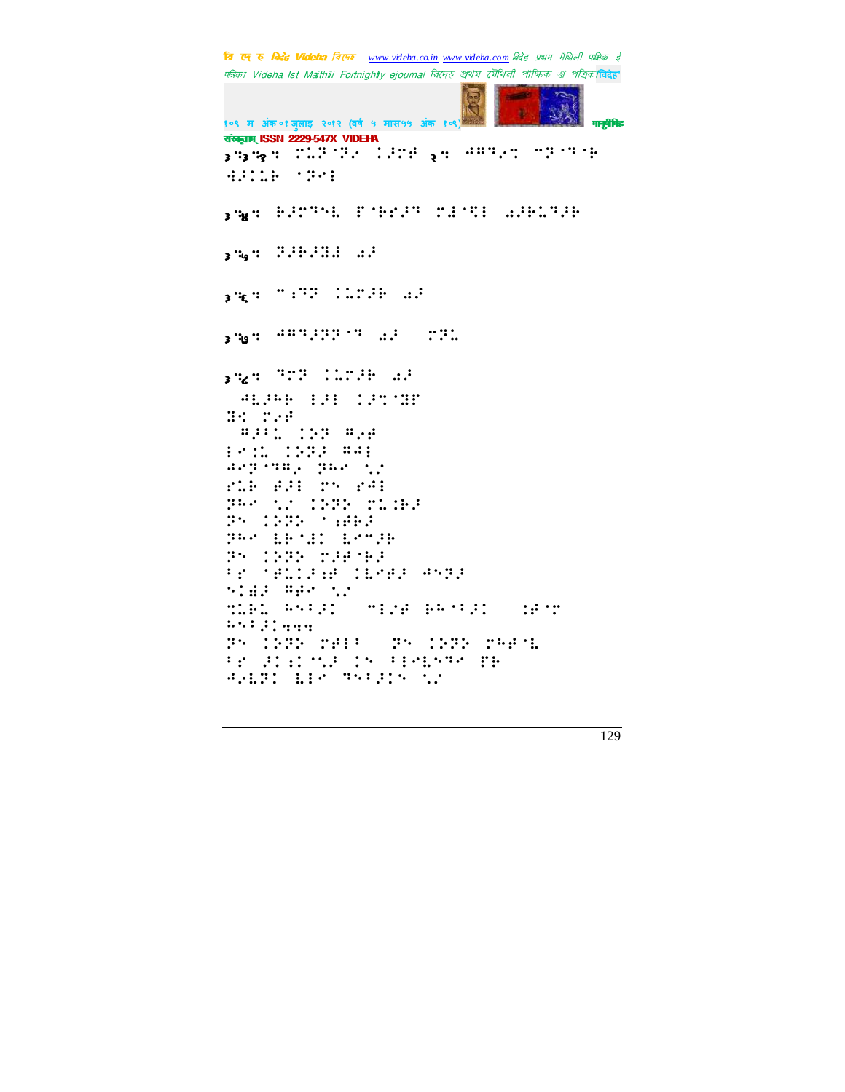पत्रिका Videha Ist Maithili Fortnightly ejournal রিদেত প্রথম মৌথিনী পাক্ষিক ॳ পত্রিকাঁ<mark>বিदेह'</mark> ø १०९ म अंक ०१जुलाइ २०१२ (वर्ष ५ मास५५ अंक १०९) मानुसीर मानुसीरी मानुसीरी ह संस्कृतम् ISSN 2229-547X VIDEHA ३⣒३⣒१⣒!⣅⢽ ⢽⢴!⢼⢾!२⣒!⢺⢻⢹⢴⣉!^⢽ ⢹ ⢷! ⣚⢼⣅⢷!⢽!  $_3$ ggs BRPPH FrEER PERT WELFER ३⣒५⣒!⢽⢼⢷⢼⣝⣜!⣔⢼! ३५º 1999 - 11298 - 112 ३७७: <sup>200</sup>° <sup>201</sup>223 <sup>-</sup> 23 ३%४° <sup>392</sup> अ. २००१ सा !⢺⣇⢼⢳⢷!⢼!⢼⣉ ⣝2! ⣝⣊!⢴⢾-! "  $\frac{1}{2}$   $\frac{1}{2}$   $\frac{1}{2}$   $\frac{1}{2}$   $\frac{1}{2}$   $\frac{1}{2}$   $\frac{1}{2}$   $\frac{1}{2}$   $\frac{1}{2}$   $\frac{1}{2}$   $\frac{1}{2}$   $\frac{1}{2}$   $\frac{1}{2}$   $\frac{1}{2}$   $\frac{1}{2}$   $\frac{1}{2}$   $\frac{1}{2}$   $\frac{1}{2}$   $\frac{1}{2}$   $\frac{1}{2}$   $\frac{1}{2}$   $\frac{1}{2}$   $\$ 4899944 (PRP) 12 :18 ## ## ## ⢽⢳!⣁4!⢵⢽⢵!⣅⣈⢷⢼-!  $T^{\prime}$   $\sim$   $T^{\prime}$   $T^{\prime}$   $T^{\prime}$   $T^{\prime}$   $T^{\prime}$   $T^{\prime}$   $T^{\prime}$   $T^{\prime}$  $\mathbb{R}^{n+1}$  is the set of  $\mathbb{R}^{n+1}$  $T^*$   $T^*$   $T^*$   $T^*$   $T^*$   $T^*$   $T^*$   $T^*$   $T^*$   $T^*$   $T^*$   $T^*$   $T^*$   $T^*$ C"!⢾⣅⢼⣐⢾!⣇⢾⢼!⢺⢽⢼-! STAP #88 STAP ⣉⣅⢷⣅!⢳C⢼-!^4⢾!⢷⢳ C⢼-!⣈⢾ !  $U \cup U$  $T^*$  C-20  $T^*$   $T^*$   $T^*$   $T^*$   $T^*$   $T^*$   $T^*$   $T^*$   $T^*$   $T^*$   $T^*$   $T^*$   $T^*$   $T^*$   $T^*$   $T^*$   $T^*$   $T^*$   $T^*$   $T^*$   $T^*$   $T^*$   $T^*$   $T^*$   $T^*$   $T^*$   $T^*$   $T^*$   $T^*$   $T^*$   $T^*$   $T^*$   $T^*$   $T^*$   $T^*$  C"!⢼⣐ ⣁⢼!!C⣇⢹!2⢷! ⢺⢴⣇⢽!⣇!⢹C⢼!⣁4!

**त्रि एन रु क्रिटेह Videha** विएम्ब \_www.videha.co.in\_www.videha.com विदेह प्रथम मैथिली पाक्षिक ई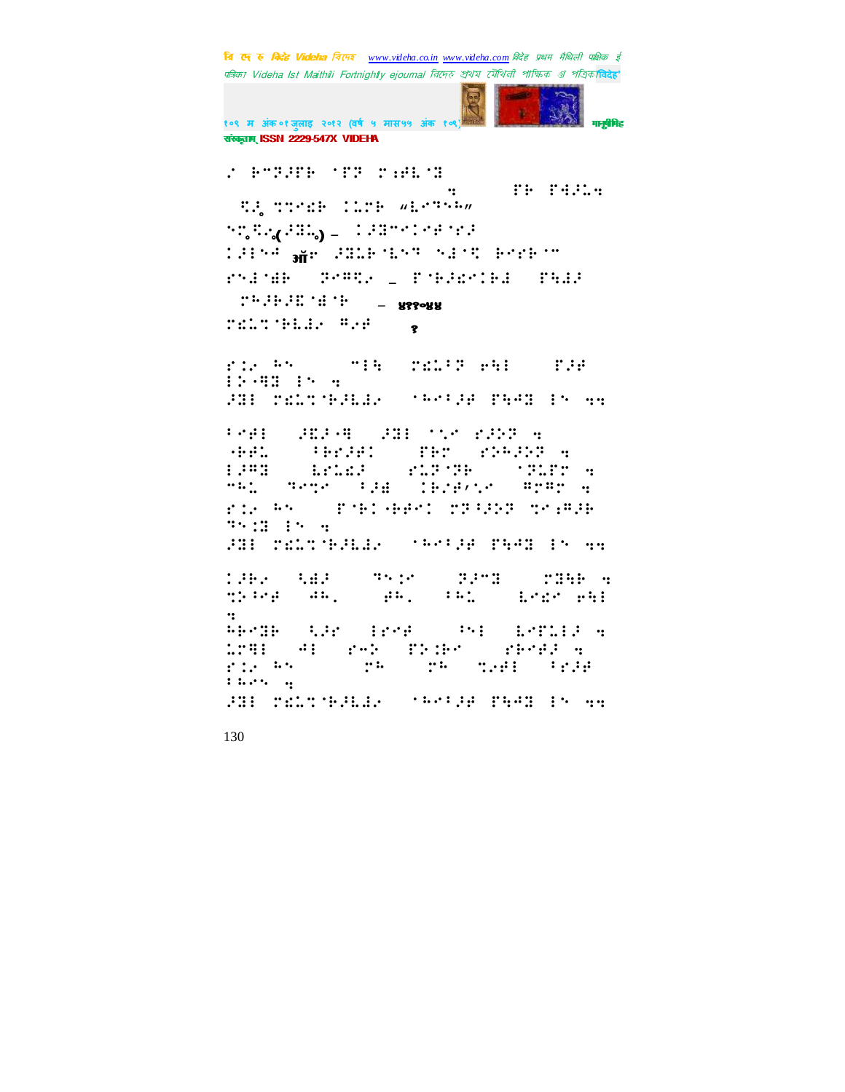

**A BASED AND MARKET EXAMPLE SECTION**  $\cdot$ :  $\mathbb{R}^2$  , where  $\mathbb{R}^2$  ,  $\mathbb{R}^2$  ,  $\mathbb{R}^2$  ,  $\mathbb{R}^2$  ,  $\mathbb{R}^2$  ,  $\mathbb{R}^2$  ,  $\mathbb{R}^2$  $\left\langle \left( \mathbb{P}_{\mathbb{Q}}^n \mathbb{P}_{\mathbb{Z}}^n \mathbb{P}_{\mathbb{Z}}^n \mathbb{P}_{\mathbb{Z}}^n \right) \right\rangle = \left\langle \left( \mathbb{P}_{\mathbb{Z}}^n \mathbb{P}^n \mathbb{P}_{\mathbb{Z}}^n \mathbb{P}_{\mathbb{Z}}^n \mathbb{P}_{\mathbb{Z}}^n \right) \right\rangle$ 1985- Mr. PHIPOLST SECTORSPHO ryloge (Power \_ Poblacible Phil  $\begin{array}{rcl} \mathbb{C}^{\frac{1}{2}+\frac{1}{2}+\frac{1}{2}+\frac{1}{2}+\frac{1}{2}+\frac{1}{2}+\frac{1}{2}+\frac{1}{2}+\frac{1}{2}+\frac{1}{2}+\frac{1}{2}+\frac{1}{2}+\frac{1}{2}+\frac{1}{2}+\frac{1}{2}+\frac{1}{2}+\frac{1}{2}+\frac{1}{2}+\frac{1}{2}+\frac{1}{2}+\frac{1}{2}+\frac{1}{2}+\frac{1}{2}+\frac{1}{2}+\frac{1}{2}+\frac{1}{2}+\frac{1}{2}+\frac{1}{2}+\frac{1}{2}+\frac$ rdin'i Sale Bas  $\bullet$ 

rie An Institute Constitution of the **ED-83 EN 40** 331 relateding the Second Progr

FREE PERPENDENT PARTIES.  $\cdot$ i $\cdot$ i $\cdot$ i $\cdot$ AND STATES  $\cdots$   $\cdots$   $\cdots$  $: . . . . . .$ man were same targety wrw.  $\mathbf{r}$  and  $\mathbf{r}$  and  $\mathbf{r}$ **CONTROLLER THAN IN ST** 

SH TESTRALA (SPANING STOR

1962 Add (Ship Spray Stabby  $\gamma_{12}^{\alpha}(\log\left(\gamma_{12}^{\alpha}\right)-\log\left(\gamma_{12}^{\alpha}\right))$ **ALL INE SERVINE**  $\cdot$ . ABRID ANY HRRP (PH) BRTID A

LTHE ALCOHOL: TRIBY CONTROLLER  $\mathcal{L}(\mathbb{R}^n)$  . We set **THE THE TANK STAR**  $\mathbb{C}$  is string by FOR TECTARIES (APPRESSING)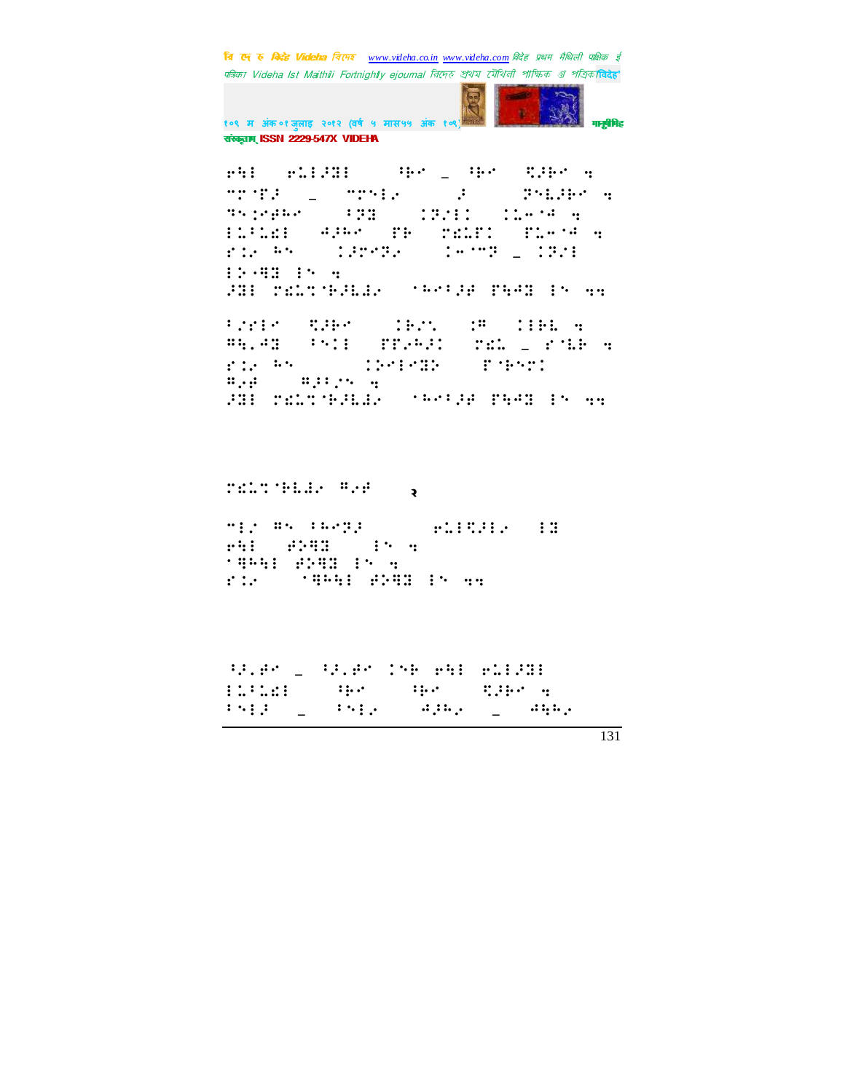मनुबेधिह १०९ म अंक०१ जलाइ २०१२ (वर्ष ५ मास५५ अंक संस्कृतम् ISSN 2229-547X VIDEHA

FAIL FOLDED (1980) HER STORE A  $\text{supp} \mathcal{L} \mathcal{L} = \mathcal{L} \mathcal{L} \mathcal{L} \mathcal{L} = \mathcal{L} \mathcal{L} \mathcal{L} \mathcal{L} \mathcal{L} = \mathcal{L} \mathcal{L} \mathcal{L}$ **STARSHOW SPRINGERSHIP (11-14)** no populo Hitler Albe The Teller  $\mathbb{R}^n$  . The state  $\mathbb{R}^n$ rde An Collecte (1988) 2017:  $12.432.15.4$ 331 relatedia. Testia Pesa is es

Freis Rabs (1825) 18 (1882) 40 #4.43 (SMI) FEARD TEL \_ PAR 4 Printer Street **COMPANY PROPERTY**  $\mathbf{u}_1, \mathbf{u}_2, \ldots, \mathbf{u}_n, \mathbf{u}_n, \mathbf{u}_n, \mathbf{u}_n, \mathbf{u}_n, \mathbf{u}_n, \mathbf{u}_n, \mathbf{u}_n, \mathbf{u}_n, \mathbf{u}_n, \mathbf{u}_n, \mathbf{u}_n, \mathbf{u}_n, \mathbf{u}_n, \mathbf{u}_n, \mathbf{u}_n, \mathbf{u}_n, \mathbf{u}_n, \mathbf{u}_n, \mathbf{u}_n, \mathbf{u}_n, \mathbf{u}_n, \mathbf{u}_n, \mathbf{u}_n, \mathbf{u}_n,$ PH TELTORIAL CONSTRUCTION AN

rmarthan "ne ,

MEN RA PRANE ( PLENAEN (ER **PHI #1988 | 19 9 SAME SERVICE SERVICE** 

93.85 \_ 93.85 CSB e91 e11393 **ELPART**  $\mathbf{u}$ and the state of the state of the state of the state of the state of the state of the state of the state of the  $\mathbf{1.5} \mathbf{1.7} \mathbf{1.7} \mathbf{1.7} \mathbf{1.7} \mathbf{1.7} \mathbf{1.7} \mathbf{1.7} \mathbf{1.7} \mathbf{1.7} \mathbf{1.7} \mathbf{1.7} \mathbf{1.7} \mathbf{1.7} \mathbf{1.7} \mathbf{1.7} \mathbf{1.7} \mathbf{1.7} \mathbf{1.7} \mathbf{1.7} \mathbf{1.7} \mathbf{1.7} \mathbf{1.7} \mathbf{1.7} \mathbf{1.7} \mathbf{1.7} \mathbf{1.7} \mathbf{$  $\frac{1}{2}$   $\frac{1}{2}$   $\frac{1}{2}$   $\frac{1}{2}$   $\frac{1}{2}$   $\frac{1}{2}$   $\frac{1}{2}$   $\frac{1}{2}$   $\frac{1}{2}$   $\frac{1}{2}$ 

 $\overline{131}$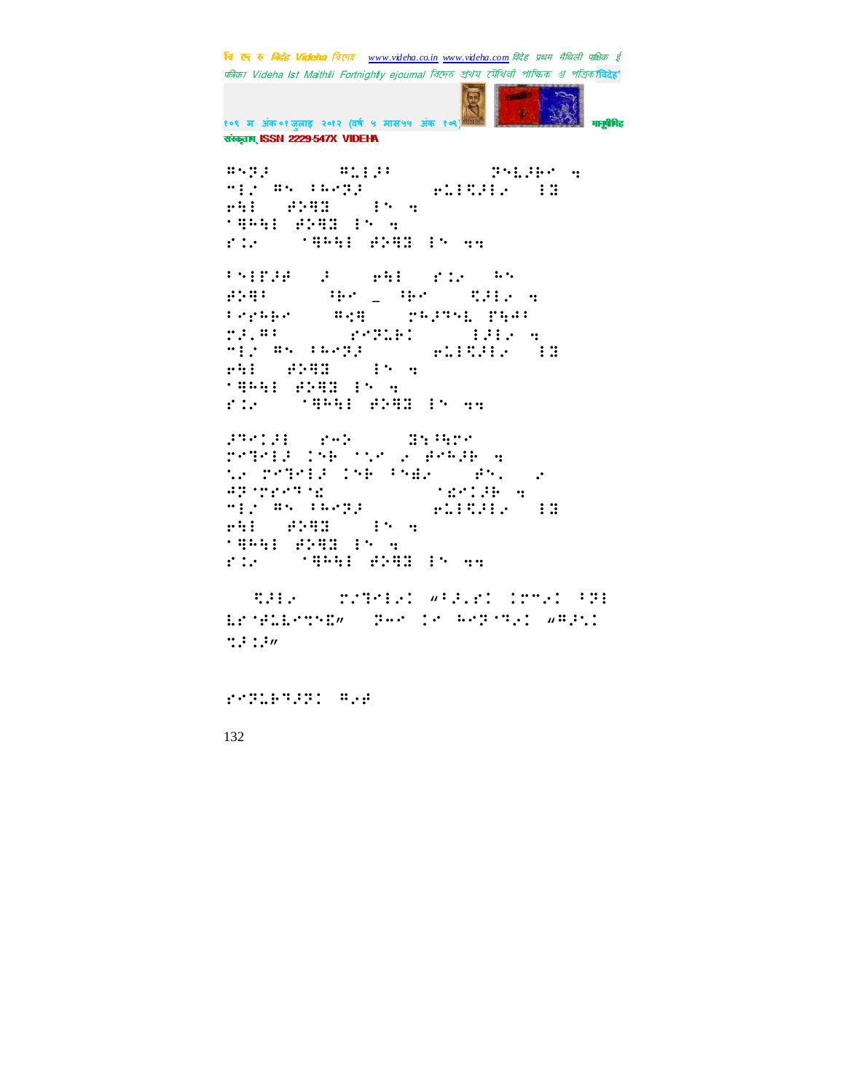

 $\mathbf{u}$  ,  $\mathbf{u}$  ,  $\mathbf{u}$  ,  $\mathbf{u}$  ,  $\mathbf{u}$  ,  $\mathbf{u}$  ,  $\mathbf{u}$  ,  $\mathbf{u}$  ,  $\mathbf{u}$  ,  $\mathbf{u}$  ,  $\mathbf{u}$  ,  $\mathbf{u}$  ,  $\mathbf{u}$  ,  $\mathbf{u}$  ,  $\mathbf{u}$  ,  $\mathbf{u}$  ,  $\mathbf{u}$  ,  $\mathbf{u}$  ,  $\mathbf{u}$  ,  $\mathbf{u}$  ,  $\mathbb{R}^{n+1}$ MEN WA PAPER ( PAIRFIE (13) **ALL BEE INTER** \* #6#: #5## :\* + **SACRO SHOW: 1980** 

संस्कृतम् ISSN 2229-547X VIDEHA

**PARTH FOR PHE PIP PM**  $\mathbb{E} \left[ \left( \mathbb{E} \left[ \mathbb{H}^2 \right] \right] \right] = \left( \mathbb{H}^2 \right) \mathbb{E} \left[ \left( \mathbb{E} \left[ \mathbb{H}^2 \right] \right] \right) = 0$  $\mathbf{H}$ repako men palmangrafia<br>1920 - Politik Julie a His my check (TV) encourse the **first 1968 #200 15 44** 

to change the these sensors  $\mathcal{L}(\mathcal{D})$  . The set of  $\mathcal{D}(\mathcal{D})$ ad regarding agoreanor<br>Micano Peagu (Corrigio Pi **SACRO SHOW: 1980** 

STAR - START START COMPANY PRE EPORTEPTSE, PAR IP REPORT WRITE  $\mathbb{R}^2$  :  $\mathbb{R}^n$ 

**POSSESSER RAP**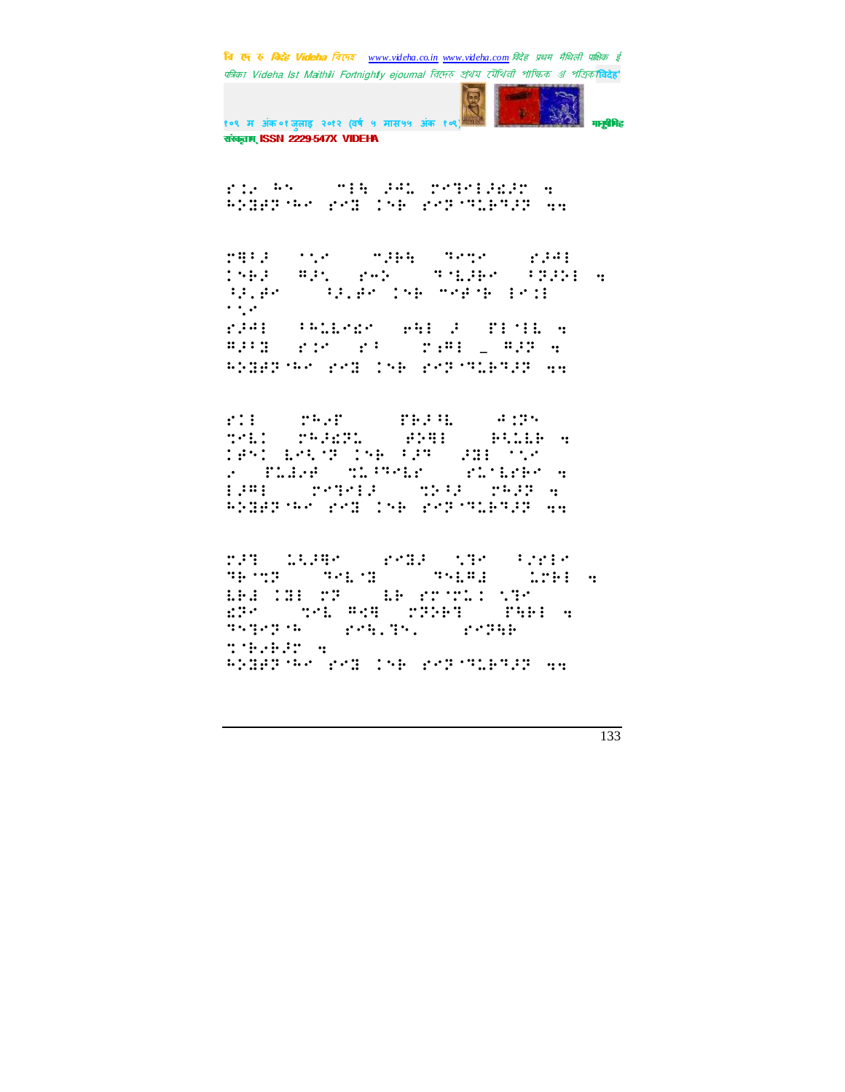

१०९ म अंक०१ जुलाइ २०१२ (वर्ष ५ मास५५ अंक १० संस्कृतम् ISSN 2229-547X VIDEHA

rik Rossen (1961-1962) redefining a **ANDERSON PHOTOGENEOUS** AN

PREFICULT SERVICES IN THE STATE OF THE STATE OF THE STATE OF THE STATE OF THE STATE OF THE STATE OF THE STATE O  $\mathbf{r}$  :  $\mathbf{r}$  :  $\mathbf{r}$ 1982 (FPS) 398 (1791-PM) 32281 9 SPLAY (1912) PRODUCT MARINE SPOT  $\epsilon$  ,  $\epsilon$ ragio (Polenco esi a crimica

8318 FM FR 2381 2835 9 ANGER SAN SAG (1980-2003) SINGLE AN

 $\begin{picture}(130,10) \put(0,0){\vector(1,0){10}} \put(15,0){\vector(1,0){10}} \put(15,0){\vector(1,0){10}} \put(15,0){\vector(1,0){10}} \put(15,0){\vector(1,0){10}} \put(15,0){\vector(1,0){10}} \put(15,0){\vector(1,0){10}} \put(15,0){\vector(1,0){10}} \put(15,0){\vector(1,0){10}} \put(15,0){\vector(1,0){10}} \put(15,0){\vector(1,0){10}} \put(15,0){\vector($  $f(1)$  $\mathcal{L} \left( \mathcal{L} \right) \mathcal{L} \left( \mathcal{L} \right)$ **MARK**  $19911$ 1951 LAVE ISBN 9990 9880-525 a filme differe situate e 1981 - 201019 - 2010 - 2022 A BENERAM PAN CAR PARAMERING AN

DATE LARGE CONSTRUCTION AND Reference and the computation of the computation of the computation of the computation of the computation of t iki (di 22 ) ik provinci već<br>220 – Tol Adam (2261 – 1461 ) **TAGETH PERSONAL PROPER** TOP-PER S ANDER THE SPOKE CHE SPOKERHOUSE AN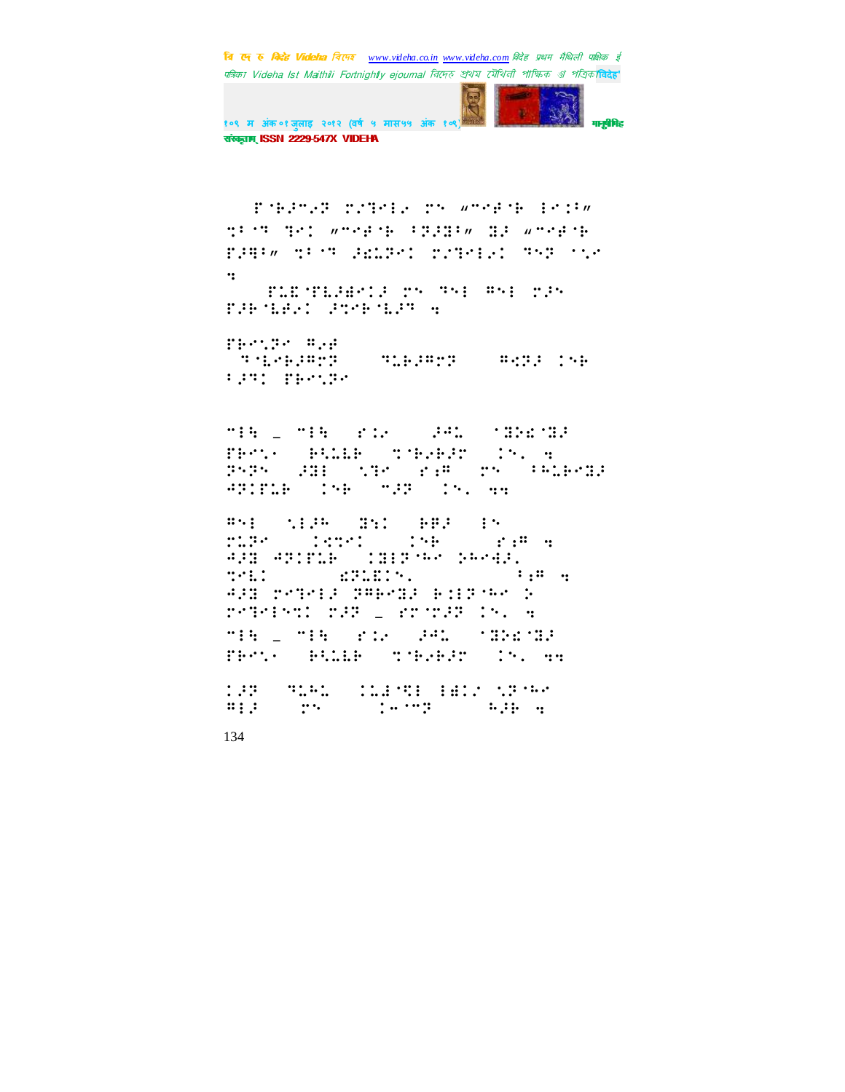

१०९ म अंक०१ जुलाइ २०१२ (वर्ष ५ मास५५ अंक संस्कृतम् ISSN 2229-547X VIDEHA

ESERVE MATHEM MY WHATE ESTA transport where reader man where FRAME START RESPONSED AND THE START  $\dddot{\mathbf{r}}$ FLETERATE TY THE THE TRY F.B. M.B. C. Strik M.P. A.

PROSPECTIVE **SERVICE SERVICE** a and a series of the series of the series **FORD PROVING** 

**MENUTE PRODUCTS** FOR THE MEN restro ethne sistematic income<br>1949 - Ando the Santo and Chinese **ATITLE INF MIT IN THE** 

#41 1124 Hill 882 15 **PERMIT REAL PROPERTY**  $1.94$  $\mathbf{r}^{\prime}$  ,  $\mathbf{r}^{\prime}$  ,  $\mathbf{r}^{\prime}$  ,  $\mathbf{r}^{\prime}$ WE WIELE TIEPA SAWEL **Telephone**  $\mathbb{R}^n$  $\cdot$  ;  $\cdot$  : AND PERSIE PRESENT BIRTHE IN PERSON DR \_ MUDR IN. 4 **ME \_ ME YOU FE YOURSHE** TRY: BULLE TYPHIT IN TH

1980 SLAD (11388) HELP NESAR  $\mathbb{R}^n$  is a set of the set of  $\mathbb{R}^n$  $\mathbb{R}$  :  $\mathbb{R}$  :  $\mathbb{R}$  :  $\mathbb{R}$  :  $\mathbb{R}$  :  $\mathbb{R}$  :  $\mathbb{R}$  :  $\mathbb{R}$  :  $\mathbb{R}$  :  $\mathbb{R}$  :  $\mathbb{R}$  :  $\mathbb{R}$  :  $\mathbb{R}$  :  $\mathbb{R}$  :  $\mathbb{R}$  :  $\mathbb{R}$  :  $\mathbb{R}$  :  $\mathbb{R}$  :  $\mathbb{R}$  :  $\mathbb{R}$  :  $\mathbf{u}$  .  $\mathbf{u}$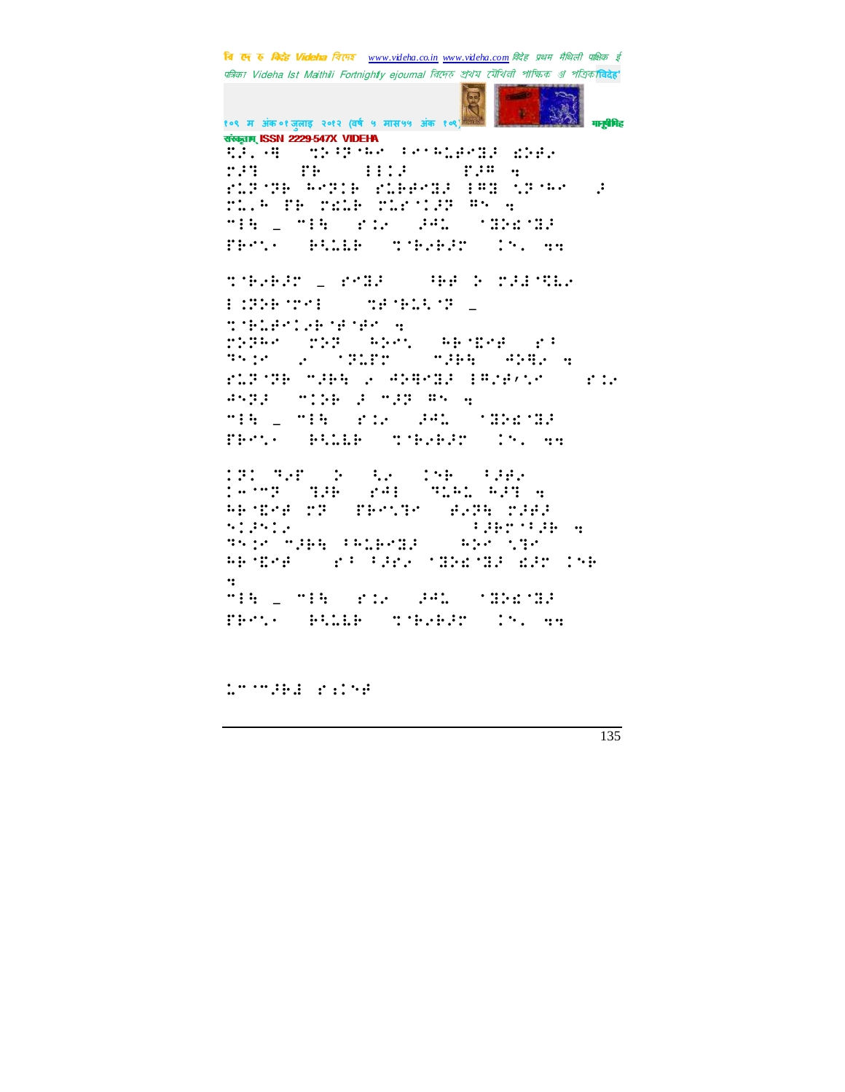

संस्कृतम् ISSN 2229-547X VIDEHA this control products and  $17.333 - 1$  $\mathbb{R}^n$  :  $\mathbb{R}^n$  :  $\mathbb{R}^n$  $\cdots$  $\mathbf{1}$  :  $\mathbf{1}$  :  $\mathbf{1}$  :  $\mathbf{1}$ KITTE RYTIE KLEEMIE INI NTARA (F rd. B Predi Martin Wood THE STILL FIRE PART OF THE THE THOMAS HILLE TEMPLET IN HT

**TORAGE LOCAL STAR SOCIETY** 

EXPERIMENT THIRDS I **MIRLANDAR MARKET** roger rock eors epigen rin.<br>Third rock factor make abserve FLITE THE 2 SPECIE ESPACE  $\mathcal{L}$  :  $\mathcal{L}$ **AND PIDE 2 MAD BY 4** "He with the Will  $-13141133$ PROVINCIAL CONSERVATION AND

191 Samo Do Ale (1960) 1962<br>1977 - Samo Pamo Sibal Althur WENDER TENTE BUTE THE  $512512$ **SERVICE S** The Supply Company  $\begin{array}{ccc} 0.1588 & 0.3588 \\ 0.0000 & 0.0000 \\ 0.0000 & 0.0000 \\ \end{array}$ REMEMBER 2007 FOR STRENGTH EPT INF  $\dddot{\cdot}$ TRY: BILLE TTERRY IN TH

dringed riche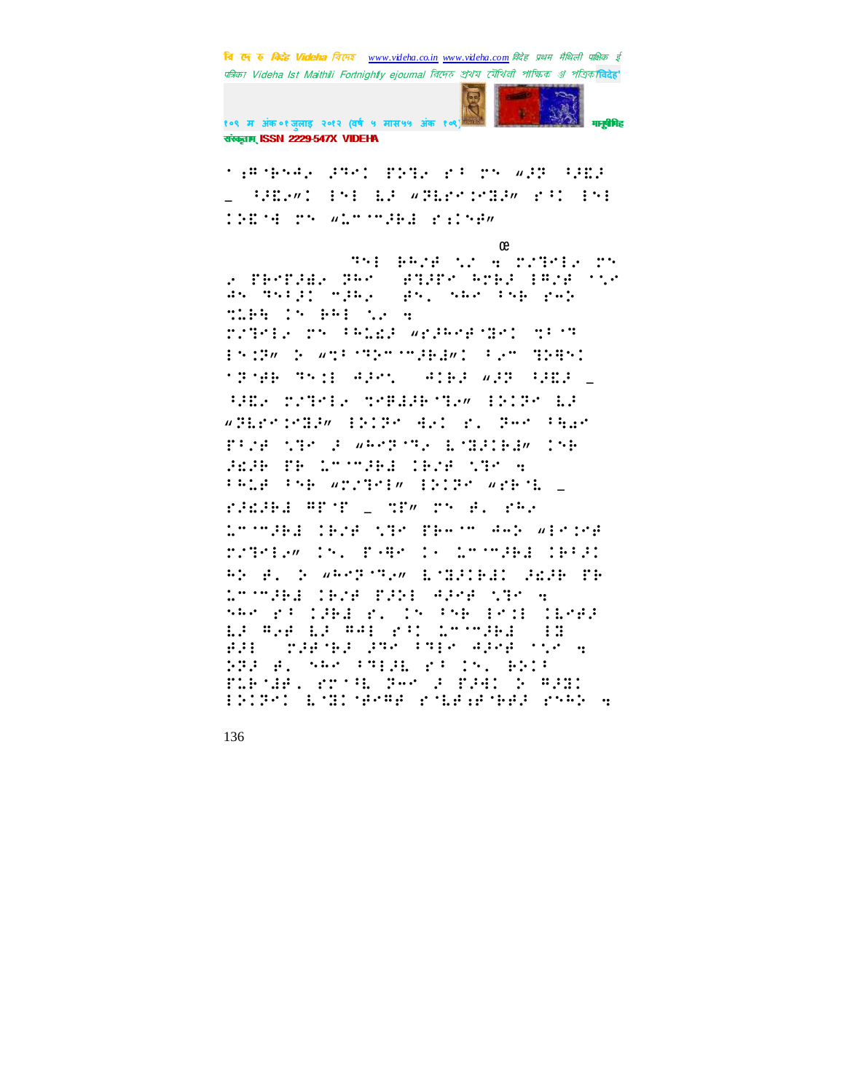

१०९ म अंक०१ जलाइ २०१२ (वर्ष ५ मास५५ अंक १ संस्कृतम् ISSN 2229-547X VIDEHA

times and the state of the wide that ISENE THE WARTHING PEINEW

œ The BROB NO A COTALL CO a prepara pre adquire roll (Alaba sta an dhigi maski ang nak ina pay THE IN BHI APP TIME THANKS WIREST TO END S WORTH THE CONTROL SERVICE **SPARENT RESOURCES AT REACTION** BER MITHE MARIEP TEW INITS LE wPERKIRER BIDPO AND R. PAR PARK FROM STRUCK WHOPPING ECHALLERY INF SES DE L''MOBEL (BIG (D'A) PALE PAR WONTER BRITE WORTH L raded Arrow 2007/2008 Blocker Loomaba (bine she pbeno Aer wicher rateles in Female Loomshallings BY H. T. WHATCH, LANSIER SENE TH <u>Dringed (Big Big: Adde (Brig</u> SAR PRODUCED PLOTS RSP PROFILERAR EP REALTH RAD PAY CHIMIBE  $\ddots$ <u>, paral am cope aleg sin 4</u>  $: 1: 1$ 533 B. 546 FRIEL PROTECT FLEMARY POMENT-MOVE FRANCY RABI BOOKS ENDINGER PALEARANE PARK 4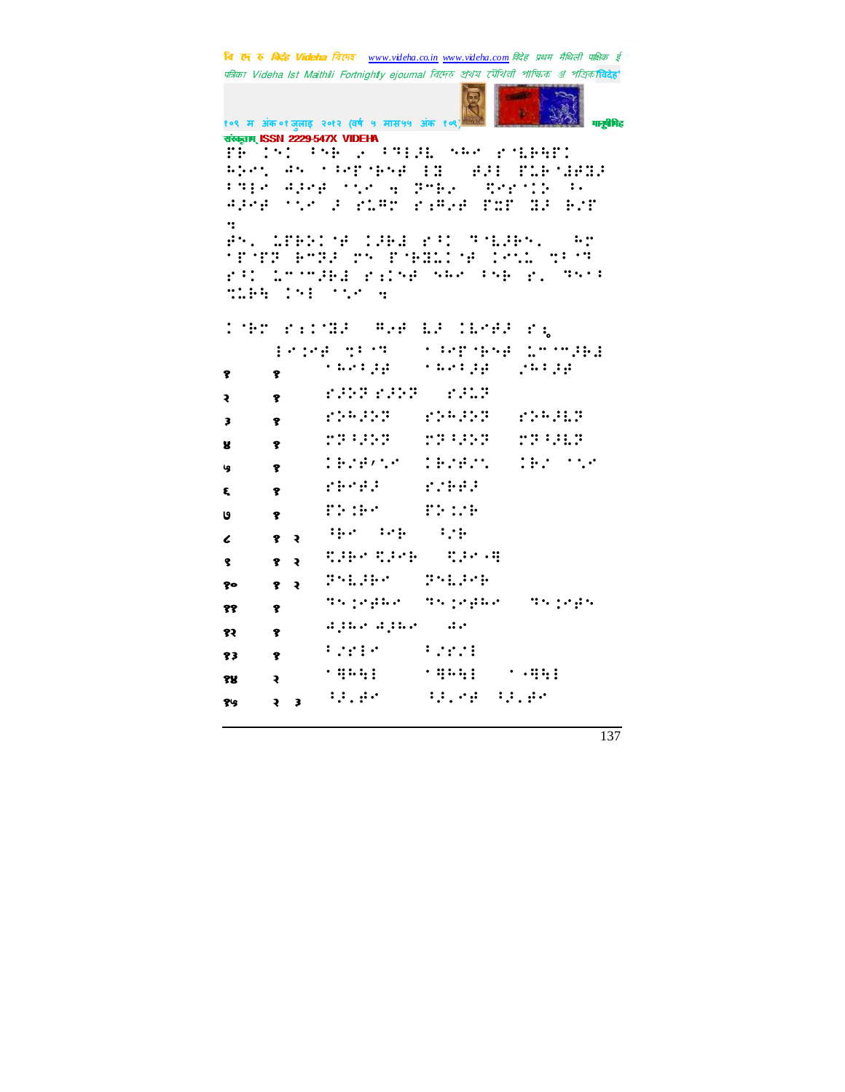

संस्कृतम् ISSN 2229-547X VIDEHA 2Å THE THE PURPER SHOW POINT ⢳⢵⣁!⢺!⢸2 ⢷⢾!⣝-!⢾⢼!2⣅⢷ ⣜⢾⣝⢼! C⢹!⢺⢼⢾!⣁!⣒!⢽^⢷⢴-!⣋" ⢵!⢸l! ⢺⢼⢾!⣁!⢼!"⣅⢻!"⣐⢻⢴⢾!2⣍2!⣝⢼!⢷42!  $\ddot{\cdot}$  $F$ G. GEEN Y CHE KIN TULES. TH 2 2⢽!⢷^⢽⢼!!2 ⢷⣝⣅ ⢾!⣁⣅!⣉C ⢹! "⢸!⣅^ ^⢼⢷⣜!"⣐⢾!⢳!C⢷!"G!⢹C! **THE INE THE SEA** 

|                         |                         | iner raches (Ave as lanes r.                                                                                                                         |                                                                                     |
|-------------------------|-------------------------|------------------------------------------------------------------------------------------------------------------------------------------------------|-------------------------------------------------------------------------------------|
|                         |                         | Endre mins of Province Chinese                                                                                                                       |                                                                                     |
| s.                      | $\mathbf{S}$            | $\mathcal{F}(\mathbb{R}^{2n+1},\mathbb{R}^{2n})\longrightarrow\mathbb{R}^{2n+1},\mathbb{R}^{2n+1}\longrightarrow\mathbb{R}^{2n+1},\mathbb{R}^{2n+1}$ |                                                                                     |
| २                       | $\overline{\mathbf{3}}$ | <b>SERVICE STAT</b>                                                                                                                                  |                                                                                     |
| $\overline{\mathbf{3}}$ | $\overline{\mathbf{3}}$ |                                                                                                                                                      | $\mathcal{L}:\mathbb{R}^{n}\rightarrow\mathbb{R}^{n}$                               |
| ¥                       | $\overline{\mathbf{3}}$ |                                                                                                                                                      |                                                                                     |
| يا                      | $\mathbf{S}$            | CHORA TEMPS THAT THE                                                                                                                                 |                                                                                     |
| ξ                       | Ş                       |                                                                                                                                                      |                                                                                     |
| وا                      | $\mathbf{r}$            | ENGINE STRAIN                                                                                                                                        |                                                                                     |
| $\epsilon$              | $\overline{\mathbf{3}}$ | die bei die                                                                                                                                          |                                                                                     |
| S                       | $\sqrt{3}$              | <b>THE THE THE T</b>                                                                                                                                 |                                                                                     |
| go                      | $\sqrt{3}$              | Chillie Childe                                                                                                                                       |                                                                                     |
| 88                      | $\mathbf{P}$            | de prince de prince d                                                                                                                                | $\mathcal{L}^{\text{max}}$ is the property of the set of $\mathcal{L}^{\text{max}}$ |
| १२                      | $\overline{\mathbf{3}}$ | apheaphe ae                                                                                                                                          |                                                                                     |
| 83                      | $\mathbf{P}$            | Parties (Parties)                                                                                                                                    |                                                                                     |
| SR                      | $\overline{\mathbf{z}}$ |                                                                                                                                                      |                                                                                     |
| 8s                      | 3 <sup>3</sup>          | <b>Similar Constantinople Constantinople</b>                                                                                                         |                                                                                     |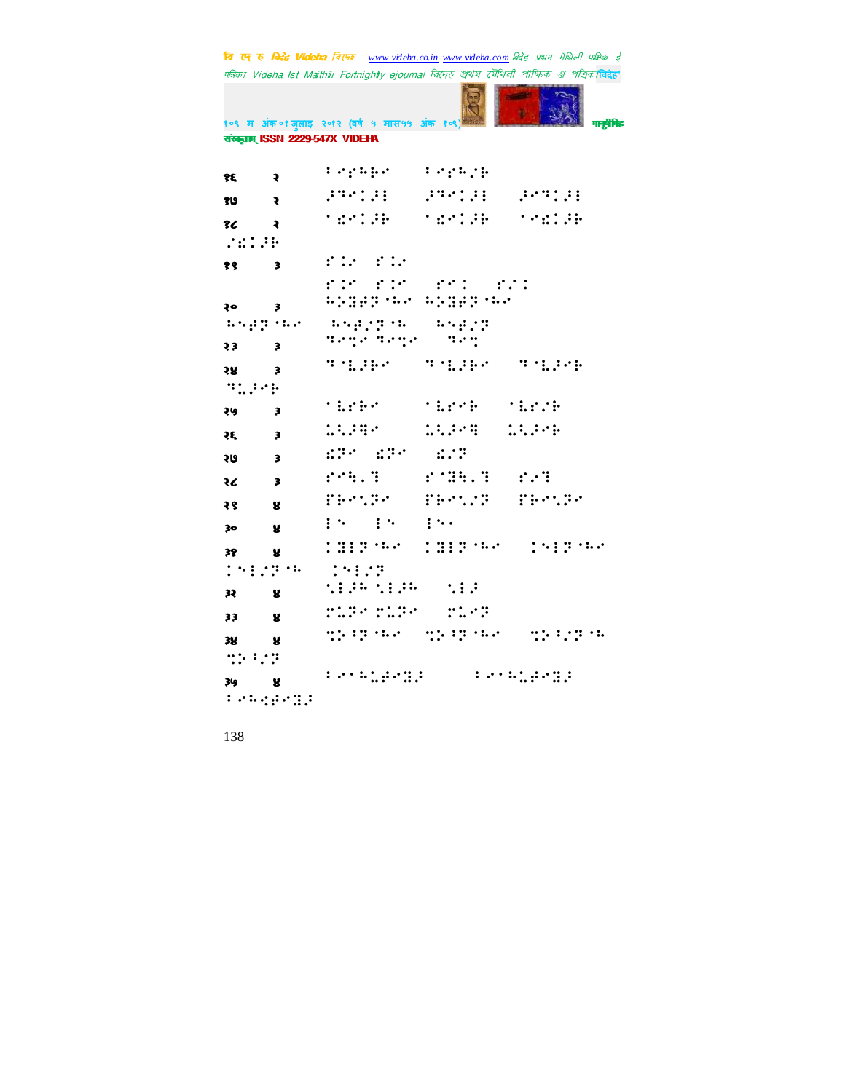१०९ म अंक०१जुलाइ २०१२ (वर्ष ५ मास*५५* अंक १०९) मानुसार मानुसारिक **मानुसीरि**ह संस्कृतम् ISSN 2229-547X VIDE<del>H</del>A

| $\frac{1}{25}$                                                            |                         | derne derne                                                                                                                                                                                                                                                                                                                                                                                                                              |                                                                                                                                                                                                                                                                                                                     |                                                                                                                     |  |  |
|---------------------------------------------------------------------------|-------------------------|------------------------------------------------------------------------------------------------------------------------------------------------------------------------------------------------------------------------------------------------------------------------------------------------------------------------------------------------------------------------------------------------------------------------------------------|---------------------------------------------------------------------------------------------------------------------------------------------------------------------------------------------------------------------------------------------------------------------------------------------------------------------|---------------------------------------------------------------------------------------------------------------------|--|--|
| $90$ and $\lambda$                                                        |                         | and a contact contact                                                                                                                                                                                                                                                                                                                                                                                                                    |                                                                                                                                                                                                                                                                                                                     |                                                                                                                     |  |  |
| $\frac{1}{2}$                                                             |                         | 1.241.39                                                                                                                                                                                                                                                                                                                                                                                                                                 |                                                                                                                                                                                                                                                                                                                     | 1.741135                                                                                                            |  |  |
| <b>SECTION</b>                                                            |                         |                                                                                                                                                                                                                                                                                                                                                                                                                                          |                                                                                                                                                                                                                                                                                                                     |                                                                                                                     |  |  |
| $\overline{\phantom{a}}$<br>88                                            |                         | $\begin{aligned} \begin{array}{cccc} \mathbf{1} & \mathbf{1} & \mathbf{1} & \mathbf{1} & \mathbf{1} & \mathbf{1} & \mathbf{1} & \mathbf{1} & \mathbf{1} & \mathbf{1} & \mathbf{1} & \mathbf{1} & \mathbf{1} & \mathbf{1} & \mathbf{1} & \mathbf{1} & \mathbf{1} & \mathbf{1} & \mathbf{1} & \mathbf{1} & \mathbf{1} & \mathbf{1} & \mathbf{1} & \mathbf{1} & \mathbf{1} & \mathbf{1} & \mathbf{1} & \mathbf{1} & \mathbf{1} & \mathbf{1$ |                                                                                                                                                                                                                                                                                                                     |                                                                                                                     |  |  |
|                                                                           |                         | FIRST FIRST FROM THE                                                                                                                                                                                                                                                                                                                                                                                                                     |                                                                                                                                                                                                                                                                                                                     |                                                                                                                     |  |  |
| $3^\circ$ 3                                                               |                         | <b>ANDER NAME AND SEAR</b>                                                                                                                                                                                                                                                                                                                                                                                                               |                                                                                                                                                                                                                                                                                                                     |                                                                                                                     |  |  |
| $\mathbb{R}^{n}$ , $\mathbb{R}^{n}$ , $\mathbb{R}^{n}$ , $\mathbb{R}^{n}$ |                         | Sheppen Angro                                                                                                                                                                                                                                                                                                                                                                                                                            |                                                                                                                                                                                                                                                                                                                     |                                                                                                                     |  |  |
| $23 - 3$                                                                  |                         | dens dens den                                                                                                                                                                                                                                                                                                                                                                                                                            |                                                                                                                                                                                                                                                                                                                     |                                                                                                                     |  |  |
| $38 - 3$                                                                  |                         | reduction in the control of the control of the control of the control of the control of the control of the con                                                                                                                                                                                                                                                                                                                           |                                                                                                                                                                                                                                                                                                                     |                                                                                                                     |  |  |
| 31.345                                                                    |                         |                                                                                                                                                                                                                                                                                                                                                                                                                                          |                                                                                                                                                                                                                                                                                                                     |                                                                                                                     |  |  |
| २७<br>$\overline{\mathbf{3}}$                                             |                         | <b>MARKET SERVICE</b>                                                                                                                                                                                                                                                                                                                                                                                                                    |                                                                                                                                                                                                                                                                                                                     | <u>starat</u>                                                                                                       |  |  |
| २६<br>$\overline{\mathbf{3}}$                                             |                         | 1.1.19 <sub>1</sub>                                                                                                                                                                                                                                                                                                                                                                                                                      | $\frac{1}{2}$ $\frac{1}{2}$ $\frac{1}{2}$ $\frac{1}{2}$ $\frac{1}{2}$ $\frac{1}{2}$ $\frac{1}{2}$ $\frac{1}{2}$ $\frac{1}{2}$ $\frac{1}{2}$ $\frac{1}{2}$ $\frac{1}{2}$ $\frac{1}{2}$ $\frac{1}{2}$ $\frac{1}{2}$ $\frac{1}{2}$ $\frac{1}{2}$ $\frac{1}{2}$ $\frac{1}{2}$ $\frac{1}{2}$ $\frac{1}{2}$ $\frac{1}{2}$ |                                                                                                                     |  |  |
| ર७<br>$\overline{\mathbf{3}}$                                             |                         | Service State                                                                                                                                                                                                                                                                                                                                                                                                                            |                                                                                                                                                                                                                                                                                                                     |                                                                                                                     |  |  |
| २८<br>$\overline{\mathbf{3}}$                                             |                         | $P^2$ ( $P^2$ ) $P^2$ ( $P^2$ ) $P^2$ ( $P^2$ ) $P^2$ ( $P^2$ ) $P^2$ ( $P^2$ ) $P^2$ ( $P^2$ ) $P^2$                                                                                                                                                                                                                                                                                                                                    |                                                                                                                                                                                                                                                                                                                     |                                                                                                                     |  |  |
| २९ ४                                                                      |                         | There's There's There's                                                                                                                                                                                                                                                                                                                                                                                                                  |                                                                                                                                                                                                                                                                                                                     |                                                                                                                     |  |  |
| $\overline{\mathbf{x}}$<br>30                                             |                         | $\frac{1}{2}$ , $\frac{1}{2}$ , $\frac{1}{2}$ , $\frac{1}{2}$ , $\frac{1}{2}$ , $\frac{1}{2}$ , $\frac{1}{2}$ , $\frac{1}{2}$                                                                                                                                                                                                                                                                                                            | $\cdot$ :                                                                                                                                                                                                                                                                                                           |                                                                                                                     |  |  |
| 38                                                                        | ¥                       | <b>THIRD CONSTRUCTS</b>                                                                                                                                                                                                                                                                                                                                                                                                                  |                                                                                                                                                                                                                                                                                                                     | $\frac{1}{2}$ is a graph of $\frac{1}{2}$                                                                           |  |  |
| 1.517334                                                                  |                         | 15177                                                                                                                                                                                                                                                                                                                                                                                                                                    |                                                                                                                                                                                                                                                                                                                     |                                                                                                                     |  |  |
| $\mathcal{R}$ $\qquad$ $\mathcal{B}$                                      |                         | $\begin{picture}(130,10) \put(0,0){\vector(1,0){10}} \put(1,0){\vector(1,0){10}} \put(1,0){\vector(1,0){10}} \put(1,0){\vector(1,0){10}} \put(1,0){\vector(1,0){10}} \put(1,0){\vector(1,0){10}} \put(1,0){\vector(1,0){10}} \put(1,0){\vector(1,0){10}} \put(1,0){\vector(1,0){10}} \put(1,0){\vector(1,0){10}} \put(1,0){\vector(1,0){10}} \put(1,0){\vector(1,0){10}} \put(1$                                                         |                                                                                                                                                                                                                                                                                                                     |                                                                                                                     |  |  |
| $33$ $8$                                                                  |                         |                                                                                                                                                                                                                                                                                                                                                                                                                                          |                                                                                                                                                                                                                                                                                                                     |                                                                                                                     |  |  |
| $38$ $8$                                                                  |                         |                                                                                                                                                                                                                                                                                                                                                                                                                                          |                                                                                                                                                                                                                                                                                                                     | the problem of the first control of the second control of the second control of the second control of the second of |  |  |
| 112.323                                                                   |                         |                                                                                                                                                                                                                                                                                                                                                                                                                                          |                                                                                                                                                                                                                                                                                                                     |                                                                                                                     |  |  |
| રૂષ્ક પ્ર                                                                 |                         | de de la componentación de la componentación de la componentación de la componentación de la componentación de                                                                                                                                                                                                                                                                                                                           |                                                                                                                                                                                                                                                                                                                     |                                                                                                                     |  |  |
|                                                                           | <i><b>Paragenga</b></i> |                                                                                                                                                                                                                                                                                                                                                                                                                                          |                                                                                                                                                                                                                                                                                                                     |                                                                                                                     |  |  |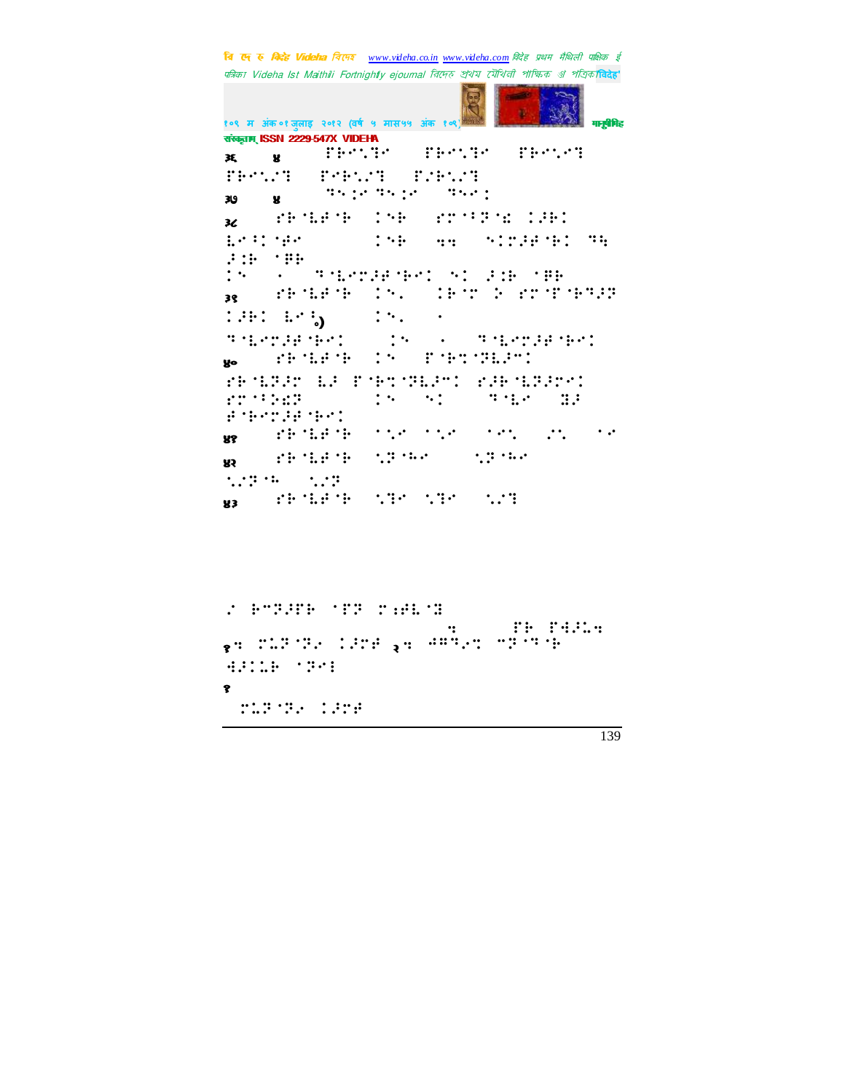```
१०९ म अंक ०१जुलाइ २०१२ (वष ५ मास५५ अंक १०९) मानुषीिमह 
संस्कृतम् ISSN 2229-547X VIDEHA<br>अन्वयः स्थानिकः स्थानिकः स्थानिकः स्थानिकः स्थानिकः स्थानिकः स्थानिकः स्थानिकः स्थानिकः स्थानिकः स्थानिकः स्था<br>स्थानिकः स्थानिकः स्थानिकः स्थानिकः स्थानिकः स्थानिकः स्थानिकः स्थानिकः स्थान
\overline{\mathbf{36}} \overline{\mathbf{8}} \overline{\mathbf{26}} \overline{\mathbf{26}} \overline{\mathbf{26}} \overline{\mathbf{26}} \overline{\mathbf{26}} \overline{\mathbf{26}} \overline{\mathbf{26}} \overline{\mathbf{26}} \overline{\mathbf{26}} \overline{\mathbf{26}} \overline{\mathbf{26}} \overline{\mathbf{26}} \overline{\mathbf{26}} \overline{\mathbf{26}} \overline{\mathbf{26}} 2⢷⣁4⣙-!2⢷⣁4⣙-!24⢷⣁4⣙!
३७ ४ <sup>पर</sup>ारपराज परना
३८ "⢷ ⣇⢾ ⢷! ⢷!)" C⢽ ⣎!⢼⢷!
LARD WAS CONTROLLED AND THE SERVICE OF
⢼⣈⢷0⢿⢷*-!!
        !)l-!⢹ ⣇⢼⢾ ⢷!!⢼⣈⢷0⢿⢷!*!!
38 \pm 10^{11} GHz \pm 10^{11} \pm 10^{11} \pm 10^{11}⢼⢷!⣇⢸॰) G!)l-!
⢹ ⣇⢼⢾ ⢷*-!!)l-!⢹ ⣇⢼⢾ ⢷*!!
४० "⢷ ⣇⢾ ⢷! !)2 ⢷⣉ ⢽⣇⢼^!
"⢷ ⣇⢽⢼!⣇⢼!2 ⢷⣉ ⢽⣇⢼^!"⢼⢷ ⣇⢽⢼!
" C⢵⣎⢽*!! !).-!⢹ ⣇.!⣝⢼!
⢾ ⢷⢼⢾ ⢷*!!
<sub>88</sub> : ∉Bide#de instrument into the control of
४२ - जिल्ली देखिले अधिकारी देखिले अधिकार
⣁4⢽ ⢳-!⣁4⢽!
४३ "⢷ ⣇⢾ ⢷! ⣁⣙! ⣁⣙-!⣁4⣙!
4!⢷^⢽⢼2⢷!2⢽!⣐⢾⣇ ⣝!
hhbkfoesbAwjefibliede beste beste beste beste beste beste beste beste beste beste beste beste bes
१७ व्या यात्रा अपना अधिकार अपना अधिकार अधिकार अधिकार अधिकार अधिकार अधिकार अधिकार अधिकार अधिकार अधिकार अधिकार अ<br>१
GAILB 1971
```
१

!⣅⢽ ⢽⢴!⢼⢾!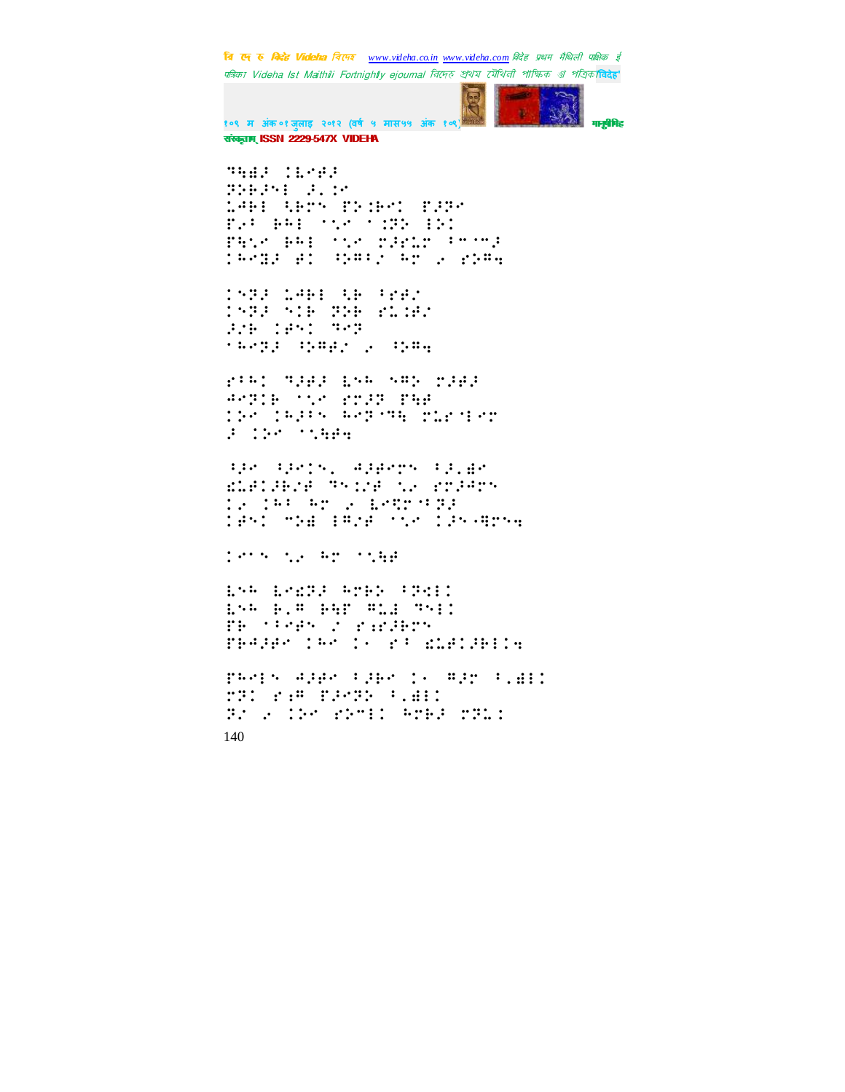

संस्कृतम् ISSN 2229-547X VIDEHA

⢹⣓⣞⢼!⣇⢾⢼! ⢽⢵⢷⢼!⢼G⣈! ⣅⢺⢷!⣃⢷!2⢵⣈⢷!2⢼⢽! 2000 PM 2000 PM 2000 PM 2W PROP PRESS 2010  $^{\prime}$  (472)  $^{\prime}$  (473)  $^{\prime}$  (474)  $^{\prime}$  (474)  $^{\prime}$  (474)  $^{\prime}$ 

 $\frac{1}{2}$ ⢽⢼!⢷!⢽⢵⢷!"⣅⣈⢾4! 32B 1951 1952 ⢳⢽⢼!⢸⢵⢻⢾4!⢴!⢸⢵⢻⣒!

 $C$  . The company  $C$  is the company  $C$ ⢺⢽⢷!⣁!"⢼⢽!2⣓⢾! ¦⊱r jego erzhe  $J$  :  $\mathbb{R}^n$  :  $\mathbb{R}^n$  :  $\mathbb{R}^n$  :

⢸⢼.⢸⢼G!⢺⢼⢾!C⢼G⣞! ⣎⣅⢾⢼⢷4⢾!⢹⣈4⢾!⣁⢴!"⢼⢺!  $C$  . The set of the control of the control  $^{\prime}$  (#5)  $^{\prime}$  (#5)  $^{\prime}$  (#5)  $^{\prime}$  (#6)  $^{\prime}$  (#6)  $^{\prime}$  (#6)  $^{\prime}$  (#6)  $^{\prime}$  (#6)  $^{\prime}$  (#6)  $^{\prime}$  (#6)  $^{\prime}$  (#6)  $^{\prime}$  (#6)  $^{\prime}$  (#6)  $^{\prime}$  (#6)  $^{\prime}$  (#6)  $^{\prime}$  (#6)  $^{\prime}$  (#6)  $^{\prime}$  (#6)  $^{\prime}$ 

!⣁⢴!⢳!⣁⣓⢾!

 $1.54$  : 1.000 + 0.000 + 0.000 + 0.000 + 0.000 + 0.000 + 0.000 + 0.000 + 0.000 + 0.000 + 0.000 + 0.000 + 0.000 ⣇⢳!⢷G⢻.⢷⣓2.⢻⣅⣜!⢹! PH TREE CONFIRM 2⢷⢺⢼⢾!⢳!l!"⢸!⣎⣅⢾⢼⢷⣒!

140 2⢳!⢺⢼⢾!C⢼⢷!l!⢻⢼!CG⣞! ⢽!"⣐⢻!2⢼⢽⢵!CG⣞! RN & CREATED ROBE COL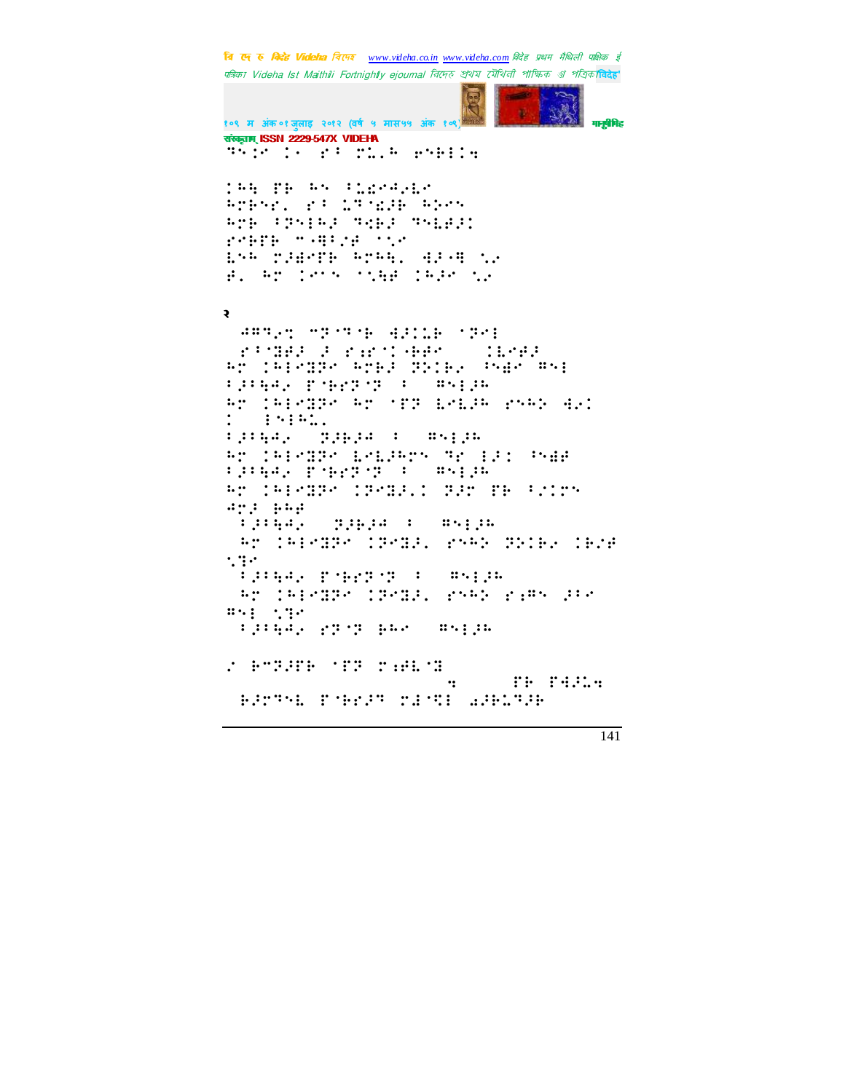१०९ म अंक०१ जुलाइ २०१२ (वर्ष ५ मास५५ अंक १०९ मानुबेमिह संस्कृतम् ISSN 2229-547X VIDEHA strie is an animal and in THE TROWN CLEARER President Canada Pres ATE PISEAR SERP SSERRI really modeled the 156 MARTE 5765, 42-4 SP B. An Dens (1988-1988) to  $\mathbf{R}$ **ARTES SPORTS BEILD SPORT** SPORE PSYCHEM (1696) RT IRICHEC RTEJ PRIER PREC'HAI PROBLEM PORTER CONTROL Ar infeder broche belief read git  $15151.$ **FRIGHT STEPH BOOKSER** Rr (REPORT EPERATH TR ER: PHAR tangay poperter ( mulaw Ar CAPARE CRABALL REM BB POINT and pap **FIRAL TIER C #5116** AT INFORM IPORAL PANK PRIES IESE  $\mathcal{C}(\mathcal{C})$ **COUNTY PRESS CONTROL** TAP TAEPSBR TBRSE, PAAR PIRA DIR  $0.41 - 1.34$  $\{1,1,1,2,\ldots\}$  (  $\{1,2,3,4,\ldots\}$  ) and  $\{1,2,4,\ldots\}$ **CAMPATH STP PAREST TH PARLA**  $\dddot{\mathbf{r}}$ BRTH FOREST TEMP WHIPP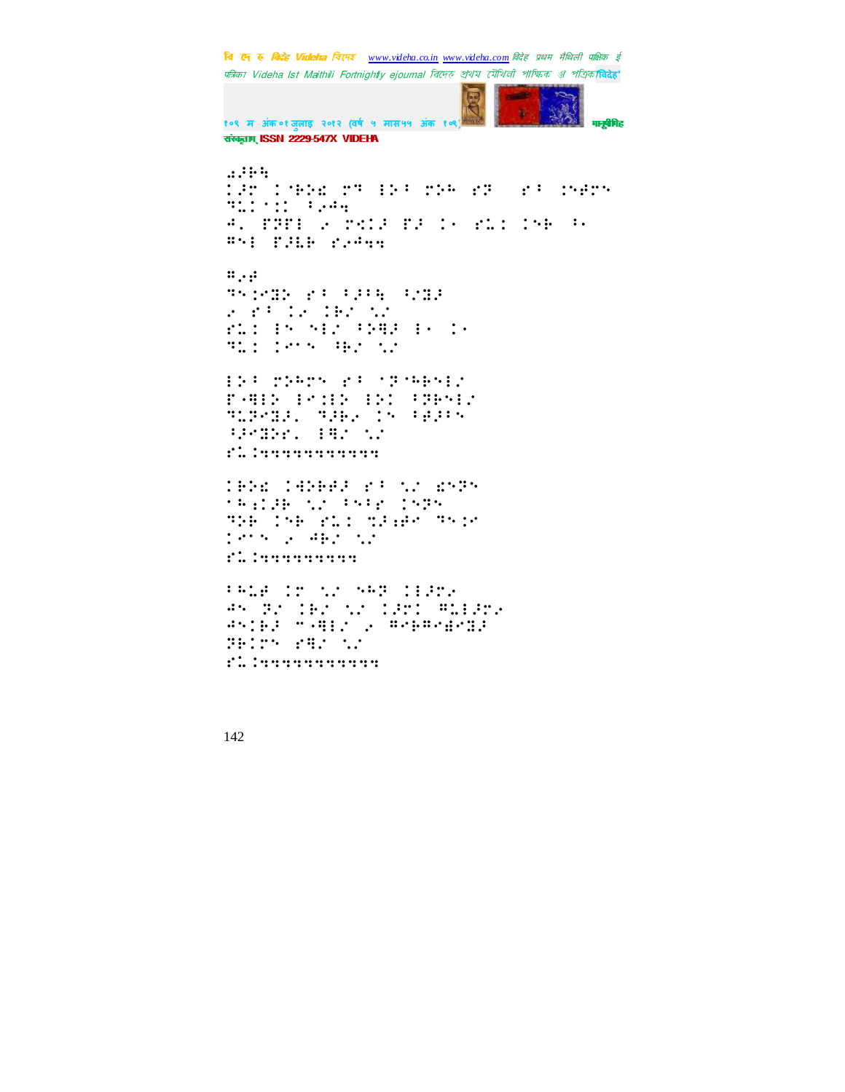> **County**  $\mathcal{G}$

१०९ म अंक ०१जुलाइ २०१२ (वष ५ मास५५ अंक १०९) मानुषीिमह संस्कृतम् ISSN 2229-547X VIDEHA

 $...$  $\left( 2\pi \right)$  .  $\left( 1\pi \right)$  ,  $\left( 2\pi \right)$  ,  $\left( 2\pi \right)$  ,  $\left( 2\pi \right)$  ,  $\left( 2\pi \right)$  ,  $\left( 2\pi \right)$  ,  $\left( 2\pi \right)$ SHO SALES SALES G. THIS A TRIANT PANCH MAN IN **291**: 200 2009

 $::$ ... ⢹⣈⣝⢵!"⢸!C⢼C⣓.⢸4⣝⢼! ⢴!"⢸!⢴!⢷4!⣁4! "LI PA MEZ PRB EK IK" **SIME IN STRAINER** 

⢵⢸.⢵⢳!"⢸!⢽ ⢳⢷4! 2D⣛⢵.⣈⢵!⢵!C⢽⢷4! **SLOGIC GALLER** GEOGLE SERVICE "⣅⣈⣒⣒⣒⣒⣒⣒⣒⣒⣒⣒⣒!

⢷⢵⣎.⣚⢵⢷⢾⢼!"⢸!⣁4!⣎⢽! ⢳⣐⢼⢷!⣁4!CC"!⢽! THE INE FILE TREE TO !⢴!⢺⢷4!⣁4! "⣅⣈⣒⣒⣒⣒⣒⣒⣒⣒⣒!

CHIE IN SALE IN STREET Hr P. Carl C. Carl Amian. ⢺⢷⢼!^D⣛4!⢴!⢻⢷⢻⣞⣝⢼! *THIT WAY* "⣅⣈⣒⣒⣒⣒⣒⣒⣒⣒⣒⣒⣒!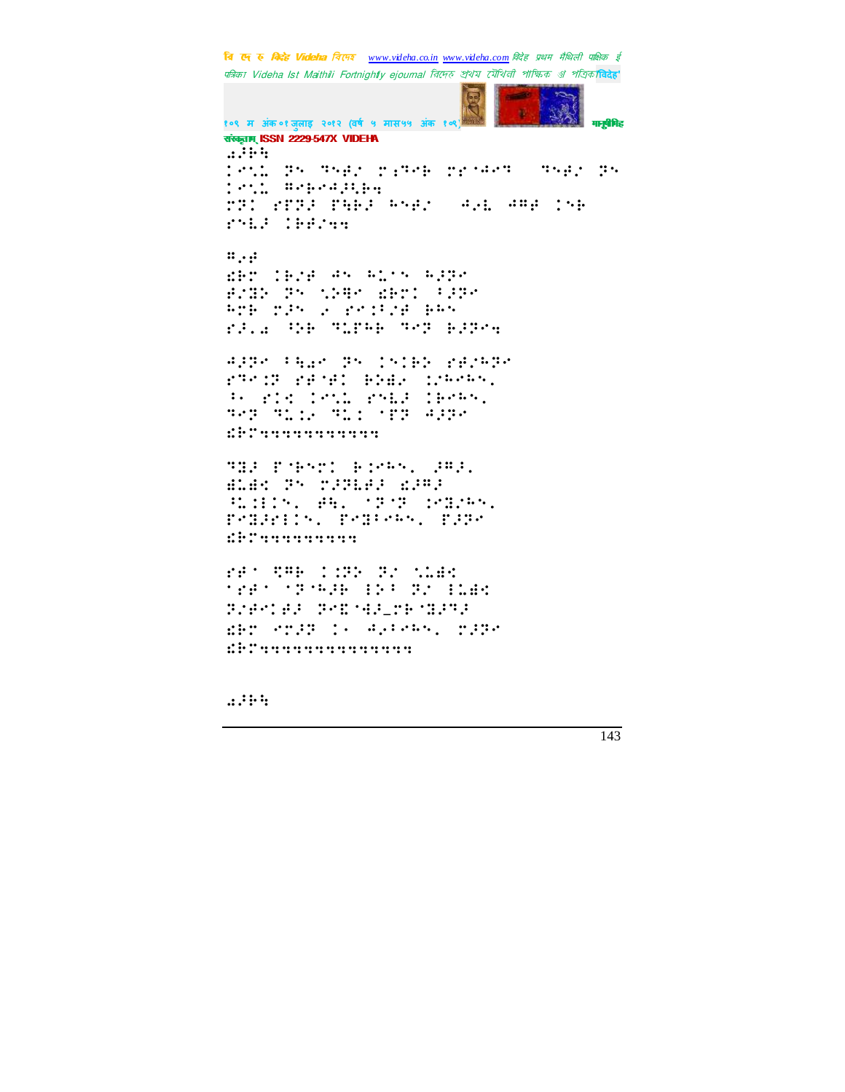१०९ म अंक०१ जुलाइ २०१२ (वर्ष ५ मास५५ अंक मानुबेमिह संस्कृतम् ISSN 2229-547X VIDEHA  $.........$ 1951 PS TSEL PATCH PESTON (TSEL PS ISML Bekending 271 2873 8563 5562 - 421 488 156 rnis Charam  $:: . . :$ ERT TRIP AN ALON APPR ROOM THAN AND A ROOM POR TEN 2 PRIETR PRN fl. OP TIPE TO PRP'S APPO PASS DE INIBE PRIMES FRANCIS FRANCISCO STARRE Be rid lett remains the West ser Side Side (From Pres THE PORT FORM, PRE. ELECTY CHIEF EPH RIBY, PR. 1919 181195. POSSED PORTHAL PART **differences FAX RAD ISSUED STATES** tret (Power 1938 Br 1188 THE STUDENT SERVICE ERT STEP IS APPEAL TERM 

 $.........$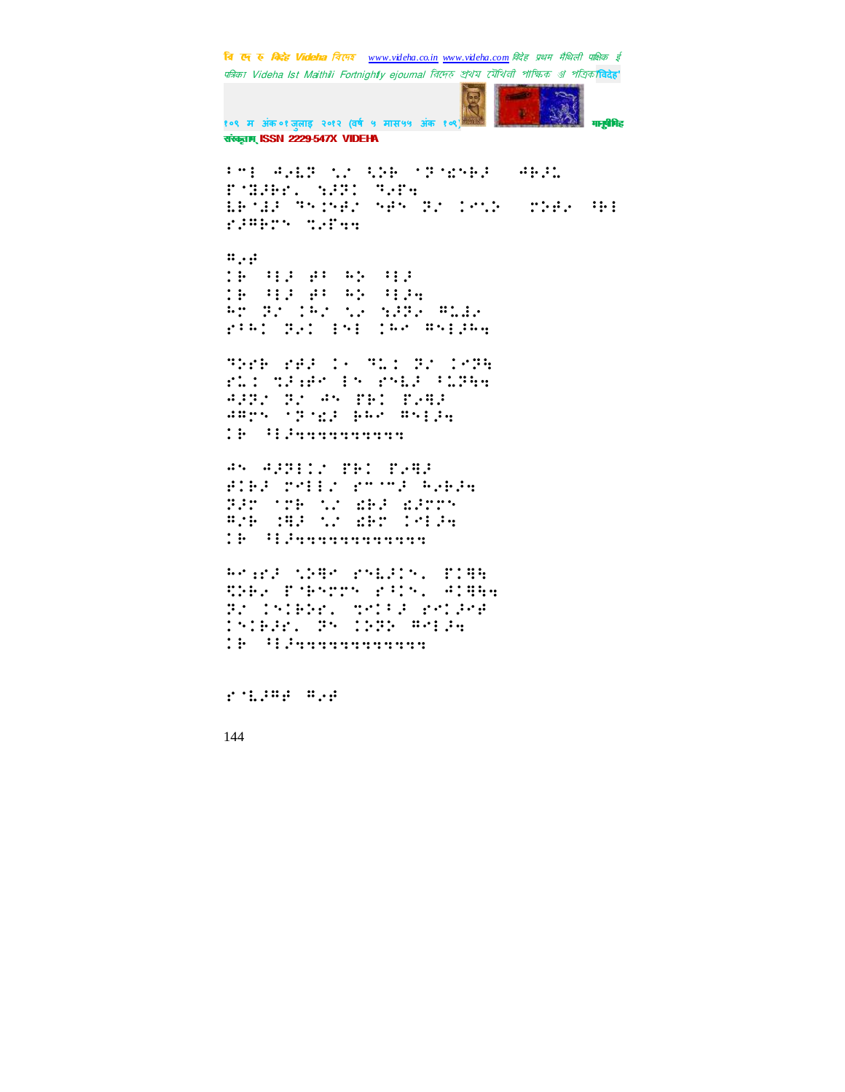मनुबैमिह १०९ म अंक०१ जुलाइ २०१२ (वर्ष ५ मास५५ अंक १० संस्कृतम् ISSN 2229-547X VIDEHA

Pri 4,42 tr 126 (Port - 462) rdaellaar Gare<br>1871a Gebeure en actor chek gel rinkry miler

 $:: . . :$ 18 92 93 92 933 **THE REPORT OF STREET** Ar ar throughout which r:4: 321 (5) 148 (85) 249

THE PHASE TEST RESERVE fill there is real tilled 9222 22 95 PRI PARA<br>9825 12162 PRI PALLA **:: :::::::::::::::** 

**AN APPEND THIS TIME** FIER THIS STORE RARE. HIT THE AT WHI WHITE Web 183 to dep 19134 

Read the Philip. FIRE THE FIST FILE WINDOW Br 15180er, Melta estase 151636. By 1989 Weigh **COMPANY CONTRACTS** 

rusan and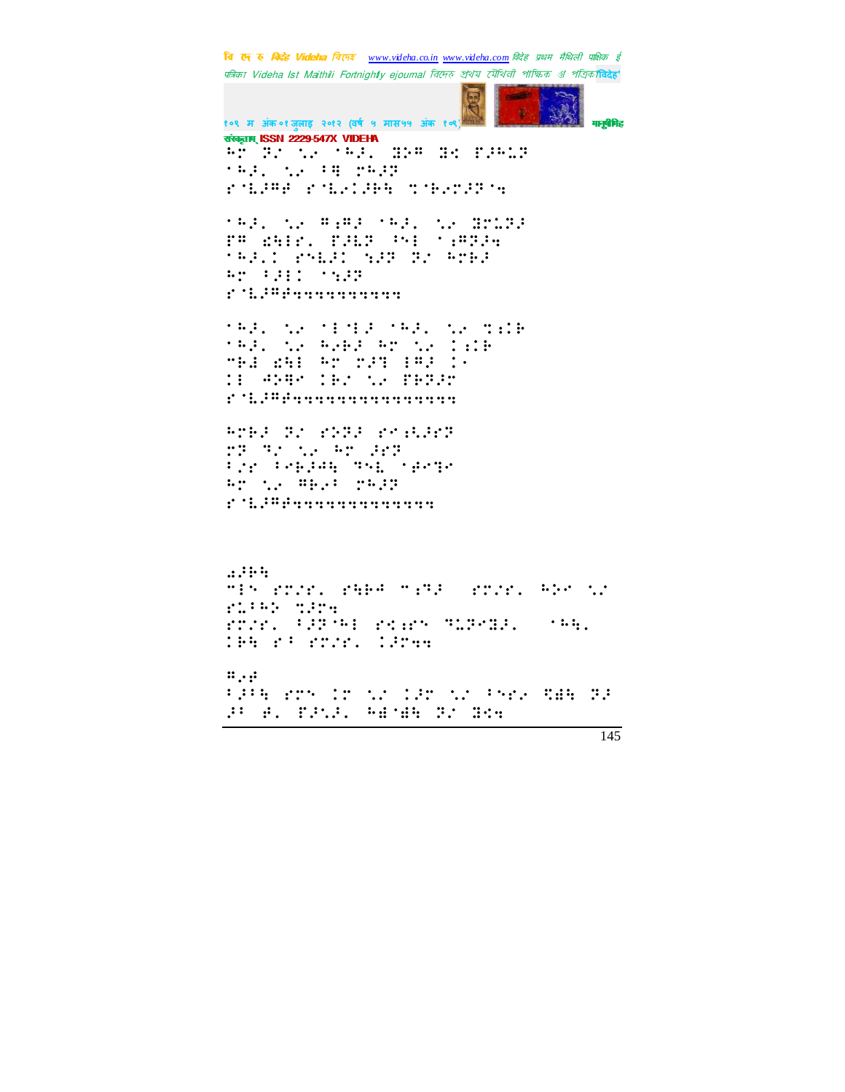मानुबैमिह १०९ म अंक०१ जलाइ २०१२ (वर्ष ५ मास५५ अंक १०९ संस्कृतम् ISSN 2229-547X VIDEHA An British (A.E. BRA Britisher 583. NA PROPERTY POLPHE POLYCHA SOBVEROW  $\mathbf{A}$  and  $\mathbf{A}$  are smaller than the state of the state of the state of the state of the state of the state of the state of the state of the state of the state of the state of the state of the state of the state of PR SHIP, PALE PH (18724 **TRACT SMEAT NATURE REPORT** Ap (2311) 1522 TRACTOR TEMPORARY WORLD tel. to east ending tile **THE SHI AT THE IND IN 11 4545 IBS 12 FBS35**  $\pm$  11.20049999999999999999 RTER TO STORE SPARRET 23 32 12 52 523 the cepton webside Ar the West regg  $\ldots$ MIN POSE, PARA MERRO POSE, RDP NS rithe mare roch, table: rears wibedi, lies. THE ST STAR. ISTAR  $:: . . :$ FRAME ROSE IS NO CROSS TO PARA REAL RA **BOOK TIME RENEWALL** 145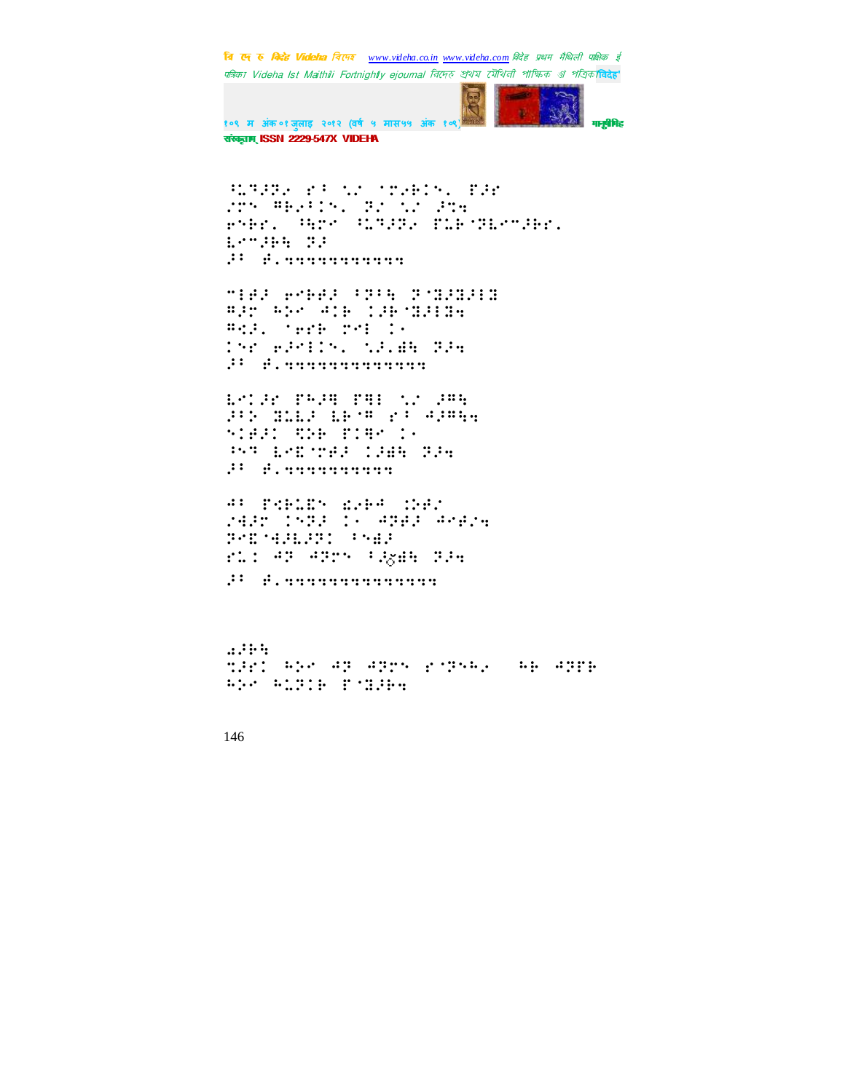

संस्कृतम् ISSN 2229-547X VIDEHA

⢸⣅⢹⢼⢽⢴!"⢸!⣁4!⢴⢷G!2⢼"! 4!⢻⢷⢴CG!⢽4!⣁4!⢼⣉⣒! ⢶⢷"G!⢸⣓!⢸⣅⢹⢼⢽⢴!2⣅⢷ ⢽⣇^⢼⢷"G! ⣇^⢼⢷⣓!⢽⢼!  $\ddot{H}$   $\ddot{H}$ , and an arrange

^⢾⢼.⢶⢷⢾⢼!C⢽C⣓!⢽ ⣝⢼⣝⢼⣝! ⢻⢼!⢳⢵!⢺⢷!⢼⢷ ⣝⢼⣝⣒! Bell test relig "!⢶⢼G!⣁⢼G⣞⣓!⢽⢼⣒!  $\mathcal{G}^{\mathcal{I}}\subset\mathcal{G}$  , announcement

 $\texttt{1:}\quad \texttt{2:}\quad \texttt{2:}\quad \texttt{2:}\quad \texttt{2:}\quad \texttt{2:}\quad \texttt{2:}\quad \texttt{2:}\quad \texttt{2:}\quad \texttt{2:}\quad \texttt{2:}\quad \texttt{2:}\quad \texttt{2:}\quad \texttt{2:}\quad \texttt{2:}\quad \texttt{2:}\quad \texttt{2:}\quad \texttt{2:}\quad \texttt{2:}\quad \texttt{2:}\quad \texttt{2:}\quad \texttt{2:}\quad \texttt{2:}\quad \texttt{2:}\quad \texttt{2:}\quad \texttt{2:}\quad \texttt{2:}\quad \texttt{2$  $\rm C$  . The state  $\rm C$ ⢾⢼!⣋⢵⢷!2⣛!l! ⢸⢹.⣇⣏ ⢾⢼!⢼⣞⣓!⢽⢼⣒! ⢼C!⢾G⣒⣒⣒⣒⣒⣒⣒⣒⣒⣒!

 $\blacksquare$ 4⣚⢼!⢽⢼!l!⢺⢽⢾⢼!⢺⢾4⣒! **CONDUCTS: CONDUCTS: 2002** "cl: 43 43r (200)  $\ddot{G}$ 

⣔⢼⢷⣓.! ⣉⢼"!⢳⢵!⢺⢽.⢺⢽!" ⢽⢳⢴-!⢳⢷!⢺⢽2⢷! **SEM SENCE PRESS**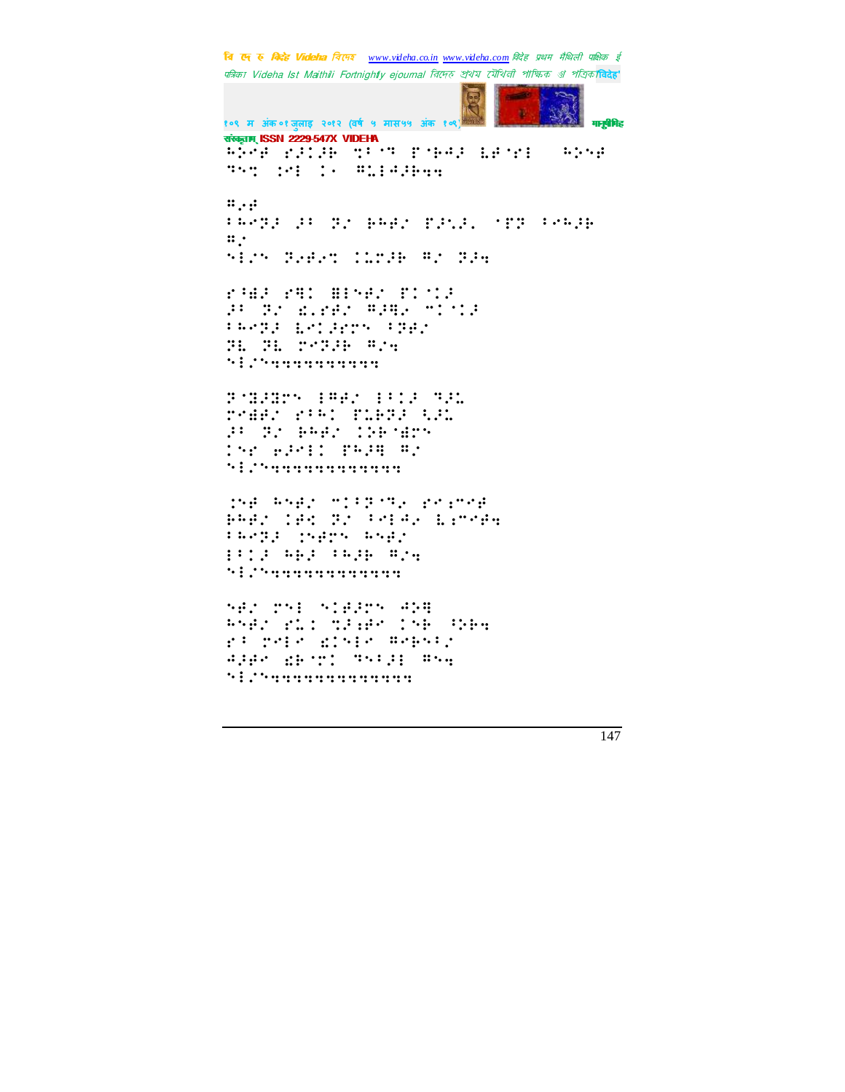**County** 

१०९ म अंक ०१जुलाइ २०१२ (वर्ष ५ मास५५ अंक १०९) मानुसीर मानुसीरी मानुसीरी ह संस्कृतम् ISSN 2229-547X VIDEHA W\reformation of the second the second term in the second term in the second term in the second term in the second t ⢹⣉!⣈!l!⢻⣅⢺⢼⢷⣒⣒! ⢻⢴⢾.! C⢳⢽⢼!⢼C!⢽4!⢷⢳⢾4!2⢼⣁⢼G!2⢽!C⢳⢼⢷!  $::$ . 4!⢽⢴⢾⢴⣉!⣅⢼⢷!⢻4!⢽⢼⣒! "⢸⣞⢼!"⣛!⣟⢾4!2 ⢼!  $H$  The second control  $H$ CHAN CONSIDERED ⢽⣇.⢽⣇!⢽⢼⢷!⢻4⣒! 4⣒⣒⣒⣒⣒⣒⣒⣒⣒⣒! 0  $^{\prime}$   $^{\prime}$   $^{\prime}$   $^{\prime}$   $^{\prime}$   $^{\prime}$   $^{\prime}$   $^{\prime}$   $^{\prime}$   $^{\prime}$   $^{\prime}$   $^{\prime}$   $^{\prime}$   $^{\prime}$   $^{\prime}$   $^{\prime}$   $^{\prime}$   $^{\prime}$   $^{\prime}$   $^{\prime}$   $^{\prime}$   $^{\prime}$   $^{\prime}$   $^{\prime}$   $^{\prime}$   $^{\prime}$   $^{\prime}$   $^{\prime}$   $^{\prime}$   $^{\prime}$   $^{\prime}$   $^{\prime\prime}$  (200  $^{\prime\prime}$  (2)  $^{\prime\prime}$  (2)  $^{\prime\prime}$  $\texttt{H}$   $\texttt{H}$   $\texttt{H}$   $\texttt{H}$   $\texttt{H}$   $\texttt{H}$   $\texttt{H}$   $\texttt{H}$   $\texttt{H}$   $\texttt{H}$   $\texttt{H}$   $\texttt{H}$   $\texttt{H}$   $\texttt{H}$   $\texttt{H}$   $\texttt{H}$   $\texttt{H}$   $\texttt{H}$   $\texttt{H}$   $\texttt{H}$   $\texttt{H}$   $\texttt{H}$   $\texttt{H}$   $\texttt{H}$   $\texttt{H$ "!⢶⢼!2⢳⢼⣛!⢻4! 4⣒⣒⣒⣒⣒⣒⣒⣒⣒⣒⣒⣒! ⣈⢾!⢳⢾4!^C⢽ ⢹⢴!"⣐^⢾! HER 2014 CH 21 THE 2014 C⢳⢽⢼!⣈⢾!⢳⢾4!  $C = C$ 4⣒⣒⣒⣒⣒⣒⣒⣒⣒⣒⣒⣒! 542 TSE 518225 424 |  $\overline{+}$ ri rde diske meksi ⢺⢼⢾.⣎⢷ !⢹C⢼!⢻⣒!

4⣒⣒⣒⣒⣒⣒⣒⣒⣒⣒⣒⣒⣒!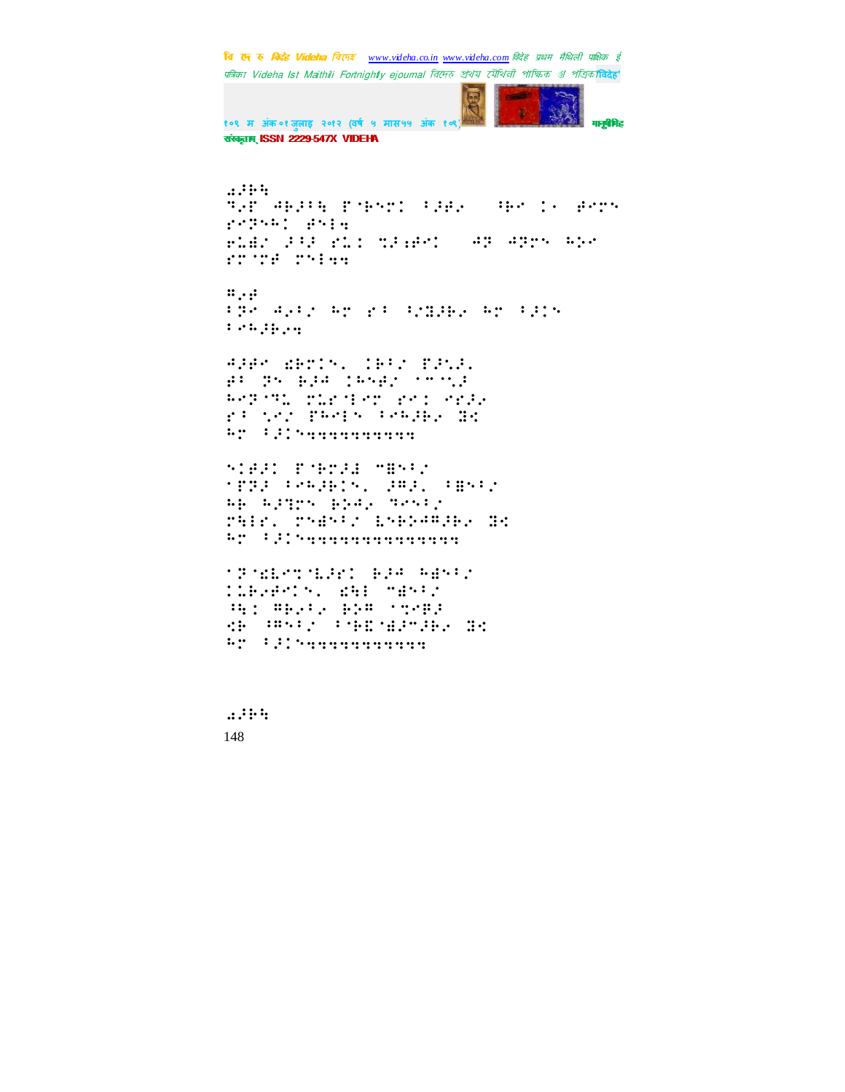

संस्कृतम् ISSN 2229-547X VIDEHA

 $...$ THE SEPTE PERMIT FREE CONTROL FREE "⢽⢳!⢾⣒! ⢶⣅⣞4!⢼⢸⢼!"⣅⣈.⣉⢼⣐⢾-!⢺⢽.⢺⢽!⢳⢵!  $TT T T$   $T$   $T$   $T$   $T$   $T$   $T$ 

 $::$ ... CO CALL THE CONTROL CONTROL CONTROL CONTROL CONTROL CONTROL CONTROL CONTROL CONTROL CONTROL CONTROL CONTROL CO C⢳⢼⢷⢴⣒!

∄G#r Wrth, C#F2 B253.  $H$ : The planet representation of  $H$ ⢳⢽ ⢹⣅.⣅" !"⣈."⢼⢴! "⢸!⣁4!2⢳!C⢳⢼⢷⢴!⣝⣊!  $\begin{minipage}{.4\linewidth} \begin{tabular}{l} \hline $ \color{blue} \textbf{C} \textbf{C} \end{tabular} \end{minipage} \begin{minipage}{.4\linewidth} \begin{tabular}{l} \hline $ \color{blue} \textbf{C} \textbf{C} \end{tabular} \end{minipage} \begin{minipage}{.4\linewidth} \begin{tabular}{l} \hline $ \color{blue} \textbf{C} \textbf{C} \end{tabular} \end{minipage} \begin{minipage}{.4\linewidth} \begin{tabular}{l} \hline $ \color{blue} \textbf{C} \textbf{C} \end{tabular} \end{minipage} \begin{minip$ 

 $^{\prime\prime}$  (2  $^{\prime\prime}$   $^{\prime\prime}$   $^{\prime\prime}$   $^{\prime\prime}$   $^{\prime\prime}$   $^{\prime\prime}$   $^{\prime\prime}$   $^{\prime\prime}$   $^{\prime\prime}$   $^{\prime\prime}$   $^{\prime\prime}$   $^{\prime\prime}$   $^{\prime\prime}$   $^{\prime\prime}$   $^{\prime\prime}$   $^{\prime\prime}$   $^{\prime\prime}$   $^{\prime\prime}$   $^{\prime\prime}$   $^{\prime\prime}$   $^{\prime\prime}$   $^{\prime\prime}$   $^{\prime\prime}$   $^{\$ 2⢽⢼!C⢳⢼⢷G!⢼⢻⢼G!C⣟C4!  $\text{H}$  We approximately THEE CHANGE CALLER ⢳!C⢼⣒⣒⣒⣒⣒⣒⣒⣒⣒⣒⣒⣒⣒⣒!

⢽ ⣎⣇⣉ ⣇⢼"!⢷⢼⢺!⢳⣞C4! ⣅⢷⢴⢾G!⣎⣓!^⣞C4! ⢸⣓⣈.⢻⢷⢴C⢴!⢷⢵⢻!⣉⢿⢼! ⣊⢷!⢸⢻C4!⢸ ⢷⣏ ⣞⢼^⢼⢷⢴!⣝⣊! ⢳!C⢼⣒⣒⣒⣒⣒⣒⣒⣒⣒⣒⣒!

148  $\ldots$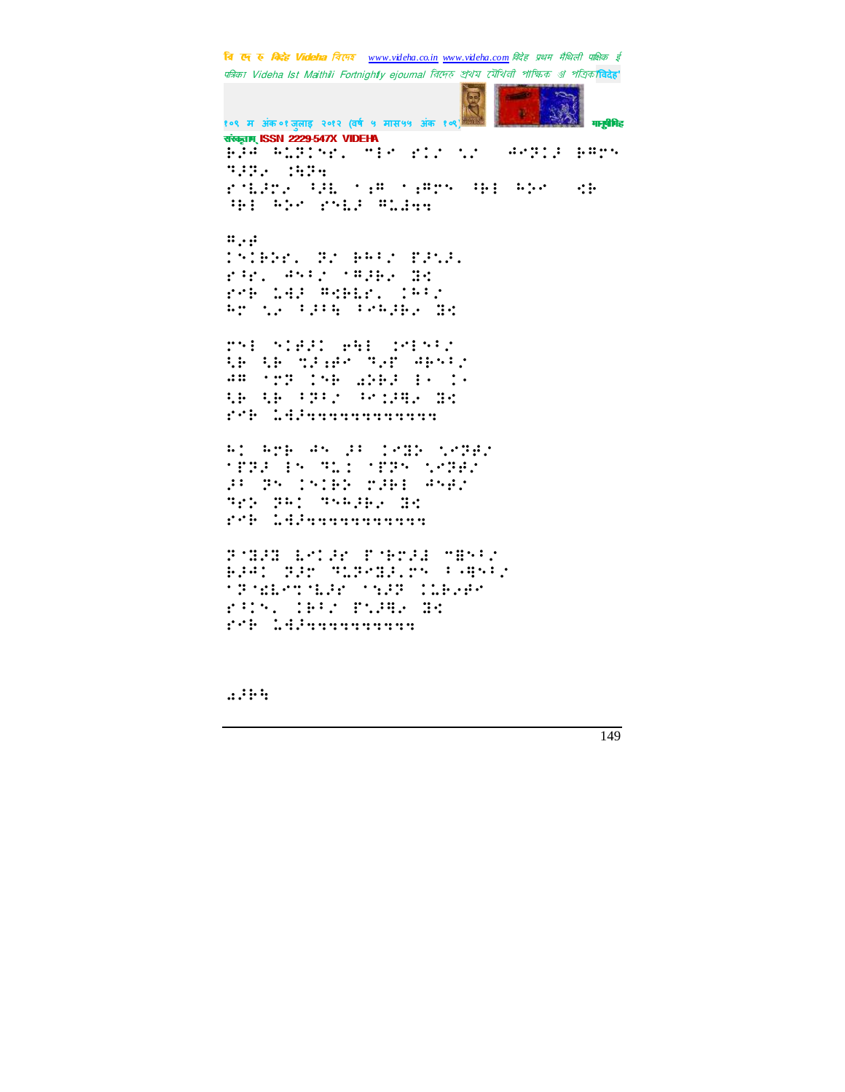**START** १०९ म अंक ०१जुलाइ २०१२ (वर्ष ५ मास५५ अंक १०९) मानुसीर मानुसीरी मानुसीरी ह

संस्कृतम् ISSN 2229-547X VIDEHA ₿Ĵ#`ALPINE, MIR EII IL NI "40PIJ BAMN ⢹⢼⢽⢴!⣈⣓⢽⣒! " ⣇⢼⢴!⢸⢼⣇!⣐⢻.⣐⢻!⢸⢷!⢳⢵-!⣊⢷! ⢸⢷!⢳⢵!"⣇⢼!⢻⣅⣜⣒⣒!

 $::, :$ ⢷⢵"G!⢽4!⢷⢳C4!2⢼⣁⢼G!! "⢸"G!⢺C4!⢻⢼⢷⢴!⣝⣊! "⢷!⣅⣚⢼!⢻⣊⢷⣇"G!⢳C4!  $L$  :  $C$  is the control of  $C$ 

INE MIRI PRESS (MENEZ) ⣃⢷.⣃⢷!⣉⢼⣐⢾!⢹⢴2!⢺⢷C4! ⢺⢻!⢽!⢷!⣔⢵⢷⢼!l!l!  $\mathbb{R}$  . O . The state  $\mathbb{R}$ "⢷!⣅⣚⢼⣒⣒⣒⣒⣒⣒⣒⣒⣒⣒⣒⣒!

 $L$  . The set of the construction of the construction of the construction of the construction of the construction of the construction of the construction of the construction of the construction of the construction of the c 20 2010 2020 203  $P^{\text{C}}$   $P^{\text{C}}$   $P^{\text{C}}$   $P^{\text{C}}$   $P^{\text{C}}$   $P^{\text{C}}$   $P^{\text{C}}$   $P^{\text{C}}$   $P^{\text{C}}$   $P^{\text{C}}$ The Same Theory "⢷!⣅⣚⢼⣒⣒⣒⣒⣒⣒⣒⣒⣒⣒⣒!

FORM ENDING THE SERVICE ⢷⢼⢺!⢽⢼!⢹⣅⢽⣝⢼G!CD⣛C4! ⢽ ⣎⣇⣉ ⣇⢼"!⣑⢼⢽.⣅⢷⢴⢾! "⢸G!⢷C4!2⣁⢼⣛⢴!⣝⣊! "⢷!⣅⣚⢼⣒⣒⣒⣒⣒⣒⣒⣒⣒⣒!

 $...$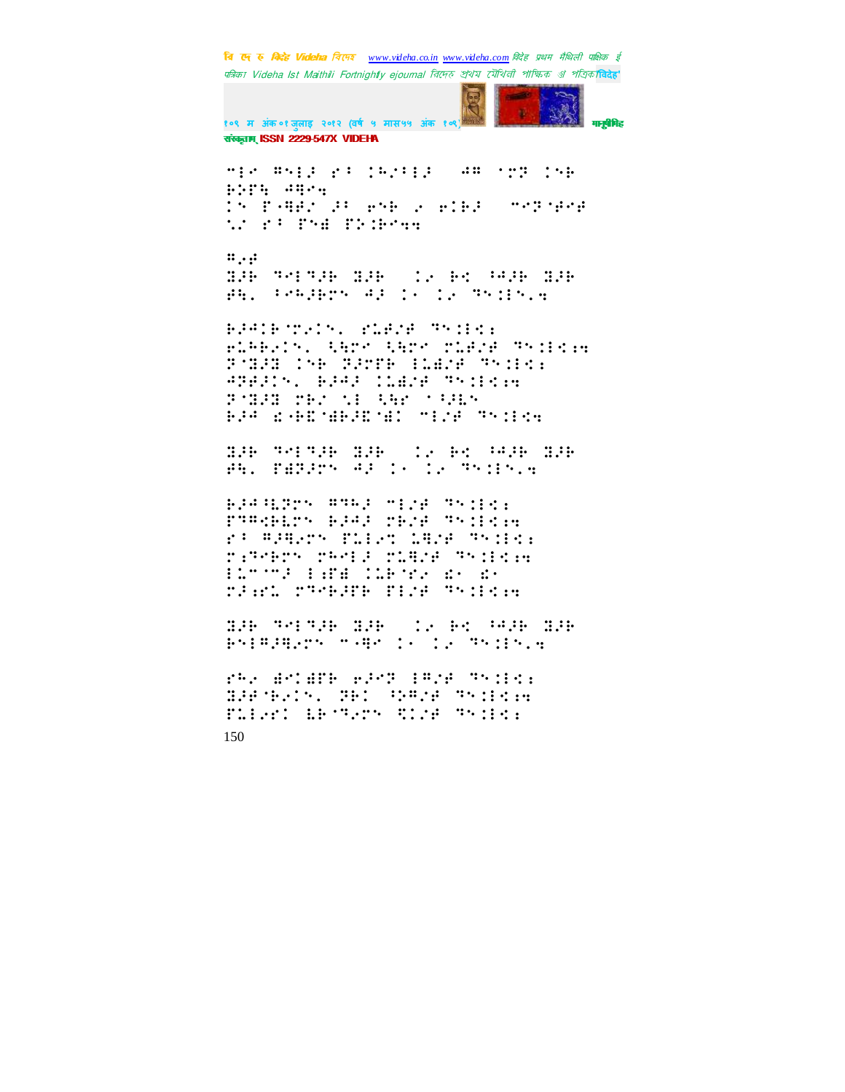१०९ म अंक०१ जुलाइ २०१२ (वर्ष ५ मास५५ अंक १ मानुबेगिह संस्कृतम् ISSN 2229-547X VIDEHA

**BOPR SHOW** IN PARENTRA ENE 2 EIER (MARYBAR track Pal Chieves

 $\mathbf{a}_1$ BH 7478 BH (1) RO 988 BH Ball Challers Al Is Is Thilbia

BRATESTAL PLAYE TRIES: FLARTIN, ARTS ARTS TLATA TRIETER PORR THE PROFESSION PRINCIP **ATACIN, BIAR CLAIR Thildin THIS TEACH AND CASE** BOW REPORTS NO TO THE THING

BAR THITAR BAR (12 Rd 1428 BAR)<br>AND PAPAIN AP 19 12 THINGS

BRANDEN WHAT MISS MATTER PROGRESS BOAR TEST TRIESER rt Wewen Hiller Land While: rister red folker street Himmed Hand Ciptics as as TIEL TREHE HIM BYHING

BPF 701728 BPF (12)80 998 BPF Bri#24275 THE IS IS TRIPLE

FRA BRIBEN BRAZ (ANY TRIER) HANGIN, HE SPEE TYIKE TIERT ERSTRIK KINE TYTER: 150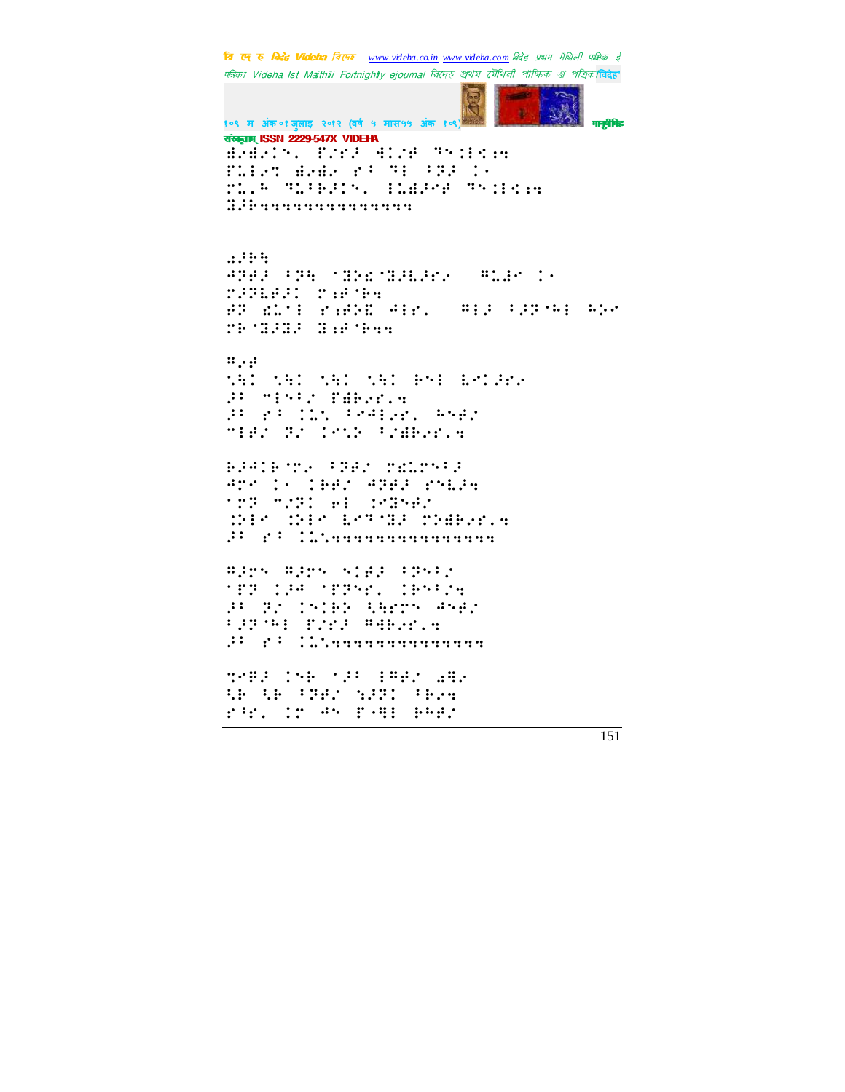१०९ म अंक ०१जुलाइ २०१२ (वष ५ मास५५ अंक १०९) मानुषीिमह

संस्कृतम् ISSN 2229-547X VIDEHA ⣞⢴⣞⢴G!24"⢼!⣚4⢾!⢹⣈⣊⣐⣒! 2⣅⢴⣉!⣞⢴⣞⢴!"⢸!⢹!C⢽⢼!l!  $C$ G THE SECOND CONTROLS ⣝⢼⢷⣒⣒⣒⣒⣒⣒⣒⣒⣒⣒⣒⣒⣒⣒!

⣔⢼⢷⣓.! ⢺⢽⢾⢼!C⢽⣓!⣝⢵⣎ ⣝⢼⣇⢼"⢴-!⢻⣅⣜!l! ⢼⢽⣇⢾⢼!⣐⢾ ⢷⣒!  $F$  . The state of  $F$  is the state  $F$ ⢷ ⣝⢼⣝⢼!⣝⣐⢾ ⢷⣒⣒!

⢻⢴⢾.! ⣁⣓.⣁⣓.⣁⣓.⣁⣓!⢷!⣇⢼"⢴! ⢼C!^C4!2⣞⢷⢴"G⣒!  $F$  . The constraint of  $\mathbb{R}^n$ \*Webster Tech Wideler.

⢷⢼⢺⢷ ⢴!C⢽⢾4!⣎⣅C⢼!  $\frac{4}{7}$ ⢽!^4⢽!⢶!⣈⣝⢾4! ⣈⢵.⣈⢵!⣇⢹ ⣝⢼!⢵⣞⢷⢴"G⣒! ⢼C!"⢸!⣅⣁⣒⣒⣒⣒⣒⣒⣒⣒⣒⣒⣒⣒⣒⣒⣒!

BJTN BJTN NIAJ (PN). 2⢽!⢼⢺!2⢽"G!⢷C4⣒! ⢼C!⢽4!⢷⢵!⣃⣓"!⢺⢾4! COUNTY CONTROL CONTROL ⢼C!"⢸!⣅⣁⣒⣒⣒⣒⣒⣒⣒⣒⣒⣒⣒⣒⣒⣒!

⣉⢿⢼!⢷!⢼C!⢻⢾4!⣔⣛⢴! ⣃⢷.⣃⢷!C⢽⢾4!⣑⢼⢽!C⢷⢴⣒! run, in as ran age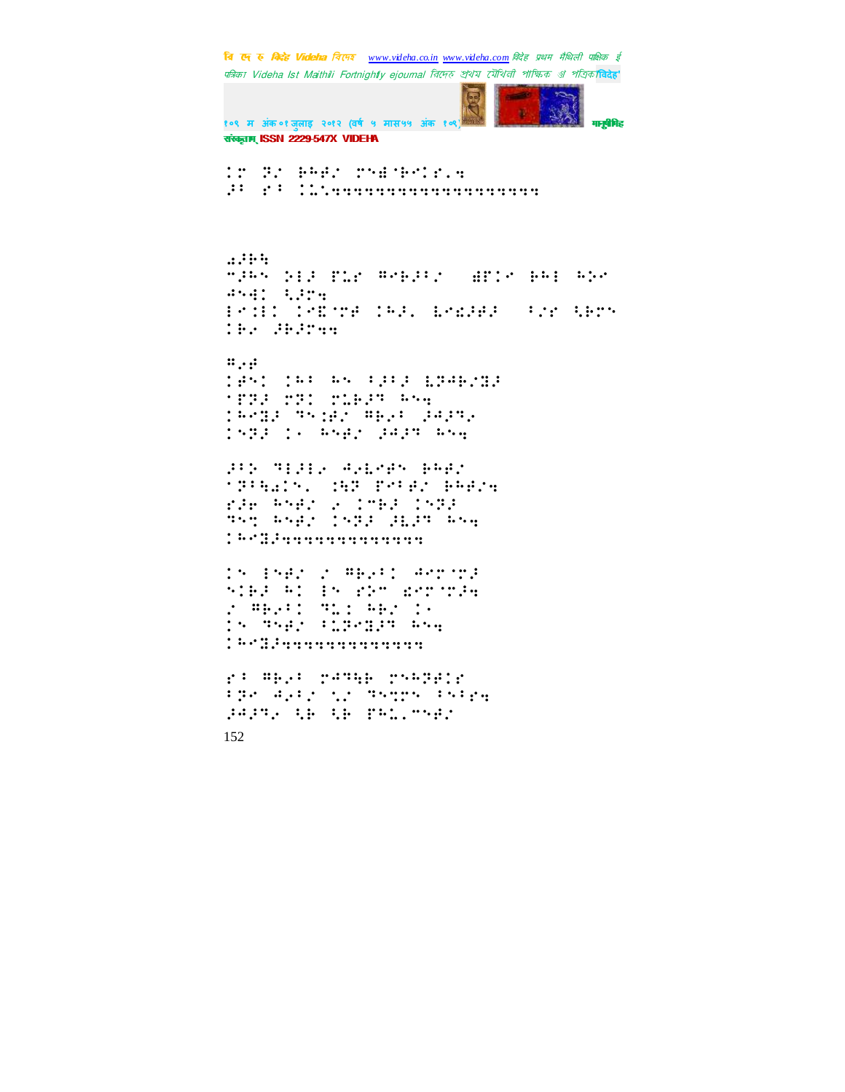```
CONTRACTOR
                                                   \mathcal{G}१०९ म अंक ०१जुलाइ २०१२ (वष ५ मास५५ अंक १०९) मानुषीिमह
```

```
!! We had the second the
\mathbf{F}^{\mathrm{C}} of \mathbf{C}^{\mathrm{C}} . Consequences in the consequence of \mathbf{C}^{\mathrm{C}}
```
संस्कृतम् ISSN 2229-547X VIDEHA

```
\ldots^⢼⢳!⢵⢼!2⣅"!⢻⢷⢼C4-!⣞2!⢷⢳!⢳⢵!
SAME 120
\overline{F} \overline{G} \overline{G} \overline{G} \overline{G} \overline{G} \overline{G} \overline{G} \overline{G} \overline{G} \overline{G} \overline{G} \overline{G} \overline{G} \overline{G} \overline{G} \overline{G} \overline{G} \overline{G} \overline{G} \overline{G} \overline{G} \overline{G} \overline{G} \overline{G⢷⢴!⢼⢷⢼⣒⣒!
```
 $\mathbf{a}^{\mathbf{a}}$  $^{\circ}$   $^{\circ}$   $^{\circ}$   $^{\circ}$   $^{\circ}$   $^{\circ}$   $^{\circ}$   $^{\circ}$   $^{\circ}$   $^{\circ}$   $^{\circ}$   $^{\circ}$   $^{\circ}$   $^{\circ}$   $^{\circ}$   $^{\circ}$   $^{\circ}$   $^{\circ}$   $^{\circ}$   $^{\circ}$   $^{\circ}$   $^{\circ}$   $^{\circ}$   $^{\circ}$   $^{\circ}$   $^{\circ}$   $^{\circ}$   $^{\circ}$   $^{\circ}$   $^{\circ}$   $^{\circ}$   $^{\circ}$ 2⢽⢼!⢽!⣅⢷⢼⢹!⢳⣒! ⢳⣝⢼!⢹⣈⢾4!⢻⢷⢴C!⢼⢺⢼⢹⢴! ⢽⢼!l!⢳⢾4!⢼⢺⢼⢹!⢳⣒!

H} MiH. 4.0 and  $\sim$  $'$ P!Willy, 197 Fr!F. PHP.4 "⢼⢶!⢳⢾4!⢴!^⢷⢼!⢽⢼! HAT SHE SHE SHE

⢳⣝⢼⣒⣒⣒⣒⣒⣒⣒⣒⣒⣒⣒⣒⣒!

!n 1592 (2001) Arriva SIEJ AI IS 257 genera 4!⢻⢷⢴C!⢹⣅⣈!⢳⢷4!l!! ! v Rep (DRAG) And  $\ddotsc$ 

152 "⢸!⢻⢷⢴C!⢺⢹⣓⢷!⢳⢽⢾"! CO CALLEY CONTROLL CONTROL ⢼⢺⢼⢹⢴!⣃⢷.⣃⢷!2⢳⣅G^⢾4!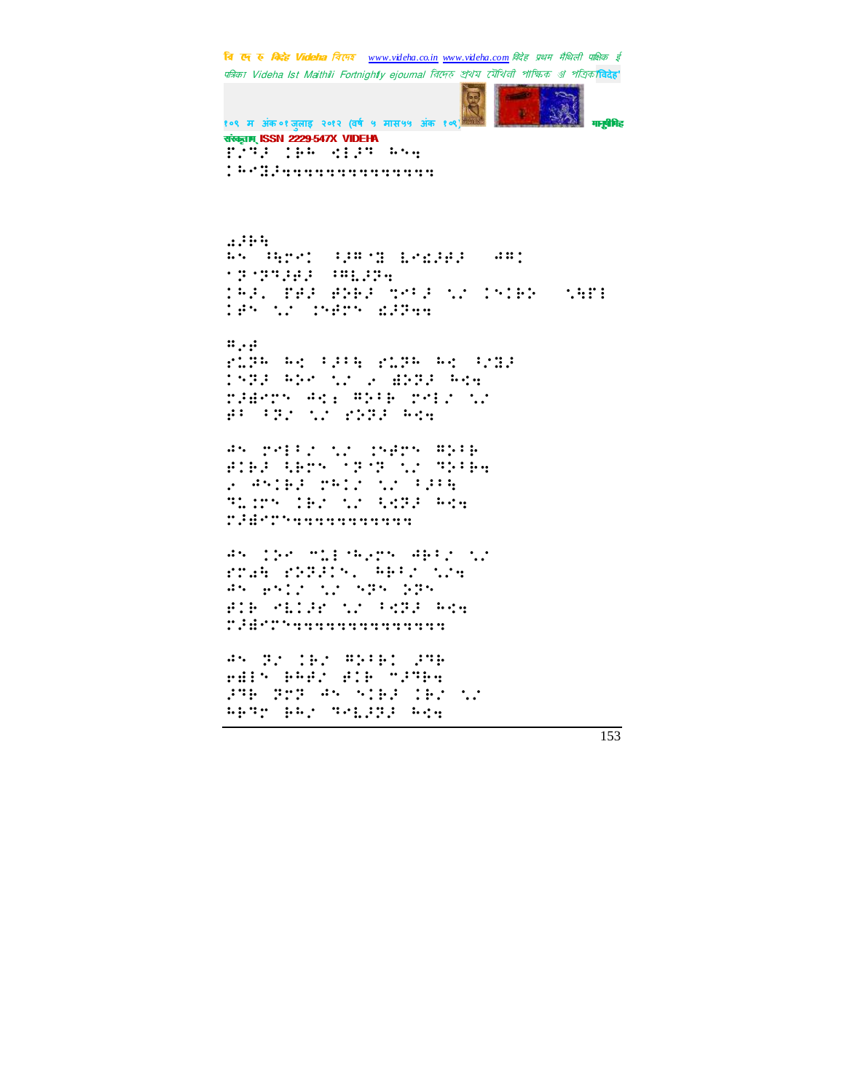

१०९ म अंक०१ जुलाइ २०१२ (वर्ष ५ मास५५ अंक संस्कृतम् ISSN 2229-547X VIDEHA fri de dift en **COMBOS CONTRACTS** 

 $1.114$ 85 March 19878 Eraldi (88) TRAV PAR ADEA MARIA NO INIED  $\sim$  1.421 **TAR NE INAPROSITAR** 

 $\mathbf{a} \cdot \mathbf{b}$ FIRE WE FARE FIRE WE STIL 1533 AD2 1. 2 AD33 ACA riders Ad: Abib related #1 132 12 2032 549

st parts to captive market<br>strain term of the contract 200518207512012118 There is the same way **Midstreagananana** 

**AN INC MILLANDS ARRIVETS** rrah reggis, eksposit **AN PNIC NO NPN 1976** BIB PEDECAL PERPENSA \*\*\*\*\*\*\*\*\*\*\*\*\*\*\*\*\*\*\*\*\*\*\*\*\*\*\*\*\*\*\*\*

**45 TA MAY #100 199 Addy PRINTING STRA** PH PPP AN NIER IES W **APT PAY THEIR AGE**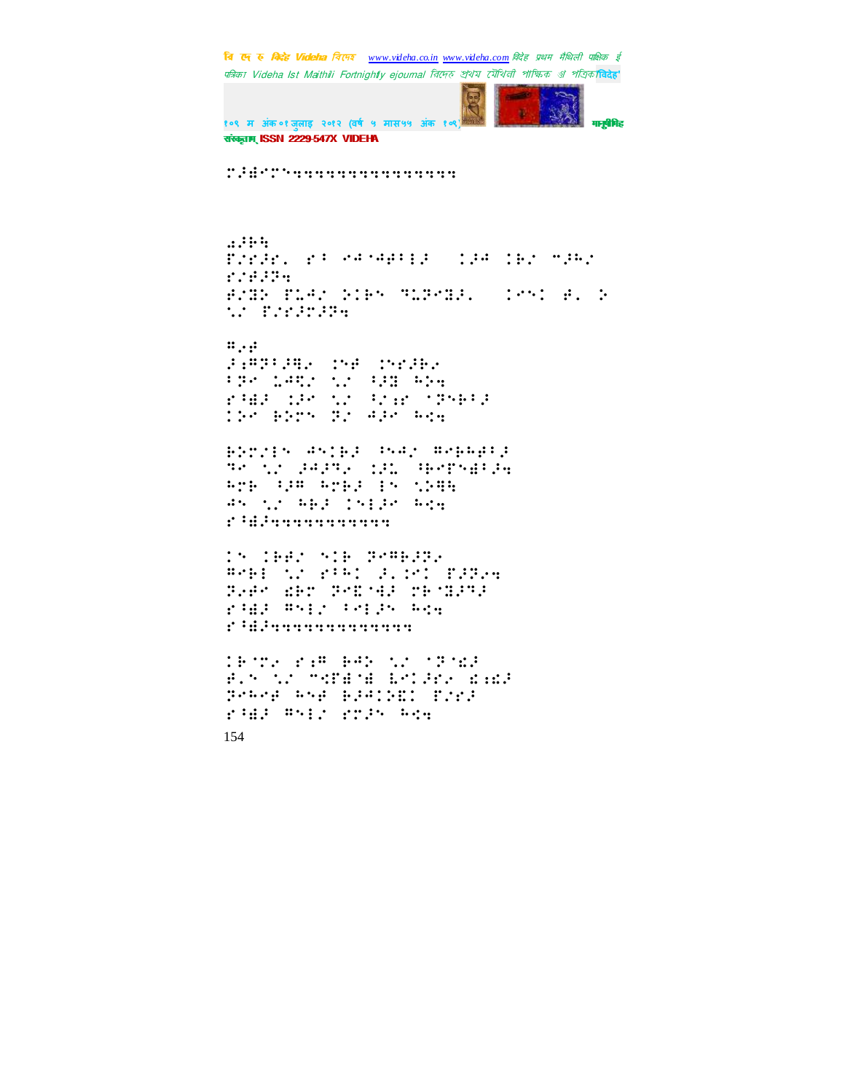

⢼⣞⣒⣒⣒⣒⣒⣒⣒⣒⣒⣒⣒⣒⣒⣒⣒!

 $...$ 24"⢼"G!"⢸!⢺ ⢺⢾C⢼-!⢼⢺!⢷4!^⢼⢳4! "4⢾⢼⢽⣒! ⢾4⣝⢵!2⣅⢺4!⢵⢷!⢹⣅⢽⣝⢼G-!!⢾G!⢵! **W** ENGINEER

 $::$ ...  $\overline{G}$  . CON CONTROL CONTROL " HE WAS CONSIDERED 100 MAR 2019 MAR

⢷⢵4!⢺⢷⢼!⢸⢺4!⢻⢷⢳⢾C⢼! He will depend to the control of the control of the control of the control of the control of the control of the control of the control of the control of the control of the control of the control of the control of the contr **Web 198 Web 198 No. 198 No. 198 No. 198 No. 198 No. 198 No. 198 No. 198 No. 198 No. 198 No. 198 No. 198 No. 1**  $45 - 4$   $17 - 44$   $19 - 44$   $19 - 44$ "⢸⣞⢼⣒⣒⣒⣒⣒⣒⣒⣒⣒⣒⣒!

!⢷⢾4!⢷!⢽⢻⢷⢼⢽⢴! ECH CALL TO CONTROL ⢽⢴⢾.⣎⢷!⢽⣏ ⣚⢼.⢷ ⣝⢼⢹⢼!  $f$ 4.00 = 0.00 = 0.00 = 0.00 = 0.00 = 0.00 = 0.00 = 0.00 = 0.00 = 0.00 = 0.00 = 0.00 = 0.00 = 0.00 = 0.00 = 0.0 "⢸⣞⢼⣒⣒⣒⣒⣒⣒⣒⣒⣒⣒⣒⣒⣒!

⢷ ⢴!"⣐⢻!⢷⢺⢵!⣁4!⢽ ⣎⢼! ⢾G!⣁4!^⣊2⣞ ⣞!⣇⢼"⢴!⣎⣐⣎⢼! ⢽⢳⢾!⢳⢾!⢷⢼⢺⢵⣏!24"⢼! "⢸⣞⢼!⢻4!"⢼!⢳⣊⣒!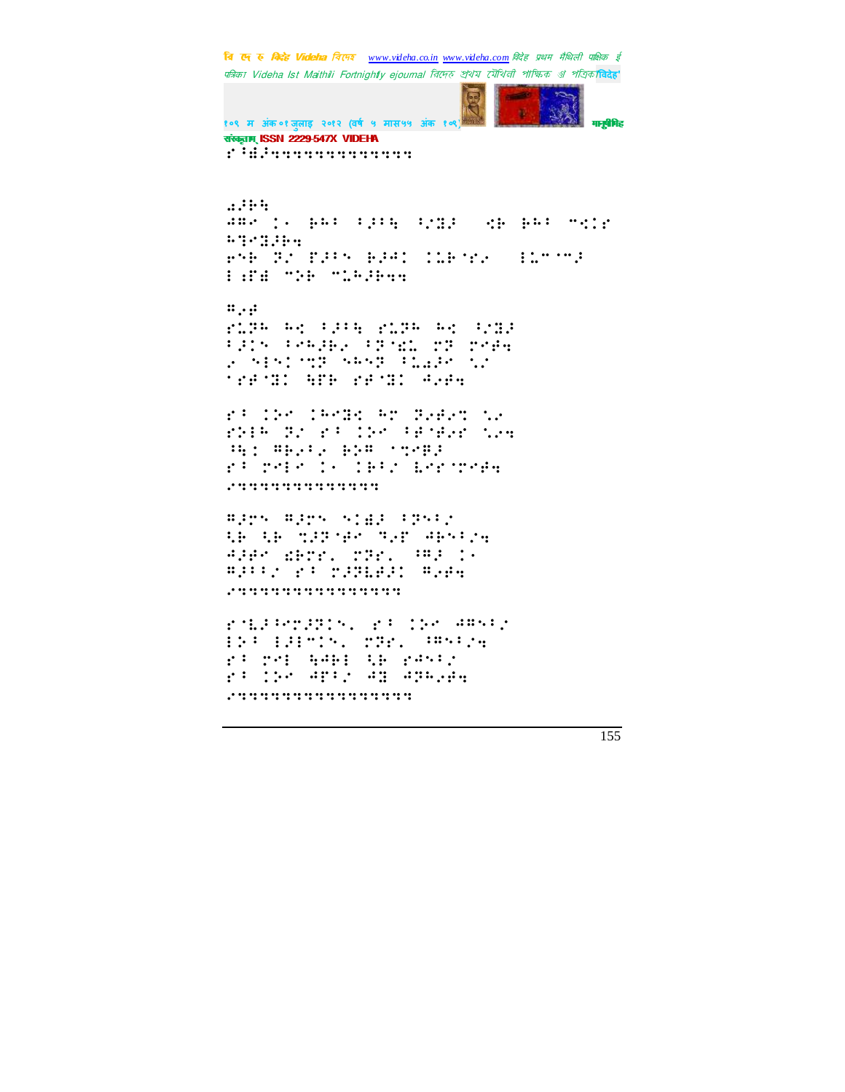

१०९ म अंक०१ जुलाइ २०१२ (वर्ष ५ मास५५ अं संस्कृतम् ISSN 2229-547X VIDEHA 

 $\ldots$ ame ji par rjen rjegi (ga par egjy **Administration** PRESENTED READ CORNER SOMETE **BEE THE TIMEST** 

 $\mathbf{a}$ . rupe ad this rupe ad trup **FILM PRAIRS PROMISE TRANS** F SPECTE SESP PLAP AN **TRANSPORT REPORT AND A** 

ra Che Caello ar Befer te rbia dr ra Chr afrekr the H: What, BM STORE richi (Alista Merres

Bars Bars Side (PS); th the signals way absolve Addy dens, MDr. (Md.). **WELLER'S STATES WARE** 

................... rilleries (response :5: :31"15, 272, <sup>1851</sup>24 FI THE BABE AR PANEL r: 198 AP: 48 AP62A

,,,,,,,,,,,,,,,,,,,,,,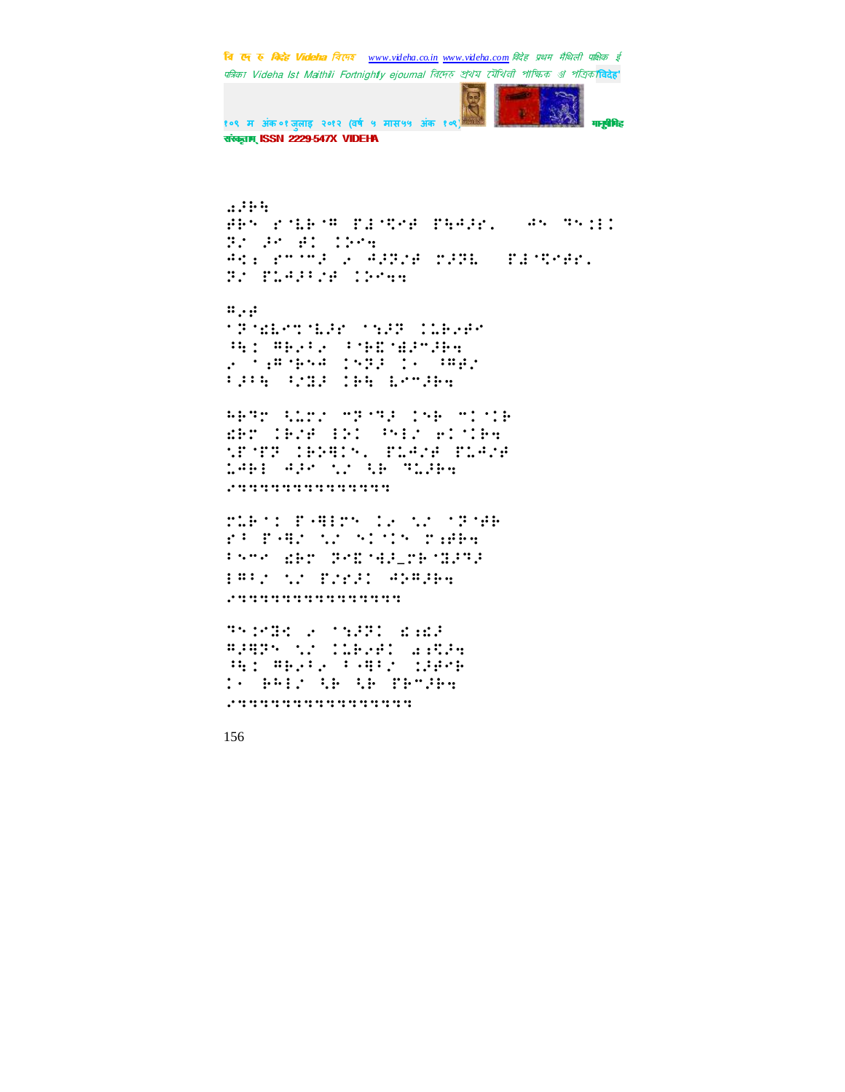

१०९ म अंक ०१जुलाइ २०१२ (वष ५ मास५५ अंक १०९) मानुषीिमह संस्कृतम् ISSN 2229-547X VIDEHA

 $...$ ⢾⢷!" ⣇⢷ ⢻!2⣜ ⣋⢾!2⣓⢺⢼"G-!⢺!⢹⣈! ⢽4!⢼!⢾!⢵⣒!  $#$  . The property  $H$  is the set of  $H$  $T$  =  $T$ 

⢻⢴⢾.! ⢽ ⣎⣇⣉ ⣇⢼"!⣑⢼⢽!⣅⢷⢴⢾! ⢸⣓⣈!⢻⢷⢴C⢴!⢸ ⢷⣏ ⣞⢼^⢼⢷⣒! ⢴!⣐⢻ ⢷⢺!⢽⢼!l!⢸⢻⢾4! COURS CHE LANDING

⢳⢷⢹!⣃⣅4!^⢽ ⢹⢼!⢷!^ ⢷! ⣎⢷!⢷4⢾!⢵!⢸4!⢶ ⢷⣒! ⣁2 2⢽!⢷⢵⣛G!2⣅⢺4⢾.2⣅⢺4⢾! ⣅⢺⢷!⢺⢼!⣁4!⣃⢷.⢹⣅⢼⢷⣒! ⢴⣒⣒⣒⣒⣒⣒⣒⣒⣒⣒⣒⣒⣒⣒!

 $T$   $\Delta$   $T$   $\Delta$   $T$   $\Delta$   $T$   $\Delta$   $T$   $\Delta$   $T$   $\Delta$   $T$   $\Delta$   $T$   $\Delta$   $T$   $\Delta$   $T$   $\Delta$   $T$   $\Delta$   $T$  $T^1$  PHP 12 120 120 120 120 CONNECT THE THE CONNECT ⢻C4!⣁4!24"⢼!⢺⢵⢻⢼⢷⣒! ⢴⣒⣒⣒⣒⣒⣒⣒⣒⣒⣒⣒⣒⣒⣒⣒!

 $^{\prime\prime}$  which is a set of  $^{\prime\prime}$ ⢻⢼⣛⢽!⣁4!⣅⢷⢴⢾!⣔⣐⣋⢼⣒! ⢸⣓⣈!⢻⢷⢴C⢴!CD⣛C4!⣈⢼⢾⢷! l: **PHIS AP AP TRTPH** ⢴⣒⣒⣒⣒⣒⣒⣒⣒⣒⣒⣒⣒⣒⣒⣒⣒!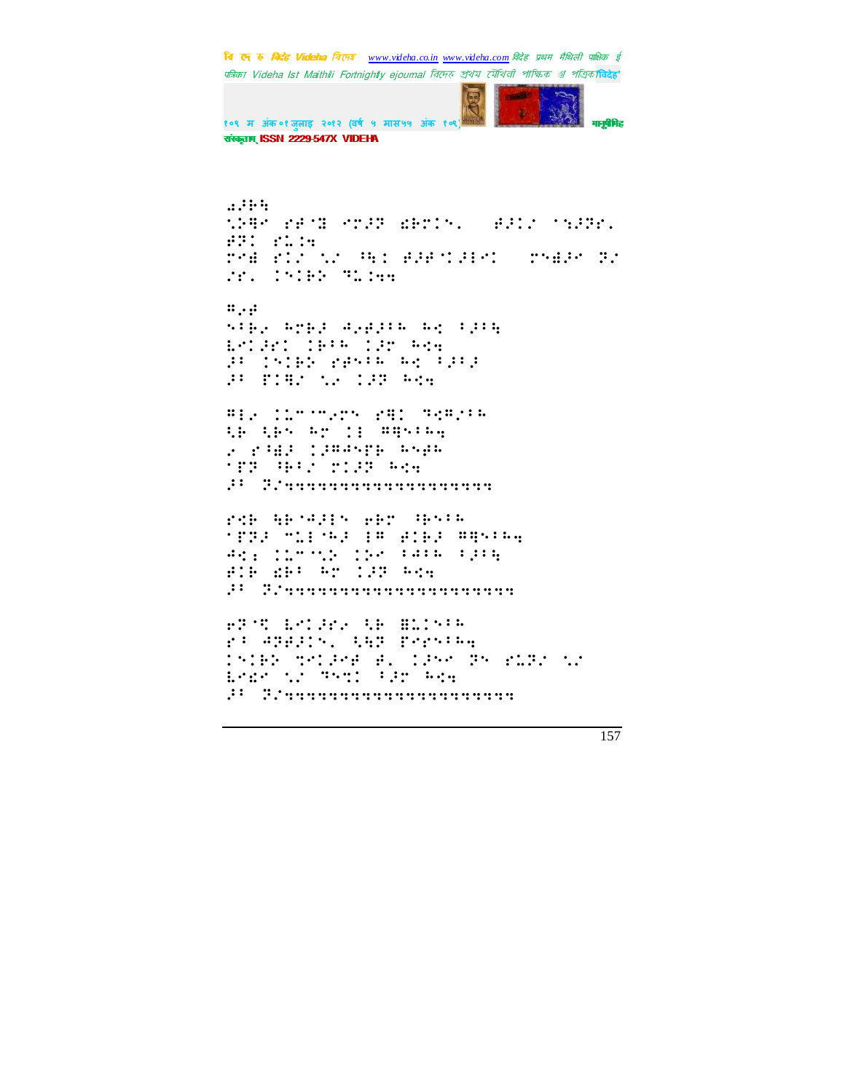

१०९ म अंक०१ जुलाइ २०१२ (वर्ष ५ मास५५ अं संस्कृतम् ISSN 2229-547X VIDEHA

 $11111$ SPROGROM STAR WRTING (BAILY STARR) #PD SWOR real size to the against the reage do **22. 25.00 Miles** 

 $\mathbf{a}$ . sip, brpg aggilb by tjib ESTAND (BPR 192 Rdg BU THINK PARTH AR TITLE 31 PDRT 12 137 Rds

**Bis Christian SHI BeBrie** th the Ap (1) Haerby 2 rad (Perge Area<br>183 ani 1938  $P = 22$  and an anti-distribution of  $\mathbb{R}^2$ 

rdh Abragin Abr Gheim **SERPORT RESIDENCE** Age from The Case (Ass. 1914) BIB AB: Ar IBB Ada  $P = P_{1}$  and the second second second second

**STATE CONSTRUCTS** r: APARIN, AAR Prrn:Aq INTER MOTERN B. IPHOTEN PLEA AS Lege to Their Plan Read **.:: :::::::::::::::::::::::::::::::::**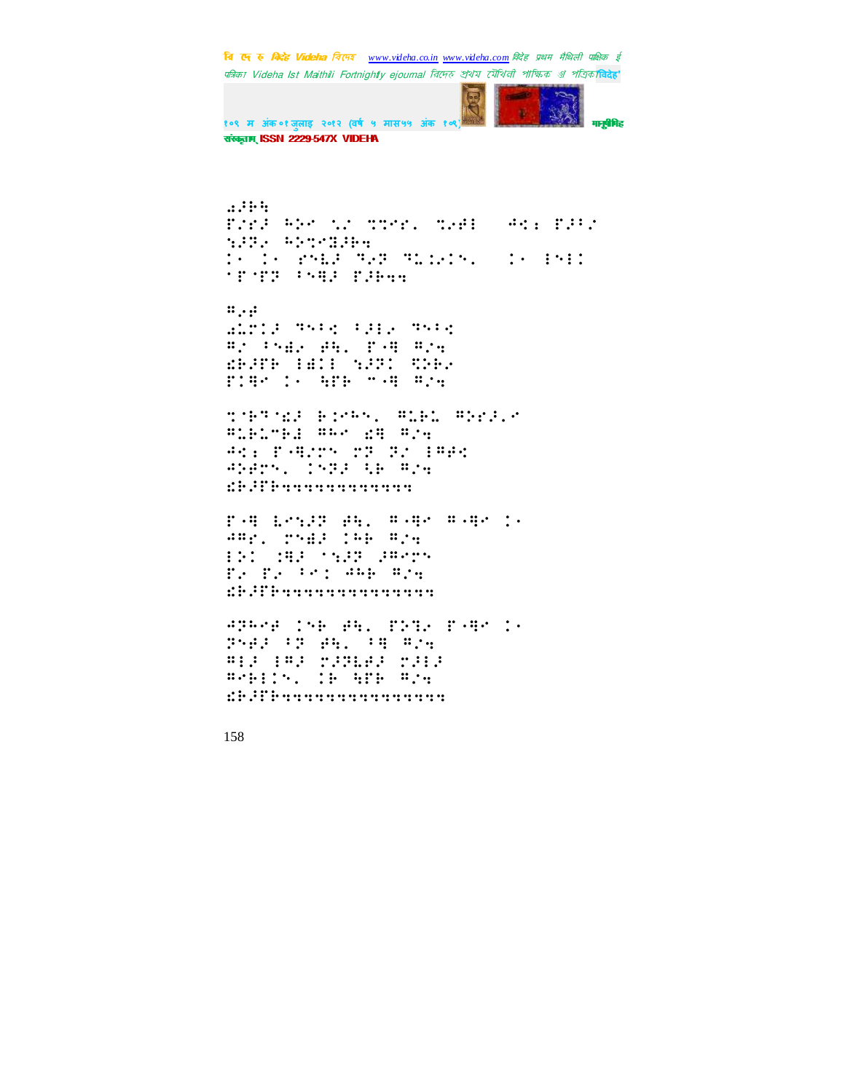

संस्कृतम् ISSN 2229-547X VIDEHA

 $...$ 24"⢼!⢳⢵!⣁4!⣉⣉"G!⣉⢴⢾-!⢺⣊⣐!2⢼C4! ⣑⢼⢽⢴.⢳⢵⣉⣝⢼⢷⣒! l!l!"⣇⢼!⢹⢴⢽.⢹⣅⣈⢴G-!l!! 2 2⢽!C⣛⢼!2⢼⢷⣒⣒!

⢻⢴⢾.! ⣔⣅⢼!⢹C⣊!C⢼⢴!⢹C⣊! By Che, B. S. S. B. By: ⣎⢷⢼2⢷!⣞!⣑⢼⢽!⣋⢵⢷⢴! 2⣛!l!⣓2⢷!^D⣛!⢻4⣒!

 $^{\prime}$   $^{\prime}$   $^{\prime}$   $^{\prime}$   $^{\prime}$   $^{\prime}$   $^{\prime}$   $^{\prime}$   $^{\prime}$   $^{\prime}$   $^{\prime}$   $^{\prime}$   $^{\prime}$   $^{\prime}$   $^{\prime}$   $^{\prime}$   $^{\prime}$   $^{\prime}$   $^{\prime}$   $^{\prime}$   $^{\prime}$   $^{\prime}$   $^{\prime}$   $^{\prime}$   $^{\prime}$   $^{\prime}$   $^{\prime}$   $^{\prime}$   $^{\prime}$   $^{\prime}$   $^{\prime}$   $^{\prime}$ ⢻⣅⢷⣅^⢷⣜!⢻⢳!⣎⣛!⢻4⣒! **40: P.420 22 22 2440** ⢺⢵⢾G!⢽⢼!⣃⢷!⢻4⣒! ⣎⢷⢼2⢷⣒⣒⣒⣒⣒⣒⣒⣒⣒⣒⣒⣒!

2D⣛!⣇⣑⢼⢽!⢾⣓G!⢻D⣛.⢻D⣛!l! G#r. rh#3 166 #24  $[]$ 2. 25 . 201 . 201 . 201 . 201 . 201 . 201 . 201 . 201 . 201 . 201 . 201 . 201 . 201 . 201 . 201 . 201 . 201 . 20 ⣎⢷⢼2⢷⣒⣒⣒⣒⣒⣒⣒⣒⣒⣒⣒⣒⣒⣒!

⢺⢽⢳⢾!⢷!⢾⣓G!2⢵⣙⢴!2D⣛!l!  $T^G$ H: 000 H: 000 H: 000 H: 000 H: 000 H: 000 H: 000 H: 000 H: 000 H: 000 H: 000 H: 000 H: 000 H: 000 H: 000 H: 00 ⢻⢷G!⢷!⣓2⢷!⢻4⣒! ⣎⢷⢼2⢷⣒⣒⣒⣒⣒⣒⣒⣒⣒⣒⣒⣒⣒⣒⣒!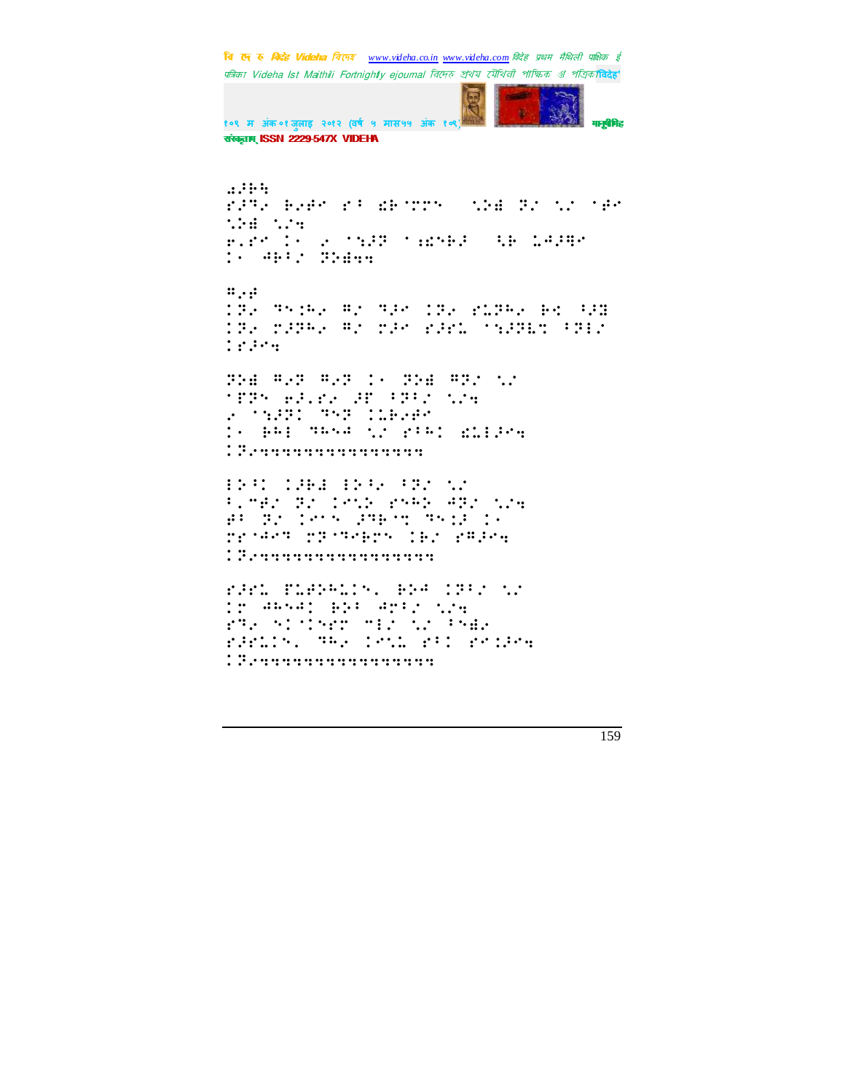

१०९ म अंक ०१जुलाइ २०१२ (वष ५ मास५५ अंक १०९) मानुषीिमह संस्कृतम् ISSN 2229-547X VIDEHA

 $\ldots$ "⢼⢹⢴!⢷⢴⢾!"⢸!⣎⢷ -!⣁⢵⣞!⢽4!⣁4!⢾! ⣁⢵⣞!⣁4⣒!  $\mu_{\rm G}$  if  $\mu_{\rm G}$  is the  $\mu_{\rm G}$  -  $\mu_{\rm G}$  is the control of  $\mu_{\rm G}$ l!⢺⢷C4!⢽⢵⣞⣒⣒!

 $::$ ... ⢽⢴!⢹⣈⢳⢴!⢻4!⢹⢼!⢽⢴!"⣅⢽⢳⢴!⢷⣊!⢸⢼⣝!  $^{\prime}$  . The state of the state of the state of the state of the state of the state of the state of the state of the state of the state of the state of the state of the state of the state of the state of the state of the s  $T$ :  $T$  ,  $T$  ,  $T$ 

⢽⢵⣞!⢻⢴⢽.⢻⢴⢽!l!⢽⢵⣞!⢻⢽4!⣁4! 2⢽!⢶⢼G"⢴!⢼2!C⢽C4!⣁4⣒! | THE ST l, prison the state district ⢽⢴⣒⣒⣒⣒⣒⣒⣒⣒⣒⣒⣒⣒⣒⣒⣒!

⢵⢸!⢼⢷⣜!⢵⢸⢴!C⢽4!⣁4! CG^⢾4!⢽4!⣁⢵!"⢳⢵!⢺⢽4!⣁4⣒! ∄P IN INTE IPET THI IS " research the second property of the second property of the second property of the second property of the second property of the second property of the second property of the second property of the second property of the ⢽⢴⣒⣒⣒⣒⣒⣒⣒⣒⣒⣒⣒⣒⣒⣒⣒⣒!!

" .⢺⢳⢺!⢷⢵C!⢺C4!⣁4⣒! The Sicilian Michigan "CHILL" " THE CONSIDER STILL"  $\dddotsc$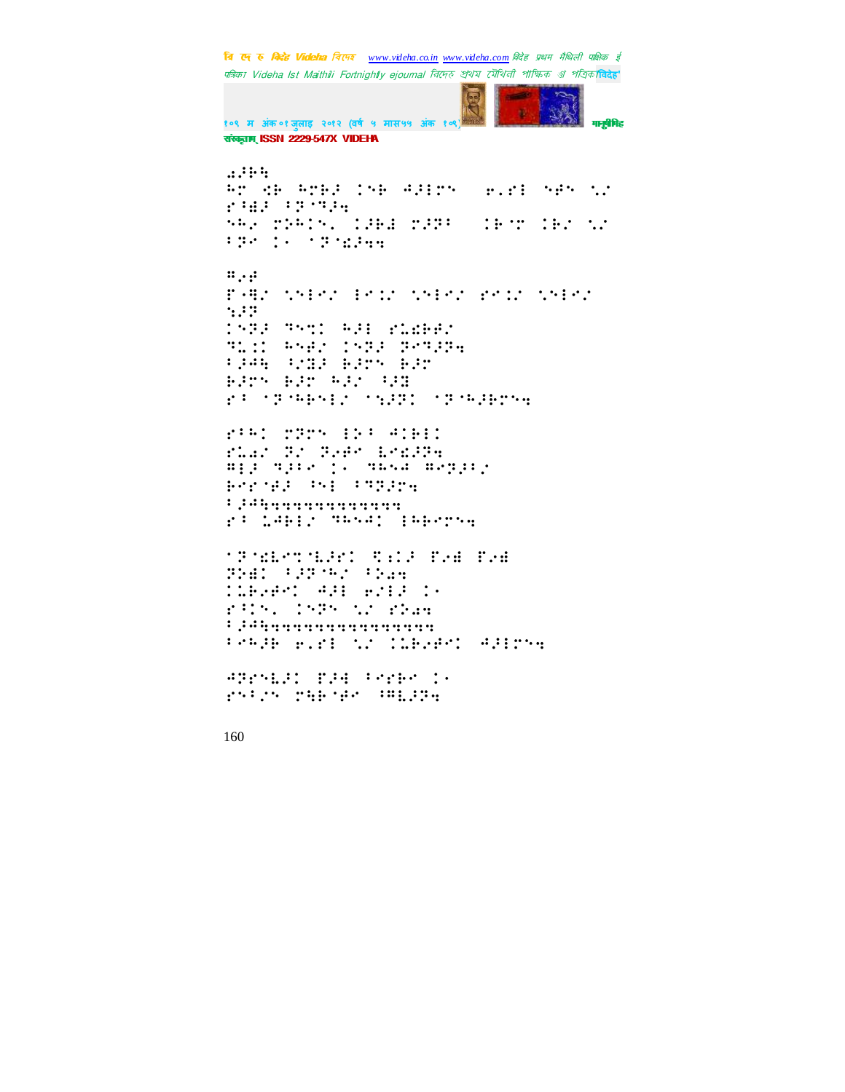१०९ म अंक ०१जुलाइ २०१२ (वष ५ मास५५ अंक १०९) मानुषीिमह संस्कृतम् ISSN 2229-547X VIDEHA

⣔⢼⢷⣓.! ₩ HE WE WE SALE WE WE WE WE  $T$  O  $H$   $T$   $T$   $T$   $T$   $T$   $T$   $T$ ⢳⢴!⢵⢳G!⢼⢷⣜!⢼⢽C-!⢷ !⢷4!⣁4! CONTROLL CONTROLL

 $::$ ... PHP SPEED ESC SPEED PROFINE  $\ddot{\mathbf{u}}$ 1930 NHT 2010 ⢹⣅⣈!⢳⢾4!⢽⢼!⢽⢹⢼⢽⣒! C. 1994 - 1994 - 1994 - 1995 - 1997 - 1997 **BET BET BET BET**  $T = T$ 

"CONTROL CONTROL CONTROL "⣅⣔4!⢽4!⢽⢴⢾!⣇⣎⢼⢽⣒! ⊞¦} Mgara (Calendaria)  $P = \frac{1}{2}$ C⢼⢺⣓⣒⣒⣒⣒⣒⣒⣒⣒⣒⣒⣒⣒!  $^{\prime}$  :  $^{\prime}$  4  $^{\prime}$   $^{\prime}$  4  $^{\prime}$   $^{\prime}$  4  $^{\prime}$   $^{\prime}$  4  $^{\prime}$  4  $^{\prime}$  4  $^{\prime}$  4  $^{\prime}$  4  $^{\prime}$  4  $^{\prime}$  4  $^{\prime}$  4  $^{\prime}$  4  $^{\prime}$  4  $^{\prime}$  4  $^{\prime}$  4  $^{\prime}$  4  $^{\prime}$  4  $^{\prime}$  4  $^{\prime}$  4  $^{\prime}$  4  $^{\prime}$  4  $^{\$ 

 $^{\circ}$   $^{\circ}$   $^{\circ}$   $^{\circ}$   $^{\circ}$   $^{\circ}$   $^{\circ}$   $^{\circ}$   $^{\circ}$   $^{\circ}$   $^{\circ}$   $^{\circ}$   $^{\circ}$   $^{\circ}$   $^{\circ}$   $^{\circ}$   $^{\circ}$   $^{\circ}$   $^{\circ}$   $^{\circ}$   $^{\circ}$   $^{\circ}$   $^{\circ}$   $^{\circ}$   $^{\circ}$   $^{\circ}$   $^{\circ}$   $^{\circ}$   $^{\circ}$   $^{\circ}$   $^{\circ}$   $^{\circ}$ ⢽⢵⣞!C⢼⢽ ⢳4!C⢵⣔⣒! ⣅⢷⢴⢾!⢺⢼!⢶4⢼!l! "⢸G!⢽!⣁4!"⢵⣔⣒! C⢼⢺⣓⣒⣒⣒⣒⣒⣒⣒⣒⣒⣒⣒⣒⣒⣒⣒! Cómus (Claudelland Comus (Claudelland Comus)

GRENAL PARA PAPER IS "C4!⣓⢷ ⢾.⢸⢻⣇⢼⢽⣒!!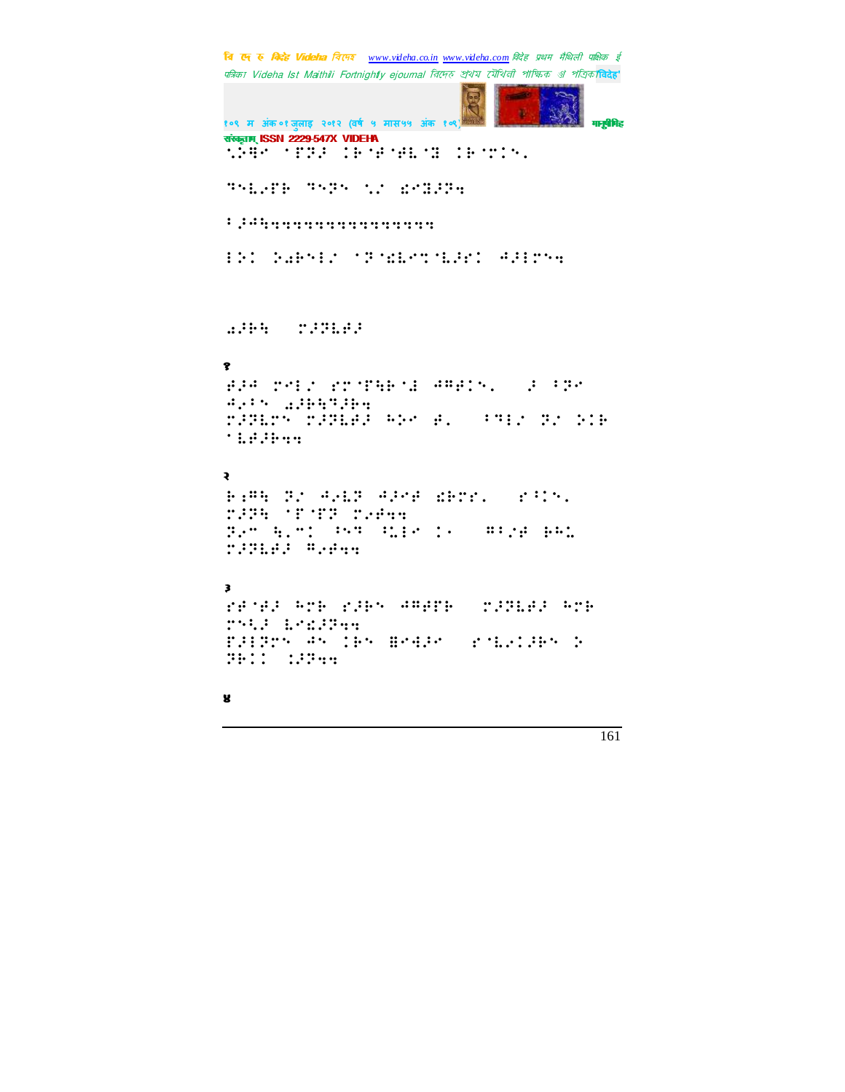```
त्रि एन रु क्रिटेह Videha विएम्ब _www.videha.co.in_www.videha.com विदेह प्रथम मैथिली पाक्षिक ई
पत्रिका Videha Ist Maithili Fortnightly ejournal রিদেত প্রথম মৌথিনী পাক্ষিক ॳ পত্রিকাঁ<mark>বিदेह'</mark>
१०९ म अंक ०१जुलाइ २०१२ (वष ५ मास५५ अंक १०९) मानुषीिमह 
संस्कृतम् ISSN 2229-547X VIDEHA
WERE THE CONSTRUCTS.
THING THE THE CONSTRUCT
C⢼⢺⣓⣒⣒⣒⣒⣒⣒⣒⣒⣒⣒⣒⣒⣒⣒⣒!!
\{F_i\} , which is the control \{F_i\} , and \{F_i\}⣔⢼⢷⣓.!⢼⢽⣇⢾⢼!!
१
⢾⢼⢺!4!" 2⣓⢷ ⣜!⢺⢻⢾G-!⢼!C⢽!
⢺⢴C!⣔⢼⢷⣓⢹⢼⢷⣒!
⢼⢽⣇!⢼⢽⣇⢾⢼!⢳⢵!⢾G-!C⢹4!⢽4!⢵⢷!
⣇⢾⢼⢷⣒⣒!
२ 
⢷⣐⢻⣓!⢽4!⢺⢴⣇⢽!⢺⢼⢾!⣎⢷"G-!"⢸G!
⢼⢽⣓!2 2⢽!⢴⢾⣒⣒!
⢽⢴^!⣓G^!⢸⢹!⢸⣅!l-!⢻C4⢾!⢷⢳⣅!
⢼⢽⣇⢾⢼!⢻⢴⢾⣒⣒!
३
"⢾ ⢾⢼!⢳⢷!"⢼⢷!⢺⢻⢾2⢷-!⢼⢽⣇⢾⢼!⢳⢷!
⣃⢼!⣇⣎⢼⢽⣒⣒!
2⢼⢽!⢺!⢷!⣟⣚⢼-!" ⣇⢴⢼⢷!⢵!
⢽⢷!⣈⢼⢽⣒⣒!
```

```
४
```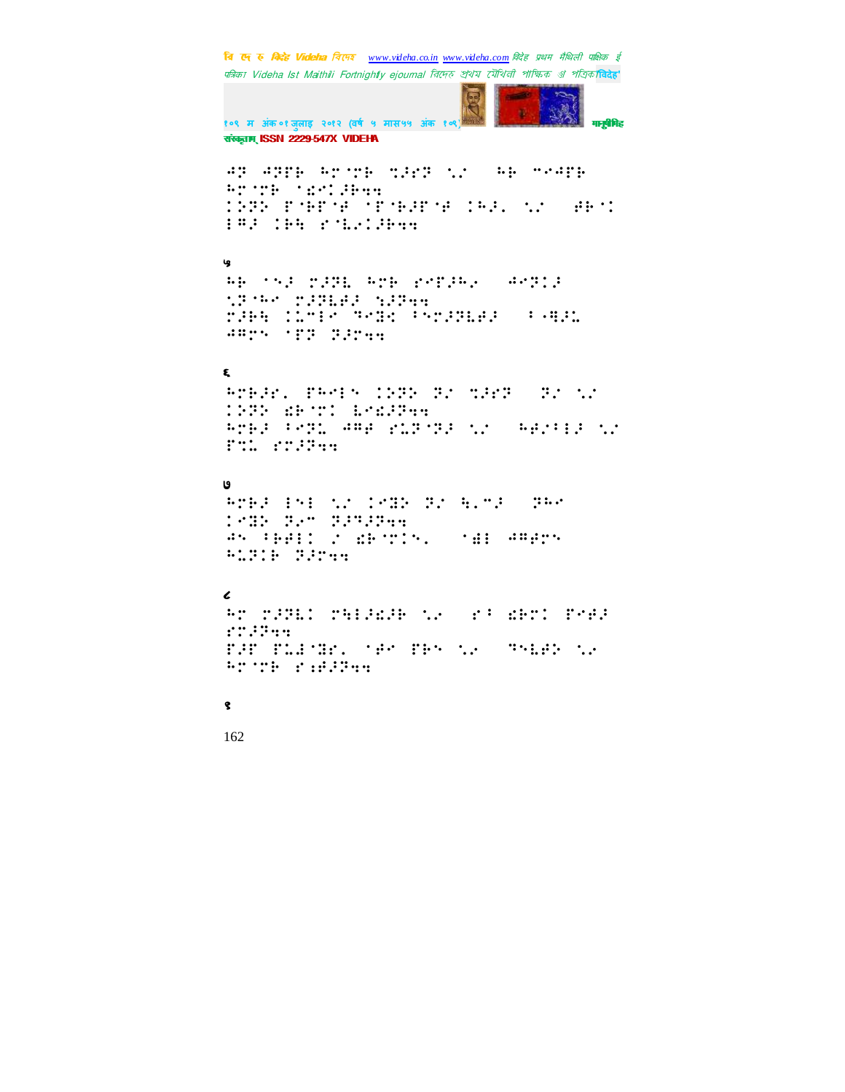× १०९ म अंक ०१जुलाइ २०१२ (वष ५ मास५५ अंक १०९) मानुषीिमह संस्कृतम् ISSN 2229-547X VIDEHA

**Service** 

⢺⢽.⢺⢽2⢷!⢳ ⢷!⣉⢼"⢽!⣁4-!⢳⢷!^⢺2⢷!  $\frac{1}{2}$ 1020 PARTNE MENERE CROSS CO PEND  $^{\text{!}}$  #3  $^{\text{!}}$   $^{\text{!}}$   $^{\text{!}}$   $^{\text{!}}$   $^{\text{!}}$   $^{\text{!}}$   $^{\text{!}}$   $^{\text{!}}$   $^{\text{!}}$   $^{\text{!}}$   $^{\text{!}}$   $^{\text{!}}$   $^{\text{!}}$   $^{\text{!}}$   $^{\text{!}}$   $^{\text{!}}$   $^{\text{!}}$   $^{\text{!}}$   $^{\text{!}}$   $^{\text{!}}$   $^{\text{!}}$   $^{\text{!}}$   $^{\text{!}}$   $^{\$ 

५

⢳⢷!⢼!⢼⢽⣇!⢳⢷!"2⢼⢳⢴-!⢺⢽⢼! ⣁⢽ ⢳!⢼⢽⣇⢾⢼!⣑⢼⢽⣒⣒! ⢼⢷⣓!⣅^!⢹⣝⣊!C⢼⢽⣇⢾⢼-!CD⣛⢼⣅! ⢺⢻!2⢽!⢽⢼⣒⣒!

## ६

 $^+$  CP (FR)  $^+$  C  $^+$  CP (FR)  $^+$  C  $^+$  C  $^+$  C  $^+$ ⢵⢽⢵!⣎⢷ !⣇⣎⢼⢽⣒⣒! ₩MED PRESS PRESS PRESS PRESS PRESS PRESS PRESS PH PHONE

## ७

HPPE INE NO IMBN PO RUMP ( PRM ⣝⢵!⢽⢴^!⢽⢼⢹⢼⢽⣒⣒! AN PERIOD GENTS, THE ARROW **SINCE BEFIND** 

## ८

 $\frac{1}{2}$  which  $\frac{1}{2}$  is the set of the set of the set of the set of the set of the set of the set of the set of the set of the set of the set of the set of the set of the set of the set of the set of the set of the se "⢼⢽⣒⣒! EVE FLEMEL MEN TEN NA "PNEED NA  $`$ 

#### ९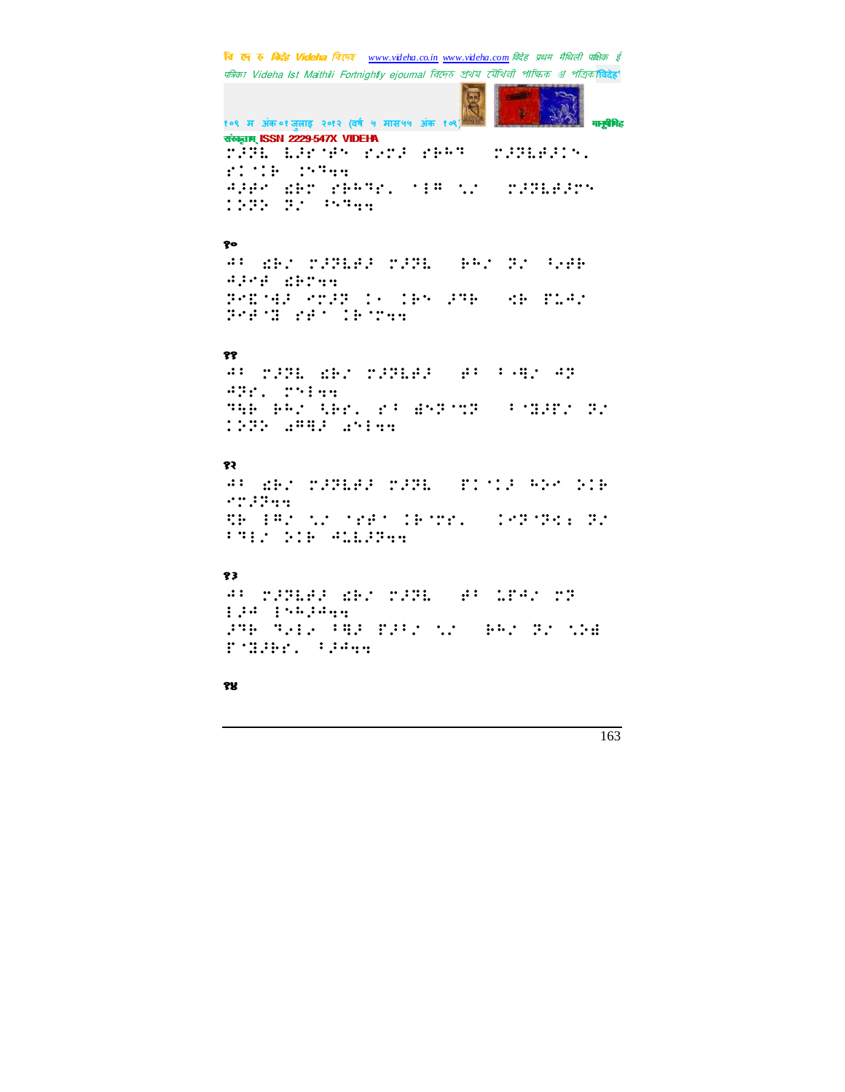१०९ म अंक ०१जुलाइ २०१२ (वष ५ मास५५ अंक १०९) मानुषीिमह

संस्कृतम् ISSN 2229-547X VIDEHA ⢼⢽⣇!⣇⢼" ⢾!"⢴⢼!"⢷⢳⢹-!⢼⢽⣇⢾⢼G!  $f(T) = T^T T^T T^T$ ⢺⢼⢾!⣎⢷!"⢷⢳⢹"G!⢻!⣁4-!⢼⢽⣇⢾⢼! ⢵⢽⢵!⢽4!⢸⢹⣒⣒!

## १०

 $\overline{+}$   $\overline{+}$   $\overline{+}$   $\overline{+}$   $\overline{+}$   $\overline{+}$   $\overline{+}$   $\overline{+}$   $\overline{+}$   $\overline{+}$   $\overline{+}$   $\overline{+}$   $\overline{+}$   $\overline{+}$   $\overline{+}$   $\overline{+}$   $\overline{+}$   $\overline{+}$   $\overline{+}$   $\overline{+}$   $\overline{+}$   $\overline{+}$   $\overline{+}$   $\overline{+}$   $\overline{+$ ⢺⢼⢾!⣎⢷⣒⣒! PERMENT OF SPACERS OF THE ⢽⢾ ⣝!"⢾ !⢷ ⣒⣒!

## ११

 $\overline{a}$  ,  $\overline{c}$  ,  $\overline{c}$  ,  $\overline{c}$  ,  $\overline{c}$  ,  $\overline{c}$  ,  $\overline{c}$  ,  $\overline{c}$  ,  $\overline{c}$  ,  $\overline{c}$  ,  $\overline{c}$  ,  $\overline{c}$  ,  $\overline{c}$  ,  $\overline{c}$  ,  $\overline{c}$  ,  $\overline{c}$  ,  $\overline{c}$  ,  $\overline{c}$  ,  $\overline{c}$  ,  $\overline{c}$  ,  $\$ ⢺⢽"G!⣒⣒! HE PROGRESS FOR SALES ⢵⢽⢵!⣔⢻⣛⢼!⣔⣒⣒!

# १२

 $\#$  and the the state  $\#$ ⢼⢽⣒⣒! SH IBS NS TEET IRTHS INTERFERS CO 2010 CONTROL CONTROL

# १३

 $\overline{a}$  , the set of the set of the set of the set of the set of the set of the set of the set of the set of the set of the set of the set of the set of the set of the set of the set of the set of the set of the set of th ⢼⢺!⢳⢼⢺⣒⣒! ⢼⢹⢷!⢹⢴⢴!C⣛⢼!2⢼C4!⣁4-!⢷⢳4!⢽4!⣁⢵⣞! 2 ⣝⢼⢷"G!C⢼⢺⣒⣒!

# १४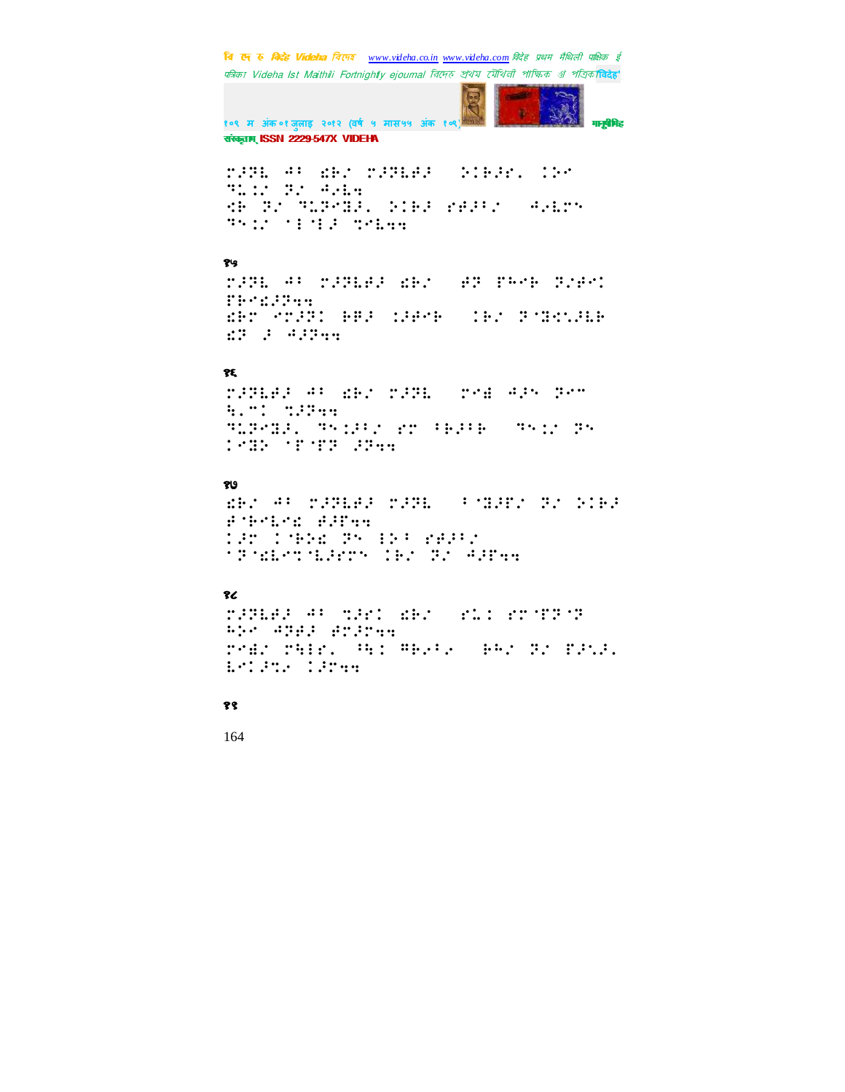**County** 

१०९ म अंक ०१जुलाइ २०१२ (वष ५ मास५५ अंक १०९) मानुषीिमह संस्कृतम् ISSN 2229-547X VIDEHA

⢼⢽⣇!⢺C!⣎⢷4!⢼⢽⣇⢾⢼-!⢵⢷⢼"G!⢵! **TEMP 32 4944** ⣊⢷!⢽4!⢹⣅⢽⣝⢼G!⢵⢷⢼!"⢾⢼C4-!⢺⢴⣇! **This condition** 

## १५

 $^{\prime}$ 2⢷⣎⢼⢽⣒⣒! ⣎⢷!⢼⢽!⢷⢿⢼!⣈⢼⢾⢷-!⢷4!⢽ ⣝⣊⣁⢼⣇⢷! ⣎⢽!⢼!⢺⢼⢽⣒⣒!

#### १६

⢼⢽⣇⢾⢼!⢺C!⣎⢷4!⢼⢽⣇-!⣞!⢺⢼!⢽^! **WEIGHT CONFIDENTI** ⢹⣅⢽⣝⢼G!⢹⣈⢼C4!"!C⢷⢼C⢷-!⢹⣈4!⢽! ⣝⢵!2 2⢽!⢼⢽⣒⣒!

## १७

⣎⢷4!⢺C!⢼⢽⣇⢾⢼!⢼⢽⣇-!C ⣝⢼24!⢽4!⢵⢷⢼! ⢾ ⢷⣇⣎!⢾⢼2⣒⣒!  $|I|$   $|I|$   $|I|$   $|I|$   $|I|$   $|I|$   $|I|$   $|I|$   $|I|$   $|I|$   $|I|$   $|I|$   $|I|$   $|I|$   $|I|$   $|I|$   $|I|$   $|I|$   $|I|$   $|I|$   $|I|$   $|I|$   $|I|$   $|I|$   $|I|$   $|I|$   $|I|$   $|I|$   $|I|$   $|I|$   $|I|$   $|I|$   $|I|$   $|I|$   $|I|$   $|I|$   $|I|$  **MENUEL OR AN ARRANGEMENT CONSUMER** 

# १८

⢼⢽⣇⢾⢼!⢺C!⣉⢼"!⣎⢷4-!"⣅⣈!" 2⢽ ⢽!  $\frac{1}{2}$ ⣞4!⣓"G!⢸⣓⣈!⢻⢷⢴C⢴-!⢷⢳4!⢽4!2⢼⣁⢼G! ⣇⢼⣉⢴!⢼⣒⣒!

#### १९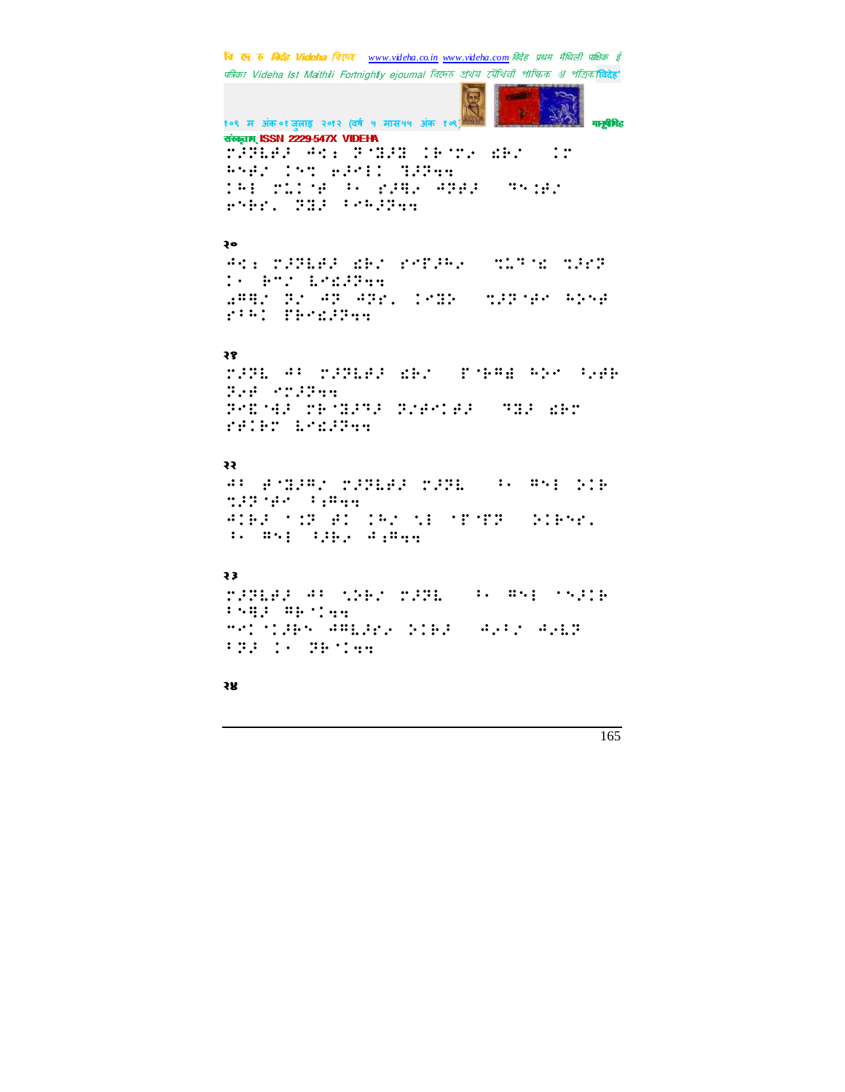१०९ म अंक ०१जुलाइ २०१२ (वष ५ मास५५ अंक १०९) मानुषीिमह

संस्कृतम् ISSN 2229-547X VIDEHA ⢼⢽⣇⢾⢼!⢺⣊⣐!⢽ ⣝⢼⣝!⢷ ⢴!⣎⢷4-!! **WEE SHOW AND ALL SEEMS** ⢳!⣅ ⢾!⢸l!"⢼⣛⢴!⢺⢽⢾⢼-!⢹⣈⢾4! ⢶⢷"G!⢽⣝⢼!C⢳⢼⢽⣒⣒!

#### २०

⢺⣊⣐!⢼⢽⣇⢾⢼!⣎⢷4!"2⢼⢳⢴-!⣉⣅⢹ ⣎!⣉⢼"⢽! l!⢷^4!⣇⣎⢼⢽⣒⣒! ⣔⢻⣛4!⢽4!⢺⢽.⢺⢽"G!⣝⢵-!⣉⢼⢽ ⢾!⢳⢵⢾! "C⢳!2⢷⣎⢼⢽⣒⣒!

# २१

 $^{\prime}$  . The state of the state of the state of the state of the state of the state of the state of the state o ⢽⢴⢾!⢼⢽⣒⣒! ⢽⣏ ⣚⢼!⢷ ⣝⢼⢹⢼!⢽4⢾⢾⢼-!⢹⣝⢼!⣎⢷!  $T$ 

## २२

 $\overline{C}$   $\overline{C}$   $\overline{C}$   $\overline{C}$   $\overline{C}$   $\overline{C}$   $\overline{C}$   $\overline{C}$   $\overline{C}$   $\overline{C}$   $\overline{C}$   $\overline{C}$   $\overline{C}$   $\overline{C}$   $\overline{C}$   $\overline{C}$   $\overline{C}$   $\overline{C}$   $\overline{C}$   $\overline{C}$   $\overline{C}$   $\overline{C}$   $\overline{C}$   $\overline{C}$   $\overline{C$ ⣉⢼⢽ ⢾!⢸⣐⢻⣒⣒! ⢺⢷⢼!⣈⢽!⢾!⢳4!⣁!2 2⢽-!⢵⢷"G!  $\ldots$   $\ldots$ 

## २३

⢼⢽⣇⢾⢼!⢺C!⣁⢵⢷4!⢼⢽⣇-!⢸l!⢻!⢼⢷! CONFIDENT STATE ^ ⢼⢷!⢺⢻⣇⢼"⢴!⢵⢷⢼-!⢺⢴C4!⢺⢴⣇⢽! CHE CONTROL COMPANY

# २४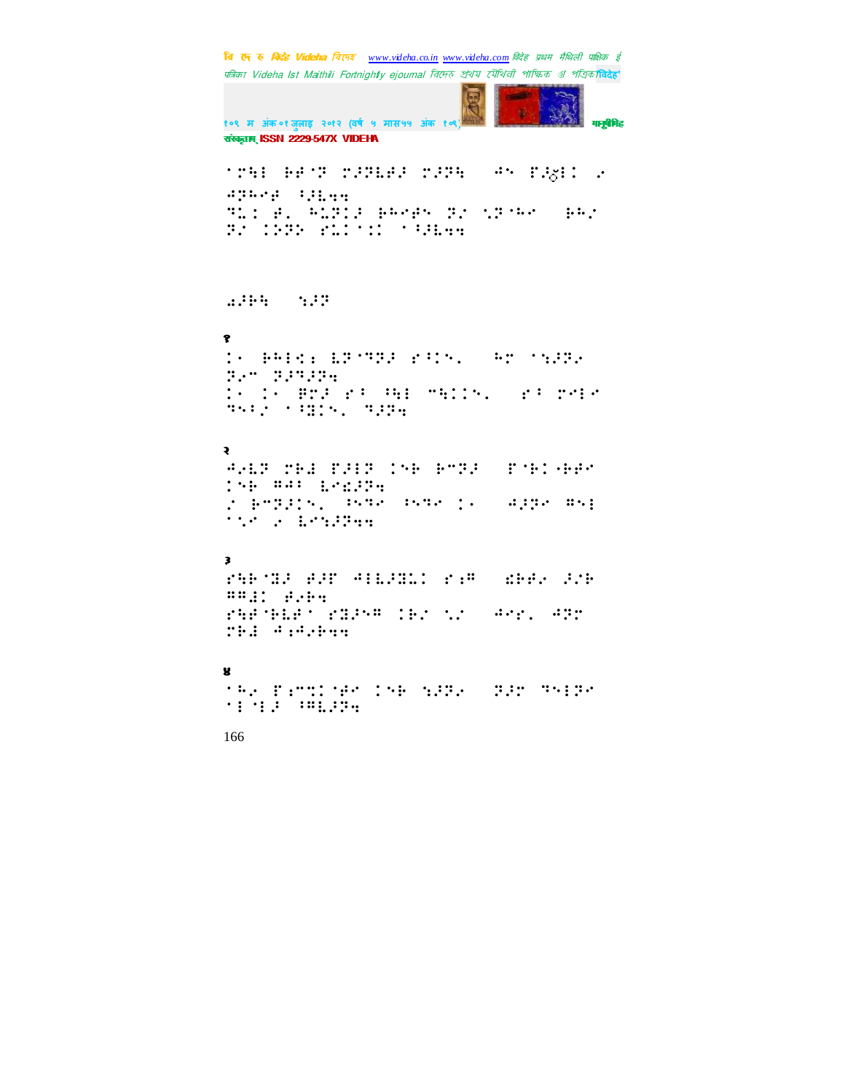**त्रि एन रु क्रिटेह Videha** विएम्ब \_www.videha.co.in\_www.videha.com विदेह प्रथम मैथिली पाक्षिक ई पत्रिका Videha Ist Maithili Fortnightly ejournal রিদেত প্রথম মৌথিনী পাক্ষিক ॳ পত্রিকাঁ<mark>বিदेह'</mark> १०९ म अंक ०१जुलाइ २०१२ (वष ५ मास५५ अंक १०९) मानुषीिमह संस्कृतम् ISSN 2229-547X VIDEHA ⣓!⢷⢾ ⢽!⢼⢽⣇⢾⢼!⢼⢽⣓-!⢺!2⢼◌ॅ!⢴! ⢺⢽⢳⢾!⢸⢼⣇⣒⣒! SQ! WE GET A STREET ⢽4!⢵⢽⢵!"⣅ ⣈!⢸⢼⣇⣒⣒! ⣔⢼⢷⣓.!⣑⢼⢽! १ l!⢷⢳⣊⣐!⣇⢽ ⢹⢽⢼!"⢸G-!⢳!⣑⢼⢽⢴! ⢽⢴^!⢽⢼⢹⢼⢽⣒! l: l: Bra ri Hi malls. ri ref SHIP CALLS: THE २ ⢺⢴⣇⢽.⢷⣜!2⢼⢽!⢷!⢷^⢽⢼-!2 ⢷D⢷⢾! **[00]** The Wall Constru  $\mathcal{L}$  Englis, then then is a sign map ⣁!⢴!⣇⣑⢼⢽⣒⣒! ३ "⣓⢷ ⣝⢼!⢾⢼2!⢺⣇⢼⣝⣅!"⣐⢻-!⣎⢷⢾⢴!⢼4⢷! ⢻⢻⣜!⢾⢴⢷⣒! "WHIP" 2008 2010 10:00 20:00 20:00 ⢷⣜!⢺⣐⢺⢴⢷⣒⣒! ४ ⢳⢴!2⣐^⣉ ⢾!⢷!⣑⢼⢽⢴-!⢽⢼!⢹⢽! ⢼.⢸⢻⣇⢼⢽⣒!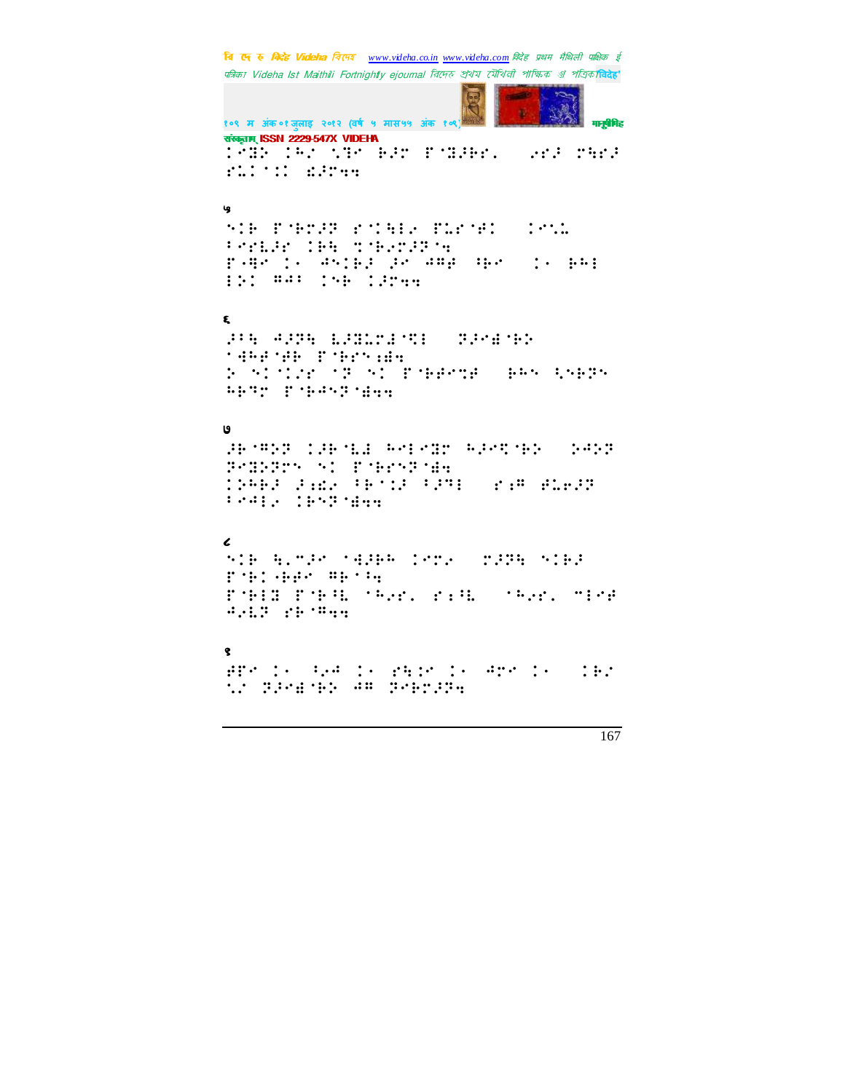**County** 

१०९ म अंक ०१जुलाइ २०१२ (वष ५ मास५५ अंक १०९) मानुषीिमह संस्कृतम् ISSN 2229-547X VIDEHA 10.000 10.000 10.000 10.000 10.000 10.000 10.000 10.000 10.000 10.000 10.000 10.000 10.000 10.000 10.000 10.00 "WELL" NO SERVICE ५ ⢷!2 ⢷⢼⢽!" ⣓⢴!2⣅" ⢾-!⣁⣅! C"'n C" is a strong water 2D⣛!l!⢺⢷⢼!⢼!⢺⢻⢾!⢸⢷-!l!⢷⢳! ⢵!⢻⢺C!⢷!⢼⣒⣒! ६  $U$ : Co $U$ ⣚⢳⢾ ⢾⢷!2 ⢷"⣐⣞⣒!  $\frac{1}{2}$  ,  $\frac{1}{2}$  ,  $\frac{1}{2}$  ,  $\frac{1}{2}$  ,  $\frac{1}{2}$  ,  $\frac{1}{2}$  ,  $\frac{1}{2}$  ,  $\frac{1}{2}$  ,  $\frac{1}{2}$  ,  $\frac{1}{2}$  ,  $\frac{1}{2}$  ,  $\frac{1}{2}$  ,  $\frac{1}{2}$  ,  $\frac{1}{2}$  ,  $\frac{1}{2}$  ,  $\frac{1}{2}$  ,  $\frac{1}{2}$  ,  $\frac{1}{2}$  ,  $\frac{1$ ⢳⢷⢹!2 ⢷⢺⢽ ⣞⣒⣒! ७ ⢼⢷ ⢻⢵⢽!⢼⢷ ⣇⣜!⢳⣝!⢳⢼⣋ ⢷⢵-!⢵⢺⢵⢽! ⢽⣝⢵⢽!!2 ⢷"⢽ ⣞⣒! ⢵⢳⢷⢼!⢼⣐⣎⢴.C⢷ ⣈⢼!C⢼⢹-!"⣐⢻!⢾⣅⢶⢼⢽! Códig Scott Chornain ८  $^{\prime}$  SIR AND CONTROLLED STREET  $2^{\circ}$   $2^{\circ}$   $2^{\circ}$   $2^{\circ}$   $2^{\circ}$   $2^{\circ}$   $2^{\circ}$   $2^{\circ}$   $2^{\circ}$   $2^{\circ}$   $2^{\circ}$   $2^{\circ}$   $2^{\circ}$   $2^{\circ}$   $2^{\circ}$   $2^{\circ}$   $2^{\circ}$   $2^{\circ}$   $2^{\circ}$   $2^{\circ}$   $2^{\circ}$   $2^{\circ}$   $2^{\circ}$   $2^{\circ}$   $2^{\circ}$   $2^{\circ}$   $2^{\circ}$   $2^{\circ}$ 2 ⢷⣝.2 ⢷⢸⣇!⢳⢴"G!"⣐⢸⣇-!⢳⢴"G!^⢾! ⢺⢴⣇⢽!"⢷ ⢻⣒⣒! ९ ∄Production to the pair in Arrow in the ⣁4!⢽⢼⣞ ⢷⢵!⢺⢻!⢽⢷⢼⢽⣒!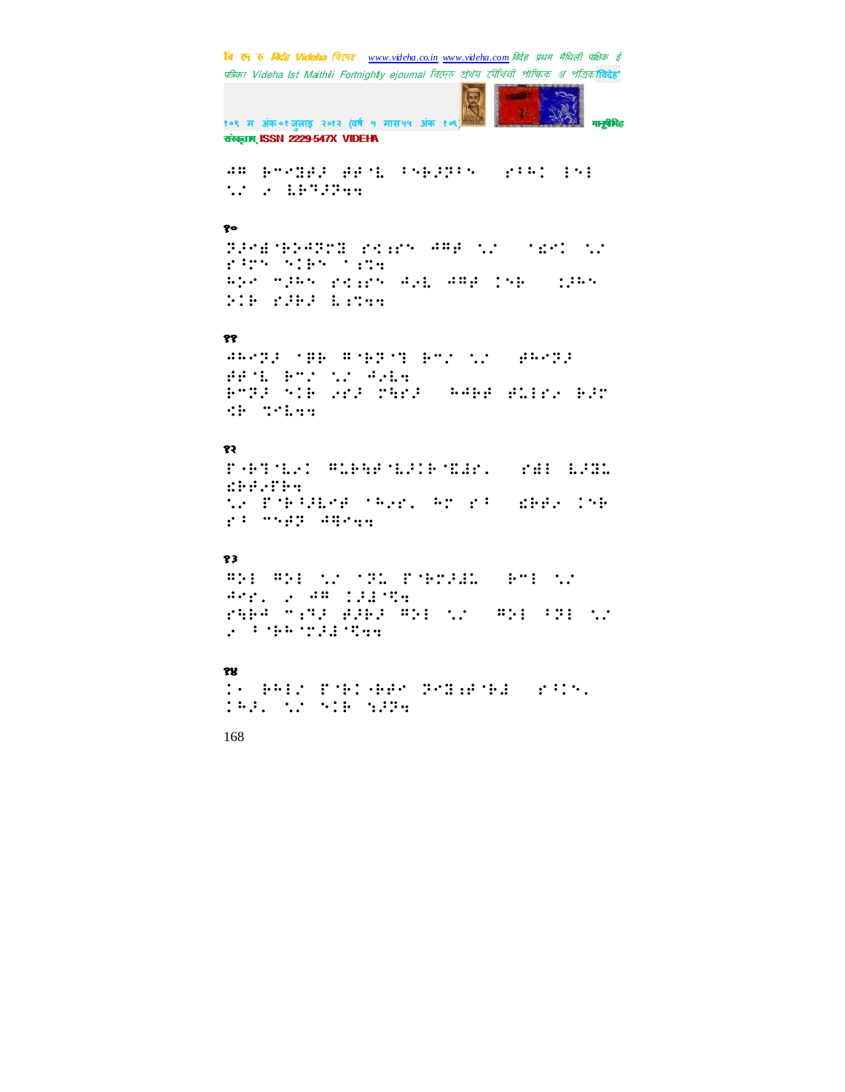१०९ म अंक ०१जुलाइ २०१२ (वष ५ मास५५ अंक १०९) मानुषीिमह संस्कृतम् ISSN 2229-547X VIDEHA

⢺⢻!⢷^⣝⢾⢼!⢾⢾ ⣇!C⢷⢼⢽C-!"C⢳!! ⣁4!⢴!⣇⢷⢹⢼⢽⣒⣒!

#### १०

⢽⢼⣞ ⢷⢵⢺⢽⣝!"⣊⣐"!⢺⢻⢾!⣁4-!⣎!⣁4!  $T$  : The control of the control of the control of the control of the control of the control of the control of the control of the control of the control of the control of the control of the control of the control of the co ⢳⢵!^⢼⢳!"⣊⣐"!⢺⢴⣇.⢺⢻⢾!⢷-!⣈⢼⢳!  $\ddot{a}$  . The state is a street

#### ११

⢺⢳⢽⢼!⢿⢷!⢻ ⢷⢽ ⣙!⢷^4!⣁4-!⢾⢳⢽⢼! ⢾⢾ ⣇!⢷^4!⣁4!⢺⢴⣇⣒! ⢷^⢽⢼!⢷!⢴"⢼.⣓"⢼-!⢳⢺⢷⢾!⢾⣅"⢴!⢷⢼! ⣊⢷!⣉⣇⣒⣒!

## १२

2D⢷⣙ ⣇⢴!⢻⣅⢷⣓⢾ ⣇⢼⢷ ⣏⣜"G-!"⣞!⣇⢼⣝⣅! ⣎⢷⢾⢴2⢷⣒!  $\sim$  PPRRef. The Construction "⢸!^⢾⢽.⢺⣛⣒⣒!

#### १३

⢻⢵.⢻⢵!⣁4!⢽⣅.2 ⢷⢼⣜⣅-!⢷^!⣁4! Gen. , G. 48, 194, 205 "⣓⢷⢺!^⣐⢹⢼!⢾⢼⢷⢼!⢻⢵!⣁4-!⢻⢵!C⢽!⣁4! ⢴!C ⢷⢳ ⢼⣜ ⣋⣒⣒!

#### १४

l : ##12 PHI-BEN PRINTED (115) ⢳⢼G!⣁4!⢷!⣑⢼⢽⣒!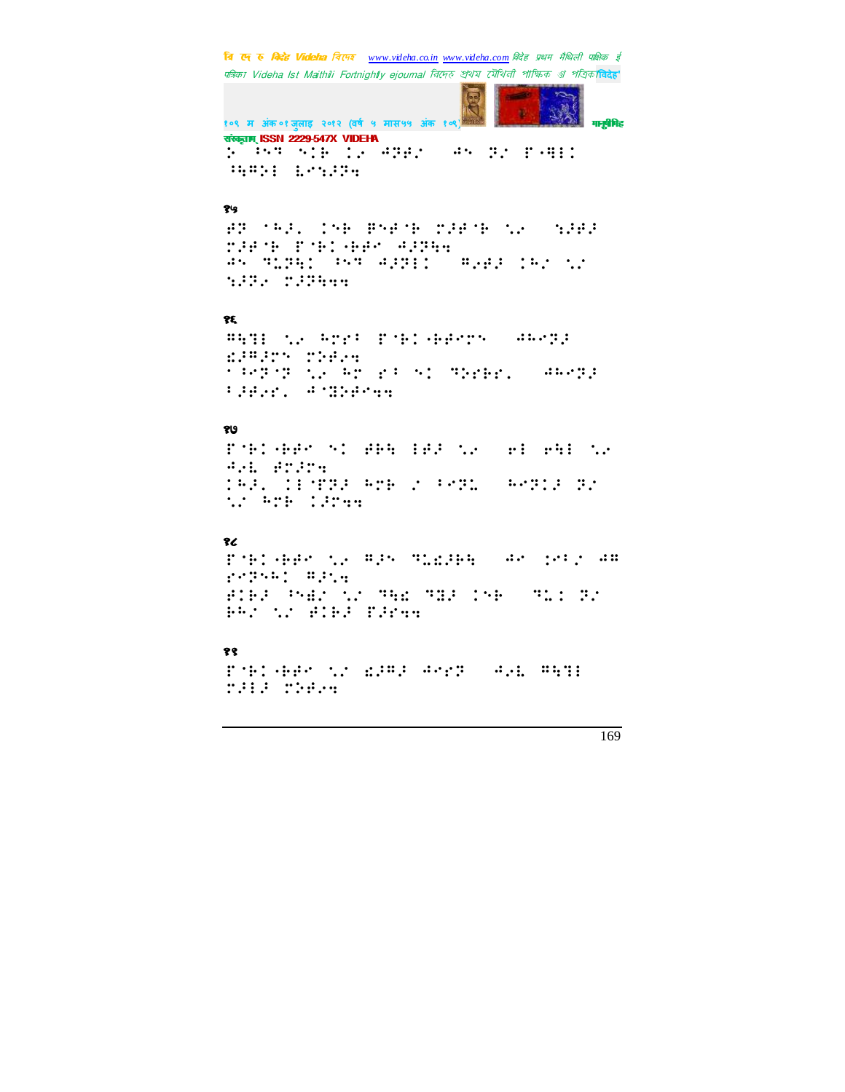**County** 

× १०९ म अंक ०१जुलाइ २०१२ (वष ५ मास५५ अंक १०९) मानुषीिमह संस्कृतम् ISSN 2229-547X VIDEHA  $\frac{1}{2}$  We show the state of the state of the state of the state of the state of the state of the state of the state of the state of the state of the state of the state of the state of the state of the state of the state ⢸⣓⢻⢵.⣇⣑⢼⢽⣒!

#### १५

 $'$  #F  $'$  +  $'$  +  $'$  +  $'$  +  $'$  +  $''$  +  $''$  +  $''$  +  $''$  +  $''$  +  $''$  +  $''$  +  $''$  +  $''$  +  $''$  +  $''$  +  $''$  +  $''$  +  $''$  +  $''$  +  $''$  +  $''$  +  $''$  +  $''$  +  $''$  +  $''$  +  $''$  +  $''$  +  $''$  +  $''$  +  $''$  +  $''$  +  $''$  +  $''$  +  $''$  +  $''$  +  $T$ .  $H$   $\rightarrow$   $T$   $\rightarrow$   $T$   $\rightarrow$   $T$   $\rightarrow$   $T$   $\rightarrow$   $T$   $\rightarrow$   $T$   $\rightarrow$   $T$   $\rightarrow$   $T$   $\rightarrow$   $T$   $\rightarrow$   $T$   $\rightarrow$   $T$   $\rightarrow$   $T$   $\rightarrow$   $T$   $\rightarrow$   $T$   $\rightarrow$   $T$   $\rightarrow$   $T$   $\rightarrow$   $T$   $\rightarrow$   $T$   $\rightarrow$   $T$   $\rightarrow$   $T$   $\rightarrow$   $T$   $\rightarrow$   $T$   $\rightarrow$   $T$   $\rightarrow$  €N NAPER GERER GERER IEN N ⣑⢼⢽⢴!⢼⢽⣓⣒⣒!

# १६

⢻⣓⣙!⣁⢴!⢳"C!2 ⢷D⢷⢾-!⢺⢳⢽⢼! ⣎⢼⢻⢼!⢵⢾⢴⣒! ⢸⢽ ⢽!⣁⢴!⢳!"⢸!.⢹⢵"⢷"G-!⢺⢳⢽⢼! COLORA CONTROL

#### १७

2 ⢷D⢷⢾!!⢾⢷⣓!⢾⢼!⣁⢴-!⢶.⢶⣓!⣁⢴! ⢺⢴⣇!⢾⢼⣒!  $\overline{1}$  43. C 2  $\overline{1}$  42  $\overline{2}$  42  $\overline{2}$  42  $\overline{2}$  42  $\overline{2}$  42  $\overline{2}$  42  $\overline{2}$  42  $\overline{2}$  42  $\overline{2}$  42  $\overline{2}$  42  $\overline{2}$  42  $\overline{2}$  42  $\overline{2}$  42  $\overline{2}$  42  $\overline{2}$  42  $\overline{2}$  42  $\overline{2}$  42 **WE SEE 122599** 

## १८

2 ⢷D⢷⢾!⣁⢴!⢻⢼!⢹⣅⣎⢼⢷⣓-!⢺!⣈C4!⢺⢻! "⢽⢳!⢻⢼⣁⣒! ⢾⢷⢼!⢸⣞4!⣁4!⢹⣓⣎!⢹⣝⢼!⢷-!⢹⣅⣈!⢽4! ⢷⢳4!⣁4!⢾⢷⢼!2⢼"⣒⣒!

# १९

2 ⢷D⢷⢾!⣁4!⣎⢼⢻⢼!⢺"⢽-!⢺⢴⣇!⢻⣓⣙! ⢼⢼!⢵⢾⢴⣒!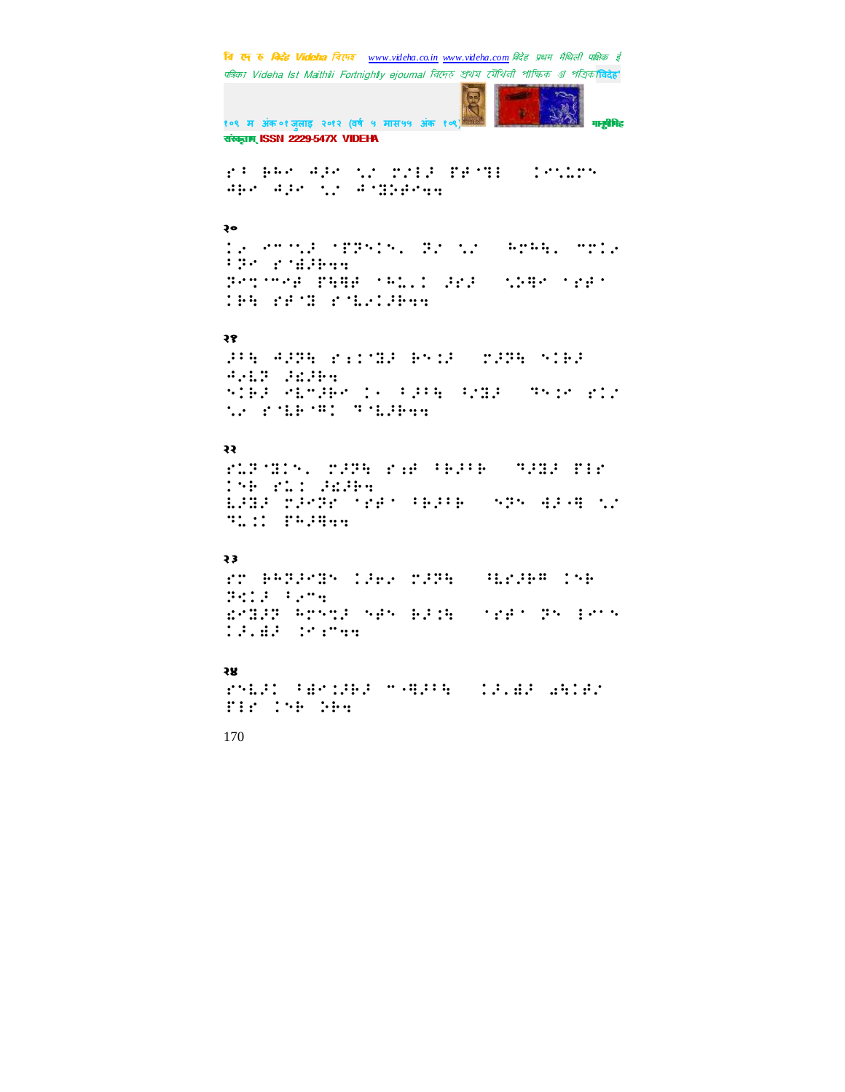१०९ म अंक ०१जुलाइ २०१२ (वष ५ मास५५ अंक १०९) मानुषीिमह संख्याम् ISSN 2229-547X VIDEHA

" $^{\prime}$  \*  $^{\prime}$  =  $^{\prime}$  +  $^{\prime}$  +  $^{\prime}$  +  $^{\prime}$  +  $^{\prime}$  +  $^{\prime}$  +  $^{\prime}$  +  $^{\prime}$  +  $^{\prime}$  +  $^{\prime}$  +  $^{\prime}$  +  $^{\prime}$  +  $^{\prime}$  +  $^{\prime}$  +  $^{\prime}$  +  $^{\prime}$  +  $^{\prime}$  +  $^{\prime}$  +  $^{\prime}$  +  $^{\prime}$  +  $^{\prime}$  +  $^{\prime}$  +  $^{\prime}$ GPC STREET

#### २०

 $\mathcal{L}$  , and  $\mathcal{L}$  are  $\mathcal{L}$  ,  $\mathcal{L}$  ,  $\mathcal{L}$  ,  $\mathcal{L}$  ,  $\mathcal{L}$  ,  $\mathcal{L}$  ,  $\mathcal{L}$  ,  $\mathcal{L}$  ,  $\mathcal{L}$  ,  $\mathcal{L}$  ,  $\mathcal{L}$  ,  $\mathcal{L}$  ,  $\mathcal{L}$  ,  $\mathcal{L}$  ,  $\mathcal{L}$  ,  $\mathcal{L}$  ,  $\mathcal{L}$  ,  $\mathcal{L}$ CON PROPERTY  $P$  . The property of the control of the control of the control of the control of the control of the control of the control of the control of the control of the control of the control of the control of the control of the c ⢷⣓!"⢾ ⣝!" ⣇⢴⢼⢷⣒⣒!

#### २१

 $'$  C  $'$  C  $'$  C  $''$  C  $''$  C  $''$  C  $''$  C  $''$  C  $''$  C  $''$  C  $''$  C  $''$  C  $''$  C  $''$  C  $''$  C  $''$  C  $''$  C  $''$  C  $''$  C  $''$  C  $''$  C  $''$  C  $''$  C  $''$  C  $''$  C  $''$  C  $''$  C  $''$  C  $''$  C  $''$  C  $''$  C  $''$  C  $''$  C  $''$  C  $''$  C  $''$  C  $''$  C ⢺⢴⣇⢽!⢼⣎⢼⢷⣒!  $^+$  . The state of the state of the state of the state of the state of the state of the state of the state of the state of the state of the state of the state of the state of the state of the state of the state of the sta  $\mathcal{L}$  , the form  $\mathcal{L}$  in the form

## २२

"⣅⢽ ⣝G!⢼⢽⣓!"⣐⢾!C⢷⢼C⢷-!⢹⢼⣝⢼!2"!  $T = T$ LEBE TEMP 'THIS SEEN STATE IN ⢹⣅⣈!2⢳⢼⣛⣒⣒!

#### २३

"!⢷⢳⢽⢼⣝!⢼⢶⢴!⢼⢽⣓-!⢸⣇"⢼⢷⢻!⢷! ⢽⣊⢼!C⢴^⣒! ⣎⣝⢼⢽!⢳⣉⢼!⢾!⢷⢼⣈⣓-!"⢾ !⢽!!  $G:G:G:G:G:G$ 

#### २४

"YAD C ! CONTROL THE CONTROL  $T!T'$  :  $T$  :  $T$  :  $T$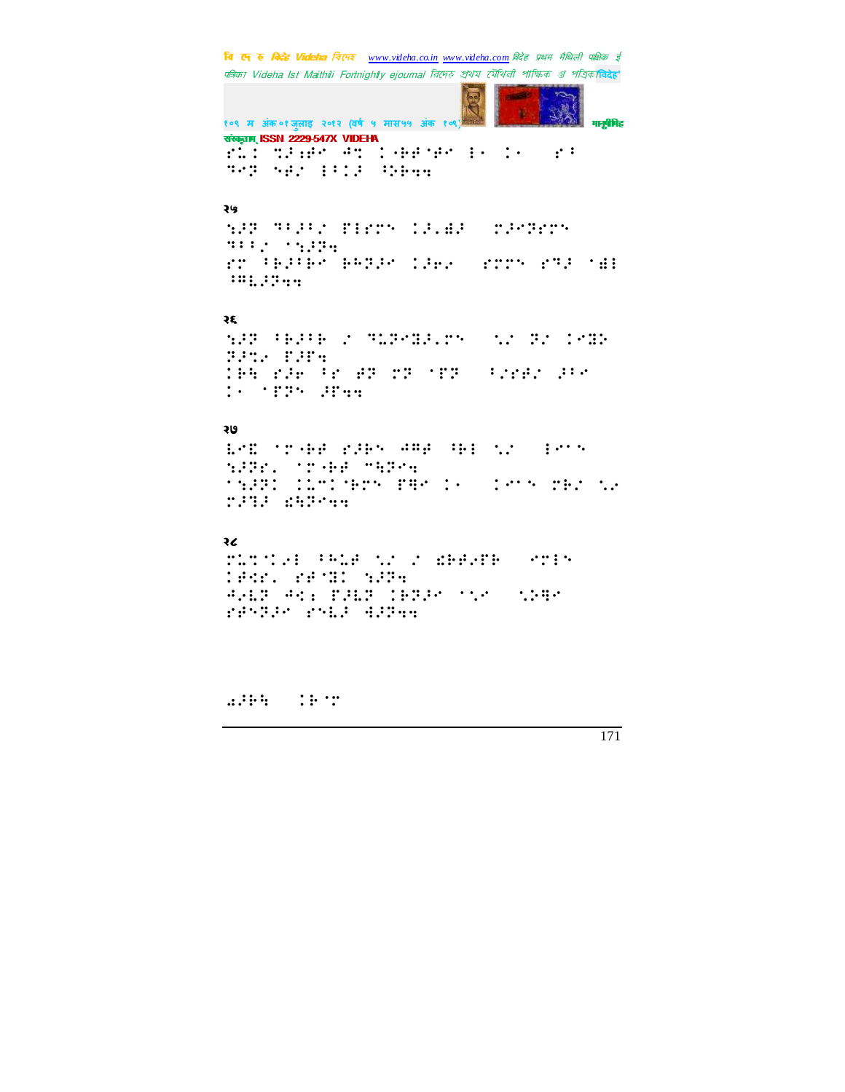ø १०९ म अंक ०१जुलाइ २०१२ (वष ५ मास५५ अंक १०९) मानुषीिमह संस्कृतम् ISSN 2229-547X VIDEHA

"⣅⣈.⣉⢼⣐⢾!⢺⣉!D⢷⢾ ⢾!l!l-!"⢸! SHE SHE SHE SHE SHE

#### २५

 $^{\prime}$  C42 = 24.24.2000  $^{\prime}$ ⢹CC4!⣑⢼⢽⣒!  $T$ .C $F$  .C $F$  . C $F$  . C $F$  . C $F$  . C $F$  . C $F$  . Consequently  $T$  . Consequently  $T$ ⢸⢻⣇⢼⢽⣒⣒!

# २६

 $^+$  4.0  $^+$  4.0  $^+$  4.0  $^+$  4.0  $^+$  4.0  $^+$  4.0  $^+$  4.0  $^+$  4.0  $^+$  4.0  $^+$  4.0  $^+$  4.0  $^+$  4.0  $^+$  4.0  $^+$  4.0  $^+$  4.0  $^+$  4.0  $^+$  4.0  $^+$  4.0  $^+$  4.0  $^+$  4.0  $^+$  4.0  $^+$  4.0  $^+$  4.0  $^+$  4.0  $^+$  4 ⢽⢼⣉⢴.2⢼2⣒! 1₽₩ 20₽ 12 40 20 100 100 200 200 l!2⢽!⢼2⣒⣒!

#### २७

LED TRANS FREE SHE HE NO SERVE  $^{\prime}$ S. C. C. C. G. G. C. C. C. C. C. C.  $^+$ \$22! Class the FRP (2001) Control Physics ⢼⣙⢼!⣎⣓⢽⣒⣒!

#### २८

⣅⣉ ⢴!C⢳⣅⢾!⣁4!4!⣎⢷⢾⢴2⢷-!! ⢾⣊"G!"⢾ ⣝!⣑⢼⢽⣒! ⢺⢴⣇⢽!⢺⣊⣐!2⢼⣇⢽!⢷⢽⢼!⣁-!⣁⢵⣛! "⢾⢽⢼!"⣇⢼!⣚⢼⢽⣒⣒!

⣔⢼⢷⣓.!⢷ !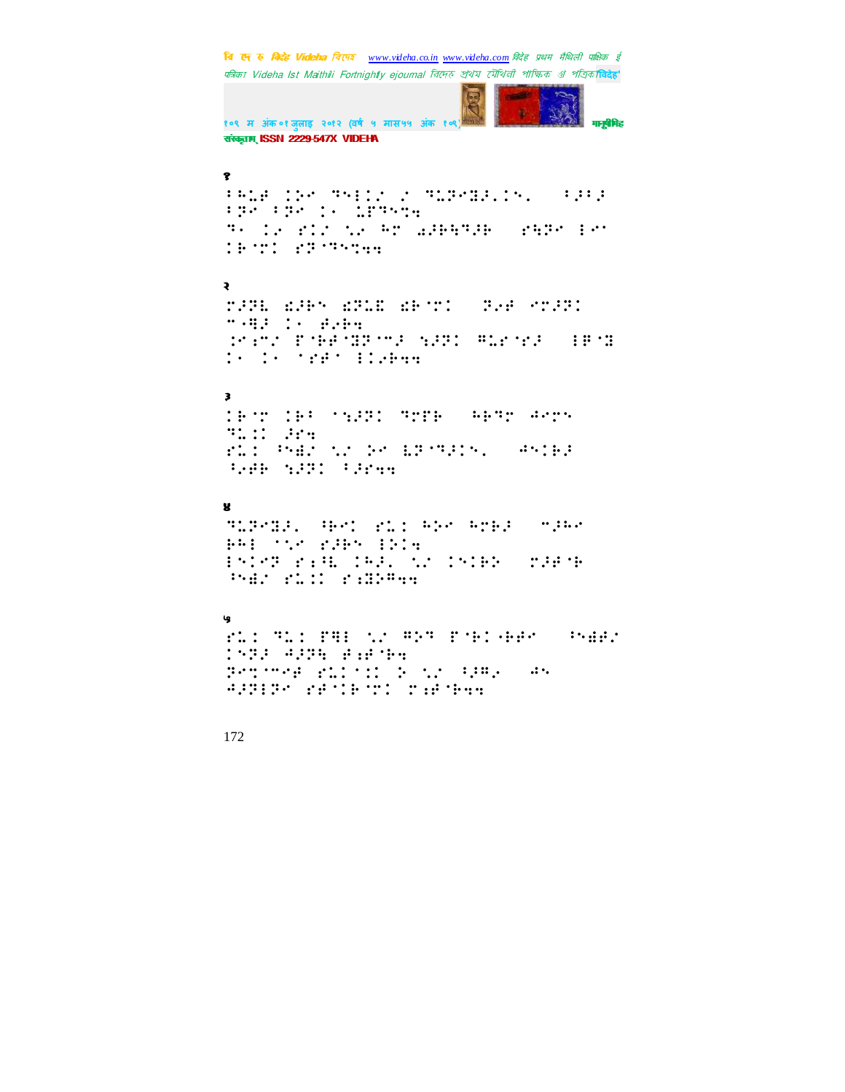१०९ म अंक ०१जुलाइ २०१२ (वष ५ मास५५ अंक १०९) मानुषीिमह संख्याम् ISSN 2229-547X VIDEHA



#### १

PAGE IRK MADIS STREET C�.Cº.C. Co SA IS RIT AS REALISE SHOW PH  $\frac{1}{2}$  :  $\frac{1}{2}$   $\frac{1}{2}$  :  $\frac{1}{2}$  :  $\frac{1}{2}$  :  $\frac{1}{2}$  :  $\frac{1}{2}$  :  $\frac{1}{2}$  :  $\frac{1}{2}$  :  $\frac{1}{2}$  :  $\frac{1}{2}$  :  $\frac{1}{2}$  :  $\frac{1}{2}$  :  $\frac{1}{2}$  :  $\frac{1}{2}$  :  $\frac{1}{2}$  :  $\frac{1}{2}$  :  $\frac{1}{2}$  :  $\frac{1}{2}$ 

## २

⢼⢽⣇!⣎⢼⢷!⣎⢽⣅⣏!⣎⢷ -!⢽⢴⢾!⢼⢽!  $\overline{\phantom{a}}$ ⣈⣐^4!2 ⢷⢾ ⣝⢽ ^⢼!⣑⢼⢽!⢻⣅" "⢼-!⢿ ⣝! l: l: 'ff' llebes

## ३

 $1001$ ⢹⣅⣈!⢼"⣒! "⣅⣈!⢸⣞4!⣁4!⢵!⣇⢽ ⢹⢼G-!⢺⢷⢼! ⢸⢴⢾⢷!⣑⢼⢽!C⢼"⣒⣒!

# ४

⢹⣅⢽⣝⢼G!⢸⢷!"⣅⣈!⢳⢵!⢳⢷⢼-!^⢼⢳! ⢷⢳!⣁!"⢼⢷!⢵⣒!  $\frac{1}{2}$   $\frac{1}{2}$   $\frac{1}{2}$   $\frac{1}{2}$   $\frac{1}{2}$   $\frac{1}{2}$   $\frac{1}{2}$   $\frac{1}{2}$   $\frac{1}{2}$   $\frac{1}{2}$   $\frac{1}{2}$   $\frac{1}{2}$   $\frac{1}{2}$   $\frac{1}{2}$   $\frac{1}{2}$   $\frac{1}{2}$   $\frac{1}{2}$   $\frac{1}{2}$   $\frac{1}{2}$   $\frac{1}{2}$   $\frac{1}{2}$   $\frac{1}{2}$   $\$  $\ddot{H}$ 

#### ५

"⣅⣈.⢹⣅⣈!2⣛!⣁4!⢻⢵⢹!2 ⢷D⢷⢾-!⢸⣞⢾4! ⢽⢼!⢺⢼⢽⣓!⢾⣐⢾ ⢷⣒! ⢽⣉ ^⢾!"⣅ ⣈!⢵!⣁4!⢸⢼⢻⢴-!⢺! ⢺⢼⢽⢽!"⢾ ⢷ !⣐⢾ ⢷⣒⣒!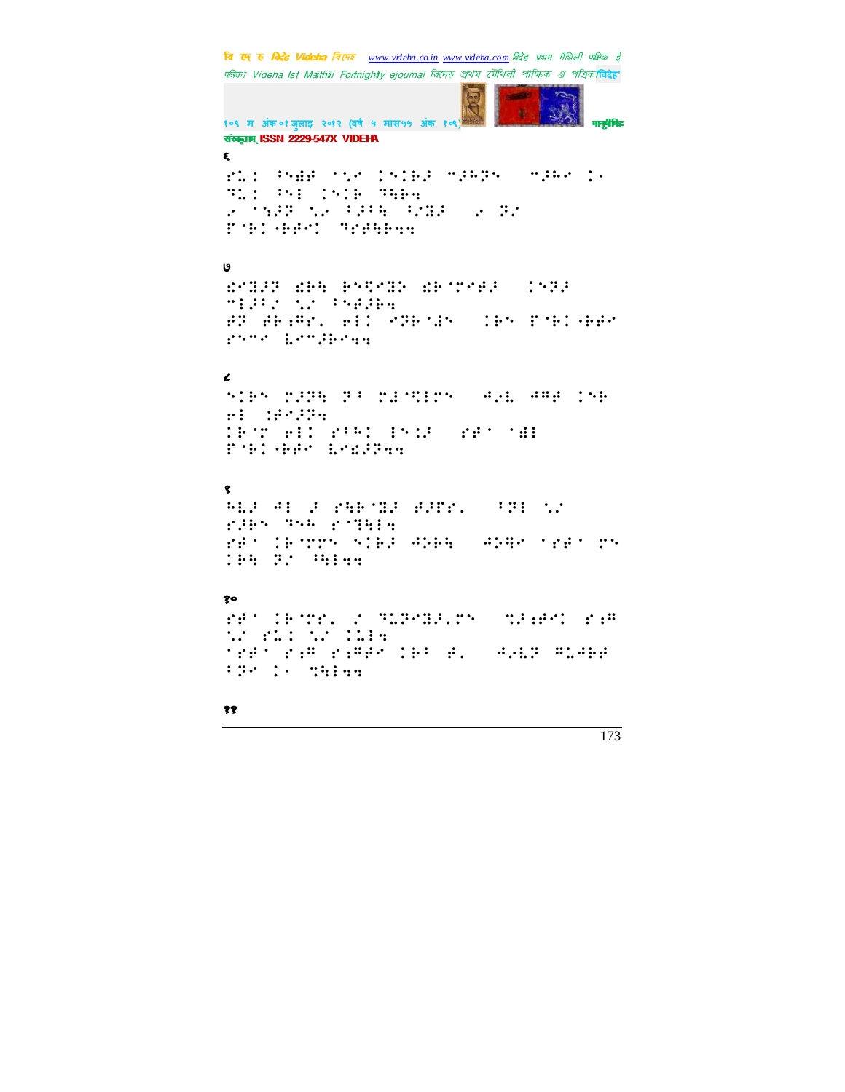**County** १०९ म अंक ०१जुलाइ २०१२ (वष ५ मास५५ अंक १०९) मानुषीिमह संस्कृतम् ISSN 2229-547X VIDEHA ६ T. : PHE TAT INTER THREE THREE ⢹⣅⣈!⢸!⢷!⢹⣓⢷⣒!  $\frac{1}{2}$   $\frac{1}{4}$   $\frac{1}{4}$   $\frac{1}{4}$   $\frac{1}{4}$   $\frac{1}{4}$   $\frac{1}{4}$   $\frac{1}{4}$   $\frac{1}{4}$   $\frac{1}{4}$   $\frac{1}{4}$   $\frac{1}{4}$   $\frac{1}{4}$   $\frac{1}{4}$   $\frac{1}{4}$   $\frac{1}{4}$   $\frac{1}{4}$   $\frac{1}{4}$   $\frac{1}{4}$   $\frac{1}{4}$   $\frac{1}{4}$   $\frac{1}{4}$   $\$  $2^{\prime\prime}$   $2^{\prime\prime}$   $2^{\prime\prime}$   $2^{\prime\prime}$   $2^{\prime\prime}$   $2^{\prime\prime}$   $2^{\prime\prime}$   $2^{\prime\prime}$   $2^{\prime\prime}$   $2^{\prime\prime}$   $2^{\prime\prime}$   $2^{\prime\prime}$   $2^{\prime\prime}$   $2^{\prime\prime}$   $2^{\prime\prime}$   $2^{\prime\prime}$   $2^{\prime\prime}$   $2^{\prime\prime}$   $2^{\prime\prime}$   $2^{\prime\prime}$   $2^{\prime\prime}$   $2^{\prime\prime}$   $2$ ७ ⣎⣝⢼⢽!⣎⢷⣓!⢷⣋⣝⢵!⣎⢷ ⢾⢼-!⢽⢼! ^⢼C4!⣁4!C⢾⢼⢷⣒! ⢾⢽.⢾⢷⣐⢻"G!⢶!⢽⢷ ⣜-!⢷!2 ⢷D⢷⢾! "^.⣇^⢼⢷⣒⣒! ८ ⢷!⢼⢽⣓!⢽⢸.⣜ ⣋-!⢺⢴⣇!⢺⢻⢾!⢷!  $H = H \cup H \cup H$  $[1812]$  .  $[1612]$  .  $[1612]$  .  $[1612]$  .  $[1612]$  .  $[1612]$  .  $[1612]$  $2^{\circ}$ ९ ⢳⣇⢼!⢺!⢼!"⣓⢷ ⣝⢼!⢾⢼2"G-!C⢽!⣁4! "⢼⢷!⢹⢳!" ⣙⣓⣒! "⢾ !⢷ !⢷⢼!⢺⢵⢷⣓-!⢺⢵⣛!"⢾ !! ⢷⣓!⢽4!⢸⣓⣒⣒! १०

"⢾ !⢷ "G!4!⢹⣅⢽⣝⢼G-!⣉⢼⣐⢾!"⣐⢻!  $\ddot{4}$  . The second control "⢾ !"⣐⢻!"⣐⢻⢾!⢷C!⢾G-!⢺⢴⣇⢽!⢻⣅⢺⢷⢾! CONTROL CONTROL

११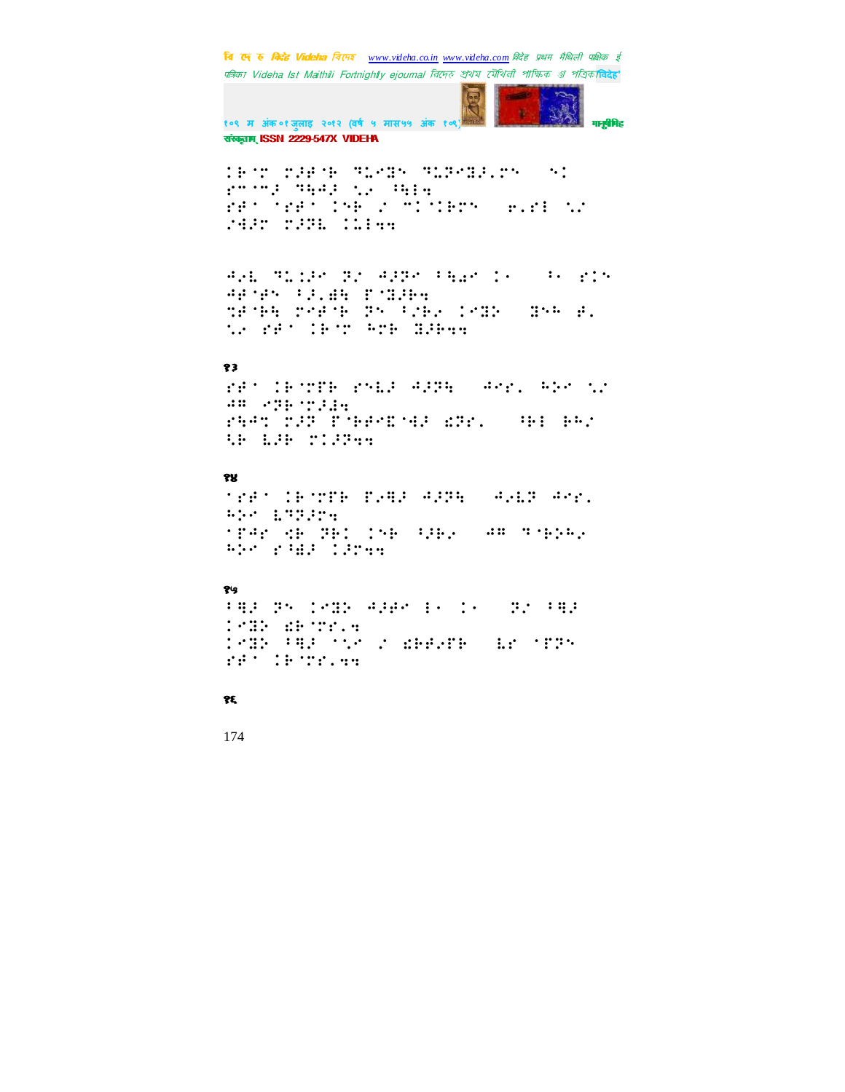**County** १०९ म अंक ०१जुलाइ २०१२ (वष ५ मास५५ अंक १०९) मानुषीिमह

⢷ !⢼⢾ ⢷!⢹⣅⣝!⢹⣅⢽⣝⢼G-!! "^ ^⢼!⢹⣓⢺⢼!⣁⢴!⢸⣓⣒! "⢾ !"⢾ !⢷!4!^ ⢷-!⢶G"!⣁4! 4⣚⢼!⢼⢽⣇!⣅⣒⣒!

संस्कृतम् ISSN 2229-547X VIDEHA

H2l Plike Br APPS Faas In (Front) **GENER COMMENTS** ⣉⢾ ⢷⣓.⢾ ⢷!⢽!C4⢷⢴!⣝⢵-!⣝⢳!⢾G! ⣁⢴!"⢾ !⢷ !⢳⢷!⣝⢼⢷⣒⣒!

#### १३

"⢾ !⢷ 2⢷!"⣇⢼!⢺⢼⢽⣓-!⢺"G!⢳⢵!⣁4!  $\overline{u}$   $\overline{u}$   $\overline{u}$   $\overline{u}$   $\overline{u}$   $\overline{u}$   $\overline{u}$   $\overline{u}$ "⣓⢺⣉!⢼⢽!2 ⢷⢾⣏ ⣚⢼!⣎⢽"G-!⢸⢷!⢷⢳4! ⣃⢷.⣇⢼⢷!⢼⢽⣒⣒!

# १४

" $^{\prime}$  rd  $^{\prime}$  : 2012 : 2013 : 2014 : 2014 : 2014 : 2014 : 2014 : 2014 : 2014 : 2014 : 2014 : 2014 : 2014 :  $\frac{1}{2}$ 2⢺"!⣊⢷!⢽⢷!⢷!⢸⢼⢷⢴-!⢺⢻!⢹ ⢷⢵⢳⢴!  $\frac{1}{2}$ 

#### १५

CQ P ROLL CONTROLL CONTROLL  $\Box$  The Section ⣝⢵!C⣛⢼!⣁!4!⣎⢷⢾⢴2⢷-!⣇"!2⢽!  $T\ddot{H}$  "  $T\ddot{H}$  "The state  $T$ 

## १६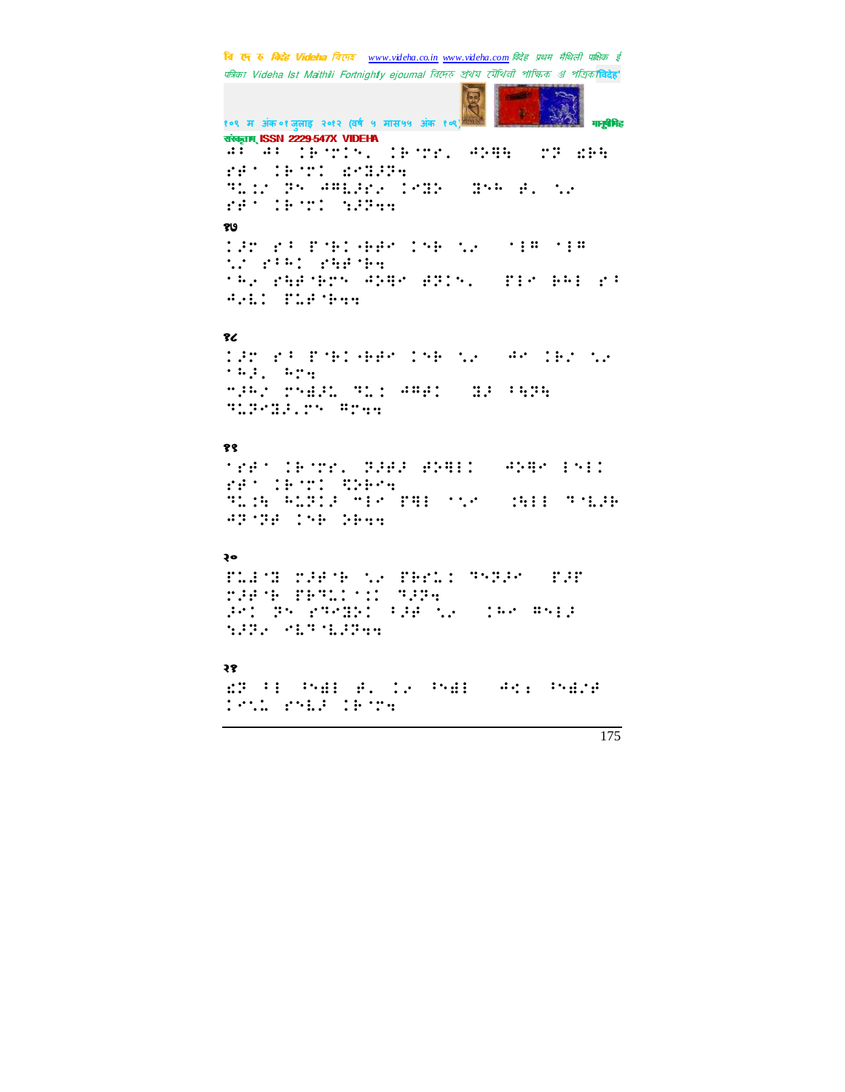**County** 

ø १०९ म अंक ०१जुलाइ २०१२ (वष ५ मास५५ अंक १०९) मानुषीिमह संस्कृतम् ISSN 2229-547X VIDEHA  $\overline{G}$  (Fig. C. C. C. C. C. C. C. C. C. C.  $^{\prime}$  :  $^{\prime}$  :  $^{\prime}$  :  $^{\prime}$  :  $^{\prime}$  :  $^{\prime}$  :  $^{\prime}$  :  $^{\prime}$  :  $^{\prime}$  :  $^{\prime}$  :  $^{\prime}$  :  $^{\prime}$  :  $^{\prime}$  :  $^{\prime}$  :  $^{\prime}$  :  $^{\prime}$  :  $^{\prime}$  :  $^{\prime}$  :  $^{\prime}$  :  $^{\prime}$  :  $^{\prime}$  :  $^{\prime}$  :  $^{\prime}$  :  $^{\prime}$  :  $^{\prime}$ Hin 2019 Page 2018 Page 2019 Page 2019 Page 2019 Page 2019 Page 2019 Page 2019 Page 2019 Page 2019  $^{\prime}$  :  $^{\prime}$  :  $^{\prime}$  :  $^{\prime}$  :  $^{\prime}$  :  $^{\prime}$  :  $^{\prime}$  :  $^{\prime}$  :  $^{\prime}$  :  $^{\prime}$  :  $^{\prime}$  :  $^{\prime}$  :  $^{\prime}$  :  $^{\prime}$  :  $^{\prime}$  :  $^{\prime}$  :  $^{\prime}$  :  $^{\prime}$  :  $^{\prime}$  :  $^{\prime}$  :  $^{\prime}$  :  $^{\prime}$  :  $^{\prime}$  :  $^{\prime}$  :  $^{\prime}$ १७

 $12$   $22$   $23$   $24$   $25$   $26$   $27$   $28$   $29$   $29$   $29$   $29$   $29$   $29$ ⣁4!"C⢳!"⣓⢾ ⢷⣒! ⢳⢴!"⣓⢾ ⢷!⢺⢵⣛!⢾⢽G-!2!⢷⢳!"⢸! ⢺⢴⣇!2⣅⢾ ⢷⣒⣒!

#### १८

 $\overline{1}$ .Program The The Sheet (1980) is the Company of the Company of the Company of the Company of the Company of the Company of the Company of the Company of the Company of the Company of the Company of the Company of t ⢳⢼G.⢳⣒! ^⢼⢳4!⣞⢼⣅!⢹⣅⣈!⢺⢻⢾-!⣝⢼!C⣓⢽⣓! ⢹⣅⢽⣝⢼G!⢻⣒⣒!

## १९

"\ret lett. BHA e2911 - 4295 E511 "⢾ !⢷ !⣋⢵⢷⣒! ⢹⣅⣈⣓!⢳⣅⢽⢼!^!2⣛!⣁-!⣈⣓!⢹ ⣇⢼⢷! ⢺⢽ ⢽⢾!⢷!⢵⢷⣒⣒!

#### २०

2⣅⣜ ⣝!⢼⢾ ⢷!⣁⢴!2⢷"⣅⣈!⢹⢽⢼-!2⢼2! ⢼⢾ ⢷!2⢷⢹⣅ ⣈!⢹⢼⢽⣒! ⢼!⢽!"⢹⣝⢵!C⢼⢾!⣁⢴-!⢳!⢻⢼! ⣑⢼⢽⢴!⣇⢹ ⣇⢼⢽⣒⣒!

#### २१

⣎⢽!C!⢸⣞!⢾G!⢴!⢸⣞-!⢺⣊⣐!⢸⣞4⢾!  $\dddot{z}$  "  $\dddot{z}$  =  $\dddot{z}$   $\dddot{z}$   $\dddot{z}$  =  $\ddot{z}$   $\dddot{z}$  =  $\ddot{z}$  =  $\ddot{z}$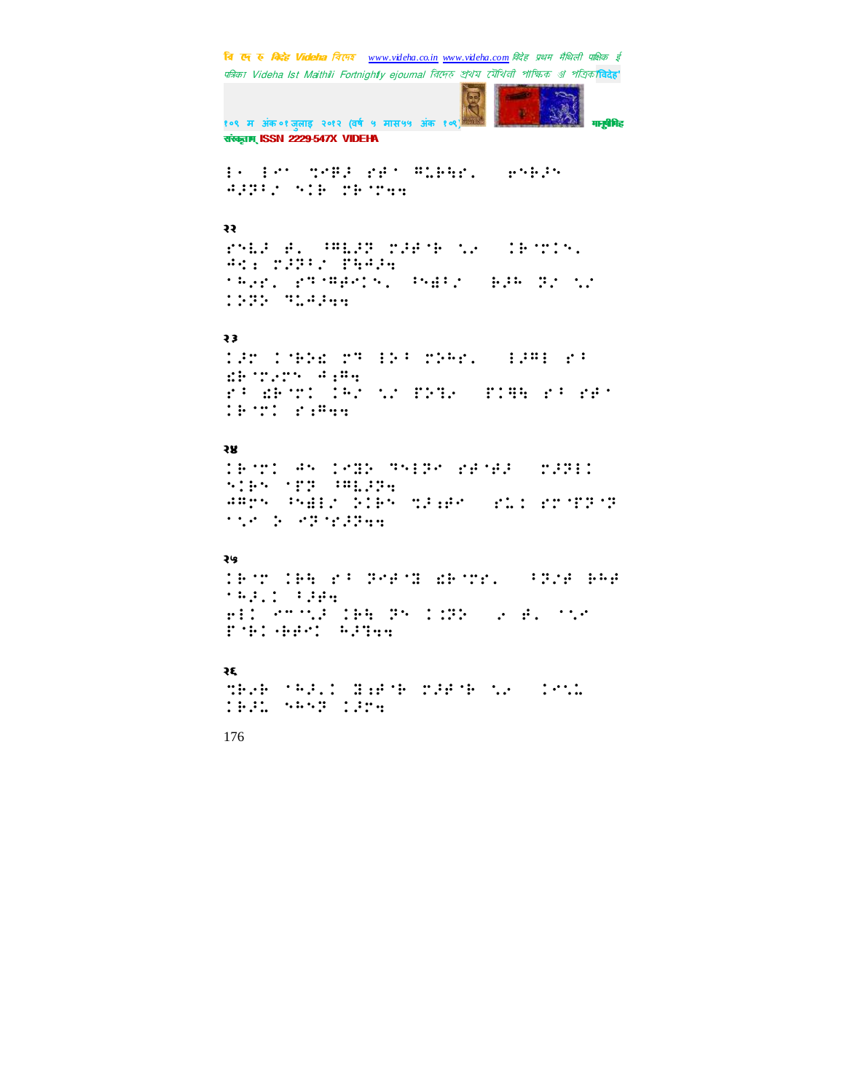१०९ म अंक ०१जुलाइ २०१२ (वष ५ मास५५ अंक १०९) मानुषीिमह संस्कृतम् ISSN 2229-547X VIDEHA



l: let tell set mines. Proble ⢺⢼⢽C4!⢷!⢷ ⣒⣒!

#### २२

THE B. WHERE THE SAN INTITY.  $G$ ⢳⢴"G!"⢹ ⢻⢾G!⢸⣞C4-!⢷⢼⢳!⢽4!⣁4! ⢵⢽⢵!⢹⣅⢺⢼⣒⣒!

## २३

 $\frac{1}{2}$ .  $\frac{1}{2}$   $\frac{1}{2}$   $\frac{1}{2}$   $\frac{1}{2}$   $\frac{1}{2}$   $\frac{1}{2}$   $\frac{1}{2}$   $\frac{1}{2}$   $\frac{1}{2}$   $\frac{1}{2}$   $\frac{1}{2}$   $\frac{1}{2}$   $\frac{1}{2}$   $\frac{1}{2}$   $\frac{1}{2}$   $\frac{1}{2}$   $\frac{1}{2}$   $\frac{1}{2}$   $\frac{1}{2}$   $\frac{1}{2}$   $\frac{1}{2}$  ⣎⢷ ⢴!⢺⣐⢻⣒! FOR ENTIRE THE POST PROPERTY IN THE POST PROPERTY.  $[10111, 11101]$ 

## २४

⢷ !⢺!⣝⢵!⢹⢽!"⢾ ⢾⢼-!⢼⢽! **SING THE CONSTRU** ARM SHE SIR SARA SILI PETER ⣁!⢵!⢽ "⢼⢽⣒⣒!

# २५

 $10.75$  . The state of the state  $10.4$ ⢳⢼G!C⢼⢾⣒!  $\pm$  0  $\pm$  0  $\pm$  0  $\pm$  0  $\pm$  0  $\pm$  0  $\pm$  0  $\pm$  0  $\pm$  0  $\pm$  0  $\pm$  0  $\pm$  0  $\pm$  0  $\pm$  0  $\pm$  $2.921 \pm 0.000$ 

# २६

⣉⢷⢴⢷!⢳⢼G!⣝⣐⢾ ⢷!⢼⢾ ⢷!⣁⢴-!⣁⣅! ⢷⢼⣅!⢳⢽!⢼⣒!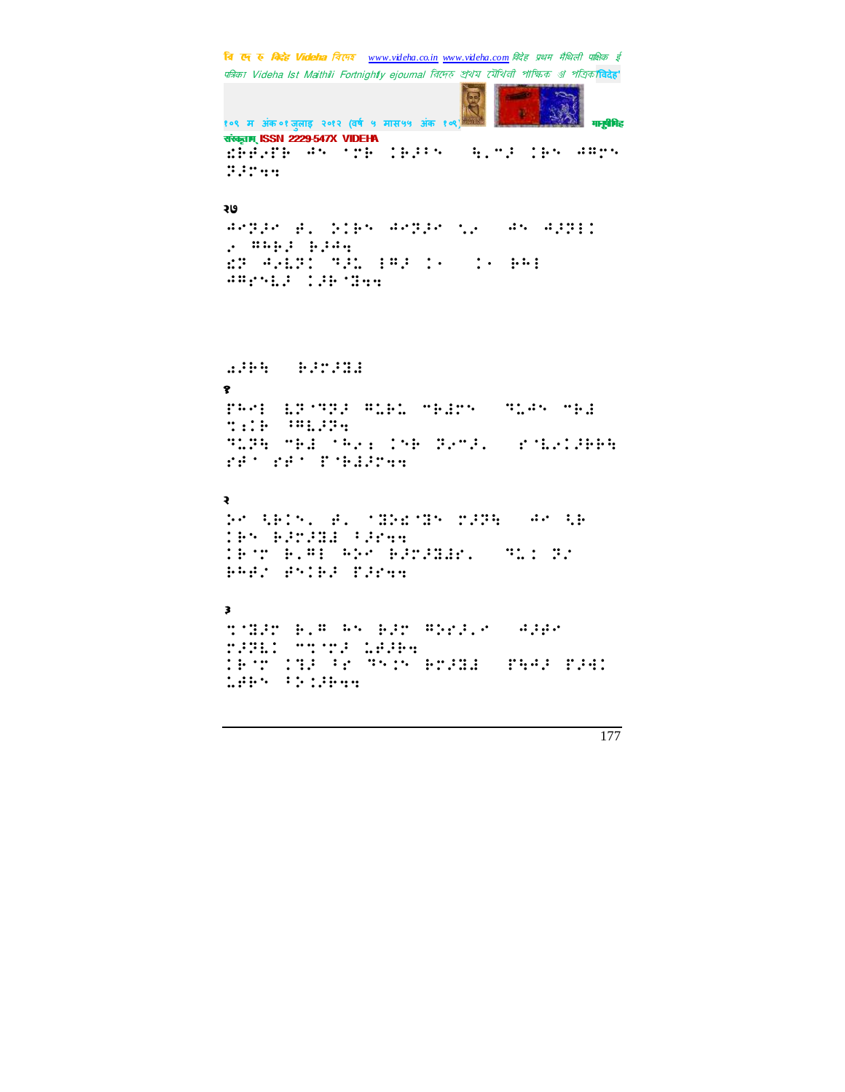**County** १०९ म अंक ०१जुलाइ २०१२ (वष ५ मास५५ अंक १०९) मानुषीिमह संस्कृतम् ISSN 2229-547X VIDEHA ₫ĤĤVPE 45 TOE 18295 | R.M. 185 4805 ⢽⢼⣒⣒! २७ ⢺⢽⢼!⢾G!⢵⢷!⢺⢽⢼!⣁⢴-!⢺!⢺⢼⢽! ⢴!⢻⢳⢷⢼!⢷⢼⢺⣒! ⣎⢽!⢺⢴⣇⢽!⢹⢼⣅!⢻⢼!l-!l!⢷⢳! ⢺⢻"⣇⢼!⢼⢷ ⣝⣒⣒! ⣔⢼⢷⣓.!⢷⢼⢼⣝⣜! १ 2⢳!⣇⢽ ⢹⢽⢼!⢻⣅⢷⣅!^⢷⣜-!⢹⣅⢺!^⢷⣜! ⣉⣐⢷!⢸⢻⣇⢼⢽⣒! ⢹⣅⢽⣓!^⢷⣜!⢳⢴⣐!⢷!⢽⢴^⢼G-!" ⣇⢴⢼⢷⢷⣓! "⢾ !"⢾ !2 ⢷⣜⢼⣒⣒! २  $C$  GR  $\sim$  GR  $\sim$  GR  $\sim$  GR  $\sim$  GR  $\sim$  GR  $\sim$  GR  $\sim$  GR  $\sim$ ⢷!⢷⢼⢼⣝⣜!C⢼"⣒⣒!  $'$  ! : The state is the state in the state in the state is the state in the state in the state in the state in the state in the state in the state in the state in the state in the state in the state in the state in the st ⢷⢳⢾4!⢾⢷⢼!2⢼"⣒⣒! ३ ⣉ ⣝⢼!⢷G⢻!⢳!⢷⢼!⢻⢵"⢼G-!⢺⢼⢾. ⢼⢽⣇!^⣉ ⢼!⣅⢾⢼⢷⣒!  $\{$  . The strip of the state of the state of the state of the state of the state of the state of the state of ⣅⢾⢷!C⢵⣈⢼⢷⣒⣒!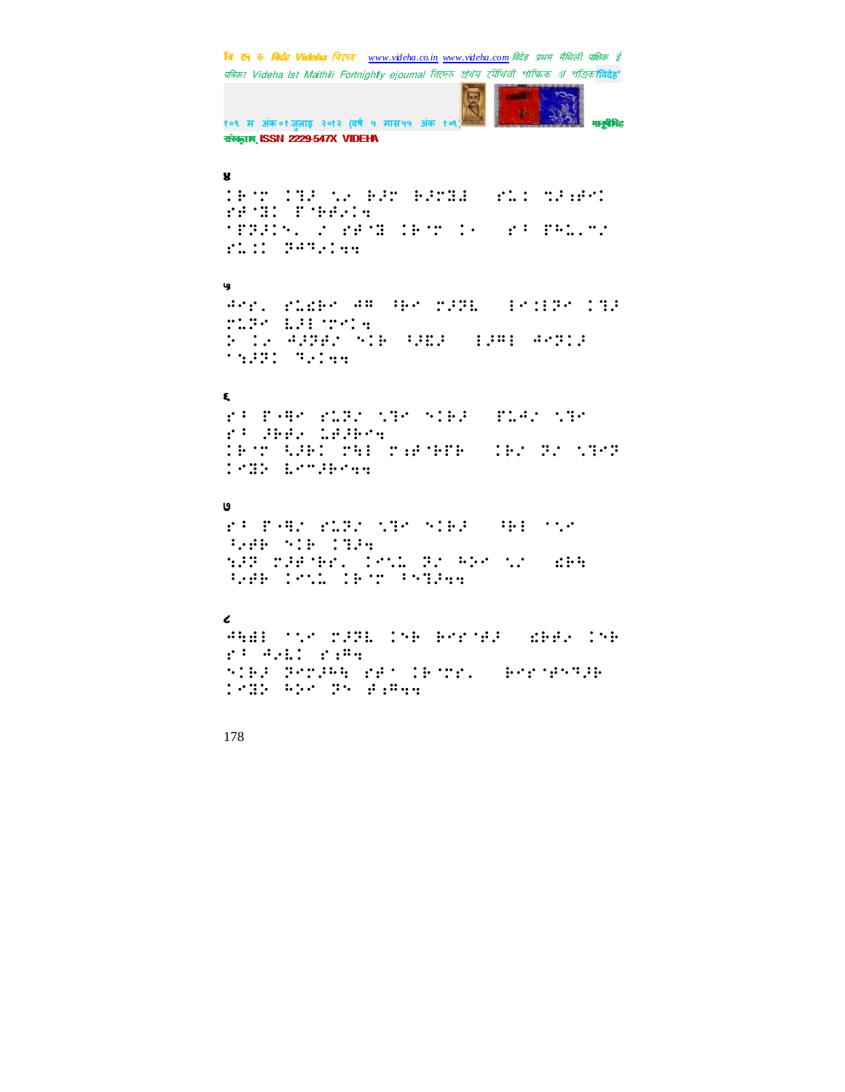१०९ म अंक ०१जुलाइ २०१२ (वष ५ मास५५ अंक १०९) मानुषीिमह संख्याम् ISSN 2229-547X VIDEHA

# **County**  $\mathcal{G}$

#### ४

 $^{\circ}$  . For  $^{\circ}$  . For  $^{\circ}$  . For  $^{\circ}$  . The set  $^{\circ}$ "⢾ ⣝!2 ⢷⢾⢴⣒! 2⢽⢼G!4!"⢾ ⣝!⢷ !l-!"⢸!2⢳⣅G^4! "⣅⣈!⢽⢺⢹⢴⣒⣒!

## ५

Her. Plake H# H# Plake H# H## 198 ⣅⢽!⣇⢼ ⣒! ⢵!⢴!⢺⢼⢽⢾4!⢷!⢸⢼⣏⢼-!⢼⢻!⢺⢽⢼! ⣑⢼⢽!⢹⢴⣒⣒!

# ६

"⢸!2D⣛!"⣅⢽4!⣁⣙!⢷⢼-!2⣅⢺4!⣁⣙! "⢸!⢼⢷⢾⢴!⣅⢾⢼⢷⣒!  $15$  or the state state of  $22$  and  $42$ ⣝⢵!⣇^⢼⢷⣒⣒!

# ७

"⢸!2D⣛4."⣅⢽4!⣁⣙!⢷⢼-!⢸⢷!⣁! ⢸⢴⢾⢷!⢷!⣙⢼⣒! ⣑⢼⢽!⢼⢾ ⢷"G!⣁⣅!⢽4!⢳⢵!⣁4-!⣎⢷⣓! ⢸⢴⢾⢷!⣁⣅!⢷ .C⣙⢼⣒⣒!

# ८

⢺⣓⣞!⣁!⢼⢽⣇!⢷!⢷" ⢾⢼-!⣎⢷⢾⢴!⢷! "⢸!⢺⢴⣇!"⣐⢻⣒! ⢷⢼!⢽⢼⢳⣓!"⢾ !⢷ "G-!⢷" ⢾⢹⢼⢷! ⣝⢵!⢳⢵!⢽!⢾⣐⢻⣒⣒!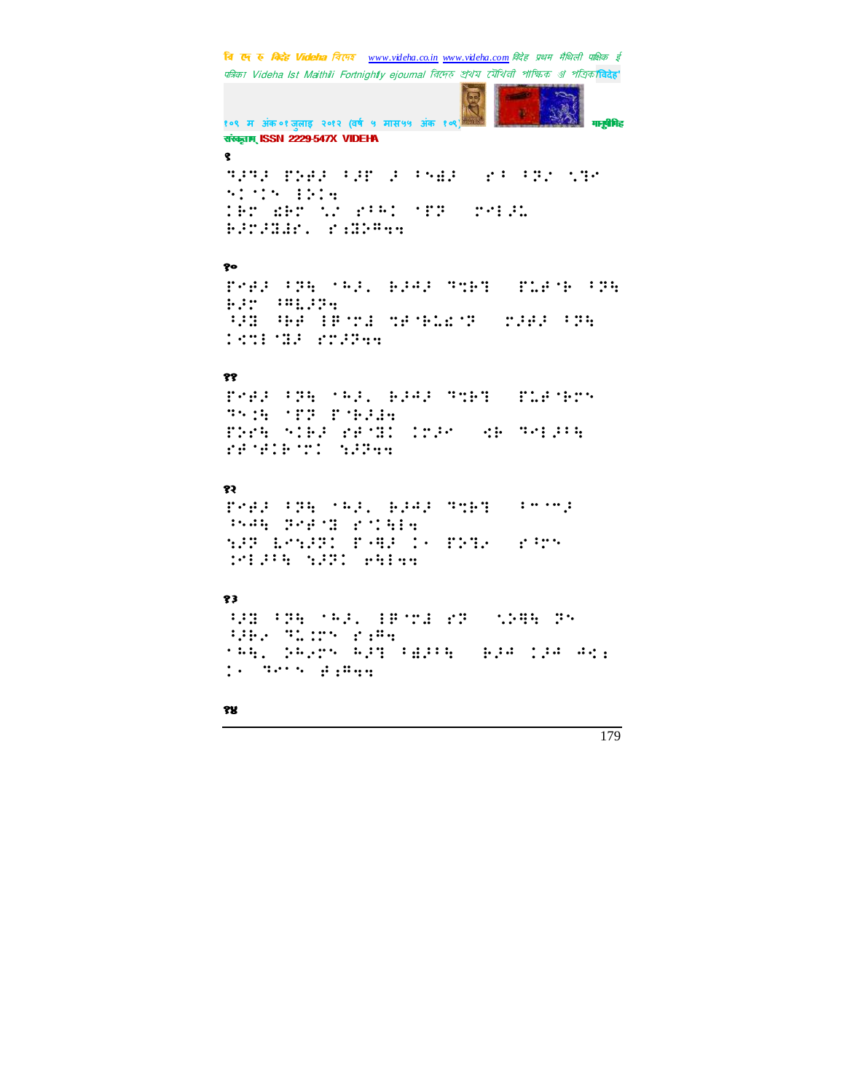१०९ म अंक ०१जुलाइ २०१२ (वष ५ मास५५ अंक १०९) मानुषीिमह संस्कृतम् ISSN 2229-547X VIDEHA ९ ⢹⢼⢹⢼.2⢵⢾⢼.C⢼2!⢼!C⣞⢼-!"⢸!C⢽4!⣁⣙! **NIME BEEN** ⢷.⣎⢷!⣁4!"C⢳!2⢽-!⢼⣅!

#### १०

 $\vdots$   $\vdots$   $\vdots$   $\vdots$   $\vdots$   $\vdots$   $\vdots$   $\vdots$   $\vdots$ 

2⢾⢼!C⢽⣓!⢳⢼G!⢷⢼⢺⢼!⢹⣉⢷⣙-!2⣅⢾ ⢷!C⢽⣓! ⢷⢼!⢸⢻⣇⢼⢽⣒! ⢸⢼⣝!⢸⢷⢾!⢿ ⣜.⣉⢾ ⢷⣅⣎ ⢽-!⢼⢾⢼!C⢽⣓! ⣊⣉ ⣝⢼!"⢼⢽⣒⣒!

#### ११

2⢾⢼!C⢽⣓!⢳⢼G!⢷⢼⢺⢼!⢹⣉⢷⣙-!2⣅⢾ ⢷! ⢹⣈⣓!2⢽!2 ⢷⢼⣜⣒! PHONE CONTROL CONTROL CONTROL  $\mathcal{L}$  :  $\mathcal{L}$  :  $\mathcal{L}$  :  $\mathcal{L}$  :  $\mathcal{L}$  :  $\mathcal{L}$  :  $\mathcal{L}$  :  $\mathcal{L}$  :  $\mathcal{L}$  :  $\mathcal{L}$  :  $\mathcal{L}$  :  $\mathcal{L}$  :  $\mathcal{L}$  :  $\mathcal{L}$  :  $\mathcal{L}$  :  $\mathcal{L}$  :  $\mathcal{L}$  :  $\mathcal{L}$  :  $\mathcal{L}$  :  $\mathcal{L}$  :  $\$ 

#### १२

2⢾⢼!C⢽⣓!⢳⢼G!⢷⢼⢺⢼!⢹⣉⢷⣙-!C^ ^⢼! ⢸⢺⣓!⢽⢾ ⣝!" ⣓⣒! ⣑⢼⢽.⣇⣑⢼⢽!2D⣛⢼!l!2⢵⣙⢴-!"⢸! ⣈⢼C⣓!⣑⢼⢽!⢶⣓⣒⣒!

#### १३

⢸⢼⣝!C⢽⣓!⢳⢼G!⢿ ⣜!"⢽-!⣁⢵⣛⣓!⢽! ⢸⢼⢷⢴!⢹⣅⣈!"⣐⢻⣒! ⢳⣓G!⢵⢳⢴!⢳⢼⣙!C⣞⢼C⣓-!⢷⢼⢺.⢼⢺!⢺⣊⣐! l: Terry pippe

## १४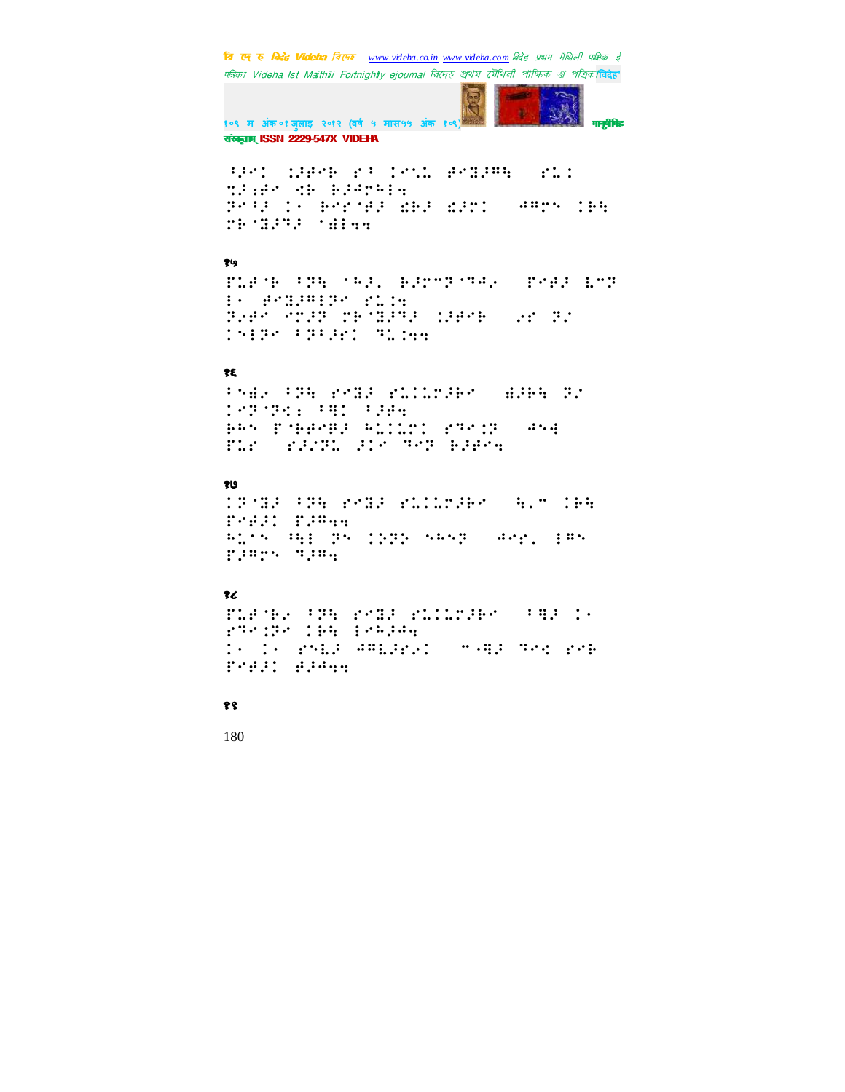१०९ म अंक ०१जुलाइ २०१२ (वष ५ मास५५ अंक १०९) मानुषीिमह संस्कृतम् ISSN 2229-547X VIDEHA



⢸⢼!⣈⢼⢾⢷!"⢸!⣁⣅!⢾⣝⢼⢻⣓-!"⣅⣈. ⣉⢼⣐⢾!⣊⢷!⢷⢼⢺⢳⣒! ⢽⢸⢼!l!⢷" ⢾⢼!⣎⢷⢼!⣎⢼-!⢺⢻!⢷⣓! ⢷ ⣝⢼⢹⢼!⣞⣒⣒!

## १५९

2⣅⢾ ⢷!C⢽⣓!⢳⢼G!⢷⢼^⢽ ⢹⢺⢴-!2⢾⢼!⣇^⢽! l!⢾⣝⢼⢻⢽!"⣅⣈⣒! ⢽⢴⢾!⢼⢽!⢷ ⣝⢼⢹⢼!⣈⢼⢾⢷-!⢴"!⢽4!  $[]$ 

# १६

C<u>óde (P</u>e Pole Pole Clicker (Benedict ⢽ ⢽⣊⣐!C⣛!C⢼⢾⣒! ⢷⢳!2 ⢷⢾⢿⢼!⢳⣅⣅!"⢹⣈⢽-!⢺⣚-! :12: 14,2% 200 14,2% 200 14,2%

# १७

 $^{\circ}$   $^{\circ}$   $^{\circ}$   $^{\circ}$   $^{\circ}$   $^{\circ}$   $^{\circ}$   $^{\circ}$   $^{\circ}$   $^{\circ}$   $^{\circ}$   $^{\circ}$   $^{\circ}$   $^{\circ}$   $^{\circ}$   $^{\circ}$   $^{\circ}$   $^{\circ}$   $^{\circ}$   $^{\circ}$   $^{\circ}$   $^{\circ}$   $^{\circ}$   $^{\circ}$   $^{\circ}$   $^{\circ}$   $^{\circ}$   $^{\circ}$   $^{\circ}$   $^{\circ}$   $^{\circ}$   $^{\circ}$ 2⢾⢼!2⢼⢻⣒⣒! ⢳⣅!⢸⣓!⢽!⢵⢽⢵!⢳⢽-!⢺"G!⢻!  $2^{\circ}$ 

# १८

2⣅⢾ ⢷⢴!C⢽⣓!"⣝⢼!"⣅⣅⢼⢷-!C⣛⢼!l! "⢹⣈⢽!⢷⣓!⢳⢼⢺⣒! l: l'alenta delera de de ser 2⢾⢼!⢾⢼⢺⣒⣒!

# १९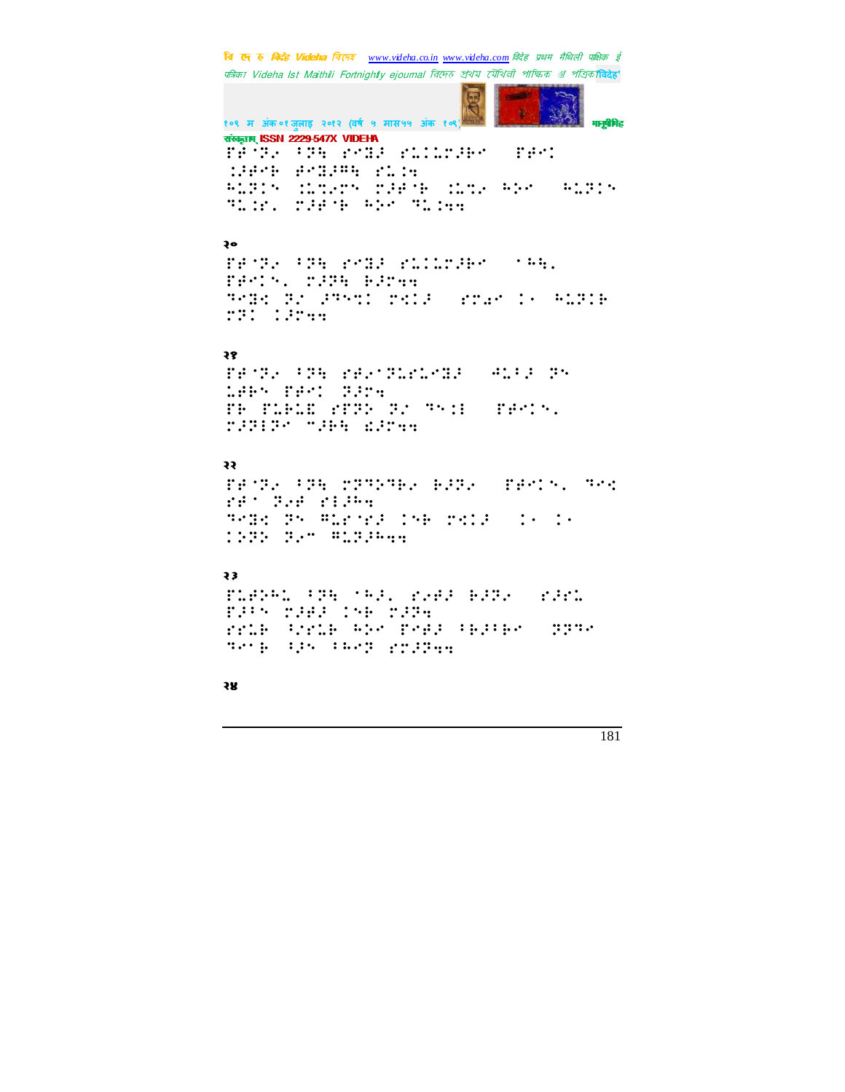**START** १०९ म अंक ०१जुलाइ २०१२ (वष ५ मास५५ अंक १०९) मानुषीिमह

संस्कृतम् ISSN 2229-547X VIDEHA 2⢾ ⢽⢴!C⢽⣓!"⣝⢼!"⣅⣅⢼⢷-!2⢾! ⣈⢼⢾⢷!⢾⣝⢼⢻⣓!"⣅⣈⣒! ⢳⣅⢽!⣈⣅⣉⢴!⢼⢾ ⢷!⣈⣅⣉⢴!⢳⢵-!⢳⣅⢽! ⢹⣅⣈"G!⢼⢾ ⢷!⢳⢵!⢹⣅⣈⣒⣒!

#### २०

2⢾ ⢽⢴!C⢽⣓!"⣝⢼!"⣅⣅⢼⢷-!⢳⣓G! 2⢾G!⢼⢽⣓!⢷⢼⣒⣒! WHE SALE OF THE SALE OF THE SALE OF THE SALE OF THE SALE OF THE SALE OF THE SALE OF THE SALE OF THE SALE OF TH  $T$ 

# २१

2⢾ ⢽⢴!C⢽⣓!"⢾⢴⢽⣅"⣅⣝⢼-!⢺⣅C⢼!⢽! ⣅⢾⢷!2⢾!⢽⢼⣒! TH TIME STIN IN THIS THINK ⢼⢽⢽!^⢼⢷⣓!⣎⢼⣒⣒!

## २२

2⢾ ⢽⢴!C⢽⣓!⢽⢹⢵⢹⢷⢴!⢷⢼⢽⢴-!2⢾G!⢹⣊!  $\overline{H}$  : The state SPER SPERING TO THE SPEED OF THE ⢵⢽⢵!⢽⢴^!⢻⣅⢽⢼⢳⣒⣒!

### २३

2⣅⢾⢵⢳⣅!C⢽⣓!⢳⢼G!"⢴⢾⢼.⢷⢼⢽⢴-!"⢼"⣅! 2000 2000 2000 2000 2000 ""⣅⢷.⢸4"⣅⢷!⢳⢵!2⢾⢼!C⢷⢼C⢷-!⢽⢽⢹. ⢹⢷!⢸⢼.C⢳⢽!"⢼⢽⣒⣒!

# २४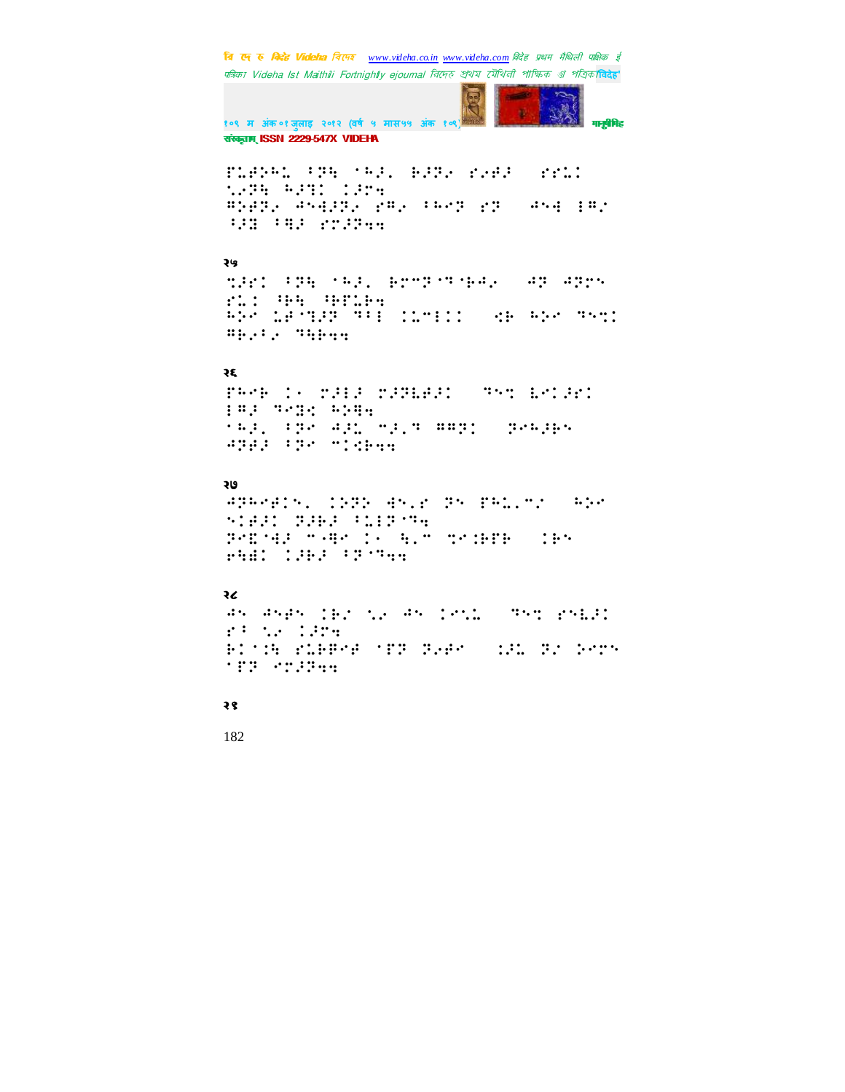१०९ म अंक ०१जुलाइ २०१२ (वष ५ मास५५ अंक १०९) मानुषीिमह संस्कृतम् ISSN 2229-547X VIDEHA

**Service** 

2⣅⢾⢵⢳⣅!C⢽⣓!⢳⢼G!⢷⢼⢽⢴!"⢴⢾⢼-!""⣅! ⣁⢴⢽⣓!⢳⢼⣙!⢼⣒! ⢻⢵⢾⢽⢴!⢺⣚⢼⢽⢴!"⢻⢴!C⢳⢽!"⢽-!⢺⣚!⢻4! ⢸⢼⣝!C⣛⢼!"⢼⢽⣒⣒!

### २५

 $^{\prime}$  . Coloration of the contract of the contract of the contract of the contract of the contract of the contract of the contract of the contract of the contract of the contract of the contract of the contract of the con "⣅⣈!⢸⢷⣓!⢸⢷2⣅⢷⣒!  $^{\circ}$  &  $^{\circ}$  C. The  $^{\circ}$  C.  $^{\circ}$  &  $^{\circ}$  ,  $^{\circ}$  &  $^{\circ}$  ,  $^{\circ}$  &  $^{\circ}$  ,  $^{\circ}$  &  $^{\circ}$  ,  $^{\circ}$  &  $^{\circ}$  ,  $^{\circ}$  &  $^{\circ}$  ,  $^{\circ}$  &  $^{\circ}$  ,  $^{\circ}$  &  $^{\circ}$  ,  $^{\circ}$  &  $^{\circ}$  ,  $^{\circ}$  &  $^{\circ}$  ,  $^{\circ}$  & ⢻⢷⢴C⢴!⢹⣓⢷⣒⣒!

#### २६

PARE CHOILER PREADS TO THE ERIBS ⢻⢼!⢹⣝⣊!⢳⢵⣛⣒! ⢳⢼G!C⢽!⢺⢼⣅!^⢼G⢹!⢻⢻⢽-!⢽⢳⢼⢷!  $\overline{G}$  . The  $\overline{G}$  satisfying the  $\overline{G}$ 

## २७

⢺⢽⢳⢾G!⢵⢽⢵!⣚G"!⢽!2⢳⣅G^4-!⢳⢵! **SINI THE STRAIN** PHINAP CONTROL TO THE CONTROL ⢶⣓⣞!⢼⢷⢼!C⢽ ⢹⣒⣒!

# २८

GR GREE (E. GREE CRIS TRE PRES  $f^*$  is the set of  $f^*$ ⢷ ⣈⣓!"⣅⢷⢿⢾!2⢽!⢽⢴⢾-!⣈⢼⣅!⢽4!⢵! 2⢽!⢼⢽⣒⣒!

### २९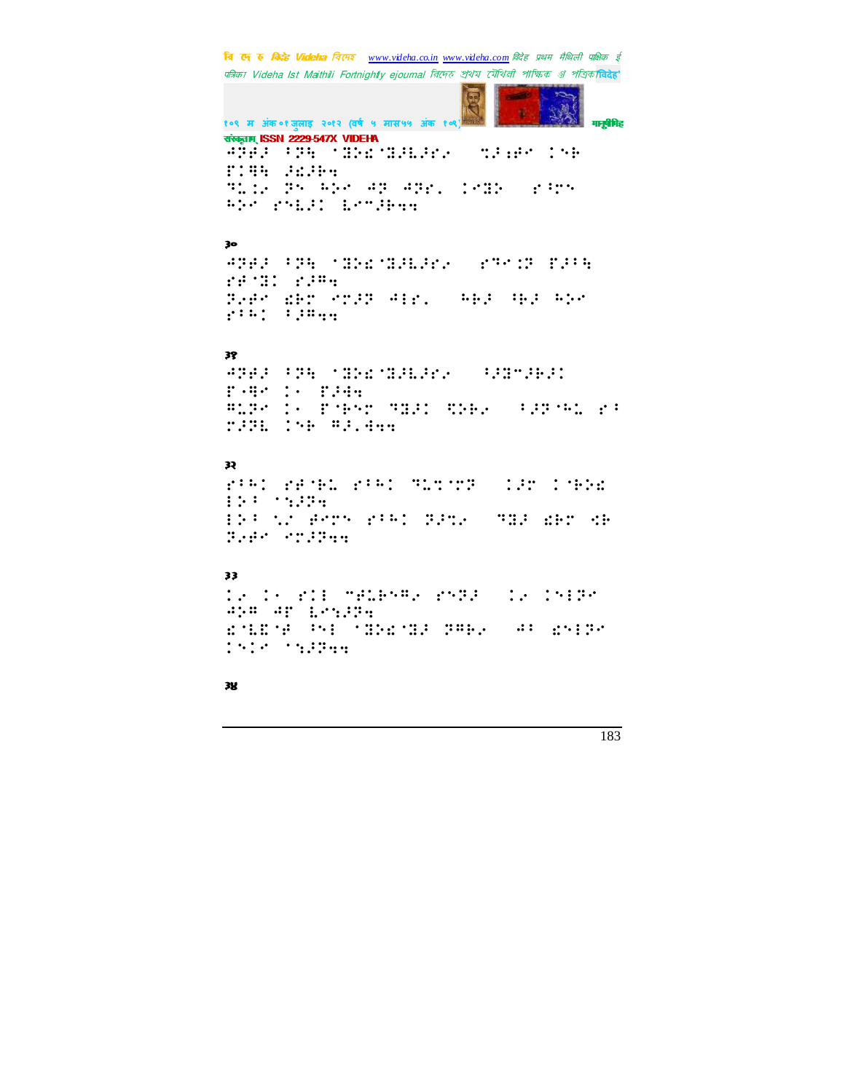ø १०९ म अंक ०१जुलाइ २०१२ (वष ५ मास५५ अंक १०९) मानुषीिमह

संस्कृतम् ISSN 2229-547X VIDEHA ⢺⢽⢾⢼!C⢽⣓!⣝⢵⣎ ⣝⢼⣇⢼"⢴-!⣉⢼⣐⢾!⢷! 2⣛⣓!⢼⣎⢼⢷⣒! ⢹⣅⣈⢴!⢽!⢳⢵!⢺⢽.⢺⢽"G!⣝⢵-!"⢸! We rule the second

#### ३०

⢺⢽⢾⢼!C⢽⣓!⣝⢵⣎ ⣝⢼⣇⢼"⢴-!"⢹⣈⢽!2⢼C⣓! "⢾ ⣝!"⢼⢻⣒! ⢽⢴⢾!⣎⢷!⢼⢽!⢺"G-!⢳⢷⢼.⢸⢷⢼!⢳⢵!  $C^{\text{1}}$  C<sub>1</sub>  $C^{\text{1}}$  C<sub>1</sub>  $C^{\text{1}}$ 

# ३१

⢺⢽⢾⢼!C⢽⣓!⣝⢵⣎ ⣝⢼⣇⢼"⢴-!⢸⢼⣝^⢼⢷⢼! 2D⣛!l!2⢼⣚⣒! SUPP IN THE STREET CAPACITES ⢼⢽⣇!⢷!⢻⢼G⣚⣒⣒!

# ३२

 $C$  (FO)  $C$   $C$   $D$   $C$   $D$   $C$   $D$   $C$   $D$   $C$   $D$   $C$   $D$   $C$   $D$   $C$   $D$   $C$   $D$   $C$   $D$   $C$   $D$   $C$   $D$   $C$   $D$   $C$   $D$   $C$   $D$   $C$   $D$   $C$   $D$   $C$   $D$   $C$   $D$   $C$   $D$   $C$   $D$   $C$   $D$   $C$   $D$   $C$   $D$   $C$   $D$   $C$   $D$  ⢵⢸.⣑⢼⢽⣒!  $^1$  )  $^1$  )  $^1$  (  $^1$  )  $^1$  (  $^1$  )  $^1$  (  $^1$  )  $^1$  (  $^1$  )  $^1$  (  $^1$  )  $^1$  (  $^1$  )  $^1$  (  $^1$  )  $^1$  (  $^1$  )  $^1$  (  $^1$  )  $^1$  (  $^1$  )  $^1$  (  $^1$  )  $^1$  (  $^1$  )  $^1$  (  $^1$  )  $^1$  (  $^1$  )  $^1$  ( $^1$  ) ⢽⢴⢾!⢼⢽⣒⣒!

# ३३

 $\mathbb{I}$ . In the state of the state of the state of the state of the state of the state of ⢺⢵⢻!⢺2!⣇⣑⢼⢽⣒! ⣎ ⣇⣏ ⢾!⢸!⣝⢵⣎ ⣝⢼!⢽⢻⢷⢴-!⢺C!⣎⢽! !⣑⢼⢽⣒⣒!

## ३४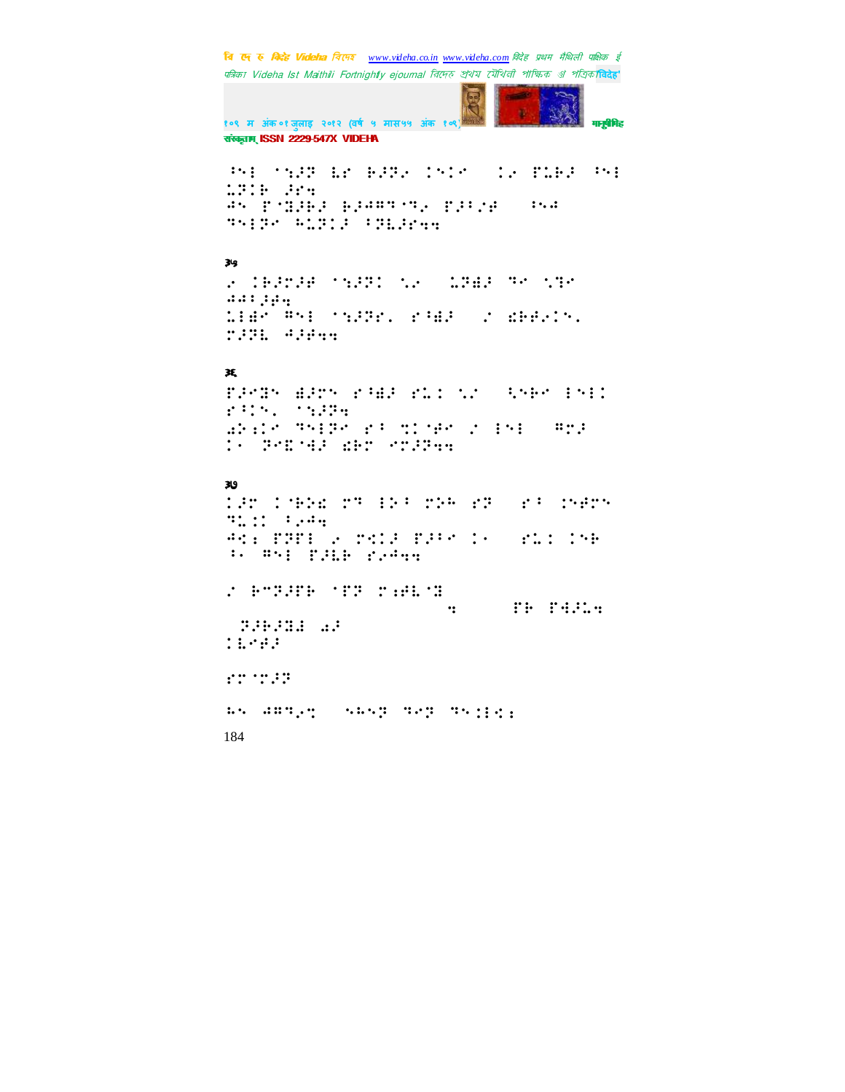१०९ म अंक ०१जुलाइ २०१२ (वष ५ मास५५ अंक १०९) मानुषीिमह संस्कृतम् ISSN 2229-547X VIDEHA

**County** 

WHI THE LETTH RESERVE ⣅⢽⢷!⢼"⣒!  $25$   $25$   $27$   $29$   $29$ ⢹⢽!⢳⣅⢽⢼!C⢽⣇⢼"⣒⣒!

### ३५

⢴!⢷⢼⢼⢾!⣑⢼⢽!⣁⢴-!⣅⢽⣞⢼!⢹!⣁⣙! ⢺⢺C⢼⢾⣒! ⣅⣞!⢻!⣑⢼⢽"G!"⢸⣞⢼-!4!⣎⢷⢾⢴G! ⢼⢽⣇!⢺⢼⢾⣒⣒!

### ३६

2⢼⣝!⣞⢼!"⢸⣞⢼!"⣅⣈!⣁4-!⣃⢷!! "⢸G!⣑⢼⢽⣒! ⣔⢵⣐!⢹⢽!"⢸!⣉ ⢾!4!-!⢻⢼! l!⢽⣏ ⣚⢼!⣎⢷.⢼⢽⣒⣒!

# ३७

 $\frac{1}{2}$ .  $\frac{1}{2}$   $\frac{1}{2}$   $\frac{1}{2}$   $\frac{1}{2}$   $\frac{1}{2}$   $\frac{1}{2}$   $\frac{1}{2}$   $\frac{1}{2}$   $\frac{1}{2}$   $\frac{1}{2}$   $\frac{1}{2}$   $\frac{1}{2}$   $\frac{1}{2}$   $\frac{1}{2}$   $\frac{1}{2}$   $\frac{1}{2}$   $\frac{1}{2}$   $\frac{1}{2}$   $\frac{1}{2}$   $\frac{1}{2}$   $\frac{1}{2}$  ⢹⣅⣈!C⢴⢺⣒! ⢺⣊⣐!2⢽2!⢴!⣊⢼!2⢼C!l-!"⣅⣈!⢷!  $\blacksquare$ 

4!⢷^⢽⢼2⢷!2⢽!⣐⢾⣇ ⣝! hhe state bay and a state of the state of the state of the state of the state of the state of the state of the !⢽⢼⢷⢼⣝⣜!⣔⢼! ⣇⢾⢼!

 $T$   $T$   $T$   $T$   $T$   $T$   $T$ 

 $\frac{1}{2}$   $\frac{1}{2}$   $\frac{1}{2}$   $\frac{1}{2}$   $\frac{1}{2}$   $\frac{1}{2}$   $\frac{1}{2}$   $\frac{1}{2}$   $\frac{1}{2}$   $\frac{1}{2}$   $\frac{1}{2}$   $\frac{1}{2}$   $\frac{1}{2}$   $\frac{1}{2}$   $\frac{1}{2}$   $\frac{1}{2}$   $\frac{1}{2}$   $\frac{1}{2}$   $\frac{1}{2}$   $\frac{1}{2}$   $\frac{1}{2}$   $\frac{1}{2}$   $\$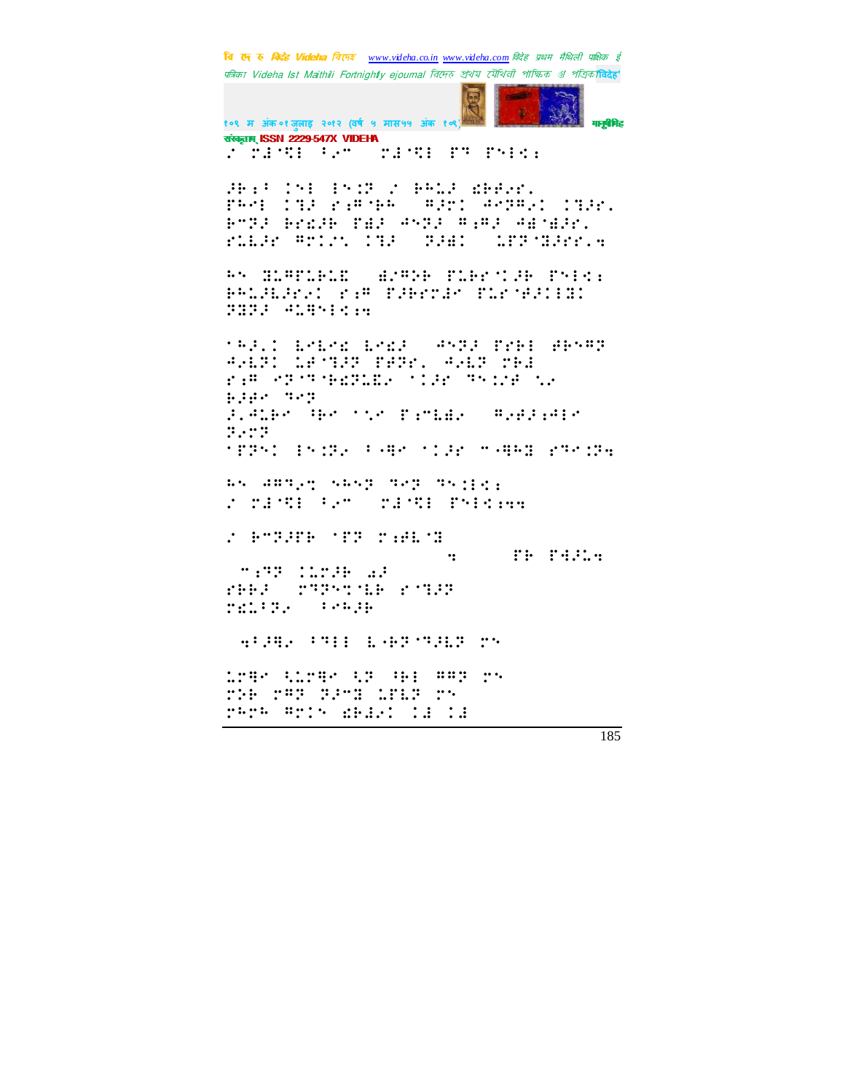मानुबेमिह १०९ म अंक०१ जुलाइ २०१२ (वर्ष ५ मास५५ अंक १०९ संस्कृतम् ISSN 2229-547X VIDEHA FOR THE PART OF THE TREAT PROPERTY PRESENT JRAF (51 1512 / PRL2 dRevel)<br>1901–1912 parties (Alph. 401A) (91b) PTE PRED TAP PSTP RARP ABSER. FOR RESIDENT RESERVE TO A RESIDENCE OF THE STATE OF THE RESIDENCE OF THE RESIDENCE OF THE STATE OF THE RESIDENCE OF THE RESIDENCE OF THE RESIDENCE OF THE RESIDENCE OF THE RESIDENCE OF THE RESIDENCE OF THE RESIDENCE OF THE <u>By Hiffindi A.S.B. Mine (19 Tyle)</u> PRINGER PAR PARTNE PIP MAILED THE STREET S **TRAVE EMEMBER EMAGE ANDER TYPE ABNAD B.D. S. STOR ROLL AND THE** ram ersterner tie de rece te 1910 702 F.ALES HER MIS PATENT ROBERT  $7.477$ **TERNI ENTRA PARK TIGH MARGE PROTES** as amnun sasp nep neddig. T TEMPE RAT TEMPE PRESENT *POSTER 199 266 18* **THE PASSA**  $\dddot{\bullet}$ **MANUFACTURE AND** FRA TTPSTER FTH rating, compared **ARABIA PRIS LAND MANUSCRY MOVEMENT OF SHIPPY** THE THE HIMI LILE TH **TATA ATIN WHEN IS IS**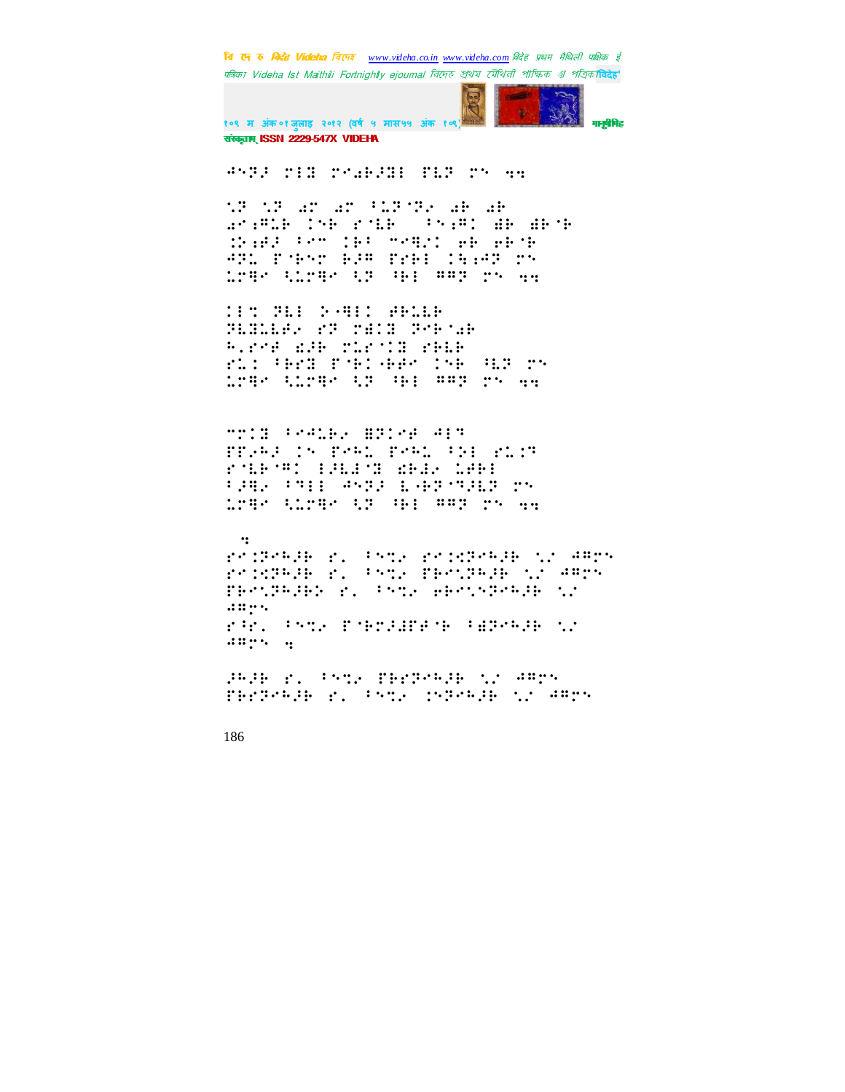

१०९ म अंक०१ जुलाइ २०१२ (वर्ष ५ मास५५ अंक १० संस्कृतम् ISSN 2229-547X VIDEHA

**SACE THE TRANSEL CAP TRACK** 

the the arear streets are are andPLB Information (ShiPI dB) denk SPARE FROM THE ORIGINAL AREA HEMP **ATL FIRST RAW TERM** See Stern 1988 Clear Of Gelland progr

**TEMPERS AND STREET SECTION** R.PH ER TEMI MAR ri: Hem Poster Com Ar ro 1980 11980 19 19 200 200 900 900

**MAIN PRODUCT BRIDGE AFT** FRAME IN FARI FARI PRESENT ribus Maria Andri Andr FRA FRIE #522 L-B2773L2 25 1988 Close Co Galless princip

 $\dddot{\mathbf{z}}$ redPeAlB r. Penk reddPeAlB tr AAre POINTMAN P. PANY PROTHAN LE ARCH PROSPERD P. Path REOSPORTE ST  $\mathbf{a}$  and  $\mathbf{a}$  . ran fyn farlunear furfer na angs 4

> PRPE P. Prov PREPORTE ST ARON PROPERTY CONTROL OFFICERS AND WELL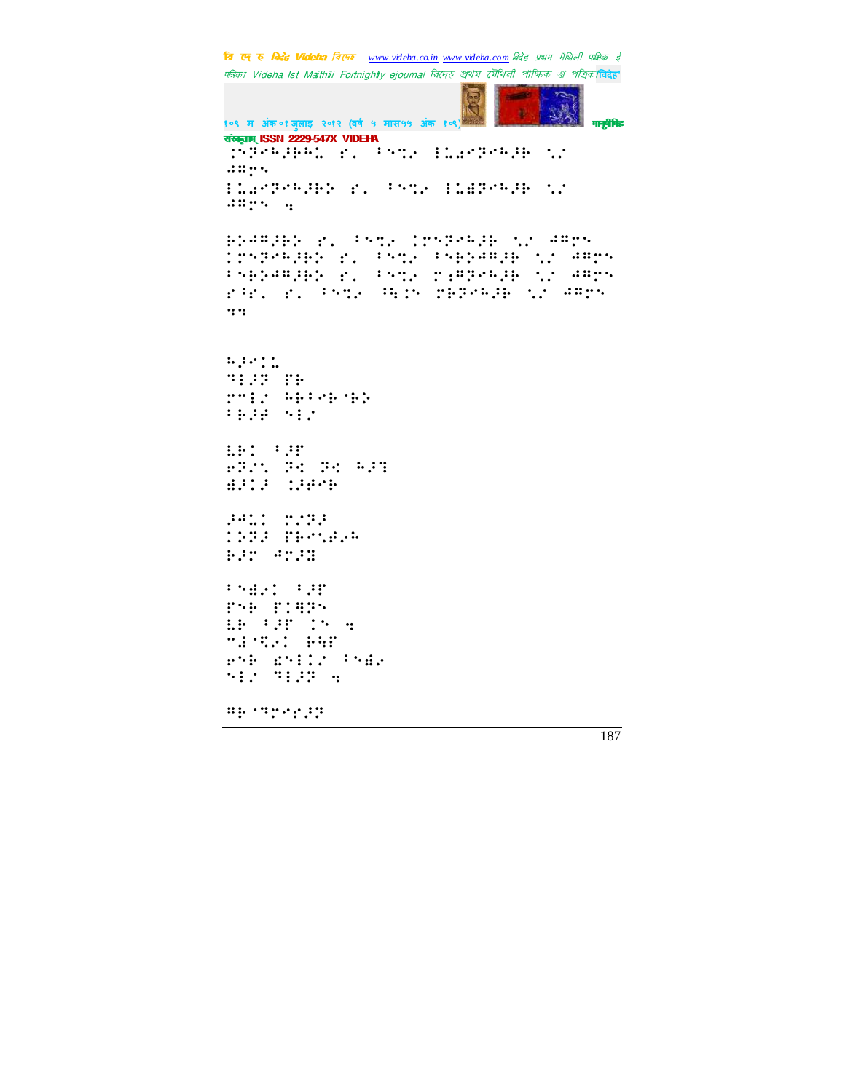**Service** ø १०९ म अंक ०१जुलाइ २०१२ (वष ५ मास५५ अंक १०९) मानुषीिमह संस्कृतम् ISSN 2229-547X VIDEHA ⣈⢽⢳⢼⢷⢳⣅!"G!C⣉⢴!⣅⣔⢽⢳⢼⢷!⣁4! ⢺⢻! ⣅⣔⢽⢳⢼⢷⢵!"G!C⣉⢴!⣅⣞⢽⢳⢼⢷!⣁4! duri .. ⢷⢵⢺⢻⢼⢷⢵!"G!C⣉⢴!⢽⢳⢼⢷!⣁4!⢺⢻! ⢽⢳⢼⢷⢵!"G!C⣉⢴!C⢷⢵⢺⢻⢼⢷!⣁4!⢺⢻! C⢷⢵⢺⢻⢼⢷⢵!"G!C⣉⢴!⣐⢻⢽⢳⢼⢷!⣁4!⢺⢻! "⢸"G!"G!C⣉⢴!⢸⣓⣈!⢷⢽⢳⢼⢷!⣁4!⢺⢻!  $\ddot{\mathbf{u}}$  $\mathcal{P}$ ⢹⢼⢽!2⢷!  $T$ " $T$ " $T$ " $T$ " $T$ " $T$ " $T$ " $T$ THE SIT  $L: T: T$ ₩₩. ⣞⢼⢼!⣈⢼⢾⢷!"! ⢼⢺⣅!4⢽⢼! ⢵⢽⢼!2⢷⣁⢾⢴⢳!  $EFT = 47.33$ President (P **250 2010** ⣇⢷.C⢼2!!⣒!  $^{\prime\prime}$   $\Xi$   $^{\prime\prime}$   $\Xi$   $^{\prime\prime}$   $\Xi$   $^{\prime\prime}$   $^{\prime\prime}$   $^{\prime\prime}$   $^{\prime\prime}$   $^{\prime\prime}$   $^{\prime\prime}$   $^{\prime\prime}$   $^{\prime\prime}$   $^{\prime\prime}$   $^{\prime\prime}$   $^{\prime\prime}$   $^{\prime\prime}$   $^{\prime\prime}$   $^{\prime\prime}$   $^{\prime\prime}$   $^{\prime\prime}$   $^{\prime\prime}$   $^{\prime\prime}$   $^{\prime\prime}$   $^{\prime\prime}$ pri dril: 158.  $4!$ ⢻⢷ ⢹"⢼⢽!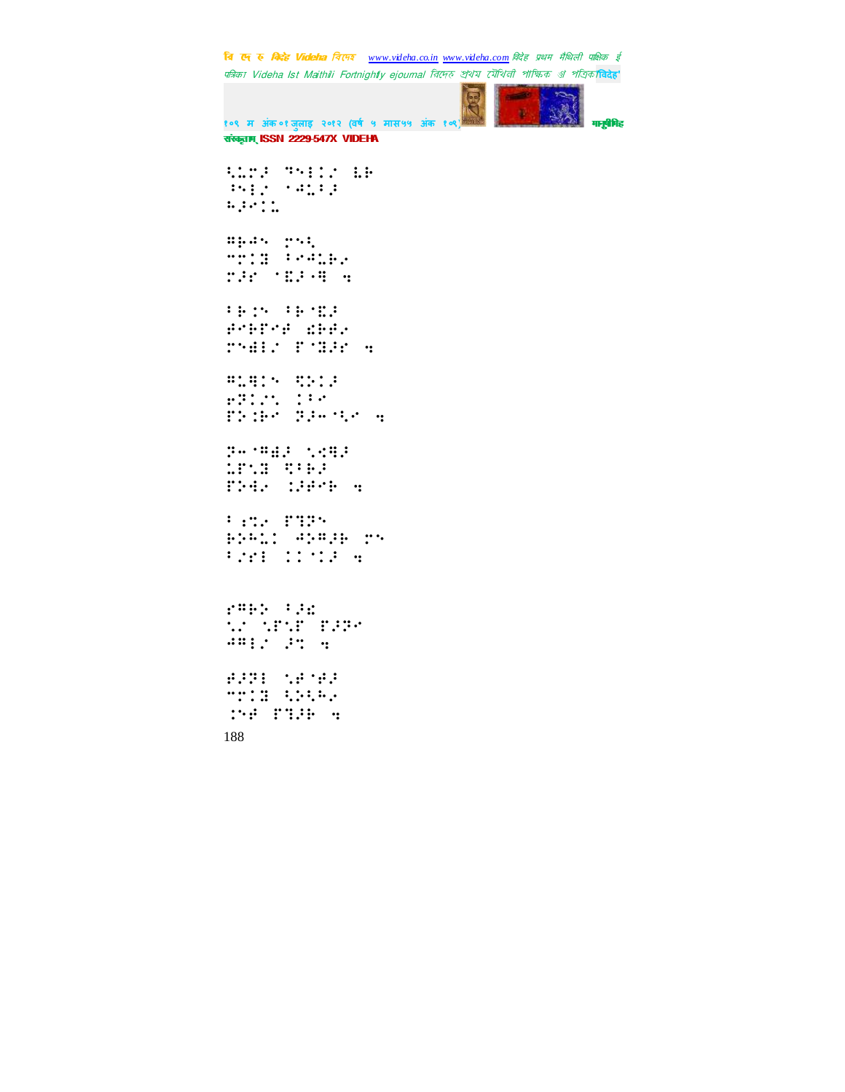१०९ म अंक ०१जुलाइ २०१२ (वष ५ मास५५ अंक १०९) मानुषीिमह संख्याम् ISSN 2229-547X VIDEHA



**WIND THE THE STATE**  $\left\{ \begin{array}{cc} 4 & 4 & 4 \\ 4 & 4 & 4 \end{array} \right\}$  $\mathcal{L}$ 

What we have the set of the set of the set of the set of the set of the set of the set of the set of the set o ^⣝!C⢺⣅⢷⢴! ⢼"!⣏⢼D⣛!⣒!

C⢷⣈!C⢷ ⣏⢼! ⢾⢷2⢾!⣎⢷⢾⢴! ⣞4!2 ⣝⢼"!⣒!

⢻⣅⣛!⣋⢵⢼! #FIST 198 2⢵⣈⢷!⢽⢼⢲ ⣃!⣒!

⢽⢲ ⢻⣞⢼!⣁⣊⣛⢼!  $LPL2$  wile 2⢵⣚⢴!⣈⢼⢾⢷!⣒!

Path FIRS ⢷⢵⢳⣅!⢺⢵⢻⢼⢷!! C201 C1 C1 C1

 $T^{\text{H}}$  = 0.000  $T^{\text{H}}$ **WEIGHT 2022** ⢺⢻4!⢼⣉!⣒!!

188 ⢾⢼⢽!⣁⢾ ⢾⢼! ^⣝!⣃⢵⣃⢳⢴! ⣈⢾!2⣙⢼⢷!⣒!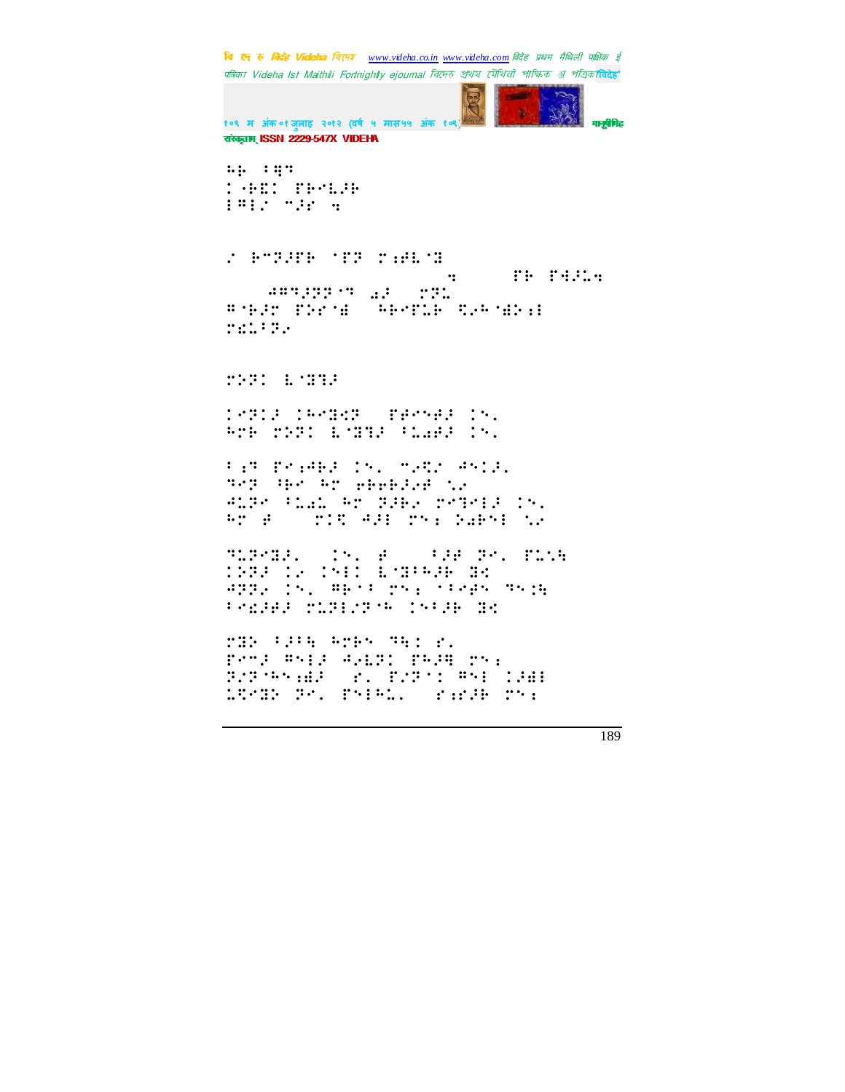```
त्रि एन रु क्रिटेह Videha विएम्ब _www.videha.co.in_www.videha.com विदेह प्रथम मैथिली पाक्षिक ई
पत्रिका Videha Ist Maithili Fortnightly ejournal রিদেত প্রথম মৌথিনী পাক্ষিক ॳ পত্রিকাঁ<mark>বিदेह'</mark>
१०९ म अंक ०१जुलाइ २०१२ (वष ५ मास५५ अंक १०९) मानुषीिमह 
संस्कृतम् ISSN 2229-547X VIDEHA
                                                        189
L:=T\mathbb{C} -PEC (PP-1.2P)
\{1911, 2911, 4011, 4011, 4011, 4011, 4011, 4011, 4011, 4011, 4011, 4011, 4011, 4011, 4011, 4011, 4011, 4011, 4011, 4011, 4011, 4011, 4011, 4011, 4011, 4011, 4011, 4011, 4011, 4011, 4011, 4011, 4011, 4011, 4011, 4011, 4014 : (2002) 4 : (2004) 2 : (2004) 2 : (2004) 2hhbkawiefiber des bestehten der antiken bestehten ausgesamt der ausgesamt der ausgesamt der ausgesamt der anti
     !!!⢺⢻⢹⢼⢽⢽ ⢹!⣔⢼!(⢽⣅(!!
⢻ ⢷⢼!2⢵" ⣞.!⢳⢷2⣅⢷!⣋⢴⢳ ⣞⢵⣐-!
⣎⣅C⢽⢴!!
T⢽⢼!⢳⣝⣊⢽!!2⢾⢾⢼!G!
HTE TEST ESTER THAN IT.
CONSTRUCT COMMISSION
⢹⢽!⢸⢷!⢳!⢶⢷⢶⢷⢼⢴⢾!⣁⢴!!
⢺⣅⢽!C⣅⣔⣅!⢳!⢽⢼⢷⢴!⣙⢼!G!!
⢳!⢾!(!⣋!⢺⢼!⣐!⢵⣔⢷!⣁⢴!!
BLProd. Co. e = 900 Pr. Plute
\{ \}⢺⢽⢽⢴!G!⢻⢷ ⢸!⣐!C⢾!⢹⣈⣓!!
COLORATION CONTROL CONTROL
THE CONSERVANCE
2^⢼!⢻⢼!⢺⢴⣇⢽!2⢳⢼⣛!⣐!!
⢽4⢽ ⢳⣐⣞⢼!!"G!24⢽ ⣈!⢻!⢼⣞!
⣅⣋⣝⢵!⢽G!2⢳⣅G!!"⣐"⢼⢷!⣐!!
```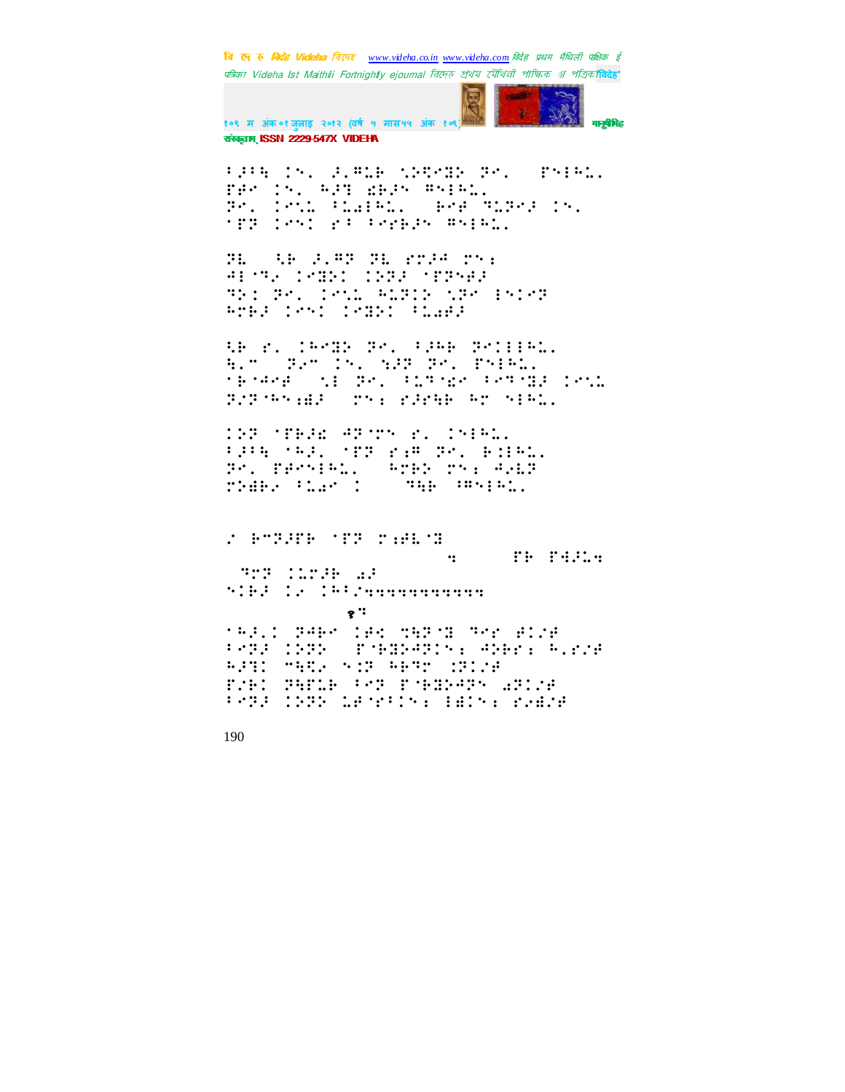

१०९ म अंक ०१जुलाइ २०१२ (वष ५ मास५५ अंक १०९) मानुषीिमह संस्कृतम् ISSN 2229-547X VIDEHA

COUNCIL CONTROL CONTROL EGY CH. BET SEPH BRIEL SA. TARA PERSONA DA 2⢽!!"⢸!C"⢷⢼!⢻⢳⣅G!!!

⢽⣇!!⣃⢷!⢼G⢻⢽!⢽⣇!"⢼⢺!⣐!! We wish the set of the set of the set of the set of the set of the set of the set of the set of the set of the ⢹⢵⣈!⢽G!⣁⣅!⢳⣅⢽⢵!⣁⢽!⢽!! **WERE IS NOTED TO A REALLY** 

⣃⢷!"G!⢳⣝⢵!⢽G!C⢼⢳⢷!⢽⢳⣅G!!! G. T. Part In Star Pr. Prim. I  $^{\prime}$  &  $^{\prime}$   $^{\prime}$   $^{\prime}$   $^{\prime}$   $^{\prime}$   $^{\prime}$   $^{\prime}$   $^{\prime}$   $^{\prime}$   $^{\prime}$   $^{\prime}$   $^{\prime}$   $^{\prime}$   $^{\prime}$   $^{\prime}$   $^{\prime}$   $^{\prime}$   $^{\prime}$   $^{\prime}$   $^{\prime}$   $^{\prime}$   $^{\prime}$   $^{\prime}$   $^{\prime}$   $^{\prime}$   $^{\prime}$   $^{\prime}$   $^{\prime}$   $^{\prime}$   $^{\prime}$   $^{\$ F.P. We have the state when the state

⢵⢽!2⢷⢼⣎!⢺⢽ !"G!⢳⣅G!!! COUNTY THE CONTROL OF STREET 30. PARAG! THEF FINT IS THE PRIES.

4!⢷^⢽⢼2⢷!2⢽!⣐⢾⣇ ⣝! hhbkfoesbAwjefib⣒dpn!2⢷!2⣚⢼⣅⣒!! !⢹⢽!⣅⢼⢷!⣔⢼!!! ⢷⢼!⢴!⢳C4⣒⣒⣒⣒⣒⣒⣒⣒⣒⣒⣒@!  $\ddot{\bullet}$  :: ⢳⢼G!⢽⢺⢷!⢾⣊!⣉⣓⢽ ⣝!⢹"!⢾4⢾! C⢽⢼!⢵⢽⢵!!2 ⢷⣝⢵⢺⢽⣐!⢺⢵⢷"⣐!⢳G"4⢾!!

⢳⢼⣙!^⣓⣋⢴!⣈⢽!⢳⢷⢹!⣈⢽4⢾! 27H: 24ILB 972 F7BID425 a2178 C���� D����� "C����" (1972) 1980 (1980) 1990 (1990) 1990 (1990) 1990 (1990) 1990 (1990) 1990 (1990) 1990 (1990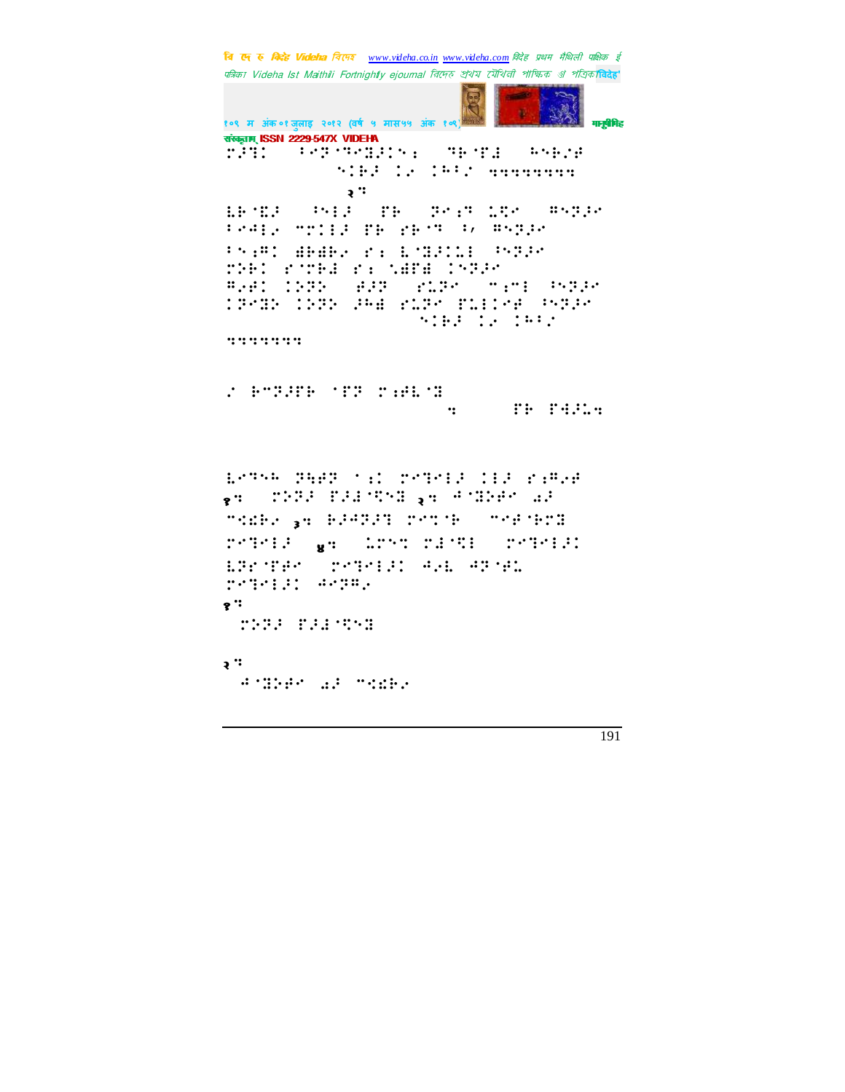```
१०९ म अंक ०१जुलाइ २०१२ (वष ५ मास५५ अंक १०९) मानुषीिमह 
संस्कृतम् ISSN 2229-547X VIDEHA
⢼⣙!!C⢽ ⢹⣝⢼⣐!!⢹⢷ 2⣜!!⢳⢷4⢾!
                        \begin{minipage}{.45\textwidth} \begin{tabular}{l} \textbf{1} & \textbf{2} & \textbf{3} & \textbf{4} & \textbf{5} & \textbf{6} & \textbf{6} & \textbf{7} & \textbf{8} & \textbf{9} & \textbf{10} & \textbf{10} & \textbf{10} & \textbf{10} & \textbf{10} & \textbf{10} & \textbf{10} & \textbf{10} & \textbf{10} & \textbf{10} & \textbf{10} & \textbf{10} & \textbf{10} & \textbf{10} & \textbf{10} & \textbf{10} & \२ ::
⣇⢷ ⣏⢼!!⢸⢼!!2⢷!!⢽⣐⢹!⣅⣋!!⢻⢽⢼!
CARE CONSIDER THE PROPERTY CONSIDER
Có�� : Coloration Coloration Coloration Coloration Coloration Coloration Coloration Coloration Coloration Color
⢵⢷!" ⢷⣜!"⣐!⣁⣞2⣞!⢽⢼!
⢻⢴⢾!⢵⢽⢵!!⢾⢼⢽!!"⣅⢽!!^⣐^!⢸⢽⢼!
⢽⣝⢵!⢵⢽⢵!⢼⢳⣞!"⣅⢽!2⣅⢾!⢸⢽⢼!!
                                         !!!!!!!!!!!!!!⢷⢼!⢴!⢳C4!
⣒⣒⣒⣒⣒⣒⣒@!
4!⢷^⢽⢼2⢷!2⢽!⣐⢾⣇ ⣝!
                                               hhbkfoesbAwjefib⣒dpn!2⢷!2⣚⢼⣅⣒!!
LATAR TREE OF INTERFERING
१⣒!!⢵⢽⢼!2⢼⣜ ⣋⣝!२⣒!⢺ ⣝⢵⢾!⣔⢼!
^⣊⣎⢷⢴!३⣒!⢷⢼⢺⢽⢼⣙!⣉ ⢷!)^⢾ ⢷⣝!
⣙⢼*!४⣒!!⣅⣉!⣜ ⣋!)⣙⢼!
⣇⢽" 2⢾0!⣙⢼!⢺⢴⣇.⢺⢽ ⢾⣅0!
⣙⢼!⢺⢽⢻⢴*!
\ddot{\mathbf{S}} :
  !⢵⢽⢼!2⢼⣜ ⣋⣝!
२⣒!
  \frac{1}{2} \frac{1}{2} \frac{1}{2} \frac{1}{2} \frac{1}{2} \frac{1}{2} \frac{1}{2} \frac{1}{2} \frac{1}{2} \frac{1}{2} \frac{1}{2} \frac{1}{2} \frac{1}{2} \frac{1}{2} \frac{1}{2} \frac{1}{2} \frac{1}{2} \frac{1}{2} \frac{1}{2} \frac{1}{2} \frac{1}{2} \frac{1}{2} \
```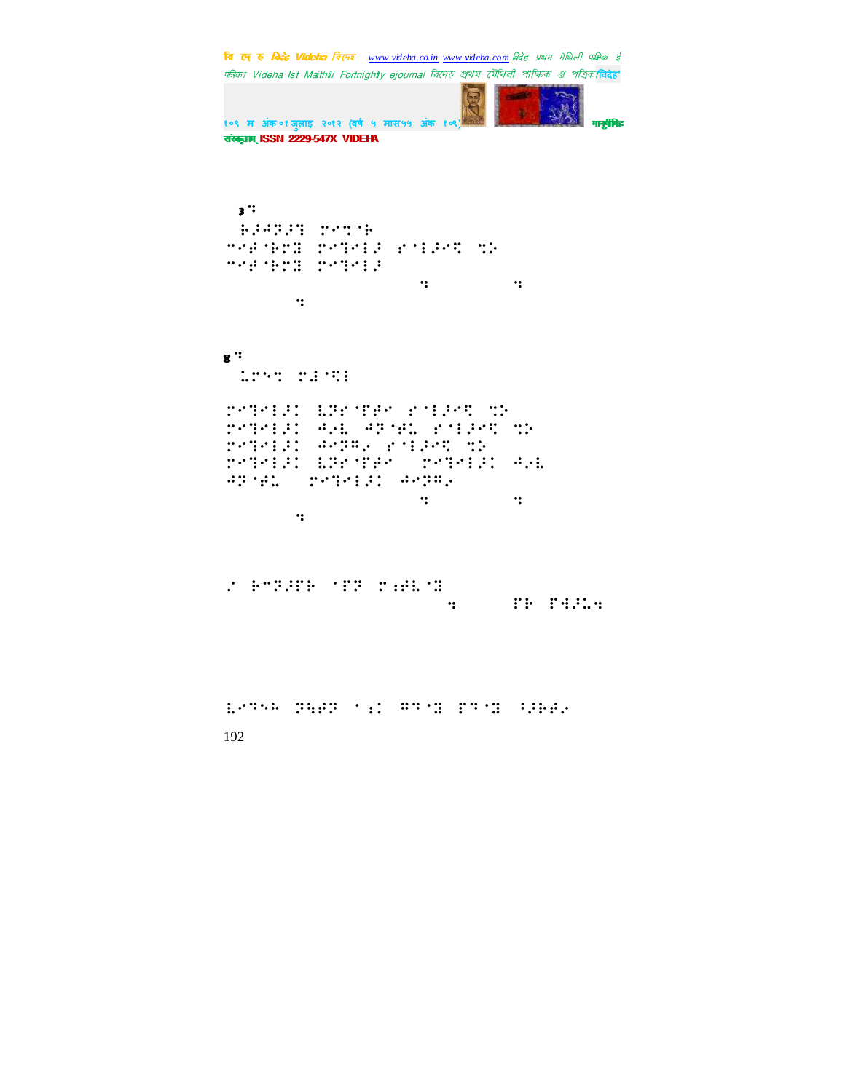

संख्याम् ISSN 2229-547X VIDEHA

३⣒! ! ^⢾ ⢷⣝!⣙⢼!" ⢼⣋!⣉⢵! ^⢾ ⢷⣝!⣙⢼! )iuuqt;00tjuftigta dhpphmfdpn0b0w jefib.dpn0wjefib.qbjoujoht.com

४⣒!  $1.141$   $.1411$ 

 $T$   $\sim$   $T$   $\sim$   $T$   $\sim$   $T$   $\sim$   $T$   $\sim$   $T$   $\sim$   $T$   $\sim$   $T$   $\sim$   $T$   $\sim$   $T$   $\sim$   $T$   $\sim$   $T$   $\sim$   $T$   $\sim$   $T$   $\sim$   $T$   $\sim$   $T$   $\sim$   $T$   $\sim$   $T$   $\sim$   $T$   $\sim$   $T$   $\sim$   $T$   $\sim$   $T$   $\sim$   $T$   $\sim$   $T$   $\sim$   $T$   $\$  $T$   $\sim$   $T$   $\sim$   $T$   $\sim$   $T$   $\sim$   $T$   $\sim$   $T$   $\sim$   $T$   $\sim$   $T$   $\sim$   $T$   $\sim$   $T$   $\sim$   $T$   $\sim$   $T$  $T$  ,  $T$  ,  $T$  ,  $T$  ,  $T$  ,  $T$  ,  $T$  ,  $T$  ,  $T$  ,  $T$  ,  $T$  ,  $T$  ,  $T$  ,  $T$  ,  $T$  ,  $T$  ,  $T$  ,  $T$  ,  $T$  ,  $T$  ,  $T$  ,  $T$  ,  $T$  ,  $T$  ,  $T$  ,  $T$  ,  $T$  ,  $T$  ,  $T$  ,  $T$  ,  $T$  ,  $T$  ,  $T$  ,  $T$  ,  $T$  ,  $T$  ,  $T$  , rendis are the contribuous ⢺⢽ ⢾⣅0!⣙⢼!⢺⢽⢻⢴!! )iuuqt;00tjuftigta dhpphmfdpn0b0w

jefib.dpn0wjefib.qbjoujoht.com

 $4$  : (2002)  $4$  : (2004)  $2$  : (2004)  $2$  : (2004)  $2$  $\ddot{u}$   $\ddot{u}$   $\ddot{u}$   $\ddot{2}$   $\ddot{2}$   $\ddot{2}$   $\ddot{2}$   $\ddot{2}$   $\ddot{2}$   $\ddot{2}$   $\ddot{2}$   $\ddot{2}$   $\ddot{2}$   $\ddot{2}$   $\ddot{2}$   $\ddot{2}$   $\ddot{2}$   $\ddot{2}$   $\ddot{2}$   $\ddot{2}$   $\ddot{2}$   $\ddot{2}$   $\ddot{2}$   $\ddot{2}$   $\ddot{$ 

192 ⣇⢹⢳!⢽⣓⢾⢽!⣐!⢻⢹ ⣝.2⢹ ⣝!⢸⢼⢷⢾⢴!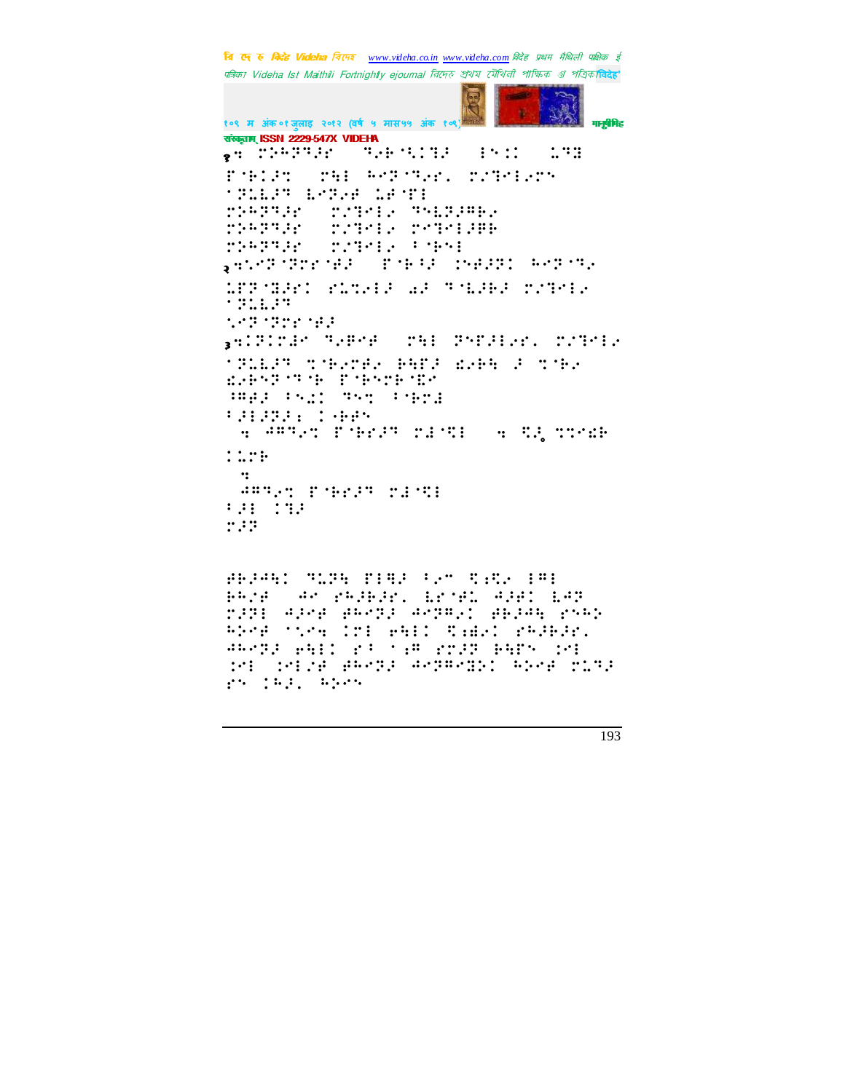**County** 

१०९ म अंक०१ जुलाइ २०१२ (वर्ष ५ मास५५ अंक १८ मानुबेगिह संस्कृतम् ISSN 2229-547X VIDEHA  $\mathcal{L}$  :  $\mathcal{L}$  :  $\mathcal{L}$  :  $\mathcal{L}$  :  $\mathcal{L}$  :  $\mathcal{L}$  :  $\mathcal{L}$  $\sim$  111 .. *:*2009 PORTAGE. **STREET REPORTED STATES TOOLST LATER WATER MARTING MANUEL MANUFICATION** mandan dari **TESTALL CANALISE TESTIN PROPER** man property , ever drened ( Poble) (5838) ( Report MTT MART STORAGE AF TYLARE TYTER **SPEEPS**  $1.43.12222.143$ gelPiran SyBne (red Phrabyn, rzhnby **TELLP TYPETE PHTP APPR 2 TYPE** EPPERTH POPTED SHEP PAID THE PERI *FALLERS : 1995* **A ARTES EMPLER SINE CA SI STACH**  $:...:$  $\dddot{\mathbf{r}}$ ARTIC PORT TIME 1911-192  $1:3:1$ **ABARA TEST CONTROLLED** 

PRIE AR PROBOT, BRIEL AND BAR 2391 4304 AW093 409821 AB346 2546 Aber ties Inf akt: Camer PADDAY. ARADA ANIL 23 SIP 2238 BRES 19 tel telta americanamenti mode rigi  $P^2 = 143$ ,  $P^2 = 147$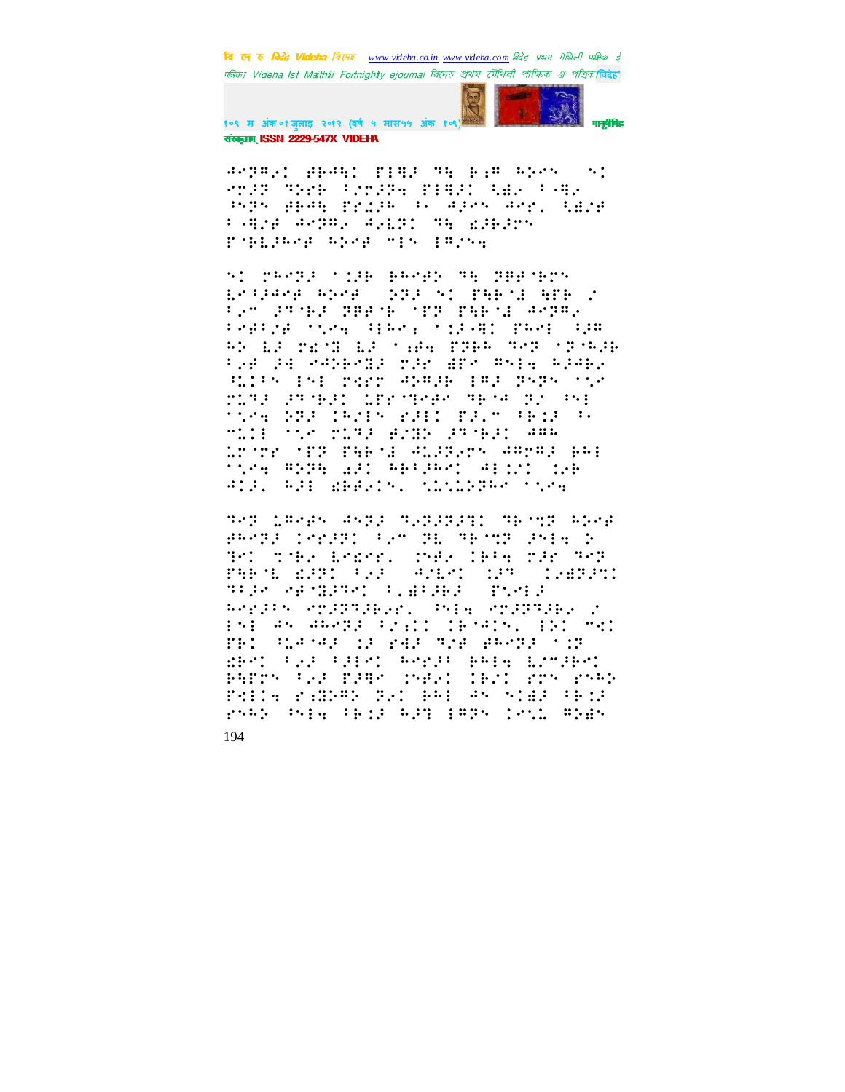

१०९ म अंक०१ जुलाइ २०१२ (वर्ष ५ मास५५ अंक १०९ संस्कृतम् ISSN 2229-547X VIDEHA

arport geogl ping ng elo syre . POST THE FOOTH PIRED REFORMER supu gada penga si diuu due sang tang **FARM AMPRE ANIST TH WIRRY** Pohlstand they min iffine

SI MARTE SIDE BARGE TH THEORY Lotane Abor (193 St PARTE APR) 2 tem andea dheim ind nabis expre PARTIE TONE REPAIR MIRREL PRAI (PR REALE TEST LE SANG TIPE TET STORE ter an empeda war dre mein bande SLIPS ESE MANN SPEAR EEA PSPS TAP MIRE ERMEEL IPENTHAM RENAUDY PAL tice PRE CROBY RED BELT BELEVER mil trouble and conservan London TPP PABra ALPP2or APpPP BA: tive ASPA WAS ARRAANS AROUS OR ADAL RAD EBBAIN, NINIPER TURE

THE COMPA SHOP TREPERT TEMP ANNE PROTECTIONS OF THE TEORIES PROFESS This with Engry, whe lefts wir Thr fakan kesi Tulo Adiso berjudungan **TERM PROBEDO ELBERG (PLMER** Replace endpropers (Pelacendribus). pel as ameng trill d detect. Bi for TEC SLAMAR OF PARTNER PROTECTION ERST FOR FRIST REPRIETERED ETHING BATTS FRAUDARY INBRIUGENT PTS PSAR PODE PARAR SAI PAL 45 SIAR PRIP PARK PAIN FROM RUT 1875 CROL 8245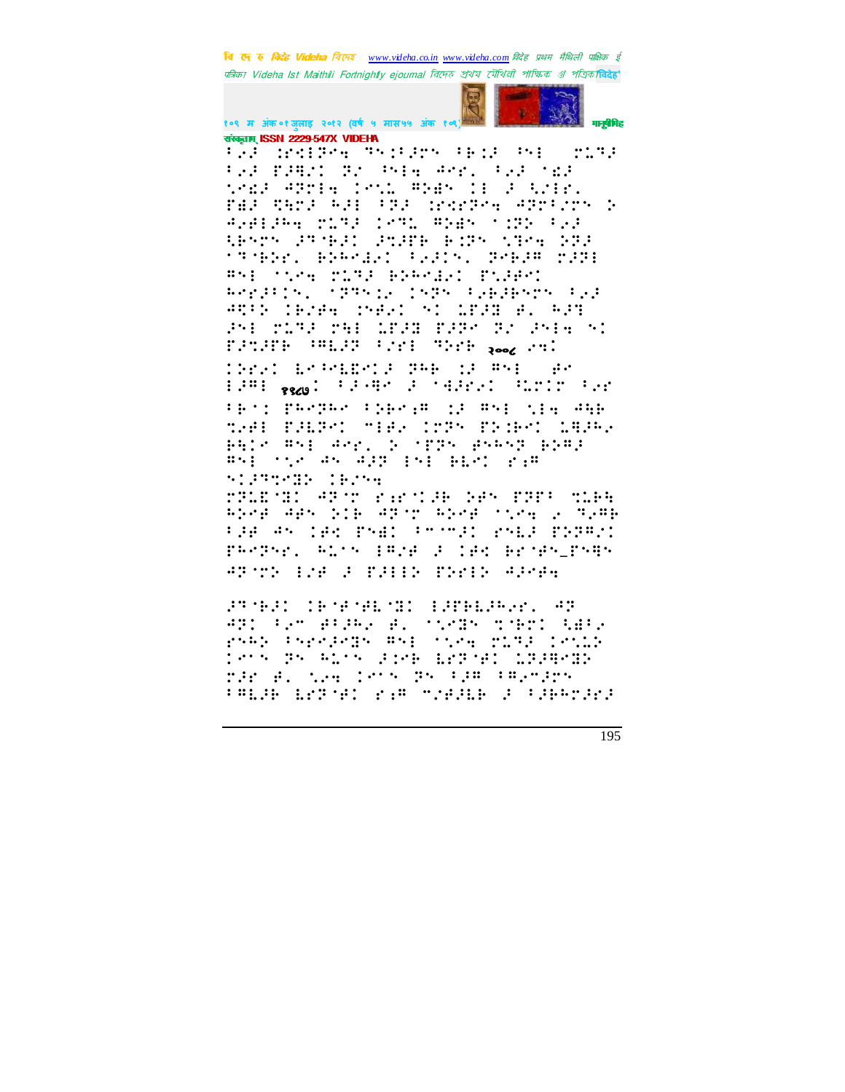वि एक रु क्रिटेड Videha विएम्ब www.videha.co.in www.videha.com विदेह प्रथम मैथिली पाक्षिक ई

पत्रिका Videha Ist Mathili Fortnightly ejournal রিদেহ প্রথম মৌথিনী পাক্ষিক প্রা পত্রিকা<mark>বিदेह</mark>'

१०९ म अंक०१ जलाइ २०१२ (वर्ष ५ मास५५ अंक १०९)

PARTICLERA PROPERTY PROPERTY

PARTIMENT TO PHALMAN CONTROL

संस्कृतम् ISSN 2229-547X VIDEHA



मानुबेगिह

 $\frac{1}{2}$  :  $\frac{1}{2}$  :  $\frac{1}{2}$  :  $\frac{1}{2}$  :  $\frac{1}{2}$  :  $\frac{1}{2}$  :  $\frac{1}{2}$  :  $\frac{1}{2}$  :  $\frac{1}{2}$  :  $\frac{1}{2}$  :  $\frac{1}{2}$  :  $\frac{1}{2}$  :  $\frac{1}{2}$  :  $\frac{1}{2}$  :  $\frac{1}{2}$  :  $\frac{1}{2}$  :  $\frac{1}{2}$  :  $\frac{1}{2}$  :  $\frac{1$ 

195

PORT INSTRUCTION API PAT REPAY R. TOMBY TORT REPA rest terrible will the rund fruit Dens ds Alns adeb beziel 1224-22 THE B. New York Brook Company PALSE LETTED FIR TEACHER PROPERT

Bri the Brogg (right hist riB STREETHE INTER PROBABL ARAT PAPALEN DES PRES MORE 8208 ABS 218 ATTM 8208 TIME 2 TOBB FJA AN 180 PNAL FOUND PNLP PRPPI PROPRES RICH FROM 2 1965 BECAM\_PRAY AP TRANSPORTAGE TO A SAN AND A SAN AND A SAN AND A SAN AND A SAN AND A SAN AND A SAN AND A SAN AND A SAN AND A

Chryl Erstelby: THE 13 Which Ar EUPE <sub>8848</sub>: PUPPE D'AUGUL PLOT PUP PETI PROPRO PIRAGE 12 RME 114 AND the farm who the fract density BALK WAL WAR, 2 STEP BARAR BAWA

trea Adria (rub Adam (i a Avir. TAS TATS RSE FTS indited ATTENTS & Agailag ring teni Agas (1908-1918) SPACE PROBLEM POPP NORTH PRE 'T'BRE, BRAMANI (SAIN, PMBAR 2221 #5: Time riff Brendel Pubbel ARIS CROBE CHEST NO LEGG B. AGG PAL TERP THE EFPE FPP TO PAIN ST FRONTH WHERE PREP TREE good and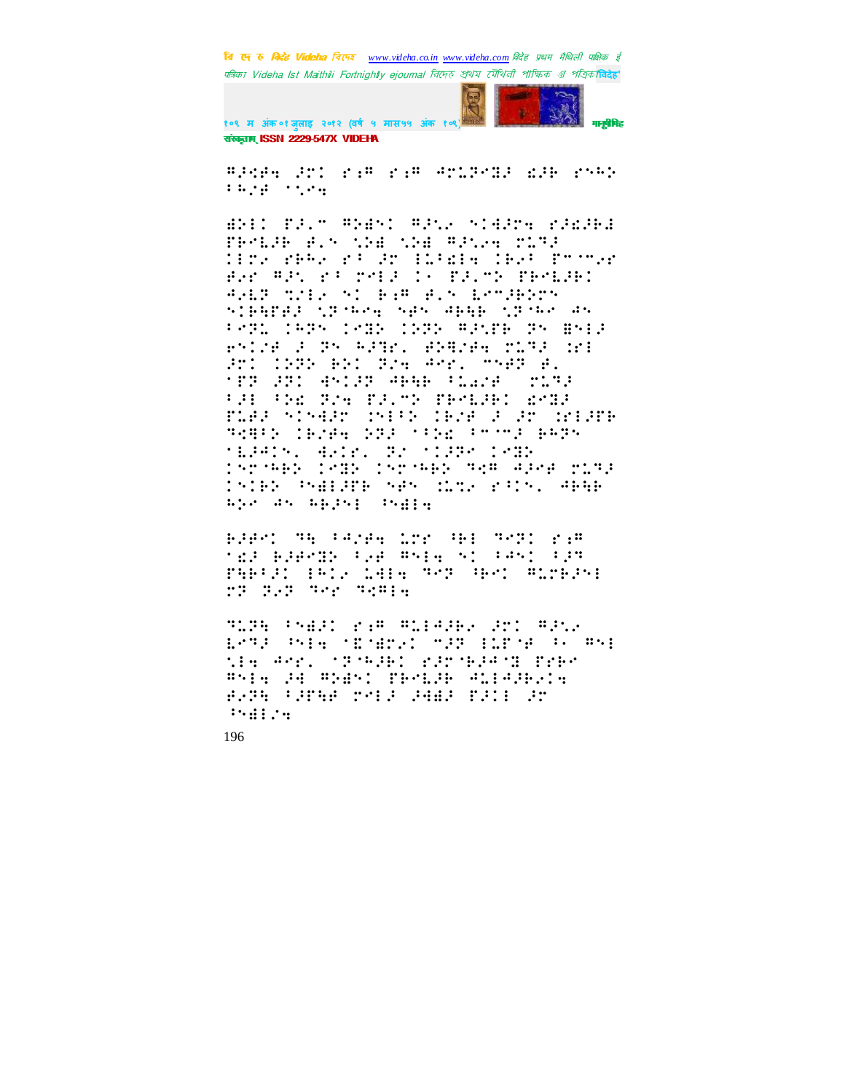

१०९ म अंक०१ जलाइ २०१२ (वर्ष ५ मास५५ अंक १० संस्कृतम् ISSN 2229-547X VIDEHA

#Peda Srl ri# ri# #r13732 ePb r545  $\mathbb{E}[\mathbf{h}_1\mathbf{h}_2\mathbf{h}_1] = \mathbf{h}_1\mathbf{h}_2\mathbf{h}_3.$ 

BRID PAIM ARBAI APUS SIAPPA PADAPA TRALIB A.N NAM NAM ARNAM MITE Gira ekka et dr filtels (kat fronae Bar Wat richard is paint predant ARLE SMER AT BAR BIA LASPERTA SIPREED SPORTS SPS ARRE SPORT AS FRED 1975 1885 1975 FRONT 75 BS12 FRIDE FORM RETEV EPHOPH TIPE OFF Grijch konstantijne program **183 231 95123 9696 91223 2133 FAR THE TEST TEMPER ROOM** ries Styder over 1929 styr Gresre TORIX INSER 200 'ING IT'TE BADY **MERCHANISM BY MERCINER** Inched (MIN Inched M48 Adde club ISIBN PABLEMB SAS MONT RAIS, ABAB ape du appug (nggu

BJPS TROPAGE OUT THE TOTAL PR tel Blendi (28 Ania ni (45) (28 PARTIC INTE LAIR MPT ART MITRIM rn ner der den g

SLPR PARK PAR RUBBER 201 RPLK ESTA PHA MEMBERS MAR BLEMA PHONE the Arr. (Product ranger) from the Big al mas: Thelah Allaansia  $3.441.94$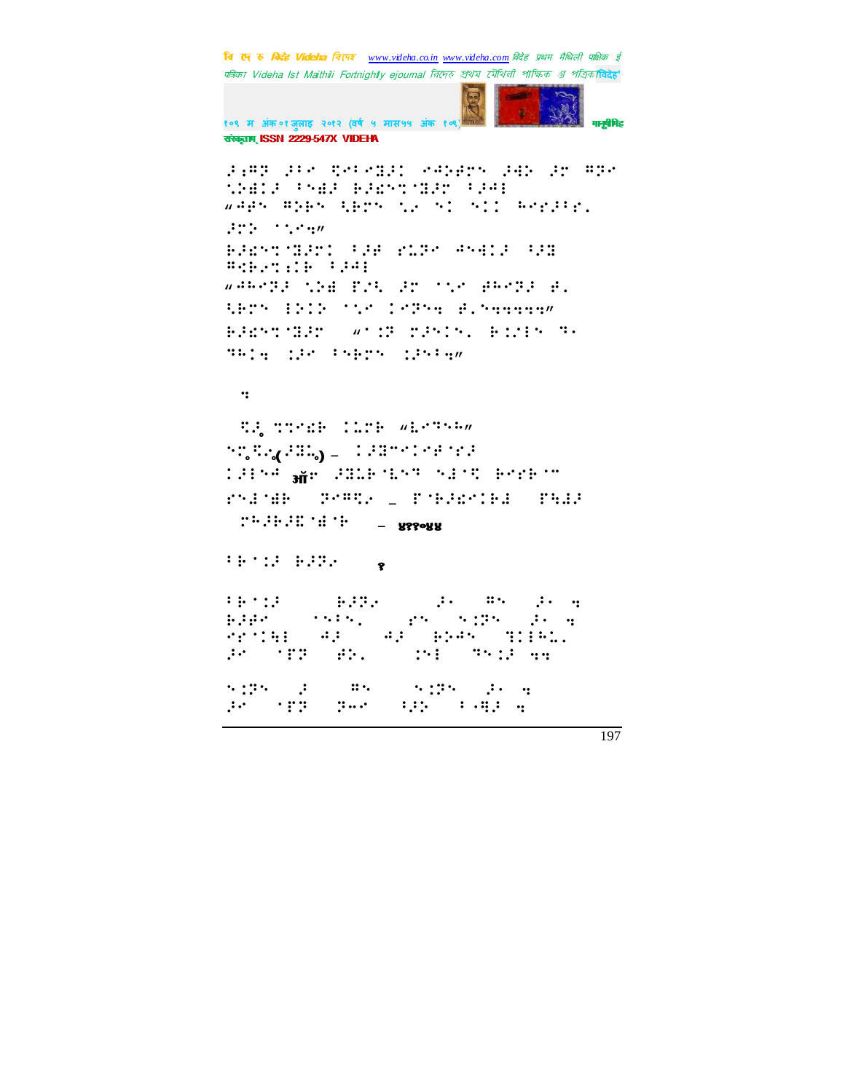१०९ म अंक०१ जुलाइ २०१२ (वर्ष ५ मास५५ अंक मानुबेमिह

FART FOR SPORTED PANEDS FAN ID ADP SPALE PAAR BREAKTART PRAF<br>WARA PPBA SBTA SPUART ALL PATRIT.  $F: Y \rightarrow Y \rightarrow Y$ BRESTNIKI PRE KLIM ASKIR PRI **Benevich Spar** websit the fit or the ebsit e. When HDID the LeBna H.Saaaaaw BREAKTREE WORKING BRIEF TH SALA MAS PAPPS MARIAM

 $\dddot{\cdot}$ 

 $\mathbb{R}^n$  with  $\mathbb{R}^n$  . The section **STERGERS - CERTAINE ME** 19854 Web 2018-1657 Saint Berbert rylme (Pres) \_ poblacibl (Phil  $\mathbb{C}^n \times \mathbb{C}^n \times \mathbb{C}^n \times \mathbb{C}^n \times \mathbb{C}^n$ 

FROM BARS ON

संस्कृतम् ISSN 2229-547X VIDEHA

 $\label{eq:2.1} \frac{1}{\sqrt{2}}\left(\begin{array}{cc} 1 & 0 & 0 \\ 0 & 1 & 0 \\ 0 & 0 & 0 \end{array}\right)\frac{1}{\sqrt{2}}\left(\begin{array}{cc} 1 & 0 & 0 \\ 0 & 0 & 0 \\ 0 & 0 & 0 \end{array}\right).$  $3.34 \pm 0.12$  $\mathbf{F} \cdot \mathbf{F} \cdot \mathbf{F}$ PRESS SATISFIES Production are an approximated.  $\mathbb{R}^n \times \mathbb{R}^n \times \mathbb{R}^n$  . 

 $\mathbf{a}$  $\label{eq:3.1} \mathcal{F}^{(1)}\left(\mathcal{V}^{(2)}\right) = \mathcal{F}^{(1)}\left(\mathcal{V}^{(1)}\right) = \mathcal{V}^{(1)}\left(\mathcal{V}^{(1)}\right)$  $\mathcal{H}^{\mathcal{L}}_{\mathcal{L}}(\mathbb{R}^{n},\mathbb{R}^{n})\rightarrow\mathcal{H}^{\mathcal{L}}_{\mathcal{L}}(\mathbb{R}^{n})$ per ern nav opp overlede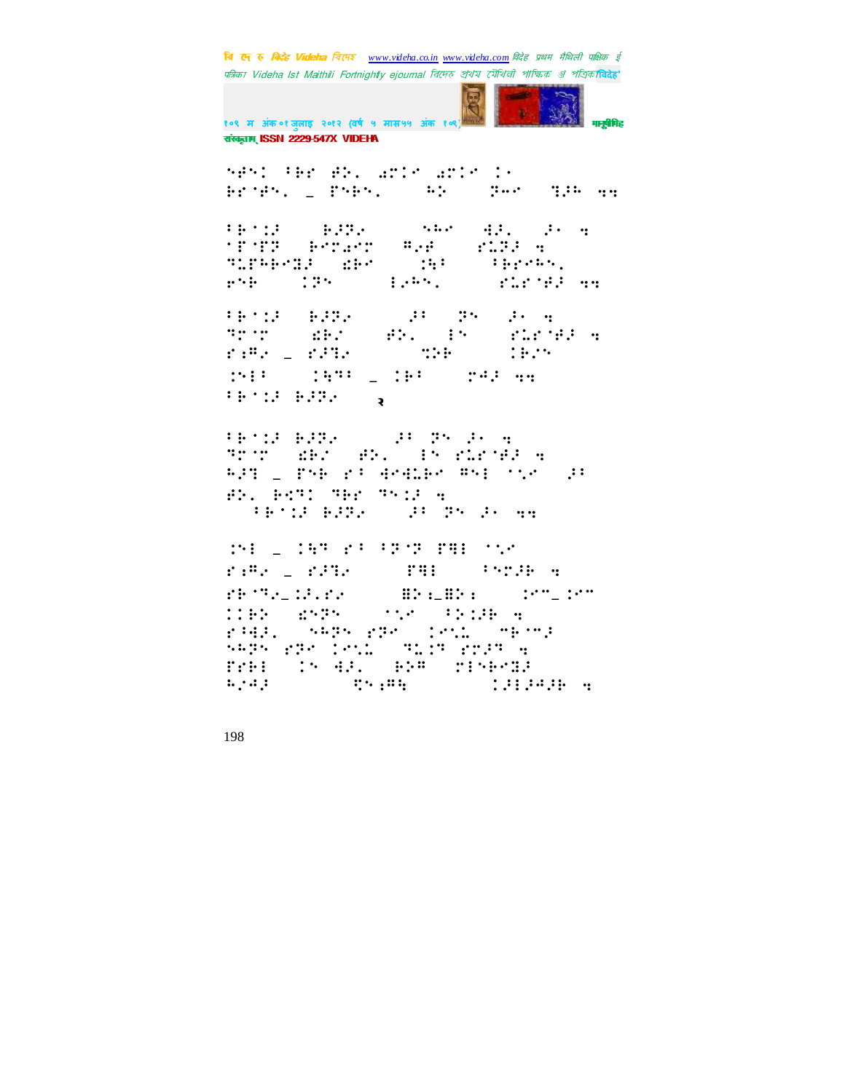मनुबेधिह १०९ म अंक०१ जलाइ २०१२ (वर्ष ५ मास५५ अंक १) संस्कृतम् ISSN 2229-547X VIDEHA

nent fer et. antr antr to Brida, Langer, Cancelland (1960) and

FROM BURY SAR HULL DEA  $\ldots$  : **STORY BOYLEY WAR**  $\mathbb{R}^{n+1}$ **MINESTER SERVICE** sternen.<br>Schrift am rth 195 Brbt.

 $1543 - 1533 = 153$  and  $1543 - 154$ FRANK RATH 3

TROLERING (P. 15-15)<br>Profile and (PN) (P. 15-16) 91-91 RPE \_ PSE PROPERTY RSE TAKE PR Sh. Ben: MBr Mrid A **SERVIE BIRE SOUTH IN HIS** 

**THE SECRET REAL** rime rime  $\mathbb{R}^2$  :  $\mathbb{R}^2$  :  $\mathbb{R}^2$  :  $\mathbb{R}^2$  :  $\mathbb{R}^2$  :  $\mathbb{R}^2$  $\mathcal{L}^{\frac{1}{2}}\mathcal{L}^{\frac{1}{2}}\mathcal{L}^{\frac{1}{2}}\mathcal{L}^{\frac{1}{2}}\mathcal{L}^{\frac{1}{2}}\mathcal{L}^{\frac{1}{2}}\mathcal{L}^{\frac{1}{2}}\mathcal{L}^{\frac{1}{2}}\mathcal{L}^{\frac{1}{2}}\mathcal{L}^{\frac{1}{2}}\mathcal{L}^{\frac{1}{2}}\mathcal{L}^{\frac{1}{2}}\mathcal{L}^{\frac{1}{2}}\mathcal{L}^{\frac{1}{2}}\mathcal{L}^{\frac{1}{2}}\mathcal{L}^{\frac{$ MPP ENPROVING PROPER radio sams rus crew special Angs age leib' and Graafy Tril (7 dl. 628 TESPOR  $\mathbb{Z}^{1,2}$  ,  $\mathbb{Z}^{1,2}$  $\mathbf{r}$  ,  $\mathbf{r}$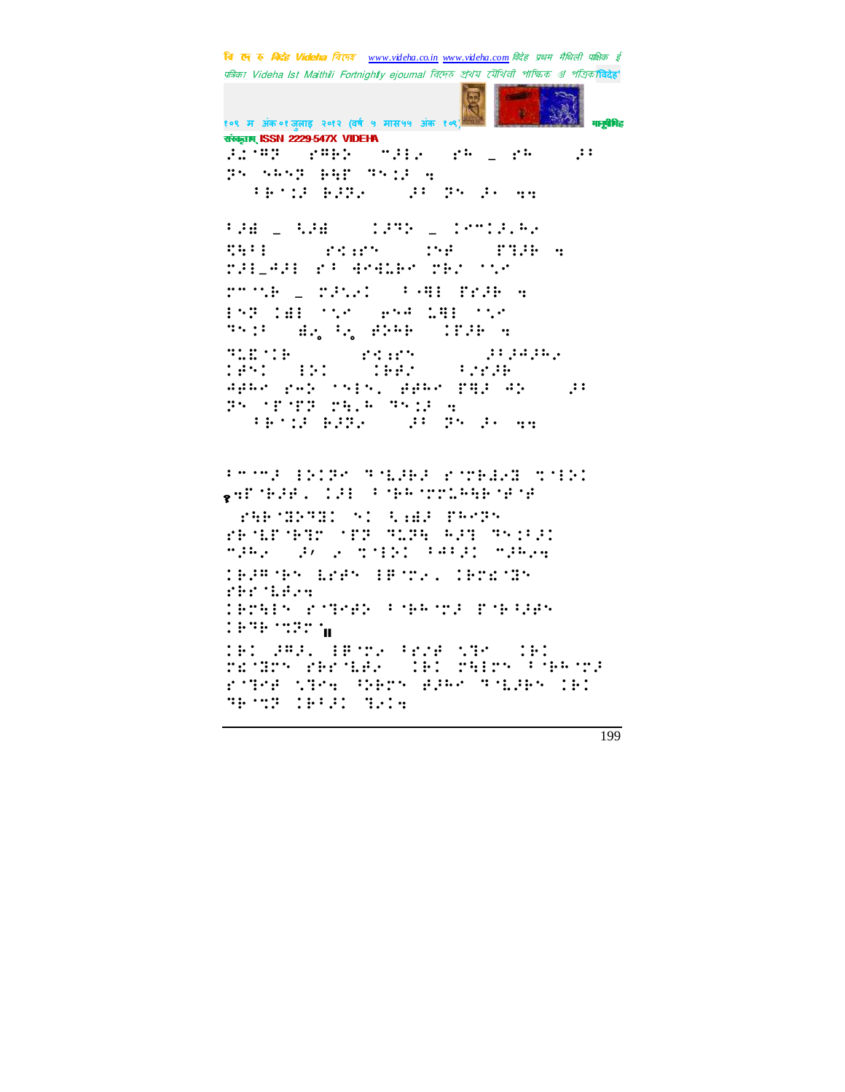**Contract Contract Contract Contract Contract Contract Contract Contract Contract Contract Contract Contract Contract Contract Contract Contract Contract Contract Contract Contract Contract Contract Contract Contract Contr** 

|                               |  |  |  |  |  |  |  |  | .०९ म अंक०१ जुलाइ २०१२ (वर्ष ५ मास५५ अंक १०९) स्ट्री के सामग्री के सामग्री के बार को सामग्री के बार के बार को<br>१०९ म अंक०१ जुलाइ २०१२ (वर्ष ५ मास५५ अंक १०९) सामग्री के बार को बार को बार को बार को बार को बार को प्रकाश कर द |  |
|-------------------------------|--|--|--|--|--|--|--|--|---------------------------------------------------------------------------------------------------------------------------------------------------------------------------------------------------------------------------------|--|
| संख्याम ISSN 2229-547X VIDEHA |  |  |  |  |  |  |  |  |                                                                                                                                                                                                                                 |  |

Banggo Park Star Panggar Sta PS SPSP PRE TSIP 8 **TEMPERS OF PORTS** 

FAB \_ RAB = 1258 \_ 12512.52 THIS STRIP THE  $\cdots$ rdi adi et anglen ren sin rnie grand ((Australia) 157 181 718 254 181 718 This day to sheet Indeed  $\left\langle \left( 1,1,1,1\right) \right\rangle$ **TEEMENT**  $\mathcal{L}^1$  ,  $\mathcal{L}^2$  ,  $\mathcal{L}^2$  ,  $\mathcal{L}^2$ 1951 121  $\mathbb{R}^2$  :  $\mathbb{R}^2$  :  $\mathbb{R}^2$  :  $\ddot{.}\ddot{.}\ddot{.}\dddot{.}$ agas pay report game pay ay the 

From BHP TABE FORES TOB gar deles (1918) i del conseguir di d

FAR MISHING SINGLE PROPE FROM THE STATE WARD TO SAFE **MIRA CACA TILL FRIED MIRAL** TEACHER EPAR IBSTAL IETERTER che differ IPTER POTPER PORTUBUREREN

1979-1120 h IBI PRAY BENDA PENERGERA (IBI rendry skende. (181 rainy figurer rothe the spers glass whiles in: SECOND TEACH SECOND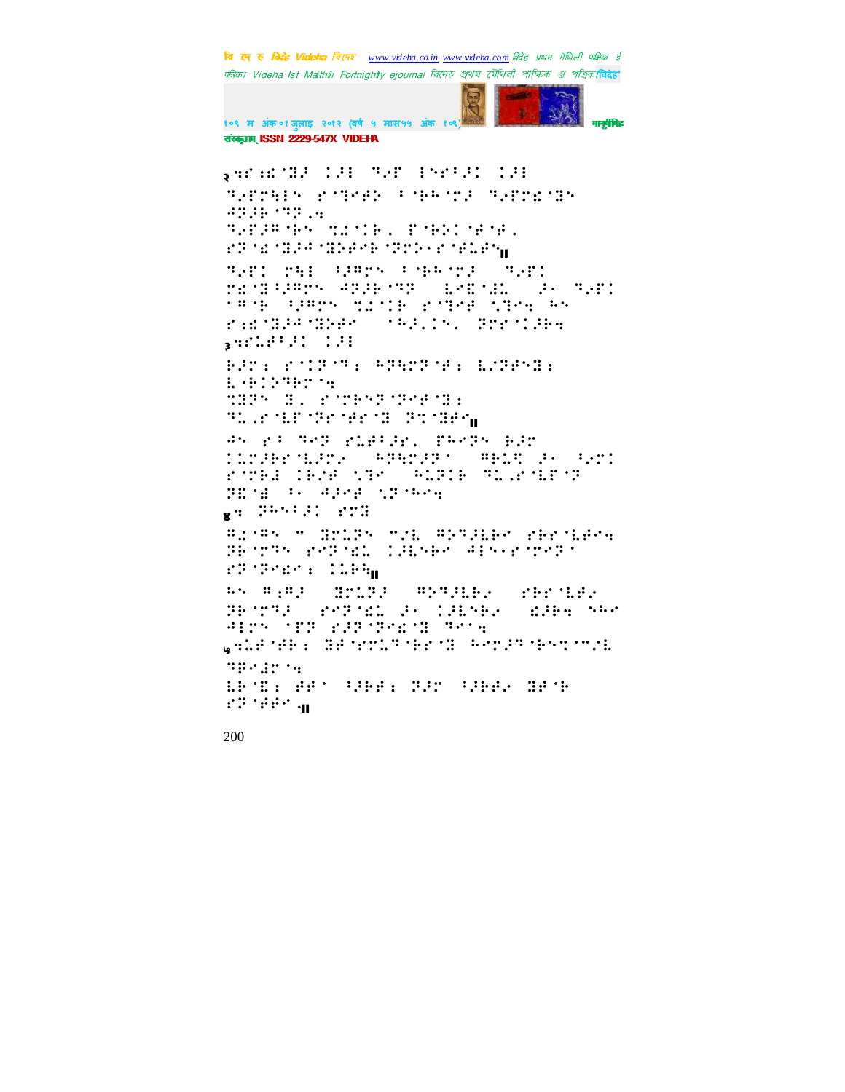

१०९ म अंक०१जूलाइ २०१२ (वर्ष ५ मास५५ अंक संस्कृतम् ISSN 2229-547X VIDEHA personal Cal Ser England Cal SAPPAIN RISER FINANCE SAPPRISH 4228.172.4 **THEFFY TESTED EMPLOYEE.** 27 YEAR MORE MOVED YOURS THIS THE GREEN FORM TO THIS rendigares and non-defended to hand ten Gers dich robe Chere rundahan salah sahiji désa  $3$  and  $344$   $444$   $444$   $444$ BETA CONTACT BEBTENA LOBBYE: LOBIDARY OF THE H. PTP-PTP-PTH TO STOP THAT IS TO THE AN PROTECT PLATTEL TAPTN BIT TEMPERINTS APAMPT APACK PV RET roma deze cho anno nivelento Ship : Waper Ship  $e$ : 255:31 223 Rives o Brigs one Rouges recomes PROTH POTOL LADAR ALSO DOT? FRONT COPE **AS WARE SENSEY WORKERS SERVIEL** BETTE FORTHL AN IBREA **Sales She** HITS TIL RIPTERIN TETA GALAMARY SAMON'S TRANSPORTANCE **NBPACHING** APS APS UNA THE UNA APS **PERMIT SERVICE**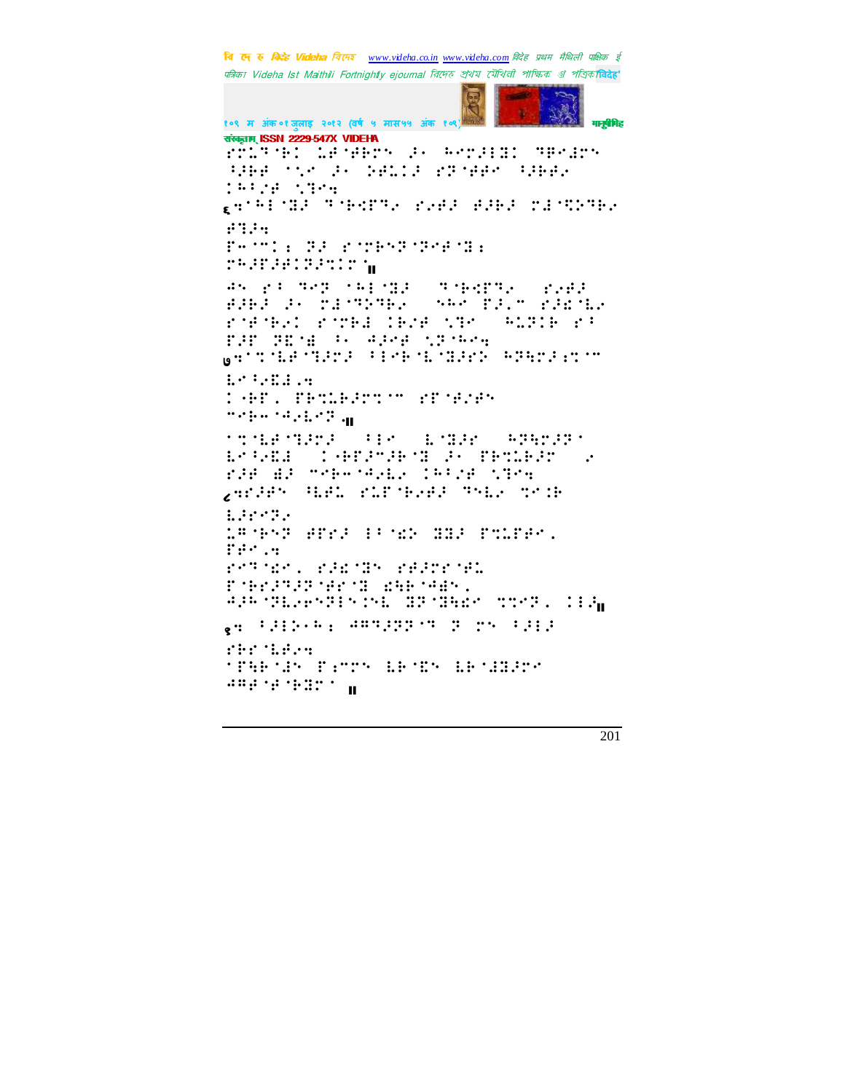```
×
१०९ म अंक०१ जुलाइ २०१२ (वर्ष ५ मास५५ अंक १०९
                                                    मानुबेगिह
संस्कृतम् ISSN 2229-547X VIDEHA
rolade: Ledern P. Anolis: aprilh
SPER STATE STATE STORES SPEED
19328 1384
permindial probective event and a construct
P: P: PPHONE NA POPPENHAME:
253838123912 W
45 PR THR 1912 STORES PORT
BREATH CAMPER THAN FROM BREAK
                                      \frac{1}{2} : \frac{1}{2} : \frac{1}{2} : \frac{1}{2} : \frac{1}{2} : \frac{1}{2}rienki rická (krejstv
TH HIM WARD STORY
gar monar (1929) (Filme on the Person of the Second
ESPECIAL
media ravierd an
STARTED PROVIDED PROPE
<u> L'ALL (LEAD-AIRS I A' STADA</u>
                                                \mathcal{L} = \mathcal{L}rde ad mobeledad, 19328 (1954)
yarder Huel rifsbede Srby Scob
ESPARA
LEARNE WEEK IN MANUELE FOLEWAL
Parties
rether, recommended
Portional decompagners (
APP TERRITY IN SENSON TO BUILDING
e^{i\frac{1}{2}+i\frac{1}{2}+i\frac{1}{2}+i\frac{1}{2}+i\frac{1}{2}+i\frac{1}{2}+i\frac{1}{2}+i\frac{1}{2}+i\frac{1}{2}+i\frac{1}{2}+i\frac{1}{2}+i\frac{1}{2}+i\frac{1}{2}+i\frac{1}{2}+i\frac{1}{2}+i\frac{1}{2}+i\frac{1}{2}+i\frac{1}{2}+i\frac{1}{2}+i\frac{1}{2}+i\frac{1}{2}+i\frac{1}{2}+i\frac{1}{2}+i\frac{1}{2}+i\che filmen
SPHECK FITTS WHITE WEIGHTS
ARP 18 1932 1 TO
```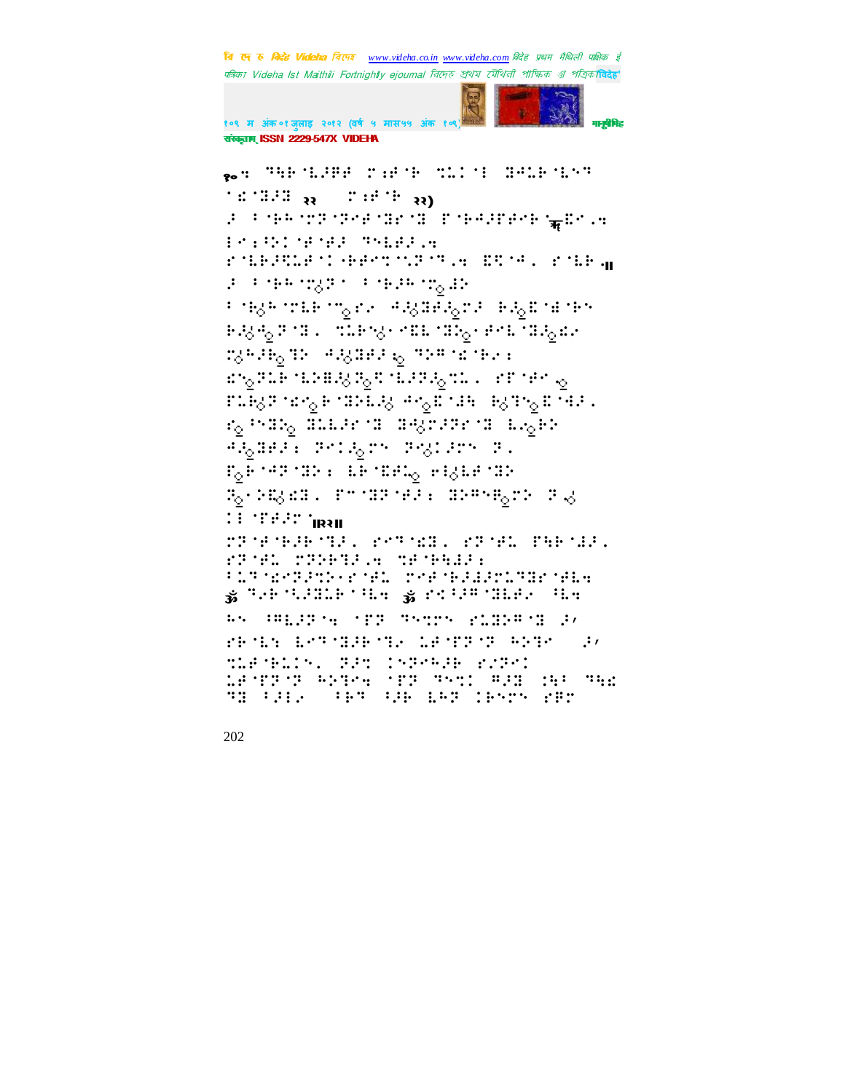१०९ म अंक०१ जुलाइ २०१२ (वर्ष ५ मास५५ ३ मानुबैमिह संस्कृतम् ISSN 2229-547X VIDEHA es THE LIFE SAFE SINCE BELEVENT  $1.6 \times 1.1.11$  and  $1.6 \times 1.1.11$  and  $1.6 \times 1.1.11$  and  $1.6 \times 1.1.11$  and  $1.6 \times 1.1.11$  and  $1.6 \times 1.1.11$  and  $1.6 \times 1.1.11$  and  $1.6 \times 1.1.11$  and  $1.6 \times 1.1.11$  and  $1.6 \times 1.1.11$  and  $1.6 \times 1.1.11$  and  $1.6 \times 1.1.1$ 2008 resident proposed and in resident paper of **Principal Starte** romestar centro con contro de la control FOR the right of the trade Finale music model in Againston in Espaina ner  $\mathbb{H} J_0^1 J_0^1 \mathbb{P}^{-1} \mathbb{H} \; , \quad \mathbb{V} \mathbb{L} \; \mathbb{H}^1 \mathbb{V}_0 \leq \mathbb{V} \mathbb{H} \; , \quad \mathbb{H} \mathbb{V}_0 \leq \mathbb{H}^1 \mathbb{L} \; , \quad \mathbb{H}^1 \mathbb{L} \; , \quad \mathbb{H}^2 \mathbb{V}_0 \; \mathbb{H}^1 \; .$ DEPROTE PROTECTO TEST OF THE  $\mathbb{C}^n \underline{\otimes} \mathbb{P} \mathbb{Z} \oplus \mathbb{C} \mathbb{Z} \oplus \mathbb{H} \mathbb{Z} \otimes \mathbb{Z} \underline{\otimes} \mathbb{C} \oplus \mathbb{L} \mathbb{Z} \oplus \mathbb{Z} \underline{\otimes} \mathbb{C} \mathbb{Z} \oplus \mathbb{C} \oplus \mathbb{C} \oplus \mathbb{C} \oplus \mathbb{C} \oplus \mathbb{C}$ FLESTING ENDERGY POENIE (ESTORNER).  $c_2$  then  $\overline{c}_2$  denote the degenerate the length HAGBER : POLAGON (POLITON) PL For the table of the Loopeign for RockBad, Production demonstrate  $\mathbb{R}^n$  :  $\mathbb{R}^n$  :  $\mathbb{R}^n$  iral TROPORTER PROGRESS TRANSPORTER **FOR MANUFACTURE CAPTERS ENTIRE MEDIA** % Termedia & Schemare Ha BS HERRY TRE TSTE PLEASE F. PRODUCED METRO DE MEDICAL CEL the Golds, Bat (SP-688 ECR) LENTIN BRIGG NTP TEST RED SHE THE THE FILE OF FRIED HIS LATE CRYPS VIRT

ंबि एक रु *बिन्देह Videha विए*म्ब www.videha.co.in www.videha.com विदेह प्रथम मैथिली पाक्षिक ई पत्रिका Videha Ist Maithili Fortnightly ejournal রিদেহ প্রথম মৌথিনী পাক্ষিক প্র পত্রিকাঁবিदेह'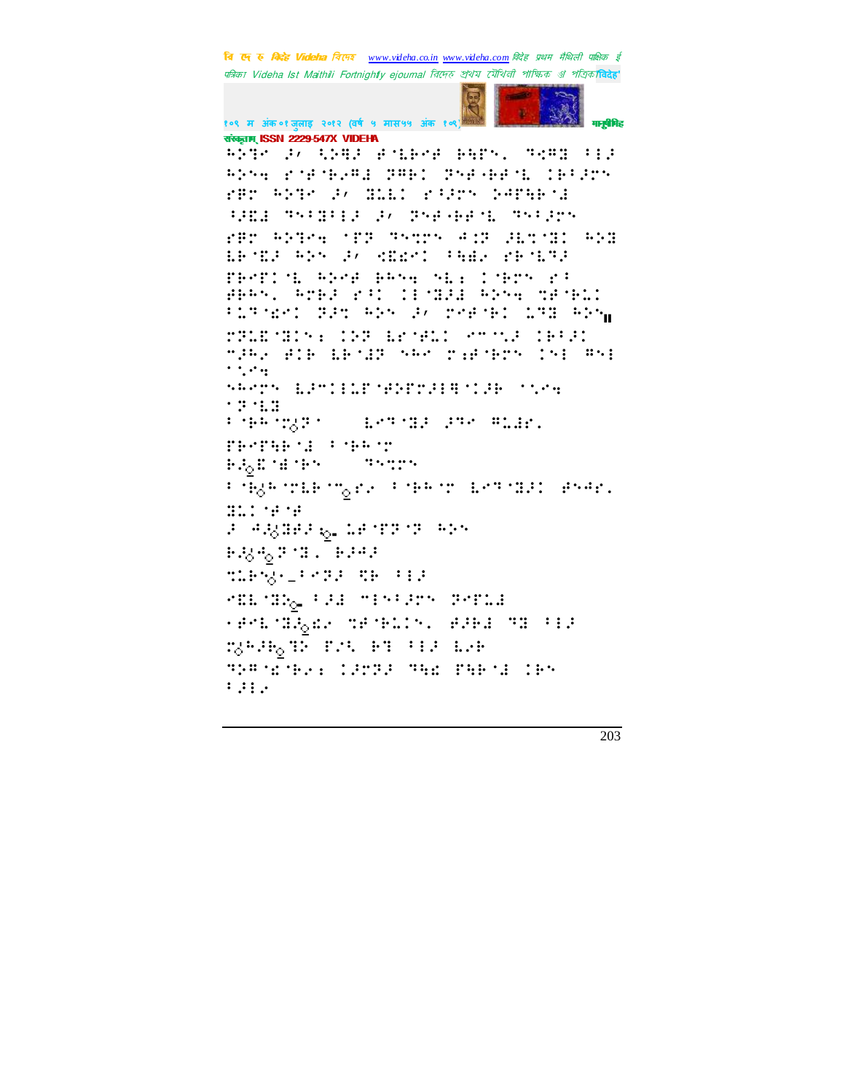

संस्कृतम् ISSN 2229-547X VIDEHA 8295 27 N292 B NEMB BADN, 7583 FIR RESA POPORARA PRES PSEGRANA SPARES FRO ANTE 37 HILL FARDS NATHERN HALL THIRTLE WAS THE LOTTERY FBT RETEW TER TETTS AND HETTER REE EPSER APM 3, SERMI PARK PRSERP TRATICE ANDE RANG ME: ICRON 23 BRANC AMPS ROLLINGS ANNA MENRIC FLAMENT BET ANN IN THEME! LAB ANN <u> Militar (Alexandrich School) (Alexandrich School) (Alexandrich School) (Alexandrich School) (Alexandrich Scho</u> make alb bendrokke raachem (na Ana  $\cdot$  ,  $\cdot$  . SPECIAL LIMITIES SENSITIES TO ALL STAND  $1:1:1:1$ PORTUGAL CONTRACTOR REAL **THOTHERS PROPERTY** egarden i  $\cdots$ Finegalmene moduli finea militara nazio andari **ELIMPTH** FORWARD WE WANTED TO BE #18%F13, #243  $\texttt{min}\{\texttt{y}_0, \texttt{z}_1, \texttt{y}_2, \texttt{z}_2, \texttt{z}_3, \texttt{z}_4, \texttt{z}_5, \texttt{z}_6, \texttt{z}_7, \texttt{z}_8, \texttt{z}_9, \texttt{z}_9, \texttt{z}_9, \texttt{z}_9, \texttt{z}_9, \texttt{z}_9, \texttt{z}_9, \texttt{z}_9, \texttt{z}_9, \texttt{z}_9, \texttt{z}_9, \texttt{z}_9, \texttt{z}_9, \texttt{z}_9, \texttt{z}_9, \texttt{z}_9, \texttt{z}_$ PEESENG FRESH PERFECT POPLE Herbodayas decentric esta do Fis MARE THE PIPER LA THROUGH CHTH THE PHETE CH  $: 11.$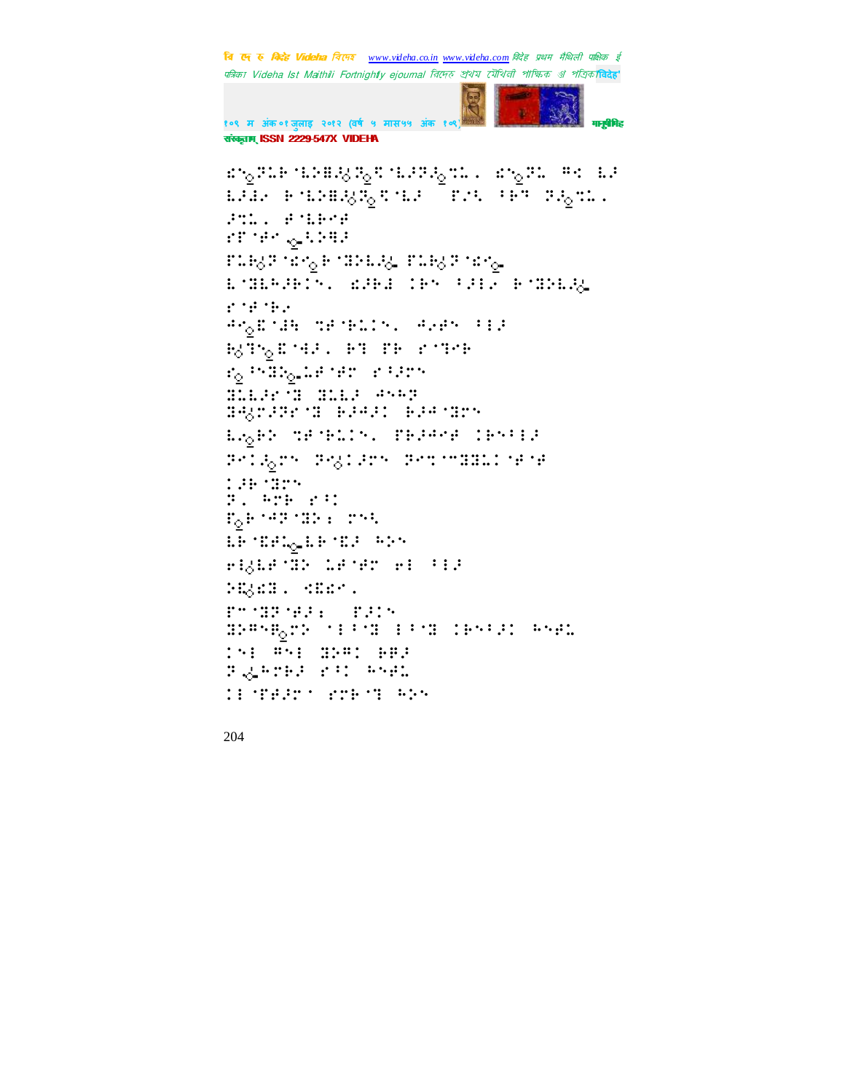

алдары араңдар аландары калдар же кы LABY FOLDERS WORLD FINE THO PASSE. Pull Public  $\mathcal{C} \mathcal{D} \mathcal{D} \mathcal{D} \subset \mathbb{Q}^{1,1,2,3,2}$  $\mathbb{P}\mathbb{L}\mathbb{P}\mathbb{Q}\mathbb{P}^{\times}\mathbb{E}\mathbb{P}\mathbb{Q}\mathbb{P}^{\times}\mathbb{H}\mathbb{P}\mathbb{L}\mathbb{P}\mathbb{Q}\mathbb{P}^{\times}\mathbb{H}\mathbb{P}\mathbb{Q}\mathbb{P}^{\times}\mathbb{H}\mathbb{P}\mathbb{Q}\mathbb{P}$ EMBRARING EARD IRN FALL ROBBIN  $\mathcal{C} \subset \mathcal{C} \subset \mathcal{C}$  . Then Program de relativa (Poem FEP ROTAGETHAL ET TE POTPE  $\mathcal{C}_0$ Prilligalist ter Unitern HARRY HARRY BRSTFF1B BPRF1 BPR1BT5 EAGER SECRETAL PROPER IPARTS Philagen (Physiaen) Phechaalisticale tue men  $P_+$  Were  $\pm 1$  $\mathbb{F}_0$  is the time of the  $1$  $\mathbb{L}\mathbb{H}$  (E-Eigenbach ) where  $\mathbb{H}\mathbb{H}^{\times}$ FREEDWAY FOR THE PEGEL SERS. ProBreak Path BRESENIX MERME ERMEDENHAM **[3] #41 HIMI ##2** PQPPER PROPER **CENTRATIC PORTS AND**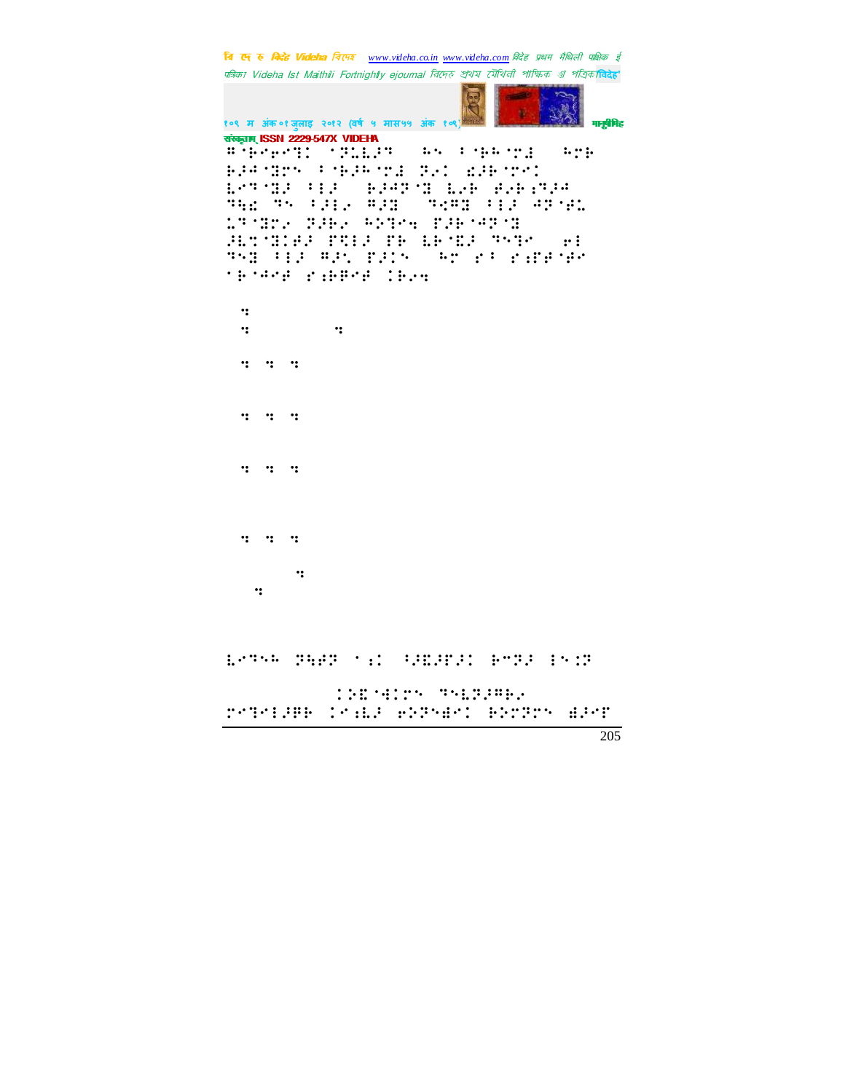पत्रिका Videha Ist Maithili Fortnightly ejournal রিদেত প্রথম মৌথিনী পাক্ষিক ॳ পত্রিকাঁ<mark>বিदेह'</mark> ø १०९ म अंक ०१जुलाइ २०१२ (वष ५ मास५५ अंक १०९) मानुषीिमह संस्कृतम् ISSN 2229-547X VIDEHA ⢻ ⢷⢶⣙!⢽⣅⣇⢼⢹.!⢳!C ⢷⢳ ⣜-!⢳⢷! ⢷⢼⢺ ⣝!C ⢷⢼⢳ ⣜!⢽⢴!⣎⢼⢷ ! ÅrT^O2 HE PAPMO Å.AP BARPAR HE 2010 ION 2010 ION 2010 ION 2010 ⣅⢹ ⣝⢴!⢽⢼⢷⢴!⢳⢵⣙⣒!2⢼⢷ ⢺⢽ ⣝! ⢼⣇⣉ ⣝⢾⢼!2⣋⢼!2⢷!⣇⢷ ⣏⢼!⢹⣙-!⢶! ⢹⣝!C⢼!⢻⢼⣁!2⢼-!⢳!"⢸!"⣐2⢾ ⢾! ⢷ ⢺⢾0"⣐⢷⢿⢾!⢷⢴⣒! 9 WJEFIBID: SFTJEFIBID: SFTJEFIBID: SFTJEFIBID: SFTJEFOUT! 9  $\cdots$  $9:2:2:2$  $9:2:2:2$  $9:2:2:2:2$ cz! Esperant w Political Political Political Political Political Political Political Political Political Political Political Political Political Political Political Political Political Political Political Political Politic  $\mathbb{R}^n$ ⣇⢹⢳!⢽⣓⢾⢽!⣐!⢸⢼⣏⢼2⢼!⢷^⢽⢼.⣈⢽!!!

चि एक रु *विदेह Videha चिए*न्छ <u>www.videha.co.in www.videha.com</u> विदेह प्रथम मैथिली पाक्षिक ई

Joqvu;!)⢵⣏ ⣚!⢹⣇⢽⢼⢻⢷⢴-! ⣙⢼⢿⢷!⣐⣇⢼!⢶⢵⢽⣞.⢷⢵⢽!⣞⢼2!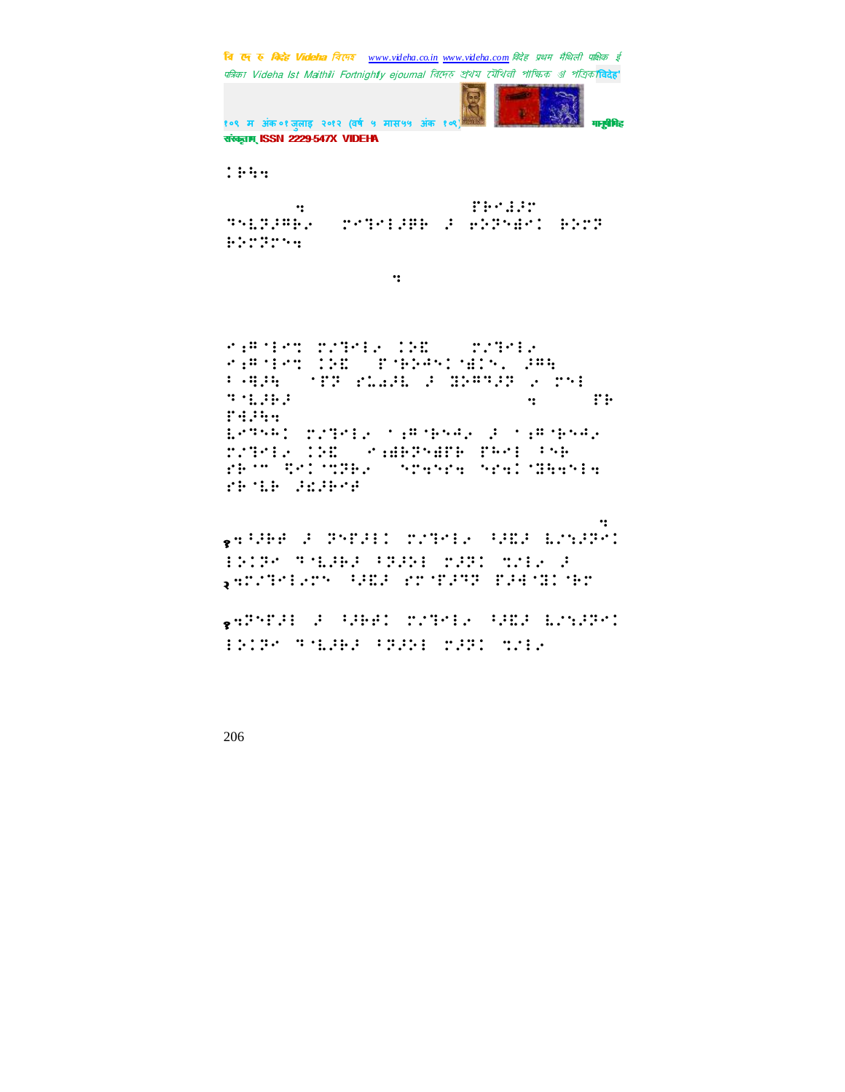१०९ म अंक ०१जुलाइ २०१२ (वष ५ मास५५ अंक १०९) मानुषीिमह संस्कृतम् ISSN 2229-547X VIDEHA

⢷⣓⣒!Joqvu!jo!Efwbobhbsj-!

Spnbow<br>Spnbowy (1981-1982) (1982-1982) ⢹⣇⢽⢼⢻⢷⢴-!⣙⢼⢿⢷!⢼!⢶⢵⢽⣞.⢷⢵⢽0! ⢷⢵⢽⣒!Sftvmu!jo!Efwbobhbsj-!

Spield (Spield Spield Spield)

 $^{\prime}$  4# MEM = 2.15 MEM = 1.14 MEM = 1.14 MEM = 1.14 MEM = 1.14 MEM = 1.14 MEM = 1.14 MEM = 1.14 MEM = 1.14 MEM = 1.14 MEM = 1.14 MEM = 1.14 MEM = 1.14 MEM = 1.14 MEM = 1.14 MEM = 1.14 MEM = 1.14 MEM = 1.14 MEM = 1.14 MEM  $^{\prime}$  GP 10  $^{\prime}$  CP  $^{\prime}$  ,  $^{\prime}$  ,  $^{\prime}$  ,  $^{\prime}$  ,  $^{\prime}$  ,  $^{\prime}$  ,  $^{\prime}$  ,  $^{\prime}$  ,  $^{\prime}$  ,  $^{\prime}$  ,  $^{\prime}$  ,  $^{\prime}$  ,  $^{\prime}$  ,  $^{\prime}$  ,  $^{\prime}$  ,  $^{\prime}$  ,  $^{\prime}$  ,  $^{\prime}$  ,  $^{\prime}$  ,  $^{\prime}$  ,  $^{\prime}$  ,  $^{\prime}$  , COLORED CONSTRUCT CONTROL **T E**  $\ddot{\textbf{r}}$  is the problem of the problem of the problem of the problem of the problem of the problem of the problem of the problem of the problem of the problem of the problem of the problem of the problem of the 2⣚⢼⣓⣒! ⣇⢹⢳!4⣙⢴.⣐⢻ ⢷⢺⢴!⢼!⣐⢻ ⢷⢺⢴! 4⣙⢴!⢵⣏!)⣐⣞⢷⢽⣞2⢷!2⢳!C⢷!  $^{\prime}$   $^{\prime}$   $^{\prime}$   $^{\prime}$   $^{\prime}$   $^{\prime}$   $^{\prime}$   $^{\prime}$   $^{\prime}$   $^{\prime}$   $^{\prime}$   $^{\prime}$   $^{\prime}$   $^{\prime}$   $^{\prime}$   $^{\prime}$   $^{\prime}$   $^{\prime}$   $^{\prime}$   $^{\prime}$   $^{\prime}$   $^{\prime}$   $^{\prime}$   $^{\prime}$   $^{\prime}$   $^{\prime}$   $^{\prime}$   $^{\prime}$   $^{\prime}$   $^{\prime}$   $^{\prime}$   $^{\prime}$ "⢷ ⣇⢷!⢼⣎⢼⢷⢾!.Cbtfe!po!nt.trm!

Fohmjti.Nbjuijmj!Ejdujpobsz⣒!  $_{\rm 9}$ qʻilbe i goshili ovorin alige byrishi ⢵⢽!⢹ ⣇⢼⢷⢼!C⢽⢼⢵!⢼⢽!⣉4⢴!⢼!  $\frac{1}{2}$ 422191225 - 225 - 226 227 227 227 238 24

१⣒⢽2⢼!⢼!⢸⢼⢷⢾!4⣙⢴!⢸⢼⣏⢼.⣇4⣑⢼⢽! ⢵⢽!⢹ ⣇⢼⢷⢼!C⢽⢼⢵!⢼⢽!⣉4⢴!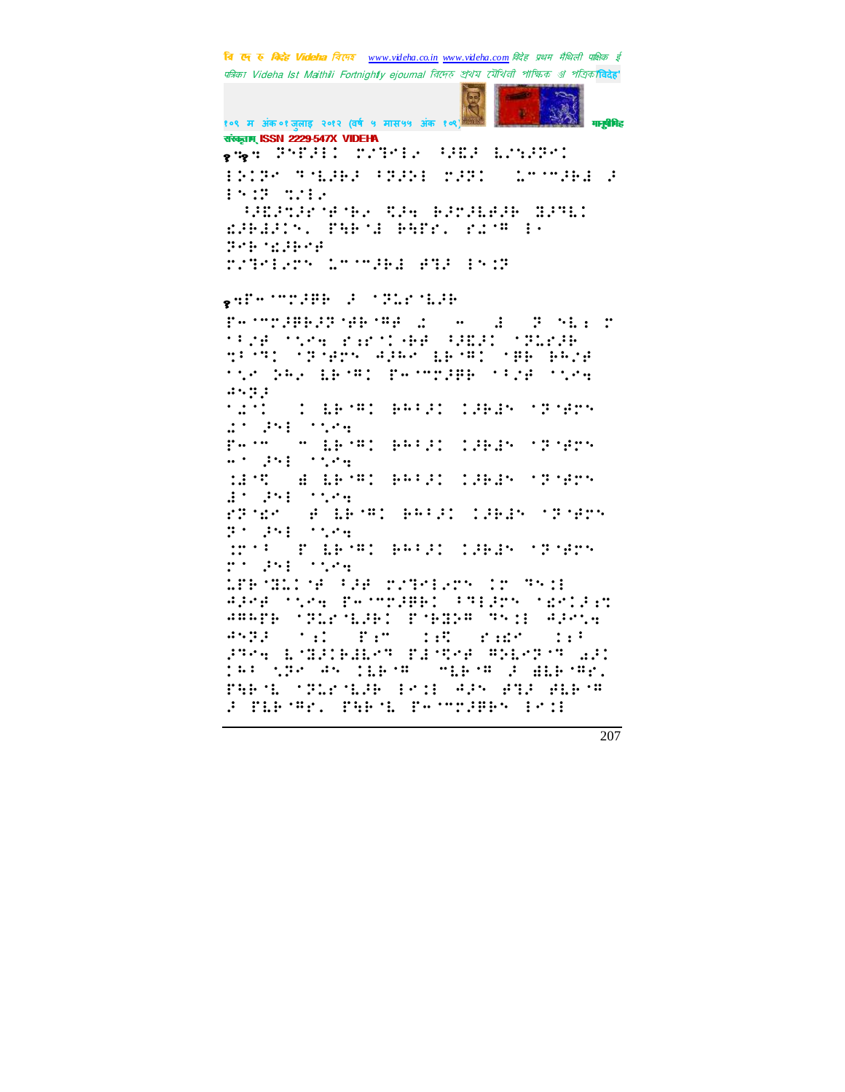

१०९ म अंक०१ जुलाइ २०१२ (वर्ष ५ मास५५ अंक १०९ संस्कृतम् ISSN 2229-547X VIDEHA <sub>ene</sub> Prisil rathis same manara BOOK TEAK FROM THE STUDENT 1913 0212 WEBSTERN CH BROGH BRO ROBERT STORES BEEN SAME IN President TITELEN LOOPBE BIR 1915 **QUER MOVED OF STARTING A E E E E E** representative and **SPAR TORY PART ARE REED TELER** SPORT SPORT APACHESTED  $\frac{1}{2}$  (Fig. ) (Fig. ) ste par present passengga siya stel  $45.334$ **COMMENT AND STATES STORY**  $\begin{aligned} \begin{array}{cccccccccccccc} \mathbf{1} & \mathbf{1} & \mathbf{1} & \mathbf{1} & \mathbf{1} & \mathbf{1} & \mathbf{1} & \mathbf{1} & \mathbf{1} & \mathbf{1} & \mathbf{1} & \mathbf{1} & \mathbf{1} & \mathbf{1} & \mathbf{1} & \mathbf{1} & \mathbf{1} & \mathbf{1} & \mathbf{1} & \mathbf{1} & \mathbf{1} & \mathbf{1} & \mathbf{1} & \mathbf{1} & \mathbf{1} & \mathbf{1} & \mathbf{1} & \mathbf{1} & \mathbf{1} & \math$ EACH ON ERCHO BRIZO CZRAN CZYBON  $\alpha \leq \beta \leq \frac{1}{2}$  ,  $\alpha \leq \frac{1}{2}$  ,  $\alpha \leq \frac{1}{2}$  $1.1 + 1.1$ **A BENED BARRY TREES STORYS**  $B = B + B + C$ rrur alber beschiede in de  $P^{\mu\nu}$  ,  $P^{\mu}P^{\nu}$  , and  $P^{\mu\nu}P^{\nu}P^{\nu}P^{\nu}$ COST POLEOMIC BRIZI CLEAR STRON  $\mathcal{D}^{(1)}$  ,  $\mathcal{D}^{(2)}$  ,  $\mathcal{D}^{(3)}$  ,  $\mathcal{D}^{(4)}$  ,  $\mathcal{D}^{(5)}$  ,  $\mathcal{D}^{(6)}$ STECHNICH CHECK TATES AND STREET APAR TYPE PATTERRE PREPDY TEMPERT ARAPE (STACHARD PORTH TO HOURS)  $\mathcal{A} \mathcal{A} \mathcal{B} \mathcal{B} = \mathcal{A} \mathcal{A} \mathcal{B} = \mathcal{B} \mathcal{A} \mathcal{B}$  $\mathbf{1}$  :  $\mathbf{1}$  $\mathcal{L}$  and  $\mathcal{L}$  $\cdots$ 2554 ESBIELES PESPE BRESTS WI par gre as pleam (siedmon diesme) FARME MOLEMENT PAIR APP AND ALROW F PLETER, PARTL PATTRIBLY PRIB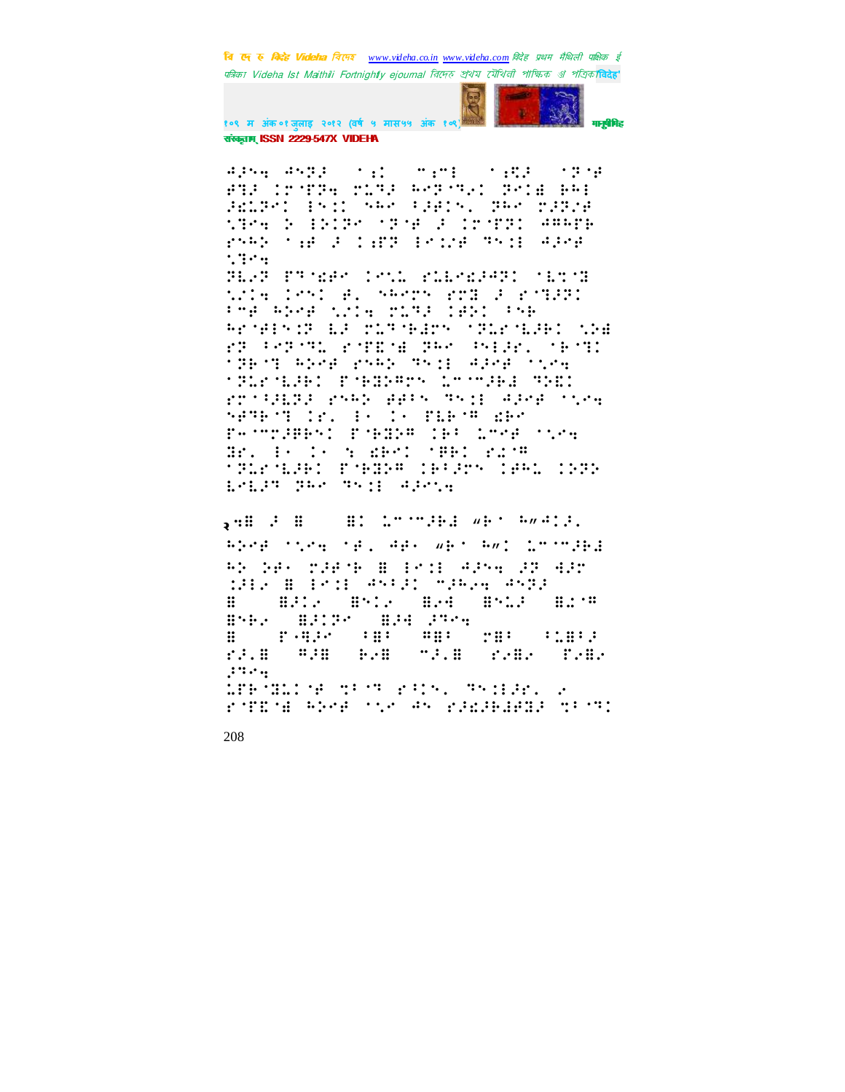

१०९ म अंक०१ जुलाइ २०१२ (वर्ष ५ मास५५ अंक १) संस्कृतम् ISSN 2229-547X VIDEHA

 $\# \{ \forall \alpha \in \# \forall \beta \in \mathbb{N} \}$  , and  $\# \{ \forall \alpha \in \mathbb{N} \}$  , and **Second Second Construction of the Second Construction of the Second Construction of the Second Construction** ana irona rūga eksonai škia eks Sented from resoluted role the street STOR 2 EPIPO SPORT POINTED APAPA real the Folder Bridge Send Adep  $1.3334$ PERPORTER TRAD PERPERPIOSES TO wie 1851 A. SARTS PTE 2 POTZEI Pre Abre wile rung 1851 Pre-Remarkat by Significative (Signification) who FROM PROVIDENT EN STATEMENT PROPERTY their above practical apoplicion. **TORYGON CONSUMER SHOWS** rrogales reel agos seil gage over SPRETCH (F. 1881) ELECTRIC Permilent Presenter Lord tire ar. 10010 m gBol (BB1)rajm<br>191rmiae: PoembH 16995 1851 1996 ESERT PRO TRIE WEST

REPRODUCE TRUNGENT WEST RADIOSTOPRES RESPONSED BOOK ARE AN ANY MER BOEKE ANDER MERRE ANDE 8 80. 89. 89. 80. 89. 89. 80. 80 **BMAX BULLEY** BULL 2774 **POST CONTROL**  $\begin{array}{ccc}\n\cdots & \cdots & \cdots & \cdots\n\end{array}$  $\mathbf{H}$ PALE FAE PAR MALE PARK TARK  $\mathbf{R}^{\text{max}}$ STRATES ARRAIGHT RANGER STANDARD roffing where the sweepinging to the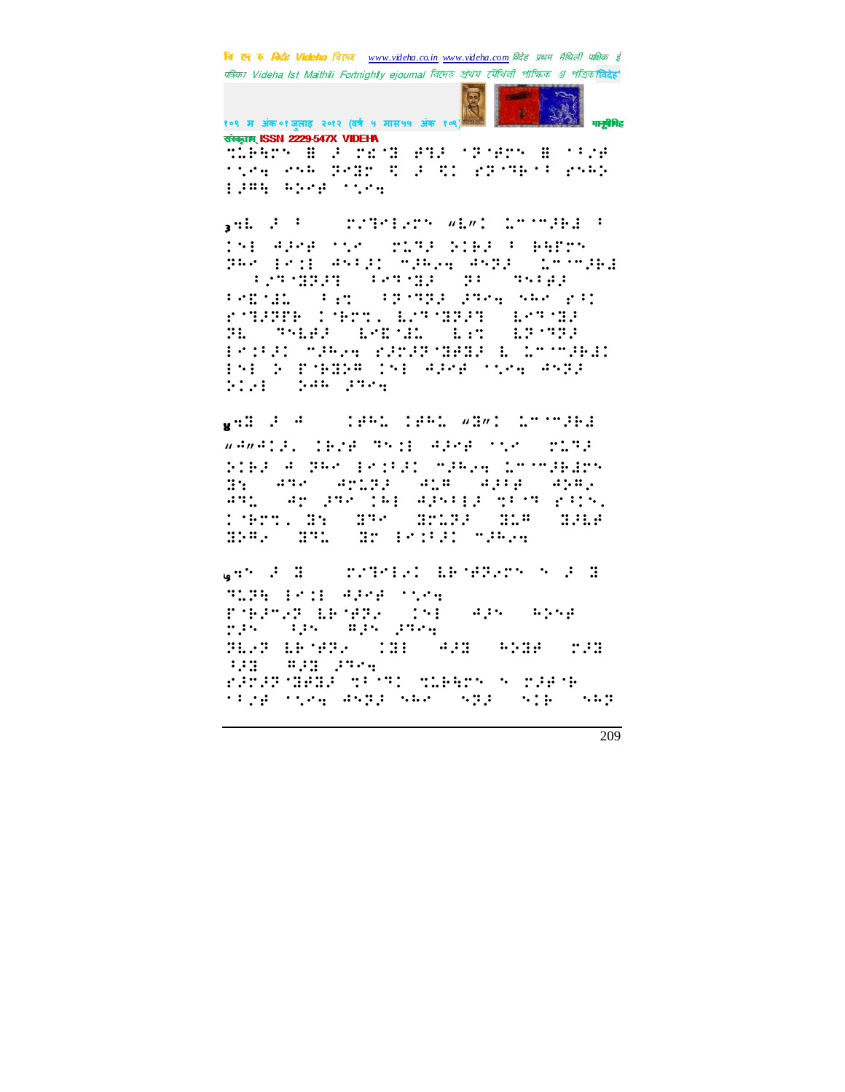**Separate** × १०९ म अंक०१ जुलाइ २०१२ (वर्ष ५ मास५५ अंक १०९) मानुबेगिह

संस्कृतम् ISSN 2229-547X VIDEHA MIRRON BOZ CENE FIZONINGEN BOSTAR the experience of the street service 1,000 0000 0000

gab 2013 - Stringers Wikel Loomshack INE APPROXIMATION PIER PORTER jak pérbuakan Siaka asar Timbung stynograp tenoga prisnelaa PREMIUL PART PROPRE 2004 SAR 201 FURNIE CORT. ESPORIE ESPOR B. THEF EMPIL ES EPTR Profession Personal Common Partners (2010) 2012 151 2 FOREST 151 APAR SAME ASTA STORY SHIP STAR

 $\mathbf{u}^{(1)}$  .  $\mathbf{u}^{(2)}$  ,  $\mathbf{u}^{(3)}$  ,  $\mathbf{u}^{(4)}$  $\frac{1}{2}$  ,  $\frac{1}{2}$  ,  $\frac{1}{2}$  ,  $\frac{1}{2}$  ,  $\frac{1}{2}$  ,  $\frac{1}{2}$  ,  $\frac{1}{2}$  ,  $\frac{1}{2}$  ,  $\frac{1}{2}$  ,  $\frac{1}{2}$  ,  $\frac{1}{2}$  ,  $\frac{1}{2}$  ,  $\frac{1}{2}$  ,  $\frac{1}{2}$  ,  $\frac{1}{2}$  ,  $\frac{1}{2}$  $\sqrt{2}$   $\frac{1}{2}$   $\frac{1}{2}$   $\frac{1}{2}$   $\frac{1}{2}$   $\frac{1}{2}$   $\frac{1}{2}$   $\frac{1}{2}$   $\frac{1}{2}$   $\frac{1}{2}$   $\frac{1}{2}$   $\frac{1}{2}$   $\frac{1}{2}$   $\frac{1}{2}$   $\frac{1}{2}$   $\frac{1}{2}$   $\frac{1}{2}$   $\frac{1}{2}$   $\frac{1}{2}$   $\frac{1}{2}$   $\frac{1}{2}$   $\frac{1}{2}$   $\frac$ bieg a ger front maege imomgegny  $\mathbb{R}^n$ **1. 中国 法共产 计并行 中央保管法 地球计划 的复数人**  $\mathbf{a}$ **HOW HIS HOUSE IS TO A SHOW THAT AND REALLY STATE** 

ger 3 de anniversitat de regumento de d TERR POINT SPORT TEAM PORPOR REORRY (191)  $\label{eq:3} \begin{array}{lllllllllll} \alpha_{11}^{\alpha_{12}}\alpha_{21}^{\alpha_{23}} & \alpha_{11}^{\alpha_{12}}\alpha_{12}^{\alpha_{23}} \end{array}$ 1980 - 1980 - #980 (1984) PLAT LEMATA (18) AND ANDE 200 **112 812 200** FROM MEDAL MACHO COPERTY OF CHECK  $\mathcal{F}(\mathbb{P}_1\oplus\mathbb{P}_1\otimes\mathbb{P}_2\oplus\mathbb{P}_2\oplus\mathbb{P}_2\oplus\mathbb{P}_3\oplus\mathbb{P}_3\oplus\mathbb{P}_3\oplus\mathbb{P}_4\oplus\mathbb{P}_5\oplus\mathbb{P}_6\oplus\mathbb{P}_7$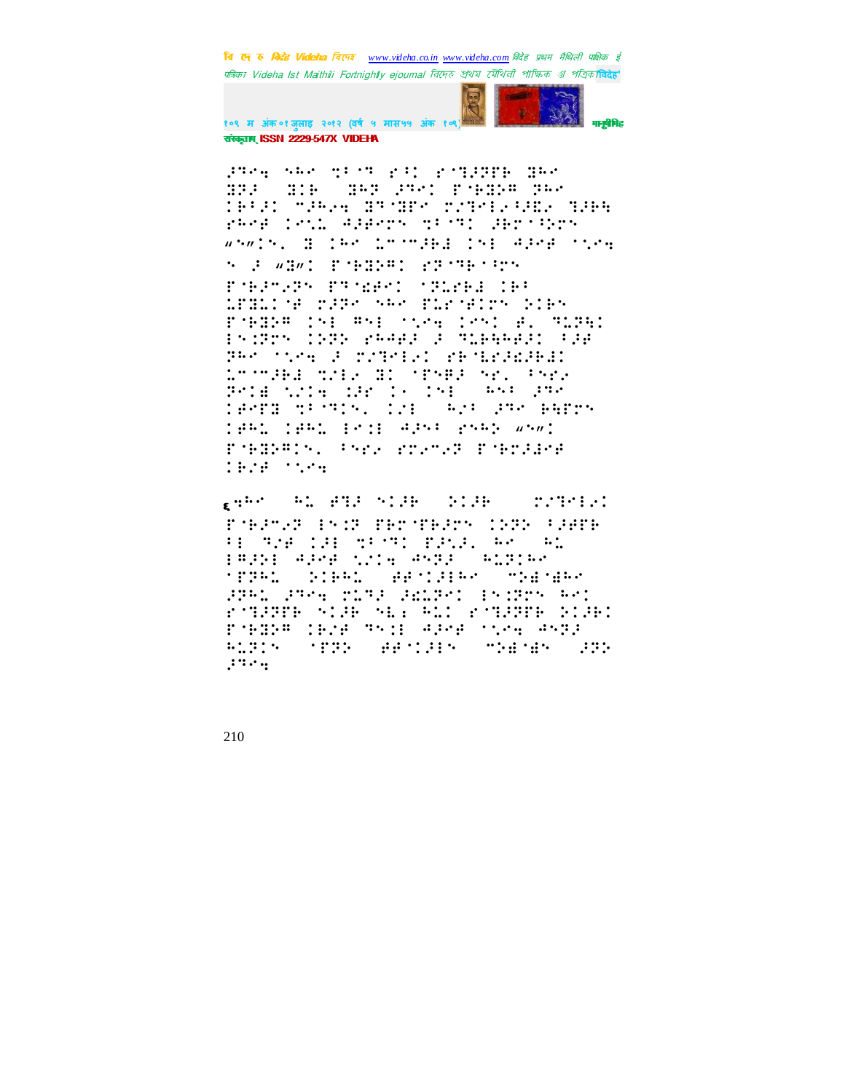

१०९ म अंक०१ जुलाइ २०१२ (वर्ष ५ मास५५ अंक १०९ संस्कृतम् ISSN 2229-547X VIDEHA

greg ske grot prij policie de BRE BIB (BAR 2901 POBBA 260 TRIAL WARNER BROBEN PREPER BACK BARN rene local especto di Sil Secoluco whath, Bolke Loomski 15: Aler one.

**SEATTLE SHOPS SECTION** 

FORFORM PROBECT OFMICAL IRR MTH. WE THE SAM THREET SIRE FOREST INFORMED STAR IPSIDE, MIRRI Endro 1985 rege a gibberal (20 PRO TOOK 2 MUSEUM PROBABLE LTOTHE THE HISTERED REVOLUTE Berginling (belling 1917) And yalk<br>1958: Storing 12: Seri 25: Andre TARL TARL ESTE APROVEMENT POBRATO PARA PRATAR PORTARA TEMP STOR

gabe (Bi BTP SIPE) SIPE ( STREET FORFOR INCE PROCERTS INCE FRAME BE THE CAE TRITE FALL AS SAL 18221 A228 S216 A592 (A19162) **MERRI DIBRI BEMIRBA MDEMBA** FRANCISCH SITT (SNIRK) EN NEM AKO PORTER SIDE SEPTENT PORTER SIDE PARDE CROB THOS APPROXIMATED ALTER TEEN WATCHER TEACHER STE  $\mathcal{L}^{(1)}$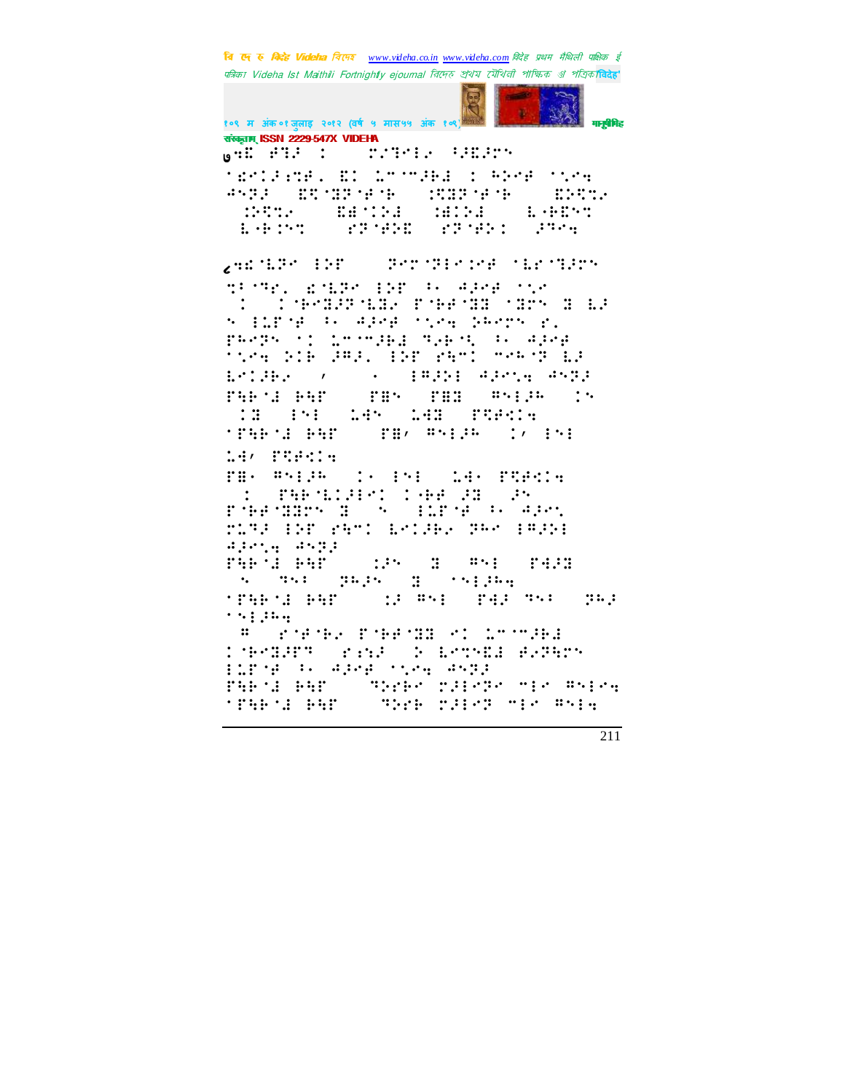

# १०९ म अंक०१ जुलाइ २०१२ (वर्ष ५ मास५५ अंक १०९) संस्कृतम् ISSN 2229-547X VIDEHA **GAR PIP : TEMPLE BRIEF**

terland. El Lougha (1950) tipo **ANDS EXTRAGATE SERVICE SERVICE**  $\mathbb{R}^{n}$ Ed 112.3 **STAR STAR STAR**  $1.4422$ 

 $294.3479 - 1047$ **SPECIFICAL MECTICS** TESTEL ROLPH INT IN APARTMENT **TO IMPORT MOVEMENT MOVEMENT IN** S PLEAR IN ADAPTACA CAPES PL PROPRIAT LOOPER SHEEP PAIRS ting bie des The West who's La  $\ldots$  (B))) along avol  $\mathbf{i} \cdot \mathbf{j} \cdot \mathbf{k} \cdot \mathbf{k}$ FARMERY THE THE WHIP IN 145 148 PRACH  $13 - 151$ **TERME BEE**  $\frac{1}{2}$  :  $\frac{1}{2}$  :  $\frac{1}{2}$  :  $\frac{1}{2}$  :  $\frac{1}{2}$  :  $\frac{1}{2}$  :  $\frac{1}{2}$  :  $\frac{1}{2}$  :  $\frac{1}{2}$  :  $\frac{1}{2}$  :  $\frac{1}{2}$  :  $\frac{1}{2}$  :  $\frac{1}{2}$  :  $\frac{1}{2}$  :  $\frac{1}{2}$  :  $\frac{1}{2}$  :  $\frac{1}{2}$  :  $\frac{1}{2}$  :  $\frac{1$ 14, Philip

FB: #SEPRO IS ESEC 14: FRACH CO PHENDRED CHARGE 25<br>Portugales do so correlato ages MIRE EST PAMI LRIEN PAR EARSE  $\mathcal{A}(\mathbb{R}^2\otimes\mathbb{Z}_2) = \mathcal{A}(\mathbb{R}^2\otimes\mathbb{Z}_2)$ 

**THE LEADER**  $\mathbb{R}^{2n}$  (  $\mathbb{R}^{n}$  (  $\mathbb{R}^{n}$  ) and (  $\mathbb{R}^{n}$  ) and (  $\mathbb{R}^{n}$  ) and (  $\mathcal{N} = \mathcal{N} \mathcal{N} = \mathcal{N} \mathcal{N} = \mathcal{N} \mathcal{N} = \mathcal{N} = \mathcal{N} \mathcal{N} \mathcal{N} \mathcal{N}$ TEACH PAP (12) #51 (PAP 95) (PAP  $\cdots$ ;  $\cdots$ 

**A PARTIE PREMIERT COMMENT** D'BRIANN (Pana) D'ERNAIL ASPANY PLP SPORT ADAPT STAY ASPP **STREET PRESTS SECTION THE LEADER TERRIBER STREETHER TEACHER**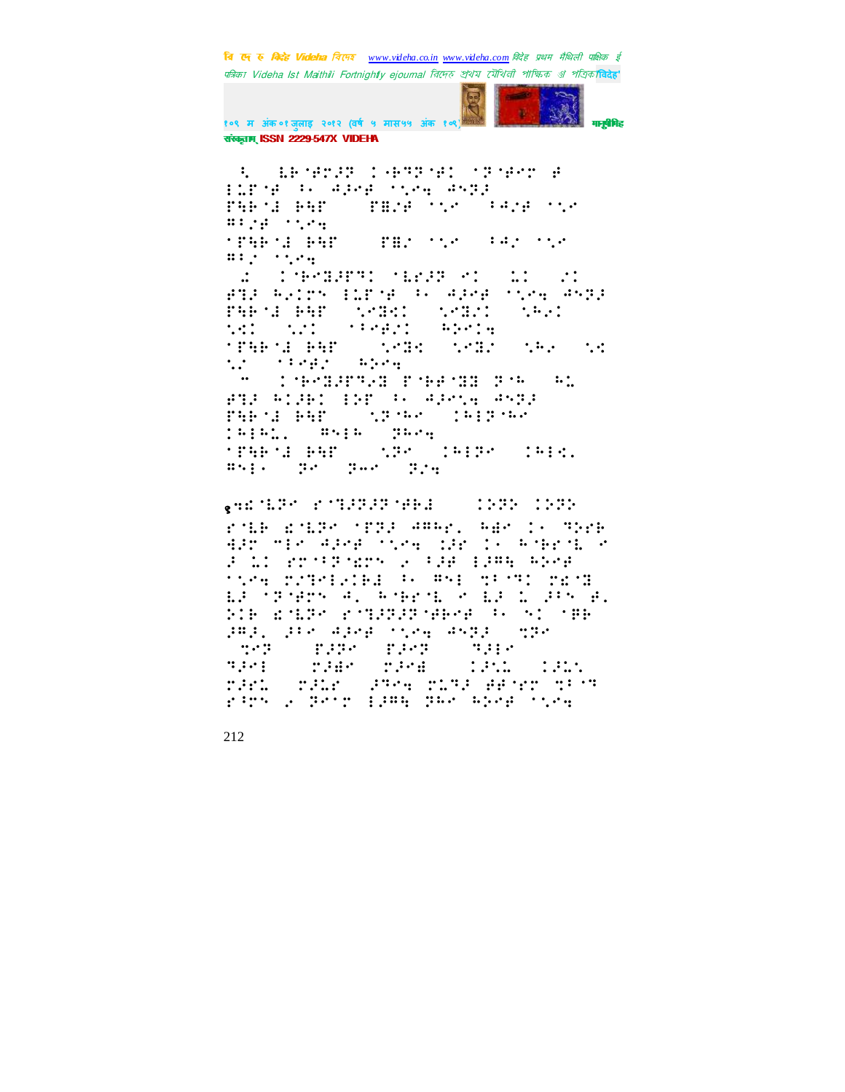

१०९ म अंक०१ जुलाइ २०१२ (वर्ष ५ मास५५ अंक १०९ संस्कृतम् ISSN 2229-547X VIDEHA

**A LENGTH LATTNE START F** HIPSE WORLDWARE STATE **THIS MANUFACT MANUFACT** rabis bar  $0.124 - 0.024$ **TIME 12 BAP STEP STATES AND STATES**  $\mathbf{u}$  :  $\mathbf{v}$  :  $\mathbf{v}$  :  $\mathbf{v}$  :  $\mathbf{v}$  : CONTRACTORS SERVER AND AN INTERNATIONAL ana kalen Birna (P. Aana Stee Anda FAR 18 HE STATE  $1.14221$  $\mathcal{L}$  , i.e., i.e., i.e., i.e., i.e., i.e., i.e., i.e., i.e., i.e., i.e., i.e., i.e., i.e., i.e., i.e., i.e., i.e., i.e., i.e., i.e., i.e., i.e., i.e., i.e., i.e., i.e., i.e., i.e., i.e., i.e., i.e., i.e., i.e., i.e.,  $\mathcal{L} \left( \mathcal{L} \left( \mathcal{L} \right) \right) \left( \mathcal{L} \left( \mathcal{L} \right) \right)$ **WELL SEEMS**  $\mathbb{R}^n$  . The set of  $\mathbb{R}^n$ STARING RAT (1992) SANDO<br>SV (1994) RIPA  $\mathcal{L} = \{ \mathcal{L}, \mathcal{L} \}$ **MOOD REPORTED PORTON POWER** FIR RIPE: EPE (6) APPNA ANDR PHP G BHP (1976) (BIP-68 **THING SHIP SHOW** freed early when terms into.  $m_{11}$ ,  $m_{12}$ ,  $m_{13}$ ,  $m_{14}$ 

**SANCHOR RESIDENT CONTRACTS** rik rizh (PP) Amerikan (Propr agnosis agerones dan l'ordenal e F 11 87787876 2 838 1384 8208 ting problems to may promise be LE PERENTAL AREA DE LE LORESTE. SIE KOLFA KOTHEHEORE IN SI OPE joj, jie ajeg nieg angį (gy orașe răgilo (1919)<br>Orae orașe (1951) (1915)  $\mathbb{R}^n$  $\mathcal{L}(\mathcal{L}^{\text{max}})$ **CONSTRUCTION** rani (raim ages rigidae en gren<br>Kars 2 genr 1991 gee ened nieu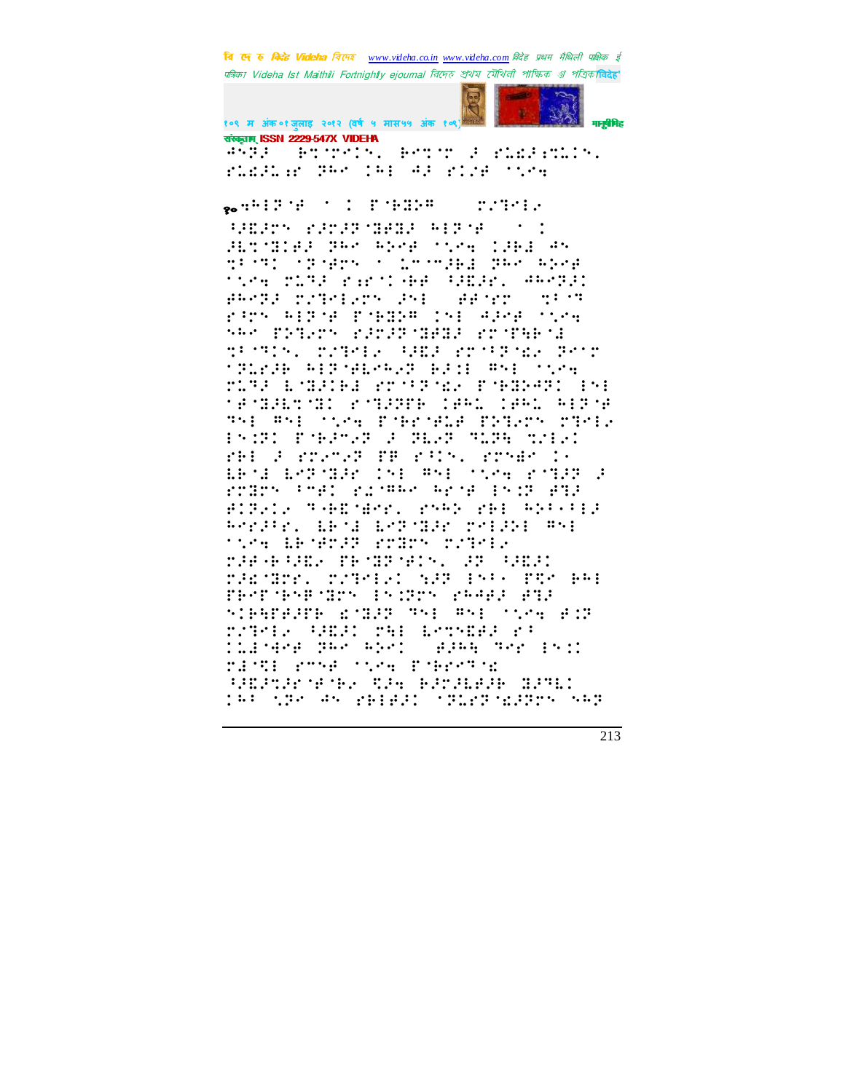

१०९ म अंक०१ जुलाइ २०१२ (वर्ष ५ मास५५ अंक १०९) संस्कृतम् ISSN 2229-547X VIDEHA **SECTION BOOT PERMITS**  $\mathcal{A} \sim \mathcal{B} \mathcal{A}$  . fining Persons are fine the

**Position in the Control CONSTRUCTION** 

**BOOK PRINTING BOOK** HrtBiel Ben Abne ting (191 45 the the street of construction and a tics rigg raroter game. Weekly PROFINED WAS ARRESTED FOR THE SERVICE OF THE STATE OF THE STATE OF THE STATE OF THE STATE OF THE STATE OF THE rans Albert Poboam (si Alexa Sieg SAS PRINTS PROFESING POTENCE transformation of the second the second second second second second second second second second second second **TRACH REPORTER BEST RAILTING** 193 L'APIN PR'US'N P'NAMBI (M THE PHE SAME PORTHER PRIETS TIME isht farrët përforme the PHO F PTPTPF TROPING PTMAC IS ERSE EXPORTED INFORMATION ESTERNO rodos (med rismas arse psop edi BIRATA MAHEMBAY, BYAN BEE ANGGER POSTES ARME LOTMER SOLENE POL **TIME LETERIS ERSPY RASHIP** MARKER PROPOSE AN ABAY rarder, repeat as ago program FRANCHABORY ENCRY PRABE BRE **SIMPLED ANDS THE THE SAME FIT** rately tame: rel lengered at TLENHAM BRA READ **Saint Sep In:** TEMPER POSE STAY PORTABLE **BOOKS TO BE SERVED THE** :A: 196 AS PRIBIC 19129-1239-548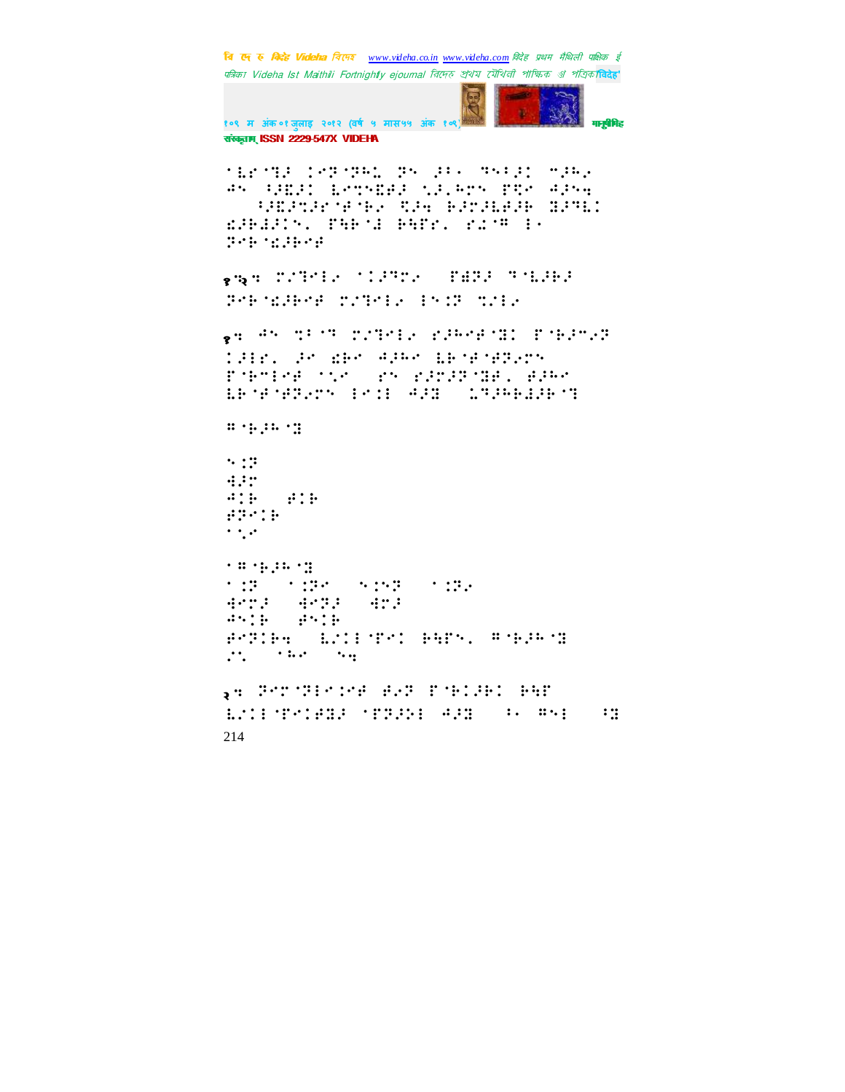चि एक रु *विदेह Videha चिए*न्छ <u>www.videha.co.in www.videha.com</u> विदेह प्रथम मैथिली पाक्षिक ई पत्रिका Videha Ist Maithili Fortnightly ejournal রিদেত প্রথম মৌথিনী পাক্ষিক ॳ পত্রিকাঁ<mark>বিदेह'</mark> **County** १०९ म अंक ०१जुलाइ २०१२ (वष ५ मास५५ अंक १०९) मानुषीिमह संस्कृतम् ISSN 2229-547X VIDEHA  $^{\prime}$  &  $^{\prime}$  CO  $^{\prime}$  (2010)  $^{\prime}$  (2010)  $^{\prime}$  (2010)  $^{\prime}$  (2010)  $^{\prime}$  (2010)  $^{\prime}$ ⢺!⢸⢼⣏⢼!⣇⣉⣏⢾⢼!⣁⢼G⢳!2⣋!⢺⢼⣒!  $\blacksquare$ ⣎⢼⢷⣜⢼G!2⣓⢷ ⣜!⢷⣓2"G!"⣌ ⢻!l! ⢽⢷ ⣎⢼⢷⢾\*!! १⣒२⣒!4⣙⢴!⢼⢹⢴-!2⣞⢽⢼!⢹ ⣇⢼⢷⢼! ⢽⢷ ⣎⢼⢷⢾!4⣙⢴!⣈⢽.⣉4⢴! १⣒!⢺!⣉C ⢹!4⣙⢴."⢼⢳⢾ ⣝!2 ⢷⢼^⢴⢽! ⢼"G!⢼!⣎⢷!⢺⢼⢳!⣇⢷ ⢾ ⢾⢽⢴! 2 ⢷^⢾!⣁-!"!"⢼⢼⢽ ⣝⢾⣀!⢾⢼⢳! ⣇⢷ ⢾ ⢾⢽⢴!⣈!⢺⢼⣝.!⣅⢹⢼⢳⢷⣜⢼⢷ ⣙.!  $\mathbb{R}$   $\{ \mathbb{R} \}$   $\{ \mathbb{R} \}$  $\ddots$  :: ⣚⢼!! ⢺⢷-!⢾⢷!! ⢾⢽⢷!!  $\ddot{\cdot}$   $\ddot{\cdot}$   $\ddot{\cdot}$  $\gamma$  =  $\gamma$  +  $\gamma$  +  $\gamma$  +  $\gamma$  $'$   $'$   $''$ **GALL GALL GALL** ⢺⢷-!⢾⢷! ⢾⢽⢷⣒!)⣇4 2!⢷⣓2G!⢻ ⢷⢼⢳ ⣝\*!  $44.4$   $44.4$   $44.4$  $\frac{1}{2}$ s Proversinė e.p. papartiniais e.p ⣇4 2⢾⣝⢼!2⢽⢼⢵!⢺⢼⣝;!⢸l!⢻-!⢸⣝!214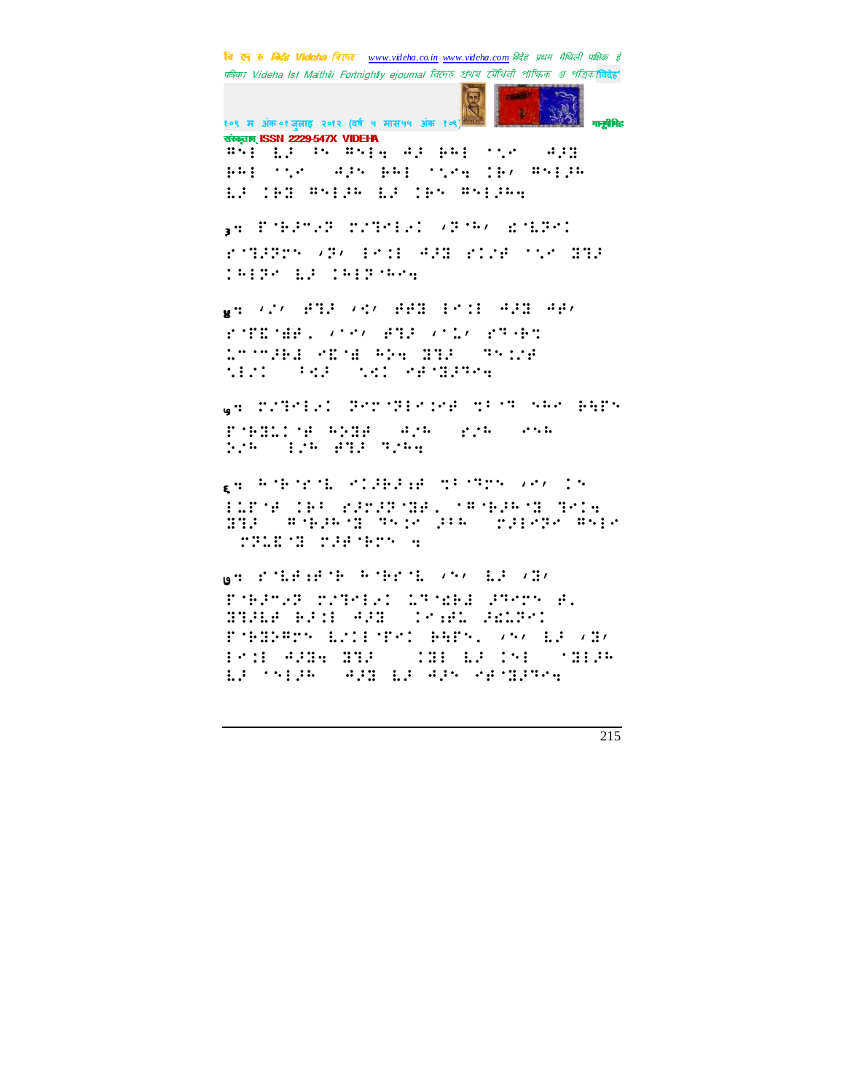१०९ म अंक०१ जुलाइ २०१२ (वर्ष ५ मास५५ अंक १०९

संस्कृतम् ISSN 2229-547X VIDEHA #61 LP PO #514 #2 BR1 TST  $\ldots$ par non aps par non contained **10 100 85100 10 105 85100** 

 $\frac{1}{2}$  : PORPORT TATMENT (FOR) EMERGE FOREST CRAINED ARE FIRE TO SER **TRIPS AS INSTANCE** 

gd (SI) 的第三人称形式的第三人称形式 420 985 FUELTHE CATE, HIS AND START 177781 SIMB PPH BRE a management of the second services MENT PRESSURE SEMIFICA

ge Multiply largely the sign and bega rumine sport and and com 225 125 832 7254

pe Roboros, evakalar drombs vez vs ELEMENTER VARARINE. MARGARENTETA HTP PROPERTY TACK PROVIDED THROUGH **TELENE THERE A** 

ga ridered bibed a shell and all PORTSE TITULI ITORE PROTHE. POHENNO ESTECTION PHENO (M) ES (B) **POINT AND STATE OF THE REACTION**  $\cdots$  : : : : : EF THEFA (AFR EF APH PETRING)

215

मानुबेमिह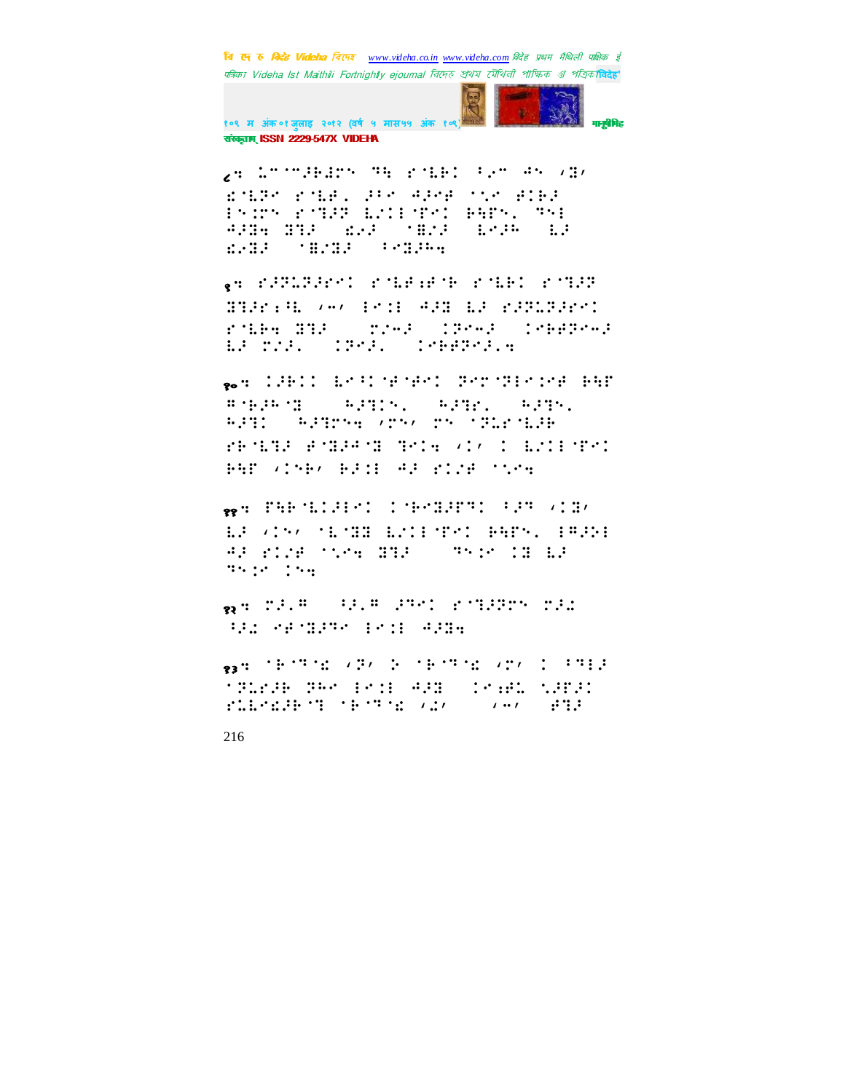१०९ म अंक०१ जुलाइ २०१२ (वर्ष ५ मास५५ अंक १ संस्कृतम् ISSN 2229-547X VIDEHA

मानुबेगिह

29 Animaeans de Pobel Film As Vav ESERVISE. PROPERTY EDE ENDRY FORES ENCEMPT PAPY, THE **AND HIS BAS THAT**  $\mathbb{R}^n$  ,  $\mathbb{R}^n$  ,  $\mathbb{R}^n$  ,  $\mathbb{R}^n$ **SAND TEMP CONSUM** 

en dagugaret den Barbar de Barbarenga roller BRF ( 2263) (Pres ( 23643864 EF TIL (IPS) (Personal

gan (281) Enfinement Shoroffning Bar  $\frac{1}{2}$   $\frac{1}{2}$   $\frac{1}{2}$   $\frac{1}{2}$   $\frac{1}{2}$   $\frac{1}{2}$   $\frac{1}{2}$   $\frac{1}{2}$   $\frac{1}{2}$   $\frac{1}{2}$ **ASSES ASSES ASSAU APPEND APPROXIMATION CONTROLLER** FROM PORT TO THE SIZE AND THE PHP (15P) BRIDGE AR PICH TOMB

**QUESTION INTO A CONSTRUCTION OF A CONSTRUCTION** LE VINA MEMBERINI MEMI BERNE IPANE AF SIME TOME HIP ( Thir IH LP **There** I has

 $\mathbf{R}^{(n)}$  and  $\mathbf{R}^{(n)}$  and  $\mathbf{R}^{(n)}$  are defined as a set of  $\mathbf{R}^{(n)}$ **APA PERSONAL PROPERTY** 

 $\frac{1}{22}$  and the theory of the second second second second second second second second second second second second second second second second second second second second second second second second second second second FILMENT TETTE VAL  $\mathbf{v} \cdot \mathbf{v} = \mathbf{v} \cdot \mathbf{v}$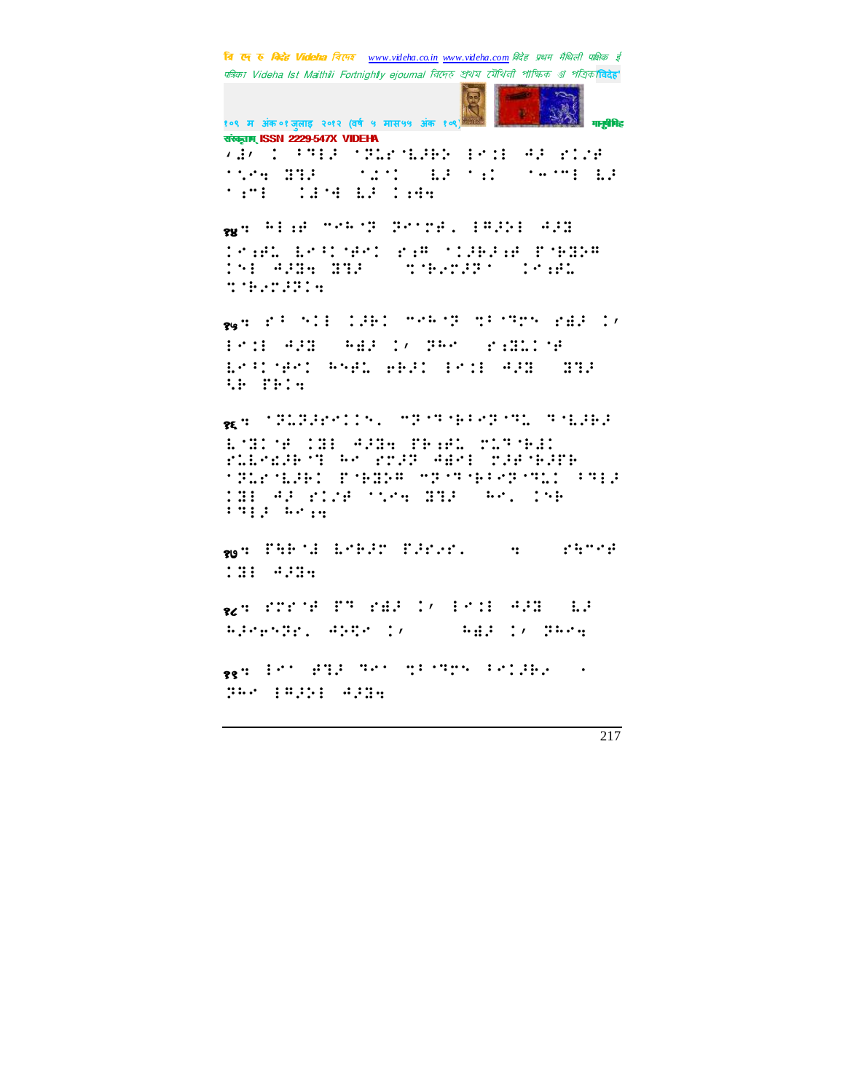१०९ म अंक०१ जुलाइ २०१२ (वर्ष ५ मास५५ अंक १०९ मानुबेगिह

संस्कृतम् ISSN 2229-547X VIDEHA **Advisor Pressure Report From Advertise** the BBP (chan) are the comment **THE CONSTRUCTION** 

we Rid makes Sanday (RAD) APD **Deal Leftner, raw flered fremew IME ANNA NHA COMMANDA COMMAND TORONTON** 

egn ri bli laki nekor nichte rad la fri AB (AB) (AB () THR (PHILIPS ESPIRATORSAL PROTOCOLOGO STO th This

**g** = 'PLP.Product of the terms will be EMINE COMPARED FRANK MUSICAL rlingspot an rrst agni resorcer **TELEN PRES TRANSITE STATE** THE AP PICE STAR HTP (AP) INE  $1.3111 - 0.0111$ 

gon PHP W ESPER PRESE, when he shows 131 4334

gza robod pa raz 17 fedi 428 (az Adeptify Alter 1, The Add 1, Barg

pen for ATE Ter nichter Polise. In 288 18311 8326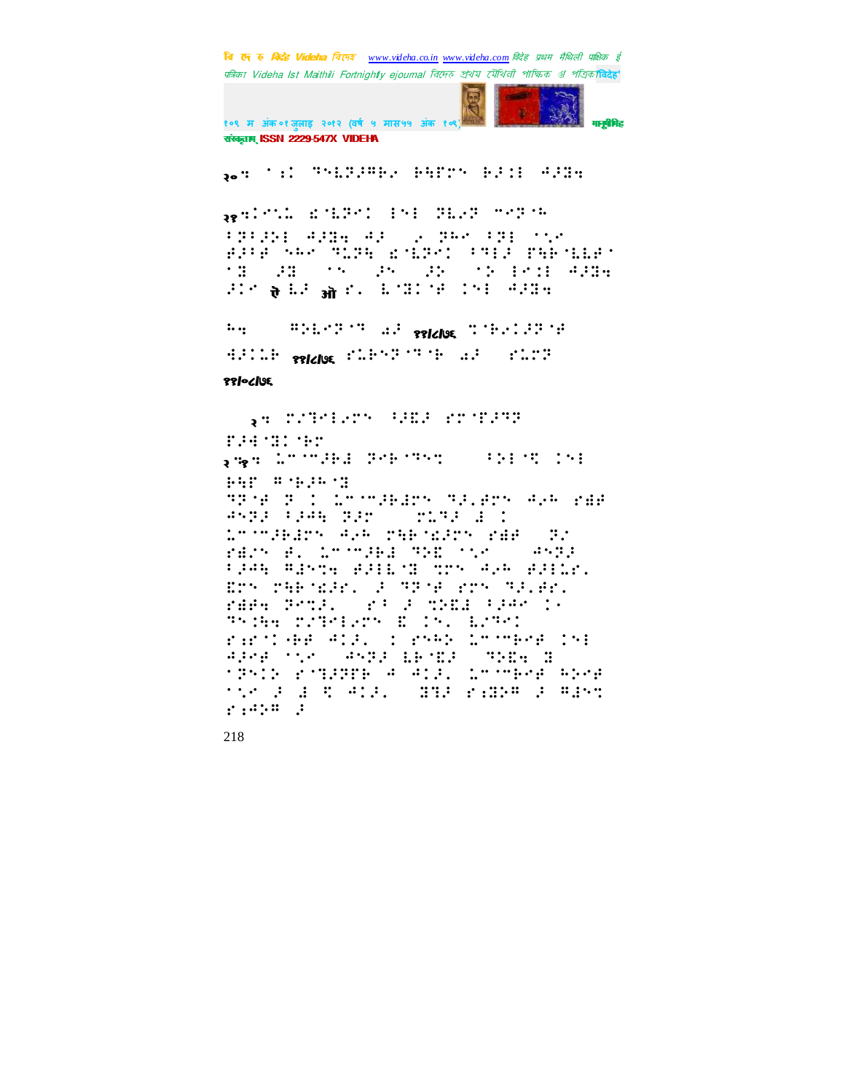

pos (d) ThingHer Berry Bad: 4216

pperformal analysis for Salva Scoper FREDE ANDER AN 1980-100 (1980) APPE SAR SLOW RIGHT FOR THE GLAT 18 28 15 25 25 25 12 12 12 13 4284 318 WEB WEB 2010 12:00:00:00:00

WORLD'S CO. S. SEARCH WORLD CONTROL  $\cdots$ HALLS galding flates that all short

## 38/06/195

, THERE WE STIP F.PH (BI) (BT) gaga Loomska Bekomen (\* 1910) 191 par separa **SPAR P I LOOMSBEEN SPLEEN AVAILAB ANGLE PAR GAR (1992) 2013** Loomakars Aleksandra Mars 22 rach al Chongea Memorino (1992)<br>Fage Manne aglich non geboaglic. ETS THEORED I TROP PTS TRIPS. rake Pond. (PROF nREA FARM 1) Thing collects E In. Acts parties also cames immediate APPE TO ANDE LETER THE S **TRAIN PORPRESS STAIRS ANOTHER SPAR** the F.E.R. Alf. (SHP PARE F. BEST  $\mathcal{C}$  : 41-48 ( )  $\mathcal{C}$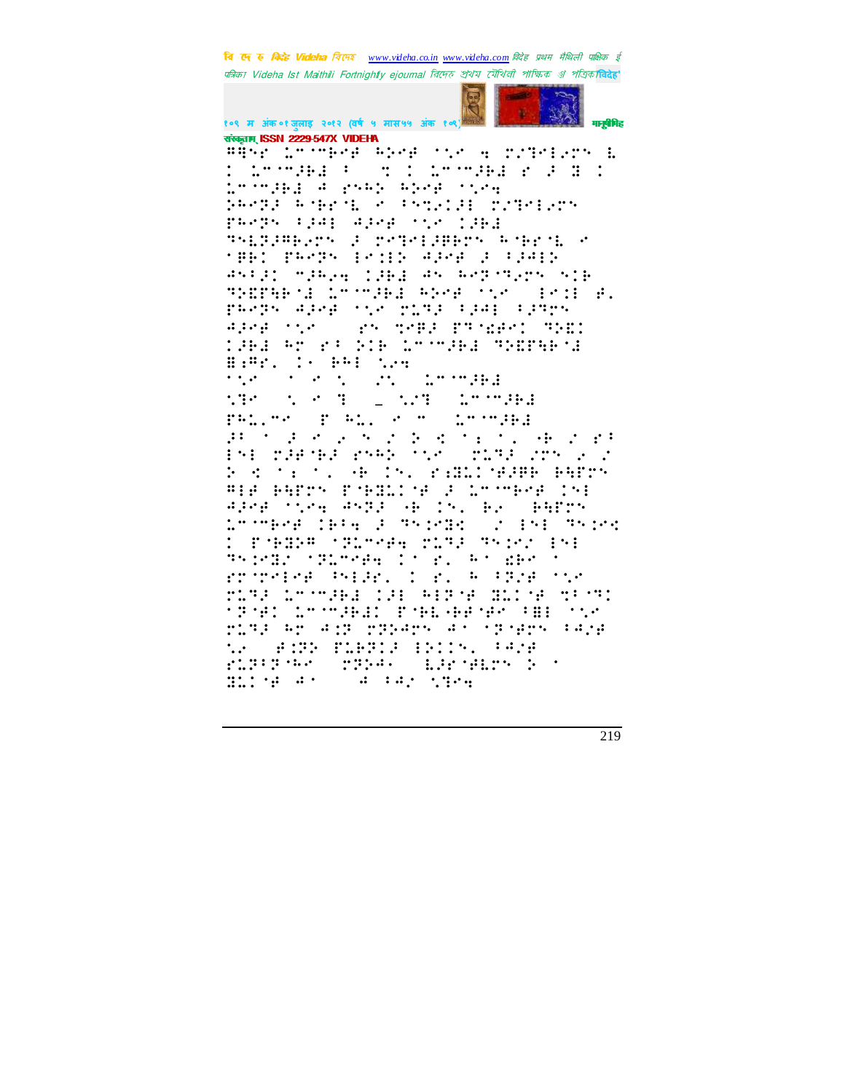

संस्कृतम् ISSN 2229-547X VIDEHA aĝski lojnekis alkaj nik a provincian l <u>: 1559aa : Sti 1559aa e 20.</u> tronged a prep apop spog Seeple serie e sondis proside parps the spreaders the comp SALEPHATA & TRIPLARETA RAECO C **THE PROPY ECHE APPE 2 FIALE** 45121 MPRPH 12Bd AS ARTMENS SIR SPEPHENE LOOMFEE REMENSION (FOIL) F. PROPRIADOR STOCK PLAN FORM FORPY ang sin lan dan pemberi dan 1961 Ar 23 Gib 1878. Agusta 19 BAR, 10 PH Sep  $\ddot{ }$  ,  $\ddot{ }$  ,  $\ddot{ }$  ,  $\ddot{ }$  ,  $\ddot{ }$  ,  $\ddot{ }$  ,  $\ddot{ }$  ,  $\ddot{ }$  ,  $\ddot{ }$  ,  $\ddot{ }$  ,  $\ddot{ }$  ,  $\ddot{ }$  ,  $\ddot{ }$  ,  $\ddot{ }$  ,  $\ddot{ }$  ,  $\ddot{ }$  ,  $\ddot{ }$  ,  $\ddot{ }$  ,  $\ddot{ }$  ,  $\ddot{ }$  ,  $\ddot{ }$  ,  $\ddot{ }$  ,  $\mathcal{L}(\mathcal{A})$ MP CACK TO LOWED AT THE reliev (r. 412 k.), Chempel<br>(r. 1914 k.), S. 2 b. 3 january (r. 1933)<br>Enformación (relations), Chempel S Rote to He DV. PARCTRANG BARS **AIR PAPPY POPELION 2 LOOPEYE IN:** ajêg (lêk angjîne lin.îe.) Berger<br>1878an 1854 li Shida (li 151 Shida D PABR (Plone play avec 191 Things of Europe (1998) (Robert of rringer bide, the companies ring infrage (see Agrig online refr) täte: "crotificitie technical" (ed. tro ring ar aun rhears as sherry care na (arupa piarpia delle, faza)<br>anglesar (arpa) (daajaden es  $22.1 + 2 + 3 + 1$  $\label{eq:2} \begin{array}{lllllllllll} \alpha & \alpha & \alpha & \alpha & \alpha & \alpha & \alpha & \alpha \\ \alpha & \alpha & \alpha & \alpha & \alpha & \alpha & \alpha & \alpha \\ \alpha & \alpha & \alpha & \alpha & \alpha & \alpha & \alpha & \alpha \\ \alpha & \alpha & \alpha & \alpha & \alpha & \alpha & \alpha & \alpha \\ \alpha & \alpha & \alpha & \alpha & \alpha & \alpha & \alpha & \alpha \\ \alpha & \alpha & \alpha & \alpha & \alpha & \alpha & \alpha & \alpha \\ \alpha & \alpha & \alpha & \alpha & \alpha & \alpha & \alpha & \alpha \\ \alpha & \alpha & \alpha & \alpha & \alpha & \alpha & \alpha & \alpha \\ \alpha & \alpha & \alpha &$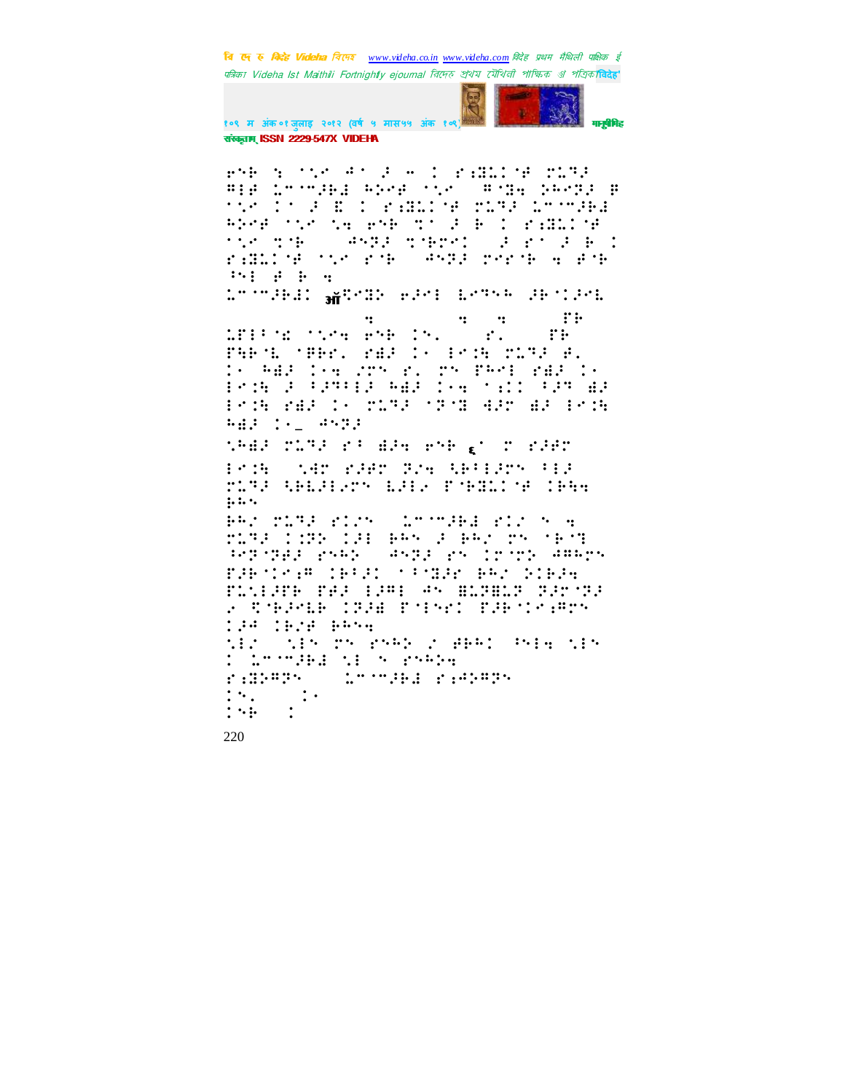

१०९ म अंक०१ जलाइ २०१२ (वर्ष ५ मास५५ अंक १०९ संस्कृतम् ISSN 2229-547X VIDEHA

PRESENTATION IS A CONSIDERATOR Bif Loomand Abrahove (Body SAraa B tik De Film (simple moltimedia) REAR TO CAPARE TO FER PERSON TO THE PRESIDENT SERVICE PO rimate the risk what rere a fin  $\begin{array}{cccccccccccccc} \cdots & \cdots & \cdots & \cdots & \cdots & \cdots & \cdots \end{array}$ 

DO MUREL WERTEN BUTT ETTER UR SUPPL

 $\cdots$  $\mathcal{H}^{\text{max}}$  ,  $\mathcal{H}^{\text{max}}$  $\dddot{\mathbf{r}}$ WHERE THE PRESS.  $:::$  $\mathbf{r}$ . PARTE TERRI REFORM ETH PLAST R. le additector plum parlimad le<br>Propio fortio additector ad Problema (Figure 1918 Add Ad Prob PAP 1+1 PPPP

thes class of est end give oser

Problem March Search (1986) 1986 (1986) 1987 MARA RELATIVITY LATV POMILLING CERR  $\ddot{}} \cdots$ 

PRODUCED SIGN COMMUNES SIGNS A MIRE CORPOISE BAS 3 BAZ MS TEMP ang gal rombo angloro indiposammen FAR MANH (1932) (1932) 992 (21924 MAINE THE HUNT AN HINHIT TUNT A CORPORATION CONTROL CONTRACTOR 134 1828 BB54  $\ddots$ **SALE TE PER SCHEEL PHACKER** I ISTURBA NE S PSPPH runant in the reading  $\mathbb{R}^{n}$ 

 $\cdot$  :  $\mathbb{R}^{n+1}$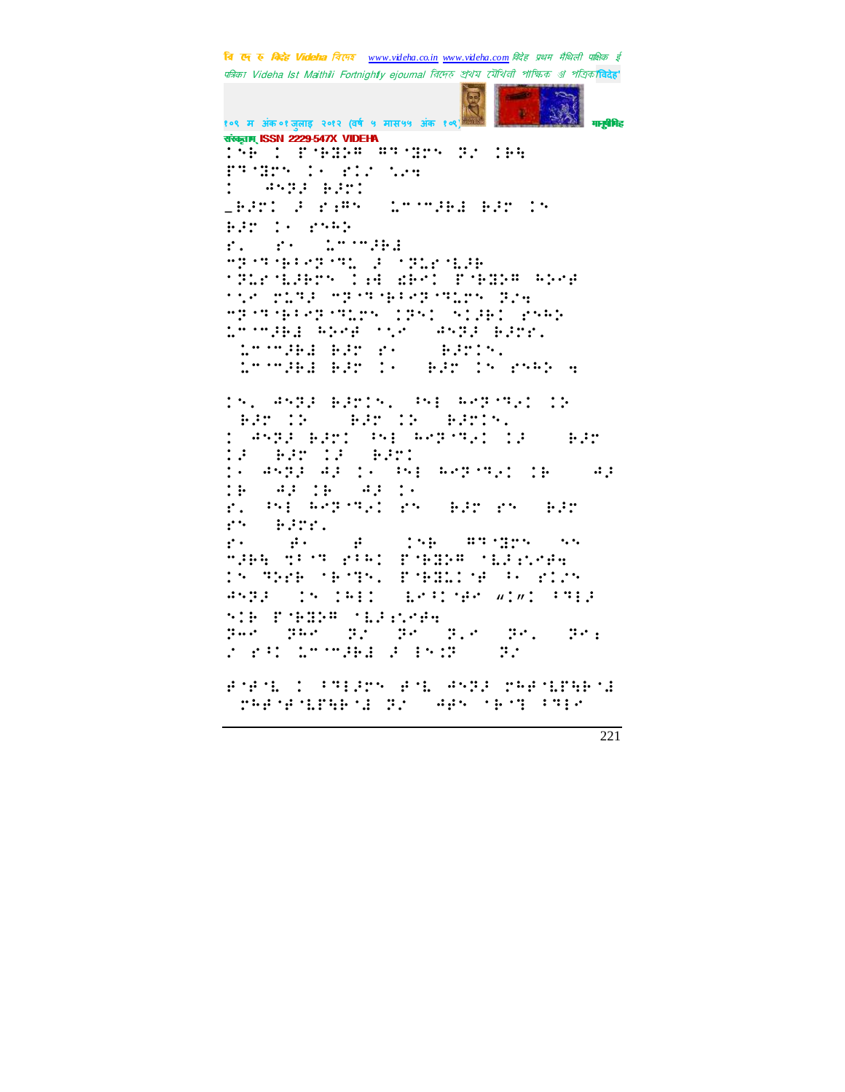

१०९ म अंक०१ जुलाइ २०१२ (वर्ष ५ मास५५ अंक १०९) संस्कृतम् ISSN 2229-547X VIDEHA 158 T FABRE BRAIN BY 188 FRONT POINT NH : 4522 BRT LEADI A PARK (1858-AE1 EAD IN BET IS PARK al ako lingval.<br>Se sekara langval s **TRACKING CHEADY FORD BOOK** the pine sponderepowire pre-MEST SERMESTADY (1951) SIGEI (2552) chindra Aska (1927) asporador.<br>Communa Report Condects. Chronaea ean by Coleaniy.<br>Chronaea ean is Cean is byek g In Angl Early, the Hoperal In (Barola) (Barola) Barle.<br>Comea Barl (Pelomeanel 1a) (Bar **12 BAY 13 BAY:**  $\begin{split} \mathbb{P}^{1,1} \oplus \mathbb{P}^{1,2}_{\mathbb{P}^{1,1}} \oplus \mathbb{P}^{1,1}_{\mathbb{P}^{1,1}} \oplus \mathbb{P}^{1,1}_{\mathbb{P}^{1,1}} \oplus \mathbb{P}^{1,2}_{\mathbb{P}^{1,1}} \oplus \mathbb{P}^{1,1}_{\mathbb{P}^{1,1}} \oplus \mathbb{P}^{1,1}_{\mathbb{P}^{1,1}} \oplus \mathbb{P}^{1,1}_{\mathbb{P}^{1,1}} \oplus \mathbb{P}^{1,1}_{\mathbb{P}^{1,1}} \oplus \$ **CE 43 IB 43 IP** r. Pilerand, ry Early Bar  $\mathbf{r}$  . **SEPTE**  $\mathbf{H}$  $\mathbf{r}$  .  $\mathbf{P}$ happ drom gibt forkne officers IN THE MEMPAL POBBING OF SILM **AND : 15 IBI**  $\mathbb{R}^2$  :  $\mathbb{R}^2$  :  $\mathbb{R}^2$  ,  $\mathbb{R}^2$  ,  $\mathbb{R}^2$  :  $\mathbb{R}^2$  :  $\mathbb{R}^2$  : **MINTHER MIRRY** part part provided plat  $\mathbb{R}^n$  .  $\mathbb{R}^n$  : FAR LOOPER FACE (RE FOR NO CONTRACTO FOR ANCE CAPACIERE NE reforming in Same of Control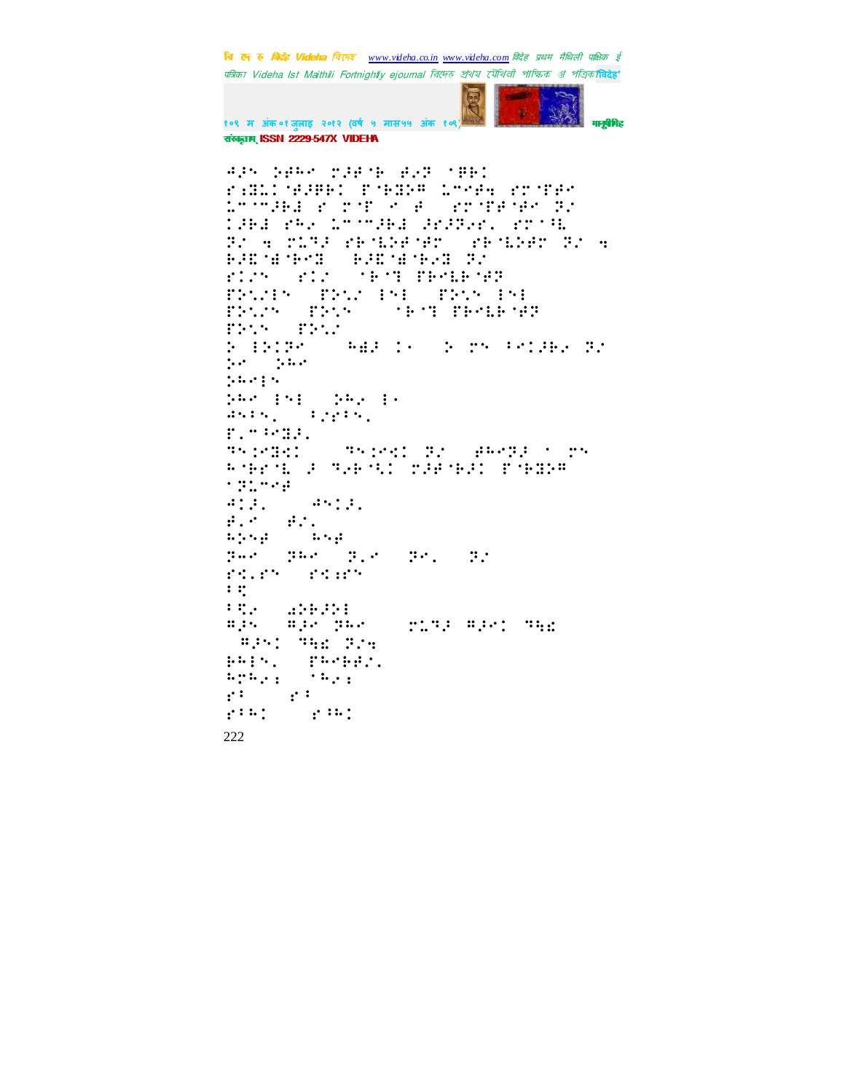

१०९ म अंक ०१जुलाइ २०१२ (वष ५ मास५५ अंक १०९) मानुषीिमह संस्कृतम् ISSN 2229-547X VIDEHA

```
222
⢺⢼!⢵⢾⢳!⢼⢾ ⢷!⢾⢴⢽!⢿⢷!
"⣐⣝⣅ ⢾⢼⢿⢷!2 ⢷⣝⢵⢻!⣅^⢾⣒!" 2⢾.!
\mathbb{L}^{\alpha} of the state \mathbb{L}^{\alpha} and \mathbb{L}^{\alpha} are the state \mathbb{L}^{\alpha} . The state \mathbb{L}^{\alpha}^{\circ} . The second second ^{\circ} and ^{\circ}⢽4*⣒!⣅⢹⢼!"⢷ ⣇⢵⢾ ⢾!)"⢷ ⣇⢵⢾!⢽4*⣒!
⢷⢼⣏ ⣞ ⢷⣝!)⢷⢼⣏ ⣞ ⢷⢴⣝!⢽4*!
"41.2% (2012) 19:50 PM PALE 18:
PROMES TROUBLE PROVIDE
2⢵⣁40!2⢵⣁0!)⢷ ⣙!2⢷⣇⢷ ⢾⢽*!
20<br>2010: Primer
                    ⢵!⢵⢽!)!⢳⣞⢼!l-!⢵!!C⢼⢷⢴!⢽4*!
⢵0!⢵⢳!
⢵⢳0!!
SHP ENE SHP E-
\text{GUTG}_{\mathcal{C}} = \text{GUTG}_{\mathcal{C}}ELMERE.<br>Program
                  ⢹⣈⣝⣊0!)⢹⣈⣊!⢽4.!⢾⢳⢽⢼!!!
\overline{+} where \overline{+} \overline{+} \overline{+} \overline{+} \overline{+} \overline{+} \overline{+} \overline{+} \overline{+} \overline{+} \overline{+} \overline{+} \overline{+} \overline{+} \overline{+} \overline{+} \overline{+} \overline{+} \overline{+} \overline{+} \overline{+} \overline{+} \overline{+} 
⢽⣅^⢾*!
GIL. GRIE
H_4Go H_4\mathbb{R}^n⢽⢲0!⢽⢳0!⢽G0!⢽G0!⢽4!
"⣊G"0!"⣊⣐"!
: :C⣋⢴!)⣔⢵⢷⢼⢵*!!
BJN | BJK 2BK | 262 | 262 | 262 |
 )⢻⢼!⢹⣓⣎!⢽4⣒*!
\mathbb{R}^n [Solomberg]
⢳⢳⢴⣐0!⢳⢴⣐!
\begin{array}{ll} \mathcal{C}^1 & \mathcal{C}^1 \ \mathcal{C}^1 \mathcal{C}^1 & \mathcal{C}^1 \end{array}\cdots
```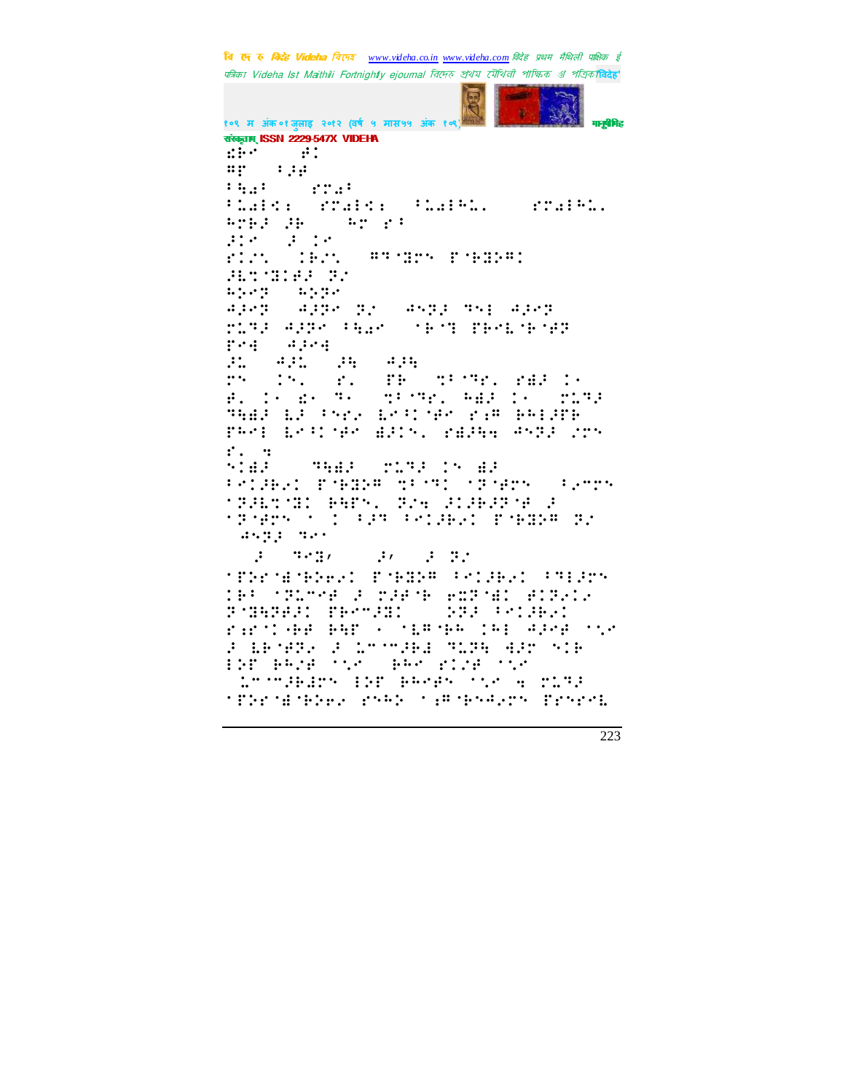**Service** 

१०९ म अंक०१ जुलाइ २०१२ (वर्ष ५ मास५५ अंक १० मानुबेमिह संस्कृतम् ISSN 2229-547X VIDEHA  $\mathbf{a}$  $\mathbf{H}$  $\mathbf{u}$   $\mathbf{y}$   $\mathbf{y}$   $\mathbf{y}$   $\mathbf{y}$  $14.11$  $\mathbf{r}$  :  $\mathbf{r}$  : Plain: Prain: Plainl. Prainl. Application and part  $\mathbb{R}^{2n} \times \mathbb{R}^{2n}$  $\mathbf{1}$  :  $\mathbf{1}$  :  $\mathbf{1}$  $\mathcal{L}^{\star}$  ,  $\mathcal{L}^{\star}$  , **1111 1121 1221 1221 1221 1221 1221 1221 1221 1221 HEMINE BY**  $1.5 \times 10^{-1}$  $\mathbb{R}^n$  is particular to the problem of the set of the set of the set of the set of the set of the set of the set of the set of the set of the set of the set of the set of the set of the set of the set of the set of th **APP AND TO ANTI THE APP** MIRE APPOIANCE CHOR PEOLOGYPT peg apeg  $\# \mathcal{G}_m = \mathcal{G}_m$  $\mathcal{L}$  $\frac{1}{2}$  .  $\frac{1}{2}$  .  $\frac{1}{2}$  $\cdots$  $25.722$ **STATE** PERSON  $\mathbf{r}$  $\mathbb{R}^2$  , and  $\mathbb{R}^2$  , and  $\mathbb{R}^2$  , and  $\mathbb{R}^2$ **MISSION REPORT PROPER** MAD LE PAS LATINA 218 PAIDE PROF ESSINAS BRING PERBA ANDRONOM  $\mathbf{f}$ .  $\mathbf{f}$ **THE PUBLIC IN BY**  $5.147$ PRIBEI D'ESPRITTI (P'ETR' PERT 1996-1991 - PARTYL (924) (919-99-19) (9)<br>1979-1901 - College Centurylo, portugue (92  $\left(3522, 377\right)$  $\mathbb{R}^2 = \mathbb{R}^2 \times \mathbb{R}^2$  , and  $\mathbb{R}^2 = \mathbb{R}^2 \times \mathbb{R}^2$  , and  $\mathbb{R}^2 = \mathbb{R}^2$ **TERMINERAL PREDUCTIONS CONTROL** TRA (1915-28) 2 STARTE ROBORN RIBRIE Standed Bergar 1 232 Primer: rander em 2 dimens de sage die 2 lenez 2 locale fize ezo nie.<br>195 ekzember 1960 etzentze Condition in Press to a cost tive difere anno languagen inned.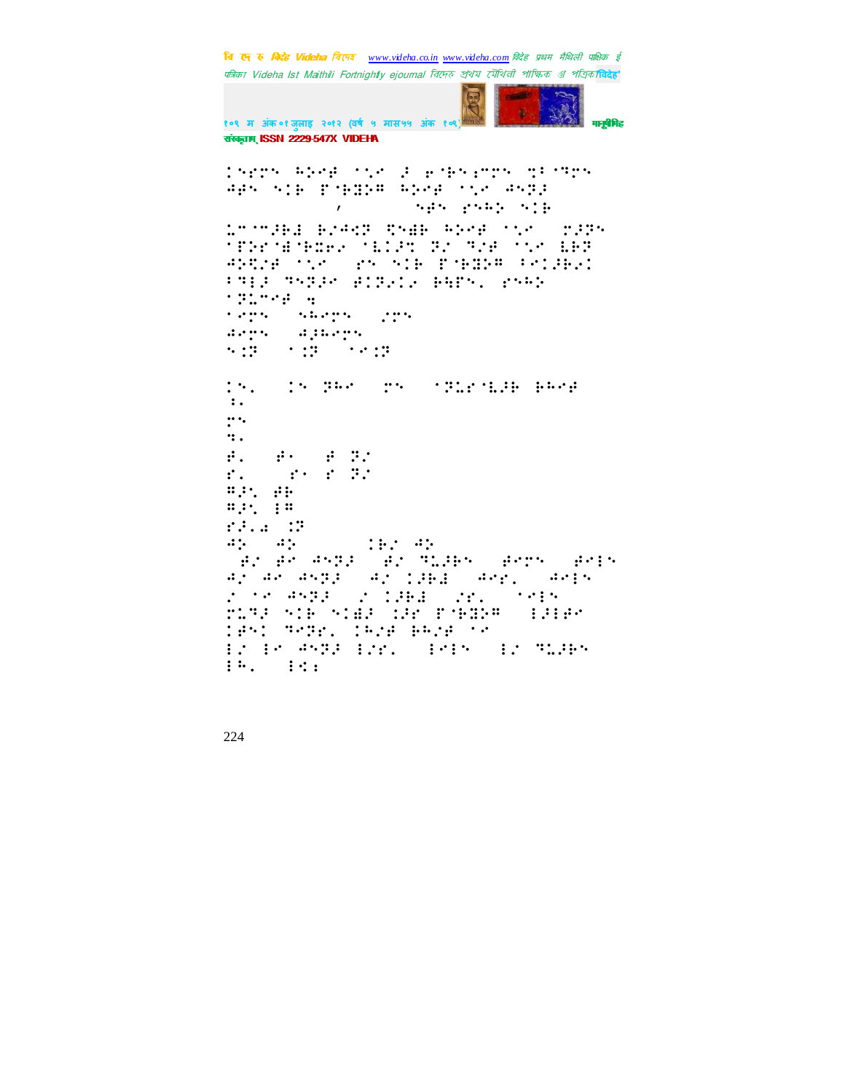संस्कृतम् ISSN 2229-547X VIDEHA

**CONTRACT**  $\mathcal{R}$ १०९ म अंक ०१जुलाइ २०१२ (वष ५ मास५५ अंक १०९) मानुषीिमह

 $!$  ~  $!$   $\vdots$   $\vdots$   $\vdots$   $\vdots$   $\vdots$   $\vdots$   $\vdots$   $\vdots$   $\vdots$   $\vdots$   $\vdots$ AP SALE OF SALE OF SALE sbjtpo!e'fusf!⢾!"⢳⢵!⢷!  $\frac{1}{2}$   $\frac{1}{4}$   $\frac{1}{4}$   $\frac{1}{4}$   $\frac{1}{4}$   $\frac{1}{4}$   $\frac{1}{4}$   $\frac{1}{4}$   $\frac{1}{4}$   $\frac{1}{4}$   $\frac{1}{4}$   $\frac{1}{4}$   $\frac{1}{4}$   $\frac{1}{4}$   $\frac{1}{4}$   $\frac{1}{4}$   $\frac{1}{4}$   $\frac{1}{4}$   $\frac{1}{4}$   $\frac{1}{4}$   $\frac{1}{4}$   $\frac{1}{4}$   $\$ 200 tangan di sebagai di sebagai di sebagai di sebagai di sebagai di sebagai di sebagai di sebagai di sebagai ⢺⢵⣋4⢾!⣁-!"!⢷!2 ⢷⣝⢵⢻!C⢼⢷⢴! C��! C�� Download of the Care of the Care of the Care of the Care of the Care of the Care of the Care of the C ⢽⣅^⢾\*⣒! - en allen and deps different  $\sim$  0  $\sim$  0  $\sim$  0.000  $\{S_{\alpha}\}=\{S_{\alpha}\}$  in the set of  $\{S_{\alpha}\}$  in the set of  $\{S_{\alpha}\}$  $\ddot{\cdot}$ . !!  $\ddot{H}$ ₫. **;:** ;: ;::: "B: (2011) 1992 (1994) 1992 (1994) 1993 (1994) 1994 (1994) 1994 (1994) 1994 (1994) 1994 (1994) 1994 (1994) 199 ⢻⢼⣁!⢾⢷! ⢻⢼⣁!⢻! "C. 4" (2)<br>"Al = 4" ⊕{ e} e} (a) {p/ e} !Å 200 Project 10 Open Project 10 Open Project 10 Open Project 10 Open Project 10 Open Project 10 Open Project  $4/4$   $4/4$   $4/4$   $4/4$   $4/4$   $4/4$   $4/4$   $4/4$   $4/4$   $4/4$   $4/4$   $4/4$ 40!⢺⢽⢼.!4!⢼⢷⣜0!4"G0!0! ⣅⢹⢼!⢷!⣞⢼!⣈⢼"!2 ⢷⣝⢵⢻.!⢼⢾!  $1951$  Gerry Christian Engine 40!⢺⢽⢼!4"G0!0!4!⢹⣅⢼⢷!  $H = H \cdot H \cdot H$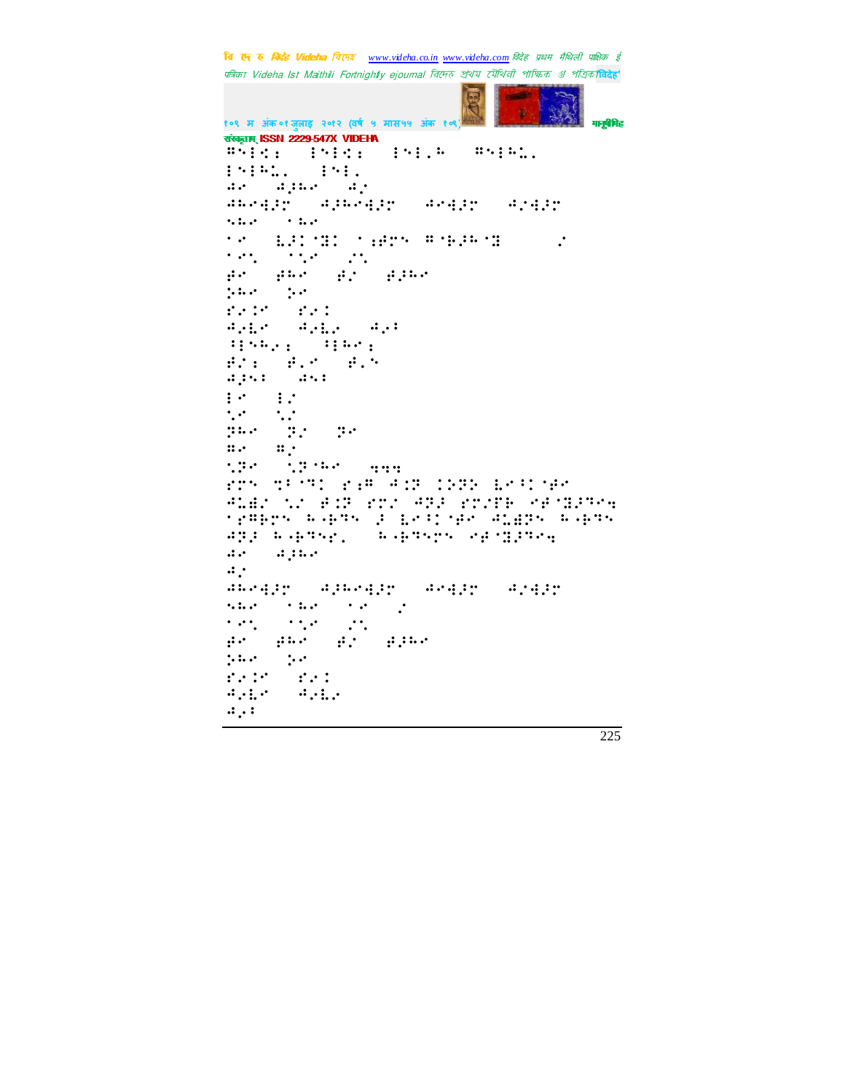0 **CONTRACT**  $\mathcal{G}$ १०९ म अंक ०१जुलाइ २०१२ (वष ५ मास५५ अंक १०९) मानुषीिमह संस्कृतम् ISSN 2229-547X VIDEHA ⊕MERI IMERI IMERI PREPL ENERGE HALL de dine di anegje ajnegje aegje ajgje<br>Sne okne  $\overline{\mathcal{O}}$   $\overline{\mathcal{O}}$   $\overline{\mathcal{O}}$   $\overline{\mathcal{O}}$ !)⣇⢼ ⣝!⣐⢾!⢻ ⢷⢼⢳ ⣝\*!0!4!! Control 100 (100) ga gale gler gler<br>Sale so  $\ddot{\phantom{1}}$ "⢴⣈0!"⢴⣈!! GAL OR CHANNEL ⢸⢳⢴⣐0!⢸⢳⣐!!! ∄2: ∄.n €.h dight and  $\sigma$ 0  $\sim$ ⢽⢳0!⢽40!⢽!!  $\mathbf{u} \cdot \mathbf{u}$ ⣁⢽0!⣁⢽ ⢳!!⣒⣒⣒!! "!⣉C ⢹!"⣐⢻!⢺⣈⢽!⢵⢽⢵!⣇⢸ ⢾! ⢺⣅⣞4!⣁4!⢾⣈⢽!"4!⢺⢽⢼!"42⢷!⢾ ⣝⢼⢹⣒! "⢻⢷!⢳D⢷⢹!⢼!⣇⢸ ⢾!⢺⣅⣞⢽!⢳D⢷⢹! an an der Grootse Steaten<br>Botanisme  $\ldots$  $\ddot{a}$  . ⢺⢳⣚⢼0!⢺⢼⢳⣚⢼0!⢺⣚⢼0!⢺4⣚⢼! where  $\alpha$  is the  $\alpha$  -dependent of  $\alpha$  $\mathcal{O}(\mathcal{O}_1)$  and  $\mathcal{O}(\mathcal{O}_2)$ ge gae groeplak.<br>Nasi  $\ddot{\mathbf{u}}$  $f$ .  $f$ .  $f$ .  $f$ .  $f$ .  $f$ .  $f$ .  $f$ ⢺⢴⣇0!⢺⢴⣇⢴0!!  $\ddotsc$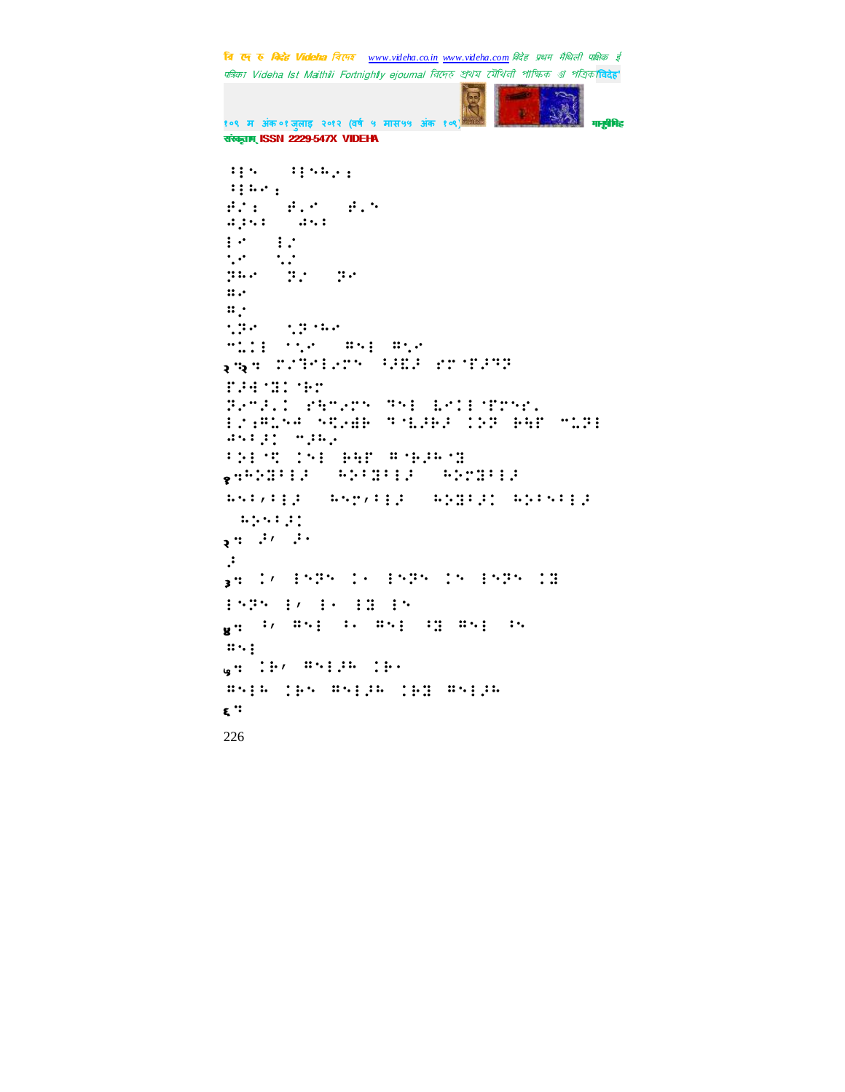```
चि एक रु विदेह Videha चिएन्छ <u>www.videha.co.in www.videha.com</u> विदेह प्रथम मैथिली पाक्षिक ई
पत्रिका Videha Ist Maithili Fortnightly ejournal রিদেত প্রথম মৌথিনী পাক্ষিক ॳ পত্রিকাঁ<mark>বিदेह'</mark>
                                                     Service
१०९ म अंक ०१जुलाइ २०१२ (वष ५ मास५५ अंक १०९) मानुषीिमह 
संस्कृतम् ISSN 2229-547X VIDEHA
UP OF STRAIN PROPERTY
\cdot : :
⢾4⣐0!⢾G0!⢾G!
⢺⢼C0!⢺C!
19 12
\mathcal{M}^{\mathcal{A}} , and \mathcal{M}^{\mathcal{A}}⢽⢳0!⢽40!⢽!
::.::.
⣁⢽0!⣁⢽ ⢳!
^⣅!⣁0!⢻!⢻⣁!
२७२ - योजनिकारी निर्मात का प्रतिक
2⢼⣚ ⣝ ⢷!!
SAMALI PROVINCE THE SECOND PROVINCE
4⣐⢻⣅⢺!⣋⢴⣞⢷!⢹ ⣇⢼⢷⢼!⢵⢽!⢷⣓2!^⣅⢽!
\begin{aligned} \mathbf{d}^T \mathbf{G} &\stackrel{\mathbf{d}}{=} \mathbf{C}^T \mathbf{G}^T \mathbf{G}^T \mathbf{G}^T \mathbf{G}^T \mathbf{G}^T \mathbf{G}^T \mathbf{G}^T \mathbf{G}^T \mathbf{G}^T \mathbf{G}^T \mathbf{G}^T \mathbf{G}^T \mathbf{G}^T \mathbf{G}^T \mathbf{G}^T \mathbf{G}^T \mathbf{G}^T \mathbf{G}^T \mathbf{G}^T \mathbf{G}^T \mathbf{G}^T \mathbf{G}^T \mathbf{GCOLORED TO CALL THE STREET
१⣒⢳⢵⣝C⢼0!⢳⢵C⣝C⢼0!⢳⢵⣝C⢼0!
⢳C'C⢼-!⢳'C⢼0!⢳⢵⣝C⢼0⢳⢵CC⢼!
  0.5991321२: २ं/ २ंग
\ddot{\cdot}३⣒!'!⢽0l!⢽0!⢽0⣝!
1575 17.15 18.15४⣒!⢸'!⢻0⢸l!⢻0⢸⣝!⢻0⢸!
\cdots५⣒!⢷'!⢻⢼⢳0⢷l!
⢻⢳0⢷!⢻⢼⢳0⢷⣝!⢻⢼⢳!!
\epsilon :
```

```
226
```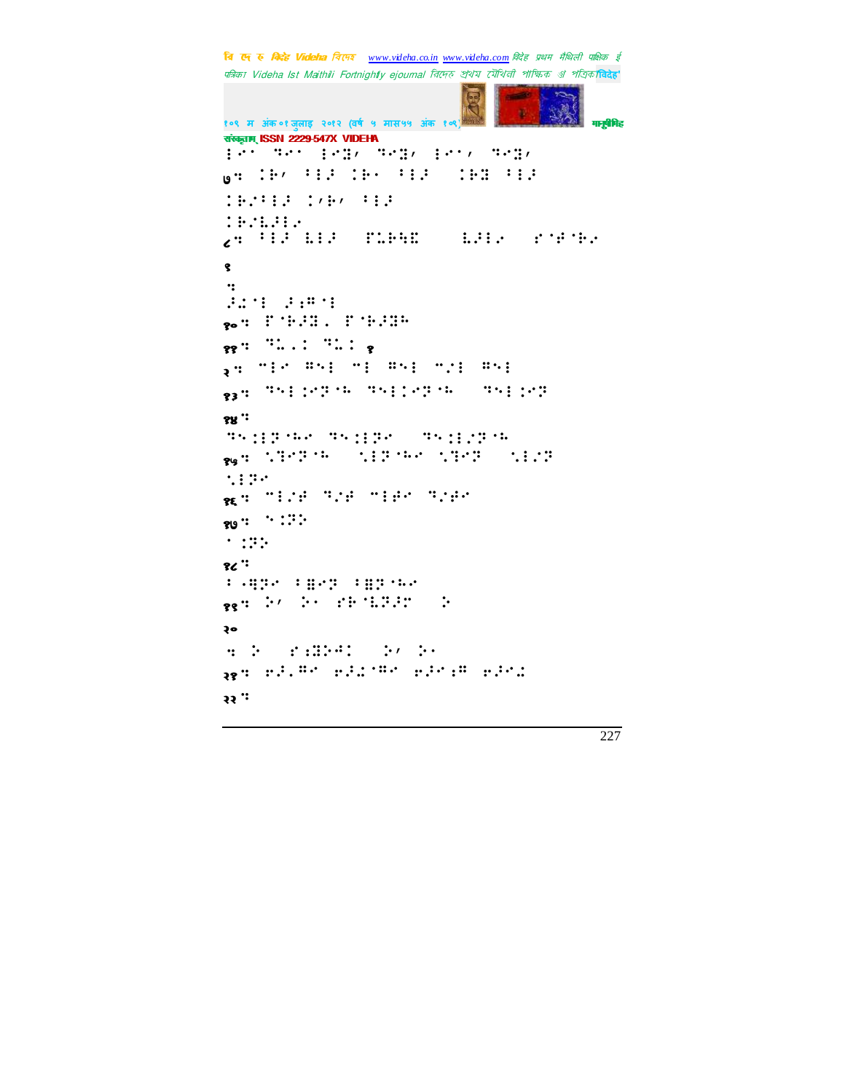```
१०९ म अंक ०१जुलाइ २०१२ (वष ५ मास५५ अंक १०९) मानुषीिमह 
संस्कृतम् ISSN 2229-547X VIDE<del>H</del>A
\frac{1}{2} of \frac{1}{2} and \frac{1}{2} , \frac{1}{2} and \frac{1}{2} , \frac{1}{2} and \frac{1}{2} and \frac{1}{2} and \frac{1}{2}७: IF/ HI IF IF HI IE HI
⢷4C⢼0'⢷'!C⢼!0!
: : : : : : :८⣒!C⢼!⣇⢼!)2⣅⢷⣓⣏*-!⣇⢼⢴!)" ⢾ ⢷⢴*!
९
\dddot{\cdot}⢼⣌ !⢼⣐⢻ !!
8.º: F19.22 . F19.228
१९ ॥ योजन्तरं प्रदेश
२⣒!^!⢻!^!⢻0^4!⢻!!
१३⣒!⢹⣈⢽ ⢳!⢹⢽ ⢳-!⢹⣈⢽!!
१४ :
⢹⣈⢽ ⢳!⢹⣈⢽0!⢹⣈4⢽ ⢳!!
१५⣒!⣁⣙⢽ ⢳0!⣁⢽ ⢳!⣁⣙⢽0!⣁4⢽0!
\cdot.:::\cdot१६⣒!^4⢾0⢹4⢾!^⢾0⢹4⢾!!
\mathbf{P} \mathbf{P} : \mathbf{P} : \mathbf{P} : \mathbf{P} : \mathbf{P} : \mathbf{P} : \mathbf{P} : \mathbf{P} : \mathbf{P} : \mathbf{P} : \mathbf{P} : \mathbf{P} : \mathbf{P} : \mathbf{P} : \mathbf{P} : \mathbf{P} : \mathbf{P} : \mathbf{P} : \mathbf{P} : \math^{\circ} :31
36:
COUNTY CONTROL
१९९ के अन्य अपनी कारण के
२०
\pm 0 \pm 0 \pm 0 \pm 0 \pm 0 \pm 0 \pm 0 \pm 0 \pm 0 \pm२१⣒!⢶⢼G⢻0⢶⢼⣌ ⢻!⢶⢼⣐⢻0⢶⢼⣌!!
२२ "
```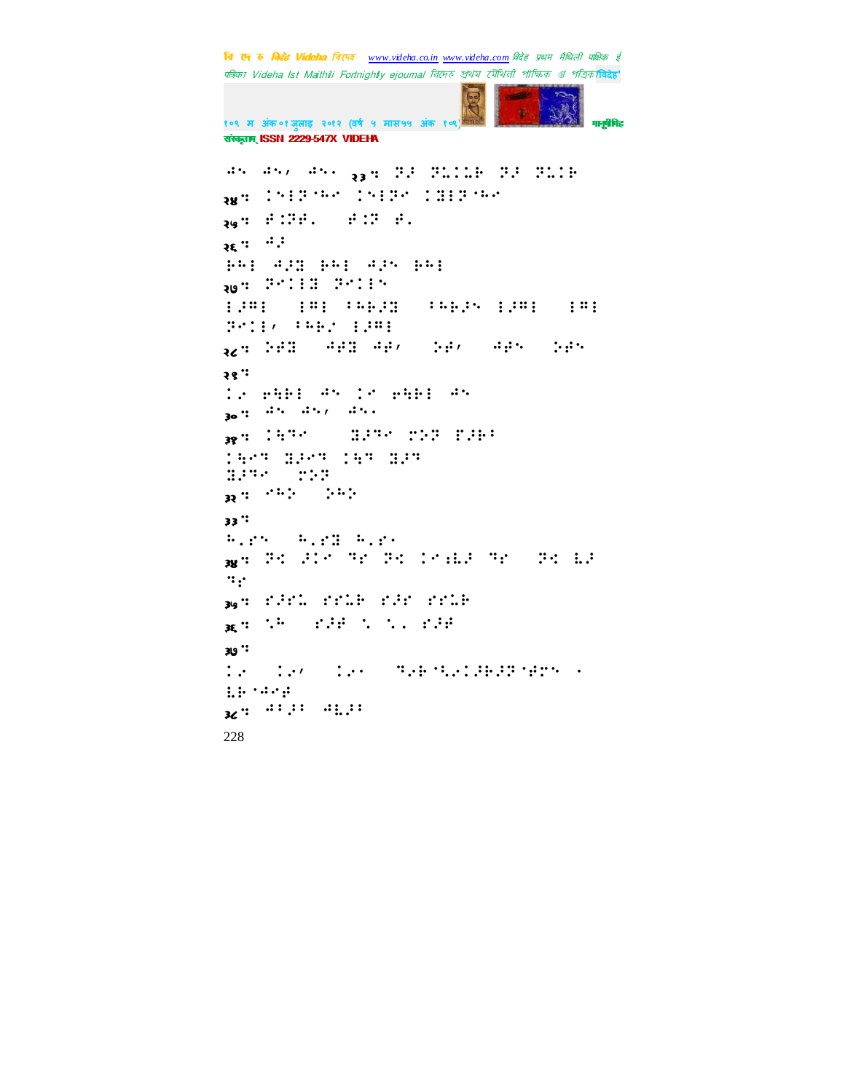१०९ म अंक ०१जुलाइ २०१२ (वष ५ मास५५ अंक १०९) मानुषीिमह संस्कृतम् ISSN 2229-547X VIDEHA 228 ⢺!⢺'0⢺l!२३⣒!⢽⢼.⢽⣅⣅⢷!⢽⢼.⢽⣅⢷!! २४९ - २०१२ पर १००० राजस्थान कर २७: BIB. BIB B. २६<sup>...</sup>... ⢷⢳0⢺⢼⣝!⢷⢳0⢺⢼!⢷⢳!! २७: २०: ३०: २०: २०: २० ⢼⢻0!⢻!C⢳⢷⢼⣝0!C⢳⢷⢼!⢼⢻0!⢻! *<u>B'11, '0HE' 12HE'</u>* <sup>२८</sup>⣒!⢵⢾⣝0!⢺⢾⣝!⢺⢾'0!⢵⢾'0!⢺⢾0!⢵⢾!! २९ :  $\ddotsc$  while the  $\ddotsc$  rhile the  $\ddotsc$  $30$   $\frac{1}{2}$   $\frac{1}{2}$   $\frac{1}{2}$   $\frac{1}{2}$   $\frac{1}{2}$   $\frac{1}{2}$   $\frac{1}{2}$   $\frac{1}{2}$   $\frac{1}{2}$   $\frac{1}{2}$   $\frac{1}{2}$   $\frac{1}{2}$   $\frac{1}{2}$   $\frac{1}{2}$   $\frac{1}{2}$   $\frac{1}{2}$   $\frac{1}{2}$   $\frac{1}{2}$   $\frac{1}{2}$   $\frac{1}{2}$   $\frac{1}{2}$   $\frac{1}{$ ३१⣒!⣓⢹!0!⣝⢼⢹)⢵⢽!2⢼⢷C\*! ⣓⢹0⣝⢼⢹0⣓⢹0⣝⢼⢹0!! ⣝⢼⢹!)⢵⢽\*!! ३२ <sup>910</sup>े हो  $33$  : **WEST WAS SERVED** ३४⣒!⢽⣊!⢼!⢹"0⢽⣊!⣐⣇⢼!⢹"0!⢽⣊!⣇⢼!  $"$ ३५⣒!"⢼"⣅.""⣅⢷!"⢼".""⣅⢷!! ३६⣒!⣁⢳0!"⢼⢾!⣁0⣁⣀0"⢼⢾!! ३७⣒!  $\mathbf{C} = \mathbf{C} \cdot \mathbf{C} + \mathbf{C} \cdot \mathbf{C} + \mathbf{C} \cdot \mathbf{C} + \mathbf{C} \cdot \mathbf{C} + \mathbf{C} \cdot \mathbf{C} + \mathbf{C} \cdot \mathbf{C} + \mathbf{C} \cdot \mathbf{C} + \mathbf{C} \cdot \mathbf{C} + \mathbf{C} \cdot \mathbf{C} + \mathbf{C} \cdot \mathbf{C} + \mathbf{C} \cdot \mathbf{C} + \mathbf{C} \cdot \mathbf{C} + \mathbf{C} \cdot \mathbf{C} + \mathbf{C} \cdot \mathbf{C} + \mathbf{$ ⣇⢷ ⢺⢾\*!!  $36$  :  $60$  C C C C C C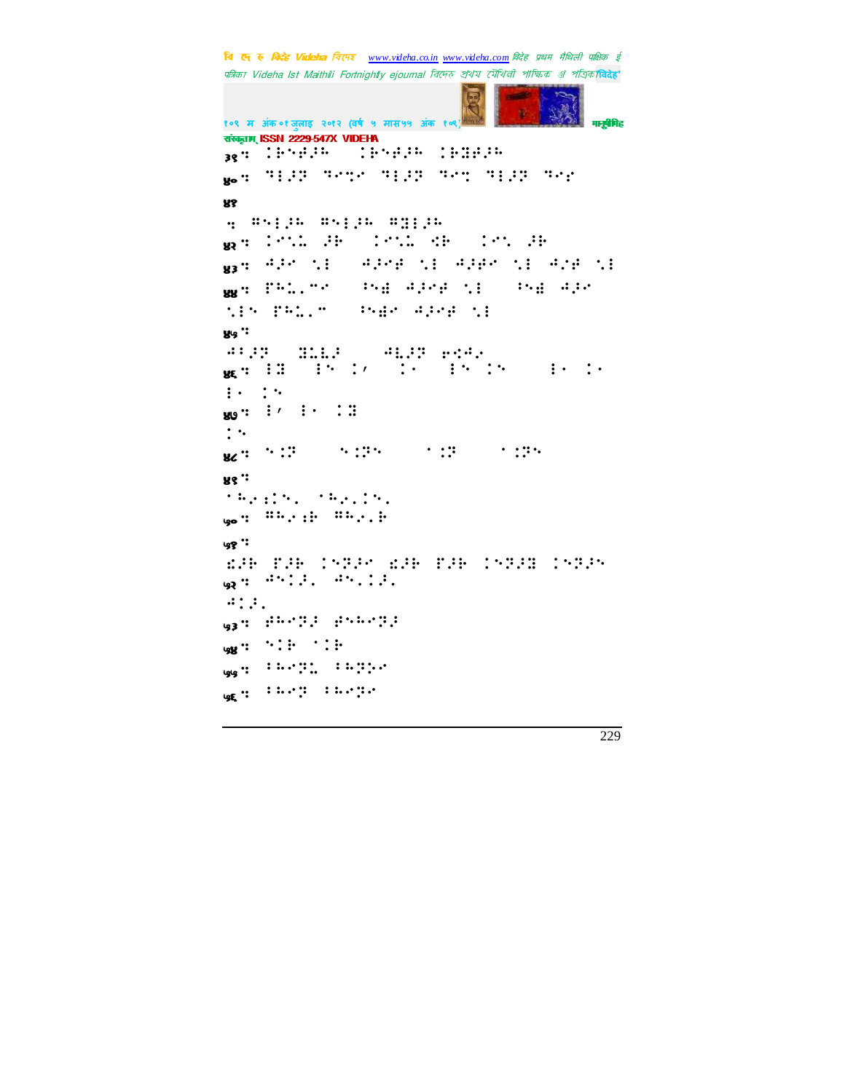```
१०९ म अंक ०१जुलाइ २०१२ (वष ५ मास५५ अंक १०९) मानुषीिमह 
संस्कृतम् ISSN 2229-547X VIDEHA
\overline{38^6} : 1959.06 (1939.06
४०⣒!⢹⢼⢽!⢹⣉!⢹⢼⢽!⢹⣉0⢹⢼⢽!⢹"!!
४१
⣒!⢻⢼⢳!⢻⢼⢳0⢻⣝⢼⢳!!
४२⣒!⣁⣅!⢼⢷0!⣁⣅!⣊⢷0!⣁!⢼⢷!!
४३⣒!⢺⢼!⣁0!⢺⢼⢾!⣁!⢺⢼⢾!⣁0⢺4⢾!⣁!!
W * PRLINK (PH 40% PH 40%)
\mathbf{12.2} This constant and \mathbf{2.3}४५⣒!!
⊣PļP (BLLP) -BlP edf.<br>œs 1B (15 1/ (15 15 15 15 ).
क्कम से अपनी से अपनी से स्थिति के स्थिति के स्थिति के स्थिति के स्थिति के स्थिति के स्थिति के स्थिति के स्थित
\vdots :
80 : \frac{1}{2} : \frac{1}{2} : \frac{1}{2} : \frac{1}{2} : \frac{1}{2} : \frac{1}{2}\frac{1}{86} : \frac{1}{2} : \frac{1}{12} :
                 ४८⣒!⣈⢽!0!⣈⢽!0!⣈⢽!0!⣈⢽!!
४९⣒!!
⢳⢴⣐G!⢳⢴GG!!
५०⣒!⢻⢳⢴⣐⢷!⢻⢳⢴G⢷!!
५१ :
⣎⢼⢷!2⢼⢷!⢽⢼!⣎⢼⢷!2⢼⢷!⢽⢼⣝0⢽⢼!!
\mathbf{Q} : \mathbf{d} \mathbf{S} : \mathbf{d} \mathbf{S} : \mathbf{d} \mathbf{S} : \mathbf{G} : \mathbf{G} : \mathbf{G} : \mathbf{G} : \mathbf{G} : \mathbf{G} : \mathbf{G} : \mathbf{G} : \mathbf{G} : \mathbf{G} : \mathbf{G} : \mathbf{G} : \mathbf{G} : \mathbf{G}\mathbf{G}:
५३⣒!⢾⢳⢽⢼!⢾⢳⢽⢼!!
५<u>४</u>: 'ं!: 'ं!
\mathbf{G}_{\mathbf{S}} : \mathbf{S} = \mathbf{S} \cdot \mathbf{S} : \mathbf{S} = \mathbf{S} \cdot \mathbf{S}५६⣒!C⢳⢽!C⢳⢽!!
```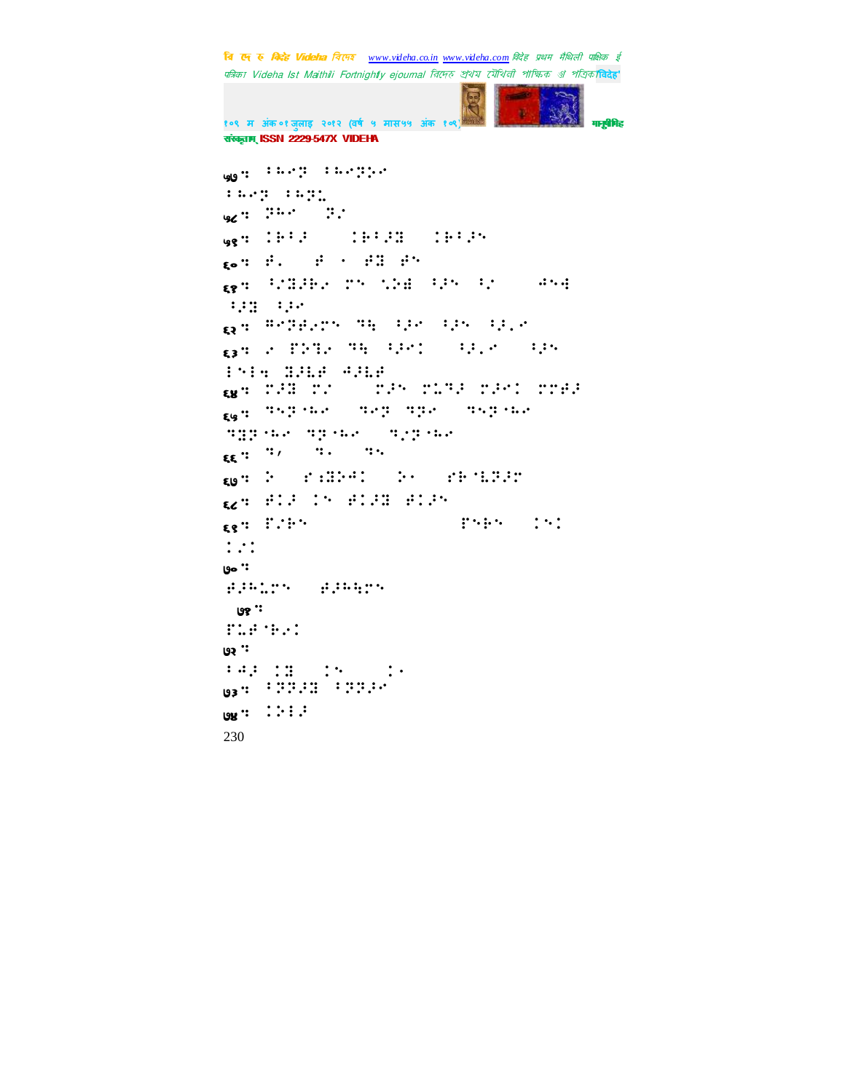१०९ म अंक ०१जुलाइ २०१२ (वष ५ मास५५ अंक १०९) मानुषीिमह संस्कृतम् ISSN 2229-547X VIDEHA

```
230
५७⣒!C⢳⢽.C⢳⢽⢵!
Chep Cher.
५८: \therefore \therefore<sub>աց</sub>. :P:3 19:20 19:25
६०⣒!⢾G0!⢾!l!⢾⣝0⢾!!
६१⣒!⢸4⣝⢼⢷⢴!!⣁⢵⣞.⢸⢼0⢸40-!⢺⣚.
⢸⢼⣝0⢸⢼-!!
६२⣒!⢻⢽⢾⢴!⢹⣓!⢸⢼0⢸⢼0⢸⢼G!!!
६३⣒!⢴!2⢵⣙⢴!⢹⣓!⢸⢼0!⢸⢼G0!⢸⢼0!
⣒!⣝⢼⣇⢾!⢺⢼⣇⢾!!
60 120 120 120 120 120 120 120 120
६५⣒!⢹⢽ ⢳0!⢹⢽!⢹⢽0!⢹⢽ ⢳0!
⢹⣝⢽ ⢳!⢹⢽ ⢳0!⢹4⢽ ⢳!!
६६ <sup>च प</sup>र - <sup>म</sup>े अर्थ
६७⣒!⢵!)"⣐⣝⢵⢺*!⢵l!)"⢷ ⣇⢽⢼*!!
६८⣒!⢾⢼!!⢾⢼⣝!⢾⢼!!
६९९ में 24° (100 points) के लिए 200 points of 200 points of 200 points of 200 points of 200 points of 200 poin
\ddots :
७०⣒!
⢾⢼⢳⣅0!⢾⢼⢳⣓!!
 '' १७
FLF (F.)
'' ঘ
Company of the company of the company of the company of the company of the company of the company of the compa<br>Company of the company of the company of the company of the company of the company of the company of the compa
<sub>७३</sub>.: :2233 :2233
\mathbf{g}u: \mathbf{f}: \mathbf{f}: \mathbf{g}
```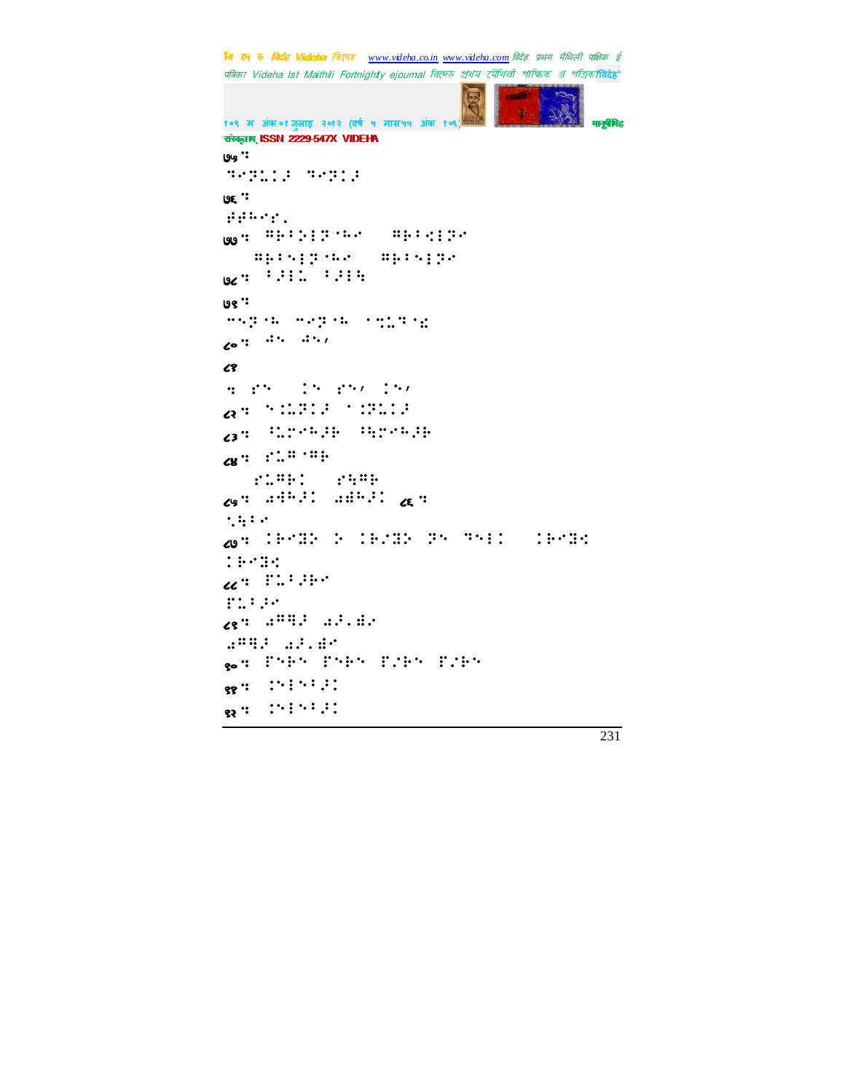```
१०९ म अंक ०१जुलाइ २०१२ (वष ५ मास५५ अंक १०९) मानुषीिमह 
संस्कृतम् ISSN 2229-547X VIDEHA
:<br>99 يا
⢹⢽⣅⢼!⢹⢽⢼!!
७६ "⢾⢾⢳"G!!
७७: म0:2013 प्राप्त कारण में मान प्राप्त का
     \frac{1}{2} = \frac{1}{2} \frac{1}{2} \frac{1}{2} \frac{1}{2} \frac{1}{2} \frac{1}{2} \frac{1}{2} \frac{1}{2} \frac{1}{2} \frac{1}{2} \frac{1}{2} \frac{1}{2} \frac{1}{2} \frac{1}{2} \frac{1}{2} \frac{1}{2} \frac{1}{2} \frac{1}{2} \frac{1}{2} \frac{1}{2} \frac{1}{2} 
७८: '' Cili : '' Cili
'' १७
^⢽ ⢳!^⢽ ⢳)⣉⣅⢹ ⣎*!!
\mathcal{L}^{\circ} \mathcal{L}^{\circ} \mathcal{L}^{\circ} \mathcal{L}^{\circ} \mathcal{L}^{\circ} \mathcal{L}^{\circ}८१
e en 15 en 15.
८२⣒!⣈⣅⢽⢼!⣈⢽⣅⢼!!
८३⣒!⢸⣅⢳⢼⢷!⢸⣓⢳⢼⢷!!
\alpha : \mathbb{C} \mathbb{C} \mathbb{C} \mathbb{C} \mathbb{C} \mathbb{C} \mathbb{C}0.001\alpha<sup>:</sup> \alpha<sup>1</sup> \alpha<sup>1</sup>
\cdot, \cdot, \cdot८७⣒!⢷⣝⢵0⢵!⢷4⣝⢵!⢽!⢹!0⢷⣝⣊.
⢷⣝⣊!!
\alpha: \cdotsPLIP-
८९⣒!⣔⢻⣛⢼.⣔⢼G⣞⢴!
⣔⢻⣛⢼.⣔⢼G⣞!!
९०⣒!2⢷.2⢷!24⢷.24⢷!
१९ : '
\mathbf{R}^{(1)} = \mathbb{C}^{(1)} \oplus \mathbb{C}^{(2)}
```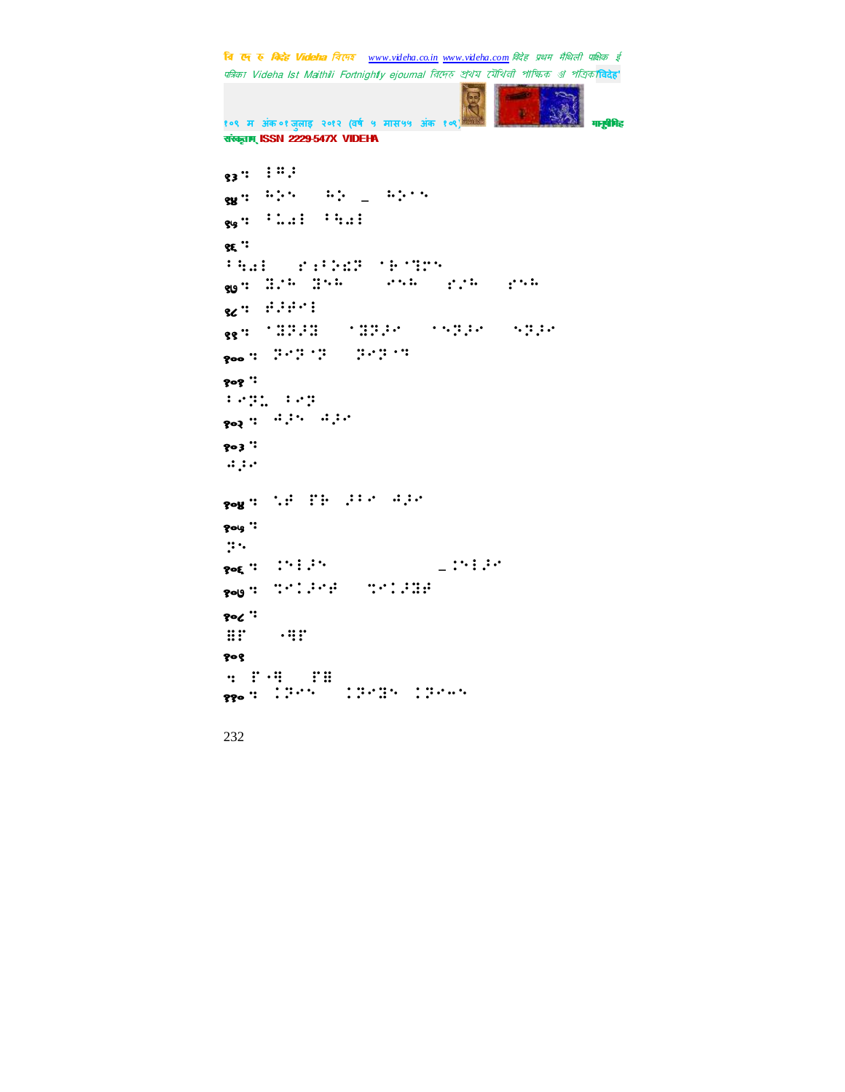**त्रि एन रु क्रिटेह Videha** विएम्ब \_www.videha.co.in\_www.videha.com विदेह प्रथम मैथिली पाक्षिक ई पत्रिका Videha Ist Maithili Fortnightly ejournal রিদেত প্রথম মৌথিনী পাক্ষিক ॳ পত্রিকাঁ<mark>বিदेह'</mark> १०९ म अंक ०१जुलाइ २०१२ (वष ५ मास५५ अंक १०९) मानुषीिमह संस्कृतम् ISSN 2229-547X VIDEHA  $83$  :  $\frac{1}{2}$   $\frac{1}{2}$  :  $\frac{1}{2}$  $\mathbf{g} \mathbf{g}^{(i)} \mathbf{f}^{(i)} \mathbf{f}^{(j)} \mathbf{f}^{(i)} = \mathbf{f}^{(i)} \mathbf{f}^{(i)} = \mathbf{f}^{(i)} \mathbf{f}^{(i)} \mathbf{f}^{(j)}$ eg: 'L: | 'h: | ९६ <sup>:</sup> Códi (Colòra) de Co <sub>९७</sub>०: ⊞2में ⊞रमें - जर्मम अन्तर्ग अपमे  $\mathbf{g}_\mathbf{Z}$  :  $\mathbf{f}$   $\mathbf{H}$   $\mathbf{H}$   $\mathbf{H}$   $\mathbf{H}$ ९९⣒!⣝⢽⢼⣝.!⣝⢽⢼0!⢽⢼0!⢽⢼!! <sub>800</sub> के अधिकारित के अधिकारित करें के अधिकारित करें के अधिकारित करें के अधिकारित करें के अधिकारित करें के अधिकार<br>प्राचीन करें के अधिकारित करें के अधिकारित करें के अधिकारित करें के अधिकारित करें के अधिकारित करें के अधिकार १०१  $"$ CO. 201  $\mathbf{R}^{\text{OQ}}$  :  $\mathbf{R}^{\text{OQ}}$  :  $\mathbf{R}^{\text{OQ}}$ १०३ "  $\mathcal{A}$ jo:ejstonfou tfotfolio tfotfolio tfotfolio tfotfolio tfotfolio tfotfolio tfotfolio tfotfolio tfotfolio <sub>?૦ષ્ઠ</sub>મ અંગે કેમ ફર્મ માટે અ १०७ :  $\mathbf{P}$  $\frac{1}{2}$ os  $\frac{1}{2}$  :  $\frac{1}{2}$  :  $\frac{1}{2}$  :  $\frac{1}{2}$  :  $\frac{1}{2}$  :  $\frac{1}{2}$  :  $\frac{1}{2}$  :  $\frac{1}{2}$  :  $\frac{1}{2}$  :  $\frac{1}{2}$  :  $\frac{1}{2}$  :  $\frac{1}{2}$  :  $\frac{1}{2}$  :  $\frac{1}{2}$  :  $\frac{1}{2}$  :  $\frac{1}{2}$  :  $\frac{1}{2}$  :  $\frac{1$ १०७ : २८% : २००९ : २००९ : २००९ : २००९ : २००९ : २००९ : २००९ : २००९ : २००९ : २००९ : २००९ : २००९ : २००९ : २००९ : १०८  $"$  $\mathbf{u}$   $\mathbf{u}$   $\mathbf{u}$ १०९ ⣒!2D⣛.!2⣟!! <sub>१९०</sub>० : २००५ - २००० - २००० - २०००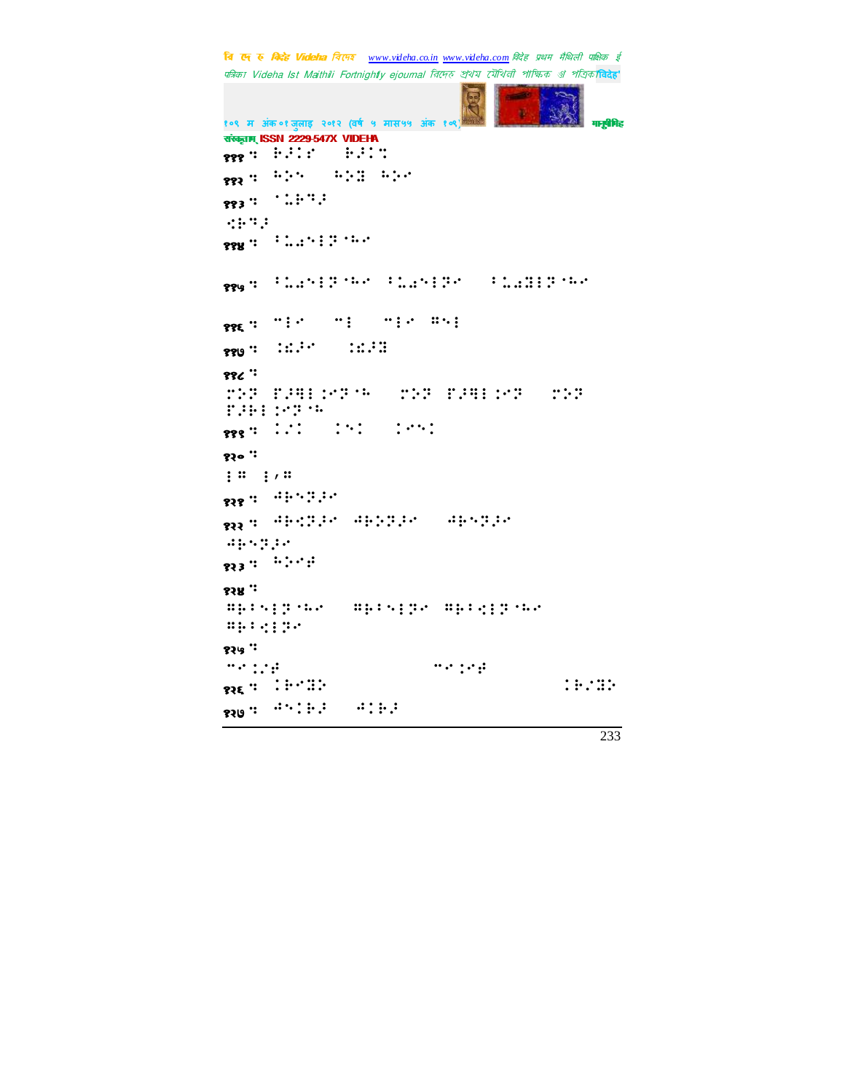**त्रि एन रु क्रिटेह Videha** विएम्ब \_www.videha.co.in\_www.videha.com विदेह प्रथम मैथिली पाक्षिक ई पत्रिका Videha Ist Maithili Fortnightly ejournal রিদেত প্রথম মৌথিনী পাক্ষিক ॳ পত্রিকাঁ<mark>বিदेह'</mark> १०९ म अंक ०१जुलाइ २०१२ (वष ५ मास५५ अंक १०९) मानुषीिमह संस्कृतम् ISSN 2229-547X VIDEHA<br>२२२ : : : : : : : : : : : : :  $888$  :  $\therefore$   $\therefore$  : १९२ में लिया है। अपने प्राप्त करने के अपने प्राप्त करने के अपने प्राप्त करने के अपने प्राप्त करने के अपने प्रा  $\frac{1}{233}$  :  $\frac{1}{25}$ ...... ⣊⢷⢹⢼!!  $\mathbf{R}$ 88 $\mathbf{R}$  :  $\mathbf{R}$   $\mathbf{R}$  :  $\mathbf{R}$  :  $\mathbf{R}$  :  $\mathbf{R}$  :  $\mathbf{R}$  :  $\mathbf{R}$  :  $\mathbf{R}$  :  $\mathbf{R}$  :  $\mathbf{R}$  :  $\mathbf{R}$  :  $\mathbf{R}$  :  $\mathbf{R}$  :  $\mathbf{R}$  :  $\mathbf{R}$  :  $\mathbf{R}$  :  $\mathbf{R}$  :  $\mathbf{R}$  :  $\mathbf$ १९७ : Fland Pole (Pland Pro ) (Call Pole) ११६⣒!^.!^0!^!⢻!! १९७ : संस्कृत स्थान संस्कृत कर ११८  $\cdot$ ⢵⢽!2⢼⣛⣈⢽ ⢳0!⢵⢽!2⢼⣛⣈⢽0!⢵⢽! 2⢼⢷⣈⢽ ⢳!! 1999 : 1.11 : 1911 : 1911 १२०⣒!  $: " " ! " ! "$ १२१ : निर्वाचन १२२⣒!⢺⢷⣊⢽⢼!⢺⢷⢵⢽⢼.!⢺⢷⢽⢼0! ⢺⢷⢽⢼!! १२३ : लिंग्लि १२४ ः ⢻⢷C⢽ ⢳0!⢻⢷C⢽!⢻⢷C⣊⢽ ⢳0! ⢻⢷C⣊⢽!! १२७ ः ^⣈4⢾.!)up!uftu\*^⣈⢾!! १२६ º (1993) and the state of the state of the state of the state of the state of the state of the state of th  $820$  :  $\frac{3}{20}$ .  $\frac{1}{20}$ .  $\frac{1}{20}$ .  $\frac{1}{20}$ .  $\frac{1}{20}$ .  $\frac{1}{20}$ .  $\frac{1}{20}$ .  $\frac{1}{20}$ .  $\frac{1}{20}$ .  $\frac{1}{20}$ .  $\frac{1}{20}$ .  $\frac{1}{20}$ .  $\frac{1}{20}$ .  $\frac{1}{20}$ .  $\frac{1}{20}$ .  $\frac{1}{20}$ .  $\frac{1}{20}$ .  $\frac{1}{20}$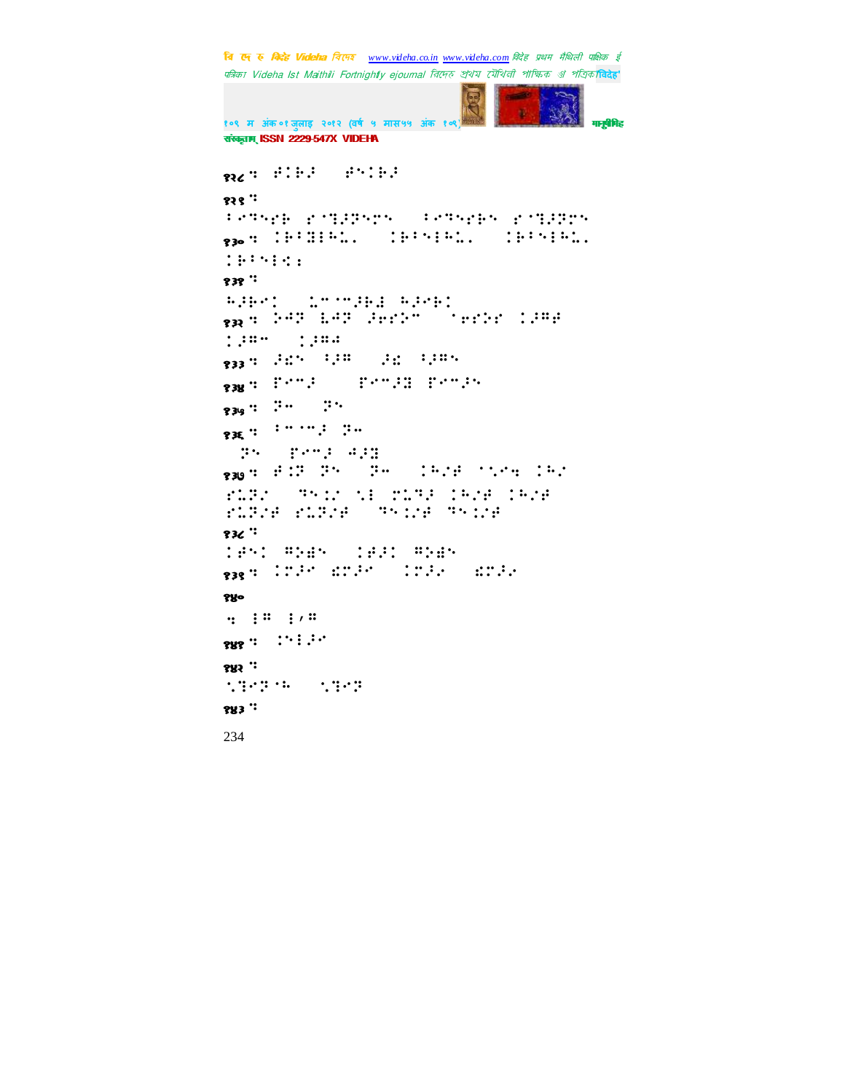```
त्रि एन रु क्रिटेह Videha विएम्ब _www.videha.co.in_www.videha.com विदेह प्रथम मैथिली पाक्षिक ई
पत्रिका Videha Ist Maithili Fortnightly ejournal রিদেত প্রথম মৌথিনী পাক্ষিক ॳ পত্রিকাঁ<mark>বিदेह'</mark>
```

```
१०९ म अंक ०१जुलाइ २०१२ (वष ५ मास५५ अंक १०९) मानुषीिमह 
संस्कृतम् ISSN 2229-547X VIDEHA
```

```
234
१२८ : निर्वित करने कर
१२९⣒!!
CONSTRUCTION CONTROL CONTROL
830S (PRESERA) (PRESERA)
[]१३१ :
⢳⢼⢷!)⣅^ ^⢼⢷⣜!⢳⢼⢷*!!
\frac{1}{832} % है किया है जिसको स्थित है जिसको है जिसको हि
⢼⢻^0!⢼⢻⢺!
१३३⣒!⢼⣎!⢸⢼⢻0!⢼⣎.⢸⢼⢻!!
१३४ <sup>: 201</sup>2 - 2012 : 2012 : 2012
834 : \frac{1}{2} : \frac{1}{2} : \frac{1}{2} :
\frac{1}{3} \frac{1}{3} \frac{1}{3} \frac{1}{3} \frac{1}{3} \frac{1}{3} \frac{1}{3} \frac{1}{3} \frac{1}{3} \frac{1}{3} \frac{1}{3} \frac{1}{3} \frac{1}{3} \frac{1}{3} \frac{1}{3} \frac{1}{3} \frac{1}{3} \frac{1}{3} \frac{1}{3} \frac{1}{3} \frac{1}{3} \frac{1}{3} )⢽*!2^⢼!⢺⢼⣝!!
१३७ में 10 OP - 14 - 1424 (1924 192
"⣅⢽40!⢹⣈4!⣁!⣅⢹⢼!⢳4⢾.⢳4⢾0!
 "⣅⢽4⢾."⣅⢽4⢾0!⢹⣈4⢾.⢹⣈4⢾!
१३८ :
^{\circ} ^{\circ} ^{\circ} ^{\circ} ^{\circ} ^{\circ} ^{\circ} ^{\circ} ^{\circ} ^{\circ} ^{\circ} ^{\circ} ^{\circ} ^{\circ} ^{\circ} ^{\circ} ^{\circ} ^{\circ} ^{\circ} ^{\circ} ^{\circ} ^{\circ} ^{\circ} ^{\circ} ^{\circ} ^{\circ} ^{\circ} ^{\circ} ^{\circ} ^{\circ} ^{\circ} ^{\circ}838 0 1000 2000 1000 1000
१४०
\begin{array}{lll} \textbf{a} & \textbf{b} & \textbf{c} \\ \textbf{c} & \textbf{d} & \textbf{c} \end{array} \quad \begin{array}{lll} \textbf{c} & \textbf{c} \\ \textbf{c} & \textbf{c} \end{array} \quad \begin{array}{lll} \textbf{c} & \textbf{c} \\ \textbf{c} & \textbf{c} \end{array} \quad \begin{array}{lll} \textbf{c} & \textbf{c} \\ \textbf{c} & \textbf{c} \end{array} \quad \begin{array}{lll} \textbf{c} & \883 : \cdots : \cdots१४२ :
⣁⣙⢽ ⢳0!⣁⣙⢽!!
१४३ "
```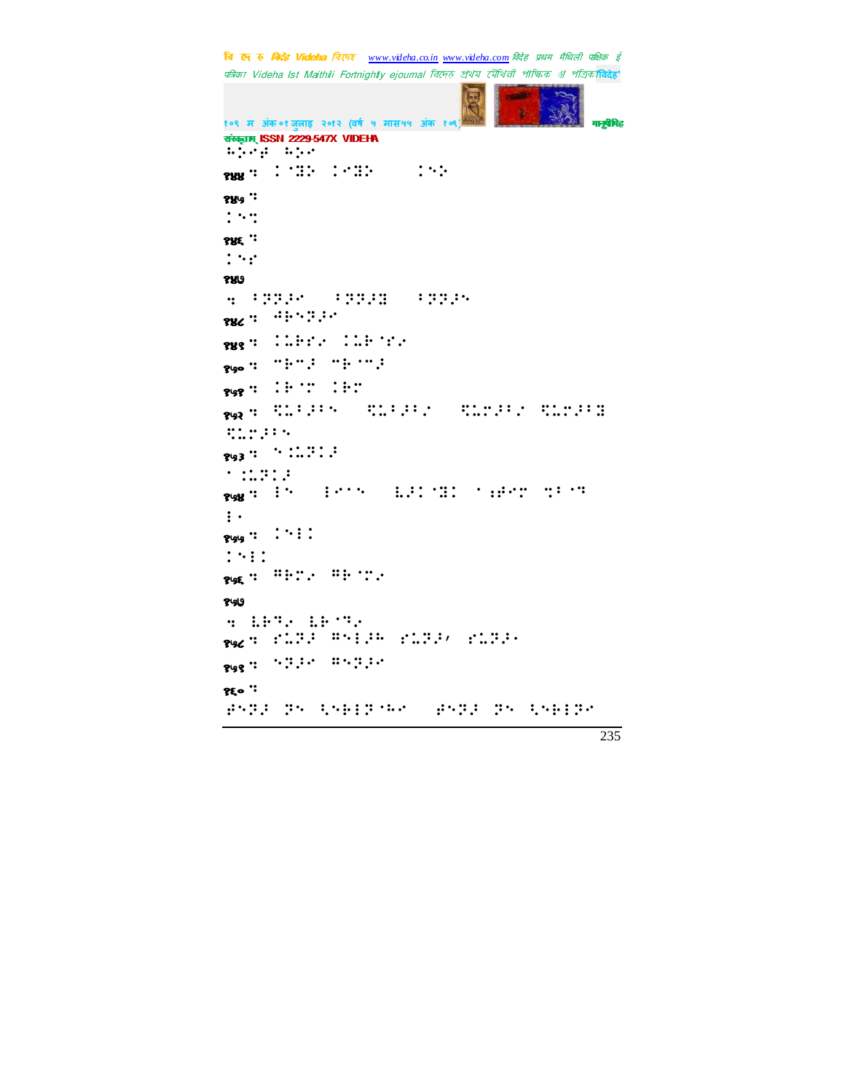**त्रि एन रु क्रिटेह Videha** विएम्ब \_www.videha.co.in\_www.videha.com विदेह प्रथम मैथिली पाक्षिक ई पत्रिका Videha Ist Maithili Fortnightly ejournal রিদেত প্রথম মৌথিনী পাক্ষিক ॳ পত্রিকাঁ<mark>বিदेह'</mark> १०९ म अंक ०१जुलाइ २०१२ (वष ५ मास५५ अंक १०९) मानुषीिमह संस्कृतम् ISSN 2229-547X VIDEHA  $\mathbb{Z}$ १४४ अप्रै के लिए से अप्रै के लिए से अप्रै के लिए से अप्रै के लिए से अप्रै के लिए से अप्रै के लिए से अप्रै के ल १४५ :  $: \cdot$  : १४६ :  $\vdots$  : १४७ **G !CO ! CONG !!!!!!**  $\mathbf{R} \mathbf{B} \mathbf{C}$  :  $\mathbf{B} \mathbf{B} \mathbf{C}$  :  $\mathbf{B} \mathbf{B} \mathbf{C}$ 988 : Gibre Cibre  ${y_{90}}$  :  $"$   $\vdots$   $"$   $\vdots$   $"$   $\vdots$   $"$   $\vdots$  $\frac{1}{298}$  :  $\frac{1}{2}$  :  $\frac{1}{2}$  :  $\frac{1}{2}$  :  $\frac{1}{2}$  :  $\frac{1}{2}$ १५२⣒!⣋⣅C⢼C0!⣋⣅C⢼C40!⣋⣅⢼C4!⣋⣅⢼C⣝0! ⣋⣅⢼C!!  $\frac{843}{100}$  :  $\frac{1}{100}$  :  $\frac{1}{100}$ ⣈⣅⢽⢼!! ।<br>१७४ च लिए कारण कारण अने असे प्राप्त करता था ग्र  $\vdots$  $g_{bgg}$  :  $\therefore$  $: \cdot : :$  $\gamma_{95}$  :  $\overset{11}{\sim}$   $\overset{11}{\sim}$   $\overset{11}{\sim}$   $\overset{11}{\sim}$   $\overset{11}{\sim}$   $\overset{11}{\sim}$   $\overset{11}{\sim}$ १५७ ⣒!⣇⢷⢹⢴!⣇⢷ ⢹⢴!! <sup>१५८</sup>⣒!"⣅⢽⢼!⢻⢼⢳!"⣅⢽⢼'0"⣅⢽⢼l!! १७९९ : २२०० : २२०० : १९७९ १६०  $"$ ⢾⢽⢼!⢽!⣃⢷⢽ ⢳0!⢾⢽⢼!⢽!⣃⢷⢽!!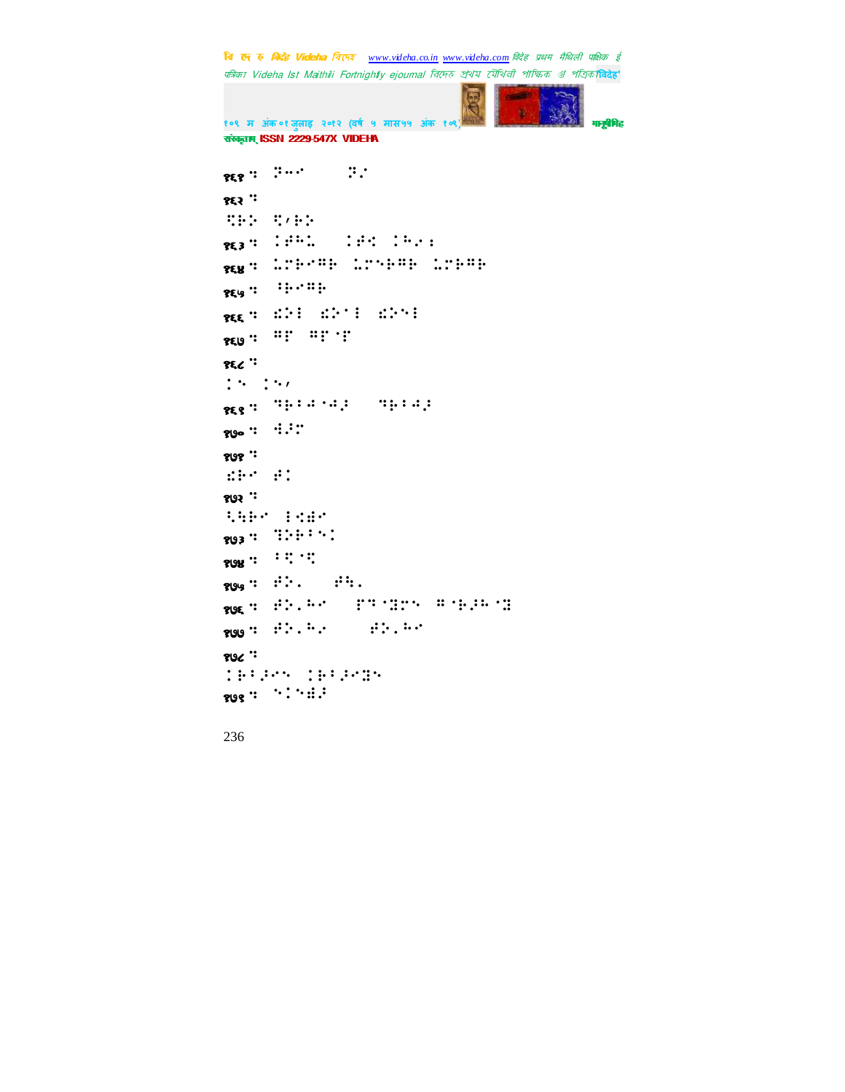१०९ म अंक ०१जुलाइ २०१२ (वर्ष ५ मास५५ अंक १०९) मानुसीरी सामुवीनिह संस्कृतम् ISSN 2229-547X VIDEHA

 $R_8$  :  $\frac{10}{2}$   $\frac{10}{4}$   $\frac{10}{4}$   $\frac{10}{4}$ १६२  $"$ **SHE SHE** १६३⣒!⢾⢳⣅0!⢾⣊!⢳⢴⣐!! १६४⣒!⣅⢷⢻⢷.⣅⢷⢻⢷!⣅⢷⢻⢷!!  $R_{\mathcal{S}}$  :  $\cdots$  :  $\cdots$  : <sub>१६६</sub>० थोले थोली थोली १९७ : "!" | "!" | १६८  $"$  $! \cdot \cdot \cdot ! \cdot \cdot$ १६९⣒!⢹⢷C⢺ ⢺⢼0!⢹⢷C⢺⢼!! १७० $\cdot$ :  $\cdot$ ः  $\cdot$ १७१  $\cdot$ dist #1 १७२  $:$ ⣃⣓⢷!⣊⣞!!  $803$  :  $7.7777$ १७४ : २९४१:  $\gamma_{\text{QQG}}$  :  $\therefore$   $\therefore$   $\therefore$   $\therefore$ १७६⣒!⢾⢵G⢳)!2⢹ ⣝!⢻ ⢷⢼⢳ ⣝\*!! १७७ : हेरेंद सेंटेंट सेंटेंट कर १७८  $:$ ⢷C⢼!⢷C⢼⣝!! १७९ : ं ं : ं : : :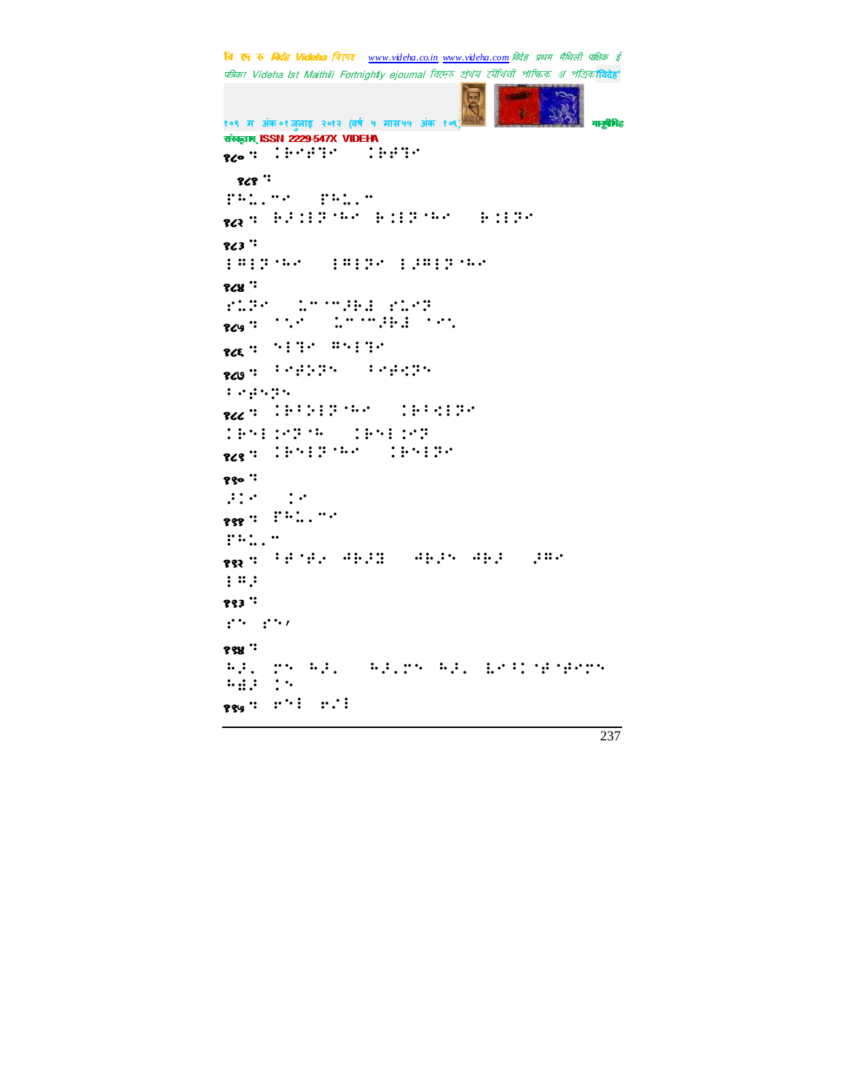```
१०९ म अंक ०१जुलाइ २०१२ (वष ५ मास५५ अंक १०९) मानुषीिमह 
संख्याम् ISSN 2229-547X VIDEHA
१८० : २००१: २००१ : २००१
१८१ "2⢳⣅G^0!2⢳⣅G^!!
१८२⣒!⢷⢼⣈⢽ ⢳!⢷⣈⢽ ⢳0!⢷⣈⢽!!
१८३ "
⢻⢽ ⢳0!⢻⢽!⢼⢻⢽ ⢳!!
१८४ ""⣅⢽!)⣅^ ^⢼⢷⣜!"⣅⢽*!!
१८५⣒!⣁!)⣅^ ^⢼⢷⣜!⣁*!!
१८६ में जिले में में भी मान में भी स
१८७ : २००० : २००० : २०००
Construction
१८८ पे लिखिति होती है। अपनी कारण कर
⢷⣈⢽ ⢳0!⢷⣈⢽!!
१८९९ अमेरिकेचे अस्त्री अस्त्री अस्त्री अस्
१९०⣒!!
FD 015
888 : "......"rugger (p. 1911)
१९२⣒!C⢾ ⢾⢴!⢺⢷⢼⣝0!⢺⢷⢼!⢺⢷⢼!)⢼⢻!
; " :
१९३⣒!!
\mathbf{r}^{\prime\prime} : \mathbf{r}^{\prime\prime} ,
१९४ <sup>:</sup>
⢳⢼G!!⢳⢼G!)⢳⢼G!⢳⢼G!⣇⢸ ⢾ ⢾!
\frac{1}{2}884 : \therefore \therefore \therefore : \therefore :
```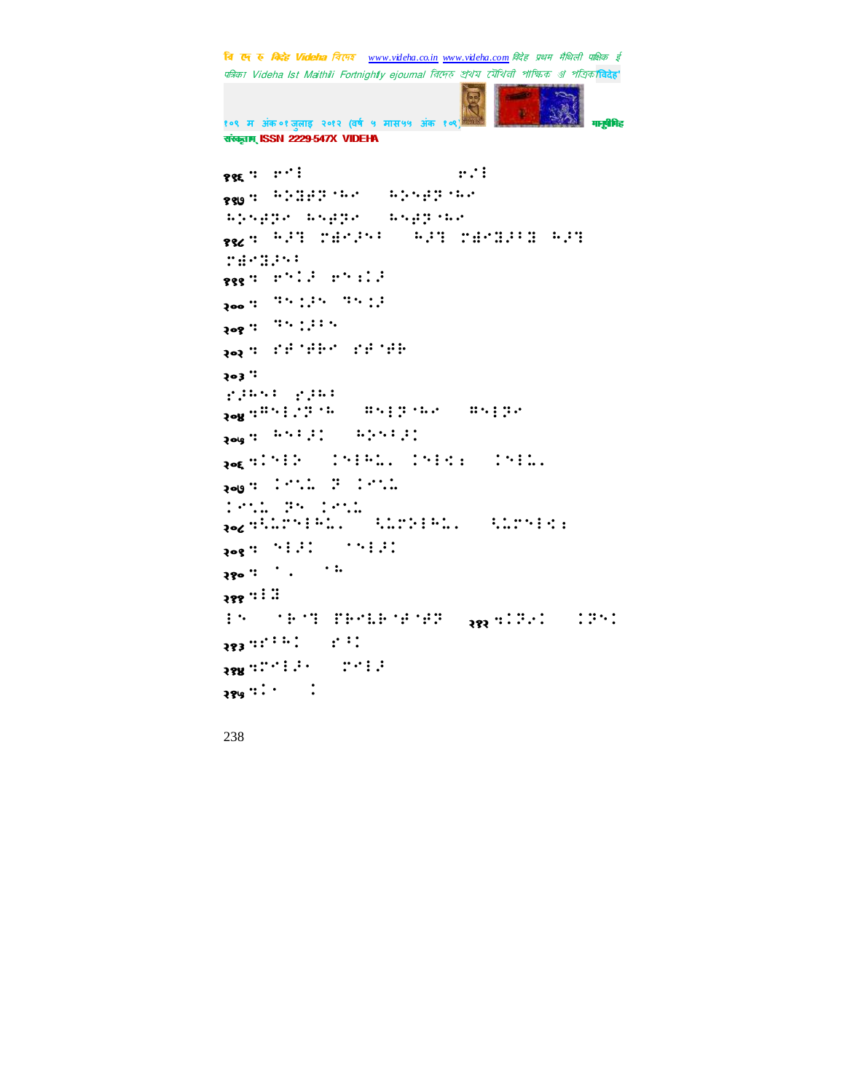```
त्रि एन रु क्रिटेह Videha विएम्ब _www.videha.co.in_www.videha.com विदेह प्रथम मैथिली पाक्षिक ई
 पत्रिका Videha Ist Maithili Fortnightly ejournal রিদেত প্রথম মৌথিনী পাক্ষিক ॳ পত্রিকাঁ<mark>বিदेह'</mark>
१०९ म अंक ०१जुलाइ २०१२ (वर्ष ५ मास५५ अंक १०९) मानुसीरी सामुवीनिह
संस्कृतम् ISSN 2229-547X VIDEHA
\mathbf{R}९६\mathbf{R}! \mathbf{R} : \mathbf{R} : \mathbf{R} : \mathbf{R} : \mathbf{R} : \mathbf{R} : \mathbf{R} : \mathbf{R} : \mathbf{R} : \mathbf{R} : \mathbf{R} : \mathbf{R} : \mathbf{R} : \mathbf{R} : \mathbf{R} : \mathbf{R} : \mathbf{R} : \mathbf{R} : \math१९७⣒!⢳⢵⣝⢾⢽ ⢳0!⢳⢵⢾⢽ ⢳0!
⢳⢵⢾⢽0⢳⢾⢽0!⢳⢾⢽ ⢳!!
१९८⣒!⢳⢼⣙!⣞⢼C0!⢳⢼⣙!⣞⣝⢼C⣝0⢳⢼⣙!
 ⣞⣝⢼C!!
१९९⣒!⢶⢼!⢶⣐⢼!!
२०० <sup>म</sup>े अप्रैले अप्रैल कर
208 : 100 \cdot 100२०२⣒!"⢾ ⢾⢷!"⢾ ⢾⢷!!
२०३⣒!!
"⢼⢳C!"⢼⢳C!!
२०४ तमध्य अधिकारी अधिकारी अधिकारी अधिकारी अधिकारी अधिकारी अधिकारी अधिकारी अधिकारी अधिकारी अधिकारी अधिकारी अधिक<br>राजधानी अधिकारी अधिकारी अधिकारी अधिकारी अधिकारी अधिकारी अधिकारी अधिकारी अधिकारी अधिकारी अधिकारी अधिकारी अधिका
२०५ : <sup>Loug</sup> : Contract : 201
२०६ सा २१ मध्य अस्ति । अस्ति । अस्ति । अस्ति । अस्ति । अस्ति । अस्ति । अस्ति । अस्ति । अस्ति । अस्ति । अस्ति ।
२०७ : २०७ : २०७ : २०७
 TAND 38 1892
२०८⣒⣃⣅⢳⣅G0!⣃⣅⢵⢳⣅G0!⣃⣅⣊⣐!!
208 \frac{9}{2} \frac{1}{2} \frac{1}{2} \frac{1}{2} \frac{1}{2} \frac{1}{2} \frac{1}{2} \frac{1}{2} \frac{1}{2} \frac{1}{2} \frac{1}{2} \frac{1}{2} \frac{1}{2} \frac{1}{2} \frac{1}{2} \frac{1}{2} \frac{1}{2} \frac{1}{2} \frac{1}{2} \frac{1}{2} \frac{1}{2} \frac{1280 \therefore \therefore२११ : : : :
!)⢷ ⣙.2⢷⣇⢷ ⢾ ⢾⢽*!२१२⣒⢽⢴0!⢽!!
283 22^{12} -2 -2 -2 -2288 22213284 : \cdot \cdot \cdot :
```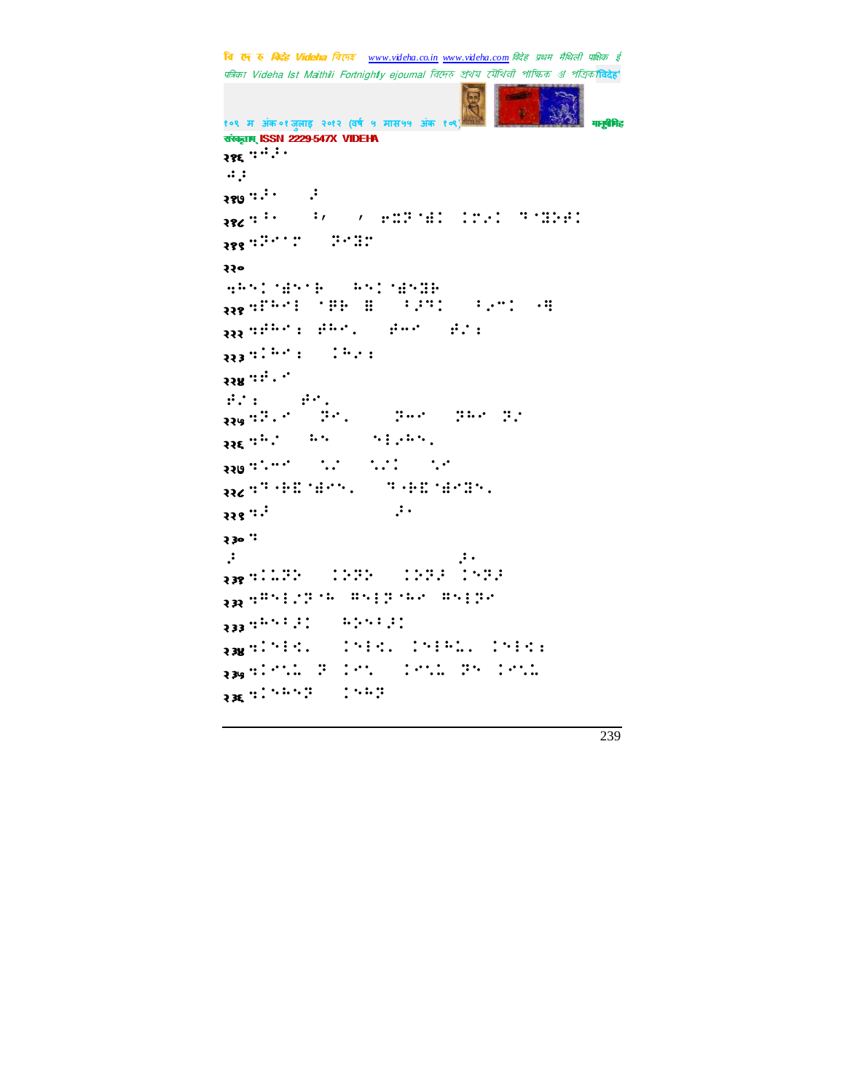१०९ म अंक ०१जुलाइ २०१२ (वष ५ मास५५ अंक १०९) मानुषीिमह संस्कृतम् ISSN 2229-547X VIDEHA  $285$   $\ldots$   $\ldots$  $\ddots$ २१७ 'ं ' <sup>२१८</sup>⣒⢸l!0⢸'!)'!⢶⣍⢽ ⣞!⢴!⢹ ⣝⢵⢾\*!! २१९ पटिया - एक्टाइट २२० ⣒⢳ ⣞⢷0!⢳ ⣞⣝⢷!! २२१⣒2⢳!⢿⢷!⣟0!C⢼⢹0!C⢴^!D⣛!! २२२ परिवेश करते हैं: इंस्टर् अपनी करते हैं: २२३ : २००९ : २००९ : २००९ : २००९ : २००९ : २००९ : २००९ : २००९ : २००९ : २००९ : २००९ : २००९ : २००९ : २००९ : २००९ : २२४ $\mathbb{S}^G$ ं $\mathbb{S}^G$  $\theta(t) = -\theta(t)$ २२५ पे.C. (Co. Good Good Good Good २२६ प<sup>2</sup>0 जाती है। किसी का अनुसार के बाद प्रकार के बाद प्रकार के बाद प्रकार के बाद प्रकार के बाद प्रकार के बाद २२७ परिसर्ग करते हैं। यहां का प्रदेश २२८⣒⢹D⢷⣏ ⣞G0!⢹D⢷⣏ ⣞⣝G!!  $228$   $\therefore$ २३०  $"$  $\mathcal{F}$  ) define the control of the control  $\mathcal{F}$  . We can control the control of २३<mark>३</mark> साइ २००९ - २००१ - २००१ - २००१ - २००१ - २००१ - २००१ - २००१ - २००१ - २००१ - २००१ - २००१ - २००१ - २००१ - २००१ -२३२⣒⢻4⢽ ⢳.⢻⢽ ⢳.⢻⢽! २३३ <sup>q5</sup><sup>04</sup> (C). = 500 (C) २३४⣒⣊G.!⣊G.⢳⣅G0⣊⣐!! २३५ सालिया है जिसे पालिया है। २३६ प<sup>ुरु</sup>मेल्थ - एल्ल्यू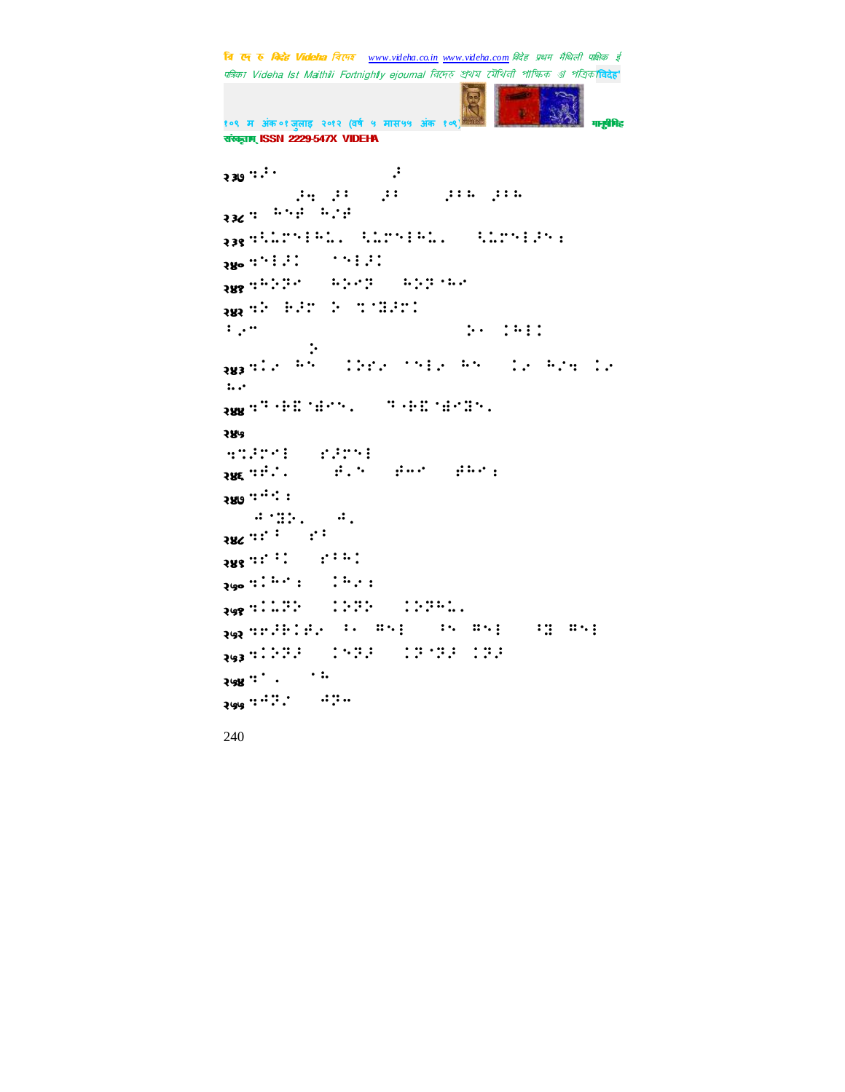```
चि एक रु विदेह Videha चिएन्छ <u>www.videha.co.in www.videha.com</u> विदेह प्रथम मैथिली पाक्षिक ई
 पत्रिका Videha Ist Maithili Fortnightly ejournal রিদেত প্রথম মৌথিনী পাক্ষিক ॳ পত্রিকাঁ<mark>বিदेह'</mark>
१०९ म अंक ०१जुलाइ २०१२ (वष ५ मास५५ अंक १०९) मानुषीिमह 
संस्कृतम् ISSN 2229-547X VIDEHA
\mathbf{a}_1 ) dependent in the contract of \mathbf{b}_2 is the contract of \mathbf{b}_3\mathbb{E}[\mathbf{p}_\mathbf{q}^\top] and \mathbb{E}[\mathbf{p}_\mathbf{q}^\top] and \mathbb{E}[\mathbf{p}_\mathbf{q}^\top]२३८ में लिए में लिए में स्
२३९⣒⣃⣅⢳⣅G.⣃⣅⢳⣅G.!⣃⣅⢼⣐!
२४०⣒⢼.!⢼!
२४४ प्रमेश्टर कोटल का साथ करते हैं।
२४२ मध्य अस्ति । अस्ति अस्ति । अस्ति । अस्ति । अस्ति । अस्ति । अस्ति । अस्ति । अस्ति । अस्ति । अस्ति । अस्ति ।<br>अस्ति । अस्ति । अस्ति । अस्ति । अस्ति । अस्ति । अस्ति । अस्ति । अस्ति । अस्ति । अस्ति । अस्ति । अस्ति । अस्ति 
Company of the company of the company of the company of the company of the company of the company of the company of
the sets \mathbb{R}^2२४३⣒⢴!⢳0!⢵"⢴!⢴!⢳0!⢴!⢳4⣒!⢴!
\ddot{\cdot}.
२४४⣒⢹D⢷⣏ ⣞G0!⢹D⢷⣏ ⣞⣝G!
२४५
⣒⣉⢼0!"⢼!!
२४६ प्रतिप्रदेश करने हैं। अन्य कारण करने से अन्य कारण करने के अन्य कारण करने के अन्य कारण करने के अन्य कारण कर<br>जनसङ्ख्या कारण करने के अन्य कारण करने के अन्य कारण करने के अन्य कारण करने के अन्य कारण करने के अन्य कारण करने
२४७ \cdots:
        \frac{3}{2} \frac{1}{2} \frac{3}{2} \frac{3}{2} \frac{4}{2}२४८ "ं ला
2M6 .:..: 5.: 5.: 5.:
2\sqrt{9}o\frac{11.4}{1.6}: \frac{1}{1.6}: \frac{1}{1.6}: \frac{1}{1.6}: \frac{1}{1.6}: \frac{1}{1.6}२५<mark>०</mark>९ अधिकारः । २००१ ला
२५२ प्राप्त किलेक्ष्य प्राप्त करते हैं। अपनी स्थित करते हैं कि अपनी स्थित करते हैं कि
२५३⣒⢵⢽⢼0!⢽⢼0!⢽ ⢽⢼0⢽⢼!
२५४ : २५४ : २५४
२५७ ः <sup>:: :</sup> : : : : : : :
```

```
240
```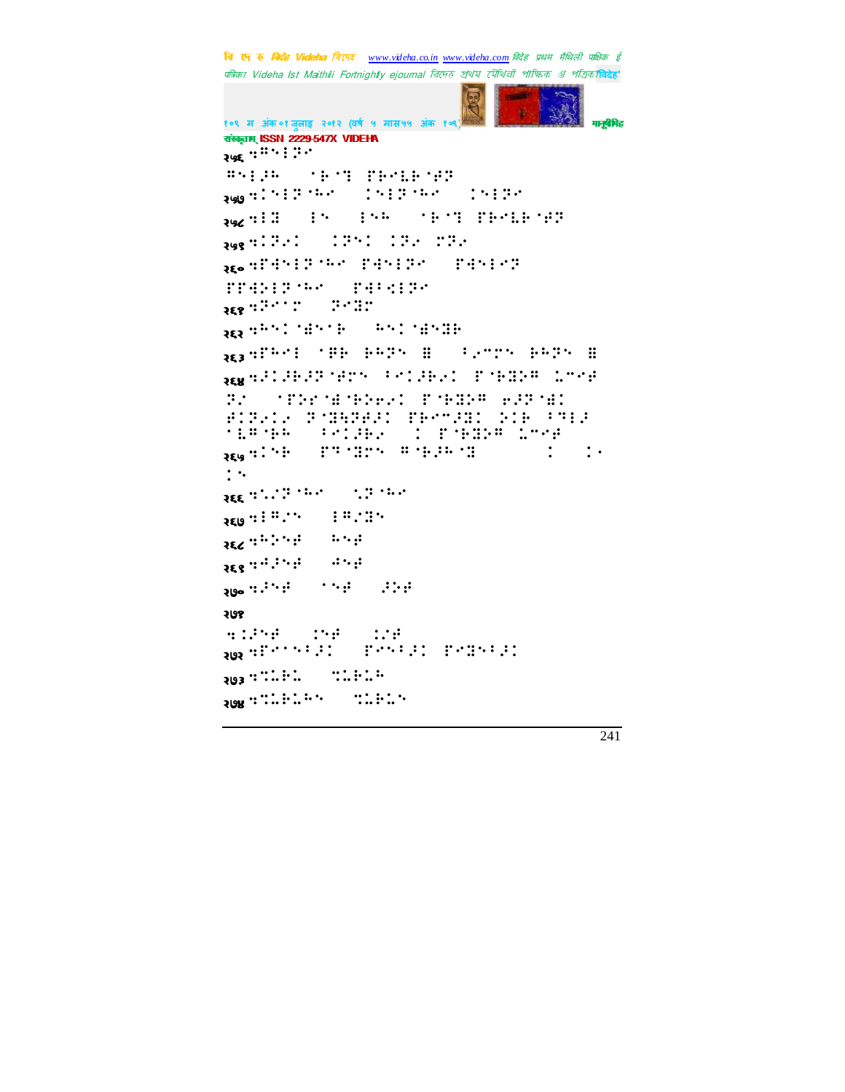```
१०९ म अंक ०१जुलाइ २०१२ (वष ५ मास५५ अंक १०९) मानुषीिमह 
संस्कृतम् ISSN 2229-547X VIDEHA
२७६ <sup>....</sup>...
⢻⢼⢳!)⢷ ⣙!2⢷⣇⢷ ⢾⢽*!!
२५७ सालिया असे का अनुसार करते हैं।<br>इन्दर स्थानिक का अनुसार करते हैं कि अन्य स्थानिक का अनुसार करते हैं कि अन्य स्थानिक का अन्य स्थानिक का अन्य स्
२५८⣒⣝0!0!⢳!)⢷ ⣙!2⢷⣇⢷ ⢾⢽*!
२५९ º C.P.C. - 1991 - 1992 - 1992
२६०⣒2⣚⢽ ⢳!2⣚⢽0!2⣚⢽0!
22⣚⢵⢽ ⢳0!2⣚C⣊⢽0!
२६१ प्रशिक्षा अधिकार
२६२ प<sup>00</sup> २ % जिले छन्। जनसङ्ख्या
२६३⣒2⢳!⢿⢷!⢷⢳⢽!⣟0!C⢴^!⢷⢳⢽!⣟!
२६४⣒⢼⢼⢷⢼⢽ ⢾!C⢼⢷⢴!2 ⢷⣝⢵⢻!⣅^⢾!
⢽40!2⢵" ⣞ ⢷⢵⢶⢴!2 ⢷⣝⢵⢻!⢶⢼⢽ ⣞!
⢾⢽⢴⢴!⢽ ⣝⣓⢽⢾⢼!2⢷^⢼⣝!⢵⢷!C⢹⢼!
⣇⢻ ⢷⢳!)C⢼⢷⢴*!!2 ⢷⣝⢵⢻!⣅^⢾!
२६५ थे ! ) 2 लाख थे साथ प्राप्त थे । 2011 कि उन्हें अपनी साथ प्राप्त थे । 2012 कि उन्हें अपनी साथ प्राप्त थे ।
\ddot{\cdot} :
२६६ प्रदेशियाचे आसीत प्रशासन
259 \frac{459}{40} \frac{459}{40} \frac{459}{40} \frac{459}{40} \frac{459}{40} \frac{459}{40} \frac{459}{40} \frac{459}{40} \frac{459}{40} \frac{459}{40} \frac{459}{40} \frac{459}{40} \frac{459}{40} \frac{459}{40} \frac{459}{40} \frac{459}{40} \frac{459२६८ प्रमिलिकी काम काम
२६९⣒⢺⢼⢾0!⢺⢾0!
२७०⣒⢼⢾0!⢾0!⢼⢵⢾!
२७१
⣒⣈⢼⢾0!⣈⢾0!⣈4⢾!!
२७२ मधीला भारती है। यह संस्था के साथ प्रदेश करता है।
२७३⣒⣉⣅⢷⣅0!⣉⣅⢷⣅⢳!
२७४⣒⣉⣅⢷⣅⢳0!⣉⣅⢷⣅!
```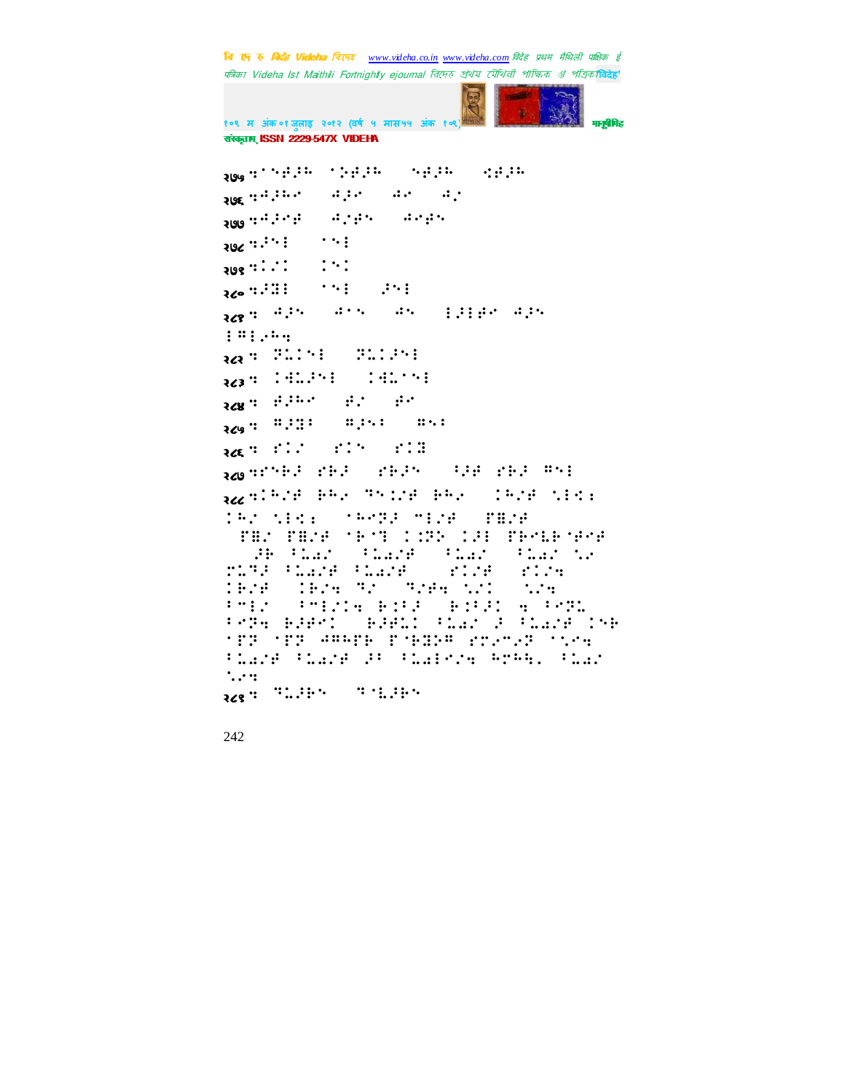१०९ म अंक ०१जुलाइ २०१२ (वष ५ मास५५ अंक १०९) मानुषीिमह संस्कृतम् ISSN 2229-547X VIDEHA २७५⣒⢾⢼⢳0⢵⢾⢼⢳0!⢾⢼⢳0!⣊⢾⢼⢳! २७६ पर्वतिष्ठात करण करण २७७ फ़िल्मे अस्ति । अस्ति । अस्ति । अस्ति । अस्ति । अस्ति । अस्ति । अस्ति । अस्ति । अस्ति । अस्ति । अस्ति । अस २७८⣒⢼0!!  $208$  ::::  $\therefore$  ::: २८०⣒⢼⣝0!0!⢼!

२८१ प<sup>्र</sup>मीट जन्म जन्म अनुसार महत्त्

 $\cdots$ 

२८२ : २००१ : २००१ : २००१ : २००१ : २००१ : २००१ : २००१ : २००१ : २००१ : २००१ : २००१ : २००१ : २००१ : २००१ : २००१ :

२८३⣒!⣚⣅⢼0!⣚⣅!

२८४<sup>०</sup> में से मेरे के बार कर

२८५ : <sup>0</sup>.20: - 0.1<br>२८५ : <sup>0.2</sup>

२८६ में कॉर्डर के बाद की प्रकाश करते हैं।

२८७⣒"⢷⢼0"⢷⢼0!"⢷⢼!)⢸⢼⢾!"⢷⢼!⢻\*!

२८८⣒⢳4⢾!⢷⢳⢴0⢹⣈4⢾!⢷⢳⢴0!⢳4⢾!⣁⣊⣐0!

 $142$   $142$   $143$ )2⣟4.2⣟4⢾!⢷ ⣙!⣈⢽⢵!⢼!2⢷⣇⢷ ⢾⢾\*! .<br>Plaze stre stre ⣅⢹⢼!C⣅⣔4⢾.C⣅⣔4⢾\*0!"4⢾0!"4⣒! 1₽2₽ (1P24 72 º 7294 121 º 124 C^40 : C^40 Prints (Prints (Prints (Prints (Prints) C⢽⣒!⢷⢼⢾0!⢷⢼⢾⣅!C⣅⣔4!⢼!C⣅⣔4⢾!⢷! 2⢽.2⢽!⢺⢻⢳2⢷!2 ⢷⣝⢵⢻!"⢴^⢴⢽!⣁⣒! Picke Picke Province Press Pick  $\ddotsc$ 

२८९ : निर्वातीय जातातात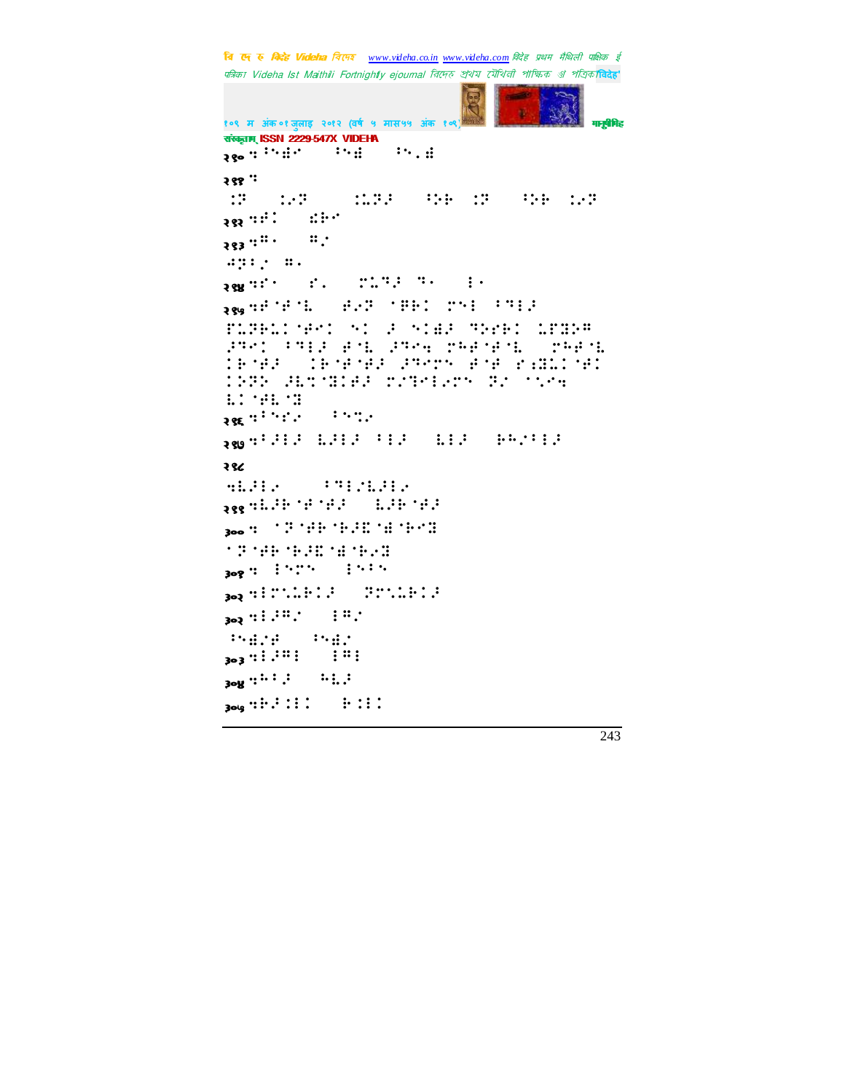```
१०९ म अंक ०१जुलाइ २०१२ (वष ५ मास५५ अंक १०९) मानुषीिमह 
संस्कृतम् ISSN 2229-547X VIDEHA
280 \frac{1}{2} \frac{1}{2} \frac{1}{2} \frac{1}{2} \frac{1}{2} \frac{1}{2} \frac{1}{2} \frac{1}{2} \frac{1}{2} \frac{1}{2} \frac{1}{2} \frac{1}{2} \frac{1}{2} \frac{1}{2} \frac{1}{2} \frac{1}{2} \frac{1}{2} \frac{1}{2} \frac{1}{2} \frac{1}{2} \frac{1}{2} \frac{1२९१ :
⣈⢽0!⣈⢴⢽0!!⣈⣅⢽⢼!)⢸⢵⢷!⣈⢽0!⢸⢵⢷!⣈⢴⢽*!!
282 000 000\mathbf{33.4}G(1): C4:
२९४ परिमान करते हैं। अन्य प्रकार करते हैं।
२९५⣒⢾ ⢾ ⣇-)⢾⢴⢽!⢿⢷!!C⢹⢼!
 2⣅⢽⢷⣅ ⢾!!⢼!⣞⢼!⢹⢵"⢷!⣅2⣝⢵⢻*!
 ^{\prime} ^{\prime} ^{\prime} ^{\prime} ^{\prime} ^{\prime} ^{\prime} ^{\prime} ^{\prime} ^{\prime} ^{\prime} ^{\prime} ^{\prime} ^{\prime} ^{\prime} ^{\prime} ^{\prime} ^{\prime} ^{\prime} ^{\prime} ^{\prime} ^{\prime} ^{\prime} ^{\prime} ^{\prime} ^{\prime} ^{\prime} ^{\prime} ^{\prime} ^{\prime} ^{\prime} ^{\prime}\overline{1} \overline{1} \overline{2} \overline{3} \overline{1} \overline{2} \overline{3} \overline{4} \overline{2} \overline{4} \overline{2} \overline{3} \overline{4} \overline{2} \overline{4} \overline{2} \overline{4} \overline{2} \overline{4} \overline{2} \overline{4} \overline{2} \overline{4} \overline{2} \overline{4⢵⢽⢵!⢼⣇⣉ ⣝⢾⢼!4⣙⢴!⢽4!⣁⣒!
 LOGENTI
२९६ प<sup>ु</sup>रुक्त करने प्राप्त
२९७ : COQ 8 : COQ 8 : COQ 8 : COQ 8 : COQ 8 : COQ 8 : COQ 8 : COQ 8 : COQ 8 : COQ 8 : COQ 8 : COQ 8 : COQ 8 : 
२९८
 ⣒⣇⢼⢴0!)C⢹4⣇⢼⢴*!!
२९९⣒⣇⢼⢷ ⢾ ⢾⢼0!⣇⢼⢷ ⢾⢼!
३००⣒!⢽ ⢾⢷ ⢷⢼⣏ ⣞ ⢷⣝0!
 ⢽ ⢾⢷ ⢷⢼⣏ ⣞ ⢷⢴⣝!
308 : 1010 : 1010३०२⣒⣁⣅⢷⢼-!⢽⣁⣅⢷⢼!
302 \frac{11.38}{1.68} \frac{18.48}{1.68}Sharp Sharp
303 :: :: :: :: ::30y : \begin{bmatrix} 0 & 0 \\ 0 & 0 \\ 0 & 0 \end{bmatrix}३०५⣒⢷⢼⣈0!⢷⣈!
```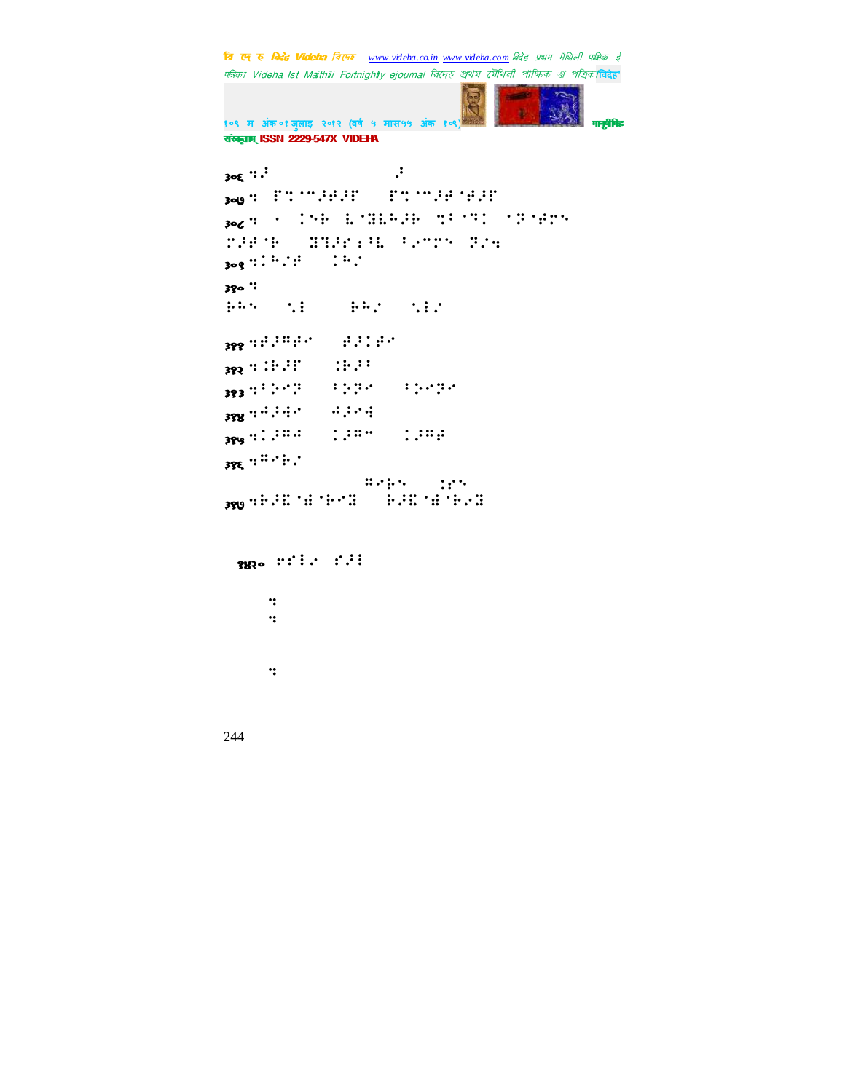```
१०९ म अंक ०१जुलाइ २०१२ (वष ५ मास५५ अंक १०९) मानुषीिमह 
संस्कृतम् ISSN 2229-547X VIDEHA
```

```
3^\circex\ddots३०७⣒!2⣉ ^⢼⢾⢼20!2⣉ ^⢼⢾ ⢾⢼2!
३०८⣒!l!⢷!⣇ ⣝⣇⢳⢼⢷!⣉C ⢹!⢽ ⢾!
 ^{\prime\prime} ^{\prime\prime} ^{\prime\prime} ^{\prime\prime} ^{\prime\prime} ^{\prime\prime} ^{\prime\prime} ^{\prime\prime} ^{\prime\prime} ^{\prime\prime} ^{\prime\prime} ^{\prime\prime} ^{\prime\prime} ^{\prime\prime} ^{\prime\prime} ^{\prime\prime} ^{\prime\prime} ^{\prime\prime} ^{\prime\prime} ^{\prime\prime} ^{\prime\prime} ^{\prime\prime} ^{\prime\prime} ^{\prime\prime} ^{\prime\prime308 \frac{4}{3} \frac{1}{2} \frac{4}{3} \frac{4}{3} \frac{4}{3} \frac{4}{3} \frac{4}{3} \frac{4}{3} \frac{4}{3} \frac{4}{3} \frac{4}{3} \frac{4}{3} \frac{4}{3} \frac{4}{3} \frac{4}{3} \frac{4}{3} \frac{4}{3} \frac{4}{3} \frac{4}{3} \frac{4}{3} \frac{4}{3} \frac{4३१०⣒!
⢷⢳!)⣁*0!⢷⢳4!)⣁4*!)nfbojoh!
 ३११⣒⢾⢼⢻⢾0!⢾⢼⢾!
382 \div \div \div \div \div \div३१३⣒C⢵⢽0!C⢵⢽0!C⢵⢽!
<del>388 go</del>dine i Stand<br>الحالية المقاطرية الأف<mark>ر</mark>
                           \ddotsc385<sup>42</sup>:
 txbmmpx*0.html = 1200 minutes = 1200 minutes = 1200 minutes = 1200 minutes = 1200 minutes = 1200 minutes = 120
 <sub>३१७</sub> ५:२० लाई ५ लाई था छन्।
  _{\text{gy20}} :::::: ::::Opwer 3123. 36- 2012 12:37-12:37-22:37-22:37-23:37-23:37-23:37-23:37-23:37-23:37-23:37-23:37-23:37-23:37-23:37
 \mathbf{P}_{\mathbf{S}}G_{\rm 3} 3124. G_{\rm 3} 3124. G_{\rm 3} 3124. G_{\rm 3}
```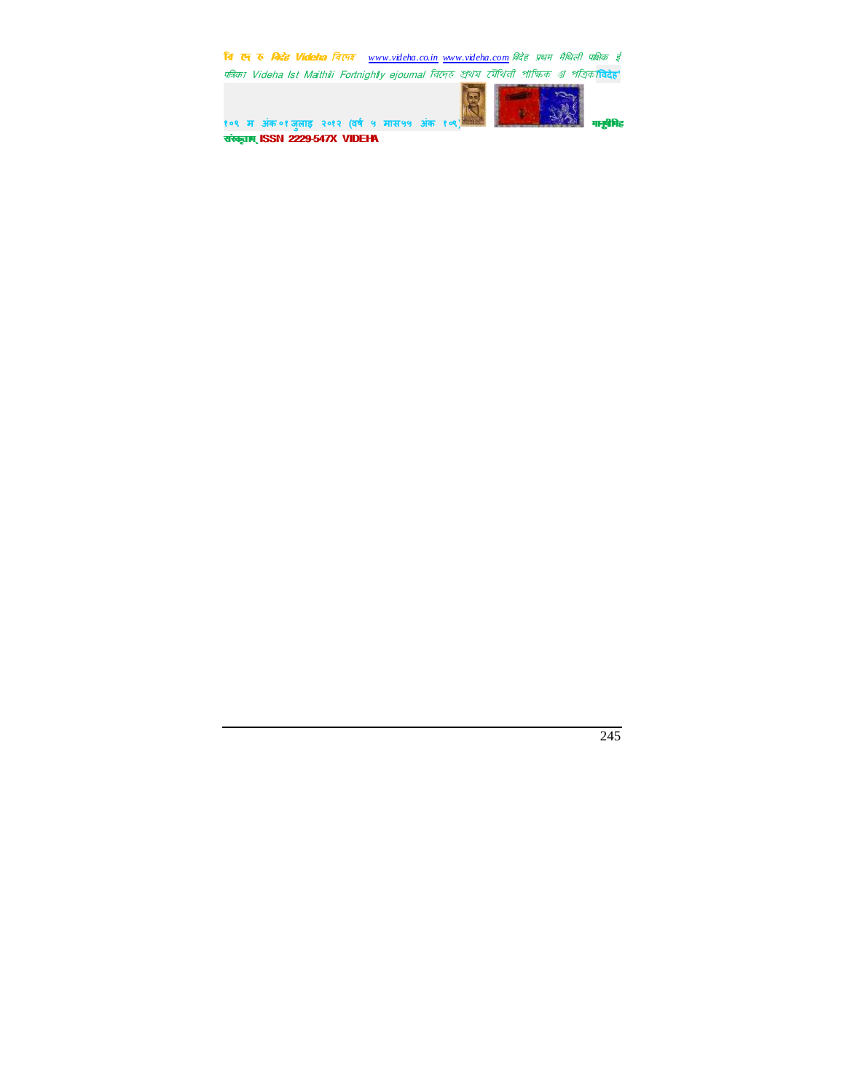१०९ म अंक०१जुलाइ २०१२ (वर्ष ५ मास*५५* अंक १०९) मानुसार मानुसारिक **मानुसीरि**ह संस्कृतम् ISSN 2229-547X VIDE<del>H</del>A

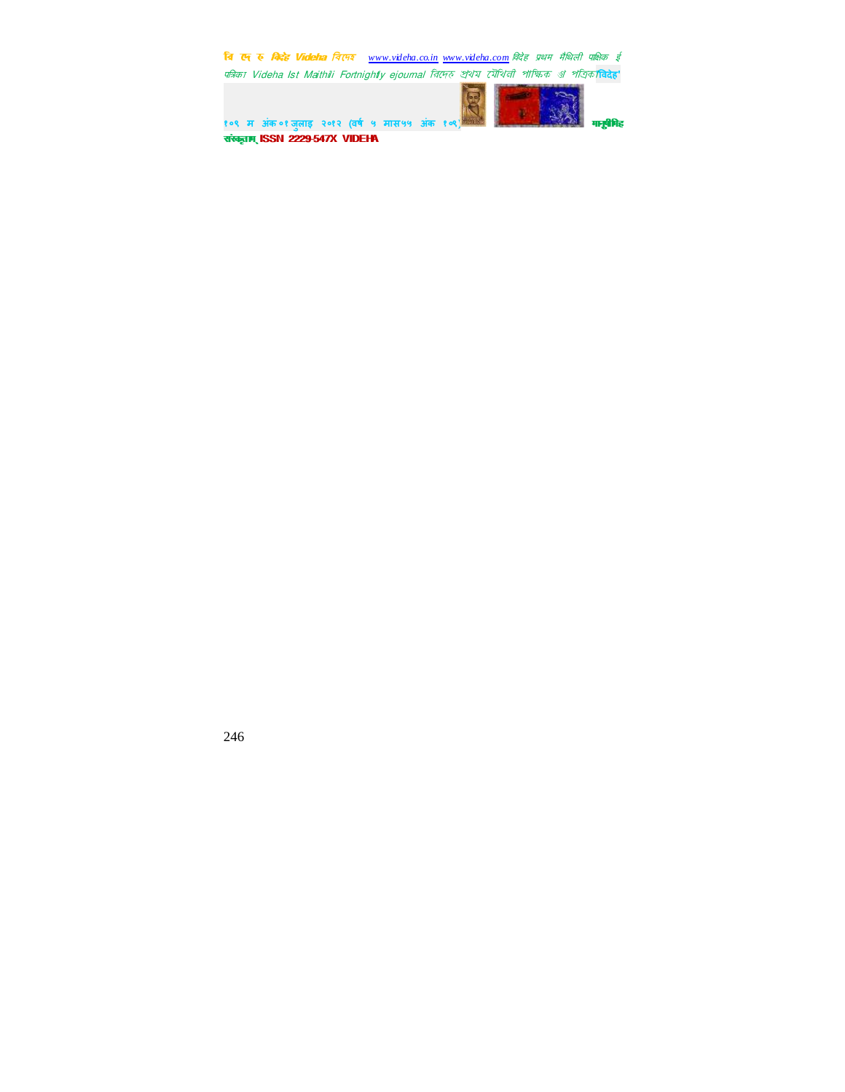

१०९ म अंक०१जुलाइ २०१२ (वर्ष ५ मास*५५* अंक १०९) मानुसार मानुसारिक **मानुसीरि**ह संस्कृतम् ISSN 2229-547X VIDE<del>H</del>A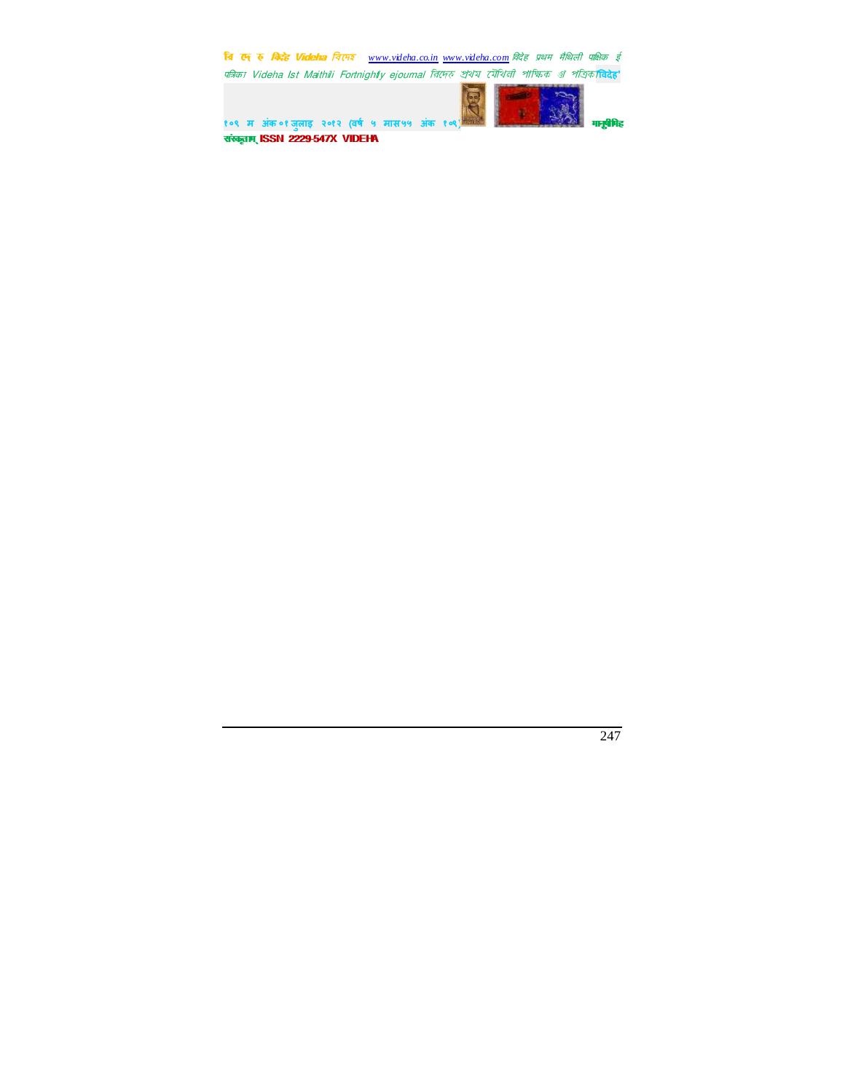**CONTRACTOR** 

१०९ म अंक०१जुलाइ २०१२ (वर्ष ५ मास*५५* अंक १०९) मानुसार मानुसारिक **मानुसीरि**ह संस्कृतम् ISSN 2229-547X VIDE<del>H</del>A

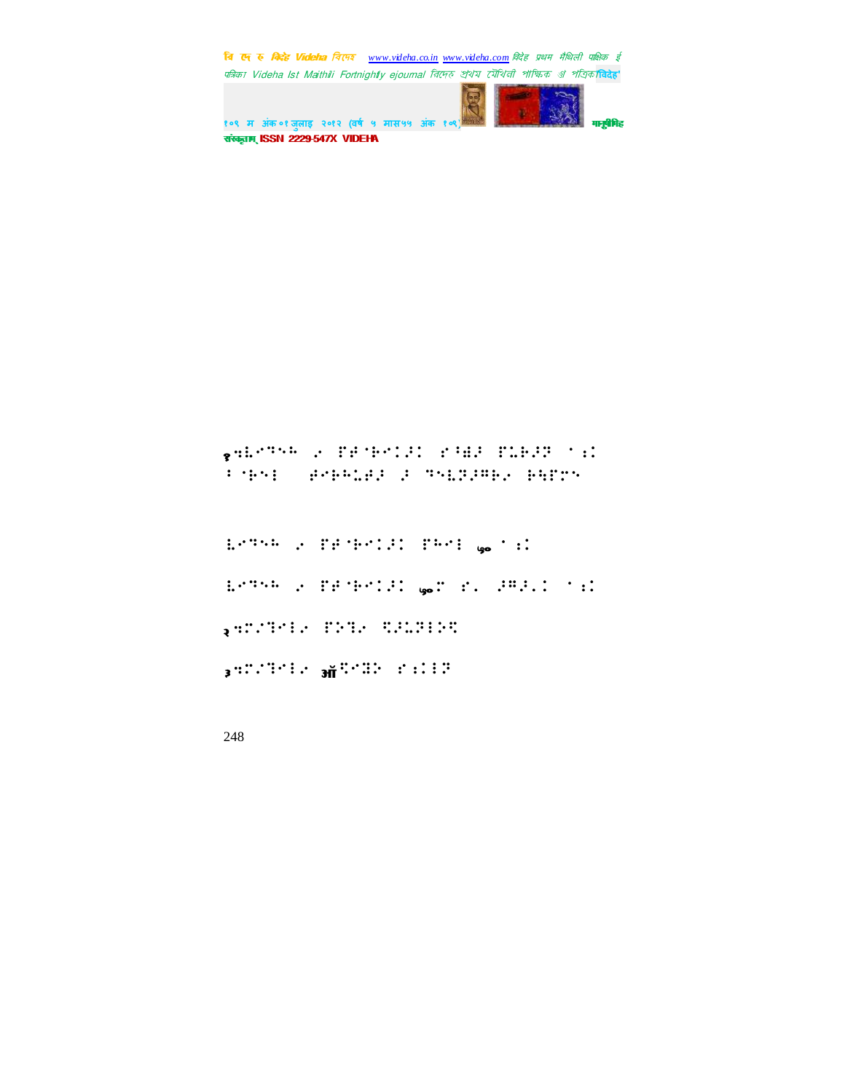१⣒⣇⢹⢳!⢴.2⢾ ⢷⢼!"⢸⣞⢼!2⣅⢷⢼⢽!⣐! C ⢷-!⢾⢷⢳⣅⢾⢼!⢼!⢹⣇⢽⢼⢻⢷⢴!⢷⣓2!

⣇⢹⢳!⢴.2⢾ ⢷⢼!५०!"G!⢼⢻⢼G!⣐!

 $\overline{\mathcal{A}}$ 42,290 lo  $\overline{\mathcal{A}}$  200 lo  $\overline{\mathcal{A}}$  200 lo  $\overline{\mathcal{A}}$  200 lo  $\overline{\mathcal{A}}$  200 lo  $\overline{\mathcal{A}}$  200 lo  $\overline{\mathcal{A}}$ 

ad: 1940, 1940, 1940, 1940, 1940, 1940, 1940, 1940, 1940, 1940, 1940, 1940, 1940, 1940, 1940, 1940, 1940, 1940

LATHA & PATHALL PATH **yo** 12

संस्कृतम् ISSN 2229-547X VIDEHA

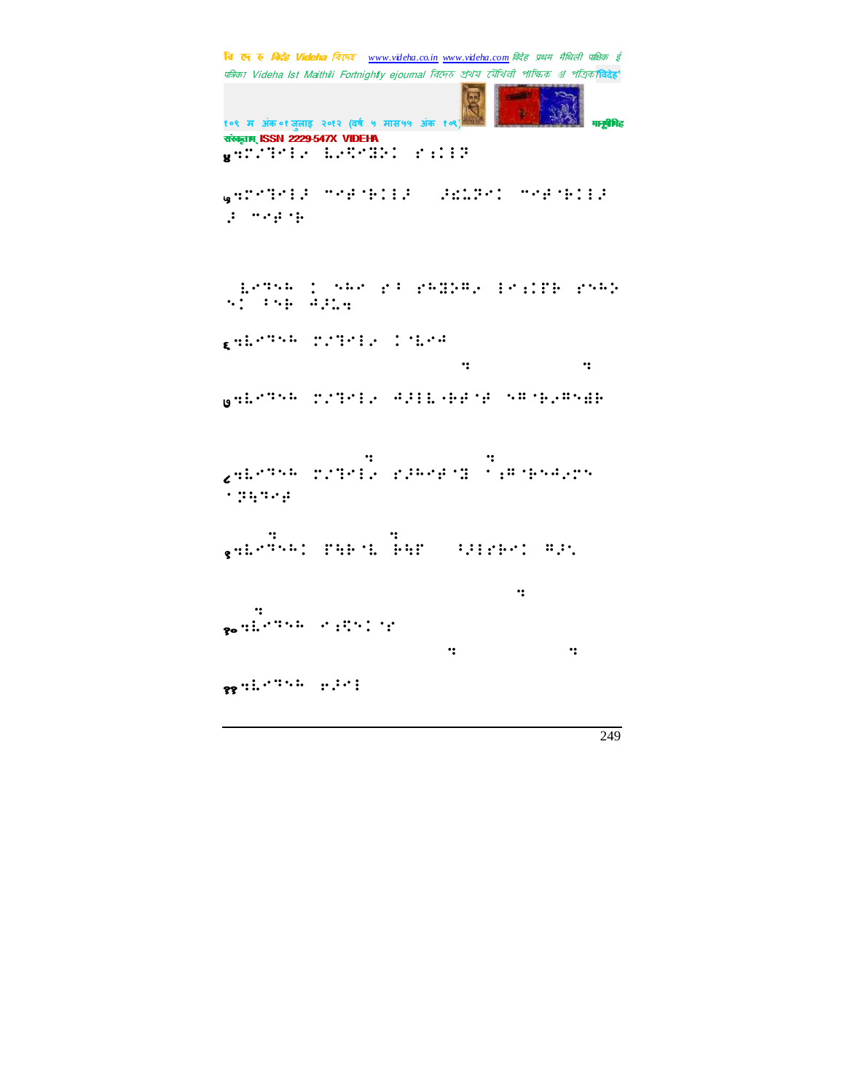```
चि एक रु विदेह Videha चिएन्छ <u>www.videha.co.in www.videha.com</u> विदेह प्रथम मैथिली पाक्षिक ई
 पत्रिका Videha Ist Maithili Fortnightly ejournal রিদেত প্রথম মৌথিনী পাক্ষিক ॳ পত্রিকাঁ<mark>বিदेह'</mark>
१०९ म अंक ०१जुलाइ २०१२ (वष ५ मास५५ अंक १०९) मानुषीिमह 
संस्कृतम् ISSN 2229-547X VIDEHA
g4223412 EASA321 EE113
 ुच:राष्ट्रीत एर्ल कि:३३ । त्रि:28र: एर्ल कि:३३ ।
 ⢼!^⢾ ⢷!Njuijmb!Qbjoujoh0!
 ^+ krane ( ^+ ) ^+ and ( ^+ ) ^+ ) ^+ and ( ^+ ) ^+ ) ^+ and ( ^+ ) ^+ ) ^+ and ( ^+ ) ^+ ) ^+ ) ^+ ( ^+ ) ^+ ( ^+ ) ^+ ( ^+ ) ^+ ( ^+ ) ^+ ( ^+ ) ^+ ( ^+ ) ^+ ( ^+Si : 15 3215
\epsilonHEPTSH PITFIE I ISE
 ius;00wjefibration;00wjefibrvidae;00wjefibrvidae;00wjefibrvidae;00wjefibrvidae;00wjefibrvidae;00wjefibrvidae;
 ७∰ि प्राप्त था । अपनि प्राप्त था । अपनि प्राप्त था । अपनि प्राप्त था । अपनि प्राप्त था । अपनि प्राप्त था । अपन<br>प्राप्त था ।
 bhship shows the control of the control of the control of the control of the control of the control of the control of the control of the control of the control of the control of the control of the control of the control of
 ८⣒⣇⢹⢳!4⣙⢴!"⢼⢳⢾ ⣝!⣐⢻ ⢷⢺⢴!
^{\circ} ^{\circ} ^{\circ} ^{\circ} ^{\circ} ^{\circ} ^{\circ} ^{\circ} ^{\circ} ^{\circ} ^{\circ} ^{\circ} ^{\circ} ^{\circ} ^{\circ} ^{\circ} ^{\circ} ^{\circ} ^{\circ} ^{\circ} ^{\circ} ^{\circ} ^{\circ} ^{\circ} ^{\circ} ^{\circ} ^{\circ} ^{\circ} ^{\circ} ^{\circ} ^{\circ} ^{\circbsuch the control of the control of the control of the control of the control of the control of the control of
 ९⣒⣇⢹⢳!2⣓⢷ ⣇.⢷⣓2!#⢸⢼"⢷!⢻⢼⣁#!!
 iuuq;00hbkfoesbuiblvs⣒cmphtq
 puòde della contra
 <sub>%</sub>o स‡राप्रस्य काला अध्याप्रस्
 ius;00wjefib234 ministerio dpn
 १<mark>१</mark>९ मध्य प्राप्त करने के लिख है।
```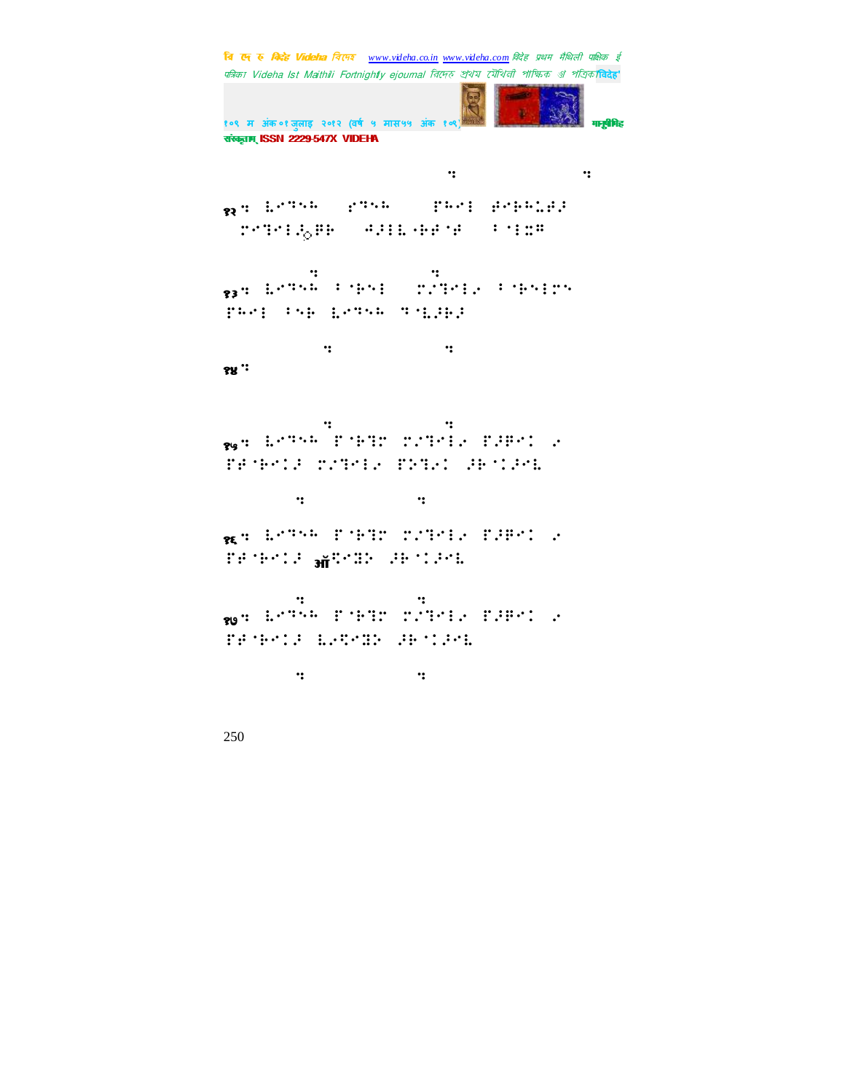१०९ म अंक ०१जुलाइ २०१२ (वष ५ मास५५ अंक १०९) मानुषीिमह संस्कृतम् ISSN 2229-547X VIDEHA

ius;00wjefib234,000wjefib234

१२ %) हिल्ला देवा देवा हे अपने समाप्त होते.<br>१९ )⣙⢼◌़⢿⢷\*!⢺⢼⣇D⢷⢾ ⢾!)C ⣍⢻\*!!

tbefore the control of the control of the control of the control of the control of the control of the control of the control of the control of the control of the control of the control of the control of the control of the <sub>१३</sub>० ६८९५६ र ५०% हे लाले हे देशील २० कि.मी. PHAI CHE LATHE THEFT

csbjmmformation of the control of the control of the control of the control of the control of the control of the control of the control of the control of the control of the control of the control of the control of the cont १४ <sup>w</sup>ite<br>JTU JEFIB II HEFT

bsdie bedruik in der deutsche bedruik in der deutsche bedruik in der deutsche bedruik in der deutsche bedruik १५⣒!⣇⢹⢳!2 ⢷⣙!4⣙⢴!2⢼⢿!⢴! 2⢾ ⢷⢼!4⣙⢴!2⢵⣙⢴!⢼⢷ ⢼⣇!

 $q_1$ cmpht $q_2$ dpuij $\alpha$ 

where  $\alpha$  is the positive point of the positive point of the point of the point of the point of the point of the point of the point of the point of the point of the point of the point of the point of the point of the poin

 $\epsilon$ ९६ से अलिए में सिर्फिट में से सामने का सामने का सामने का अलिए सिर्फिट में से सामने का अलिए सिर्फिट में से 2⢾ ⢷⢼!ऑ⣋⣝⢵!⢼⢷ ⢼⣇!

by the control of the control of the control of the control of the control of the control of the control of the <sub>१७</sub>५ 1/9756 Politic 201612 Public 2016 2⢾ ⢷⢼!⣇⢴⣋⣝⢵!⢼⢷ ⢼⣇!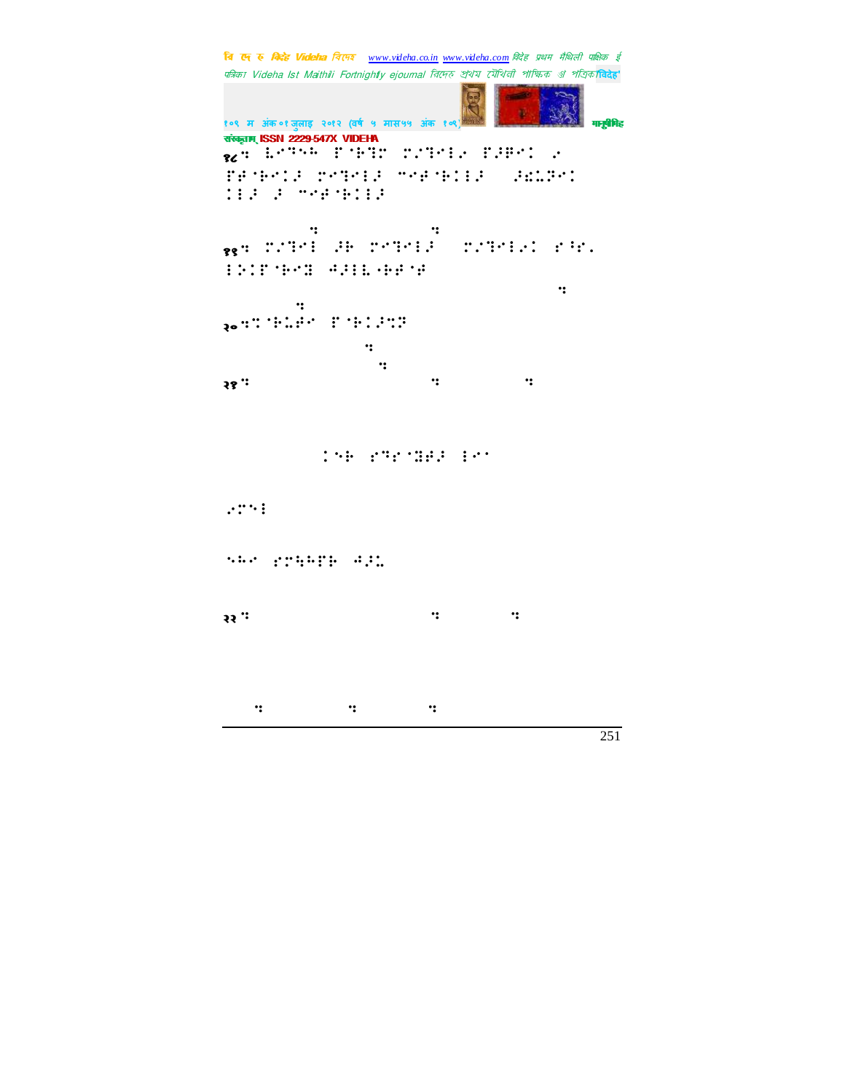१०९ म अंक ०१जुलाइ २०१२ (वष ५ मास५५ अंक १०९) मानुषीिमह संस्कृतम् ISSN 2229-547X VIDEHA <sub>क</sub>∠ संस्थान करने से अपने स्थान करने से सम्मान करने से अन्य स्थान करने से अन्य स्थान करने से अन्य स्थान करने से अ PROPORT CONTROL CONTROL ⢼!⢼!^⢾ ⢷⢼! quadre control of the control of the control of the control of the control of the control of the control of the control of the control of the control of the control of the control of the control of the control of the contr <sub>१९</sub>५ :1793 | 28 | 1999) | 1999 | 1999 | 1999 | 1999 ⢵2 ⢷⣝!⢺⢼⣇D⢷⢾ ⢾\*! ius;00nbjuijmbvsnjuijmbvsnjuijmbvsniuijmbvsniuijmbvsniuijmbvsniuijmbvsniuijmbvsniuijmbvsniuijmbvsniuijmbvsniui https://www.facebook.com <sub>२०</sub>०९' स्टेटर वाले का अन्य प्राप्त का अन्य प्राप्त का अन्य प्राप्त का अन्य प्राप्त का अन्य प्राप्त का अन्य प्राप्त<br>प्राप्त का अन्य प्राप्त का अन्य प्राप्त का अन्य प्राप्त का अन्य प्राप्त का अन्य प्राप्त का अन्य प्राप्त क ius in control de la control de la control de la control de la control de la control de la control de la control de la control de la control de la control de la control de la control de la control de la control de la contr  $\mathbf{q}$ <mark>२१</mark> भाषा प्राप्त हो। यो प्राप्त हो प्राप्त हो। यो प्राप्त हो प्राप्त हो। यो प्राप्त हो प्राप्त हो। यो प्राप्त हो

INE STRANGE INT

 $\therefore$  :  $\vdots$ 

⢳!"⣓⢳2⢷!⢺⢼⣅!!

 $\mathbf{22}$ ं under the control  $\mathbf{23}$  and  $\mathbf{24}$  and  $\mathbf{25}$ 

vt⣒hspvqt⣒zbipp⣒dpn!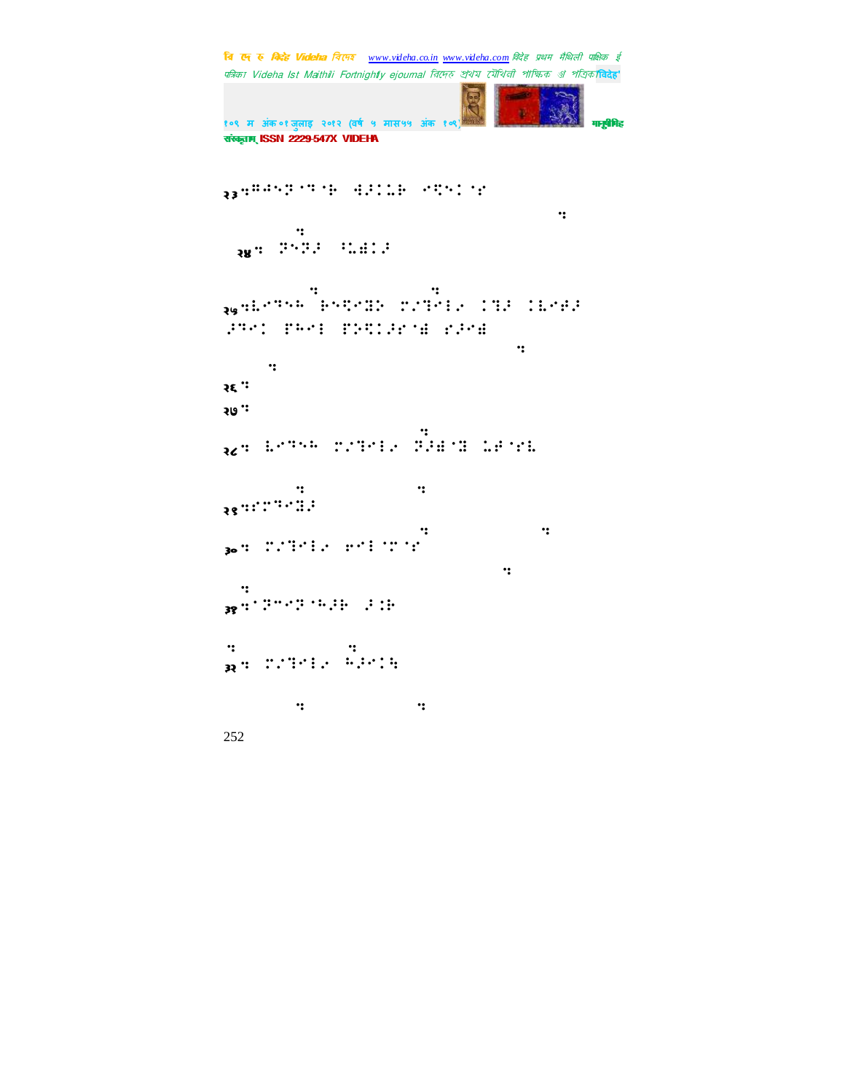```
चि एक रु विदेह Videha चिएन्छ <u>www.videha.co.in www.videha.com</u> विदेह प्रथम मैथिली पाक्षिक ई
पत्रिका Videha Ist Maithili Fortnightly ejournal রিদেত প্রথম মৌথিনী পাক্ষিক ॳ পত্রিকাঁ<mark>বিदेह'</mark>
१०९ म अंक ०१जुलाइ २०१२ (वष ५ मास५५ अंक १०९) मानुषीिमह 
संस्कृतम् ISSN 2229-547X VIDEHA
252
३३५<sup>००</sup>०० था था लाढ था था था था।
ius;00hbkgbkgbkgbkgbkgbkgbkgbkgbkg
https://www.file.com
   <sub>२४</sub>९ प्रधानम् ।<br>जन्म
libcbt⣒cmphtqpu⣒dpn0!!!!
_{\mathbf{39}}eistra (Paralelle (Constant) in the second constant _{\mathbf{48}}⢼⢹!2⢳!2⢵⣋⢼" ⣞!"⢼⣞!
ius (1993) in the control of the control of the control of the control of the control of the control of the co
ftttt til den stad og den stad og den stad og den stad og den stad og den stad og den stad og den stad og den
२६:२७:\mathbf{g} is a set of \mathbf{g} is a set of \mathbf{g}२८⣒!⣇⢹⢳!4⣙⢴!⢽⢼⣞ ⣝!⣅⢾ "⣇!
esbnb, esbnb, esbnb, esbnb, esbnb, esbnb, esbnb, esbnb, esbnb, esbnb, esbnb, esbnb, esbnb, esbnb, esbnb, esbnb
२९ ::::::::::::::
ius;00ftbnbbesquedpnbbesquedpnbbesquedpnbbesquedpnbbesquedpnbbesquedpnbbesquedpnbbesquedpnbbesquedpnbbesquedpn
<sub>३०</sub>० :2799:2000 : 279
ius;00nbjuijmjegimntoja (1900-1900)
u⣒dpn0!!
<sub>३१</sub> ± 1977-1978 | 1980 | 1980 |
⣒cmphtqpu⣒dpn0!!
<sub>32</sub>q: 223912 - 52913
ibility of the company of the company of the company of the company of the company of the company of the company of the company of the company of the company of the company of the company of the company of the company of t
```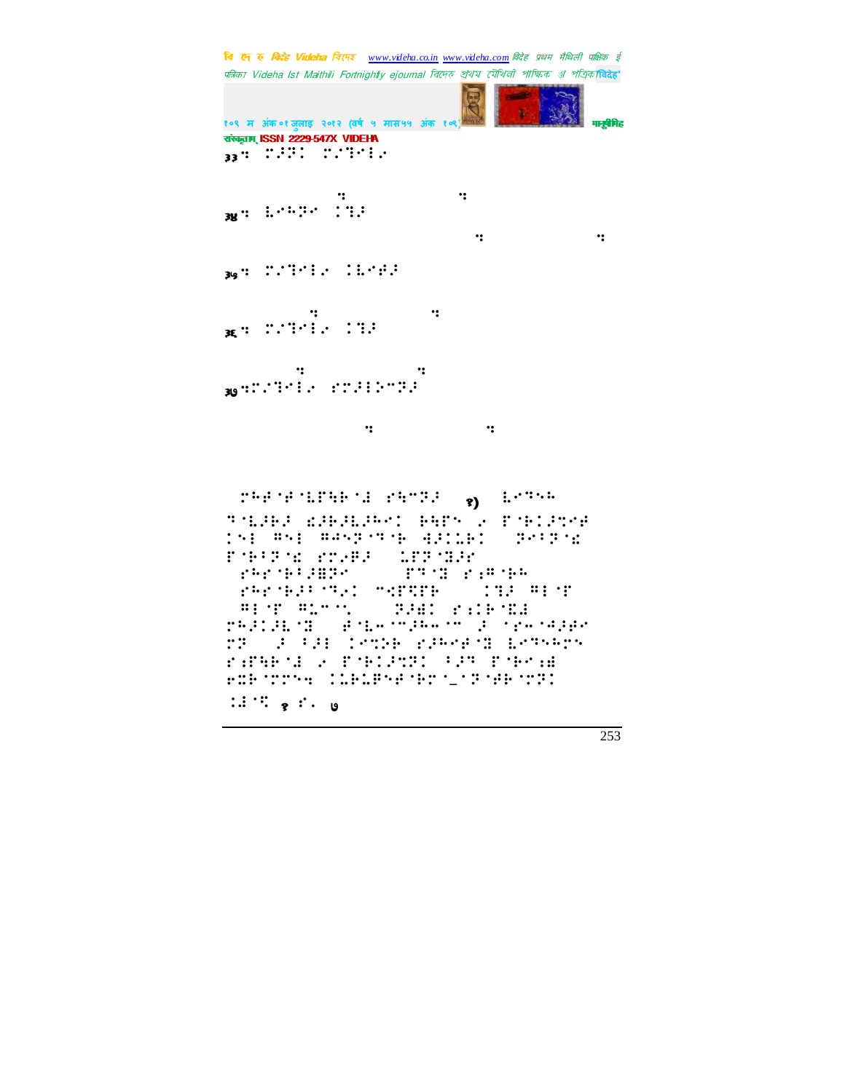चि एक रु *विदेह Videha चिए*न्छ <u>www.videha.co.in www.videha.com</u> विदेह प्रथम मैथिली पाक्षिक ई पत्रिका Videha Ist Maithili Fortnightly ejournal রিদেত প্রথম মৌথিনী পাক্ষিক ॳ পত্রিকাঁ<mark>বিदेह'</mark>

१०९ म अंक ०१जुलाइ २०१२ (वष ५ मास५५ अंक १०९) मानुषीिमह संस्कृतम् ISSN 2229-547X VIDEHA  $33$  :  $1331$   $1311$ nbjurga julijanske političare postavlja se objavlja se objavlja se objavlja se objavlja se objavlja se objavlj <sub>38</sub>9 Ernor (11) ius;00wjibojlbuibojlbuibojlbuibojlbuibojlbuibojlbuibojlbuiboj ३५⣒!4⣙⢴!⣇⢾⢼! lbwydd a chwaraeth a chwaraeth a chwaraeth a chwaraeth a chwaraeth a chwaraeth a chwaraeth a chwaraeth a chwar<br>Daeth a chwaraeth a chwaraeth a chwaraeth a chwaraeth a chwaraeth a chwaraeth a chwaraeth a chwaraeth a chwara <sub>क्</sub>यः २०३०: २००१ - २३३ lbuib $\mathcal{L}$ <sub>30</sub> 42,1948 - 12,289 - 12,29 tbnbmpdiobate both products and the products of the products of the products of the products of the products of the products of the products of the products of the products of the products of the products of the products o

 $2.54$   $\pm$   $0.254$   $\pm$   $0.254$   $\pm$   $0.254$   $\pm$   $0.254$   $\pm$ M NO DE MARIN CONSIDERE !⢻!⢻⢺⢽ ⢹ ⢷!⣚⢼⣅⢷!!⢽C⢽ ⣎. 2 ⢷C⢽ ⣎."⢴⢿⢼-!⣅2⢽ ⣝⢼"! ) (Senderland Company (2001) 2010 (2001) 2010 ) and that they conduct in the state of the ) A: The Almarchief (2.000) and the Constant (2.000) and the Constant (2.000) and the Constant (2.000) and the  $\mathcal{P}$  , and  $\mathcal{P}$  is a set of  $\mathcal{P}$  of  $\mathcal{P}$  . The constant of  $\mathcal{P}$ ⢽\*!⢼!C⢼.⣉⢵⢷!"⢼⢳⢾ ⣝!⣇⢹⢳! rumens or this construction of the p ⢶⣍⢷ ⣒!⣅⢷⣅⢿⢾ ⢷ –⢽ ⢾⢷ ⢽!  $\therefore$   $\therefore$   $\therefore$   $\circ$   $\therefore$   $\circ$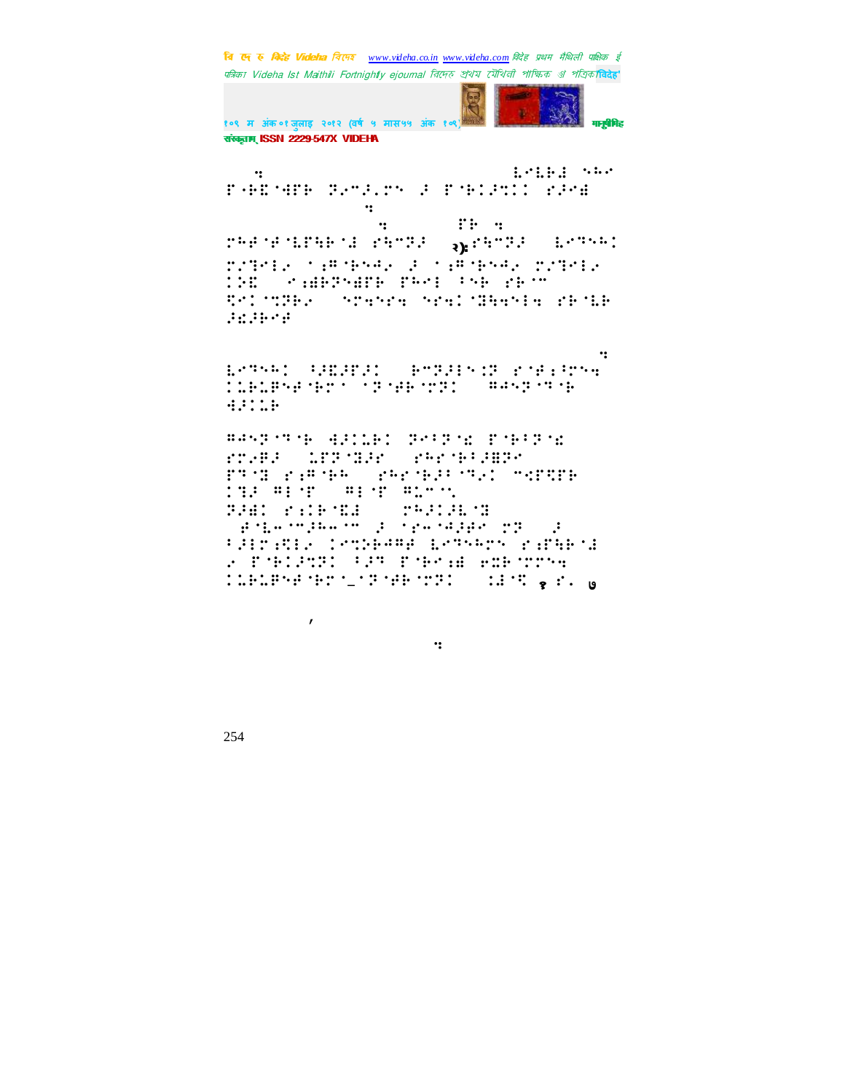चि एक रु *विदेह Videha चिए*न्छ <u>www.videha.co.in www.videha.com</u> विदेह प्रथम मैथिली पाक्षिक ई पत्रिका Videha Ist Maithili Fortnightly ejournal রিদেত প্রথম মৌথিনী পাক্ষিক ॳ পত্রিকাঁ<mark>বিदेह'</mark>

१०९ म अंक ०१जुलाइ २०१२ (वष ५ मास५५ अंक १०९) मानुषीिमह संस्कृतम् ISSN 2229-547X VIDEHA

Op 38.92.1883:00 10.000 10.93.1883:00 10.000 10.93.1883:00 10.000 10.93.1883:00 10.000 10.000 10.000 10.000 10 2D⢷⣏ ⣚2⢷!⢽⢴^⢼G!⢼!2 ⢷⢼⣉!"⢼⣞! ius in control de la control de la control de la control de la control de la control de la control de la control de la control de la control de la control de la control de la control de la control de la control de la contr  $\ddot{\phantom{20}}$  $\mathcal{L}$  on the state of the state  $\mathcal{L}$  ,  $\mathcal{L}$  , and  $\mathcal{L}$  and  $\mathcal{L}$ 4⣙⢴.⣐⢻ ⢷⢺⢴!⢼!⣐⢻ ⢷⢺⢴!4⣙⢴!  $^{\prime}$  ) )  $^{\prime}$  (  $^{\prime}$  )  $^{\prime}$  (  $^{\prime}$  )  $^{\prime}$  (  $^{\prime}$  )  $^{\prime}$  (  $^{\prime}$  )  $^{\prime}$  (  $^{\prime}$  )  $^{\prime}$  (  $^{\prime}$  )  $^{\prime}$  (  $^{\prime}$  )  $^{\prime}$  (  $^{\prime}$  )  $^{\prime}$  (  $^{\prime}$  )  $^{\prime}$  (  $^{\prime}$  )  $^{\prime}$  (  $^{\prime}$  )  $^{\prime}$  (  $^{\prime$ SAL MIRA ( YTENE 'NIE' MIRENER (TR'AR

⢼⣎⢼⢷⢾!.Cbtfe!po!nt.trm!tfswfs! Fohmjti.Nbjuijmj!Ejdujpobsz⣒!

⣇⢹⢳!⢸⢼⣏⢼2⢼.!⢷^⢽⢼⣈⢽!" ⢾⣐⢸⣒! ⣅⢷⣅⢿⢾ ⢷ !⢽ ⢾⢷ ⢽.!⢻⢺⢽ ⢹ ⢷! ⣚⢼⣅⢷!

⊞ANP'T GERE GERE DE POLITIQ "⢴⢿⢼-!⣅2⢽ ⣝⢼"!)"⢳" ⢷C⢼⣟⢽\*!-!  $2^m$   $2^m$   $\rightarrow$   $2^m$   $\rightarrow$   $2^m$   $\rightarrow$   $2^m$   $\rightarrow$   $2^m$ ⣙⢼.⢻ 2!)⢻ 2!⢻⣅^ ⣁\*-!  $\mathbb{R}$ H: : : : : : : : :  $\mathbb{R}$   $\rightarrow$   $\mathbb{R}$   $\rightarrow$   $\mathbb{R}$   $\rightarrow$   $\mathbb{R}$   $\rightarrow$ )  $\pm$  150  $\pm$  750  $\pm$  10  $\pm$  10  $\pm$  10  $\pm$  10  $\pm$  10  $\pm$  10  $\pm$ C⢼⣐⣋⢴.⣉⢵⢷⢺⢻⢾!⣇⢹⢳!"⣐2⣓⢷ ⣜!  $\overline{P}$  POSSES TO THE POSSES WAS  $\frac{1}{2}$  . The late of the first state  $\frac{1}{2}$  and  $\frac{1}{2}$  of the first state  $\frac{1}{2}$  and  $\frac{1}{2}$  and  $\frac{1}{2}$  and  $\frac{1}{2}$  and  $\frac{1}{2}$  and  $\frac{1}{2}$  and  $\frac{1}{2}$  and  $\frac{1}{2}$  and  $\frac{1}{2}$  and  $\frac{1}{2}$  and

Uiblist van die Grootste van die Grootste van die Grootste van die Grootste van die Grootste van die Grootste<br>Gebeure

 $\mathcal{G}$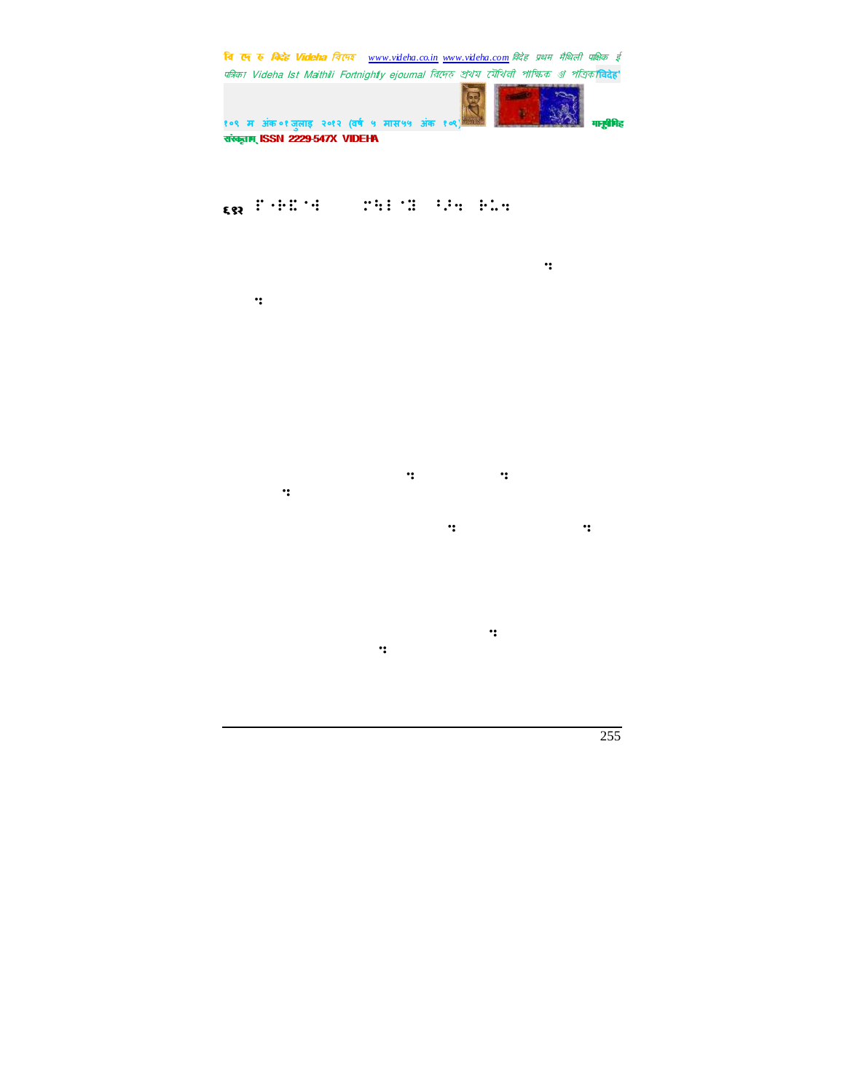चि एक रु *विदेह Videha चिए*न्छ <u>www.videha.co.in www.videha.com</u> विदेह प्रथम मैथिली पाक्षिक ई पत्रिका Videha Ist Maithili Fortnightly ejournal রিদেত প্রথম মৌথিনী পাক্ষিক ॳ পত্রিকাঁ<mark>বিदेह'</mark>

१०९ म अंक०१जुलाइ २०१२ (वर्ष ५ मास*५५* अंक १०९) मानुसार मानुसारिक **मानुसीरि**ह

संस्कृतम् ISSN 2229-547X VIDE<del>H</del>A

## ६९२ 2D⢷⣏ ⣚!;!⣓ ⣝!⢸⢼⣒!⢷⣅⣒!2110.



iuuqt;00tjuftigtat;00tjuftigtat;00tjuftigtat;00tjuftigtat;00tjuftigtat;00tjuftigtat;00tjuftigtat;00tjuftigtat;

efib $\alpha$  of  $\alpha$  of  $\alpha$  of  $\alpha$  of  $\alpha$ ius;00wjefib234,000wjefib234

xfctium (1980), iuu quadrum (1980), iuu  $\frac{d\theta}{d\theta}$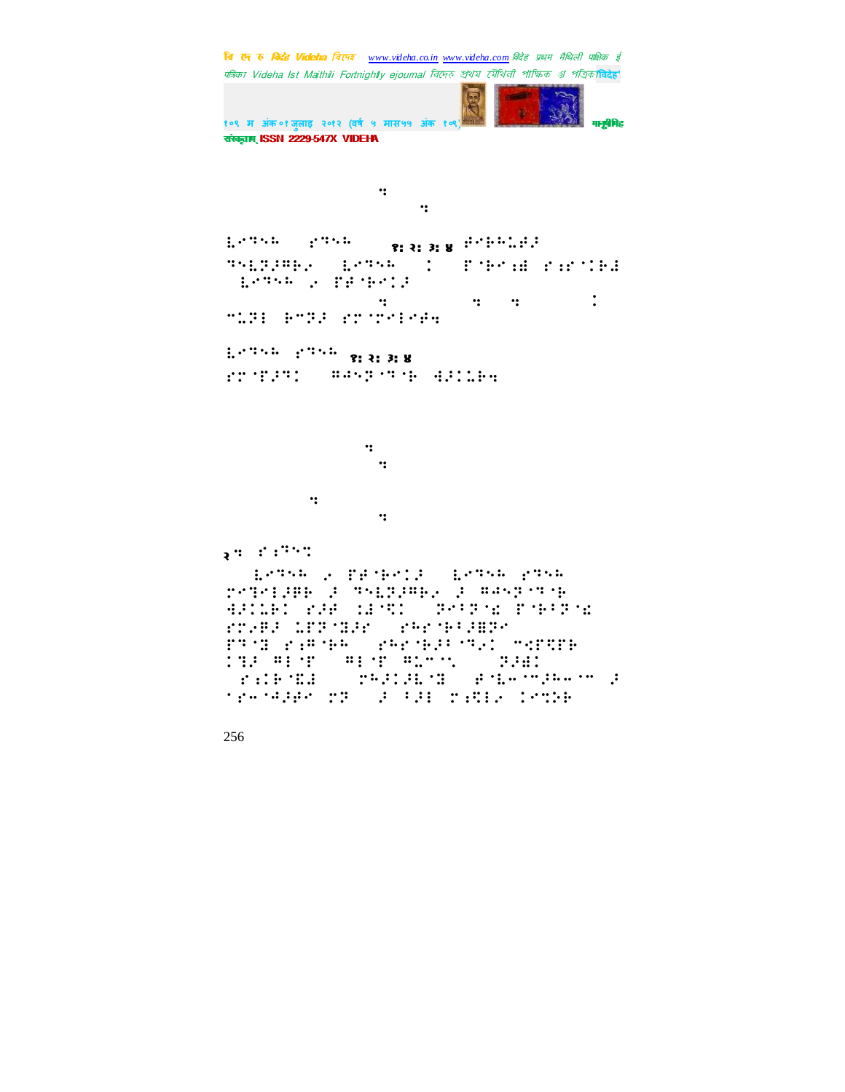चि एक रु *विदेह Videha चिए*न्छ <u>www.videha.co.in www.videha.com</u> विदेह प्रथम मैथिली पाक्षिक ई पत्रिका Videha Ist Maithili Fortnightly ejournal রিদেত প্রথম মৌথিনী পাক্ষিক ॳ পত্রিকাঁ<mark>বিदेह'</mark> १०९ म अंक ०१जुलाइ २०१२ (वष ५ मास५५ अंक १०९) मानुषीिमह संस्कृतम् ISSN 2229-547X VIDEHA nbjm;tisvuju bujqvcmja konstantine Atisvuju bujqvcmja konstantine Atisvuju bujqvcmja konstantine Atisvuju bujq uj.dov. a na staročno područje u predstavlja u predstavlja u predstavlja u predstavlja u predstavlja u predstav<br>Dogodpredstavlja u predstavlja u predstavlja u predstavlja u predstavlja u predstavlja u predstavlja u predsta  $\mathbb{R}^{2\times 3\times 4}$  ,  $\mathbb{R}^{3\times 4}$  ,  $\mathbb{R}^{3\times 4}$  ,  $\mathbb{R}^{3\times 4}$   $\mathbb{R}^{4\times 4}$   $\mathbb{R}^{4\times 4}$  ,  $\mathbb{R}^{4\times 4}$  $\overline{P}$  =  $\overline{P}$  =  $\overline{P}$  =  $\overline{P}$  =  $\overline{P}$  =  $\overline{P}$  =  $\overline{P}$  =  $\overline{P}$  =  $\overline{P}$  =  $\overline{P}$  =  $\overline{P}$  =  $\overline{P}$  =  $\overline{P}$  =  $\overline{P}$  =  $\overline{P}$  =  $\overline{P}$  =  $\overline{P}$  =  $\overline{P}$  =  $\overline{P}$  =  $\overline{P}$  =  $\$ ;⣇⢹⢳.⢴.2⢾ ⢷⢼!  $\ddot{\phantom{a}}$ ^⣅⢽!⢷^⢽⢼!" ⢾⣒!  $\frac{1}{2}$ ,  $\frac{1}{2}$ ,  $\frac{1}{2}$ ,  $\frac{1}{2}$ ,  $\frac{1}{2}$ ,  $\frac{1}{2}$ ,  $\frac{1}{2}$ ,  $\frac{1}{2}$ ,  $\frac{1}{2}$ ,  $\frac{1}{2}$ " 2⢼⢹;!⢻⢺⢽ ⢹ ⢷!⣚⢼⣅⢷⣒! ius in control de la control de la control de la control de la control de la control de la control de la control de la control de la control de la control de la control de la control de la control de la control de la contr qvcmjdbujpo buje na postali po postali po postali po postali po postali po postali po postali po postali po po tisvuje konstantine konstantine konstantine konstantine konstantine konstantine konstantine konstantine konstantine konstantine konstantine konstantine konstantine konstantine konstantine konstantine konstantine konstantin  $\mathbf{q}$  $\mathbf{z}$  :  $\mathbf{z}$  :  $\mathbf{z}$  $\mathbf{L}$  define  $\mathbf{L}$  . The definition of  $\mathbf{L}$  defines operator ⣙⢼⢿⢷!⢼!⢹⣇⢽⢼⢻⢷⢴!⢼!⢻⢺⢽ ⢹ ⢷! ⣚⢼⣅⢷!"⢼⢾!⣈⣜ ⣋.!⢽C⢽ ⣎.2 ⢷C⢽ ⣎. "⢴⢿⢼-⣅2⢽ ⣝⢼"!)"⢳" ⢷C⢼⣟⢽\*!-! 2⢹ ⣝."⣐⢻ ⢷⢳!)"⢳" ⢷⢼C ⢹⢴!^⣊2⣋2⢷\*-!

⣙⢼.⢻ 2!)⢻ 2!⢻⣅^ ⣁\*-!⢽⢼⣞!

)" In the state  $\sim$  of the state  $\sim$  . The state  $\sim$  of  $\sim$ 

"⢲ ⢺⢼⢾!⢽\*!⢼!C⢼.⣐⣋⢴.⣉⢵⢷!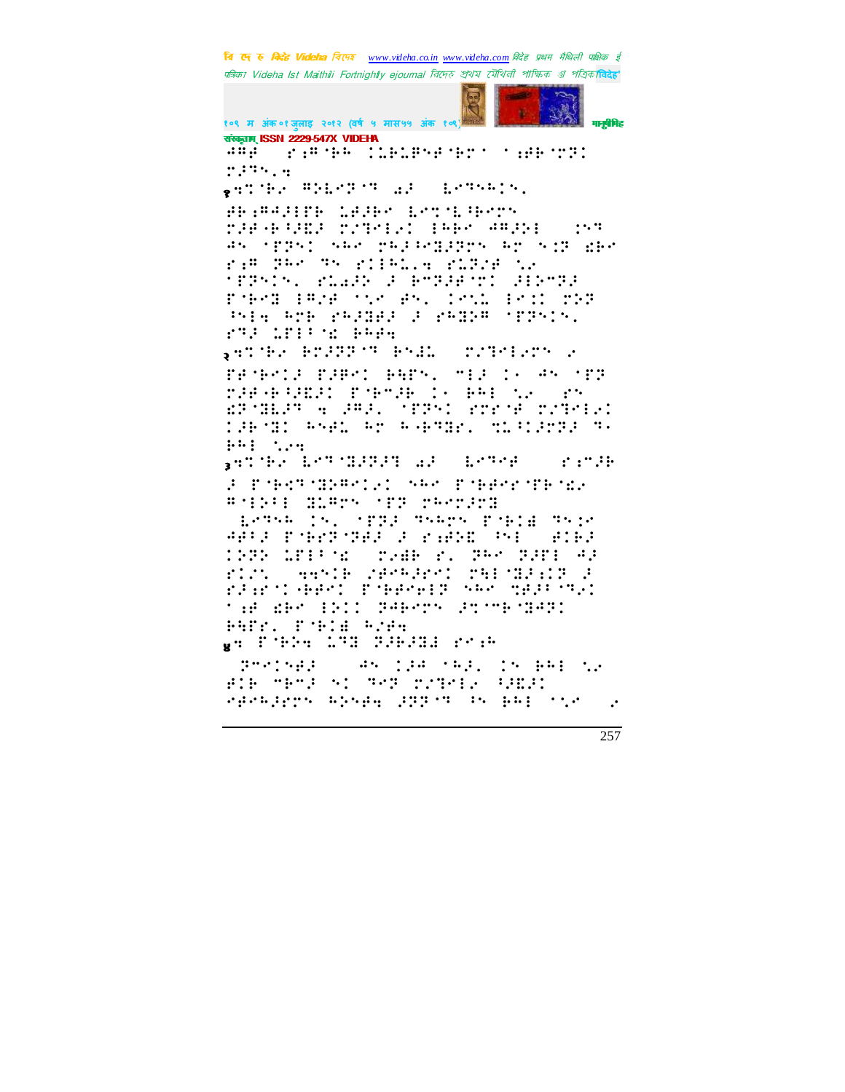वि एक रु विदेह Videha विएम्ब www.videha.co.in www.videha.com विदेह प्रथम मैथिली पाक्षिक ई पत्रिका Videha Ist Maithili Fortnightly ejournal রিদেহ প্রথম মৌথিনী পাক্ষিক প্র পত্রিকা<mark>বিदेह'</mark>



१०९ म अंक०१ जुलाइ २०१२ (वर्ष ५ मास५५ अंक १०९ संस्कृतम् ISSN 2229-547X VIDEHA

**September 1161858-821 (September**  $\ldots$ 

permanental al Estelle.

BROWNIE MARY LYTERY raegeara repole: 1960 Apac (59 An ippn; new peparagern ar nip der ram der de richten richte in trate, ruga a braggini givra Pobol EASE one and Ieni Eest 200 Prim Are regular a redie fronth. **START START START** 

SATTER BOSSETT BASE a protectivity of

FRONT PRESS BATS, MERSING AN OFF CARARANIA CAMPARA DA AREANA (25)<br>Administrativa (2011) media companya podenesi **THAN WHIP WESTER TO SERVE TH** 

9911 1201

 $\frac{1}{2}$  and the construction  $\frac{1}{2}$ a guerran política de la propia ara a shekarar 20

3 Prestrazental Sen Preferradera BARA HIPS AN SEATH

SEPTER IS STRESSERY PORTH TEACH APPE PORTUGE E PART MI ATE **TANK AND MANU STAGE 3. THAN TIME AT** rict (AASIB SASARET THE MEETING alan Ako Pakkis yu mingi the der (ESI) PARron (Point-dag)

PHP: FORCH POPE

ge finne 198 SJEJA friH  $(3992, 596, 616)$  $\begin{aligned} \mathcal{L}_{\mathcal{A}}(\mathcal{A})\mathcal{L}_{\mathcal{A}}(\mathcal{A})\mathcal{L}_{\mathcal{A}}(\mathcal{A})\mathcal{L}_{\mathcal{A}}(\mathcal{A})\mathcal{L}_{\mathcal{A}}(\mathcal{A})\mathcal{L}_{\mathcal{A}}(\mathcal{A})\mathcal{L}_{\mathcal{A}}(\mathcal{A})\mathcal{L}_{\mathcal{A}}(\mathcal{A})\mathcal{L}_{\mathcal{A}}(\mathcal{A})\mathcal{L}_{\mathcal{A}}(\mathcal{A})\mathcal{L}_{\mathcal{A}}(\mathcal{A})\mathcal{L}_{\mathcal{A}}(\mathcal{A$ BIB MEMP NI MAT TATALA PREPI ependers nyeph during the pnp sys-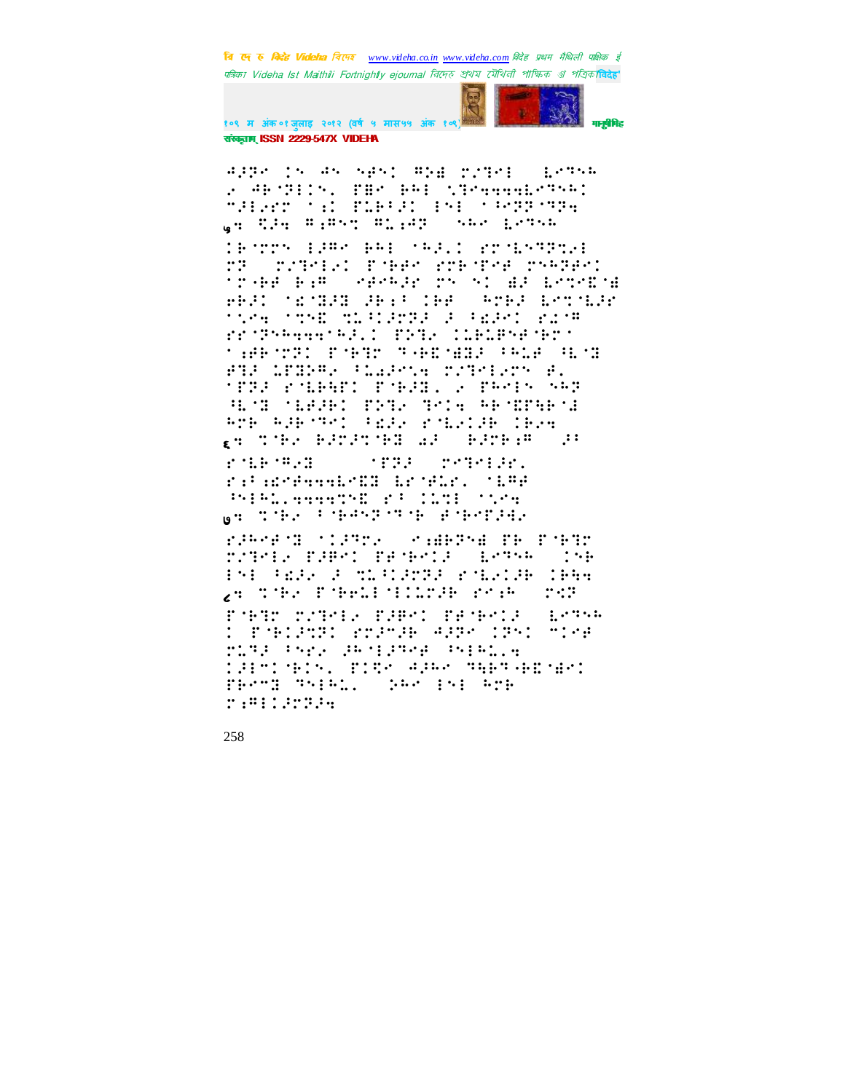बि एक रु *बिरोह Videha चिएक www.videha.co.in www.videha.com विदेह प्रथम मैथिली पाक्षिक ई* पत्रिका Videha Ist Maithili Fortnightly ejournal রিদেহ প্রথম মৌথিনী পাক্ষিক প্র পত্রিকা<mark>বিदेह'</mark>



१०९ म अंक०१ जुलाइ २०१२ (वर्ष ५ मास५५ अंक १) संस्कृतम् ISSN 2229-547X VIDEHA

APPA IN AN NANI ADA 22941 (1295) 2 AB THIN, THE BAI STEARCHESTS! matern rid fields the compromis ge the RiAng Riege (SAP 1875A

IPTOTA 1280 PAI (PAJI 201169216) 27 C2210121 Poben 226-208 2567801 trake kam (seskar ry yo aa bsrebta FRANCISCHE ARTICHE CAMPA BROCHA ting that notified a team form rrethaggeral. Pris Millegerer **THE TOO STEED THE WAS TALK BYS** FIA GEBRA (Guarnia printreno A.) 'FRA R'ABARI P'BAB. A PRES SAR HAND MEANS TONG NOW HEMINEMA APP APPIRAT FERR POLICE CERA provide estatificas cester at

**STRA PERSIEN** POLE SEVE rituressence arrelations PHPL.HHHTPE FRONTE TOP **WHIPE PROPERTY STATE** 

racens nicht. Pharma ce cher TZTMLA FJPMI FRAMAJI (1875) (158 PH REF F TERRITA FARIAR TERR ga mobel forbell dilloub an en coup Poble crime. Papel factory (1995) I POBIASAI KSAMAR AARK (PSI MIKA ring they gamegned then, a 19851925, pigk ajak gapangerser<br>Personal Steel, component as 2.81132334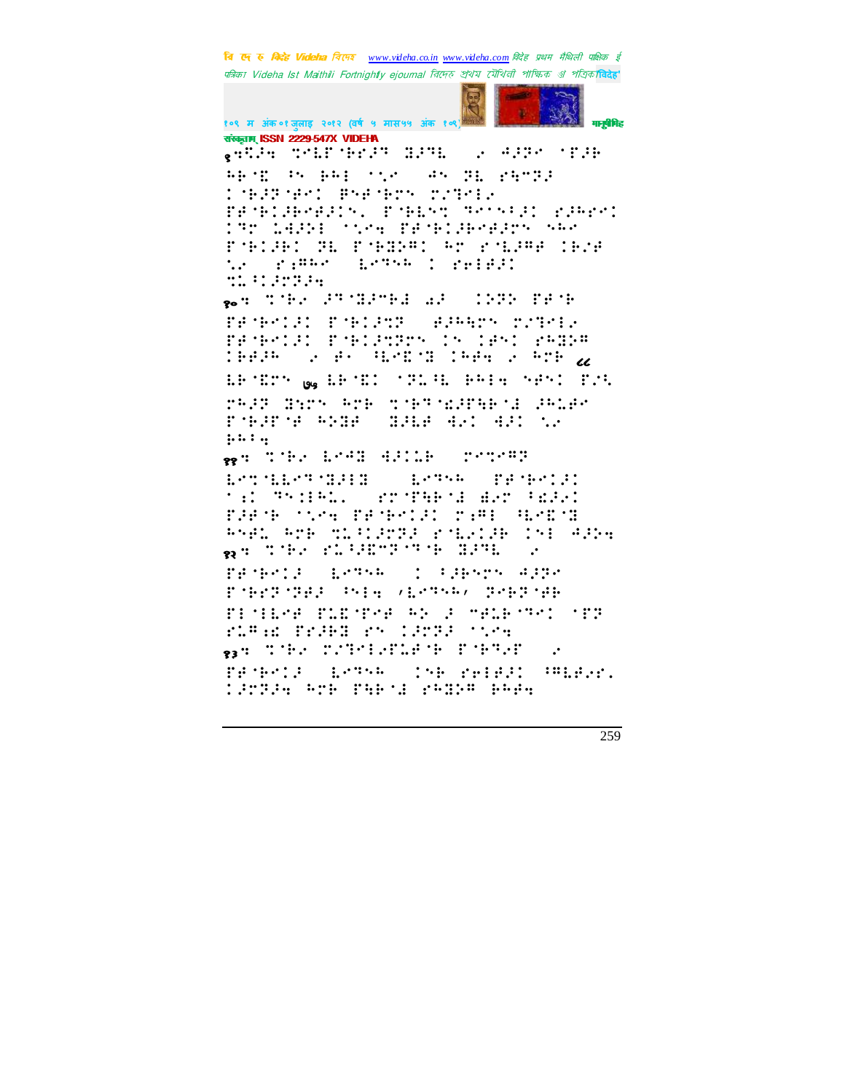वि एक रु क्रिटेड Videha विएम्ब www.videha.co.in www.videha.com विदेह प्रथम मैथिली पाक्षिक ई पत्रिका Videha Ist Maithili Fortnightly ejournal রিদেহ প্রথম মৌথিনী পাক্ষিক প্র পত্রিকা<mark>বিदेह'</mark>



संस्कृतम् ISSN 2229-547X VIDEHA **QUEST STAR TELP BATE OF APPROXICAT** Apone the paper side. **AR SE PROTE** *THIRMPY BYFORD TITME* PEGELEMENTS, POBLST SMOKEN PLEASE 198 1422: Mich Benellergarn ner PORTUGAL PE PORTUGAL AN INSTALLER TENE ta ra<sup>mma</sup> kenyk (anif) **MARISHER** <sub>po</sub>s the sponsors as component FRAMES PARTIES **SEARCH CONFIDENT** PANEOLI PARLEMEN IN 1851 PERPE TEECH A PA HEMETE INFERS AND W LE MONT GO LETTED TRIPLE EREA TARNO FOR TRAP BYTY RTP TOPPORATHEOR ARGEO **THATE SEE SALE AN ANY**  $\mathcal{L}$  $1.1.1.1$ <sub>22</sub> - Tobel Ergi (Elib) (Prover ESTALPRADED ESTAD PRAECE **MIT THIRD ATTEMPTED READ** FRACH COMM FACHWORD CAME SEMECH ANAL AME MISCAMBA ROLLIA CHE ARDA at the substance more  $\ddot{\phantom{0}}$ PROPOSE ESTAR (1980-1980) APPS Poheroral Shig (1975), Pohrodh FINISH FLENDA AN F MALENANI NTP ruman Praks and Cars (now **ea**: The Multiplet Port  $\mathbf{r}$ TANDALI LATHA (196 PAIARI AMLAS) **CONSERVER PERMIT PASSAGE PAPA**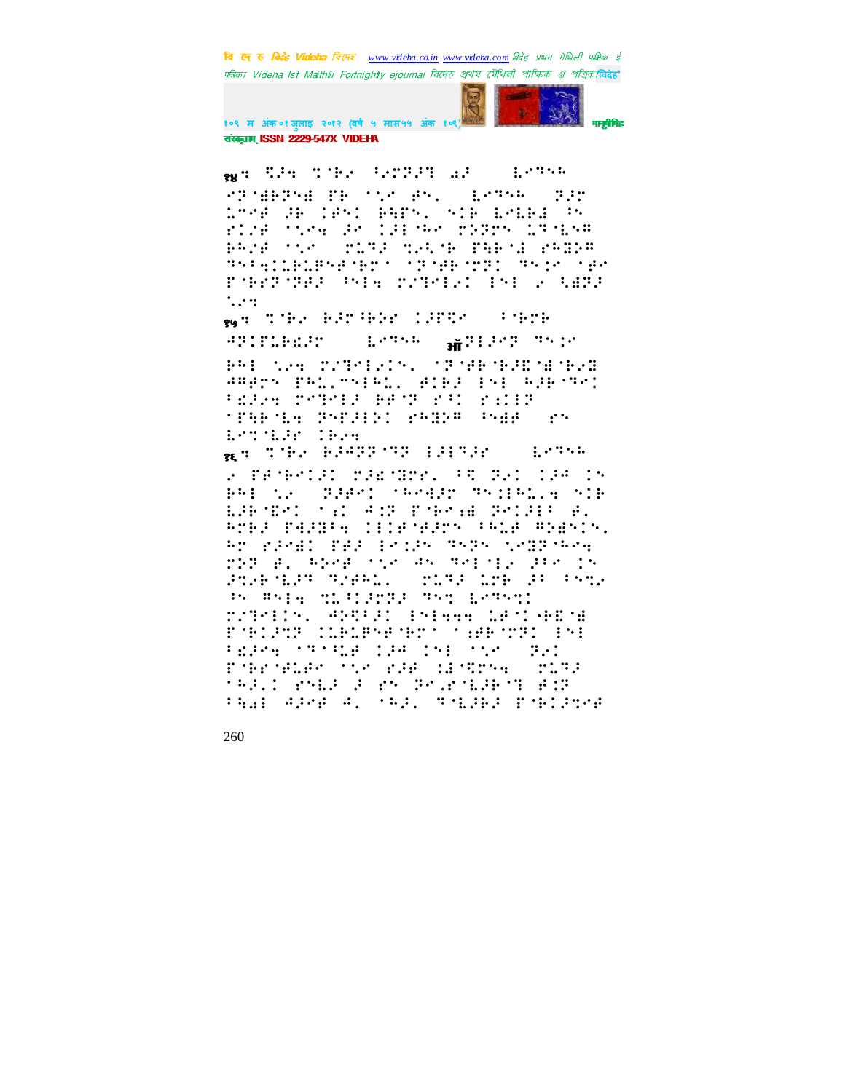बि एक रु *बिरोह Videha चिएक www.videha.co.in www.videha.com विदेह प्रथम मैथिली पाक्षिक ई* पत्रिका Videha Ist Mathili Fortnightly ejournal রিদেহ প্রথম মৌথিনী পাক্ষিক প্রা পত্রিকা<mark>বিदेह</mark>'



१०९ म अंक०१ जुलाइ २०१२ (वर्ष ५ मास५५ अंक १) संस्कृतम् ISSN 2229-547X VIDEHA

## w: We the West World al a guerra de

rangered about an interest and tree de cest ears, sie bebel sk FIZE TARE 28 ISBN 200705-0731658 PROFILED TO THE TOUR PROPERTY THAT A RESERT THE RICHARD RESEARCH PRISON TRANSPORT PORTUGE MARKTHER IN STAR  $\ddots$  :

**Was the BETHER CHIRE**  $\cdots$ 

APIELBERT LATSE WEBPE TSIM

PRI NAS CATRIAIN, STARKPATHENRAT AREN PROSTNER. BIBJ ENE RJBJRJ PERSONALE PROPERTY FOR POST 'PARTLA PRESENT PAGEMENGE (PR Letthier Cher

**e** with BPPP TP EBTH ( Enth)

2 Penerisi Makamat Sulawi ISA In PRESS, THREE SPEED TRIPLE, SIP LAPART TEL 432 PAPTA 201216 AL ROBA PAARPA (1118-9305 PR18 PDASIS) PE PARAL PAR PRIME THEN NAMEDARY 2008 B. Phoenix Records (B) Brooks President negative (2003) 125 (President Promote things and head. rranch, Abas; Engag 1871-BE78 Poblada (LGLADA del Vigeoral 151 PERSONAL DRUGS CALL TO STRI Esternature sourcear du Store (2013)<br>1992: Certia a centre de Goute (100-101) PANE APPE AL MARI SMERRE EMPLRYA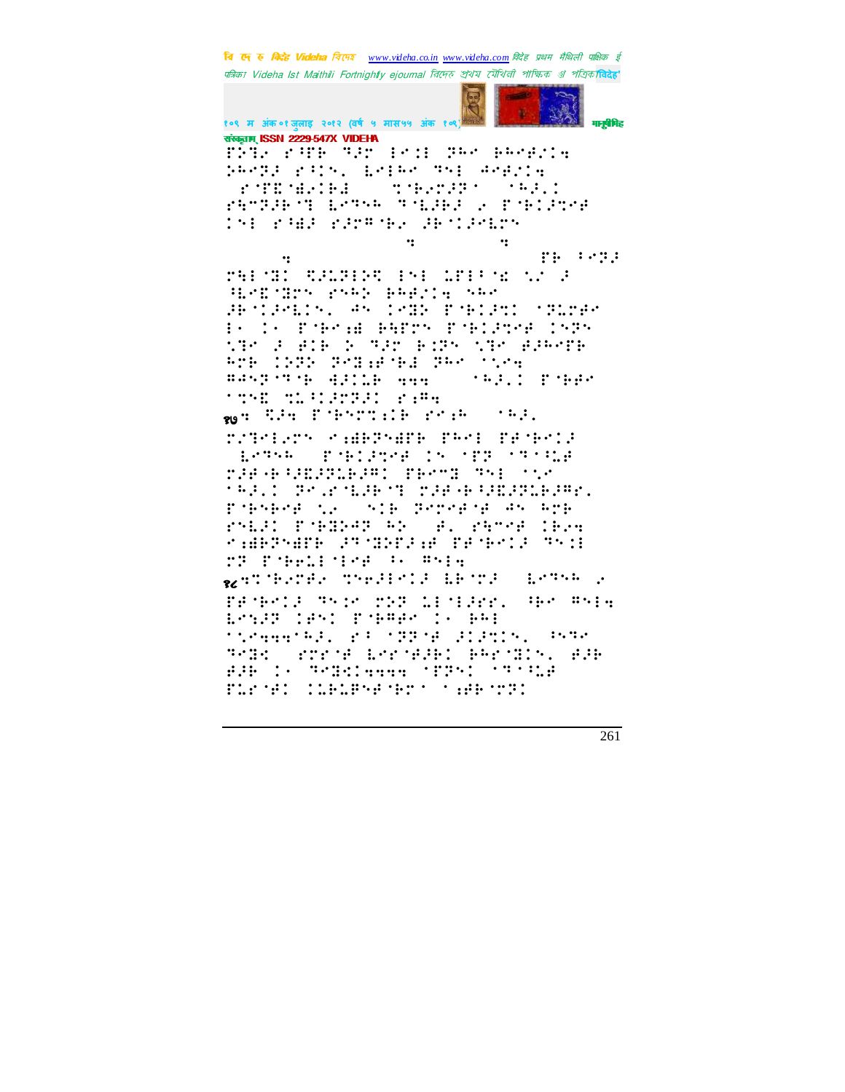बि एक रु *बिरोह Videha चिएक www.videha.co.in www.videha.com विदेह प्रथम मैथिली पाक्षिक ई* पत्रिका Videha Ist Mathili Fortnightly ejournal রিদেহ প্রথম মৌথিনী পাক্ষিক প্রা পত্রিকা<mark>বিदेह</mark>'



 $\dddot{\mathbf{r}}$ 

संस्कृतम् ISSN 2229-547X VIDEHA rêîk ranb gar brin gar bareziy SPARE PRINT EATRA THE BABYIN SAMPEMANING STANDARY (1920)<br>ANTANY LATH TALANA A PALAMA INE RABA RAMAYER ABYLAMEMY

 $\dddot{\bullet}$ **TH PARA** MARTIN CALFIER PHOLIPPIN NASA Hendry game Bartin and **JECTIFICAL AN CRID POBLIC OSCUPI** En la Poboar Barry Poblache (1929 the Fair Former Port of Albert President Primarki PPS stam HASPY'S GRILD AND  $\left(1421\right)$  Times **THAN THE SECOND STATE** <sub>20</sub> : S.H. Pobostik rein och .

ratelers eagesame med medeca **LONG PARTNERS IN MERSON CON** rgeseggraphier perso sy tyf **TARL SERVICE TRANSPORTS** Portion to all the terrorism and are rniformates at al range lega raksmare (storial redet) sti TT POBLICER WALE pour despect unestance de une codena co PROPOSE THAN 2007 LEOLING, THE BHIR Bras (Br) Premer (1 emp the gasted of the presentation of the PARK (Project Earliede) PROjRIN, BJP FJR 18 Prostaaaa (PPS) (Prost TLE YAL (LELANG YET) ( GAR YOU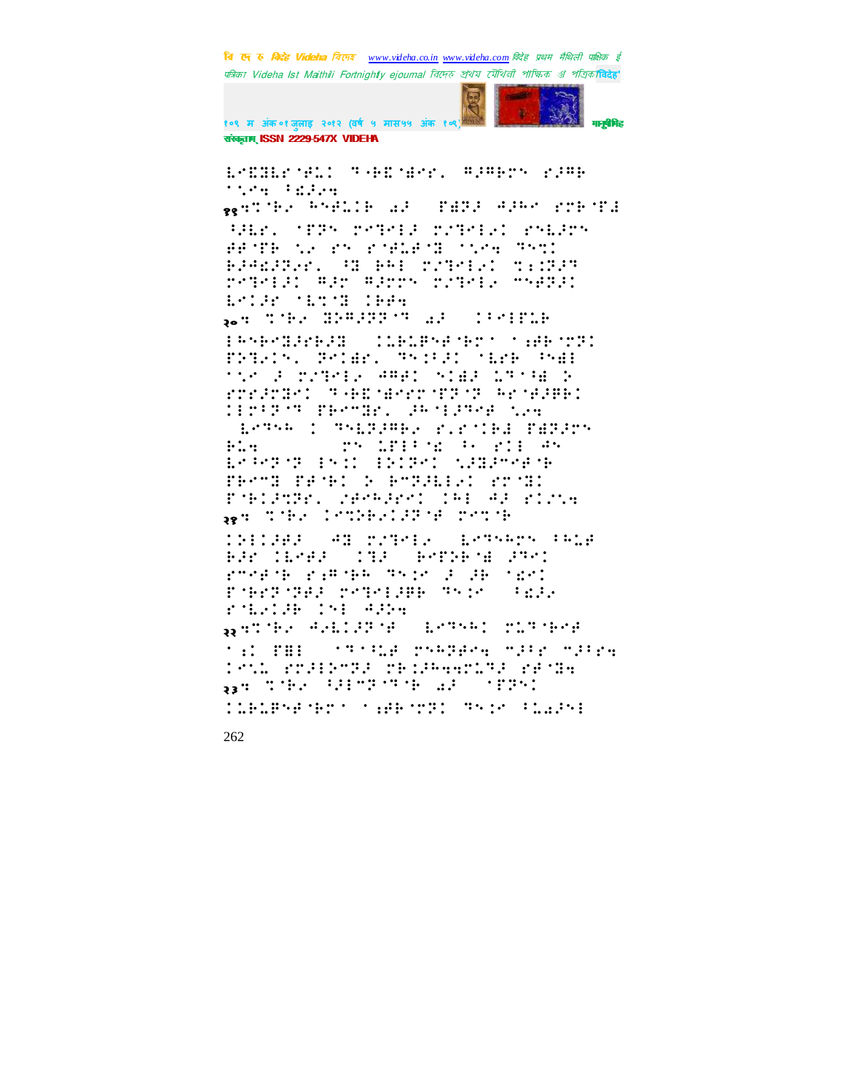वि एक रु मिन्हे Videha विएक www.videha.co.in www.videha.com विदेह प्रथम मैथिली पाक्षिक ई पत्रिका Videha Ist Maithili Fortnightly ejournal রিদেহ প্রথম মৌথিনী পাক্ষিক প্র পত্রিকা<mark>বিदेह'</mark>



१०९ म अंक०१ जुलाइ २०१२ (वर्ष ५ मास५५ अंक १ संस्कृतम् ISSN 2229-547X VIDEHA

LADORATO THEADY SUPPLY FURE the Pales pencipal brewith all change glass and the WHEN THE PERMIT PARTIES PRINT HETE AF PY POWERT SAME TYPE BRANCH SHE MARIN TIRE redell mar marry ridely mystal ESTER SETTE TEEN be the HERRY AR CREEK **IP-P-HIPEIN CONSERVATION CONSERVANCE** TRING POWER TRIED MED PAN the Porther American Chinese rredrag: THEMProfiles Armedia **CEMPAR PROMIS, PROPERTING** ESTAR I TALFIRES PLENIED POPINY ry LEBAN (6 FIL 45  $H:$ ERPORTER EN ENTRET SUBPRESE FRAME FROM S RMBREAL STORE PORTAGEN SAMPARMI IPE AP RISSA <sub>sp</sub>a time letherland retir IPEIPER SE PRIMER (EMPARA PALE **THE BRIDE WELFRY** Bar Marad rmeans rimnes more a de nord PORTUGE TETERN TER SER roman Di ABA astronomical deliver **SANARY STRAIN** til MB (1918) regere male males ISMA STARPTA TRAPHETATA SPOR.

<sub>33</sub>9 TORE RESPONSE AR STEPS

CLELPSEMENT TANK MAY PSYCHIALASE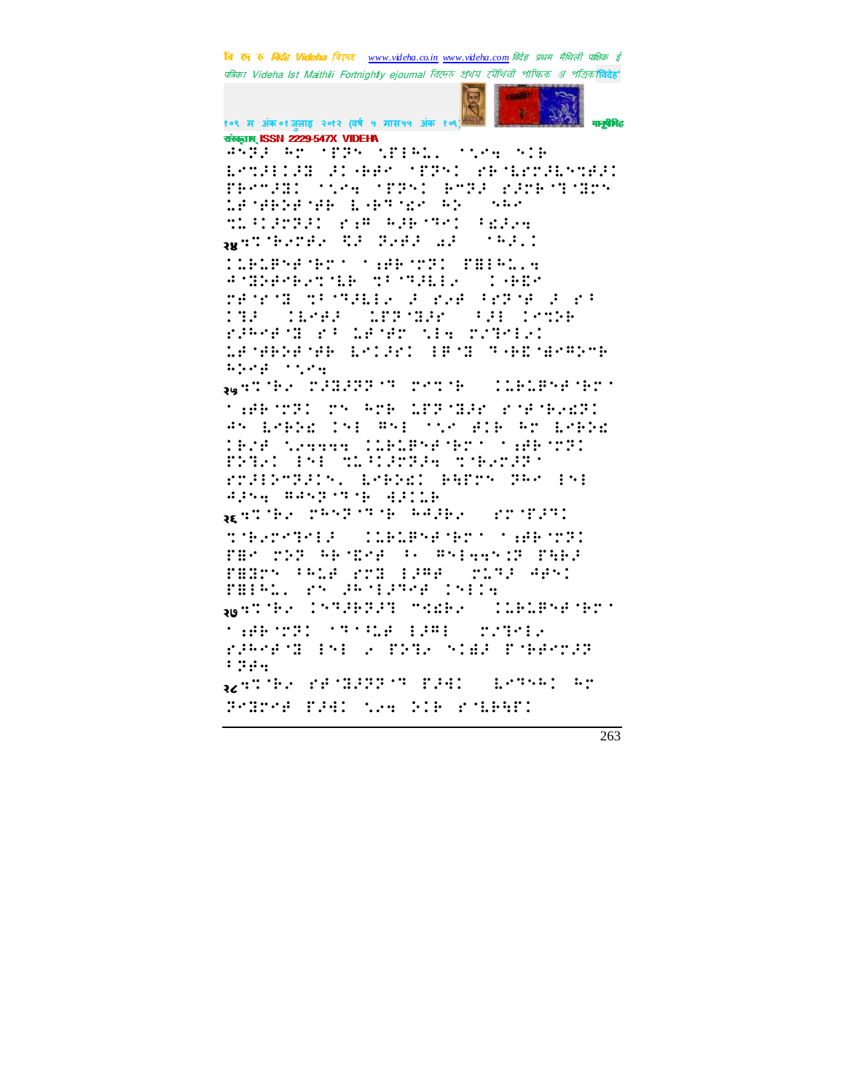बि एक रु *बिरोह Videha चिएक www.videha.co.in www.videha.com विदेह प्रथम मैथिली पाक्षिक ई* पत्रिका Videha Ist Maithili Fortnightly ejournal রিদেহ প্রথম মৌথিনী পাক্ষিক প্র পত্রিকা<mark>বিदेह'</mark>

१०९ म अंक०१ जुलाइ २०१२ (वर्ष ५ मास५५ अंक १०९)

TERRIC PROGRESS REPORT aged thereby diff deed all (1991) **TERENAMENT SARTIS PERSON** 

**ANDREWSTER METHICS** 

Ago, maspere gride

Adenas (1920)

 $\ldots$ 



 $\therefore$   $\therefore$   $\therefore$ 

संस्कृतम् ISSN 2229-547X VIDEHA WRIGHT TERS WEEKLY TWO SIR ESTATIVE ALGER STREET PROBABINGER FROM HIS STORY THAT A STRONG THE STORY de repõenes d'artikol dol  $\ddots$  :  $\ddots$ 

renna d'Alabes a rue franc a ri ni (Bai 1998) an chiama ramens ra dener tie rathelt

LA SARGA SAR (LAIGEI) (EASIL AGAINSARSAR

agencies charactering concerns and allenging reco **THE TEL TY ATE LEFTER FIRENCE** An Espher (n: An: Sir Alb Ar Espher TEMP SPAARS (IPIPASES) SARKST FRING ENE MISCRIPH MOBRING FTJERTIJS, LAPRED PATTY INA ENE

RESTRACTORSTOCH ARREL CONTROL thermal Classenro (Abort THE TEP RESERVE TO REPORT THEF FUGER (PALE POG 1284), PARA (PP)<br>FUIPAL PROJECTIFICATION

**THEORY ORDER EPH STREET** 

Progres plat the Sie rought:

menter (STEERT Scher (LELESF) er

rawers in a fill nime was removed

Rent the Statistics (PDH) (Section) ar

मनुषेगिह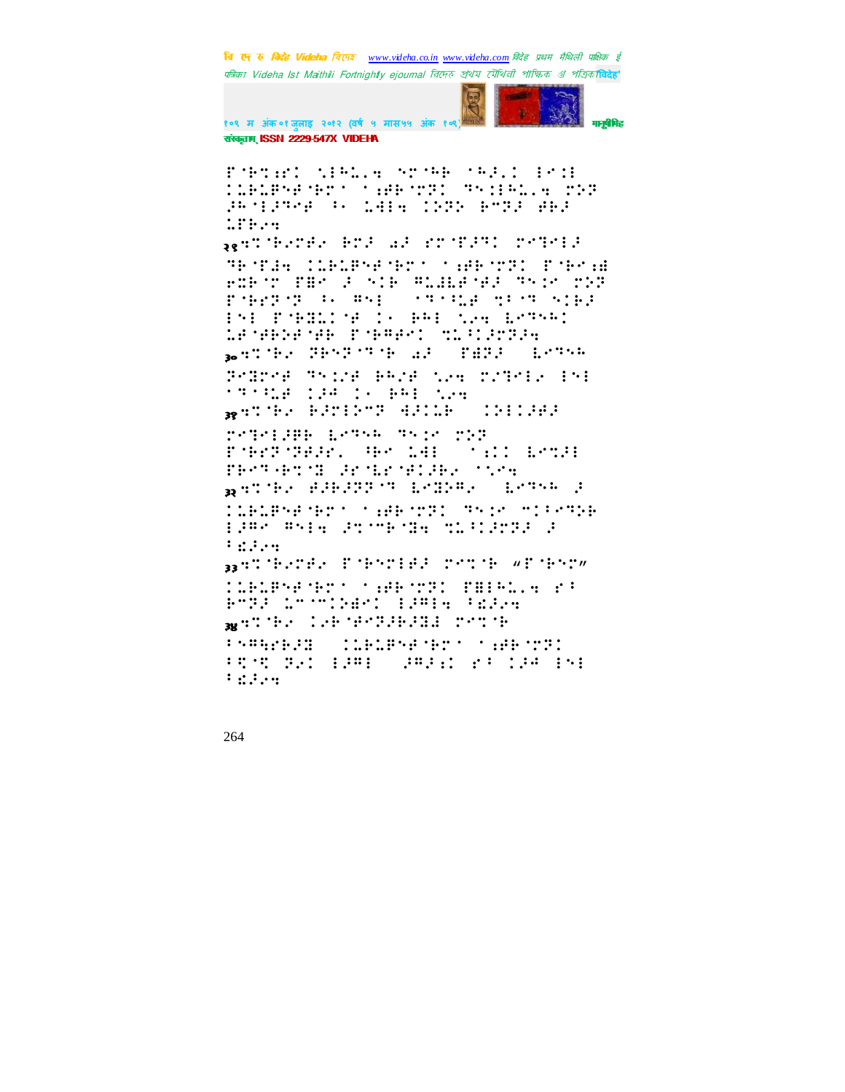वि एक रु क्रिटेड Videha विएम्ब www.videha.co.in www.videha.com विदेह प्रथम मैथिली पाक्षिक ई पत्रिका Videha Ist Mathili Fortnightly ejournal রিদেহ প্রথম মৌথিনী পাক্ষিক প্রা পত্রিকা<mark>বিदेह</mark>'



१०९ म अंक०१जुलाइ २०१२ (वर्ष ५ मास५५ संस्कृतम् ISSN 2229-547X VIDEHA

PORTHI NEADLA STORE CRELI ESTE CONDENSAMENT TO BETIME THAT EACH CONF PROFESSION CHEW COOPS ROOF HER  $...$   $...$ Send there as the second complete and response to the second second second second second second second second s

**TEMPER CORDENAMENT MARKET PROVIDE** embor fme a sib miggeral model pip PORTON PORT OUTLE THUS SIRE ENE PORTLINE IN BRE NEW LETTER <u> La ragoa rago Espago) (n.Glienĝego</u>

monthly Perform and Park (1976) Pedrea System Bara new redeal and

**STARROOM IS BREADED** BOTTER EPPIRTH HPILE (INEIPER

redefine feres are reported PORTUGAL AR WALL TELL ESSA PROPERTY ANDERSON MAN

man he substitute that the second second CONCRETENT SHENGE SERIE SCHOOL

BOWS WHEN ON THE NEW MICROSCOPE  $3.43.44$ 

 $_{33}$  and the nature of the shifted one of the source  $_{\alpha}$ CONFIGURATION CONTROLLERS IN THE **PTE LT TINEY, 12814 (222)4 BRACK IN THE SECRET SERVICE PARABAS CORDENFITY THE TTI** 

**FRONT DECISION CONTROLLER PRODUCT**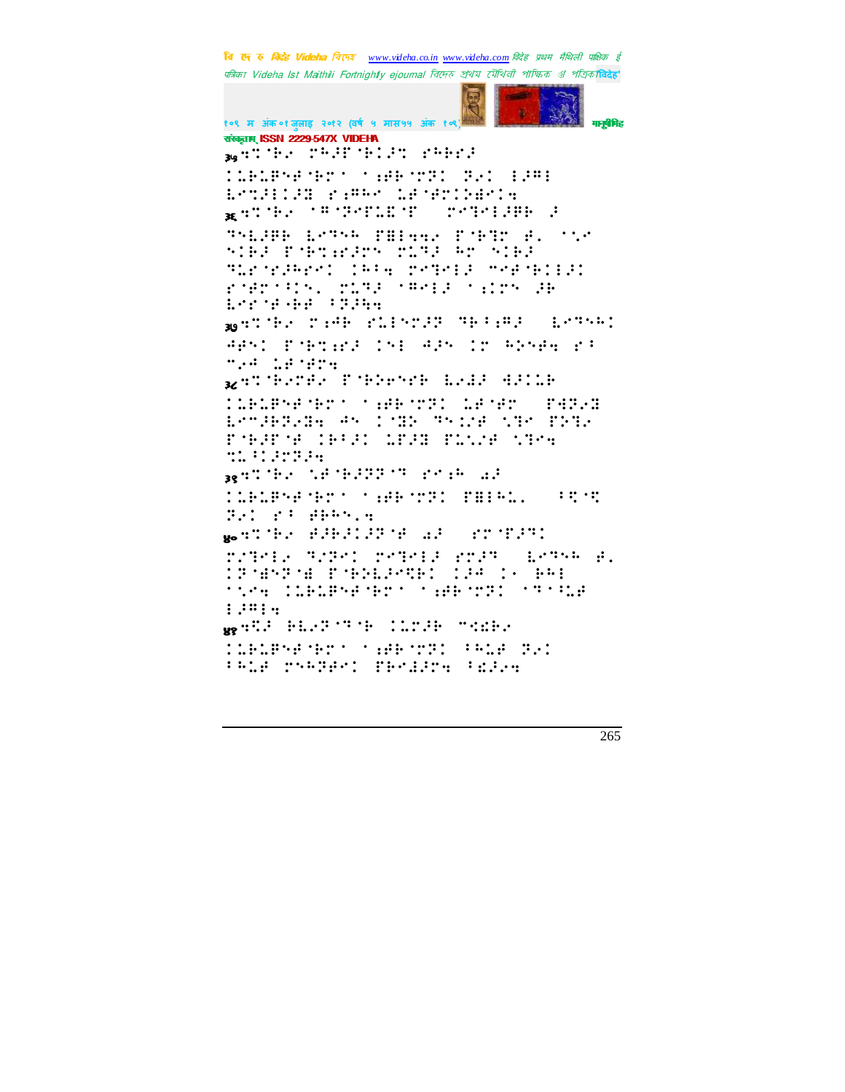वि एक रु क्रिटेड Videha विएम्ब www.videha.co.in www.videha.com विदेह प्रथम मैथिली पाक्षिक ई पत्रिका Videha Ist Maithili Fortnightly ejournal রিদেহ প্রথম মৌথিনী পাক্ষিক প্র পত্রিকা<mark>বিदेह'</mark>



१०९ म अंक०१ जुलाइ २०१२ (वर्ष ५ मास५५ अंक १ संस्कृतम् ISSN 2229-547X VIDEHA **B**SILES PRAPARTED PRESS CONCRETENT SHETTI TAL COM Brillia rame Sendian RESULTING A SUPPORT AND THE CONTROLLER OF THERE ESTAR PHINNE FORT B. TV SIEF PORTECTS TIME AT SIEF Sirnaben: 1664 redela merdella: repose para cara cara propose **Leresha Stage** most the right rilergy matched (lemma) APSI PORTEZ ISE APS IN ADSPECT must be recht petieres Pobberg Lada Adile **CONSENSATION CONSENSATION CONSENSES** ESTARDAR AN TERN TRINA NES PRES FORTH WORLD MONTHLING TO the Controller  $_{38}$  : The condition of the set of  $\sim$ **CONSENSATION CONSENSATION CONSENSATION** Sil St Abby. watter BRBISTA af Schiff rodela dodel redell'arigo (Ledsa B. CRYBYRYB PYBREAGHD CAR CY BAB **TOPS CONDENSATOR POSSESSION SECTION**  $: . . . . .$ <sub>we</sub>wall bisang ng Tinab membe CLELBYFORT COMPOTED FRIE BY: **FALE TRATEST TESTITS FRISH**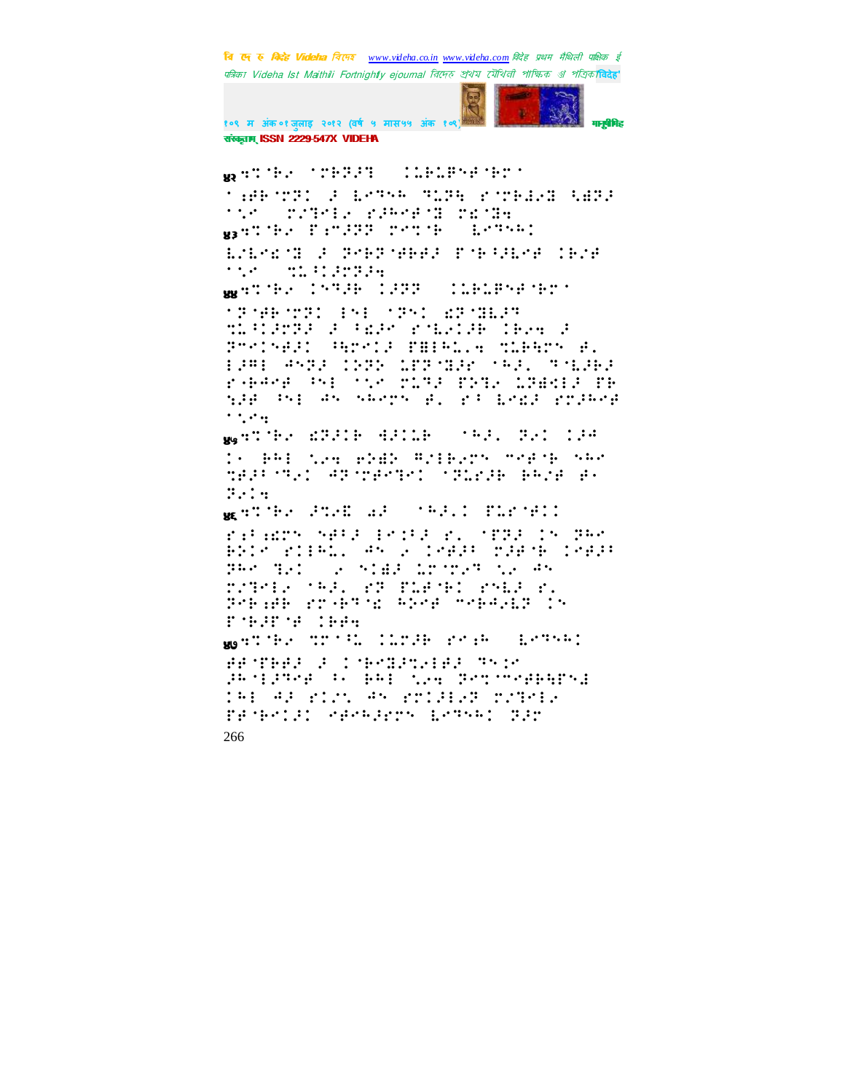वि एक रु क्रिटेड Videha विएम्ब www.videha.co.in www.videha.com विदेह प्रथम मैथिली पाक्षिक ई पत्रिका Videha Ist Maithili Fortnightly ejournal রিদেহ প্রথম মৌথিনী পাক্ষিক প্রা পত্রিকা<mark>বিदेह</mark>'



## १०९ म अंक०१ जुलाइ २०१२ (वर्ष ५ मास५५ अंक १ संस्कृतम् ISSN 2229-547X VIDEHA

**Allen Britishers**  $_{12}$  = 1 (i)  $\cdot$  (i)  $\cdot$  (i)  $\cdot$  (i)  $\cdot$  (i)  $\cdot$  (i)  $\cdot$ **THE TOO A LOOK SUDE FOOLER REPA MARK TERMINE STANDING TEAMS**  $_{12}$  and the signal state control  $_{12}$ a guerra de 1 LARAN F PARTHER PARAGE ING **The Million Common** w:TH: 15338 1333 **CONDENSIGN SPORTSHIPS** (1981) MESSENT microsoft a teachereal des a Protegal Heroid PHIPL.4 SLPACH B. 1981 4523 1992 1827838 1932 541393 race hi to publicit upon pr nde skilde ekzyelê, ri broj rodkre  $\cdot$   $\cdot$   $\cdot$   $\cdot$ <sub>Ma</sub>shibe diffic spille (1963) in the Co In BRI was abdD Aribert websp. SAR MARINES APMARED SPORT PROFILE  $3.414$ wenthe Stellas (1931) Phromatic ritury settlered r. (PPA 18 PR) BRIC PIERL AN 2 ICBR TRACK ICBR s a bigg ironam na ép 2001321 PARTIE SALL PROPERTY PART PL Presencersers and changes in richte Che weather thank lines are a letter PETERA A L'AMBANAIRA PRIM jangste (Bartone Serrengaare IRE AP RIZI AN ROLABAR OVERBA PERMIT SESIPPS LONG TIP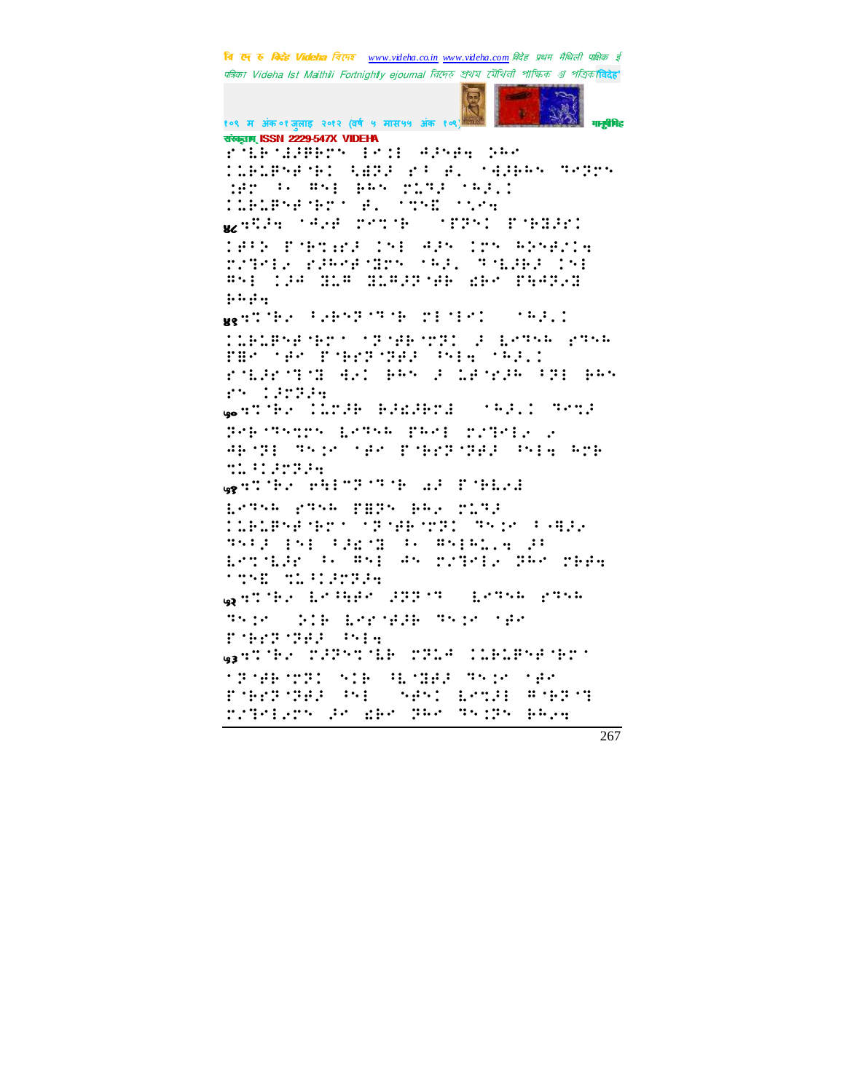वि एक रु मिन्हे Videha विएक www.videha.co.in www.videha.com विदेह प्रथम मैथिली पाक्षिक ई पत्रिका Videha Ist Maithili Fortnightly ejournal রিদেহ প্রথম মৌথিনী পাক্ষিক প্র পত্রিকা<mark>বিदेह'</mark>



१०९ म अंक०१ जुलाइ २०१२ (वर्ष ५ मास५५ अंक १०९) मनुषेगिह संस्कृतम् ISSN 2229-547X VIDEHA ribumers from Arab SW :16185876: 5832 p: A. 74365 92355 NP 8-85: 855 MAY 2173 MARI **TIBLESHMET B. TTSE TIGG** WARPA TAPE PATTE (TEPSI PTBBPE) THIS EMPLOYED AN INSTANCES ENGLA PAGGENER SAL GELARI IN #4: 13 H.# H.#3P H. KR PR#R.H  $......$ went the chemical three products. Clebens der Schreibert, am Benne (enne FBP TAP FOREPORE PHALORED righting gallers a dengan aga ern rt 132734 wentle Close Bacaboa (1931) Shop Personal Leone Peel protein r AB THE TRIP OFF PORTUGAL INE ATE **MARK PERSON** went the and the third problem ESTAR FTAR PHPA BRE TITE CONDENSER (1818-1830) Report (832) 3512 ESE FRESH FORMERLY P Estile Power as president para **THE MILLIPSE** watcher Estimal (PP) in Chensa Pasa Third SIB LeroBB Third of **PERMITTEE PRINT** <sub>93</sub>HT TEL (MUPPT TEE) MPLA (CLELPHETEM) **SPORTSEL SIR RESERVATORS** PORTUGAL IN: SANT LOOK PORTU rudelers an den den dictrime eele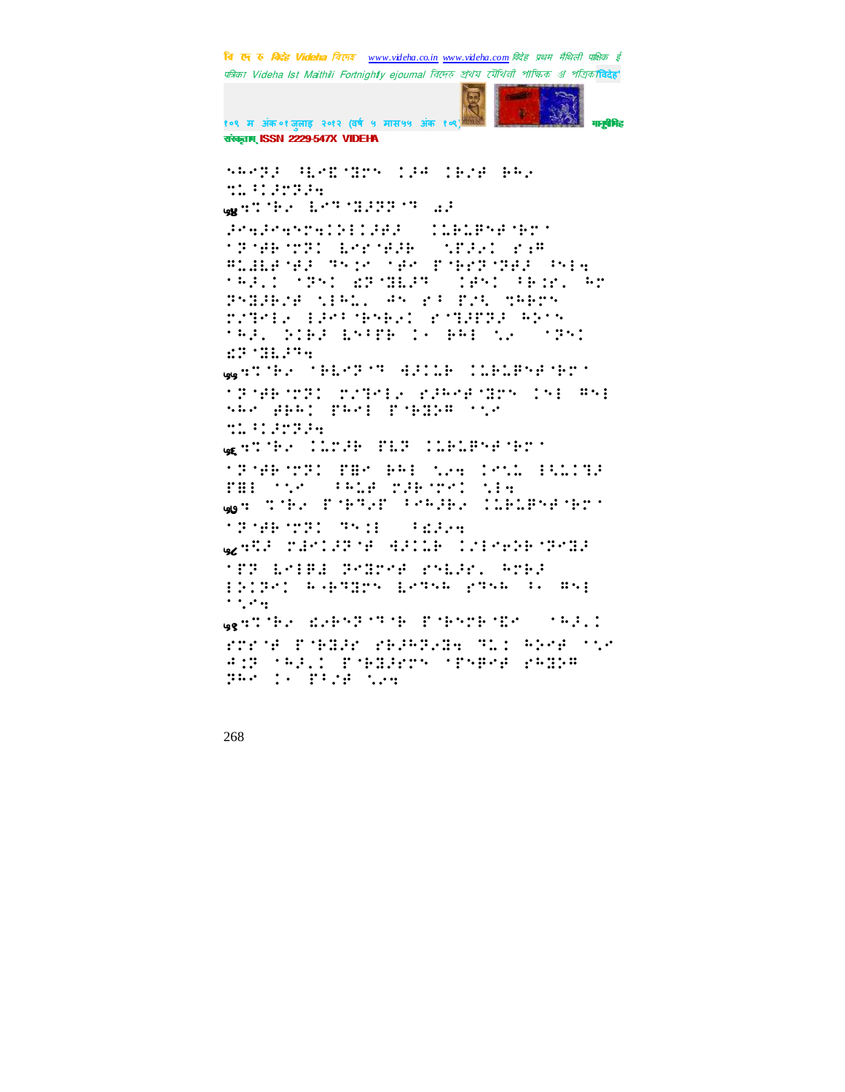वि एक रु क्रिटेड Videha विएम्ब www.videha.co.in www.videha.com विदेह प्रथम मैथिली पाक्षिक ई पत्रिका Videha Ist Maithili Fortnightly ejournal রিদেহ প্রথম মৌথিনী পাক্ষিক প্র পত্রিকা<mark>বিदेह</mark>'

१०९ म अंक०१ जुलाइ २०१२ (वर्ष ५ मास५५ अं

संस्कृतम् ISSN 2229-547X VIDEHA



SARRE REPRINSIPALIERS DEN **MARISHER** weiter betteren af **CONSERVATOR PrePressett:DECPE MINE MILLER SERVICE**  $\mathcal{L}(\mathbb{R}^2; \mathbb{R}^2) \cong \mathbb{R}^2$ BLILENED TRIP NEW PORCHOPED PRIN **TREST TRY EPTHER (1851 FETER RD** BABANG MIRL AN EI DIN MARTA MARIA BASANYAY KABUPATAN TRE. SIER ENFER IN BREAK (1981 EP MERTH www.chargest.com with the control of the control of the control of the control of the control of the control of **TRIANGE CONFIDENTIAL CONTROL** nan gear pan: predig rin that starter genne Minge min (1919-1957) **SPERSON PROPHETICAL ISLAND** FBI TV WALE THITTY  $\mathcal{L}$ : we the Post compassion in the serve **SPORTS TO BUILDING** west rancers actor corner mode **TER LOINE ROBOON SOLAR, PORP** ppiner augungen genna guna is mer  $\cdots$ gen the spendiment different in the pro rrene forder regerede als ergensen AN YEAR POBBER SPORT PERM PRO DE PICE COM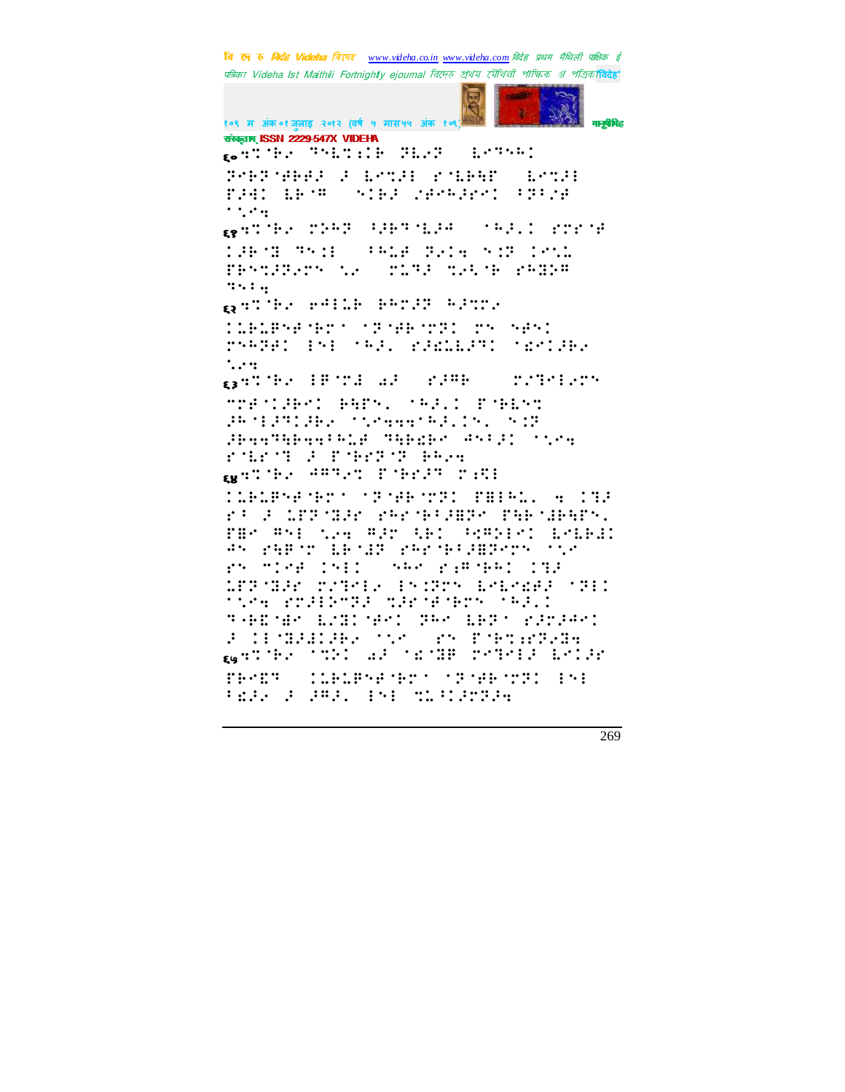वि एक रु क्रिटेड Videha विएम्ब www.videha.co.in www.videha.com विदेह प्रथम मैथिली पाक्षिक ई पत्रिका Videha Ist Mathili Fortnightly ejournal রিদেহ প্রথম মৌথিনী পাক্ষিক প্রা পত্রিকা<mark>বিदेह</mark>'



१०९ म अंक०१ जुलाइ २०१२ (वर्ष ५ मास५५ अंक १०९ संस्कृतम् ISSN 2229-547X VIDEHA control Princip Pach  $\frac{1}{2}$  .  $\frac{1}{2}$  .  $\frac{1}{2}$  .  $\frac{1}{2}$  .  $\frac{1}{2}$ POSTOBER FARON POLENT  $1.111$ F.G. ART STREETHERMAN PRIZE  $\mathcal{L}^{\bullet}$  ,  $\mathcal{L}^{\bullet}$  as gender mass spessible (1921) rerese TARIT PRINT (PALE PAIR SIP TRIL FRANCISCO NA CONSTA NAPORTADA  $3.44$ aster efter Phore Sroom CLELBYANET (1878F128) TY YAYO ryage: Ene rag, reduced: runced  $\ddots$ gander fødni af sympas onderne TTESTING NATS, SALLI FORMS FROM FRIDAY CONSIGNATION OF A CH Shaankhaalkid nkhibr Aslab (194 FARM FIRETT PRA while <sup>ann</sup>is fibral rate <u> 116184487 - 1246-121 - 1866 - 1967</u> FOR APPEAR PRESERVENT PHESHAPY. FBP AND NEW ART ART ANALYZ EMERGI AN PARTY LETIC PAPTERSHIPPY TO ry mine indicated rammed ing LPP SHEET STREET EN CRON EPEPARE TREE tice presente nerretent tell THE NEW EVEN NEWS THAN EER MOVINGEN FIRTHWALL TO THE PERSON position for all remains complete and an FRANK (MARGARANT (FRANKI) 191 **FRIDGE SHIPS IN STRIPS**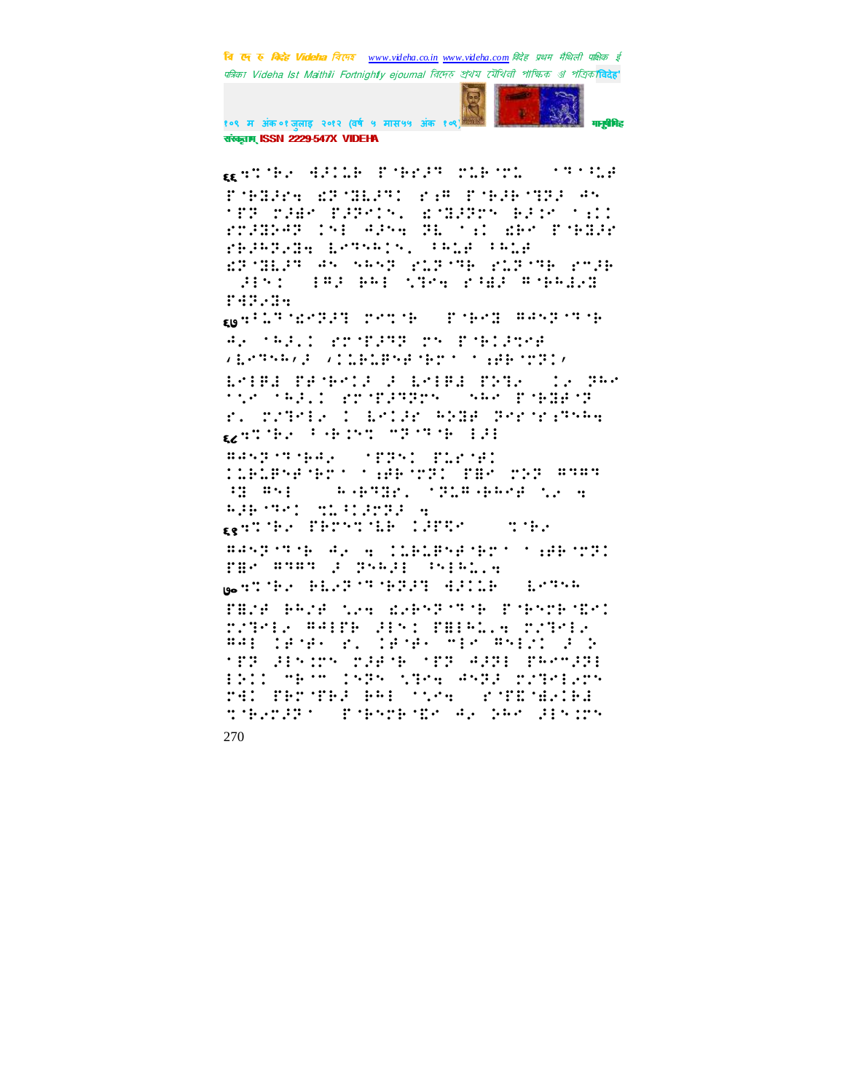FEIN PRIE NIE KIENTSTE FSPORTEI TZTALA PALER JEST PHIRLA TZTALA ##E CENER BL CENER MEK #5E21 2 % **TER SENION OSEMB TER ASSEMBATION** ERIC MESMO INTNOVIMA (PNTF) PITMERTN THI PROTES RAI (NYM) POPEOBRIKA THEORY FORMORES AN SAM HENDE

general Personal Large Conde ##SPSTS #2 # CLELPSFSPY THEST? FBP #3#3 2 PSAPI PSIAL. **Bo** :: The Bleft TEFFI BRILE (1875)

**CONSERVANT 1 (SEPTIDE SEP 1998) 8989**  $\mathbb{R}^n$  and  $\mathbb{R}^n$ **SEARTH STARFORD COMME APP THE MANUFACTURE OF** 

BRSTSTER, STIS TEST

270

LAIRE TRANSVILLE LAIRE TOTAL CONTRA **MARKET PRIPRIES AGE PARTY** r. TSTALA I LATJE ANGE PARAFTAAN general Partner mannie (191

AF MAIL STORAGE TH PORTAGE  $\sqrt{2}$  ,  $\frac{1}{2}$  ,  $\frac{1}{2}$  ,  $\frac{1}{2}$  ,  $\frac{1}{2}$  ,  $\frac{1}{2}$  ,  $\frac{1}{2}$  ,  $\frac{1}{2}$  ,  $\frac{1}{2}$  ,  $\frac{1}{2}$  ,  $\frac{1}{2}$  ,  $\frac{1}{2}$  ,  $\frac{1}{2}$  ,  $\frac{1}{2}$  ,  $\frac{1}{2}$  ,  $\frac{1}{2}$  ,  $\frac{1}{2}$  ,  $\frac{1}{2}$  ,  $\frac{1}{2$ 

renche contratantes control presentantes e

rosse stalle: fa rosson av **TER THE EARNING WINNER BASE TELL** PTINAR INE APACTE TE SAN BURGER resease considerate conce EPSILP AN NEW PLEATE PLEATE POSE (BRI) 182 BAL 1984 PADE 87BAD20

ERSTRACHALLE FORMAT CLEOCL  $\cdots$  . . . . .

१०९ म अंक०१ जुलाइ २०१२ (वर्ष ५ मास५५ अंक १) संस्कृतम् ISSN 2229-547X VIDEHA



वि एक रु विदेह Videha विएम्ब www.videha.co.in www.videha.com विदेह प्रथम मैथिली पाक्षिक ई पत्रिका Videha Ist Maithili Fortnightly ejournal রিদেহ প্রথম মৌথিনী পাক্ষিক প্র পত্রিকা<mark>বিदेह'</mark>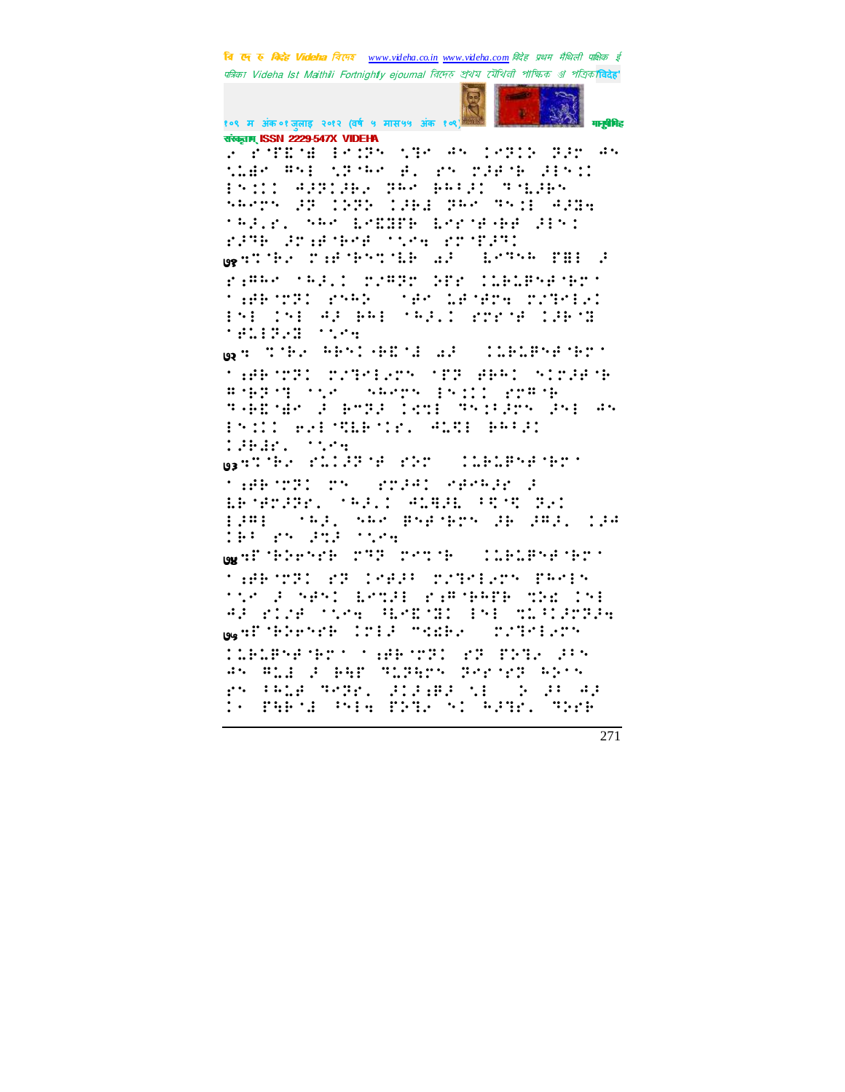वि एक रु क्रिटेड Videha विएम्ब www.videha.co.in www.videha.com विदेह प्रथम मैथिली पाक्षिक ई पत्रिका Videha Ist Mathili Fortnightly ejournal রিদেহ প্রথম মৌথিনী পাক্ষিক প্রা পত্রিকা<mark>বিदेह</mark>'

संस्कृतम् ISSN 2229-547X VIDEHA



2 POTENE ESSPACIES ANCIOTIVO PRECAN MARK RME METRY B. STA TERME FENI Profil approach par Aarproachach **SEPTS 28 1989 1283 8EP 3511 8286** SAFLEL SAR EREBED ERRIGHT FEST rank arabel the room and **Gentline Tool (Portifical Calculation FBIC)** rime (FELI TIMPT DIR CLELPSFORT) ta#For#1 anAG (t#rol#jaracrufe:2) 151 151 42 BRI 19211 20214 12813 19111922 1129

me the WESTERN af Cleimstern **TARPTED TIREATY TER READ SOCRETE** BOBSON CAR SAMPS ENGIN PRESE sakrak i pozrivni svicio let na

ESIL PRESENTI ALSE PRIS DEED TON

**Gan: The Solution School Classified Serve** 

taërel en ache spread BROWNER, ORIGINAL RESEARCH 1981 - SAD, SAR BSB-BOS OR ORD, 194 THE PROPERTY STAR

websitered 233 reside (1161856.627)

r Adamst (2001) nada shine aso pango the 2 ment bends rim mess new 158 AF RICH STRAG HRESHO IN STAGGING **Be<sup>nd</sup> Therman (2013 Thanks (2015):27** 

CORDENEMENT THE MOST VOLUME SEN AN WILL S BAR MISARN SPRINGS ADIN PS PALE REPR. SISHES NE (2018) AS 1. PARTS PHA PRIS SI WRITE, TREE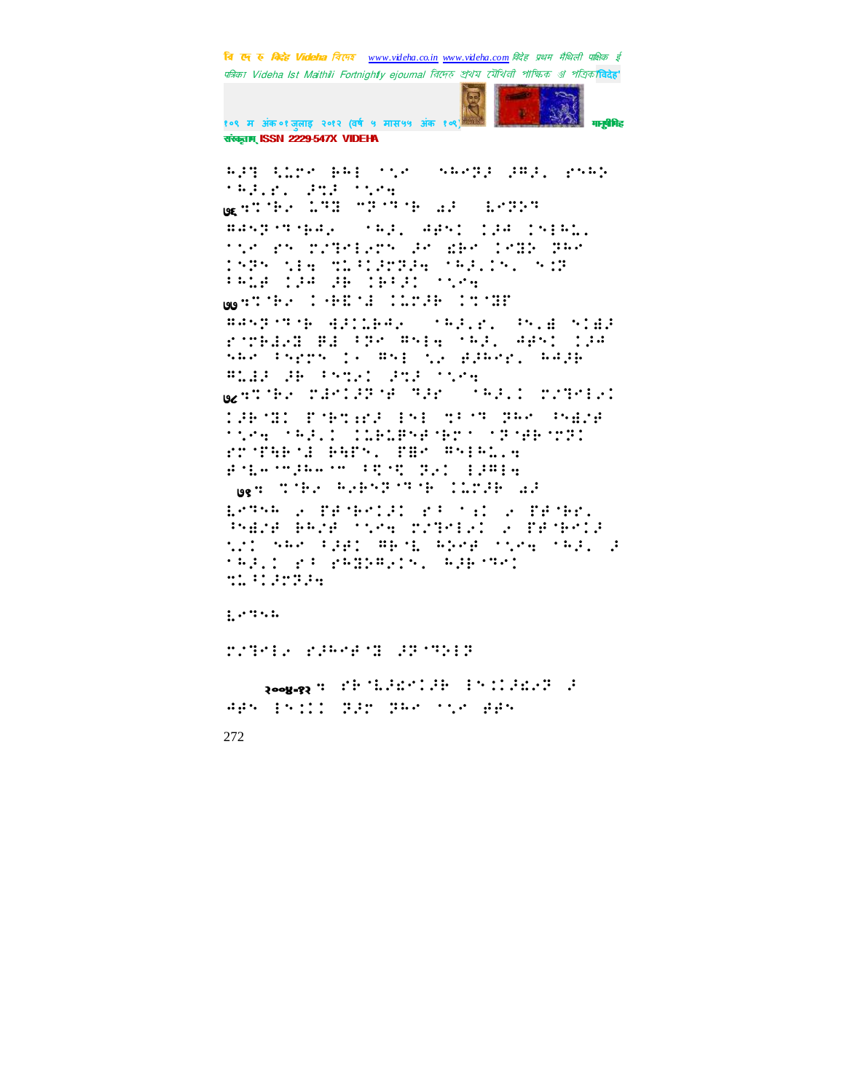वि एक रु क्रिटेड Videha विएम्ब www.videha.co.in www.videha.com विदेह प्रथम मैथिली पाक्षिक ई पत्रिका Videha Ist Mathili Fortnightly ejournal রিদেহ প্রথম মৌথিনী পাক্ষিক প্রা পত্রিকা<mark>বিदेह</mark>'



१०९ म अंक०१ जुलाइ २०१२ (वर्ष ५ मास५५ अंक संस्कृतम् ISSN 2229-547X VIDEHA

APP RIMA BAD STAR SARPE PAPE MAAN **SARVEL ROBERTSHI GENERAL END MEANS AND LEADER SALE ARMI 124 INIBL.** adsportage. the re-rugelere de mee lege gae INPN NEW MIRIPPER TREVING NOR **FALE (28 28 1852) MICH WORKSHOUL LEETH CLOSE CONTER** 

##SPYPYE ARILEAR (TREVEL PVLA SIAR romaliza el tre seta call. APSI 194 SAR PSPP IS RSE NE BRAY, RRPE **BLID OF PATE: STA TIME** 

which facialist the chair fritish THE MILL PORT AND SENSE MAY THE SPACE RELAT **TOPE TRACK CORDRAFTED TO MARTING** consenta earl Trak Ries  $\ddot{\phantom{0}}$ #1161078610 PENT BEL 12814 **Get Time Reportive Classe as** 

ESTAR & PROPOSIC PROTECTS PROPE Prese Profilishe pothecol of primite the same special discussion of the same  $\mathcal{F}(\mathbb{R},\mathbb{R},\mathbb{R})=\mathbb{R}^{n}\times\mathbb{R}^{n}\times\mathbb{R}^{n}\times\mathbb{R}^{n}\times\mathbb{R}^{n}\times\mathbb{R}^{n}\times\mathbb{R}^{n}\times\mathbb{R}^{n}\times\mathbb{R}^{n}\times\mathbb{R}^{n}\times\mathbb{R}^{n}\times\mathbb{R}^{n}\times\mathbb{R}^{n}\times\mathbb{R}^{n}\times\mathbb{R}^{n}\times\mathbb{R}^{n}\times\mathbb{R}^{n}\times\mathbb{R}^{n}\times\mathbb{R}^{n}\times\mathbb{R}$ **MARISTS** 

 $\mathbf{g}$  , where  $\mathbf{g}$ 

TIME REPRISEMENT

Roomer The Management of the Seamon of APR ERIC BEN BAR TER APR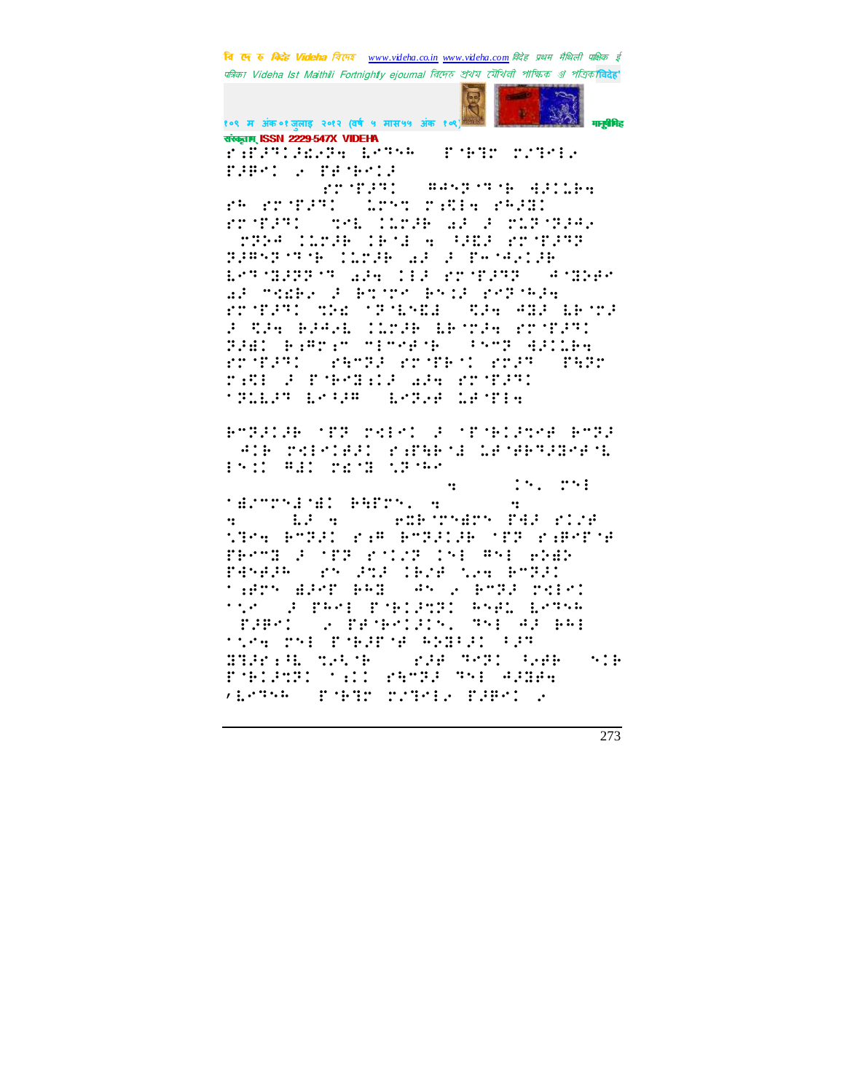बि एक रु *बिरोह Videha चिएक www.videha.co.in www.videha.com विदेह प्रथम मैथिली पाक्षिक ई* पत्रिका Videha Ist Mathili Fortnightly ejournal রিদেহ প্রথম মৌথিনী পাক্ষিক প্রা পত্রিকা<mark>বিदेह</mark>'



## १०९ म अंक०१ जुलाइ २०१२ (वर्ष ५ मास५५ अंक १०९ संस्कृतम् ISSN 2229-547X VIDEHA

rangugaya kesa **THE THE** THE STRIP SECTION

**STORES Adventis Addition** FR FORTH LONG CHIEF FRANK **THE COORD AND POST TOWN** ET TESTO THE COSE OF SEARCH STIPE BRANCH COSE AND PASSER ESTMERFT WAS INFORMED FORM ad member disperson brid softenda FT TET: THE STANDED TEMP AND LESTE a san kanyi linak ikonan profasi.<br>aail kasren minyadik (1982-4allkn FOREST FROM FOREST FOR THE ren a raedia alu ergen **TELP ROUGHLITH CONSTRU** 

BORDLAR STRUCKLEY AUSTROLPHE BORD **ADE PREMIER PORTEMA LEMENARMEN ENGINEER CENT SPACE** 

 $15.701$ •: **MACHINE BUTLER**  $\dddot{\hspace{0.1cm}}$ **AND THEFT FEE SIDE**  $\mathbb{R}^3$  ,  $\mathbb{R}^3$  $\ddot{\mathbf{r}}$ STAR BATES RIB BATESIN MIT RIBATAR TECTI A MIT RATION INFORMATION PASER of MILLER NS PTP. takry dayr bed ( ey ) brag rely: the a part portion: and prova **TABRI SACREMENTS, THE AP BAE TOM THE PHAPME ANDER CAPE**  $\ddots$  : ALSAM PART TERRIS BURG &